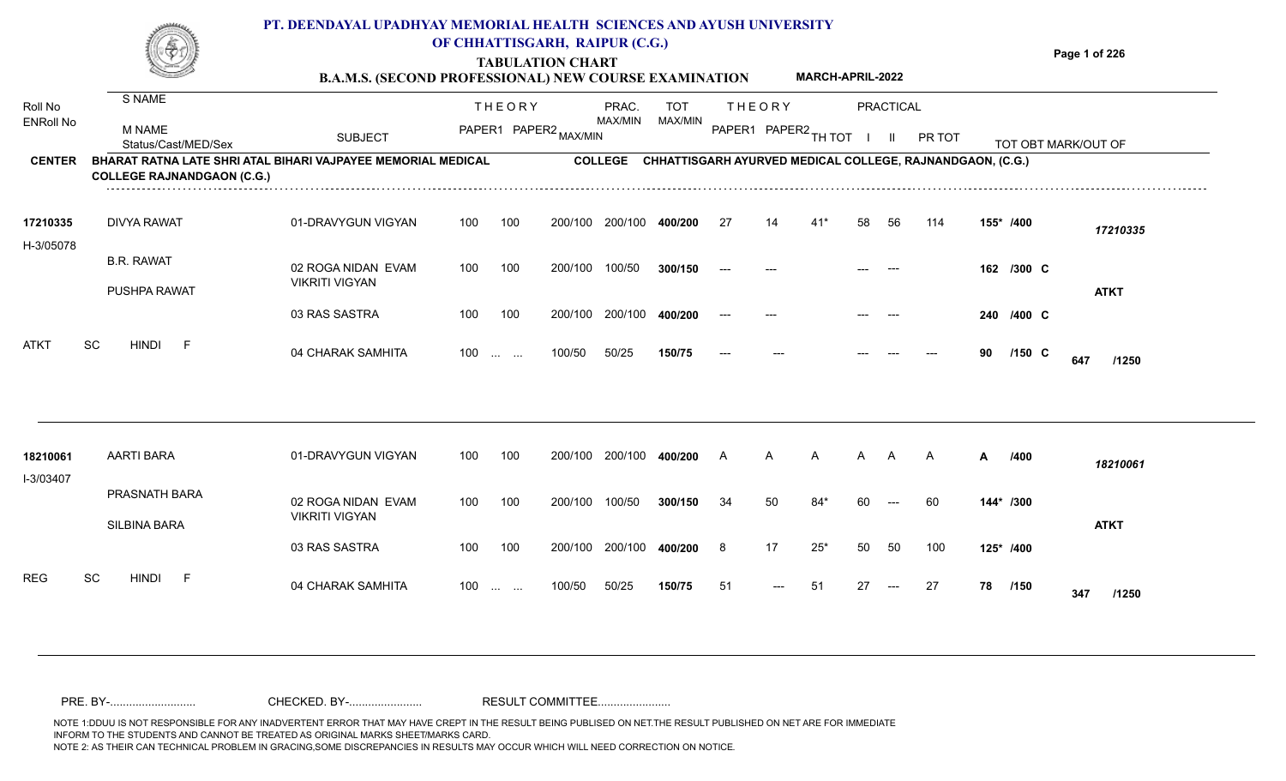#### **TABULATION CHART Page 1 of 226 B.A.M.S. (SECOND PROFESSIONAL) NEW COURSE EXAMINATION**  TOT THE OR Y PRACTICAL THE ORY BRAC TOT PRAC. S NAME **PT. DEENDAYAL UPADHYAY MEMORIAL HEALTH SCIENCES AND AYUSH UNIVERSITY OF CHHATTISGARH, RAIPUR (C.G.) MARCH-APRIL-2022**

| Roll No                           | O INAIVIE                            |                                                                                       |     | <b>THEORY</b>                                  |                       | PRAC.                     | <b>TOT</b> |                      | <b>THEORY</b> |       |    | PRACTICAL |                                                                     |    |            |                     |
|-----------------------------------|--------------------------------------|---------------------------------------------------------------------------------------|-----|------------------------------------------------|-----------------------|---------------------------|------------|----------------------|---------------|-------|----|-----------|---------------------------------------------------------------------|----|------------|---------------------|
| <b>ENRoll No</b><br><b>CENTER</b> | <b>M NAME</b><br>Status/Cast/MED/Sex | <b>SUBJECT</b><br><b>BHARAT RATNA LATE SHRI ATAL BIHARI VAJPAYEE MEMORIAL MEDICAL</b> |     |                                                | PAPER1 PAPER2 MAX/MIN | MAX/MIN<br><b>COLLEGE</b> | MAX/MIN    | PAPER1 PAPER2 TH TOT |               |       |    |           | PR TOT<br>CHHATTISGARH AYURVED MEDICAL COLLEGE, RAJNANDGAON, (C.G.) |    |            | TOT OBT MARK/OUT OF |
|                                   | <b>COLLEGE RAJNANDGAON (C.G.)</b>    |                                                                                       |     |                                                |                       |                           |            |                      |               |       |    |           |                                                                     |    |            |                     |
| 17210335                          | <b>DIVYA RAWAT</b>                   | 01-DRAVYGUN VIGYAN                                                                    | 100 | 100                                            | 200/100               | 200/100                   | 400/200    | 27                   | 14            |       | 58 | 56        | 114                                                                 |    | 155* /400  | 17210335            |
| H-3/05078                         | <b>B.R. RAWAT</b>                    | 02 ROGA NIDAN EVAM<br><b>VIKRITI VIGYAN</b>                                           | 100 | 100                                            | 200/100               | 100/50                    | 300/150    |                      |               |       |    |           |                                                                     |    | 162 /300 C |                     |
|                                   | <b>PUSHPA RAWAT</b>                  | 03 RAS SASTRA                                                                         | 100 | 100                                            | 200/100               | 200/100                   | 400/200    |                      |               |       |    |           |                                                                     |    | 240 /400 C | <b>ATKT</b>         |
| <b>ATKT</b>                       | SC<br><b>HINDI</b><br>$-F$           | 04 CHARAK SAMHITA                                                                     | 100 | $\mathbf{r}$ and $\mathbf{r}$ and $\mathbf{r}$ | 100/50                | 50/25                     | 150/75     | $---$                |               |       |    |           |                                                                     | 90 | $/150$ C   | 647<br>/1250        |
|                                   |                                      |                                                                                       |     |                                                |                       |                           |            |                      |               |       |    |           |                                                                     |    |            |                     |
| 18210061                          | <b>AARTI BARA</b>                    | 01-DRAVYGUN VIGYAN                                                                    | 100 | 100                                            | 200/100               | 200/100                   | 400/200    | A                    | A             | A     | A  | A         | A                                                                   | A  | /400       | 18210061            |
| I-3/03407                         | PRASNATH BARA                        | 02 ROGA NIDAN EVAM                                                                    | 100 | 100                                            | 200/100               | 100/50                    | 300/150    | 34                   | 50            | $84*$ | 60 | $---$     | 60                                                                  |    | 144* /300  |                     |
|                                   | SILBINA BARA                         | <b>VIKRITI VIGYAN</b>                                                                 |     |                                                |                       |                           |            |                      |               |       |    |           |                                                                     |    |            | <b>ATKT</b>         |

100 100 200/100 200/100 **400/200**

100/50 50/25 **150/75**

100 ... ... 100/50 50/25 **150/75** 51 --- 51 27

04 CHARAK SAMHITA 100 … … 100/50 50/25 **150/75** 51 --- 51 27 --- 27 **78 /150 347 /1250**

**/400** 8 17 25\* 50 50 100 **125\***

<sup>51</sup> <sup>51</sup> <sup>27</sup> <sup>27</sup> **<sup>78</sup> <sup>347</sup>**

78 /150 **347** /1250

REG SC HINDI F 04 CHARAK SAMHITA

03 RAS SASTRA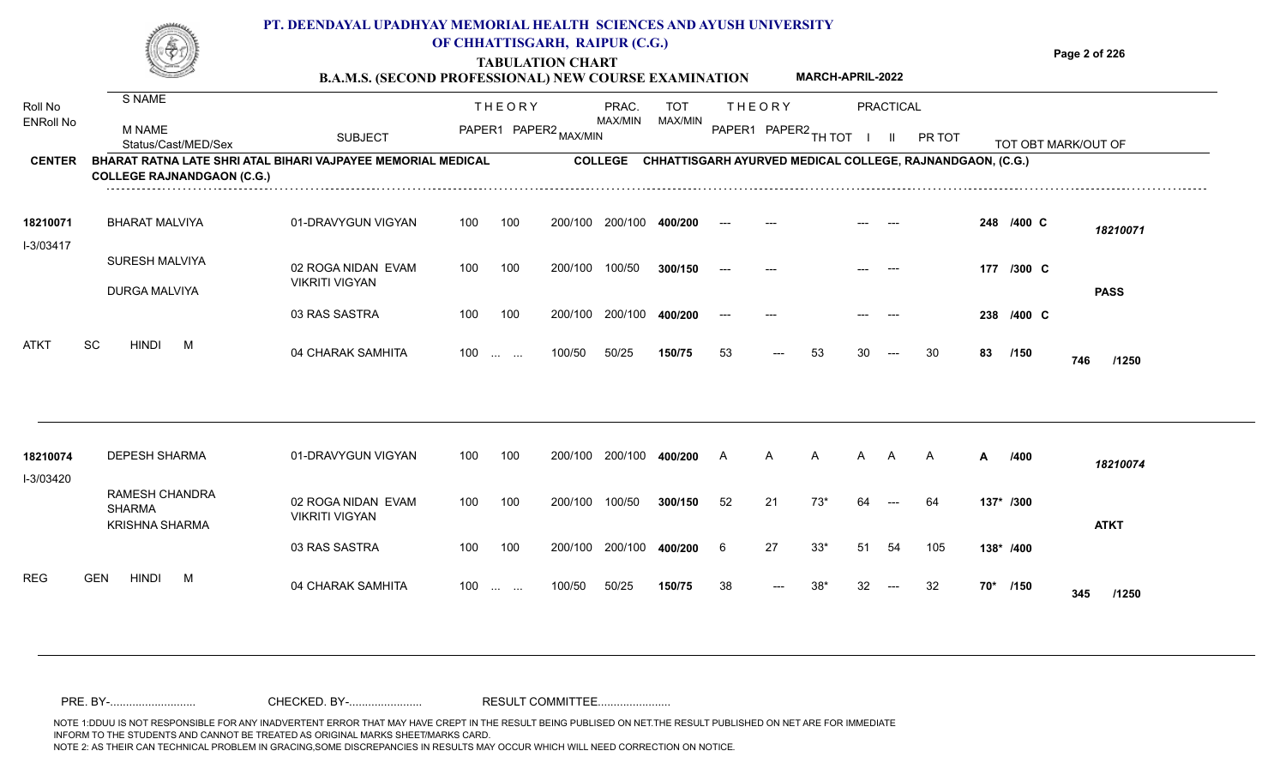|                             |                                                                                                   | PT. DEENDAYAL UPADHYAY MEMORIAL HEALTH SCIENCES AND AYUSH UNIVERSITY<br><b>B.A.M.S. (SECOND PROFESSIONAL) NEW COURSE EXAMINATION</b> |     | OF CHHATTISGARH, RAIPUR (C.G.)<br><b>TABULATION CHART</b> |         |                  |                       |                |               | <b>MARCH-APRIL-2022</b> |    |                           |                                                                   |    |            | Page 2 of 226       |
|-----------------------------|---------------------------------------------------------------------------------------------------|--------------------------------------------------------------------------------------------------------------------------------------|-----|-----------------------------------------------------------|---------|------------------|-----------------------|----------------|---------------|-------------------------|----|---------------------------|-------------------------------------------------------------------|----|------------|---------------------|
| Roll No<br><b>ENRoll No</b> | S NAME<br>M NAME<br>Status/Cast/MED/Sex                                                           | <b>SUBJECT</b>                                                                                                                       |     | <b>THEORY</b><br>PAPER1 PAPER2 MAX/MIN                    |         | PRAC.<br>MAX/MIN | <b>TOT</b><br>MAX/MIN |                | <b>THEORY</b> | PAPER1 PAPER2 TH TOT    |    | PRACTICAL<br>$\mathbf{H}$ | PR TOT                                                            |    |            | TOT OBT MARK/OUT OF |
| <b>CENTER</b>               | BHARAT RATNA LATE SHRI ATAL BIHARI VAJPAYEE MEMORIAL MEDICAL<br><b>COLLEGE RAJNANDGAON (C.G.)</b> |                                                                                                                                      |     |                                                           |         |                  |                       |                |               |                         |    |                           | COLLEGE CHHATTISGARH AYURVED MEDICAL COLLEGE, RAJNANDGAON, (C.G.) |    |            |                     |
| 18210071<br>I-3/03417       | <b>BHARAT MALVIYA</b>                                                                             | 01-DRAVYGUN VIGYAN                                                                                                                   | 100 | 100                                                       |         | 200/100 200/100  | 400/200               |                |               |                         |    |                           |                                                                   |    | 248 /400 C | 18210071            |
|                             | SURESH MALVIYA<br><b>DURGA MALVIYA</b>                                                            | 02 ROGA NIDAN EVAM<br><b>VIKRITI VIGYAN</b>                                                                                          | 100 | 100                                                       | 200/100 | 100/50           | 300/150               |                |               |                         |    |                           |                                                                   |    | 177 /300 C | <b>PASS</b>         |
|                             |                                                                                                   | 03 RAS SASTRA                                                                                                                        | 100 | 100                                                       | 200/100 | 200/100          | 400/200               |                |               |                         |    |                           |                                                                   |    | 238 /400 C |                     |
| ATKT                        | <b>SC</b><br><b>HINDI</b><br>M                                                                    | 04 CHARAK SAMHITA                                                                                                                    | 100 | $\sim 10^{-1}$ and $\sim 10^{-1}$                         | 100/50  | 50/25            | 150/75                | 53             |               | 53                      | 30 | $---$                     | 30                                                                | 83 | /150       | 746<br>/1250        |
| 18210074<br>I-3/03420       | <b>DEPESH SHARMA</b>                                                                              | 01-DRAVYGUN VIGYAN                                                                                                                   | 100 | 100                                                       |         | 200/100 200/100  | 400/200               | $\overline{A}$ | A             | A                       | A  | A                         | A                                                                 | A  | /400       | 18210074            |
|                             | RAMESH CHANDRA<br><b>SHARMA</b><br><b>KRISHNA SHARMA</b>                                          | 02 ROGA NIDAN EVAM<br><b>VIKRITI VIGYAN</b>                                                                                          | 100 | 100                                                       | 200/100 | 100/50           | 300/150               | 52             | 21            | $73*$                   | 64 |                           | 64                                                                |    | 137* /300  | <b>ATKT</b>         |
|                             |                                                                                                   | 03 RAS SASTRA                                                                                                                        | 100 | 100                                                       |         | 200/100 200/100  | 400/200               | 6              | 27            | $33*$                   | 51 | 54                        | 105                                                               |    | 138* /400  |                     |
| <b>REG</b>                  | <b>GEN</b><br>HINDI<br>M                                                                          | 04 CHARAK SAMHITA                                                                                                                    | 100 | <b>Contract Contract</b>                                  | 100/50  | 50/25            | 150/75                | 38             | $---$         | $38*$                   | 32 | $--$                      | 32                                                                |    | 70* /150   | 345<br>/1250        |

NOTE 1:DDUU IS NOT RESPONSIBLE FOR ANY INADVERTENT ERROR THAT MAY HAVE CREPT IN THE RESULT BEING PUBLISED ON NET.THE RESULT PUBLISHED ON NET ARE FOR IMMEDIATE INFORM TO THE STUDENTS AND CANNOT BE TREATED AS ORIGINAL MARKS SHEET/MARKS CARD.<br>NOTE 2: AS THEIR CAN TECHNICAL PROBLEM IN GRACING,SOME DISCREPANCIES IN RESULTS MAY OCCUR WHICH WILL NEED CORRECTION ON NOTICE. NOTE 2: AS THEIR CAN TECHNICAL PROBLEM IN GRACING,SOME DISCREPANCIES IN RESULTS MAY OCCUR WHICH WILL NEED CORRECTION ON NOTICE. PRE. BY-........................... CHECKED. BY-....................... RESULT COMMITTEE.......................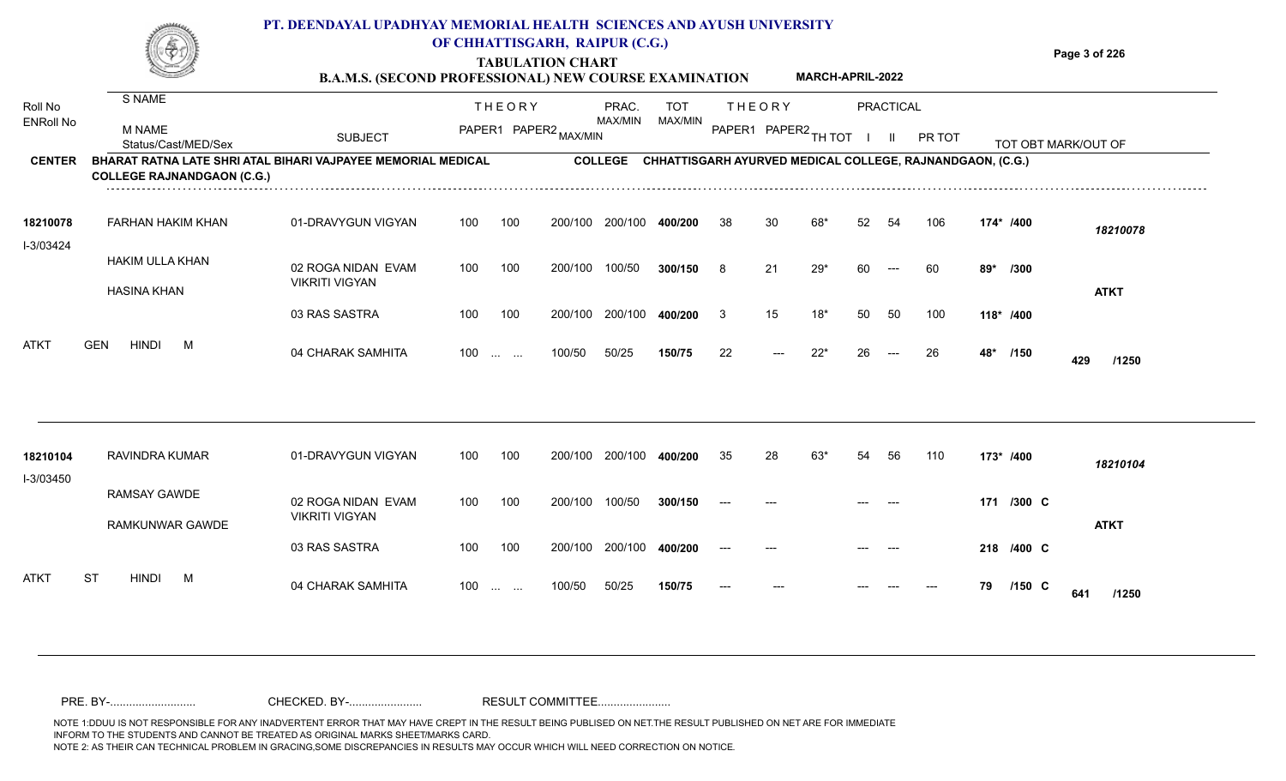# **TABULATION CHART**

**Page 3 of 226**

#### **B.A.M.S. (SECOND PROFESSIONAL) NEW COURSE EXAMINATION MARCH-APRIL-2022**

| Roll No<br><b>ENRoll No</b> | S NAME<br><b>M NAME</b><br>Status/Cast/MED/Sex                                                    | <b>SUBJECT</b>                              |     | <b>THEORY</b><br>PAPER1 PAPER2 MAX/MIN                        |         | PRAC.<br>MAX/MIN | <b>TOT</b><br>MAX/MIN | <b>THEORY</b><br>PAPER1 PAPER2 |       | TH TOT |    | PRACTICAL<br>$\mathbf{H}$ | PR TOT                                                    |     |            | TOT OBT MARK/OUT OF |  |
|-----------------------------|---------------------------------------------------------------------------------------------------|---------------------------------------------|-----|---------------------------------------------------------------|---------|------------------|-----------------------|--------------------------------|-------|--------|----|---------------------------|-----------------------------------------------------------|-----|------------|---------------------|--|
| <b>CENTER</b>               | BHARAT RATNA LATE SHRI ATAL BIHARI VAJPAYEE MEMORIAL MEDICAL<br><b>COLLEGE RAJNANDGAON (C.G.)</b> |                                             |     |                                                               |         | <b>COLLEGE</b>   |                       |                                |       |        |    |                           | CHHATTISGARH AYURVED MEDICAL COLLEGE, RAJNANDGAON, (C.G.) |     |            |                     |  |
| 18210078<br>I-3/03424       | FARHAN HAKIM KHAN                                                                                 | 01-DRAVYGUN VIGYAN                          | 100 | 100                                                           | 200/100 | 200/100          | 400/200               | 38                             | 30    |        | 52 | 54                        | 106                                                       |     | 174* /400  | 18210078            |  |
|                             | HAKIM ULLA KHAN<br><b>HASINA KHAN</b>                                                             | 02 ROGA NIDAN EVAM<br><b>VIKRITI VIGYAN</b> | 100 | 100                                                           | 200/100 | 100/50           | 300/150               | 8                              | 21    | $29*$  | 60 | $---$                     | 60                                                        | 89* | /300       | <b>ATKT</b>         |  |
|                             |                                                                                                   | 03 RAS SASTRA                               | 100 | 100                                                           | 200/100 | 200/100          | 400/200               | 3                              | 15    | $18*$  | 50 | 50                        | 100                                                       |     | 118* /400  |                     |  |
| ATKT                        | <b>HINDI</b><br><b>GEN</b><br>M                                                                   | 04 CHARAK SAMHITA                           | 100 | $\mathbf{r}$ and $\mathbf{r}$ and $\mathbf{r}$                | 100/50  | 50/25            | 150/75                | 22                             | $---$ | $22*$  | 26 | $---$                     | 26                                                        | 48* | /150       | 429<br>/1250        |  |
|                             |                                                                                                   |                                             |     |                                                               |         |                  |                       |                                |       |        |    |                           |                                                           |     |            |                     |  |
| 18210104<br>I-3/03450       | RAVINDRA KUMAR                                                                                    | 01-DRAVYGUN VIGYAN                          | 100 | 100                                                           | 200/100 | 200/100          | 400/200               | 35                             | 28    | $63*$  | 54 | 56                        | 110                                                       |     | 173* /400  | 18210104            |  |
|                             | <b>RAMSAY GAWDE</b><br>RAMKUNWAR GAWDE                                                            | 02 ROGA NIDAN EVAM<br><b>VIKRITI VIGYAN</b> | 100 | 100                                                           | 200/100 | 100/50           | 300/150               |                                |       |        |    |                           |                                                           |     | 171 /300 C | <b>ATKT</b>         |  |
|                             |                                                                                                   | 03 RAS SASTRA                               | 100 | 100                                                           | 200/100 | 200/100          | 400/200               |                                |       |        |    |                           |                                                           |     | 218 /400 C |                     |  |
| <b>ATKT</b>                 | <b>ST</b><br><b>HINDI</b><br>M                                                                    | 04 CHARAK SAMHITA                           | 100 | $\mathcal{L}_{\mathcal{F}}$ , and $\mathcal{L}_{\mathcal{F}}$ | 100/50  | 50/25            | 150/75                |                                |       |        |    |                           |                                                           | 79  | $/150$ C   | 641<br>/1250        |  |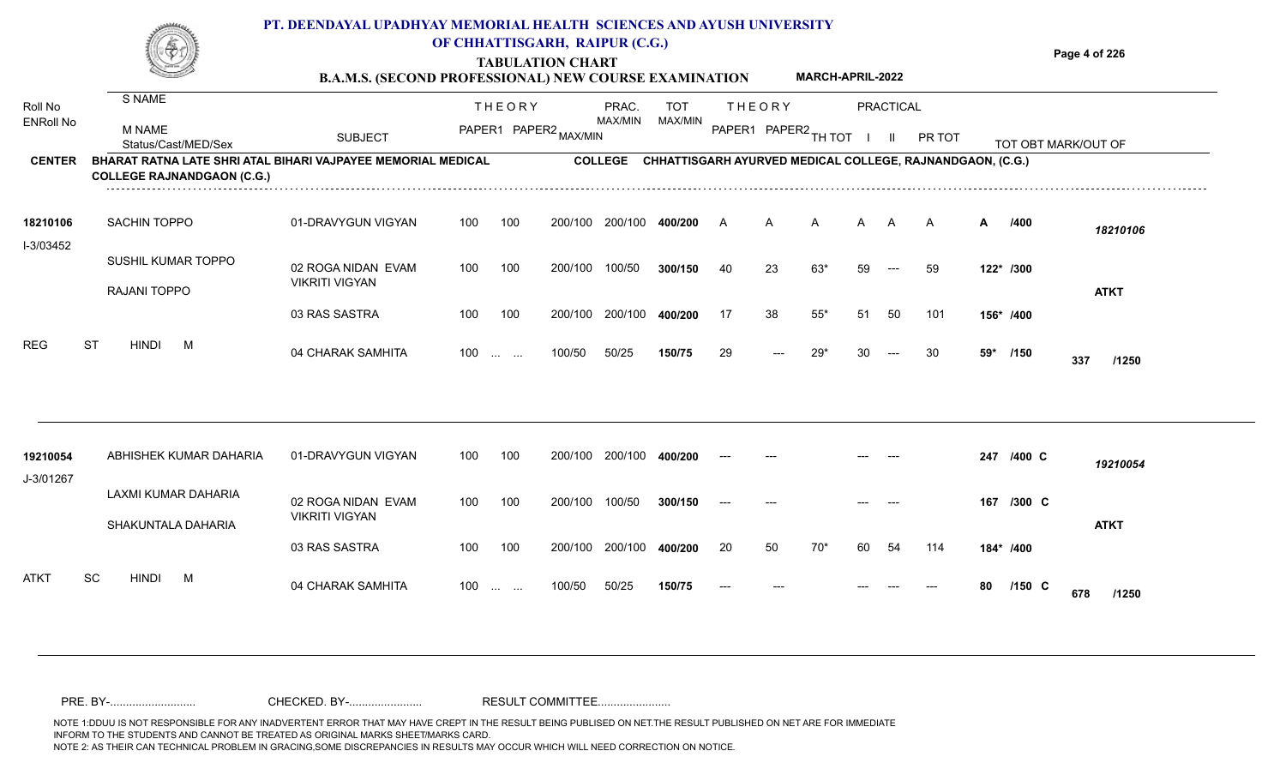#### **TABULATION CHART Page 4 of 226 B.A.M.S. (SECOND PROFESSIONAL) NEW COURSE EXAMINATION PT. DEENDAYAL UPADHYAY MEMORIAL HEALTH SCIENCES AND AYUSH UNIVERSITY OF CHHATTISGARH, RAIPUR (C.G.) MARCH-APRIL-2022**

| Roll No               | S NAME                                                                                            |                                             |     | <b>THEORY</b>                                  |                       | PRAC.   | <b>TOT</b> |                      | <b>THEORY</b> |       |    | PRACTICAL |                                                                   |    |            |                     |  |
|-----------------------|---------------------------------------------------------------------------------------------------|---------------------------------------------|-----|------------------------------------------------|-----------------------|---------|------------|----------------------|---------------|-------|----|-----------|-------------------------------------------------------------------|----|------------|---------------------|--|
| <b>ENRoll No</b>      | <b>M NAME</b><br>Status/Cast/MED/Sex                                                              | <b>SUBJECT</b>                              |     |                                                | PAPER1 PAPER2 MAX/MIN | MAX/MIN | MAX/MIN    | PAPER1 PAPER2 TH TOT |               |       |    | -II.      | PR TOT                                                            |    |            | TOT OBT MARK/OUT OF |  |
| <b>CENTER</b>         | BHARAT RATNA LATE SHRI ATAL BIHARI VAJPAYEE MEMORIAL MEDICAL<br><b>COLLEGE RAJNANDGAON (C.G.)</b> |                                             |     |                                                |                       |         |            |                      |               |       |    |           | COLLEGE CHHATTISGARH AYURVED MEDICAL COLLEGE, RAJNANDGAON, (C.G.) |    |            |                     |  |
| 18210106<br>I-3/03452 | SACHIN TOPPO                                                                                      | 01-DRAVYGUN VIGYAN                          | 100 | 100                                            | 200/100               | 200/100 | 400/200    | A                    | A             | A     | A  | A         | $\mathsf{A}$                                                      | А  | /400       | 18210106            |  |
|                       | SUSHIL KUMAR TOPPO                                                                                | 02 ROGA NIDAN EVAM                          | 100 | 100                                            | 200/100               | 100/50  | 300/150    | 40                   | 23            | 63*   | 59 | $---$     | 59                                                                |    | 122* /300  |                     |  |
|                       | RAJANI TOPPO                                                                                      | <b>VIKRITI VIGYAN</b>                       |     |                                                |                       |         |            |                      |               |       |    |           |                                                                   |    |            | <b>ATKT</b>         |  |
|                       |                                                                                                   | 03 RAS SASTRA                               | 100 | 100                                            | 200/100               | 200/100 | 400/200    | 17                   | 38            | $55*$ | 51 | 50        | 101                                                               |    | 156* /400  |                     |  |
| <b>REG</b>            | <b>ST</b><br><b>HINDI</b><br>M                                                                    | 04 CHARAK SAMHITA                           |     | $100$                                          | 100/50                | 50/25   | 150/75     | 29                   | $---$         | $29*$ |    |           | 30                                                                |    | 59* /150   | 337<br>/1250        |  |
|                       |                                                                                                   |                                             |     |                                                |                       |         |            |                      |               |       |    |           |                                                                   |    |            |                     |  |
| 19210054              | ABHISHEK KUMAR DAHARIA                                                                            | 01-DRAVYGUN VIGYAN                          | 100 | 100                                            | 200/100               | 200/100 | 400/200    | $---$                |               |       |    |           |                                                                   |    | 247 /400 C | 19210054            |  |
| J-3/01267             | LAXMI KUMAR DAHARIA<br>SHAKUNTALA DAHARIA                                                         | 02 ROGA NIDAN EVAM<br><b>VIKRITI VIGYAN</b> | 100 | 100                                            | 200/100               | 100/50  | 300/150    | $---$                |               |       |    |           |                                                                   |    | 167 /300 C | <b>ATKT</b>         |  |
|                       |                                                                                                   | 03 RAS SASTRA                               | 100 | 100                                            | 200/100               | 200/100 | 400/200    | 20                   | 50            | $70*$ | 60 | 54        | 114                                                               |    | 184* /400  |                     |  |
| <b>ATKT</b>           | SC<br><b>HINDI</b><br>M                                                                           | 04 CHARAK SAMHITA                           | 100 | $\mathbf{r}$ and $\mathbf{r}$ and $\mathbf{r}$ | 100/50                | 50/25   | 150/75     | $---$                |               |       |    |           |                                                                   | 80 | $/150$ C   | 678<br>/1250        |  |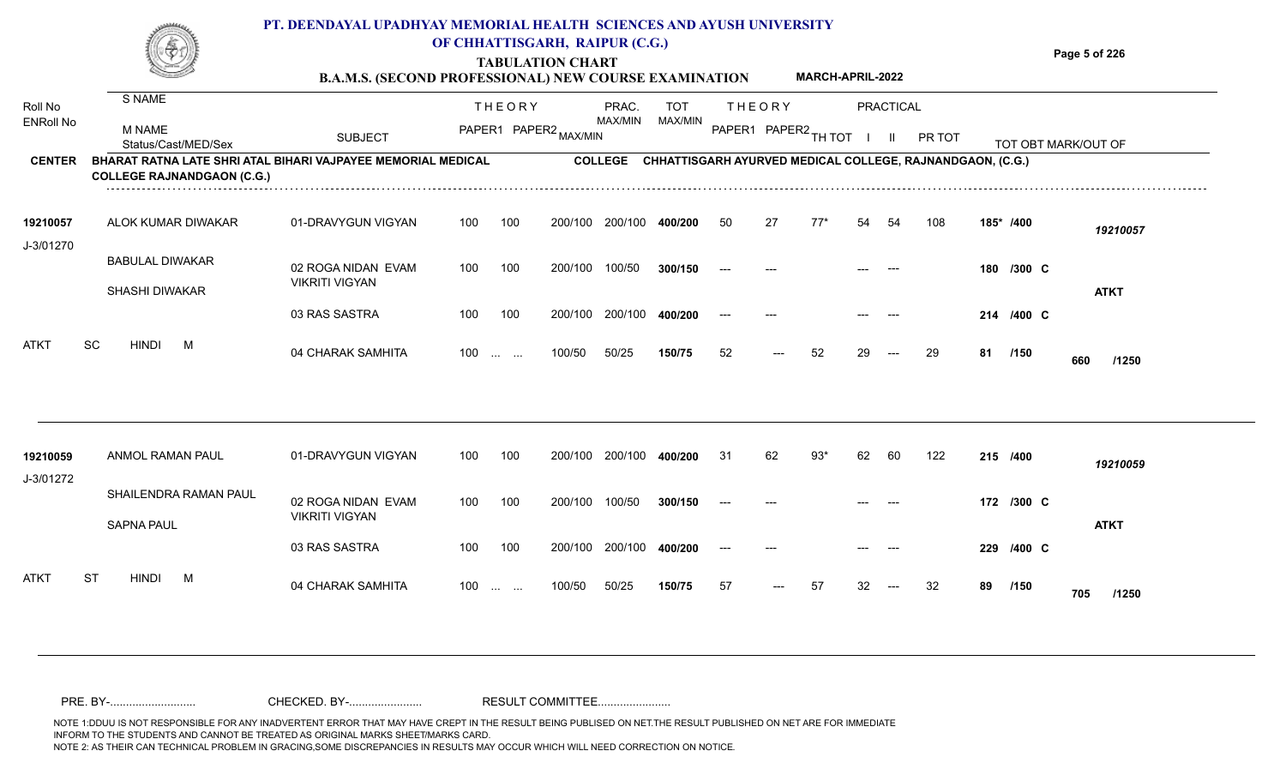|                               |                    |                                                            |     |                                                                                  | <b>TABULATION CHART</b> | <b>B.A.M.S. (SECOND PROFESSIONAL) NEW COURSE EXAMINATION</b> |         |    | <b>MARCH-APRIL-2022</b> |    |                 |               |                 | Page 5 of 226                                             |
|-------------------------------|--------------------|------------------------------------------------------------|-----|----------------------------------------------------------------------------------|-------------------------|--------------------------------------------------------------|---------|----|-------------------------|----|-----------------|---------------|-----------------|-----------------------------------------------------------|
|                               |                    |                                                            |     |                                                                                  | PRAC.                   | TOT                                                          |         |    |                         |    |                 |               |                 |                                                           |
| M NAME<br>Status/Cast/MED/Sex | <b>SUBJECT</b>     |                                                            |     |                                                                                  |                         |                                                              |         |    |                         |    |                 | <b>PR TOT</b> |                 | TOT OBT MARK/OUT OF                                       |
|                               |                    |                                                            |     |                                                                                  |                         |                                                              |         |    |                         |    |                 |               |                 |                                                           |
| ALOK KUMAR DIWAKAR            | 01-DRAVYGUN VIGYAN | 100                                                        | 100 | 200/100                                                                          | 200/100                 | 400/200                                                      | -50     | 27 | $77*$                   | 54 | -54             | 108           | 185* /400       | 19210057                                                  |
| <b>BABULAL DIWAKAR</b>        | 02 ROGA NIDAN EVAM | 100                                                        | 100 | 200/100                                                                          | 100/50                  | 300/15                                                       |         |    |                         |    |                 |               | $/300$ C<br>180 |                                                           |
|                               | S NAME<br>.        | <b>COLLEGE RAJNANDGAON (C.G.)</b><br><b>VIKRITI VIGYAN</b> |     | THEORY<br>PAPER1<br>BHARAT RATNA LATE SHRI ATAL BIHARI VAJPAYEE MEMORIAL MEDICAL |                         | MAX/MIN<br>, PAPER2 MAX/MIN<br><b>COLLEGE</b>                | MAX/MIN |    | THEORY<br>PAPER1        |    | I PAPER2 TH TOT |               | PRACTICAL       | CHHATTISGARH AYURVED MEDICAL COLLEGE, RAJNANDGAON, (C.G.) |

04 CHARAK SAMHITA 100 … … 100/50 50/25 **150/75** 52 --- 52 29 --- 29 **81 /150 660 /1250**

**/400** --- --- --- --- **214 C**

<sup>52</sup> <sup>52</sup> <sup>29</sup> <sup>29</sup> **<sup>81</sup> <sup>660</sup>**

**/150**

**ATKT**

| 19210059                 | ANMOL RAMAN PAUL      | 01-DRAVYGUN VIGYAN                          | 100 | 100                           | 200/100 | 200/100 | 400/200 | -31   | 62                                     | 93* | 62    | -60   | 122 |    | 215 /400   | 19210059     |
|--------------------------|-----------------------|---------------------------------------------|-----|-------------------------------|---------|---------|---------|-------|----------------------------------------|-----|-------|-------|-----|----|------------|--------------|
| J-3/01272                | SHAILENDRA RAMAN PAUL | 02 ROGA NIDAN EVAM<br><b>VIKRITI VIGYAN</b> | 100 | 100                           | 200/100 | 100/50  | 300/150 | $---$ | $---$                                  |     | $---$ | ---   |     |    | 172 /300 C |              |
|                          | <b>SAPNA PAUL</b>     | 03 RAS SASTRA                               | 100 | 100                           | 200/100 | 200/100 | 400/200 | $---$ | $---$                                  |     | $---$ | $---$ |     |    | 229 /400 C | <b>ATKT</b>  |
| <b>ST</b><br><b>ATKT</b> | <b>HINDI</b><br>M     | 04 CHARAK SAMHITA                           | 100 | $\mathbf{r}$ and $\mathbf{r}$ | 100/50  | 50/25   | 150/75  | 57    | $\hspace{0.1em} \ldots \hspace{0.1em}$ | 57  | 32    | $---$ | 32  | 89 | /150       | 705<br>/1250 |

100 100 200/100 200/100 400/200 --- --

100/50 50/25 **150/75**

100 ... ... 100/50 50/25 150/75 52 --- 52 29

**400/200**

03 RAS SASTRA

SHASHI DIWAKAR

ATKT SC HINDI M 04 CHARAK SAMHITA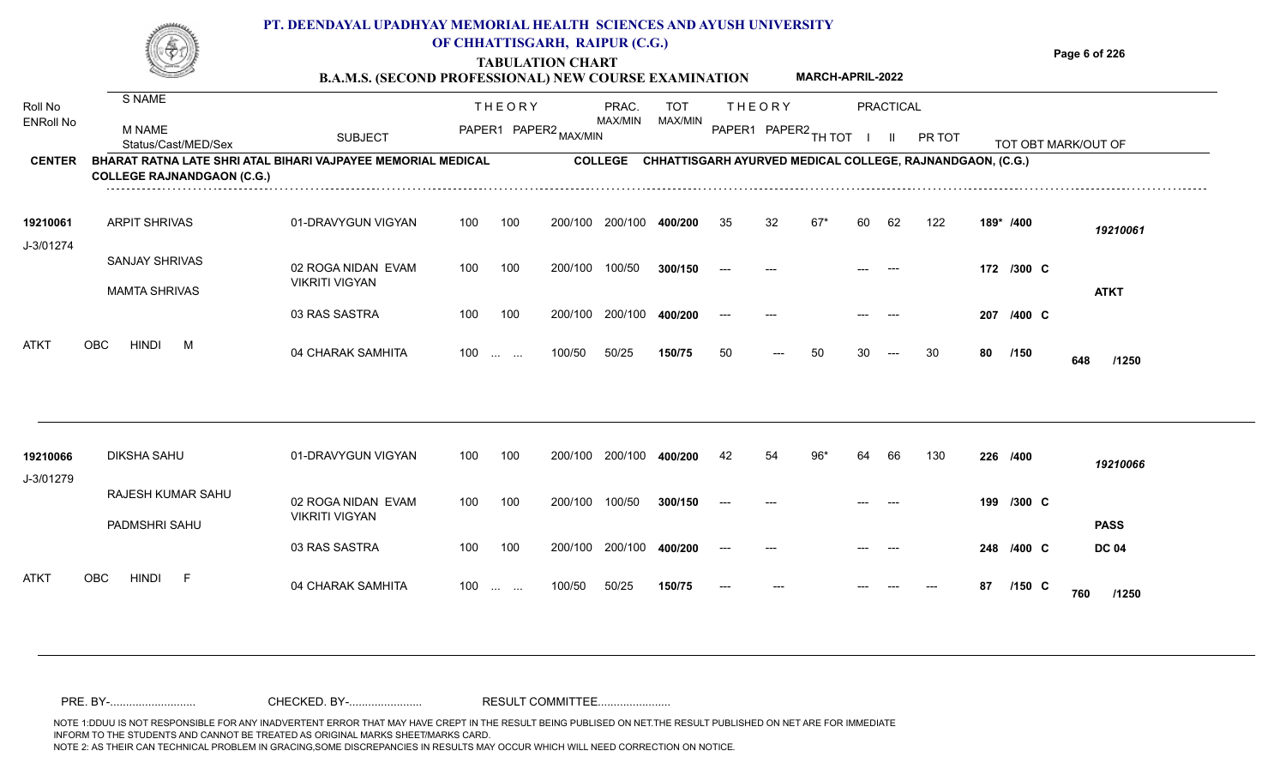#### **TABULATION CHART Page 6 of 226 PT. DEENDAYAL UPADHYAY MEMORIAL HEALTH SCIENCES AND AYUSH UNIVERSITY OF CHHATTISGARH, RAIPUR (C.G.)**

**B.A.M.S. (SECOND PROFESSIONAL) NEW COURSE EXAMINATION MARCH-APRIL-2022**

| Roll No               | S NAME                                                                                            |                                             |     | <b>THEORY</b>                                  |         | PRAC.          | <b>TOT</b>                                                |                      | <b>THEORY</b> |       |    | PRACTICAL |        |           |            |                     |  |
|-----------------------|---------------------------------------------------------------------------------------------------|---------------------------------------------|-----|------------------------------------------------|---------|----------------|-----------------------------------------------------------|----------------------|---------------|-------|----|-----------|--------|-----------|------------|---------------------|--|
| <b>ENRoll No</b>      | <b>M NAME</b><br>Status/Cast/MED/Sex                                                              | <b>SUBJECT</b>                              |     | PAPER1 PAPER2 MAX/MIN                          |         | <b>MAX/MIN</b> | MAX/MIN                                                   | PAPER1 PAPER2 TH TOT |               |       |    |           | PR TOT |           |            | TOT OBT MARK/OUT OF |  |
| <b>CENTER</b>         | BHARAT RATNA LATE SHRI ATAL BIHARI VAJPAYEE MEMORIAL MEDICAL<br><b>COLLEGE RAJNANDGAON (C.G.)</b> |                                             |     |                                                |         | <b>COLLEGE</b> | CHHATTISGARH AYURVED MEDICAL COLLEGE, RAJNANDGAON, (C.G.) |                      |               |       |    |           |        |           |            |                     |  |
| 19210061              | <b>ARPIT SHRIVAS</b>                                                                              | 01-DRAVYGUN VIGYAN                          | 100 | 100                                            | 200/100 | 200/100        | 400/200                                                   | 35                   | 32            | $67*$ | 60 | 62        | 122    | 189* /400 |            | 19210061            |  |
| J-3/01274             | <b>SANJAY SHRIVAS</b>                                                                             | 02 ROGA NIDAN EVAM<br><b>VIKRITI VIGYAN</b> | 100 | 100                                            | 200/100 | 100/50         | 300/150                                                   |                      |               |       |    |           |        |           | 172 /300 C |                     |  |
|                       | <b>MAMTA SHRIVAS</b>                                                                              | 03 RAS SASTRA                               | 100 | 100                                            | 200/100 | 200/100        | 400/200                                                   |                      |               |       |    |           |        |           | 207 /400 C | <b>ATKT</b>         |  |
| ATKT                  | <b>HINDI</b><br>OBC<br>M                                                                          | 04 CHARAK SAMHITA                           | 100 | $\mathbf{r}$ and $\mathbf{r}$ and $\mathbf{r}$ | 100/50  | 50/25          | 150/75                                                    | 50                   | ---           | 50    | 30 | $---$     | 30     | 80        | /150       | 648<br>/1250        |  |
|                       |                                                                                                   |                                             |     |                                                |         |                |                                                           |                      |               |       |    |           |        |           |            |                     |  |
| 19210066<br>J-3/01279 | <b>DIKSHA SAHU</b>                                                                                | 01-DRAVYGUN VIGYAN                          | 100 | 100                                            | 200/100 | 200/100        | 400/200                                                   | 42                   | 54            | $96*$ | 64 | 66        | 130    | 226 /400  |            | 19210066            |  |
|                       | RAJESH KUMAR SAHU<br>PADMSHRI SAHU                                                                | 02 ROGA NIDAN EVAM<br><b>VIKRITI VIGYAN</b> | 100 | 100                                            | 200/100 | 100/50         | 300/150                                                   |                      |               |       |    |           |        |           | 199 /300 C | <b>PASS</b>         |  |
|                       |                                                                                                   | 03 RAS SASTRA                               | 100 | 100                                            | 200/100 | 200/100        | 400/200                                                   |                      |               |       |    |           |        |           | 248 /400 C | <b>DC 04</b>        |  |
| ATKT                  | <b>HINDI</b><br><b>OBC</b><br>-F                                                                  | 04 CHARAK SAMHITA                           | 100 |                                                | 100/50  | 50/25          | 150/75                                                    |                      |               |       |    |           |        | 87        | $/150$ C   | 760<br>/1250        |  |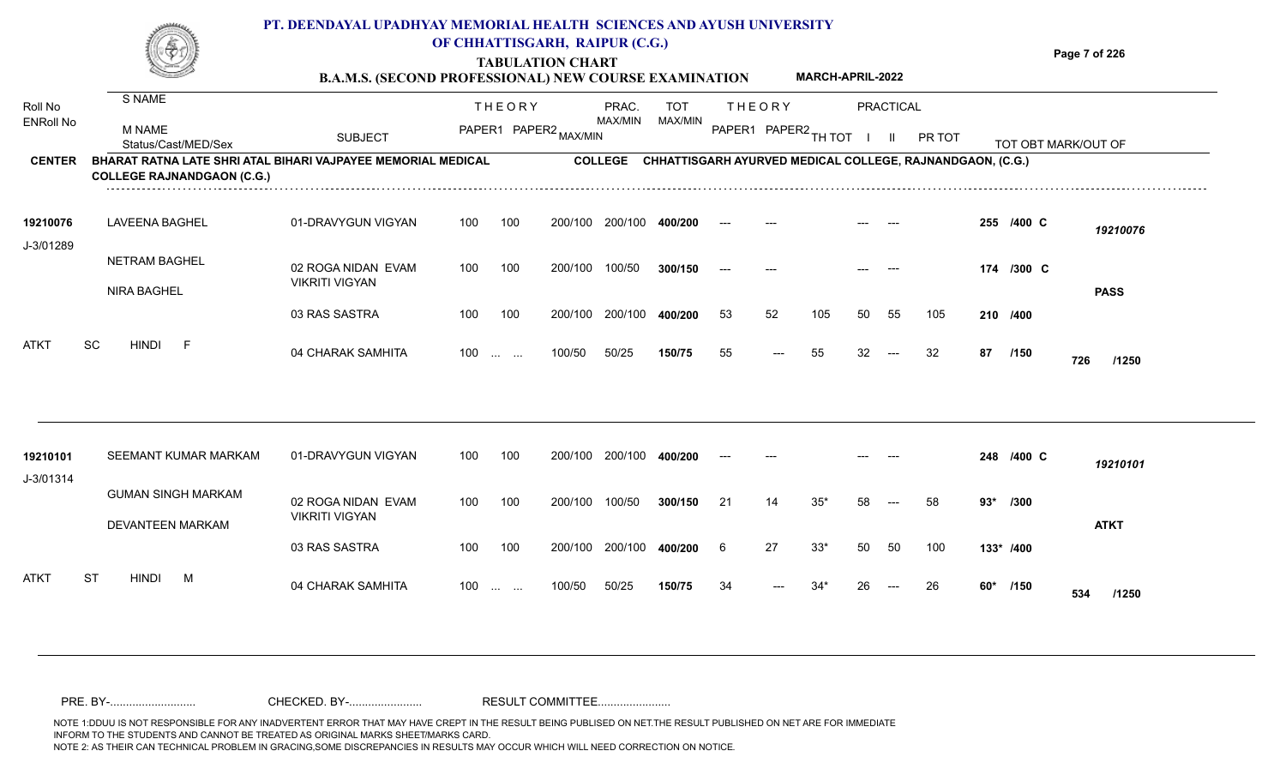|                             |                                                                                                   | PT. DEENDAYAL UPADHYAY MEMORIAL HEALTH SCIENCES AND AYUSH UNIVERSITY<br><b>B.A.M.S. (SECOND PROFESSIONAL) NEW COURSE EXAMINATION</b> |     |                                   | OF CHHATTISGARH, RAIPUR (C.G.)<br><b>TABULATION CHART</b> |                  |                       |               |                | <b>MARCH-APRIL-2022</b> |              |                  |                                                                   |       |            | Page 7 of 226       |
|-----------------------------|---------------------------------------------------------------------------------------------------|--------------------------------------------------------------------------------------------------------------------------------------|-----|-----------------------------------|-----------------------------------------------------------|------------------|-----------------------|---------------|----------------|-------------------------|--------------|------------------|-------------------------------------------------------------------|-------|------------|---------------------|
| Roll No<br><b>ENRoll No</b> | S NAME                                                                                            |                                                                                                                                      |     | <b>THEORY</b>                     |                                                           | PRAC.<br>MAX/MIN | <b>TOT</b><br>MAX/MIN | <b>THEORY</b> |                |                         |              | <b>PRACTICAL</b> |                                                                   |       |            |                     |
|                             | M NAME<br>Status/Cast/MED/Sex                                                                     | <b>SUBJECT</b>                                                                                                                       |     |                                   | PAPER1 PAPER2 MAX/MIN                                     |                  |                       |               |                | PAPER1 PAPER2 TH TOT    | $\mathbf{I}$ | -II.             | PR TOT                                                            |       |            | TOT OBT MARK/OUT OF |
| <b>CENTER</b>               | BHARAT RATNA LATE SHRI ATAL BIHARI VAJPAYEE MEMORIAL MEDICAL<br><b>COLLEGE RAJNANDGAON (C.G.)</b> |                                                                                                                                      |     |                                   |                                                           |                  |                       |               |                |                         |              |                  | COLLEGE CHHATTISGARH AYURVED MEDICAL COLLEGE, RAJNANDGAON, (C.G.) |       |            |                     |
| 19210076                    | <b>LAVEENA BAGHEL</b>                                                                             | 01-DRAVYGUN VIGYAN                                                                                                                   | 100 | 100                               | 200/100                                                   | 200/100          | 400/200               |               |                |                         |              |                  |                                                                   |       | 255 /400 C | 19210076            |
| J-3/01289                   | <b>NETRAM BAGHEL</b>                                                                              | 02 ROGA NIDAN EVAM                                                                                                                   | 100 | 100                               | 200/100                                                   | 100/50           | 300/150               | $---$         |                |                         |              |                  |                                                                   |       | 174 /300 C |                     |
|                             | NIRA BAGHEL                                                                                       | <b>VIKRITI VIGYAN</b>                                                                                                                |     |                                   |                                                           |                  |                       |               |                |                         |              |                  |                                                                   |       |            | <b>PASS</b>         |
|                             |                                                                                                   | 03 RAS SASTRA                                                                                                                        | 100 | 100                               | 200/100                                                   | 200/100          | 400/200               | 53            | 52             | 105                     | 50           | 55               | 105                                                               |       | 210 /400   |                     |
| <b>ATKT</b>                 | SC<br><b>HINDI</b><br>- F                                                                         | 04 CHARAK SAMHITA                                                                                                                    |     | $100$                             | 100/50                                                    | 50/25            | 150/75                | 55            | $\overline{a}$ | 55                      | 32           | $---$            | 32                                                                | 87    | /150       | 726<br>/1250        |
| 19210101                    | SEEMANT KUMAR MARKAM                                                                              | 01-DRAVYGUN VIGYAN                                                                                                                   | 100 | 100                               | 200/100                                                   | 200/100          | 400/200               |               |                |                         |              |                  |                                                                   |       | 248 /400 C | 19210101            |
| J-3/01314                   | <b>GUMAN SINGH MARKAM</b>                                                                         | 02 ROGA NIDAN EVAM<br><b>VIKRITI VIGYAN</b>                                                                                          | 100 | 100                               | 200/100                                                   | 100/50           | 300/150               | 21            | 14             | $35*$                   | 58           |                  | 58                                                                | $93*$ | /300       |                     |
|                             | <b>DEVANTEEN MARKAM</b>                                                                           | 03 RAS SASTRA                                                                                                                        | 100 | 100                               | 200/100                                                   | 200/100          | 400/200               | 6             | 27             | $33*$                   | 50           | 50               | 100                                                               |       | 133* /400  | <b>ATKT</b>         |
| <b>ATKT</b>                 | ST<br><b>HINDI</b><br>M                                                                           | 04 CHARAK SAMHITA                                                                                                                    | 100 | $\sim 10^{-1}$ and $\sim 10^{-1}$ | 100/50                                                    | 50/25            | 150/75                | 34            |                | 34*                     | 26           |                  | 26                                                                |       | $60*$ /150 | 534<br>/1250        |

NOTE 1:DDUU IS NOT RESPONSIBLE FOR ANY INADVERTENT ERROR THAT MAY HAVE CREPT IN THE RESULT BEING PUBLISED ON NET.THE RESULT PUBLISHED ON NET ARE FOR IMMEDIATE INFORM TO THE STUDENTS AND CANNOT BE TREATED AS ORIGINAL MARKS SHEET/MARKS CARD.<br>NOTE 2: AS THEIR CAN TECHNICAL PROBLEM IN GRACING,SOME DISCREPANCIES IN RESULTS MAY OCCUR WHICH WILL NEED CORRECTION ON NOTICE. NOTE 2: AS THEIR CAN TECHNICAL PROBLEM IN GRACING,SOME DISCREPANCIES IN RESULTS MAY OCCUR WHICH WILL NEED CORRECTION ON NOTICE. PRE. BY-........................... CHECKED. BY-....................... RESULT COMMITTEE.......................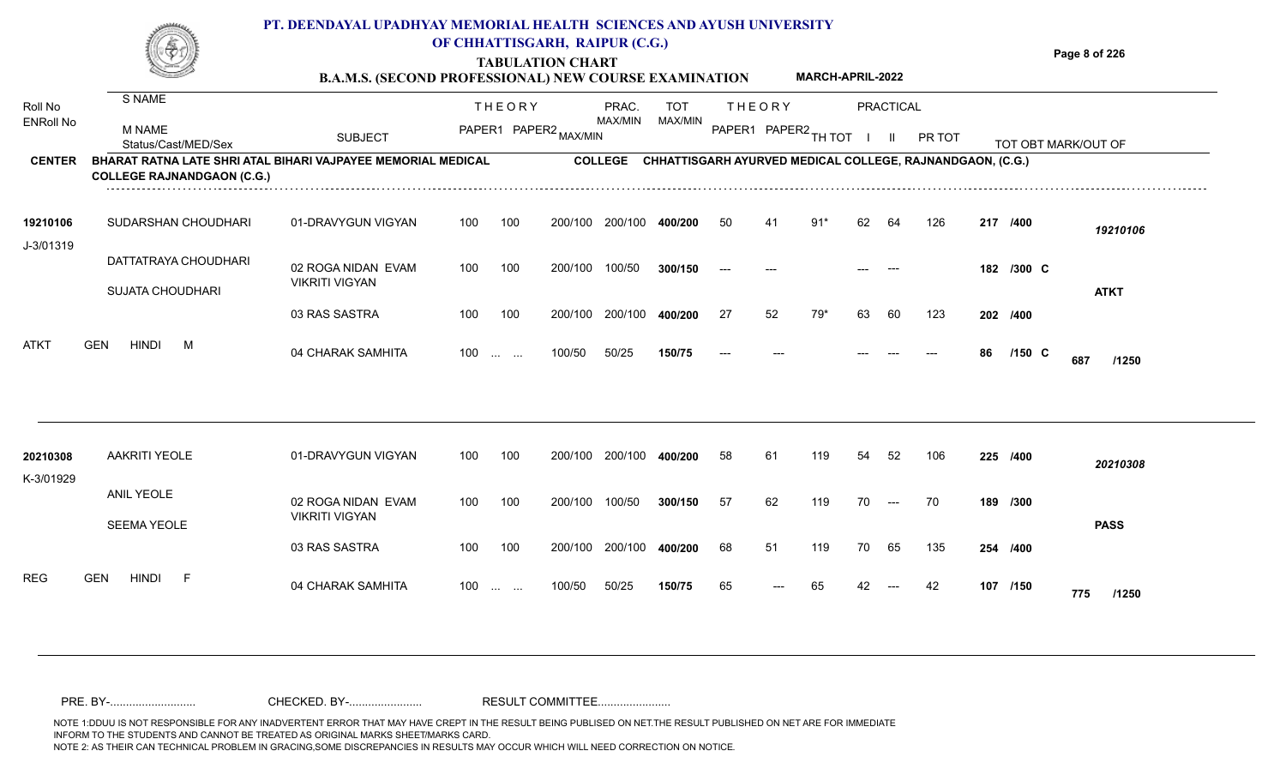|                  |                               |                                                              | PT. DEENDAYAL UPADHYAY MEMORIAL HEALTH SCIENCES AND AYUSH UNIVERSITY<br>OF CHHATTISGARH, RAIPUR (C.G.)<br><b>TABULATION CHART</b><br><b>B.A.M.S. (SECOND PROFESSIONAL) NEW COURSE EXAMINATION</b> |                                                           | <b>MARCH-APRIL-2022</b> | Page 8 of 226       |
|------------------|-------------------------------|--------------------------------------------------------------|---------------------------------------------------------------------------------------------------------------------------------------------------------------------------------------------------|-----------------------------------------------------------|-------------------------|---------------------|
| Roll No          | S NAME                        |                                                              | <b>THEORY</b><br>PRAC.                                                                                                                                                                            | <b>TOT</b><br><b>THEORY</b>                               | PRACTICAL               |                     |
| <b>ENRoll No</b> | M NAME<br>Status/Cast/MED/Sex | <b>SUBJECT</b>                                               | MAX/MIN<br>PAPER1 PAPER2,<br>MAX/MIN                                                                                                                                                              | MAX/MIN<br>PAPER1 PAPER2 TH TOT                           | PR TOT                  | TOT OBT MARK/OUT OF |
| <b>CENTER</b>    |                               | BHARAT RATNA LATE SHRI ATAL BIHARI VAJPAYEE MEMORIAL MEDICAL | <b>COLLEGE</b>                                                                                                                                                                                    | CHHATTISGARH AYURVED MEDICAL COLLEGE. RAJNANDGAON. (C.G.) |                         |                     |

| 19210106                  | SUDARSHAN CHOUDHARI  | 01-DRAVYGUN VIGYAN                          | 100 | 100      | 200/100         | 200/100 | 400/200 | 50    | 41    | 91* | 62    | 64    | 126 | 217 /400 |                 | 19210106    |
|---------------------------|----------------------|---------------------------------------------|-----|----------|-----------------|---------|---------|-------|-------|-----|-------|-------|-----|----------|-----------------|-------------|
| J-3/01319                 | DATTATRAYA CHOUDHARI | 02 ROGA NIDAN EVAM<br><b>VIKRITI VIGYAN</b> | 100 | 100      | 200/100         | 100/50  | 300/150 | $---$ | $---$ |     | $---$ | $---$ |     |          | 182 /300 C      |             |
|                           | SUJATA CHOUDHARI     | 03 RAS SASTRA                               | 100 | 100      | 200/100 200/100 |         | 400/200 | 27    | 52    | 79* | 63    | 60    | 123 | 202 /400 |                 | <b>ATKT</b> |
| <b>ATKT</b><br><b>GEN</b> | <b>HINDI</b><br>M    | 04 CHARAK SAMHITA                           | 100 | $\cdots$ | 100/50          | 50/25   | 150/75  | $---$ | $---$ |     | $---$ | $---$ | --- | 86       | $/150$ C<br>687 | /1250       |

| 20210308<br>K-3/01929    | AAKRITI YEOLE                    | 01-DRAVYGUN VIGYAN                          | 100 | 100 | 200/100 | 200/100 | 400/200 | 58 | 61    | 119 | 54 | 52                  | 106 | 225 /400 |     | 20210308    |
|--------------------------|----------------------------------|---------------------------------------------|-----|-----|---------|---------|---------|----|-------|-----|----|---------------------|-----|----------|-----|-------------|
|                          | ANIL YEOLE<br><b>SEEMA YEOLE</b> | 02 ROGA NIDAN EVAM<br><b>VIKRITI VIGYAN</b> | 100 | 100 | 200/100 | 100/50  | 300/150 | 57 | 62    | 119 | 70 | $\qquad \qquad - -$ | 70  | 189 /300 |     | <b>PASS</b> |
|                          |                                  | 03 RAS SASTRA                               | 100 | 100 | 200/100 | 200/100 | 400/200 | 68 | 51    | 119 | 70 | 65                  | 135 | 254 /400 |     |             |
| <b>REG</b><br><b>GEN</b> | <b>HINDI</b><br><b>L</b>         | 04 CHARAK SAMHITA                           | 100 |     | 100/50  | 50/25   | 150/75  | 65 | $---$ | 65  | 42 | $---$               | 42  | 107 /150 | 775 | /1250       |

**COLLEGE RAJNANDGAON (C.G.)**

NOTE 1:DDUU IS NOT RESPONSIBLE FOR ANY INADVERTENT ERROR THAT MAY HAVE CREPT IN THE RESULT BEING PUBLISED ON NET.THE RESULT PUBLISHED ON NET ARE FOR IMMEDIATE INFORM TO THE STUDENTS AND CANNOT BE TREATED AS ORIGINAL MARKS SHEET/MARKS CARD.<br>NOTE 2: AS THEIR CAN TECHNICAL PROBLEM IN GRACING,SOME DISCREPANCIES IN RESULTS MAY OCCUR WHICH WILL NEED CORRECTION ON NOTICE. NOTE 2: AS THEIR CAN TECHNICAL PROBLEM IN GRACING,SOME DISCREPANCIES IN RESULTS MAY OCCUR WHICH WILL NEED CORRECTION ON NOTICE. PRE. BY-........................... CHECKED. BY-....................... RESULT COMMITTEE.......................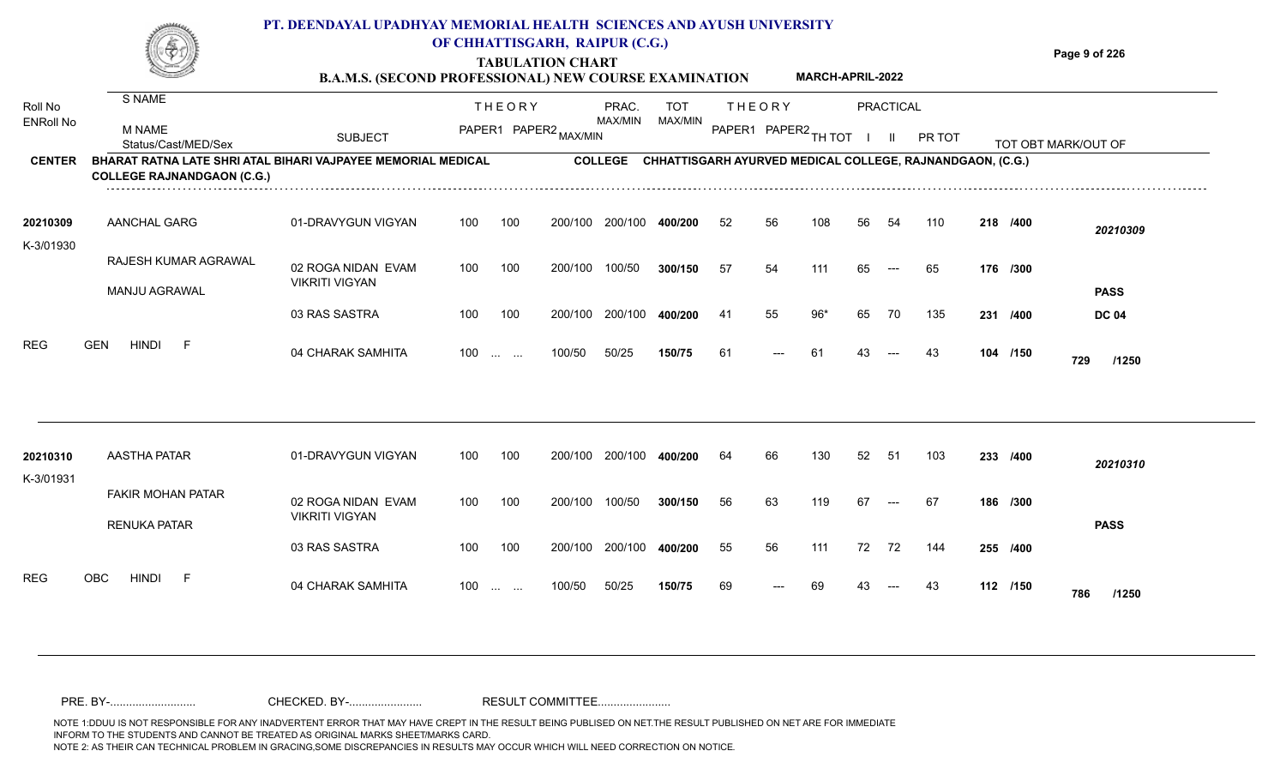

## **TABULATION CHART**

**Page 9 of 226**

#### **B.A.M.S. (SECOND PROFESSIONAL) NEW COURSE EXAMINATION MARCH-APRIL-2022**

| Roll No<br><b>ENRoll No</b> | S NAME<br>M NAME<br>Status/Cast/MED/Sex                                                           | <b>SUBJECT</b>                              |     | <b>THEORY</b><br>PAPER1 PAPER2 MAX/MIN         |         | PRAC.<br>MAX/MIN | TOT<br>MAX/MIN |     | <b>THEORY</b><br>PAPER1 PAPER2 TH TOT |       |    | <b>PRACTICAL</b><br>$\mathbf{II}$ | PR TOT                                                    |     |          | TOT OBT MARK/OUT OF |
|-----------------------------|---------------------------------------------------------------------------------------------------|---------------------------------------------|-----|------------------------------------------------|---------|------------------|----------------|-----|---------------------------------------|-------|----|-----------------------------------|-----------------------------------------------------------|-----|----------|---------------------|
| <b>CENTER</b>               | BHARAT RATNA LATE SHRI ATAL BIHARI VAJPAYEE MEMORIAL MEDICAL<br><b>COLLEGE RAJNANDGAON (C.G.)</b> |                                             |     |                                                |         | <b>COLLEGE</b>   |                |     |                                       |       |    |                                   | CHHATTISGARH AYURVED MEDICAL COLLEGE, RAJNANDGAON, (C.G.) |     |          |                     |
| 20210309<br>K-3/01930       | AANCHAL GARG                                                                                      | 01-DRAVYGUN VIGYAN                          | 100 | 100                                            | 200/100 | 200/100          | 400/200        | 52  | 56                                    | 108   | 56 | 54                                | 110                                                       |     | 218 /400 | 20210309            |
|                             | RAJESH KUMAR AGRAWAL                                                                              | 02 ROGA NIDAN EVAM                          | 100 | 100                                            | 200/100 | 100/50           | 300/150        | 57  | 54                                    | 111   | 65 | $---$                             | 65                                                        |     | 176 /300 |                     |
|                             | MANJU AGRAWAL                                                                                     | <b>VIKRITI VIGYAN</b>                       |     |                                                |         |                  |                |     |                                       |       |    |                                   |                                                           |     |          | <b>PASS</b>         |
|                             |                                                                                                   | 03 RAS SASTRA                               | 100 | 100                                            | 200/100 | 200/100          | 400/200        | -41 | 55                                    | $96*$ | 65 | 70                                | 135                                                       | 231 | /400     | <b>DC 04</b>        |
| <b>REG</b>                  | <b>HINDI</b><br><b>GEN</b><br>-F                                                                  | 04 CHARAK SAMHITA                           | 100 | $\mathbf{r}$ and $\mathbf{r}$ and $\mathbf{r}$ | 100/50  | 50/25            | 150/75         | 61  | ---                                   | 61    | 43 |                                   | 43                                                        |     | 104 /150 | 729<br>/1250        |
|                             |                                                                                                   |                                             |     |                                                |         |                  |                |     |                                       |       |    |                                   |                                                           |     |          |                     |
| 20210310<br>K-3/01931       | <b>AASTHA PATAR</b>                                                                               | 01-DRAVYGUN VIGYAN                          | 100 | 100                                            | 200/100 | 200/100          | 400/200        | 64  | 66                                    | 130   | 52 | - 51                              | 103                                                       |     | 233 /400 | 20210310            |
|                             | <b>FAKIR MOHAN PATAR</b><br><b>RENUKA PATAR</b>                                                   | 02 ROGA NIDAN EVAM<br><b>VIKRITI VIGYAN</b> | 100 | 100                                            | 200/100 | 100/50           | 300/150        | 56  | 63                                    | 119   | 67 | $---$                             | 67                                                        |     | 186 /300 | <b>PASS</b>         |
|                             |                                                                                                   | 03 RAS SASTRA                               | 100 | 100                                            | 200/100 | 200/100          | 400/200        | 55  | 56                                    | 111   | 72 | 72                                | 144                                                       |     | 255 /400 |                     |
| <b>REG</b>                  | OBC<br><b>HINDI</b><br>- F                                                                        | 04 CHARAK SAMHITA                           | 100 | $\mathbf{r}$ and $\mathbf{r}$ and $\mathbf{r}$ | 100/50  | 50/25            | 150/75         | 69  |                                       | 69    |    |                                   | 43                                                        |     | 112 /150 | 786<br>/1250        |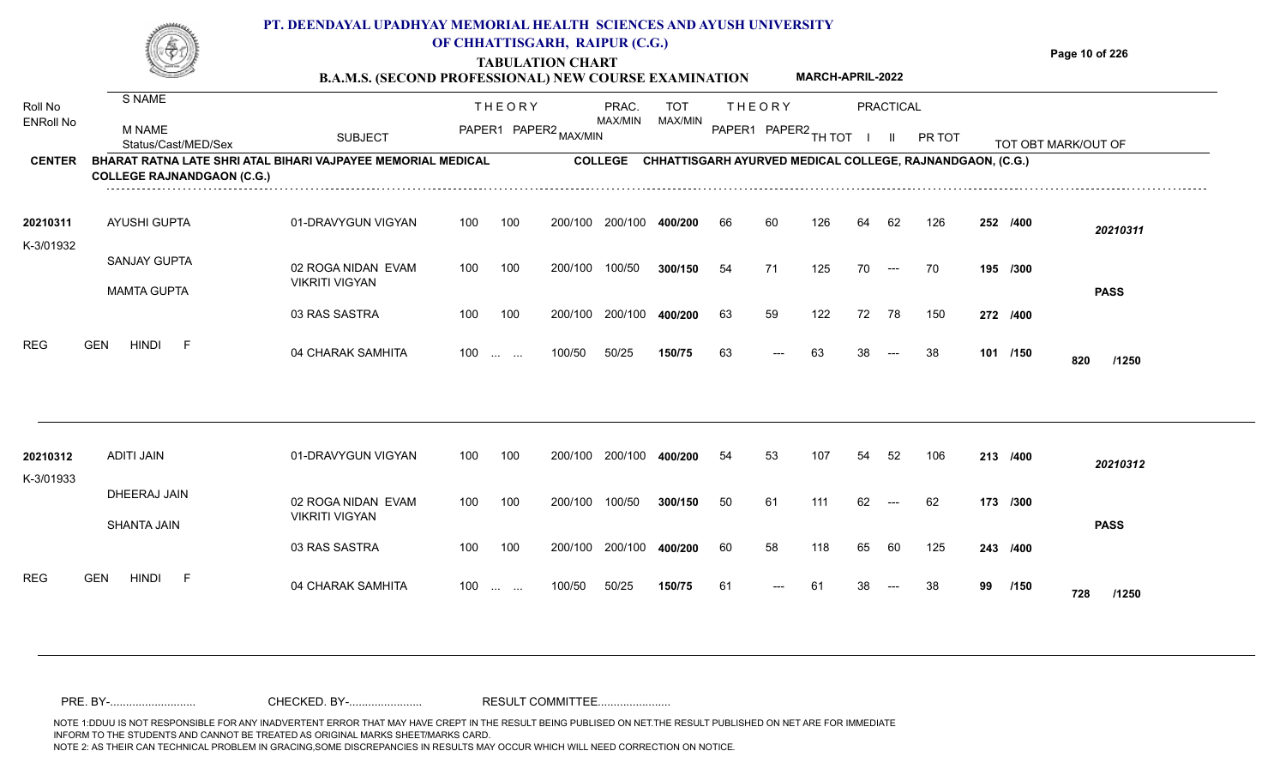|                       | -91                                                                                               | <b>B.A.M.S. (SECOND PROFESSIONAL) NEW COURSE EXAMINATION</b> |     |                               | <b>TABULATION CHART</b> |                 |            |    |               | <b>MARCH-APRIL-2022</b> |    |                                        |                                                           |    |          | Page 10 of 226      |  |
|-----------------------|---------------------------------------------------------------------------------------------------|--------------------------------------------------------------|-----|-------------------------------|-------------------------|-----------------|------------|----|---------------|-------------------------|----|----------------------------------------|-----------------------------------------------------------|----|----------|---------------------|--|
| Roll No               | S NAME                                                                                            |                                                              |     | <b>THEORY</b>                 |                         | PRAC.           | <b>TOT</b> |    | <b>THEORY</b> |                         |    | PRACTICAL                              |                                                           |    |          |                     |  |
| <b>ENRoll No</b>      | <b>M NAME</b><br>Status/Cast/MED/Sex                                                              | <b>SUBJECT</b>                                               |     |                               | PAPER1 PAPER2 MAX/MIN   | MAX/MIN         | MAX/MIN    |    |               | PAPER1 PAPER2 TH TOT    |    | $\mathbf{H}$                           | PR TOT                                                    |    |          | TOT OBT MARK/OUT OF |  |
| <b>CENTER</b>         | BHARAT RATNA LATE SHRI ATAL BIHARI VAJPAYEE MEMORIAL MEDICAL<br><b>COLLEGE RAJNANDGAON (C.G.)</b> |                                                              |     |                               |                         | <b>COLLEGE</b>  |            |    |               |                         |    |                                        | CHHATTISGARH AYURVED MEDICAL COLLEGE, RAJNANDGAON, (C.G.) |    |          |                     |  |
| 20210311<br>K-3/01932 | AYUSHI GUPTA                                                                                      | 01-DRAVYGUN VIGYAN                                           | 100 | 100                           | 200/100                 | 200/100         | 400/200    | 66 | 60            | 126                     | 64 | 62                                     | 126                                                       |    | 252 /400 | 20210311            |  |
|                       | <b>SANJAY GUPTA</b><br><b>MAMTA GUPTA</b>                                                         | 02 ROGA NIDAN EVAM<br><b>VIKRITI VIGYAN</b>                  | 100 | 100                           | 200/100                 | 100/50          | 300/150    | 54 | 71            | 125                     | 70 | $---$                                  | 70                                                        |    | 195 /300 | <b>PASS</b>         |  |
|                       |                                                                                                   | 03 RAS SASTRA                                                | 100 | 100                           |                         | 200/100 200/100 | 400/200    | 63 | 59            | 122                     | 72 | 78                                     | 150                                                       |    | 272 /400 |                     |  |
| <b>REG</b>            | <b>HINDI</b><br><b>GEN</b><br>F                                                                   | 04 CHARAK SAMHITA                                            | 100 | $\mathbf{r}$ and $\mathbf{r}$ | 100/50                  | 50/25           | 150/75     | 63 | $---$         | 63                      | 38 | $\hspace{0.05cm} \ldots$               | 38                                                        |    | 101 /150 | 820<br>/1250        |  |
|                       |                                                                                                   |                                                              |     |                               |                         |                 |            |    |               | 107                     |    |                                        |                                                           |    |          |                     |  |
| 20210312<br>K-3/01933 | <b>ADITI JAIN</b>                                                                                 | 01-DRAVYGUN VIGYAN                                           | 100 | 100                           |                         | 200/100 200/100 | 400/200    | 54 | 53            |                         | 54 | 52                                     | 106                                                       |    | 213 /400 | 20210312            |  |
|                       | DHEERAJ JAIN<br><b>SHANTA JAIN</b>                                                                | 02 ROGA NIDAN EVAM<br><b>VIKRITI VIGYAN</b>                  | 100 | 100                           | 200/100                 | 100/50          | 300/150    | 50 | 61            | 111                     | 62 | $\hspace{0.1em} \ldots \hspace{0.1em}$ | 62                                                        |    | 173 /300 | <b>PASS</b>         |  |
|                       |                                                                                                   | 03 RAS SASTRA                                                | 100 | 100                           |                         | 200/100 200/100 | 400/200    | 60 | 58            | 118                     | 65 | 60                                     | 125                                                       |    | 243 /400 |                     |  |
| <b>REG</b>            | <b>GEN</b><br><b>HINDI</b><br>-F                                                                  | 04 CHARAK SAMHITA                                            | 100 | $\cdots$ $\cdots$             | 100/50                  | 50/25           | 150/75     | 61 | ---           | 61                      |    |                                        | 38                                                        | 99 | /150     | 728<br>/1250        |  |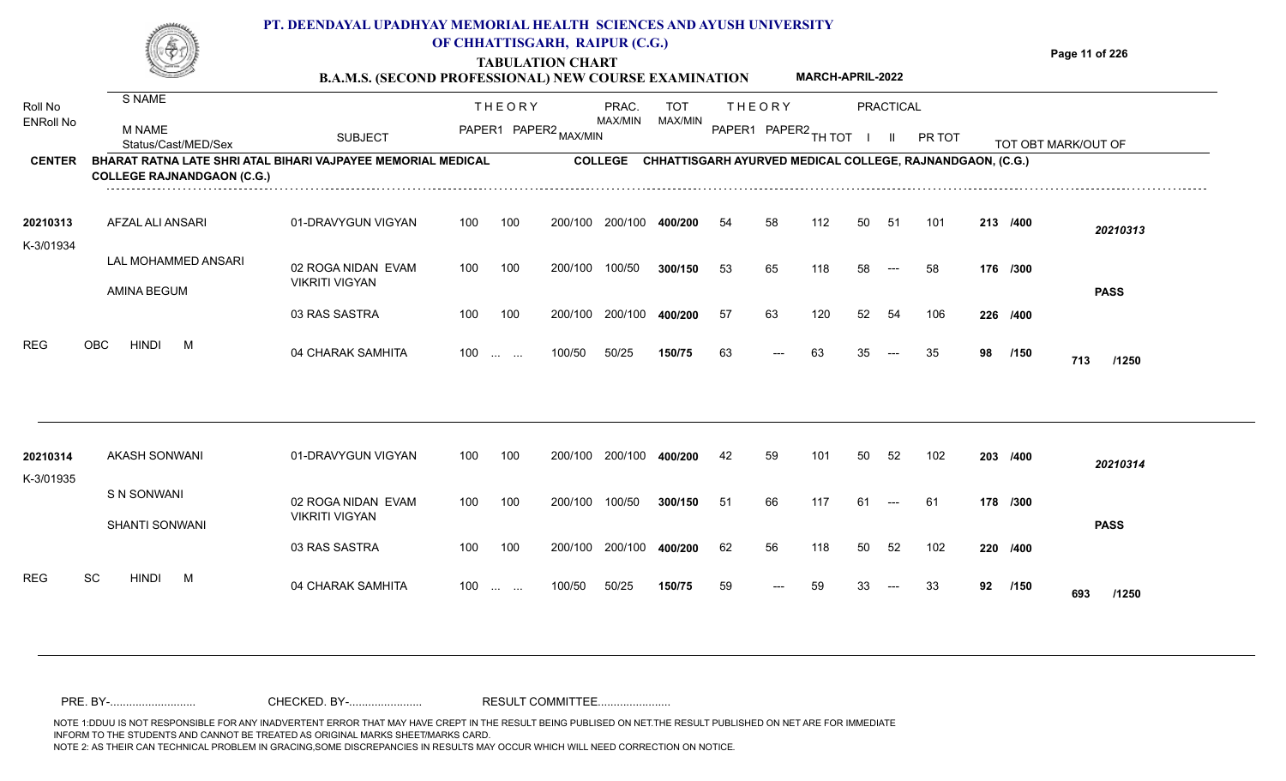**TABULATION CHART B.A.M.S. (SECOND PROFESSIONAL) NEW COURSE EXAMINATION**  **Page 11 of 226**

**MARCH-APRIL-2022**

| Roll No               | S NAME                                                                                            |                                             |     | <b>THEORY</b>                                                 |         | PRAC.          | <b>TOT</b>                                                |     | <b>THEORY</b>          |     |    | <b>PRACTICAL</b>     |        |    |          |                     |
|-----------------------|---------------------------------------------------------------------------------------------------|---------------------------------------------|-----|---------------------------------------------------------------|---------|----------------|-----------------------------------------------------------|-----|------------------------|-----|----|----------------------|--------|----|----------|---------------------|
| <b>ENRoll No</b>      | <b>M NAME</b><br>Status/Cast/MED/Sex                                                              | <b>SUBJECT</b>                              |     | PAPER1 PAPER2 MAX/MIN                                         |         | MAX/MIN        | MAX/MIN                                                   |     | PAPER1 PAPER2 TH TOT I |     |    | - II                 | PR TOT |    |          | TOT OBT MARK/OUT OF |
| <b>CENTER</b>         | BHARAT RATNA LATE SHRI ATAL BIHARI VAJPAYEE MEMORIAL MEDICAL<br><b>COLLEGE RAJNANDGAON (C.G.)</b> |                                             |     |                                                               |         | <b>COLLEGE</b> | CHHATTISGARH AYURVED MEDICAL COLLEGE, RAJNANDGAON, (C.G.) |     |                        |     |    |                      |        |    |          |                     |
| 20210313<br>K-3/01934 | AFZAL ALI ANSARI                                                                                  | 01-DRAVYGUN VIGYAN                          | 100 | 100                                                           | 200/100 | 200/100        | 400/200                                                   | 54  | 58                     | 112 | 50 | -51                  | 101    |    | 213 /400 | 20210313            |
|                       | LAL MOHAMMED ANSARI<br><b>AMINA BEGUM</b>                                                         | 02 ROGA NIDAN EVAM<br><b>VIKRITI VIGYAN</b> | 100 | 100                                                           | 200/100 | 100/50         | 300/150                                                   | 53  | 65                     | 118 | 58 | $\hspace{0.05cm}---$ | 58     |    | 176 /300 | <b>PASS</b>         |
|                       |                                                                                                   | 03 RAS SASTRA                               | 100 | 100                                                           | 200/100 | 200/100        | 400/200                                                   | -57 | 63                     | 120 | 52 | 54                   | 106    |    | 226 /400 |                     |
| <b>REG</b>            | <b>OBC</b><br><b>HINDI</b><br>M                                                                   | 04 CHARAK SAMHITA                           | 100 | $\mathcal{L}_{\mathcal{F}}$ , and $\mathcal{L}_{\mathcal{F}}$ | 100/50  | 50/25          | 150/75                                                    | 63  | ---                    | 63  | 35 |                      | 35     | 98 | /150     | 713<br>/1250        |
| 20210314              | <b>AKASH SONWANI</b>                                                                              | 01-DRAVYGUN VIGYAN                          | 100 | 100                                                           | 200/100 | 200/100        | 400/200                                                   | 42  | 59                     | 101 | 50 | 52                   | 102    |    | 203 /400 |                     |
| K-3/01935             | S N SONWANI                                                                                       |                                             |     |                                                               |         |                |                                                           |     |                        |     |    |                      |        |    |          | 20210314            |
|                       | SHANTI SONWANI                                                                                    | 02 ROGA NIDAN EVAM<br><b>VIKRITI VIGYAN</b> | 100 | 100                                                           | 200/100 | 100/50         | 300/150                                                   | 51  | 66                     | 117 | 61 |                      | 61     |    | 178 /300 | <b>PASS</b>         |
|                       |                                                                                                   | 03 RAS SASTRA                               | 100 | 100                                                           | 200/100 | 200/100        | 400/200                                                   | 62  | 56                     | 118 | 50 | 52                   | 102    |    | 220 /400 |                     |
| <b>REG</b>            | <b>SC</b><br><b>HINDI</b><br>M                                                                    | 04 CHARAK SAMHITA                           | 100 | $\mathbf{r}$ and $\mathbf{r}$                                 | 100/50  | 50/25          | 150/75                                                    | 59  | ---                    | 59  | 33 | $---$                | 33     | 92 | /150     | 693<br>/1250        |
|                       |                                                                                                   |                                             |     |                                                               |         |                |                                                           |     |                        |     |    |                      |        |    |          |                     |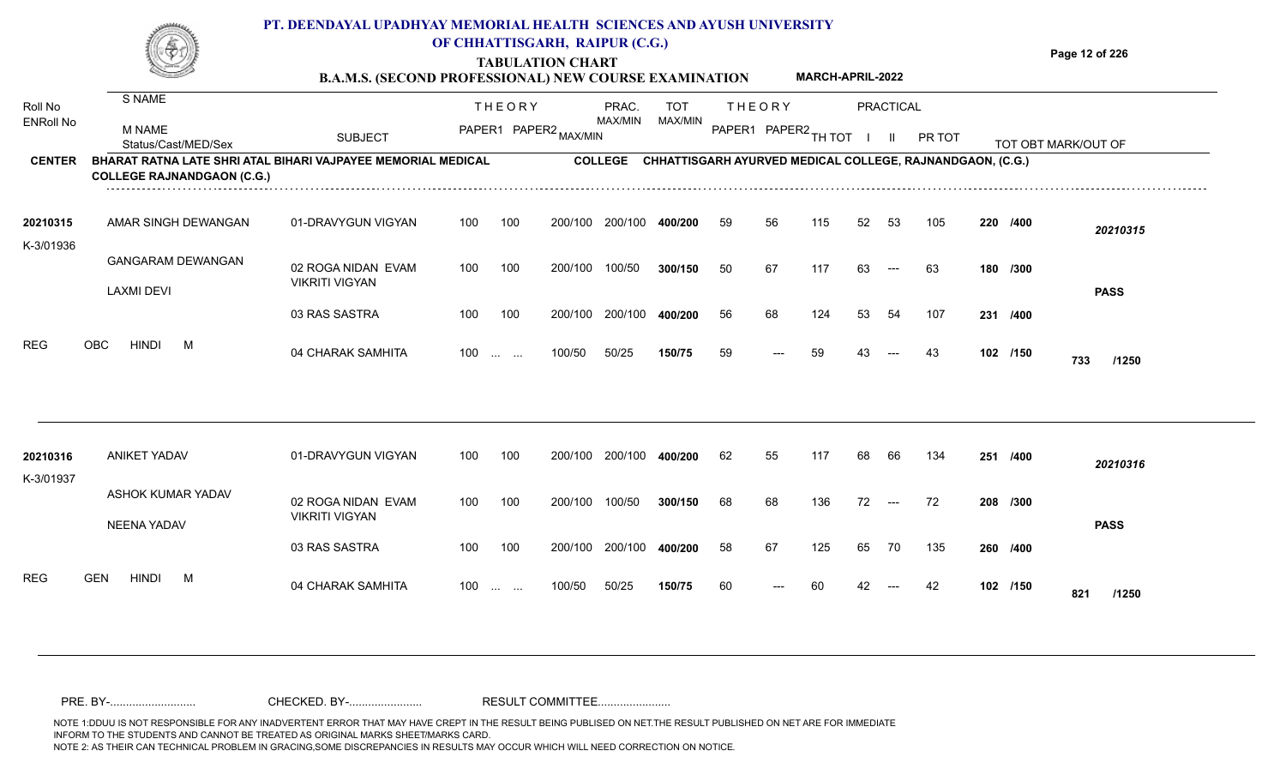**TABULATION CHART**

**Page 12 of 226**

| oll No        | S NAME                                                                                                   |                | THEORY                                     | PRAC.          | <b>THEORY</b><br><b>TOT</b>                | <b>PRACTICAL</b>                                                 |                     |
|---------------|----------------------------------------------------------------------------------------------------------|----------------|--------------------------------------------|----------------|--------------------------------------------|------------------------------------------------------------------|---------------------|
| NRoll No      | M NAME<br>Status/Cast/MED/Sex                                                                            | <b>SUBJECT</b> | · ← R1 PAPER2 <sub>MAX/MIN</sub><br>PAPER1 | MAX/MIN        | MAX/MIN<br>PAPER1 PAPER2 <sub>TH TOT</sub> | PR TOT                                                           | TOT OBT MARK/OUT OF |
| <b>CENTER</b> | <b>BHARAT RATNA LATE SHRI ATAL BIHARI VAJPAYEE MEMORIAL MEDICAL</b><br><b>COLLEGE RAJNANDGAON (C.G.)</b> |                |                                            | <b>COLLEGE</b> |                                            | <b>CHHATTISGARH AYURVED MEDICAL COLLEGE, RAJNANDGAON, (C.G.)</b> |                     |

| 20210315  | AMAR SINGH DEWANGAN      | 01-DRAVYGUN VIGYAN    | 100               | 100 | 200/100 | 200/100 | 400/200 | 59 | 56    | 115 | 52 | -53   | 105 | 220 /400 | 20210315     |
|-----------|--------------------------|-----------------------|-------------------|-----|---------|---------|---------|----|-------|-----|----|-------|-----|----------|--------------|
| K-3/01936 |                          |                       |                   |     |         |         |         |    |       |     |    |       |     |          |              |
|           | <b>GANGARAM DEWANGAN</b> | 02 ROGA NIDAN EVAM    | 100               | 100 | 200/100 | 100/50  | 300/150 | 50 | 67    | 117 | 63 | $---$ | 63  | 180 /300 |              |
|           | <b>LAXMI DEVI</b>        | <b>VIKRITI VIGYAN</b> |                   |     |         |         |         |    |       |     |    |       |     |          | <b>PASS</b>  |
|           |                          | 03 RAS SASTRA         | 100               | 100 | 200/100 | 200/100 | 400/200 | 56 | 68    | 124 | 53 | -54   | 107 | 231 /400 |              |
| REG       | OBC<br><b>HINDI</b><br>M | 04 CHARAK SAMHITA     | $100 \dots \dots$ |     | 100/50  | 50/25   | 150/75  | 59 | $---$ | 59  | 43 | $---$ | 43  | 102 /150 | 733<br>/1250 |

| 20210316<br>K-3/01937 | ANIKET YADAV                     | 01-DRAVYGUN VIGYAN                          | 100               | 100 | 200/100 | 200/100 | 400/200 | 62 | 55    | 117 | 68 | 66    | 134 | 251      | /400 | 20210316    |
|-----------------------|----------------------------------|---------------------------------------------|-------------------|-----|---------|---------|---------|----|-------|-----|----|-------|-----|----------|------|-------------|
|                       | ASHOK KUMAR YADAV<br>NEENA YADAV | 02 ROGA NIDAN EVAM<br><b>VIKRITI VIGYAN</b> | 100               | 100 | 200/100 | 100/50  | 300/150 | 68 | 68    | 136 | 72 | $---$ | -72 | 208 /300 |      | <b>PASS</b> |
|                       |                                  | 03 RAS SASTRA                               | 100               | 100 | 200/100 | 200/100 | 400/200 | 58 | 67    | 125 | 65 | 70    | 135 | 260 /400 |      |             |
| <b>REG</b>            | <b>GEN</b><br><b>HINDI</b><br>М  | 04 CHARAK SAMHITA                           | $100 \dots \dots$ |     | 100/50  | 50/25   | 150/75  | 60 | $---$ | 60  | 42 | $---$ | -42 | 102 /150 | 821  | /1250       |

Roll No ENRoll No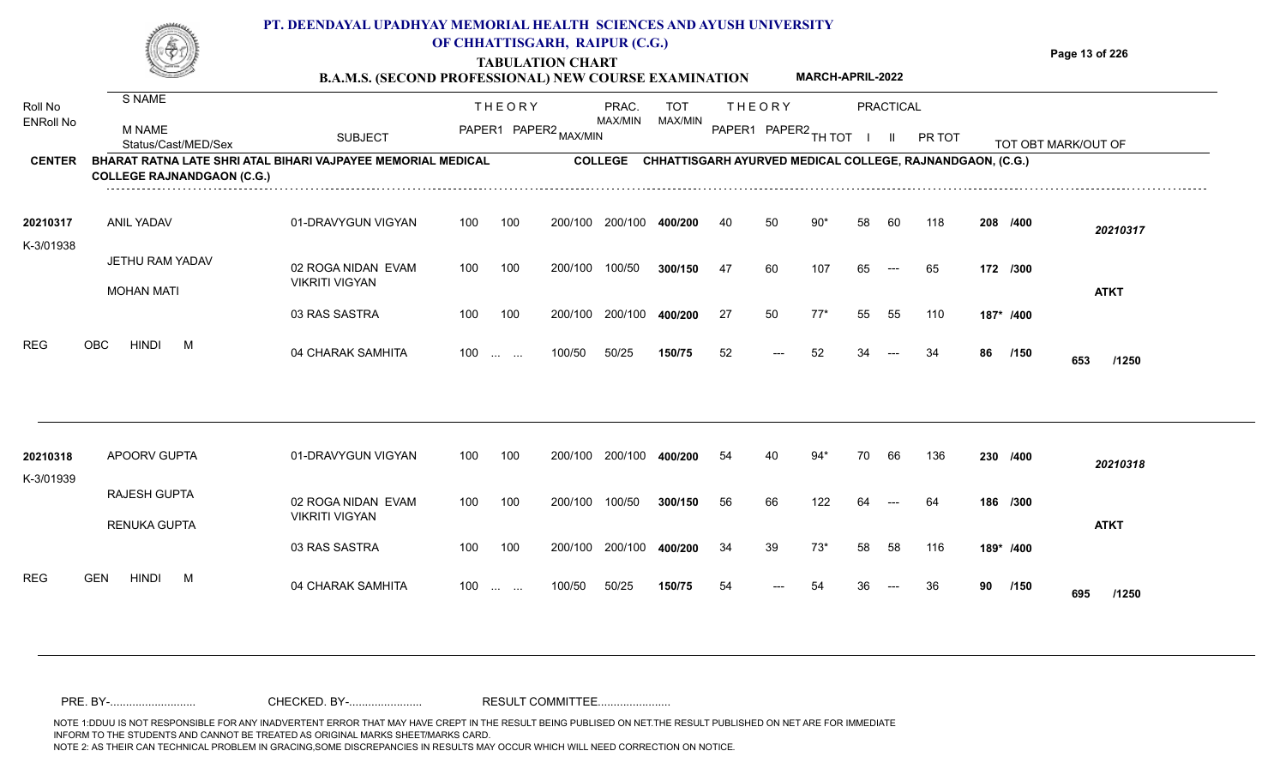**TABULATION CHART**

**Page 13 of 226**

|                       |                                                                                                   | <b>B.A.M.S. (SECOND PROFESSIONAL) NEW COURSE EXAMINATION</b> |                   |                                        |                                                                   |                       |    |                                       | MARCH-APRIL-2022 |    |                                  |        |    |           |                     |
|-----------------------|---------------------------------------------------------------------------------------------------|--------------------------------------------------------------|-------------------|----------------------------------------|-------------------------------------------------------------------|-----------------------|----|---------------------------------------|------------------|----|----------------------------------|--------|----|-----------|---------------------|
| Roll No<br>ENRoll No  | S NAME<br>M NAME<br>Status/Cast/MED/Sex                                                           | <b>SUBJECT</b>                                               |                   | <b>THEORY</b><br>PAPER1 PAPER2 MAX/MIN | PRAC.<br>MAX/MIN                                                  | <b>TOT</b><br>MAX/MIN |    | <b>THEORY</b><br>PAPER1 PAPER2 TH TOT |                  |    | <b>PRACTICAL</b><br>$\mathbf{H}$ | PR TOT |    |           | TOT OBT MARK/OUT OF |
| <b>CENTER</b>         | BHARAT RATNA LATE SHRI ATAL BIHARI VAJPAYEE MEMORIAL MEDICAL<br><b>COLLEGE RAJNANDGAON (C.G.)</b> |                                                              |                   |                                        | COLLEGE CHHATTISGARH AYURVED MEDICAL COLLEGE, RAJNANDGAON, (C.G.) |                       |    |                                       |                  |    |                                  |        |    |           |                     |
| 20210317<br>K-3/01938 | <b>ANIL YADAV</b>                                                                                 | 01-DRAVYGUN VIGYAN                                           | 100               | 100                                    | 200/100 200/100                                                   | 400/200               | 40 | 50                                    | $90*$            | 58 | 60                               | 118    |    | 208 /400  | 20210317            |
|                       | JETHU RAM YADAV<br><b>MOHAN MATI</b>                                                              | 02 ROGA NIDAN EVAM<br><b>VIKRITI VIGYAN</b>                  | 100               | 100                                    | 200/100<br>100/50                                                 | 300/150               | 47 | 60                                    | 107              | 65 | $\qquad \qquad \text{---}$       | 65     |    | 172 /300  | <b>ATKT</b>         |
|                       |                                                                                                   | 03 RAS SASTRA                                                | 100               | 100                                    | 200/100 200/100 400/200                                           |                       | 27 | 50                                    | $77*$            | 55 | 55                               | 110    |    | 187* /400 |                     |
| <b>REG</b>            | <b>OBC</b><br>HINDI<br>M                                                                          | 04 CHARAK SAMHITA                                            | 100               | <b>Contract Contract</b>               | 50/25<br>100/50                                                   | 150/75                | 52 | $---$                                 | 52               | 34 |                                  | 34     | 86 | /150      | 653<br>/1250        |
| 20210318              | APOORV GUPTA                                                                                      | 01-DRAVYGUN VIGYAN                                           | 100               | 100                                    | 200/100 200/100                                                   | 400/200               | 54 | 40                                    | $94*$            | 70 | 66                               | 136    |    | 230 /400  | 20210318            |
| K-3/01939             | RAJESH GUPTA<br>RENUKA GUPTA                                                                      | 02 ROGA NIDAN EVAM<br><b>VIKRITI VIGYAN</b>                  | 100               | 100                                    | 200/100<br>100/50                                                 | 300/150               | 56 | 66                                    | 122              | 64 |                                  | 64     |    | 186 /300  | <b>ATKT</b>         |
|                       |                                                                                                   | 03 RAS SASTRA                                                | 100               | 100                                    | 200/100 200/100                                                   | 400/200               | 34 | 39                                    | $73*$            | 58 | 58                               | 116    |    | 189* /400 |                     |
| <b>REG</b>            | <b>GEN</b><br>HINDI<br>M                                                                          | 04 CHARAK SAMHITA                                            | $100 \dots \dots$ |                                        | 50/25<br>100/50                                                   | 150/75                | 54 |                                       | 54               | 36 | $---$                            | 36     |    | 90 /150   | 695<br>/1250        |
|                       |                                                                                                   |                                                              |                   |                                        |                                                                   |                       |    |                                       |                  |    |                                  |        |    |           |                     |

NOTE 1:DDUU IS NOT RESPONSIBLE FOR ANY INADVERTENT ERROR THAT MAY HAVE CREPT IN THE RESULT BEING PUBLISED ON NET.THE RESULT PUBLISHED ON NET ARE FOR IMMEDIATE INFORM TO THE STUDENTS AND CANNOT BE TREATED AS ORIGINAL MARKS SHEET/MARKS CARD.<br>NOTE 2: AS THEIR CAN TECHNICAL PROBLEM IN GRACING,SOME DISCREPANCIES IN RESULTS MAY OCCUR WHICH WILL NEED CORRECTION ON NOTICE. NOTE 2: AS THEIR CAN TECHNICAL PROBLEM IN GRACING,SOME DISCREPANCIES IN RESULTS MAY OCCUR WHICH WILL NEED CORRECTION ON NOTICE. PRE. BY-........................... CHECKED. BY-....................... RESULT COMMITTEE.......................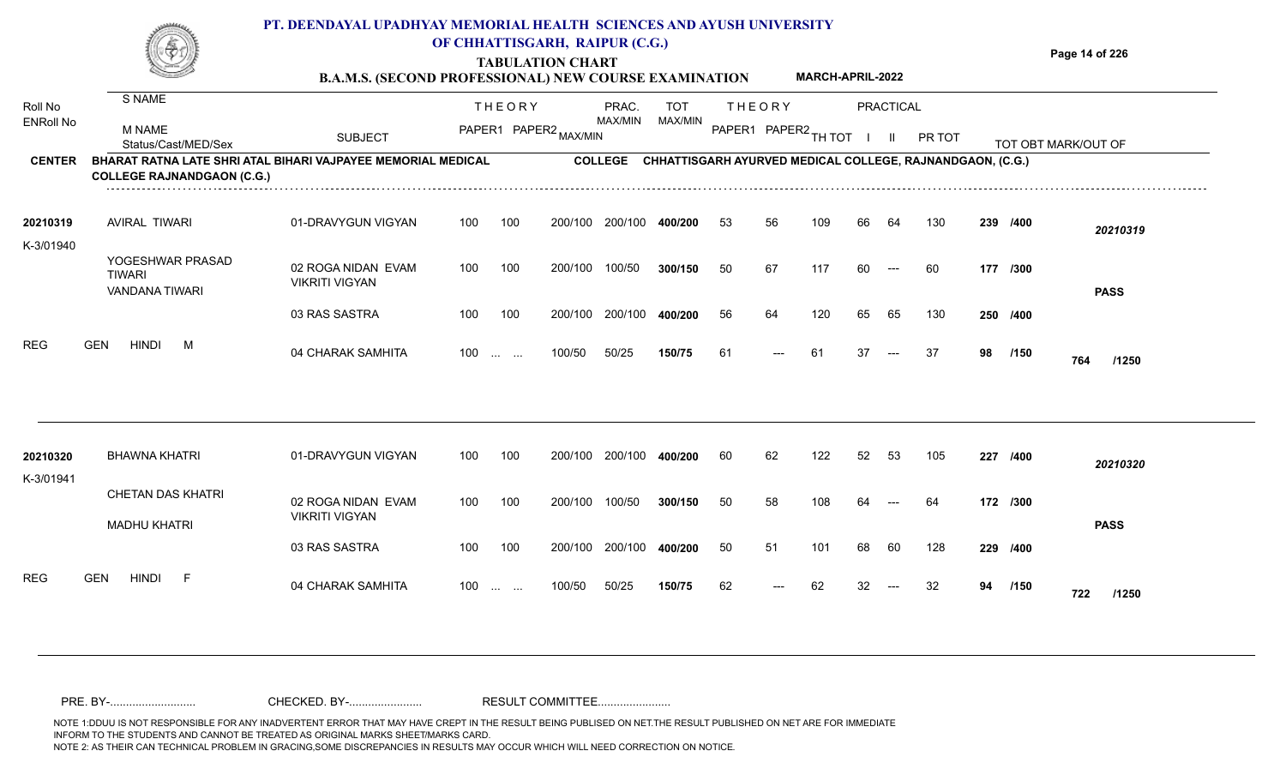**TABULATION CHART B.A.M.S. (SECOND PROFESSIONAL) NEW COURSE EXAMINATION**  **Page 14 of 226**

**MARCH-APRIL-2022**

| Roll No          | S NAME                                                                                            |                                             |     | <b>THEORY</b>                                  |         | PRAC.          | <b>TOT</b>                                                |    | <b>THEORY</b> |        |    | PRACTICAL     |        |    |          |                     |
|------------------|---------------------------------------------------------------------------------------------------|---------------------------------------------|-----|------------------------------------------------|---------|----------------|-----------------------------------------------------------|----|---------------|--------|----|---------------|--------|----|----------|---------------------|
| <b>ENRoll No</b> | <b>M NAME</b><br>Status/Cast/MED/Sex                                                              | <b>SUBJECT</b>                              |     | PAPER1 PAPER2 MAX/MIN                          |         | MAX/MIN        | MAX/MIN                                                   |    | PAPER1 PAPER2 | TH TOT |    | $\mathbf{II}$ | PR TOT |    |          | TOT OBT MARK/OUT OF |
| <b>CENTER</b>    | BHARAT RATNA LATE SHRI ATAL BIHARI VAJPAYEE MEMORIAL MEDICAL<br><b>COLLEGE RAJNANDGAON (C.G.)</b> |                                             |     |                                                |         | <b>COLLEGE</b> | CHHATTISGARH AYURVED MEDICAL COLLEGE, RAJNANDGAON, (C.G.) |    |               |        |    |               |        |    |          |                     |
| 20210319         | <b>AVIRAL TIWARI</b>                                                                              | 01-DRAVYGUN VIGYAN                          | 100 | 100                                            | 200/100 | 200/100        | 400/200                                                   | 53 | 56            | 109    | 66 | 64            | 130    |    | 239 /400 | 20210319            |
| K-3/01940        | YOGESHWAR PRASAD<br><b>TIWARI</b><br><b>VANDANA TIWARI</b>                                        | 02 ROGA NIDAN EVAM<br><b>VIKRITI VIGYAN</b> | 100 | 100                                            | 200/100 | 100/50         | 300/150                                                   | 50 | 67            | 117    | 60 | $---$         | 60     |    | 177 /300 | <b>PASS</b>         |
|                  |                                                                                                   | 03 RAS SASTRA                               | 100 | 100                                            | 200/100 | 200/100        | 400/200                                                   | 56 | 64            | 120    | 65 | 65            | 130    |    | 250 /400 |                     |
| <b>REG</b>       | <b>HINDI</b><br><b>GEN</b><br>M                                                                   | 04 CHARAK SAMHITA                           | 100 | $\sim 10^{-1}$ , $\sim 10^{-1}$                | 100/50  | 50/25          | 150/75                                                    | 61 | ---           | 61     | 37 |               | 37     | 98 | /150     | 764<br>/1250        |
| 20210320         | <b>BHAWNA KHATRI</b>                                                                              | 01-DRAVYGUN VIGYAN                          | 100 | 100                                            | 200/100 | 200/100        | 400/200                                                   | 60 | 62            | 122    | 52 | 53            | 105    |    | 227 /400 | 20210320            |
| K-3/01941        | <b>CHETAN DAS KHATRI</b>                                                                          | 02 ROGA NIDAN EVAM<br><b>VIKRITI VIGYAN</b> | 100 | 100                                            | 200/100 | 100/50         | 300/150                                                   | 50 | 58            | 108    |    |               | 64     |    | 172 /300 |                     |
|                  | <b>MADHU KHATRI</b>                                                                               | 03 RAS SASTRA                               | 100 | 100                                            | 200/100 | 200/100        | 400/200                                                   | 50 | 51            | 101    | 68 | 60            | 128    |    | 229 /400 | <b>PASS</b>         |
| <b>REG</b>       | <b>HINDI</b><br><b>GEN</b><br>-F                                                                  | 04 CHARAK SAMHITA                           | 100 | $\mathbf{r}$ and $\mathbf{r}$ and $\mathbf{r}$ | 100/50  | 50/25          | 150/75                                                    | 62 | $---$         | 62     | 32 |               | 32     | 94 | /150     | 722<br>/1250        |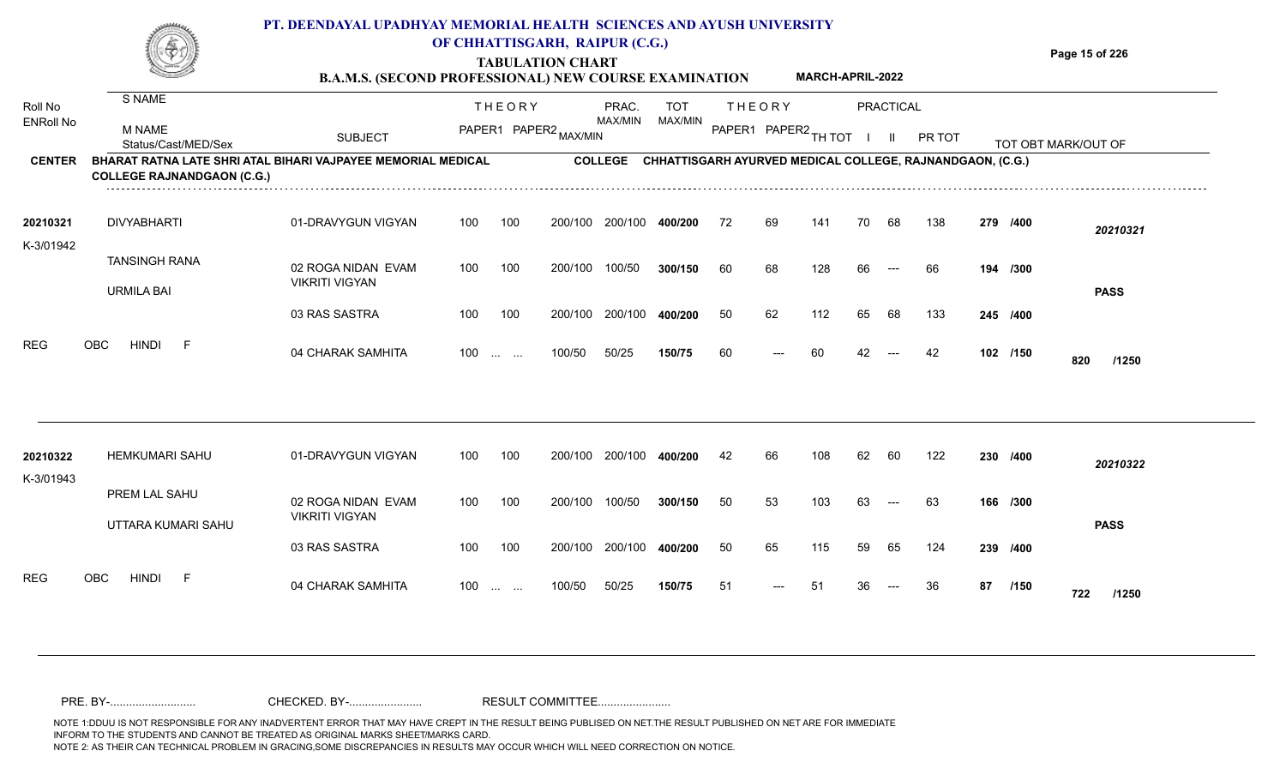**TABULATION CHART**

**Page 15 of 226**

|                  |                                                                                                   | <b>B.A.M.S. (SECOND PROFESSIONAL) NEW COURSE EXAMINATION</b> |       |                 |                       |                |            |    |                      | MARCH-APRIL-2022 |    |                  |                                                           |    |          |                     |
|------------------|---------------------------------------------------------------------------------------------------|--------------------------------------------------------------|-------|-----------------|-----------------------|----------------|------------|----|----------------------|------------------|----|------------------|-----------------------------------------------------------|----|----------|---------------------|
| Roll No          | S NAME                                                                                            |                                                              |       | <b>THEORY</b>   |                       | PRAC.          | <b>TOT</b> |    | <b>THEORY</b>        |                  |    | <b>PRACTICAL</b> |                                                           |    |          |                     |
| <b>ENRoll No</b> | <b>M NAME</b><br>Status/Cast/MED/Sex                                                              | <b>SUBJECT</b>                                               |       |                 | PAPER1 PAPER2 MAX/MIN | MAX/MIN        | MAX/MIN    |    | PAPER1 PAPER2 TH TOT |                  |    | $\mathbf{H}$     | PR TOT                                                    |    |          | TOT OBT MARK/OUT OF |
| <b>CENTER</b>    | BHARAT RATNA LATE SHRI ATAL BIHARI VAJPAYEE MEMORIAL MEDICAL<br><b>COLLEGE RAJNANDGAON (C.G.)</b> |                                                              |       |                 |                       | <b>COLLEGE</b> |            |    |                      |                  |    |                  | CHHATTISGARH AYURVED MEDICAL COLLEGE, RAJNANDGAON, (C.G.) |    |          |                     |
| 20210321         | <b>DIVYABHARTI</b>                                                                                | 01-DRAVYGUN VIGYAN                                           | 100   | 100             | 200/100               | 200/100        | 400/200    | 72 | 69                   | 141              | 70 | 68               | 138                                                       |    | 279 /400 | 20210321            |
| K-3/01942        | <b>TANSINGH RANA</b><br><b>URMILA BAI</b>                                                         | 02 ROGA NIDAN EVAM<br><b>VIKRITI VIGYAN</b>                  | 100   | 100             | 200/100               | 100/50         | 300/150    | 60 | 68                   | 128              | 66 | $---$            | 66                                                        |    | 194 /300 | <b>PASS</b>         |
|                  |                                                                                                   | 03 RAS SASTRA                                                | 100   | 100             | 200/100               | 200/100        | 400/200    | 50 | 62                   | 112              | 65 | 68               | 133                                                       |    | 245 /400 |                     |
| <b>REG</b>       | <b>OBC</b><br><b>HINDI</b><br>- F                                                                 | 04 CHARAK SAMHITA                                            | $100$ |                 | 100/50                | 50/25          | 150/75     | 60 | ---                  | 60               | 42 | $---$            | 42                                                        |    | 102 /150 | 820<br>/1250        |
| 20210322         | <b>HEMKUMARI SAHU</b>                                                                             | 01-DRAVYGUN VIGYAN                                           | 100   | 100             | 200/100               | 200/100        | 400/200    | 42 | 66                   | 108              | 62 | 60               | 122                                                       |    | 230 /400 | 20210322            |
| K-3/01943        | PREM LAL SAHU<br>UTTARA KUMARI SAHU                                                               | 02 ROGA NIDAN EVAM<br><b>VIKRITI VIGYAN</b>                  | 100   | 100             | 200/100               | 100/50         | 300/150    | 50 | 53                   | 103              | 63 | $---$            | 63                                                        |    | 166 /300 | <b>PASS</b>         |
|                  |                                                                                                   | 03 RAS SASTRA                                                | 100   | 100             | 200/100               | 200/100        | 400/200    | 50 | 65                   | 115              | 59 | 65               | 124                                                       |    | 239 /400 |                     |
| <b>REG</b>       | <b>OBC</b><br><b>HINDI</b><br>-F                                                                  | 04 CHARAK SAMHITA                                            | 100   | <b>Security</b> | 100/50                | 50/25          | 150/75     | 51 | $---$                | 51               | 36 |                  | 36                                                        | 87 | /150     | 722<br>/1250        |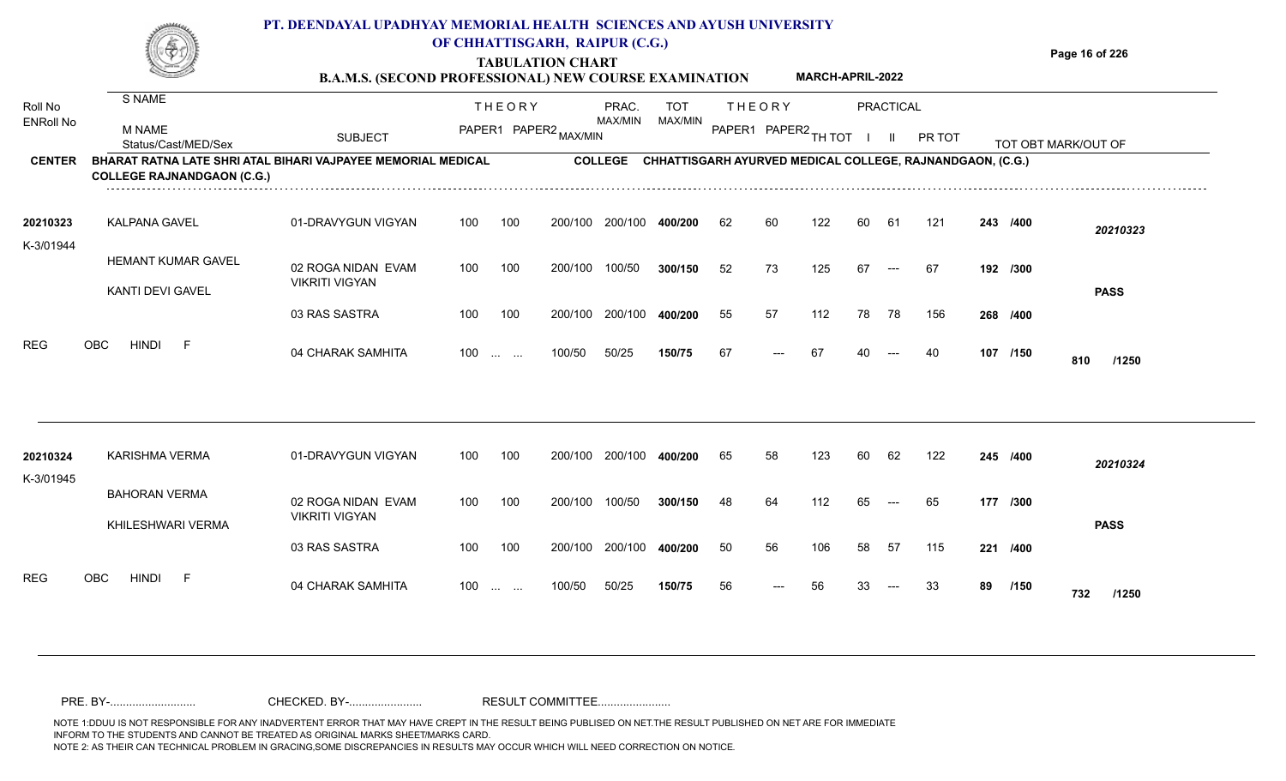**Page 16 of 226**

#### **B.A.M.S. (SECOND PROFESSIONAL) NEW COURSE EXAMINATION MARCH-APRIL-2022**

| Roll No               | S NAME                                                                                            |                                             |     | <b>THEORY</b>                                                 |         | PRAC.          | <b>TOT</b>                                                | <b>THEORY</b> |                      |     |    | PRACTICAL |        |    |          |                     |
|-----------------------|---------------------------------------------------------------------------------------------------|---------------------------------------------|-----|---------------------------------------------------------------|---------|----------------|-----------------------------------------------------------|---------------|----------------------|-----|----|-----------|--------|----|----------|---------------------|
| <b>ENRoll No</b>      | <b>M NAME</b><br>Status/Cast/MED/Sex                                                              | <b>SUBJECT</b>                              |     | PAPER1 PAPER2 MAX/MIN                                         |         | MAX/MIN        | MAX/MIN                                                   |               | PAPER1 PAPER2 TH TOT |     |    |           | PR TOT |    |          | TOT OBT MARK/OUT OF |
| <b>CENTER</b>         | BHARAT RATNA LATE SHRI ATAL BIHARI VAJPAYEE MEMORIAL MEDICAL<br><b>COLLEGE RAJNANDGAON (C.G.)</b> |                                             |     |                                                               |         | <b>COLLEGE</b> | CHHATTISGARH AYURVED MEDICAL COLLEGE, RAJNANDGAON, (C.G.) |               |                      |     |    |           |        |    |          |                     |
| 20210323<br>K-3/01944 | <b>KALPANA GAVEL</b>                                                                              | 01-DRAVYGUN VIGYAN                          | 100 | 100                                                           | 200/100 | 200/100        | 400/200                                                   | 62            | 60                   | 122 | 60 | 61        | 121    |    | 243 /400 | 20210323            |
|                       | <b>HEMANT KUMAR GAVEL</b><br>KANTI DEVI GAVEL                                                     | 02 ROGA NIDAN EVAM<br><b>VIKRITI VIGYAN</b> | 100 | 100                                                           | 200/100 | 100/50         | 300/150                                                   | 52            | 73                   | 125 | 67 | $---$     | 67     |    | 192 /300 | <b>PASS</b>         |
|                       |                                                                                                   | 03 RAS SASTRA                               | 100 | 100                                                           | 200/100 | 200/100        | 400/200                                                   | 55            | 57                   | 112 | 78 | 78        | 156    |    | 268 /400 |                     |
| <b>REG</b>            | <b>OBC</b><br><b>HINDI</b><br>-F                                                                  | 04 CHARAK SAMHITA                           | 100 | $\mathcal{L}_{\mathcal{F}}$ , and $\mathcal{L}_{\mathcal{F}}$ | 100/50  | 50/25          | 150/75                                                    | 67            | ---                  | 67  | 40 | $---$     | 40     |    | 107 /150 | 810<br>/1250        |
| 20210324              | <b>KARISHMA VERMA</b>                                                                             | 01-DRAVYGUN VIGYAN                          | 100 | 100                                                           | 200/100 | 200/100        | 400/200                                                   | 65            | 58                   | 123 | 60 | 62        | 122    |    | 245 /400 |                     |
| K-3/01945             |                                                                                                   |                                             |     |                                                               |         |                |                                                           |               |                      |     |    |           |        |    |          | 20210324            |
|                       | <b>BAHORAN VERMA</b><br>KHILESHWARI VERMA                                                         | 02 ROGA NIDAN EVAM<br><b>VIKRITI VIGYAN</b> | 100 | 100                                                           | 200/100 | 100/50         | 300/150                                                   | 48            | 64                   | 112 | 65 | $---$     | 65     |    | 177 /300 | <b>PASS</b>         |
|                       |                                                                                                   | 03 RAS SASTRA                               | 100 | 100                                                           | 200/100 | 200/100        | 400/200                                                   | 50            | 56                   | 106 | 58 | 57        | 115    |    | 221 /400 |                     |
| <b>REG</b>            | <b>HINDI</b><br>OBC<br>F                                                                          | 04 CHARAK SAMHITA                           | 100 | <b>Service</b> State                                          | 100/50  | 50/25          | 150/75                                                    | 56            | ---                  | 56  | 33 | $---$     | 33     | 89 | /150     | 732<br>/1250        |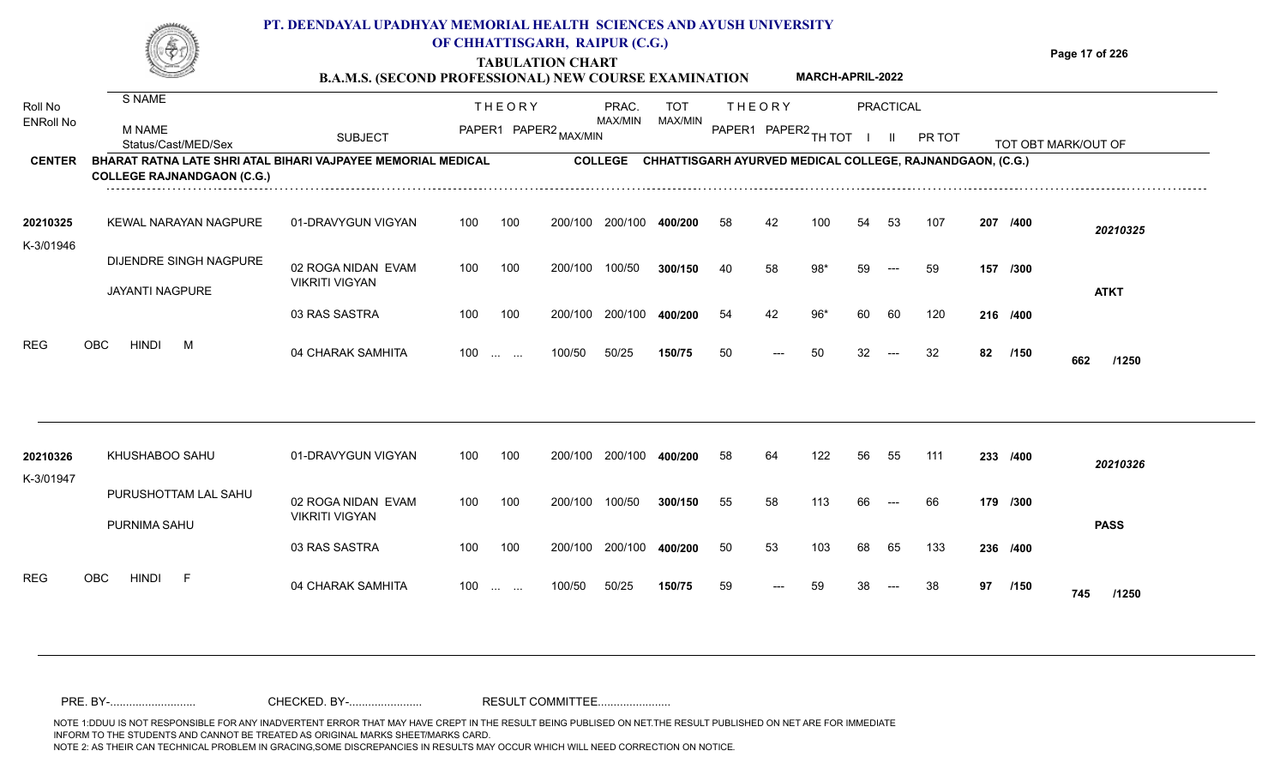**Page 17 of 226**

#### **TABULATION CHART B.A.M.S. (SECOND PROFESSIONAL) NEW COURSE EXAMINATION MARCH-APRIL-2022**

| Roll No               | S NAME                                                                                            |                                             |     | <b>THEORY</b>         |         | PRAC.          | <b>TOT</b>                                                |    | <b>THEORY</b>        |       |    | <b>PRACTICAL</b> |        |    |          |                     |
|-----------------------|---------------------------------------------------------------------------------------------------|---------------------------------------------|-----|-----------------------|---------|----------------|-----------------------------------------------------------|----|----------------------|-------|----|------------------|--------|----|----------|---------------------|
| <b>ENRoll No</b>      | M NAME<br>Status/Cast/MED/Sex                                                                     | <b>SUBJECT</b>                              |     | PAPER1 PAPER2 MAX/MIN |         | MAX/MIN        | MAX/MIN                                                   |    | PAPER1 PAPER2 TH TOT |       |    |                  | PR TOT |    |          | TOT OBT MARK/OUT OF |
| <b>CENTER</b>         | BHARAT RATNA LATE SHRI ATAL BIHARI VAJPAYEE MEMORIAL MEDICAL<br><b>COLLEGE RAJNANDGAON (C.G.)</b> |                                             |     |                       |         | <b>COLLEGE</b> | CHHATTISGARH AYURVED MEDICAL COLLEGE, RAJNANDGAON, (C.G.) |    |                      |       |    |                  |        |    |          |                     |
| 20210325<br>K-3/01946 | <b>KEWAL NARAYAN NAGPURE</b>                                                                      | 01-DRAVYGUN VIGYAN                          | 100 | 100                   | 200/100 | 200/100        | 400/200                                                   | 58 | 42                   | 100   | 54 | 53               | 107    |    | 207 /400 | 20210325            |
|                       | DIJENDRE SINGH NAGPURE<br><b>JAYANTI NAGPURE</b>                                                  | 02 ROGA NIDAN EVAM<br><b>VIKRITI VIGYAN</b> | 100 | 100                   | 200/100 | 100/50         | 300/150                                                   | 40 | 58                   | 98*   | 59 | $---$            | 59     |    | 157 /300 | <b>ATKT</b>         |
|                       |                                                                                                   | 03 RAS SASTRA                               | 100 | 100                   | 200/100 | 200/100        | 400/200                                                   | 54 | 42                   | $96*$ | 60 | 60               | 120    |    | 216 /400 |                     |
| <b>REG</b>            | OBC<br><b>HINDI</b><br>M                                                                          | 04 CHARAK SAMHITA                           |     | $100$                 | 100/50  | 50/25          | 150/75                                                    | 50 | ---                  | 50    | 32 | $---$            | 32     | 82 | /150     | 662<br>/1250        |
| 20210326              | KHUSHABOO SAHU                                                                                    | 01-DRAVYGUN VIGYAN                          | 100 | 100                   | 200/100 | 200/100        | 400/200                                                   | 58 | 64                   | 122   | 56 | 55               | 111    |    | 233 /400 | 20210326            |
| K-3/01947             | PURUSHOTTAM LAL SAHU<br>PURNIMA SAHU                                                              | 02 ROGA NIDAN EVAM<br><b>VIKRITI VIGYAN</b> | 100 | 100                   | 200/100 | 100/50         | 300/150                                                   | 55 | 58                   | 113   | 66 | $---$            | 66     |    | 179 /300 | <b>PASS</b>         |
|                       |                                                                                                   | 03 RAS SASTRA                               | 100 | 100                   | 200/100 | 200/100        | 400/200                                                   | 50 | 53                   | 103   | 68 | 65               | 133    |    | 236 /400 |                     |
| <b>REG</b>            | <b>HINDI</b><br><b>OBC</b><br>- F                                                                 | 04 CHARAK SAMHITA                           | 100 | <b>Service State</b>  | 100/50  | 50/25          | 150/75                                                    | 59 | $---$                | 59    | 38 | $---$            | 38     | 97 | /150     | 745<br>/1250        |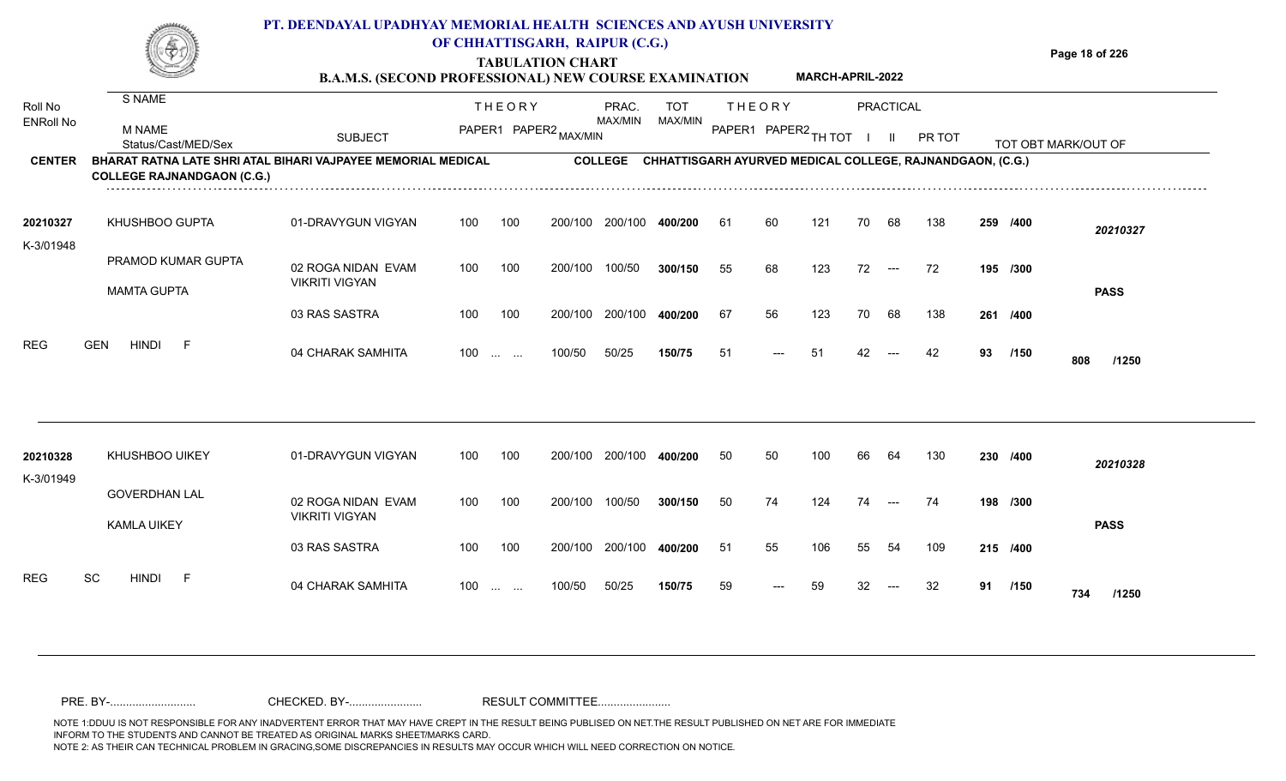#### **TABULATION CHART Page 18 of 226 PT. DEENDAYAL UPADHYAY MEMORIAL HEALTH SCIENCES AND AYUSH UNIVERSITY OF CHHATTISGARH, RAIPUR (C.G.)**

**B.A.M.S. (SECOND PROFESSIONAL) NEW COURSE EXAMINATION MARCH-APRIL-2022**

| Roll No               | S NAME                                                                                                   |                                             |     | <b>THEORY</b>                                                 |         | PRAC.          | <b>TOT</b> | <b>THEORY</b>        |       |     |        | <b>PRACTICAL</b>    |                                                           |    |          |                     |
|-----------------------|----------------------------------------------------------------------------------------------------------|---------------------------------------------|-----|---------------------------------------------------------------|---------|----------------|------------|----------------------|-------|-----|--------|---------------------|-----------------------------------------------------------|----|----------|---------------------|
| <b>ENRoll No</b>      | M NAME<br>Status/Cast/MED/Sex                                                                            | <b>SUBJECT</b>                              |     | PAPER1 PAPER2 MAX/MIN                                         |         | MAX/MIN        | MAX/MIN    | PAPER1 PAPER2 TH TOT |       |     | $\Box$ | - 11                | PR TOT                                                    |    |          | TOT OBT MARK/OUT OF |
| <b>CENTER</b>         | <b>BHARAT RATNA LATE SHRI ATAL BIHARI VAJPAYEE MEMORIAL MEDICAL</b><br><b>COLLEGE RAJNANDGAON (C.G.)</b> |                                             |     |                                                               |         | <b>COLLEGE</b> |            |                      |       |     |        |                     | CHHATTISGARH AYURVED MEDICAL COLLEGE, RAJNANDGAON, (C.G.) |    |          |                     |
| 20210327              | KHUSHBOO GUPTA                                                                                           | 01-DRAVYGUN VIGYAN                          | 100 | 100                                                           | 200/100 | 200/100        | 400/200    | -61                  | 60    | 121 | 70     | 68                  | 138                                                       |    | 259 /400 | 20210327            |
| K-3/01948             | PRAMOD KUMAR GUPTA                                                                                       | 02 ROGA NIDAN EVAM<br><b>VIKRITI VIGYAN</b> | 100 | 100                                                           | 200/100 | 100/50         | 300/150    | 55                   | 68    | 123 | 72     | $\qquad \qquad - -$ | 72                                                        |    | 195 /300 |                     |
|                       | <b>MAMTA GUPTA</b>                                                                                       | 03 RAS SASTRA                               | 100 | 100                                                           | 200/100 | 200/100        | 400/200    | 67                   | 56    | 123 | 70     | 68                  | 138                                                       |    | 261 /400 | <b>PASS</b>         |
| <b>REG</b>            | <b>GEN</b><br><b>HINDI</b><br>- F                                                                        | 04 CHARAK SAMHITA                           | 100 | $\mathcal{L}_{\mathcal{F}}$ , and $\mathcal{L}_{\mathcal{F}}$ | 100/50  | 50/25          | 150/75     | 51                   | $---$ | -51 | 42     |                     | 42                                                        | 93 | /150     | 808<br>/1250        |
|                       |                                                                                                          |                                             |     |                                                               |         |                |            |                      |       |     |        |                     |                                                           |    |          |                     |
| 20210328<br>K-3/01949 | <b>KHUSHBOO UIKEY</b>                                                                                    | 01-DRAVYGUN VIGYAN                          | 100 | 100                                                           | 200/100 | 200/100        | 400/200    | 50                   | 50    | 100 | 66     | 64                  | 130                                                       |    | 230 /400 | 20210328            |
|                       | <b>GOVERDHAN LAL</b><br><b>KAMLA UIKEY</b>                                                               | 02 ROGA NIDAN EVAM<br><b>VIKRITI VIGYAN</b> | 100 | 100                                                           | 200/100 | 100/50         | 300/150    | 50                   | 74    | 124 | 74     | $---$               | 74                                                        |    | 198 /300 | <b>PASS</b>         |
|                       |                                                                                                          | 03 RAS SASTRA                               | 100 | 100                                                           | 200/100 | 200/100        | 400/200    | -51                  | 55    | 106 | 55     | 54                  | 109                                                       |    | 215 /400 |                     |
| <b>REG</b>            | <b>SC</b><br><b>HINDI</b><br>- F                                                                         | 04 CHARAK SAMHITA                           | 100 | $\mathbf{r}$ and $\mathbf{r}$                                 | 100/50  | 50/25          | 150/75     | 59                   | $---$ | 59  | 32.    | $---$               | 32                                                        | 91 | /150     | 734<br>/1250        |
|                       |                                                                                                          |                                             |     |                                                               |         |                |            |                      |       |     |        |                     |                                                           |    |          |                     |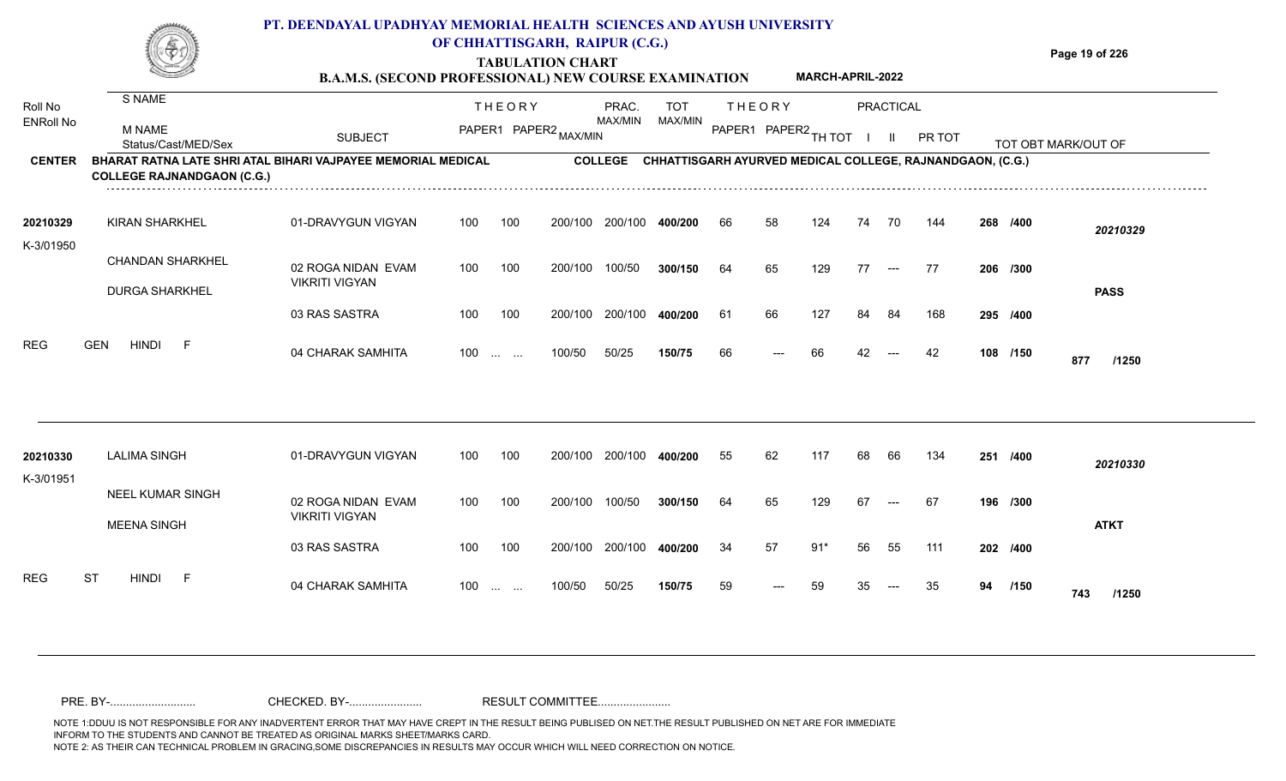**TABULATION CHART**

**Page 19 of 226**

|                             |                                                                                                   | <b>B.A.M.S. (SECOND PROFESSIONAL) NEW COURSE EXAMINATION</b> |     |                                                                                                 |         |                  |                       |    |                                       | MARCH-APRIL-2022 |    |                     |                                                           |    |          |                     |
|-----------------------------|---------------------------------------------------------------------------------------------------|--------------------------------------------------------------|-----|-------------------------------------------------------------------------------------------------|---------|------------------|-----------------------|----|---------------------------------------|------------------|----|---------------------|-----------------------------------------------------------|----|----------|---------------------|
| Roll No<br><b>ENRoll No</b> | S NAME<br>M NAME                                                                                  |                                                              |     | <b>THEORY</b><br>PAPER1 PAPER2 MAX/MIN                                                          |         | PRAC.<br>MAX/MIN | <b>TOT</b><br>MAX/MIN |    | <b>THEORY</b><br>PAPER1 PAPER2 TH TOT |                  |    | <b>PRACTICAL</b>    |                                                           |    |          |                     |
|                             | Status/Cast/MED/Sex                                                                               | <b>SUBJECT</b>                                               |     |                                                                                                 |         |                  |                       |    |                                       |                  |    | -II.                | PR TOT                                                    |    |          | TOT OBT MARK/OUT OF |
| <b>CENTER</b>               | BHARAT RATNA LATE SHRI ATAL BIHARI VAJPAYEE MEMORIAL MEDICAL<br><b>COLLEGE RAJNANDGAON (C.G.)</b> |                                                              |     |                                                                                                 |         | <b>COLLEGE</b>   |                       |    |                                       |                  |    |                     | CHHATTISGARH AYURVED MEDICAL COLLEGE, RAJNANDGAON, (C.G.) |    |          |                     |
| 20210329<br>K-3/01950       | <b>KIRAN SHARKHEL</b>                                                                             | 01-DRAVYGUN VIGYAN                                           | 100 | 100                                                                                             | 200/100 | 200/100          | 400/200               | 66 | 58                                    | 124              | 74 | 70                  | 144                                                       |    | 268 /400 | 20210329            |
|                             | <b>CHANDAN SHARKHEL</b>                                                                           | 02 ROGA NIDAN EVAM                                           | 100 | 100                                                                                             | 200/100 | 100/50           | 300/150               | 64 | 65                                    | 129              | 77 | $--$                | 77                                                        |    | 206 /300 |                     |
|                             | <b>DURGA SHARKHEL</b>                                                                             | <b>VIKRITI VIGYAN</b>                                        |     |                                                                                                 |         |                  |                       |    |                                       |                  |    |                     |                                                           |    |          | <b>PASS</b>         |
|                             |                                                                                                   | 03 RAS SASTRA                                                | 100 | 100                                                                                             | 200/100 | 200/100          | 400/200               | 61 | 66                                    | 127              | 84 | 84                  | 168                                                       |    | 295 /400 |                     |
| <b>REG</b>                  | <b>HINDI</b><br>E<br><b>GEN</b>                                                                   | 04 CHARAK SAMHITA                                            | 100 | $\mathcal{L}_{\mathcal{F}}$ , and $\mathcal{L}_{\mathcal{F}}$                                   | 100/50  | 50/25            | 150/75                | 66 |                                       | 66               | 42 |                     | 42                                                        |    | 108 /150 | 877<br>/1250        |
|                             |                                                                                                   |                                                              |     |                                                                                                 |         |                  |                       |    |                                       |                  |    |                     |                                                           |    |          |                     |
| 20210330<br>K-3/01951       | <b>LALIMA SINGH</b>                                                                               | 01-DRAVYGUN VIGYAN                                           | 100 | 100                                                                                             | 200/100 | 200/100          | 400/200               | 55 | 62                                    | 117              | 68 | 66                  | 134                                                       |    | 251 /400 | 20210330            |
|                             | NEEL KUMAR SINGH<br><b>MEENA SINGH</b>                                                            | 02 ROGA NIDAN EVAM<br><b>VIKRITI VIGYAN</b>                  | 100 | 100                                                                                             | 200/100 | 100/50           | 300/150               | 64 | 65                                    | 129              | 67 | $\qquad \qquad - -$ | 67                                                        |    | 196 /300 | <b>ATKT</b>         |
|                             |                                                                                                   | 03 RAS SASTRA                                                | 100 | 100                                                                                             | 200/100 | 200/100          | 400/200               | 34 | 57                                    | $91*$            | 56 | 55                  | 111                                                       |    | 202 /400 |                     |
| <b>REG</b>                  | <b>ST</b><br><b>HINDI</b><br>E                                                                    | 04 CHARAK SAMHITA                                            | 100 | $\mathcal{L}_{\mathcal{F}}$ , and $\mathcal{L}_{\mathcal{F}}$ , and $\mathcal{L}_{\mathcal{F}}$ | 100/50  | 50/25            | 150/75                | 59 | ---                                   | 59               |    |                     | 35                                                        | 94 | /150     | 743<br>/1250        |
|                             |                                                                                                   |                                                              |     |                                                                                                 |         |                  |                       |    |                                       |                  |    |                     |                                                           |    |          |                     |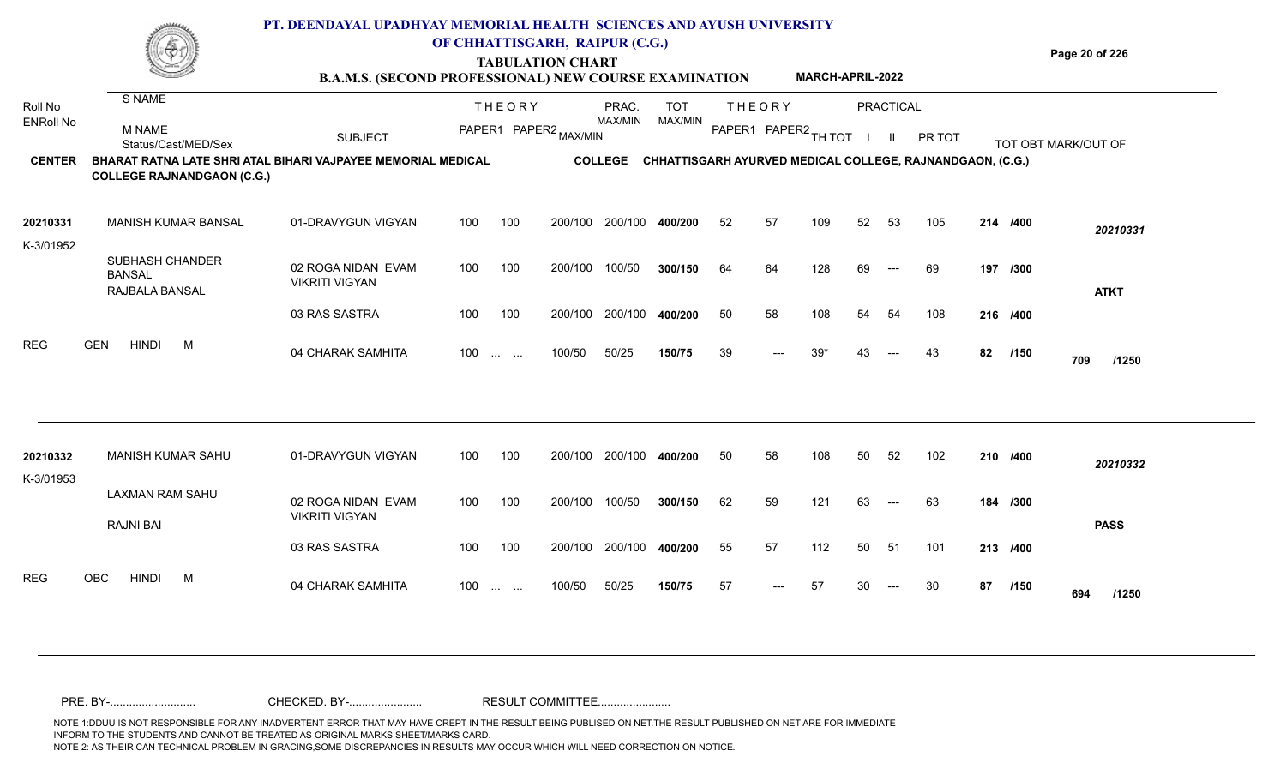**Page 20 of 226**

#### **B.A.M.S. (SECOND PROFESSIONAL) NEW COURSE EXAMINATION MARCH-APRIL-2022**

| Roll No<br><b>ENRoll No</b> | S NAME<br><b>M NAME</b>                                                                           |                                             |     | <b>THEORY</b>                                                 | PAPER1 PAPER2 MAX/MIN | PRAC.<br>MAX/MIN | <b>TOT</b><br>MAX/MIN                                     |    | <b>THEORY</b><br>PAPER1 PAPER2 TH TOT |       |    | PRACTICAL            |        |    |          |                     |
|-----------------------------|---------------------------------------------------------------------------------------------------|---------------------------------------------|-----|---------------------------------------------------------------|-----------------------|------------------|-----------------------------------------------------------|----|---------------------------------------|-------|----|----------------------|--------|----|----------|---------------------|
|                             | Status/Cast/MED/Sex                                                                               | <b>SUBJECT</b>                              |     |                                                               |                       |                  |                                                           |    |                                       |       |    | H.                   | PR TOT |    |          | TOT OBT MARK/OUT OF |
| <b>CENTER</b>               | BHARAT RATNA LATE SHRI ATAL BIHARI VAJPAYEE MEMORIAL MEDICAL<br><b>COLLEGE RAJNANDGAON (C.G.)</b> |                                             |     |                                                               |                       | <b>COLLEGE</b>   | CHHATTISGARH AYURVED MEDICAL COLLEGE, RAJNANDGAON, (C.G.) |    |                                       |       |    |                      |        |    |          |                     |
| 20210331                    | <b>MANISH KUMAR BANSAL</b>                                                                        | 01-DRAVYGUN VIGYAN                          | 100 | 100                                                           | 200/100               | 200/100          | 400/200                                                   | 52 | 57                                    | 109   | 52 | 53                   | 105    |    | 214 /400 | 20210331            |
| K-3/01952                   | <b>SUBHASH CHANDER</b><br><b>BANSAL</b><br>RAJBALA BANSAL                                         | 02 ROGA NIDAN EVAM<br><b>VIKRITI VIGYAN</b> | 100 | 100                                                           | 200/100               | 100/50           | 300/150                                                   | 64 | 64                                    | 128   | 69 | $---$                | 69     |    | 197 /300 | <b>ATKT</b>         |
|                             |                                                                                                   | 03 RAS SASTRA                               | 100 | 100                                                           | 200/100               | 200/100          | 400/200                                                   | 50 | 58                                    | 108   | 54 | 54                   | 108    |    | 216 /400 |                     |
| <b>REG</b>                  | <b>GEN</b><br><b>HINDI</b><br>M                                                                   | 04 CHARAK SAMHITA                           | 100 | $\sim 10^{-1}$ , $\sim 10^{-1}$                               | 100/50                | 50/25            | 150/75                                                    | 39 | ---                                   | $39*$ |    |                      | 43     | 82 | /150     | 709<br>/1250        |
|                             |                                                                                                   |                                             |     |                                                               |                       |                  |                                                           |    |                                       |       |    |                      |        |    |          |                     |
| 20210332<br>K-3/01953       | MANISH KUMAR SAHU                                                                                 | 01-DRAVYGUN VIGYAN                          | 100 | 100                                                           | 200/100               | 200/100          | 400/200                                                   | 50 | 58                                    | 108   | 50 | 52                   | 102    |    | 210 /400 | 20210332            |
|                             | <b>LAXMAN RAM SAHU</b><br><b>RAJNI BAI</b>                                                        | 02 ROGA NIDAN EVAM<br><b>VIKRITI VIGYAN</b> | 100 | 100                                                           | 200/100               | 100/50           | 300/150                                                   | 62 | 59                                    | 121   | 63 | $\hspace{0.05cm}---$ | 63     |    | 184 /300 | <b>PASS</b>         |
|                             |                                                                                                   | 03 RAS SASTRA                               | 100 | 100                                                           | 200/100               | 200/100          | 400/200                                                   | 55 | 57                                    | 112   | 50 | -51                  | 101    |    | 213 /400 |                     |
| <b>REG</b>                  | <b>OBC</b><br><b>HINDI</b><br>M                                                                   | 04 CHARAK SAMHITA                           | 100 | $\mathcal{L}_{\mathcal{F}}$ , and $\mathcal{L}_{\mathcal{F}}$ | 100/50                | 50/25            | 150/75                                                    | 57 | $---$                                 | 57    | 30 | $---$                | 30     | 87 | /150     | 694<br>/1250        |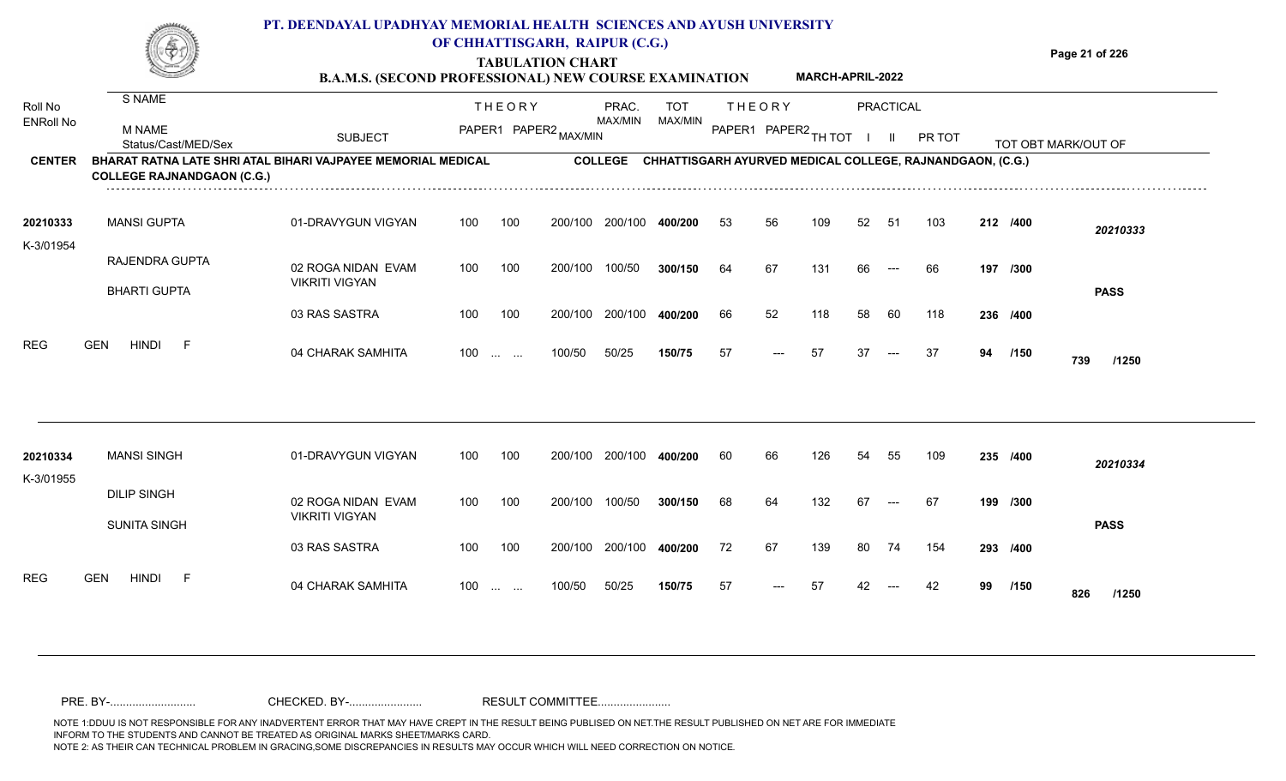**Page 21 of 226**

**MARCH-APRIL-2022**

#### **TABULATION CHART B.A.M.S. (SECOND PROFESSIONAL) NEW COURSE EXAMINATION**

| Roll No               | S NAME                                                                                            |                                             |     | <b>THEORY</b>                                  |         | PRAC.          | <b>TOT</b> |    | <b>THEORY</b>        |     |    | <b>PRACTICAL</b> |                                                           |    |          |                     |
|-----------------------|---------------------------------------------------------------------------------------------------|---------------------------------------------|-----|------------------------------------------------|---------|----------------|------------|----|----------------------|-----|----|------------------|-----------------------------------------------------------|----|----------|---------------------|
| <b>ENRoll No</b>      | <b>M NAME</b><br>Status/Cast/MED/Sex                                                              | <b>SUBJECT</b>                              |     | PAPER1 PAPER2 MAX/MIN                          |         | MAX/MIN        | MAX/MIN    |    | PAPER1 PAPER2 TH TOT |     |    | H.               | PR TOT                                                    |    |          | TOT OBT MARK/OUT OF |
| <b>CENTER</b>         | BHARAT RATNA LATE SHRI ATAL BIHARI VAJPAYEE MEMORIAL MEDICAL<br><b>COLLEGE RAJNANDGAON (C.G.)</b> |                                             |     |                                                |         | <b>COLLEGE</b> |            |    |                      |     |    |                  | CHHATTISGARH AYURVED MEDICAL COLLEGE, RAJNANDGAON, (C.G.) |    |          |                     |
| 20210333<br>K-3/01954 | <b>MANSI GUPTA</b>                                                                                | 01-DRAVYGUN VIGYAN                          | 100 | 100                                            | 200/100 | 200/100        | 400/200    | 53 | 56                   | 109 | 52 | -51              | 103                                                       |    | 212 /400 | 20210333            |
|                       | RAJENDRA GUPTA<br><b>BHARTI GUPTA</b>                                                             | 02 ROGA NIDAN EVAM<br><b>VIKRITI VIGYAN</b> | 100 | 100                                            | 200/100 | 100/50         | 300/150    | 64 | 67                   | 131 | 66 | $---$            | 66                                                        |    | 197 /300 | <b>PASS</b>         |
|                       |                                                                                                   | 03 RAS SASTRA                               | 100 | 100                                            | 200/100 | 200/100        | 400/200    | 66 | 52                   | 118 | 58 | 60               | 118                                                       |    | 236 /400 |                     |
| <b>REG</b>            | <b>HINDI</b><br><b>GEN</b><br>- F                                                                 | 04 CHARAK SAMHITA                           | 100 | <b>Service State</b>                           | 100/50  | 50/25          | 150/75     | 57 | $---$                | 57  | 37 | ---              | 37                                                        | 94 | /150     | 739<br>/1250        |
|                       |                                                                                                   |                                             |     |                                                |         |                |            |    |                      |     |    |                  |                                                           |    |          |                     |
| 20210334<br>K-3/01955 | <b>MANSI SINGH</b>                                                                                | 01-DRAVYGUN VIGYAN                          | 100 | 100                                            | 200/100 | 200/100        | 400/200    | 60 | 66                   | 126 | 54 | 55               | 109                                                       |    | 235 /400 | 20210334            |
|                       | <b>DILIP SINGH</b><br><b>SUNITA SINGH</b>                                                         | 02 ROGA NIDAN EVAM<br><b>VIKRITI VIGYAN</b> | 100 | 100                                            | 200/100 | 100/50         | 300/150    | 68 | 64                   | 132 | 67 | $---$            | 67                                                        |    | 199 /300 | <b>PASS</b>         |
|                       |                                                                                                   | 03 RAS SASTRA                               | 100 | 100                                            | 200/100 | 200/100        | 400/200    | 72 | 67                   | 139 | 80 | 74               | 154                                                       |    | 293 /400 |                     |
| <b>REG</b>            | <b>GEN</b><br><b>HINDI</b><br>- F                                                                 | 04 CHARAK SAMHITA                           | 100 | $\mathbf{r}$ and $\mathbf{r}$ and $\mathbf{r}$ | 100/50  | 50/25          | 150/75     | 57 |                      | 57  |    |                  | 42                                                        | 99 | /150     | 826<br>/1250        |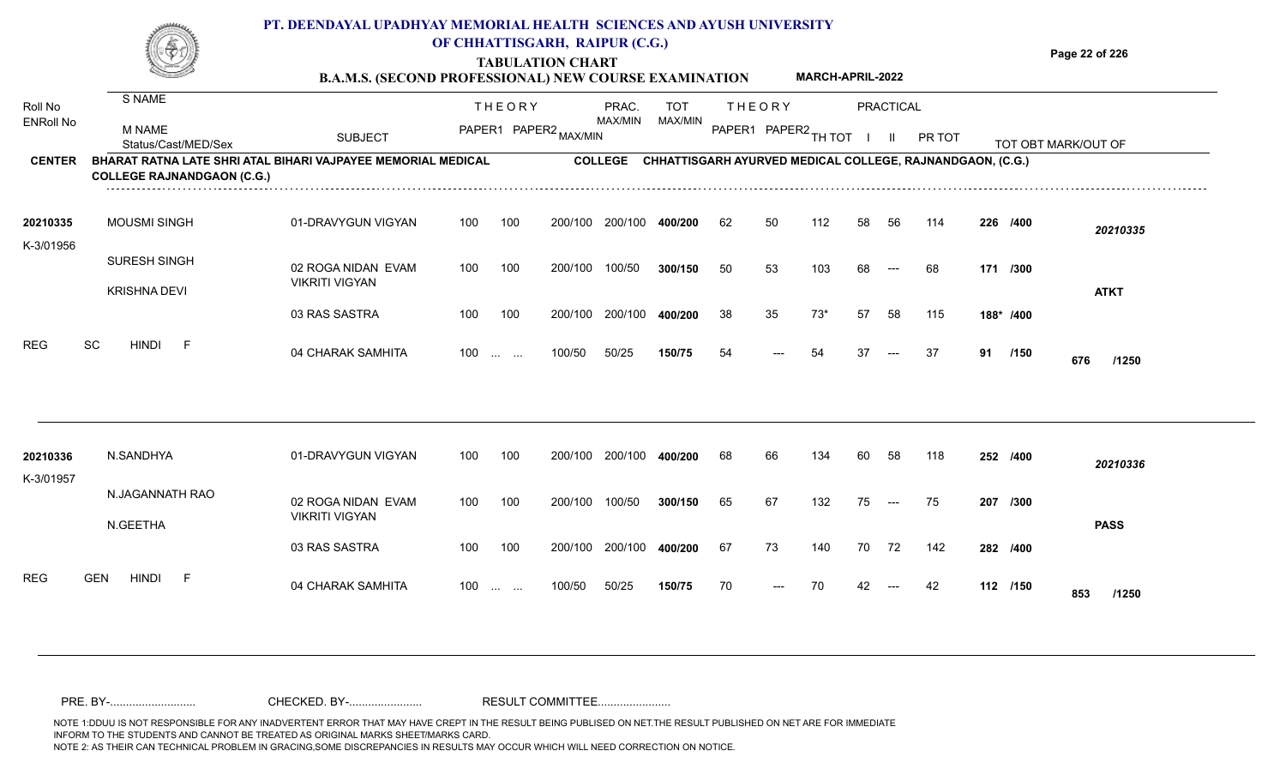**TABULATION CHART**

**Page 22 of 226**

#### **B.A.M.S. (SECOND PROFESSIONAL) NEW COURSE EXAMINATION MARCH-APRIL-2022**

| Roll No<br><b>ENRoll No</b> | S NAME<br><b>M NAME</b>                                                                           |                                             |                   | <b>THEORY</b>         |         | PRAC.<br><b>MAX/MIN</b> | <b>TOT</b><br>MAX/MIN                                     |    | <b>THEORY</b>        |       |    | PRACTICAL |        |    |           |                     |
|-----------------------------|---------------------------------------------------------------------------------------------------|---------------------------------------------|-------------------|-----------------------|---------|-------------------------|-----------------------------------------------------------|----|----------------------|-------|----|-----------|--------|----|-----------|---------------------|
|                             | Status/Cast/MED/Sex                                                                               | <b>SUBJECT</b>                              |                   | PAPER1 PAPER2 MAX/MIN |         |                         |                                                           |    | PAPER1 PAPER2 TH TOT |       |    |           | PR TOT |    |           | TOT OBT MARK/OUT OF |
| <b>CENTER</b>               | BHARAT RATNA LATE SHRI ATAL BIHARI VAJPAYEE MEMORIAL MEDICAL<br><b>COLLEGE RAJNANDGAON (C.G.)</b> |                                             |                   |                       |         | <b>COLLEGE</b>          | CHHATTISGARH AYURVED MEDICAL COLLEGE, RAJNANDGAON, (C.G.) |    |                      |       |    |           |        |    |           |                     |
| 20210335                    | <b>MOUSMI SINGH</b>                                                                               | 01-DRAVYGUN VIGYAN                          | 100               | 100                   | 200/100 | 200/100                 | 400/200                                                   | 62 | 50                   | 112   | 58 | 56        | 114    |    | 226 /400  | 20210335            |
| K-3/01956                   | SURESH SINGH<br><b>KRISHNA DEVI</b>                                                               | 02 ROGA NIDAN EVAM<br><b>VIKRITI VIGYAN</b> | 100               | 100                   | 200/100 | 100/50                  | 300/150                                                   | 50 | 53                   | 103   | 68 | $---$     | 68     |    | 171 /300  | <b>ATKT</b>         |
|                             |                                                                                                   | 03 RAS SASTRA                               | 100               | 100                   | 200/100 | 200/100                 | 400/200                                                   | 38 | 35                   | $73*$ | 57 | 58        | 115    |    | 188* /400 |                     |
| <b>REG</b>                  | SC<br><b>HINDI</b><br>-F                                                                          | 04 CHARAK SAMHITA                           | $100 \dots \dots$ |                       | 100/50  | 50/25                   | 150/75                                                    | 54 | ---                  | 54    | 37 | $---$     | 37     | 91 | /150      | 676<br>/1250        |
|                             |                                                                                                   |                                             |                   |                       |         |                         |                                                           |    |                      |       |    |           |        |    |           |                     |
| 20210336<br>K-3/01957       | N.SANDHYA                                                                                         | 01-DRAVYGUN VIGYAN                          | 100               | 100                   | 200/100 | 200/100                 | 400/200                                                   | 68 | 66                   | 134   | 60 | 58        | 118    |    | 252 /400  | 20210336            |
|                             | N.JAGANNATH RAO<br>N.GEETHA                                                                       | 02 ROGA NIDAN EVAM<br><b>VIKRITI VIGYAN</b> | 100               | 100                   | 200/100 | 100/50                  | 300/150                                                   | 65 | 67                   | 132   | 75 | $---$     | 75     |    | 207 /300  | <b>PASS</b>         |
|                             |                                                                                                   | 03 RAS SASTRA                               | 100               | 100                   | 200/100 | 200/100                 | 400/200                                                   | 67 | 73                   | 140   | 70 | 72        | 142    |    | 282 /400  |                     |
| <b>REG</b>                  | <b>HINDI</b><br><b>GEN</b><br>-F                                                                  | 04 CHARAK SAMHITA                           | 100               | the company           | 100/50  | 50/25                   | 150/75                                                    | 70 |                      | 70    |    | $---$     | 42     |    | 112 /150  | 853<br>/1250        |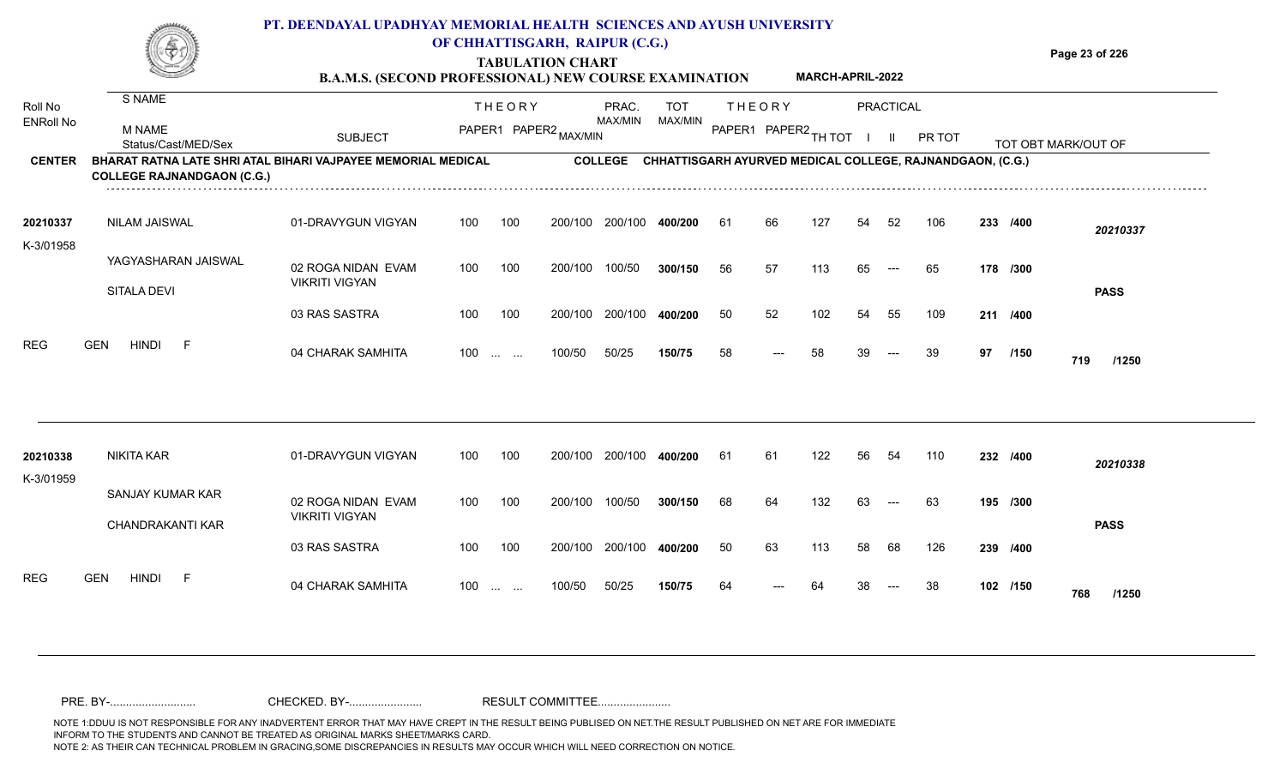**TABULATION CHART B.A.M.S. (SECOND PROFESSIONAL) NEW COURSE EXAMINATION**  **Page 23 of 226**

**MARCH-APRIL-2022**

| Roll No               | S NAME                                                                                            |                                             |     | <b>THEORY</b>                                                       |         | PRAC.          | <b>TOT</b>                                                |    | <b>THEORY</b>          |     |    | PRACTICAL                |        |    |          |                     |
|-----------------------|---------------------------------------------------------------------------------------------------|---------------------------------------------|-----|---------------------------------------------------------------------|---------|----------------|-----------------------------------------------------------|----|------------------------|-----|----|--------------------------|--------|----|----------|---------------------|
| <b>ENRoll No</b>      | M NAME<br>Status/Cast/MED/Sex                                                                     | <b>SUBJECT</b>                              |     | PAPER1 PAPER2 MAX/MIN                                               |         | MAX/MIN        | MAX/MIN                                                   |    | PAPER1 PAPER2 TH TOT I |     |    | - 11                     | PR TOT |    |          | TOT OBT MARK/OUT OF |
| <b>CENTER</b>         | BHARAT RATNA LATE SHRI ATAL BIHARI VAJPAYEE MEMORIAL MEDICAL<br><b>COLLEGE RAJNANDGAON (C.G.)</b> |                                             |     |                                                                     |         | <b>COLLEGE</b> | CHHATTISGARH AYURVED MEDICAL COLLEGE, RAJNANDGAON, (C.G.) |    |                        |     |    |                          |        |    |          |                     |
| 20210337              | NILAM JAISWAL                                                                                     | 01-DRAVYGUN VIGYAN                          | 100 | 100                                                                 | 200/100 | 200/100        | 400/200                                                   | 61 | 66                     | 127 | 54 | 52                       | 106    |    | 233 /400 | 20210337            |
| K-3/01958             | YAGYASHARAN JAISWAL<br>SITALA DEVI                                                                | 02 ROGA NIDAN EVAM<br><b>VIKRITI VIGYAN</b> | 100 | 100                                                                 | 200/100 | 100/50         | 300/150                                                   | 56 | 57                     | 113 | 65 | $\hspace{0.05cm} \ldots$ | 65     |    | 178 /300 | <b>PASS</b>         |
|                       |                                                                                                   | 03 RAS SASTRA                               | 100 | 100                                                                 | 200/100 | 200/100        | 400/200                                                   | 50 | 52                     | 102 | 54 | 55                       | 109    |    | 211 /400 |                     |
| <b>REG</b>            | <b>GEN</b><br><b>HINDI</b><br>E                                                                   | 04 CHARAK SAMHITA                           | 100 | $\mathcal{L}_{\mathcal{S}}$ , and $\mathcal{L}_{\mathcal{S}}$ , and | 100/50  | 50/25          | 150/75                                                    | 58 | $---$                  | 58  | 39 | $---$                    | 39     | 97 | /150     | 719<br>/1250        |
|                       |                                                                                                   |                                             |     |                                                                     |         |                |                                                           |    |                        |     |    |                          |        |    |          |                     |
| 20210338<br>K-3/01959 | <b>NIKITA KAR</b>                                                                                 | 01-DRAVYGUN VIGYAN                          | 100 | 100                                                                 | 200/100 | 200/100        | 400/200                                                   | 61 | 61                     | 122 | 56 | 54                       | 110    |    | 232 /400 | 20210338            |
|                       | SANJAY KUMAR KAR<br>CHANDRAKANTI KAR                                                              | 02 ROGA NIDAN EVAM<br><b>VIKRITI VIGYAN</b> | 100 | 100                                                                 | 200/100 | 100/50         | 300/150                                                   | 68 | 64                     | 132 | 63 | $---$                    | 63     |    | 195 /300 | <b>PASS</b>         |
|                       |                                                                                                   | 03 RAS SASTRA                               | 100 | 100                                                                 | 200/100 | 200/100        | 400/200                                                   | 50 | 63                     | 113 | 58 | 68                       | 126    |    | 239 /400 |                     |
| <b>REG</b>            | <b>HINDI</b><br><b>GEN</b><br>-F                                                                  | 04 CHARAK SAMHITA                           | 100 | $\mathcal{L}_{\mathcal{F}}$ , and $\mathcal{L}_{\mathcal{F}}$       | 100/50  | 50/25          | 150/75                                                    | 64 |                        | 64  |    |                          | 38     |    | 102 /150 | 768<br>/1250        |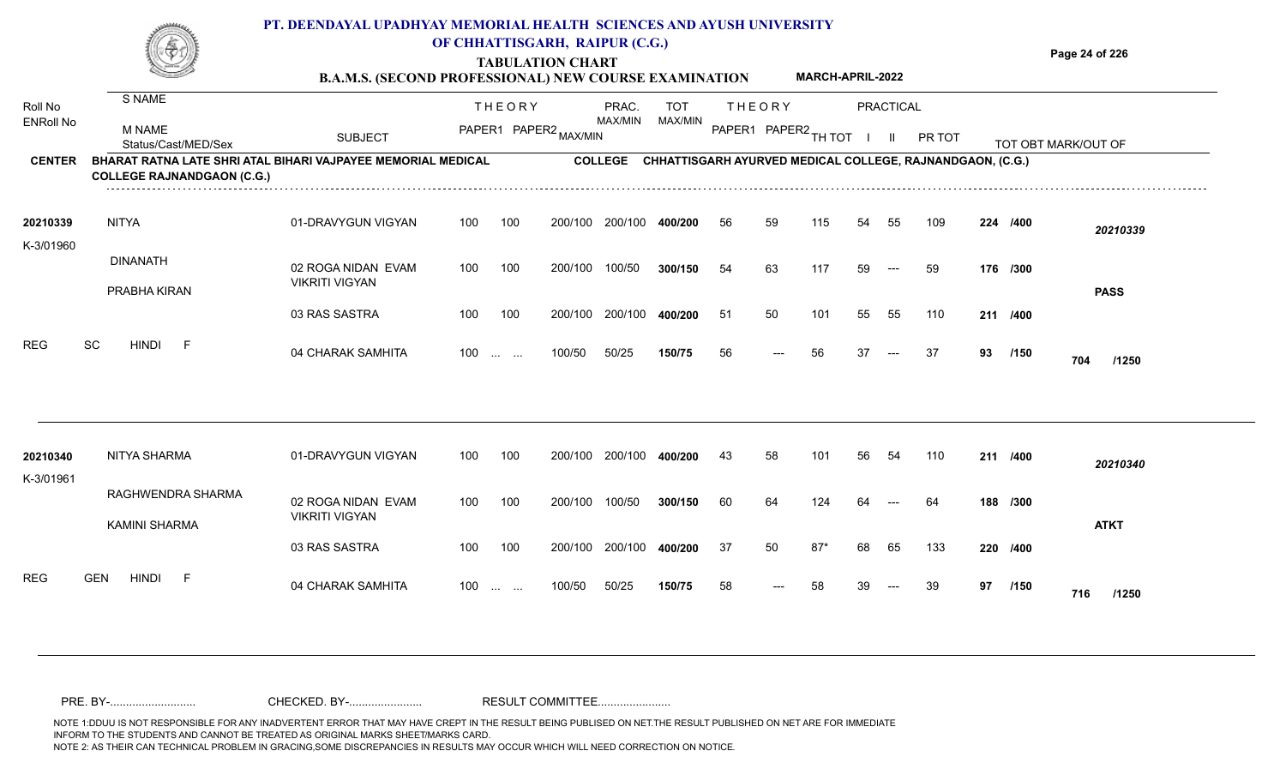**TABULATION CHART B.A.M.S. (SECOND PROFESSIONAL) NEW COURSE EXAMINATION**  **Page 24 of 226**

**MARCH-APRIL-2022**

| S NAME<br><b>M NAME</b><br>Status/Cast/MED/Sex<br>BHARAT RATNA LATE SHRI ATAL BIHARI VAJPAYEE MEMORIAL MEDICAL<br><b>COLLEGE RAJNANDGAON (C.G.)</b><br><b>NITYA</b><br><b>DINANATH</b><br>PRABHA KIRAN | <b>SUBJECT</b><br>01-DRAVYGUN VIGYAN<br>02 ROGA NIDAN EVAM | 100 | <b>THEORY</b><br>100 | PAPER1 PAPER2 MAX/MIN<br>200/100                                                                                                                                 | PRAC.<br>MAX/MIN<br><b>COLLEGE</b><br>200/100 | <b>TOT</b><br>MAX/MIN<br>CHHATTISGARH AYURVED MEDICAL COLLEGE, RAJNANDGAON, (C.G.) | PAPER1 PAPER2 TH TOT I | <b>THEORY</b> |       |    | PRACTICAL<br>- 11 | PR TOT |    |          | TOT OBT MARK/OUT OF                          |
|--------------------------------------------------------------------------------------------------------------------------------------------------------------------------------------------------------|------------------------------------------------------------|-----|----------------------|------------------------------------------------------------------------------------------------------------------------------------------------------------------|-----------------------------------------------|------------------------------------------------------------------------------------|------------------------|---------------|-------|----|-------------------|--------|----|----------|----------------------------------------------|
|                                                                                                                                                                                                        |                                                            |     |                      |                                                                                                                                                                  |                                               |                                                                                    |                        |               |       |    |                   |        |    |          |                                              |
|                                                                                                                                                                                                        |                                                            |     |                      |                                                                                                                                                                  |                                               |                                                                                    |                        |               |       |    |                   |        |    |          |                                              |
|                                                                                                                                                                                                        |                                                            |     |                      |                                                                                                                                                                  |                                               |                                                                                    |                        |               |       |    |                   |        |    |          |                                              |
|                                                                                                                                                                                                        |                                                            |     |                      |                                                                                                                                                                  |                                               | 400/200                                                                            | 56                     | 59            | 115   | 54 | 55                | 109    |    | 224 /400 | 20210339                                     |
|                                                                                                                                                                                                        | <b>VIKRITI VIGYAN</b>                                      | 100 | 100                  | 200/100                                                                                                                                                          | 100/50                                        | 300/150                                                                            | 54                     | 63            | 117   | 59 | $---$             | 59     |    | 176 /300 |                                              |
|                                                                                                                                                                                                        | 03 RAS SASTRA                                              | 100 | 100                  | 200/100                                                                                                                                                          | 200/100                                       | 400/200                                                                            | 51                     | 50            | 101   | 55 | 55                | 110    |    |          | <b>PASS</b>                                  |
| SC<br><b>HINDI</b><br>$-F$                                                                                                                                                                             | 04 CHARAK SAMHITA                                          | 100 |                      | 100/50                                                                                                                                                           | 50/25                                         | 150/75                                                                             | 56                     | $---$         | 56    | 37 | $---$             | 37     | 93 | /150     | 704<br>/1250                                 |
| NITYA SHARMA                                                                                                                                                                                           | 01-DRAVYGUN VIGYAN                                         | 100 | 100                  | 200/100                                                                                                                                                          | 200/100                                       | 400/200                                                                            | 43                     | 58            | 101   | 56 | 54                | 110    |    |          | 20210340                                     |
| RAGHWENDRA SHARMA<br><b>KAMINI SHARMA</b>                                                                                                                                                              | 02 ROGA NIDAN EVAM<br><b>VIKRITI VIGYAN</b>                | 100 | 100                  | 200/100                                                                                                                                                          | 100/50                                        | 300/150                                                                            | 60                     | 64            | 124   |    |                   | -64    |    |          | <b>ATKT</b>                                  |
|                                                                                                                                                                                                        | 03 RAS SASTRA                                              | 100 | 100                  | 200/100                                                                                                                                                          | 200/100                                       | 400/200                                                                            | 37                     | 50            | $87*$ | 68 | 65                | 133    |    |          |                                              |
| <b>HINDI</b><br><b>GEN</b><br>-F                                                                                                                                                                       | 04 CHARAK SAMHITA                                          | 100 |                      | 100/50                                                                                                                                                           | 50/25                                         | 150/75                                                                             | 58                     | $---$         | 58    | 39 |                   | 39     | 97 | /150     | 716<br>/1250                                 |
|                                                                                                                                                                                                        |                                                            |     |                      | $\mathcal{L}_{\mathcal{F}}$ , and $\mathcal{L}_{\mathcal{F}}$<br>$\mathcal{L}_{\mathcal{F}}$ , and $\mathcal{L}_{\mathcal{F}}$ , and $\mathcal{L}_{\mathcal{F}}$ |                                               |                                                                                    |                        |               |       |    |                   |        |    |          | 211 /400<br>211 /400<br>188 /300<br>220 /400 |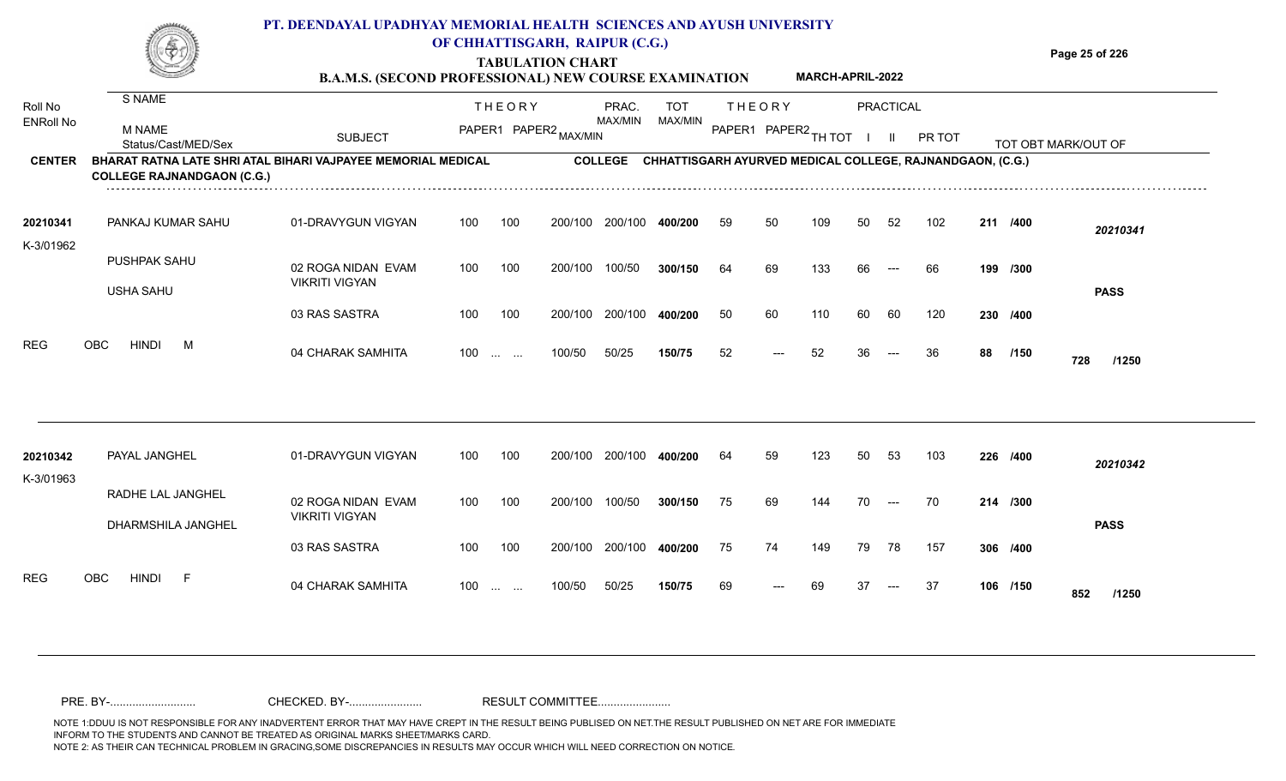**Page 25 of 226**

**TABULATION CHART**

|                             |                                                                                                                          | <b>B.A.M.S. (SECOND PROFESSIONAL) NEW COURSE EXAMINATION</b> |     |                                                               |         |                  |                |    |                                       | MARCH-APRIL-2022 |    |                        |                                                           |    |          |                     |
|-----------------------------|--------------------------------------------------------------------------------------------------------------------------|--------------------------------------------------------------|-----|---------------------------------------------------------------|---------|------------------|----------------|----|---------------------------------------|------------------|----|------------------------|-----------------------------------------------------------|----|----------|---------------------|
| Roll No<br><b>ENRoll No</b> | S NAME<br>M NAME                                                                                                         | <b>SUBJECT</b>                                               |     | <b>THEORY</b><br>PAPER1 PAPER2 MAX/MIN                        |         | PRAC.<br>MAX/MIN | TOT<br>MAX/MIN |    | <b>THEORY</b><br>PAPER1 PAPER2 TH TOT |                  |    | <b>PRACTICAL</b><br>H. | PR TOT                                                    |    |          |                     |
| <b>CENTER</b>               | Status/Cast/MED/Sex<br>BHARAT RATNA LATE SHRI ATAL BIHARI VAJPAYEE MEMORIAL MEDICAL<br><b>COLLEGE RAJNANDGAON (C.G.)</b> |                                                              |     |                                                               |         | <b>COLLEGE</b>   |                |    |                                       |                  |    |                        | CHHATTISGARH AYURVED MEDICAL COLLEGE, RAJNANDGAON, (C.G.) |    |          | TOT OBT MARK/OUT OF |
| 20210341<br>K-3/01962       | PANKAJ KUMAR SAHU                                                                                                        | 01-DRAVYGUN VIGYAN                                           | 100 | 100                                                           | 200/100 | 200/100          | 400/200        | 59 | 50                                    | 109              | 50 | 52                     | 102                                                       |    | 211 /400 | 20210341            |
|                             | PUSHPAK SAHU<br><b>USHA SAHU</b>                                                                                         | 02 ROGA NIDAN EVAM<br><b>VIKRITI VIGYAN</b>                  | 100 | 100                                                           | 200/100 | 100/50           | 300/150        | 64 | 69                                    | 133              | 66 | $---$                  | 66                                                        |    | 199 /300 | <b>PASS</b>         |
|                             |                                                                                                                          | 03 RAS SASTRA                                                | 100 | 100                                                           | 200/100 | 200/100          | 400/200        | 50 | 60                                    | 110              | 60 | 60                     | 120                                                       |    | 230 /400 |                     |
| <b>REG</b>                  | <b>HINDI</b><br><b>OBC</b><br>M                                                                                          | 04 CHARAK SAMHITA                                            | 100 | $\mathcal{L}_{\mathcal{F}}$ , and $\mathcal{L}_{\mathcal{F}}$ | 100/50  | 50/25            | 150/75         | 52 | $---$                                 | 52               | 36 | $---$                  | 36                                                        | 88 | /150     | 728<br>/1250        |
| 20210342<br>K-3/01963       | PAYAL JANGHEL                                                                                                            | 01-DRAVYGUN VIGYAN                                           | 100 | 100                                                           | 200/100 | 200/100          | 400/200        | 64 | 59                                    | 123              | 50 | 53                     | 103                                                       |    | 226 /400 | 20210342            |
|                             | RADHE LAL JANGHEL<br>DHARMSHILA JANGHEL                                                                                  | 02 ROGA NIDAN EVAM<br><b>VIKRITI VIGYAN</b>                  | 100 | 100                                                           | 200/100 | 100/50           | 300/150        | 75 | 69                                    | 144              | 70 | $---$                  | 70                                                        |    | 214 /300 | <b>PASS</b>         |
|                             |                                                                                                                          | 03 RAS SASTRA                                                | 100 | 100                                                           | 200/100 | 200/100          | 400/200        | 75 | 74                                    | 149              | 79 | 78                     | 157                                                       |    | 306 /400 |                     |
| <b>REG</b>                  | OBC<br><b>HINDI</b><br>F                                                                                                 | 04 CHARAK SAMHITA                                            | 100 | $\mathbf{r}$ and $\mathbf{r}$ and $\mathbf{r}$                | 100/50  | 50/25            | 150/75         | 69 | ---                                   | 69               | 37 | $---$                  | 37                                                        |    | 106 /150 | 852<br>/1250        |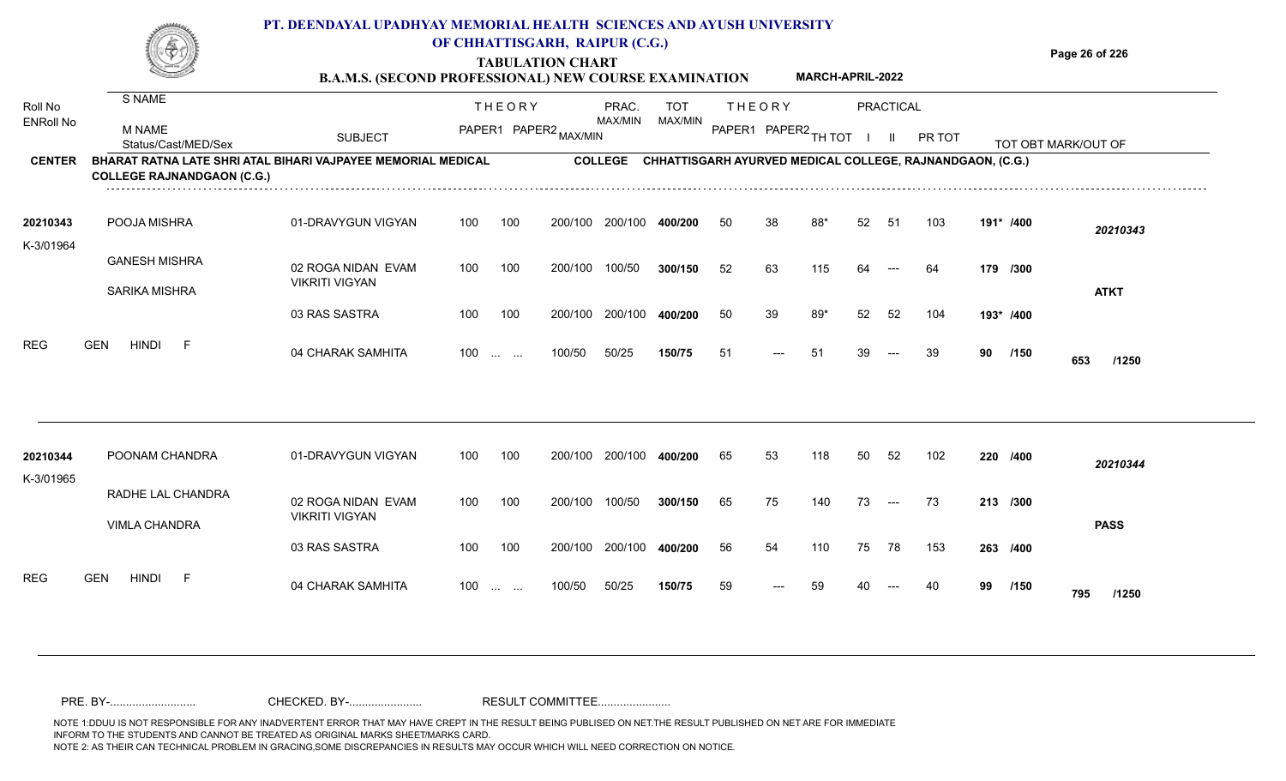

# **TABULATION CHART**

**Page 26 of 226**

#### **B.A.M.S. (SECOND PROFESSIONAL) NEW COURSE EXAMINATION MARCH-APRIL-2022**

| Roll No          | S NAME                                                                                            |                                             |     | <b>THEORY</b>                                                                                   |         | PRAC.          | <b>TOT</b>                                                |    | <b>THEORY</b>        |     |    | <b>PRACTICAL</b> |        |           |      |                         |
|------------------|---------------------------------------------------------------------------------------------------|---------------------------------------------|-----|-------------------------------------------------------------------------------------------------|---------|----------------|-----------------------------------------------------------|----|----------------------|-----|----|------------------|--------|-----------|------|-------------------------|
| <b>ENRoll No</b> | <b>M NAME</b><br>Status/Cast/MED/Sex                                                              | <b>SUBJECT</b>                              |     | PAPER1 PAPER2 MAX/MIN                                                                           |         | MAX/MIN        | MAX/MIN                                                   |    | PAPER1 PAPER2 TH TOT |     |    | $\mathbf{H}$     | PR TOT |           |      | TOT OBT MARK/OUT OF     |
| <b>CENTER</b>    | BHARAT RATNA LATE SHRI ATAL BIHARI VAJPAYEE MEMORIAL MEDICAL<br><b>COLLEGE RAJNANDGAON (C.G.)</b> |                                             |     |                                                                                                 |         | <b>COLLEGE</b> | CHHATTISGARH AYURVED MEDICAL COLLEGE, RAJNANDGAON, (C.G.) |    |                      |     |    |                  |        |           |      |                         |
| 20210343         | POOJA MISHRA                                                                                      | 01-DRAVYGUN VIGYAN                          | 100 | 100                                                                                             | 200/100 | 200/100        | 400/200                                                   | 50 | 38                   | 88* | 52 | -51              | 103    | 191* /400 |      | 20210343                |
| K-3/01964        | <b>GANESH MISHRA</b><br><b>SARIKA MISHRA</b>                                                      | 02 ROGA NIDAN EVAM<br><b>VIKRITI VIGYAN</b> | 100 | 100                                                                                             | 200/100 | 100/50         | 300/150                                                   | 52 | 63                   | 115 | 64 | $---$            | 64     | 179 /300  |      | <b>ATKT</b>             |
|                  |                                                                                                   | 03 RAS SASTRA                               | 100 | 100                                                                                             | 200/100 | 200/100        | 400/200                                                   | 50 | 39                   | 89* | 52 | 52               | 104    | 193* /400 |      |                         |
| <b>REG</b>       | <b>HINDI</b><br><b>GEN</b><br>- F                                                                 | 04 CHARAK SAMHITA                           | 100 | $\mathcal{L}_{\mathcal{F}}$ , and $\mathcal{L}_{\mathcal{F}}$ , and $\mathcal{L}_{\mathcal{F}}$ | 100/50  | 50/25          | 150/75                                                    | 51 | ---                  | -51 | 39 | $---$            | 39     | 90        | /150 | 653<br>/1250            |
| 20210344         | POONAM CHANDRA                                                                                    | 01-DRAVYGUN VIGYAN                          | 100 | 100                                                                                             | 200/100 | 200/100        | 400/200                                                   | 65 | 53                   | 118 | 50 | 52               | 102    | 220 /400  |      |                         |
| K-3/01965        | RADHE LAL CHANDRA<br><b>VIMLA CHANDRA</b>                                                         | 02 ROGA NIDAN EVAM<br><b>VIKRITI VIGYAN</b> | 100 | 100                                                                                             | 200/100 | 100/50         | 300/150                                                   | 65 | 75                   | 140 | 73 | $---$            | 73     | 213 /300  |      | 20210344<br><b>PASS</b> |
|                  |                                                                                                   | 03 RAS SASTRA                               | 100 | 100                                                                                             | 200/100 | 200/100        | 400/200                                                   | 56 | 54                   | 110 | 75 | 78               | 153    | 263 /400  |      |                         |
| <b>REG</b>       | <b>GEN</b><br>HINDI<br>- F                                                                        | 04 CHARAK SAMHITA                           | 100 | $\mathcal{L}_{\mathcal{F}}$ , and $\mathcal{L}_{\mathcal{F}}$                                   | 100/50  | 50/25          | 150/75                                                    | 59 | ---                  | 59  |    | $---$            | 40     | 99        | /150 | 795<br>/1250            |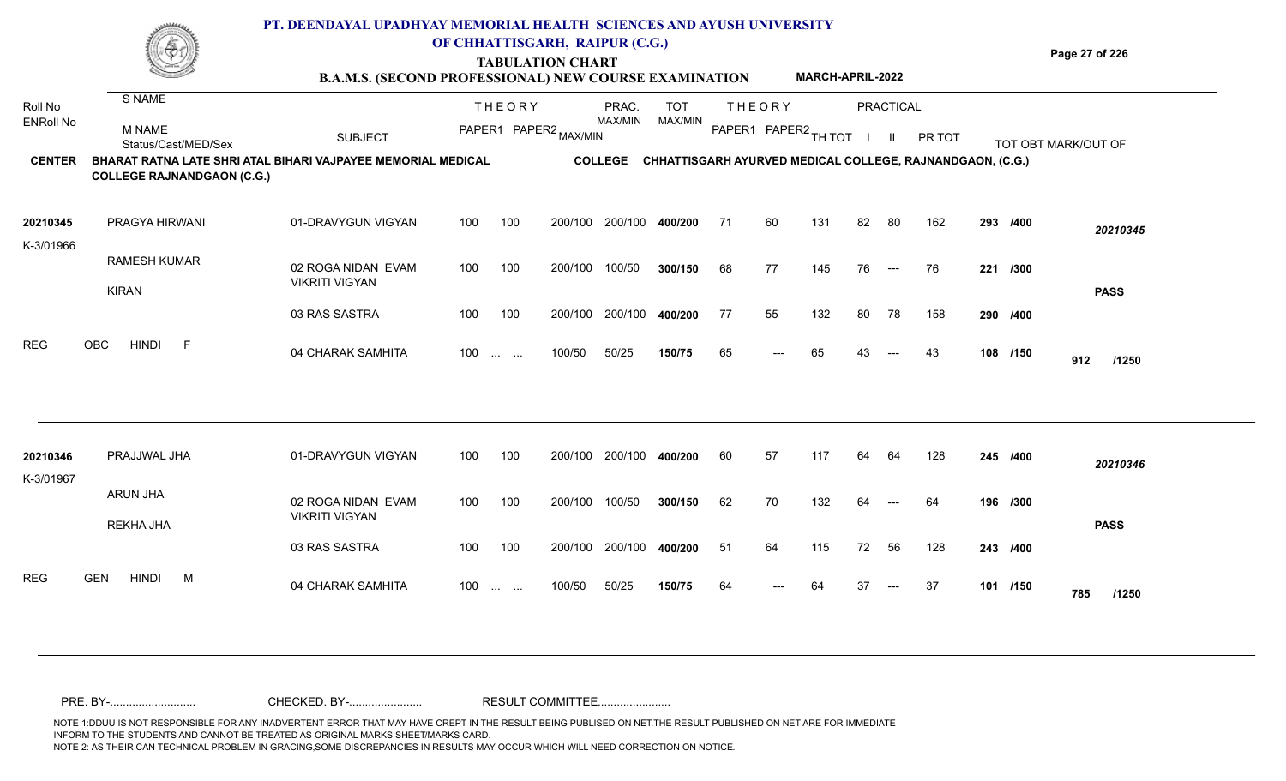**TABULATION CHART B.A.M.S. (SECOND PROFESSIONAL) NEW COURSE EXAMINATION**  **Page 27 of 226**

**MARCH-APRIL-2022**

| Roll No               | S NAME                                                                                            |                                             |     | <b>THEORY</b>                                                                                   |         | PRAC.          | <b>TOT</b>                                                |    | <b>THEORY</b>        |     |    | <b>PRACTICAL</b>                         |        |     |          |                     |
|-----------------------|---------------------------------------------------------------------------------------------------|---------------------------------------------|-----|-------------------------------------------------------------------------------------------------|---------|----------------|-----------------------------------------------------------|----|----------------------|-----|----|------------------------------------------|--------|-----|----------|---------------------|
| <b>ENRoll No</b>      | <b>M NAME</b><br>Status/Cast/MED/Sex                                                              | <b>SUBJECT</b>                              |     | PAPER1 PAPER2 MAX/MIN                                                                           |         | MAX/MIN        | MAX/MIN                                                   |    | PAPER1 PAPER2 TH TOT |     |    | $\mathbf{II}$                            | PR TOT |     |          | TOT OBT MARK/OUT OF |
| <b>CENTER</b>         | BHARAT RATNA LATE SHRI ATAL BIHARI VAJPAYEE MEMORIAL MEDICAL<br><b>COLLEGE RAJNANDGAON (C.G.)</b> |                                             |     |                                                                                                 |         | <b>COLLEGE</b> | CHHATTISGARH AYURVED MEDICAL COLLEGE, RAJNANDGAON, (C.G.) |    |                      |     |    |                                          |        |     |          |                     |
| 20210345<br>K-3/01966 | PRAGYA HIRWANI                                                                                    | 01-DRAVYGUN VIGYAN                          | 100 | 100                                                                                             | 200/100 | 200/100        | 400/200                                                   | 71 | 60                   | 131 | 82 | 80                                       | 162    |     | 293 /400 | 20210345            |
|                       | <b>RAMESH KUMAR</b><br><b>KIRAN</b>                                                               | 02 ROGA NIDAN EVAM<br><b>VIKRITI VIGYAN</b> | 100 | 100                                                                                             | 200/100 | 100/50         | 300/150                                                   | 68 | 77                   | 145 | 76 | $\hspace{0.05cm}---$                     | 76     | 221 | /300     | <b>PASS</b>         |
|                       |                                                                                                   | 03 RAS SASTRA                               | 100 | 100                                                                                             | 200/100 | 200/100        | 400/200                                                   | 77 | 55                   | 132 | 80 | 78                                       | 158    |     | 290 /400 |                     |
| <b>REG</b>            | <b>OBC</b><br><b>HINDI</b><br>E                                                                   | 04 CHARAK SAMHITA                           | 100 | $\sim 10^{-1}$ and $\sim 10^{-1}$                                                               | 100/50  | 50/25          | 150/75                                                    | 65 | ---                  | 65  | 43 | $---$                                    | 43     |     | 108 /150 | 912<br>/1250        |
|                       |                                                                                                   |                                             |     |                                                                                                 |         |                |                                                           |    |                      |     |    |                                          |        |     |          |                     |
| 20210346<br>K-3/01967 | PRAJJWAL JHA                                                                                      | 01-DRAVYGUN VIGYAN                          | 100 | 100                                                                                             | 200/100 | 200/100        | 400/200                                                   | 60 | 57                   | 117 | 64 | 64                                       | 128    |     | 245 /400 | 20210346            |
|                       | ARUN JHA<br>REKHA JHA                                                                             | 02 ROGA NIDAN EVAM<br><b>VIKRITI VIGYAN</b> | 100 | 100                                                                                             | 200/100 | 100/50         | 300/150                                                   | 62 | 70                   | 132 | 64 | $---$                                    | 64     |     | 196 /300 | <b>PASS</b>         |
|                       |                                                                                                   | 03 RAS SASTRA                               | 100 | 100                                                                                             | 200/100 | 200/100        | 400/200                                                   | 51 | 64                   | 115 | 72 | 56                                       | 128    |     | 243 /400 |                     |
| <b>REG</b>            | <b>GEN</b><br><b>HINDI</b><br>M                                                                   | 04 CHARAK SAMHITA                           | 100 | $\mathcal{L}_{\mathcal{F}}$ , and $\mathcal{L}_{\mathcal{F}}$ , and $\mathcal{L}_{\mathcal{F}}$ | 100/50  | 50/25          | 150/75                                                    | 64 | $---$                | 64  | 37 | $\hspace{0.05cm} \ldots \hspace{0.05cm}$ | 37     |     | 101 /150 | 785<br>/1250        |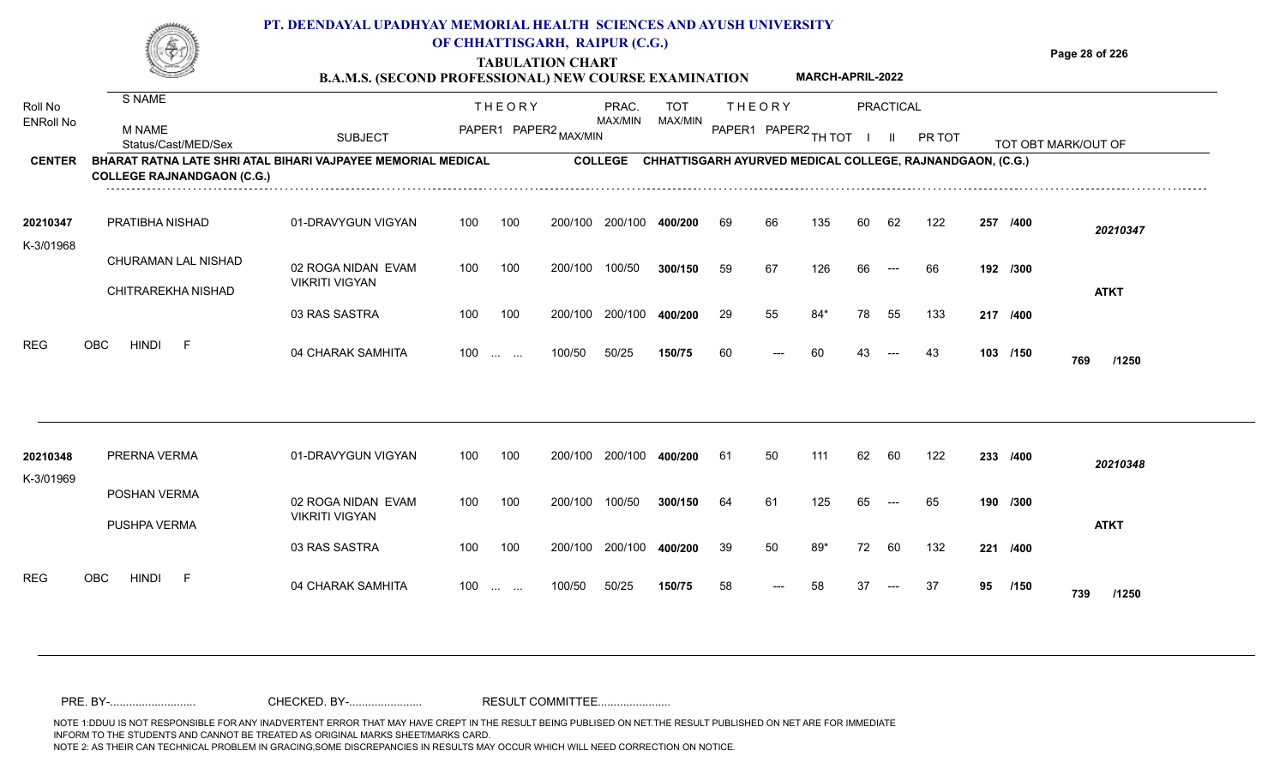**TABULATION CHART**

**Page 28 of 226**

|                             |                                                                                                   | <b>B.A.M.S. (SECOND PROFESSIONAL) NEW COURSE EXAMINATION</b> |     |                   |                       |                         |                |    |               | MARCH-APRIL-2022     |                |                                          |                                                           |    |          |                     |
|-----------------------------|---------------------------------------------------------------------------------------------------|--------------------------------------------------------------|-----|-------------------|-----------------------|-------------------------|----------------|----|---------------|----------------------|----------------|------------------------------------------|-----------------------------------------------------------|----|----------|---------------------|
| Roll No<br><b>ENRoll No</b> | S NAME                                                                                            |                                                              |     | <b>THEORY</b>     |                       | PRAC.<br>MAX/MIN        | TOT<br>MAX/MIN |    | <b>THEORY</b> |                      |                | <b>PRACTICAL</b>                         |                                                           |    |          |                     |
|                             | M NAME<br>Status/Cast/MED/Sex                                                                     | <b>SUBJECT</b>                                               |     |                   | PAPER1 PAPER2 MAX/MIN |                         |                |    |               | PAPER1 PAPER2 TH TOT | $\blacksquare$ | - 11                                     | PR TOT                                                    |    |          | TOT OBT MARK/OUT OF |
| <b>CENTER</b>               | BHARAT RATNA LATE SHRI ATAL BIHARI VAJPAYEE MEMORIAL MEDICAL<br><b>COLLEGE RAJNANDGAON (C.G.)</b> |                                                              |     |                   |                       | <b>COLLEGE</b>          |                |    |               |                      |                |                                          | CHHATTISGARH AYURVED MEDICAL COLLEGE, RAJNANDGAON, (C.G.) |    |          |                     |
| 20210347<br>K-3/01968       | PRATIBHA NISHAD                                                                                   | 01-DRAVYGUN VIGYAN                                           | 100 | 100               |                       | 200/100 200/100 400/200 |                | 69 | 66            | 135                  | 60             | 62                                       | 122                                                       |    | 257 /400 | 20210347            |
|                             | CHURAMAN LAL NISHAD                                                                               | 02 ROGA NIDAN EVAM                                           | 100 | 100               | 200/100               | 100/50                  | 300/150        | 59 | 67            | 126                  | 66             | $\sim$ $\sim$                            | 66                                                        |    | 192 /300 |                     |
|                             | CHITRAREKHA NISHAD                                                                                | <b>VIKRITI VIGYAN</b>                                        |     |                   |                       |                         |                |    |               |                      |                |                                          |                                                           |    |          | <b>ATKT</b>         |
|                             |                                                                                                   | 03 RAS SASTRA                                                | 100 | 100               | 200/100               | 200/100                 | 400/200        | 29 | 55            | $84*$                | 78             | 55                                       | 133                                                       |    | 217 /400 |                     |
| <b>REG</b>                  | <b>OBC</b><br><b>HINDI</b><br>-F                                                                  | 04 CHARAK SAMHITA                                            |     | $100 \dots \dots$ | 100/50                | 50/25                   | 150/75         | 60 |               | 60                   | 43             | $---$                                    | 43                                                        |    | 103 /150 | 769<br>/1250        |
|                             |                                                                                                   |                                                              |     |                   |                       |                         |                |    |               |                      |                |                                          |                                                           |    |          |                     |
| 20210348<br>K-3/01969       | PRERNA VERMA                                                                                      | 01-DRAVYGUN VIGYAN                                           | 100 | 100               | 200/100               | 200/100 400/200         |                | 61 | 50            | 111                  | 62             | -60                                      | 122                                                       |    | 233 /400 | 20210348            |
|                             | POSHAN VERMA                                                                                      | 02 ROGA NIDAN EVAM                                           | 100 | 100               | 200/100               | 100/50                  | 300/150        | 64 | 61            | 125                  | 65             | $\hspace{0.05cm} \ldots \hspace{0.05cm}$ | 65                                                        |    | 190 /300 |                     |
|                             | PUSHPA VERMA                                                                                      | <b>VIKRITI VIGYAN</b>                                        |     |                   |                       |                         |                |    |               |                      |                |                                          |                                                           |    |          | <b>ATKT</b>         |
|                             |                                                                                                   | 03 RAS SASTRA                                                | 100 | 100               | 200/100               | 200/100                 | 400/200        | 39 | 50            | 89*                  | 72             | 60                                       | 132                                                       |    | 221 /400 |                     |
| <b>REG</b>                  | <b>HINDI</b><br><b>OBC</b><br>-F                                                                  | 04 CHARAK SAMHITA                                            |     | $100$             | 100/50                | 50/25                   | 150/75         | 58 |               | 58                   | 37             | $---$                                    | 37                                                        | 95 | /150     | 739<br>/1250        |
|                             |                                                                                                   |                                                              |     |                   |                       |                         |                |    |               |                      |                |                                          |                                                           |    |          |                     |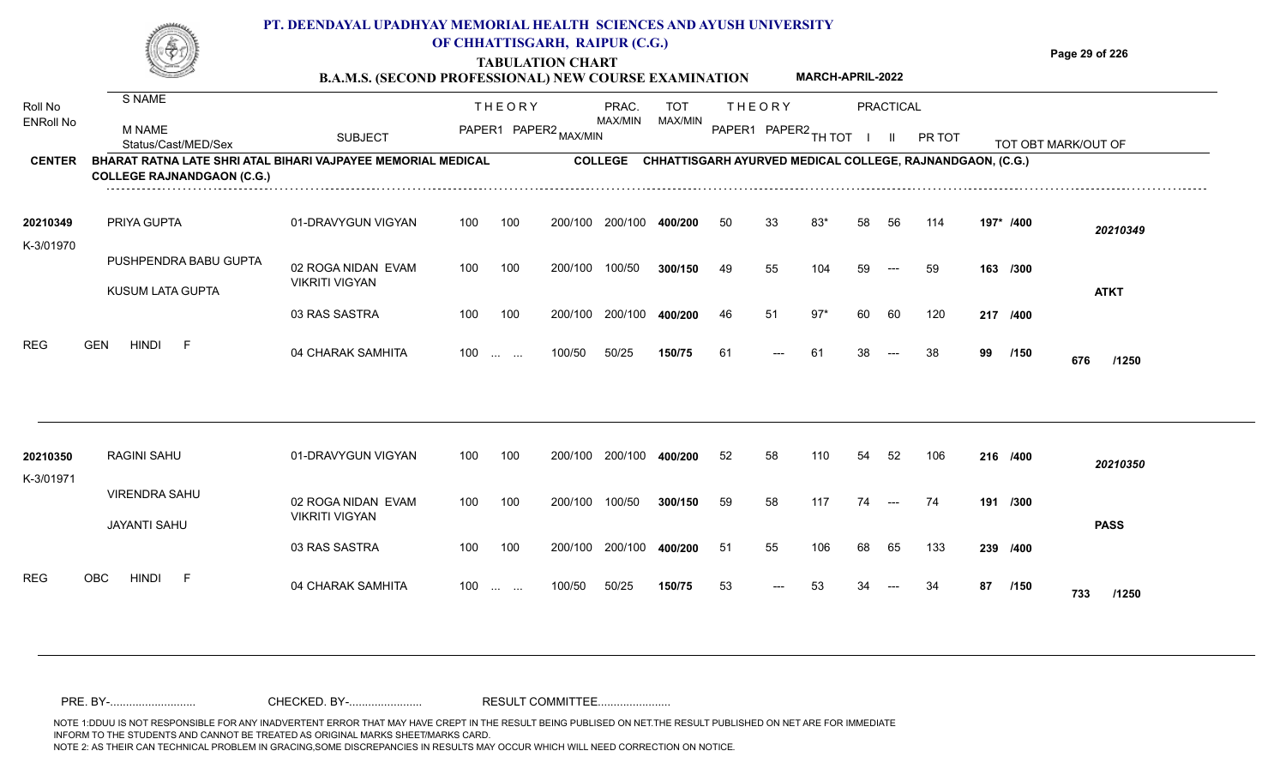

# **TABULATION CHART**

**Page 29 of 226**

#### **B.A.M.S. (SECOND PROFESSIONAL) NEW COURSE EXAMINATION MARCH-APRIL-2022**

| Roll No<br><b>ENRoll No</b> | S NAME<br><b>M NAME</b><br>Status/Cast/MED/Sex                                                           | <b>SUBJECT</b>                              |     | <b>THEORY</b>            | PAPER1 PAPER2 MAX/MIN | PRAC.<br>MAX/MIN | <b>TOT</b><br>MAX/MIN |    | <b>THEORY</b><br>PAPER1 PAPER2 TH TOT                     |       |    | <b>PRACTICAL</b><br>$\mathbf{H}$         | PR TOT |    |           | TOT OBT MARK/OUT OF |
|-----------------------------|----------------------------------------------------------------------------------------------------------|---------------------------------------------|-----|--------------------------|-----------------------|------------------|-----------------------|----|-----------------------------------------------------------|-------|----|------------------------------------------|--------|----|-----------|---------------------|
| <b>CENTER</b>               | <b>BHARAT RATNA LATE SHRI ATAL BIHARI VAJPAYEE MEMORIAL MEDICAL</b><br><b>COLLEGE RAJNANDGAON (C.G.)</b> |                                             |     |                          |                       | <b>COLLEGE</b>   |                       |    | CHHATTISGARH AYURVED MEDICAL COLLEGE, RAJNANDGAON, (C.G.) |       |    |                                          |        |    |           |                     |
| 20210349<br>K-3/01970       | PRIYA GUPTA                                                                                              | 01-DRAVYGUN VIGYAN                          | 100 | 100                      | 200/100               | 200/100          | 400/200               | 50 | 33                                                        | 83*   | 58 | 56                                       | 114    |    | 197* /400 | 20210349            |
|                             | PUSHPENDRA BABU GUPTA<br><b>KUSUM LATA GUPTA</b>                                                         | 02 ROGA NIDAN EVAM<br><b>VIKRITI VIGYAN</b> | 100 | 100                      | 200/100               | 100/50           | 300/150               | 49 | 55                                                        | 104   | 59 | $---$                                    | 59     |    | 163 /300  | <b>ATKT</b>         |
|                             |                                                                                                          | 03 RAS SASTRA                               | 100 | 100                      | 200/100               | 200/100          | 400/200               | 46 | 51                                                        | $97*$ | 60 | 60                                       | 120    |    | 217 /400  |                     |
| <b>REG</b>                  | <b>GEN</b><br><b>HINDI</b><br>F                                                                          | 04 CHARAK SAMHITA                           |     | 100                      | 100/50                | 50/25            | 150/75                | 61 | ---                                                       | -61   | 38 | $\hspace{0.05cm} \ldots \hspace{0.05cm}$ | -38    | 99 | /150      | 676<br>/1250        |
| 20210350<br>K-3/01971       | <b>RAGINI SAHU</b>                                                                                       | 01-DRAVYGUN VIGYAN                          | 100 | 100                      | 200/100               | 200/100          | 400/200               | 52 | 58                                                        | 110   | 54 | 52                                       | 106    |    | 216 /400  | 20210350            |
|                             | <b>VIRENDRA SAHU</b><br><b>JAYANTI SAHU</b>                                                              | 02 ROGA NIDAN EVAM<br><b>VIKRITI VIGYAN</b> | 100 | 100                      | 200/100               | 100/50           | 300/150               | 59 | 58                                                        | 117   | 74 | $---$                                    | 74     |    | 191 /300  | <b>PASS</b>         |
|                             |                                                                                                          | 03 RAS SASTRA                               | 100 | 100                      | 200/100               | 200/100          | 400/200               | 51 | 55                                                        | 106   | 68 | 65                                       | 133    |    | 239 /400  |                     |
| <b>REG</b>                  | <b>OBC</b><br><b>HINDI</b><br>F                                                                          | 04 CHARAK SAMHITA                           | 100 | <b>Contract Contract</b> | 100/50                | 50/25            | 150/75                | 53 | $---$                                                     | 53    | 34 |                                          | 34     | 87 | /150      | 733<br>/1250        |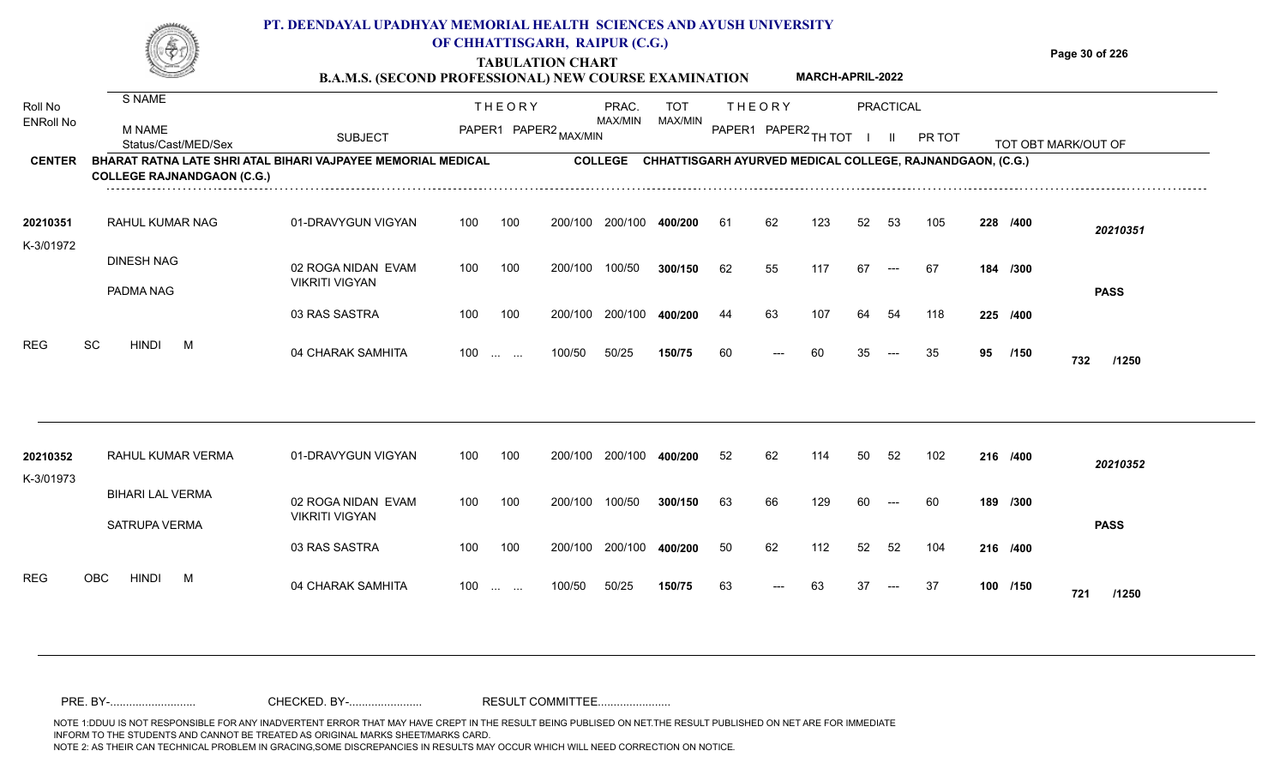

## **TABULATION CHART**

**Page 30 of 226**

#### **B.A.M.S. (SECOND PROFESSIONAL) NEW COURSE EXAMINATION MARCH-APRIL-2022**

| Roll No<br><b>ENRoll No</b> | S NAME<br><b>M NAME</b><br>Status/Cast/MED/Sex                                                    | <b>SUBJECT</b>                              |     | <b>THEORY</b><br>PAPER1 PAPER2 MAX/MIN |         | PRAC.<br><b>MAX/MIN</b> | <b>TOT</b><br>MAX/MIN                                     |    | <b>THEORY</b><br>PAPER1 PAPER2 TH TOT |     |    | PRACTICAL | PR TOT |    |          | TOT OBT MARK/OUT OF |
|-----------------------------|---------------------------------------------------------------------------------------------------|---------------------------------------------|-----|----------------------------------------|---------|-------------------------|-----------------------------------------------------------|----|---------------------------------------|-----|----|-----------|--------|----|----------|---------------------|
| <b>CENTER</b>               | BHARAT RATNA LATE SHRI ATAL BIHARI VAJPAYEE MEMORIAL MEDICAL<br><b>COLLEGE RAJNANDGAON (C.G.)</b> |                                             |     |                                        |         | <b>COLLEGE</b>          | CHHATTISGARH AYURVED MEDICAL COLLEGE, RAJNANDGAON, (C.G.) |    |                                       |     |    |           |        |    |          |                     |
| 20210351<br>K-3/01972       | <b>RAHUL KUMAR NAG</b>                                                                            | 01-DRAVYGUN VIGYAN                          | 100 | 100                                    | 200/100 | 200/100                 | 400/200                                                   | 61 | 62                                    | 123 | 52 | 53        | 105    |    | 228 /400 | 20210351            |
|                             | <b>DINESH NAG</b><br>PADMA NAG                                                                    | 02 ROGA NIDAN EVAM<br><b>VIKRITI VIGYAN</b> | 100 | 100                                    | 200/100 | 100/50                  | 300/150                                                   | 62 | 55                                    | 117 | 67 | $---$     | -67    |    | 184 /300 | <b>PASS</b>         |
|                             |                                                                                                   | 03 RAS SASTRA                               | 100 | 100                                    | 200/100 | 200/100                 | 400/200                                                   | 44 | 63                                    | 107 | 64 | 54        | 118    |    | 225 /400 |                     |
| <b>REG</b>                  | SC<br><b>HINDI</b><br>M                                                                           | 04 CHARAK SAMHITA                           |     | $100 \dots \dots$                      | 100/50  | 50/25                   | 150/75                                                    | 60 | ---                                   | 60  | 35 | $---$     | 35     | 95 | /150     | 732<br>/1250        |
| 20210352<br>K-3/01973       | RAHUL KUMAR VERMA                                                                                 | 01-DRAVYGUN VIGYAN                          | 100 | 100                                    | 200/100 | 200/100                 | 400/200                                                   | 52 | 62                                    | 114 | 50 | 52        | 102    |    | 216 /400 | 20210352            |
|                             | <b>BIHARI LAL VERMA</b><br>SATRUPA VERMA                                                          | 02 ROGA NIDAN EVAM<br><b>VIKRITI VIGYAN</b> | 100 | 100                                    | 200/100 | 100/50                  | 300/150                                                   | 63 | 66                                    | 129 | 60 |           | 60     |    | 189 /300 | <b>PASS</b>         |
|                             |                                                                                                   | 03 RAS SASTRA                               | 100 | 100                                    | 200/100 | 200/100                 | 400/200                                                   | 50 | 62                                    | 112 | 52 | 52        | 104    |    | 216 /400 |                     |
| <b>REG</b>                  | <b>HINDI</b><br>OBC<br>M                                                                          | 04 CHARAK SAMHITA                           | 100 | <b>Contract Contract</b>               | 100/50  | 50/25                   | 150/75                                                    | 63 |                                       | 63  | 37 |           | 37     |    | 100 /150 | 721<br>/1250        |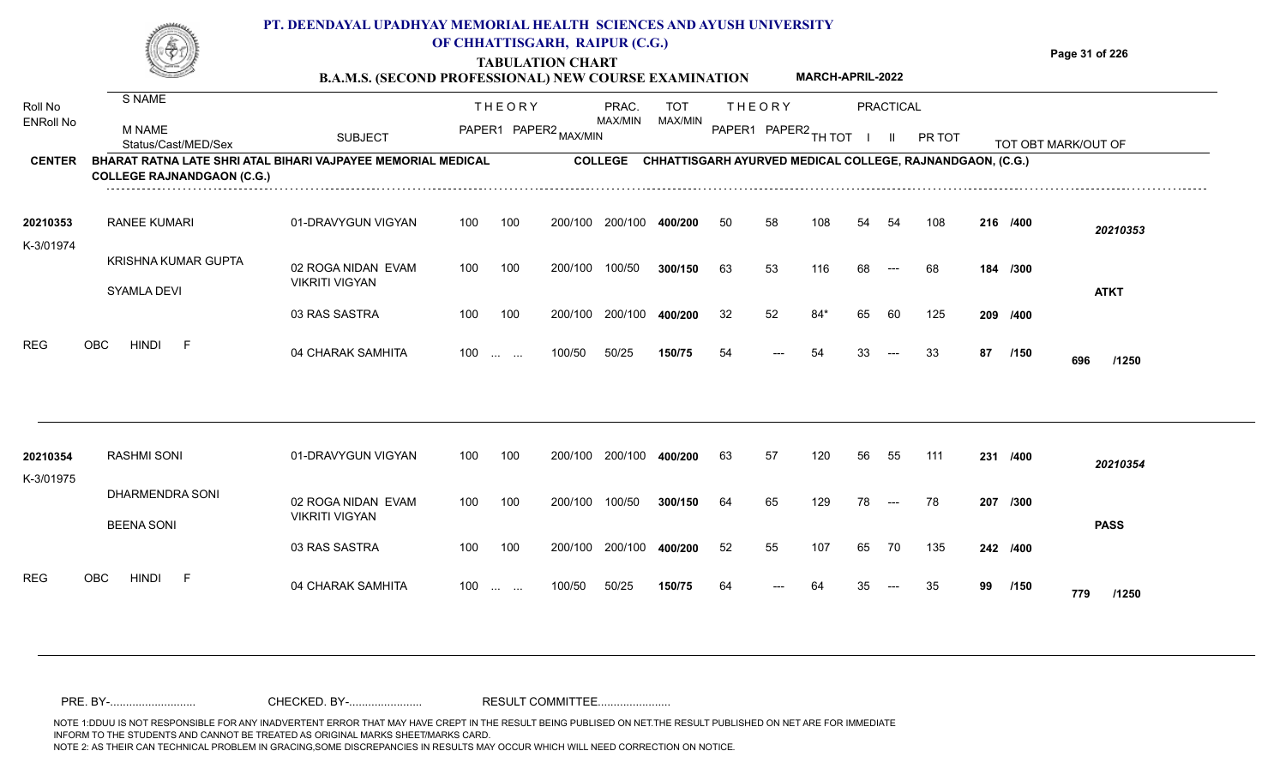**TABULATION CHART**

**Page 31 of 226**

#### **B.A.M.S. (SECOND PROFESSIONAL) NEW COURSE EXAMINATION MARCH-APRIL-2022**

| Roll No<br><b>ENRoll No</b> | S NAME<br><b>M NAME</b>                                                                           |                                             |     | <b>THEORY</b><br>PAPER1 PAPER2 MAX/MIN         |         | PRAC.<br><b>MAX/MIN</b> | <b>TOT</b><br>MAX/MIN                                     |    | <b>THEORY</b><br>PAPER1 PAPER2 TH TOT |       |    | PRACTICAL |        |    |          |                     |
|-----------------------------|---------------------------------------------------------------------------------------------------|---------------------------------------------|-----|------------------------------------------------|---------|-------------------------|-----------------------------------------------------------|----|---------------------------------------|-------|----|-----------|--------|----|----------|---------------------|
|                             | Status/Cast/MED/Sex                                                                               | <b>SUBJECT</b>                              |     |                                                |         |                         |                                                           |    |                                       |       |    |           | PR TOT |    |          | TOT OBT MARK/OUT OF |
| <b>CENTER</b>               | BHARAT RATNA LATE SHRI ATAL BIHARI VAJPAYEE MEMORIAL MEDICAL<br><b>COLLEGE RAJNANDGAON (C.G.)</b> |                                             |     |                                                |         | <b>COLLEGE</b>          | CHHATTISGARH AYURVED MEDICAL COLLEGE, RAJNANDGAON, (C.G.) |    |                                       |       |    |           |        |    |          |                     |
| 20210353<br>K-3/01974       | <b>RANEE KUMARI</b>                                                                               | 01-DRAVYGUN VIGYAN                          | 100 | 100                                            | 200/100 | 200/100                 | 400/200                                                   | 50 | 58                                    | 108   | 54 | 54        | 108    |    | 216 /400 | 20210353            |
|                             | KRISHNA KUMAR GUPTA<br>SYAMLA DEVI                                                                | 02 ROGA NIDAN EVAM<br><b>VIKRITI VIGYAN</b> | 100 | 100                                            | 200/100 | 100/50                  | 300/150                                                   | 63 | 53                                    | 116   | 68 |           | 68     |    | 184 /300 | <b>ATKT</b>         |
|                             |                                                                                                   | 03 RAS SASTRA                               | 100 | 100                                            | 200/100 | 200/100                 | 400/200                                                   | 32 | 52                                    | $84*$ | 65 | 60        | 125    |    | 209 /400 |                     |
| <b>REG</b>                  | <b>HINDI</b><br>OBC<br>-F                                                                         | 04 CHARAK SAMHITA                           | 100 | $\mathbf{r}$ and $\mathbf{r}$ and $\mathbf{r}$ | 100/50  | 50/25                   | 150/75                                                    | 54 | ---                                   | 54    | 33 | $---$     | 33     | 87 | /150     | 696<br>/1250        |
|                             |                                                                                                   |                                             |     |                                                |         |                         |                                                           |    |                                       |       |    |           |        |    |          |                     |
| 20210354<br>K-3/01975       | <b>RASHMI SONI</b>                                                                                | 01-DRAVYGUN VIGYAN                          | 100 | 100                                            | 200/100 | 200/100                 | 400/200                                                   | 63 | 57                                    | 120   | 56 | 55        | 111    |    | 231 /400 | 20210354            |
|                             | DHARMENDRA SONI<br><b>BEENA SONI</b>                                                              | 02 ROGA NIDAN EVAM<br><b>VIKRITI VIGYAN</b> | 100 | 100                                            | 200/100 | 100/50                  | 300/150                                                   | 64 | 65                                    | 129   | 78 | $---$     | 78     |    | 207 /300 | <b>PASS</b>         |
|                             |                                                                                                   | 03 RAS SASTRA                               | 100 | 100                                            | 200/100 | 200/100                 | 400/200                                                   | 52 | 55                                    | 107   | 65 | 70        | 135    |    | 242 /400 |                     |
| <b>REG</b>                  | OBC<br><b>HINDI</b><br>F                                                                          | 04 CHARAK SAMHITA                           | 100 | <b>Service</b> State                           | 100/50  | 50/25                   | 150/75                                                    | 64 | ---                                   | 64    | 35 | $---$     | 35     | 99 | /150     | 779<br>/1250        |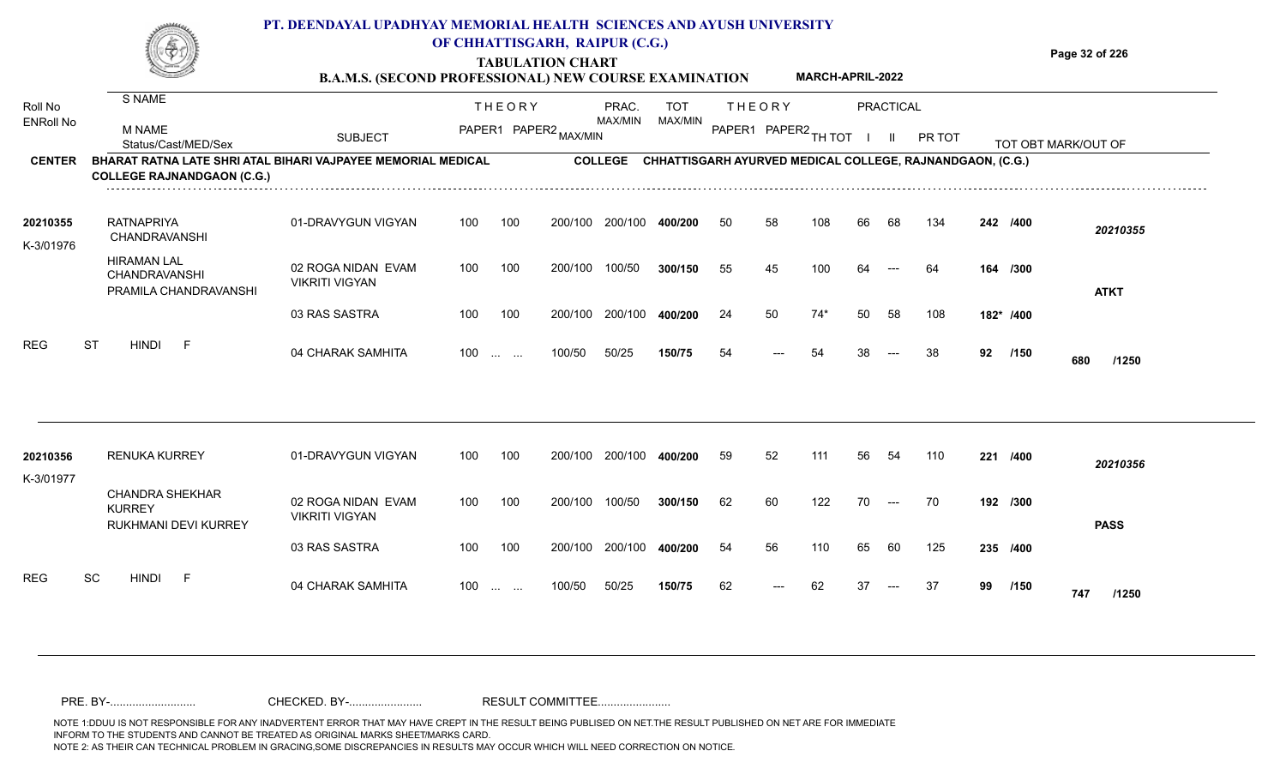

# **TABULATION CHART**

**Page 32 of 226**

#### **B.A.M.S. (SECOND PROFESSIONAL) NEW COURSE EXAMINATION MARCH-APRIL-2022**

| Roll No<br><b>ENRoll No</b><br><b>CENTER</b> | S NAME<br><b>M NAME</b><br>Status/Cast/MED/Sex<br>BHARAT RATNA LATE SHRI ATAL BIHARI VAJPAYEE MEMORIAL MEDICAL | <b>SUBJECT</b>                              |     | <b>THEORY</b><br>PAPER1 PAPER2 MAX/MIN |         | PRAC.<br>MAX/MIN<br><b>COLLEGE</b> | <b>TOT</b><br>MAX/MIN<br>CHHATTISGARH AYURVED MEDICAL COLLEGE, RAJNANDGAON, (C.G.) |    | <b>THEORY</b><br>PAPER1 PAPER2 TH TOT |       |    | PRACTICAL<br>H. | PR TOT |    |           | TOT OBT MARK/OUT OF |
|----------------------------------------------|----------------------------------------------------------------------------------------------------------------|---------------------------------------------|-----|----------------------------------------|---------|------------------------------------|------------------------------------------------------------------------------------|----|---------------------------------------|-------|----|-----------------|--------|----|-----------|---------------------|
|                                              | <b>COLLEGE RAJNANDGAON (C.G.)</b>                                                                              |                                             |     |                                        |         |                                    |                                                                                    |    |                                       |       |    |                 |        |    |           |                     |
| 20210355<br>K-3/01976                        | <b>RATNAPRIYA</b><br>CHANDRAVANSHI                                                                             | 01-DRAVYGUN VIGYAN                          | 100 | 100                                    | 200/100 | 200/100                            | 400/200                                                                            | 50 | 58                                    | 108   | 66 | 68              | 134    |    | 242 /400  | 20210355            |
|                                              | <b>HIRAMAN LAL</b><br>CHANDRAVANSHI<br>PRAMILA CHANDRAVANSHI                                                   | 02 ROGA NIDAN EVAM<br><b>VIKRITI VIGYAN</b> | 100 | 100                                    | 200/100 | 100/50                             | 300/150                                                                            | 55 | 45                                    | 100   | 64 |                 | -64    |    | 164 /300  | <b>ATKT</b>         |
|                                              |                                                                                                                | 03 RAS SASTRA                               | 100 | 100                                    | 200/100 | 200/100                            | 400/200                                                                            | 24 | 50                                    | $74*$ | 50 | 58              | 108    |    | 182* /400 |                     |
| <b>REG</b>                                   | <b>ST</b><br><b>HINDI</b><br>-F                                                                                | 04 CHARAK SAMHITA                           | 100 | $\mathbf{r}$ and $\mathbf{r}$          | 100/50  | 50/25                              | 150/75                                                                             | 54 | ---                                   | 54    | 38 | $---$           | 38     | 92 | /150      | 680<br>/1250        |
|                                              |                                                                                                                |                                             |     |                                        |         |                                    |                                                                                    |    |                                       |       |    |                 |        |    |           |                     |
| 20210356<br>K-3/01977                        | <b>RENUKA KURREY</b>                                                                                           | 01-DRAVYGUN VIGYAN                          | 100 | 100                                    | 200/100 | 200/100                            | 400/200                                                                            | 59 | 52                                    | 111   | 56 | 54              | 110    |    | 221 /400  | 20210356            |
|                                              | <b>CHANDRA SHEKHAR</b><br><b>KURREY</b><br>RUKHMANI DEVI KURREY                                                | 02 ROGA NIDAN EVAM<br><b>VIKRITI VIGYAN</b> | 100 | 100                                    | 200/100 | 100/50                             | 300/150                                                                            | 62 | 60                                    | 122   | 70 | $---$           | 70     |    | 192 /300  | <b>PASS</b>         |
|                                              |                                                                                                                | 03 RAS SASTRA                               | 100 | 100                                    | 200/100 | 200/100                            | 400/200                                                                            | 54 | 56                                    | 110   | 65 | 60              | 125    |    | 235 /400  |                     |
| <b>REG</b>                                   | SC<br><b>HINDI</b><br>- F                                                                                      | 04 CHARAK SAMHITA                           | 100 | <b>Contract Contract</b>               | 100/50  | 50/25                              | 150/75                                                                             | 62 | ---                                   | 62    | 37 | $---$           | 37     | 99 | /150      | 747<br>/1250        |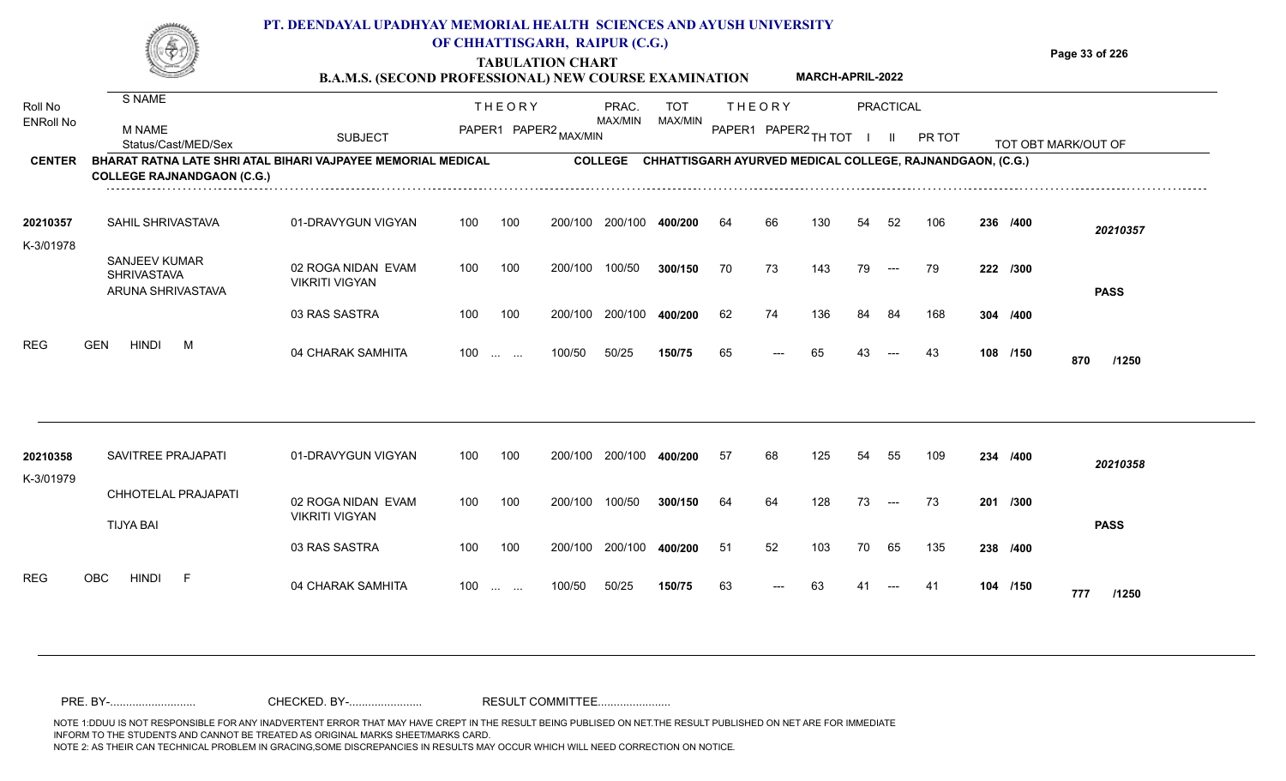| <b>Times Manual</b> | PT. DEENDAYAL UPADHYAY MEMORIAL HEALTH SCIENCES AND AYUSH UNIVERSITY                    |                |
|---------------------|-----------------------------------------------------------------------------------------|----------------|
| ⊛.                  | OF CHHATTISGARH, RAIPUR (C.G.)                                                          |                |
| <u>starti eta </u>  | <b>TABULATION CHART</b>                                                                 | Page 33 of 226 |
|                     | <b>MARCH-APRIL-2022</b><br><b>B.A.M.S. (SECOND PROFESSIONAL) NEW COURSE EXAMINATION</b> |                |

| Roll No               | S NAME                                                                                                   |                                             | <b>THEORY</b> |                                        | PRAC.<br>MAX/MIN      |                | <b>TOT</b> | <b>THEORY</b> |       |                      | PRACTICAL |                      |                                                           |          |                     |  |
|-----------------------|----------------------------------------------------------------------------------------------------------|---------------------------------------------|---------------|----------------------------------------|-----------------------|----------------|------------|---------------|-------|----------------------|-----------|----------------------|-----------------------------------------------------------|----------|---------------------|--|
| <b>ENRoll No</b>      | <b>M NAME</b><br>Status/Cast/MED/Sex                                                                     | <b>SUBJECT</b>                              |               |                                        | PAPER1 PAPER2 MAX/MIN |                | MAX/MIN    |               |       | PAPER1 PAPER2 TH TOT |           |                      | PR TOT                                                    |          | TOT OBT MARK/OUT OF |  |
| <b>CENTER</b>         | <b>BHARAT RATNA LATE SHRI ATAL BIHARI VAJPAYEE MEMORIAL MEDICAL</b><br><b>COLLEGE RAJNANDGAON (C.G.)</b> |                                             |               |                                        |                       | <b>COLLEGE</b> |            |               |       |                      |           |                      | CHHATTISGARH AYURVED MEDICAL COLLEGE, RAJNANDGAON, (C.G.) |          |                     |  |
| 20210357<br>K-3/01978 | SAHIL SHRIVASTAVA                                                                                        | 01-DRAVYGUN VIGYAN                          | 100           | 100                                    | 200/100               | 200/100        | 400/200    | 64            | 66    | 130                  | 54        | 52                   | 106                                                       | 236 /400 | 20210357            |  |
|                       | SANJEEV KUMAR<br><b>SHRIVASTAVA</b><br>ARUNA SHRIVASTAVA                                                 | 02 ROGA NIDAN EVAM<br><b>VIKRITI VIGYAN</b> | 100           | 100                                    | 200/100               | 100/50         | 300/150    | 70            | 73    | 143                  | 79        | $\hspace{0.05cm}---$ | 79                                                        | 222 /300 | <b>PASS</b>         |  |
|                       |                                                                                                          | 03 RAS SASTRA                               | 100           | 100                                    | 200/100               | 200/100        | 400/200    | 62            | 74    | 136                  | 84        | 84                   | 168                                                       | 304 /400 |                     |  |
| REG                   | <b>GEN</b><br><b>HINDI</b><br>M                                                                          | 04 CHARAK SAMHITA                           | 100           | <b>Contract Contract</b>               | 100/50                | 50/25          | 150/75     | 65            | $---$ | 65                   | 43        | $---$                | 43                                                        | 108 /150 | 870<br>/1250        |  |
|                       |                                                                                                          |                                             |               |                                        |                       |                |            |               |       |                      |           |                      |                                                           |          |                     |  |
| 20210358<br>K-3/01979 | SAVITREE PRAJAPATI                                                                                       | 01-DRAVYGUN VIGYAN                          | 100           | 100                                    | 200/100               | 200/100        | 400/200    | 57            | 68    | 125                  | 54        | 55                   | 109                                                       | 234 /400 | 20210358            |  |
|                       | CHHOTELAL PRAJAPATI<br><b>TIJYA BAI</b>                                                                  | 02 ROGA NIDAN EVAM<br><b>VIKRITI VIGYAN</b> | 100           | 100                                    | 200/100               | 100/50         | 300/150    | 64            | 64    | 128                  | 73        | $---$                | 73                                                        | 201 /300 | <b>PASS</b>         |  |
|                       |                                                                                                          | 03 RAS SASTRA                               | 100           | 100                                    | 200/100               | 200/100        | 400/200    | 51            | 52    | 103                  | 70        | 65                   | 135                                                       | 238 /400 |                     |  |
| <b>REG</b>            | <b>OBC</b><br><b>HINDI</b><br>- F                                                                        | 04 CHARAK SAMHITA                           | 100           | $\mathbf{r}$ . The set of $\mathbf{r}$ | 100/50                | 50/25          | 150/75     | 63            |       | 63                   |           |                      | -41                                                       | 104 /150 | 777<br>/1250        |  |

NOTE 1:DDUU IS NOT RESPONSIBLE FOR ANY INADVERTENT ERROR THAT MAY HAVE CREPT IN THE RESULT BEING PUBLISED ON NET.THE RESULT PUBLISHED ON NET ARE FOR IMMEDIATE INFORM TO THE STUDENTS AND CANNOT BE TREATED AS ORIGINAL MARKS SHEET/MARKS CARD.<br>NOTE 2: AS THEIR CAN TECHNICAL PROBLEM IN GRACING,SOME DISCREPANCIES IN RESULTS MAY OCCUR WHICH WILL NEED CORRECTION ON NOTICE. NOTE 2: AS THEIR CAN TECHNICAL PROBLEM IN GRACING,SOME DISCREPANCIES IN RESULTS MAY OCCUR WHICH WILL NEED CORRECTION ON NOTICE. PRE. BY-........................... CHECKED. BY-....................... RESULT COMMITTEE.......................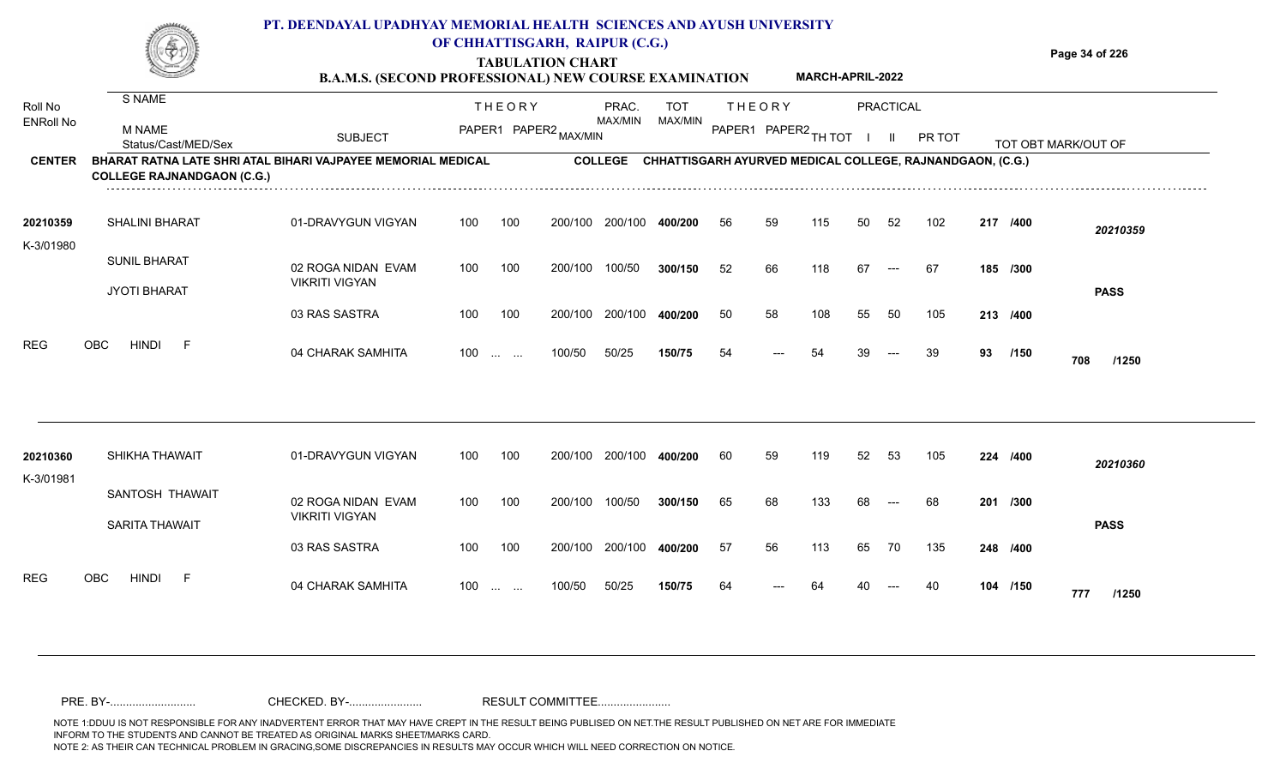**TABULATION CHART**

**Page 34 of 226**

#### **B.A.M.S. (SECOND PROFESSIONAL) NEW COURSE EXAMINATION MARCH-APRIL-2022**

| Roll No<br><b>ENRoll No</b> | S NAME<br><b>M NAME</b><br>Status/Cast/MED/Sex                                                    | <b>SUBJECT</b>                              | <b>THEORY</b><br>PAPER1 PAPER2 MAX/MIN |                               |         | PRAC.<br>MAX/MIN |                                                           |    | <b>THEORY</b> | <b>PRACTICAL</b><br>PAPER1 PAPER2 TH TOT<br>$\mathbf{H}$ |    |       | PR TOT |    |          | TOT OBT MARK/OUT OF |  |
|-----------------------------|---------------------------------------------------------------------------------------------------|---------------------------------------------|----------------------------------------|-------------------------------|---------|------------------|-----------------------------------------------------------|----|---------------|----------------------------------------------------------|----|-------|--------|----|----------|---------------------|--|
| <b>CENTER</b>               | BHARAT RATNA LATE SHRI ATAL BIHARI VAJPAYEE MEMORIAL MEDICAL<br><b>COLLEGE RAJNANDGAON (C.G.)</b> |                                             |                                        |                               |         | <b>COLLEGE</b>   | CHHATTISGARH AYURVED MEDICAL COLLEGE, RAJNANDGAON, (C.G.) |    |               |                                                          |    |       |        |    |          |                     |  |
| 20210359<br>K-3/01980       | <b>SHALINI BHARAT</b>                                                                             | 01-DRAVYGUN VIGYAN                          | 100                                    | 100                           | 200/100 | 200/100          | 400/200                                                   | 56 | 59            | 115                                                      | 50 | 52    | 102    |    | 217 /400 | 20210359            |  |
|                             | <b>SUNIL BHARAT</b><br><b>JYOTI BHARAT</b>                                                        | 02 ROGA NIDAN EVAM<br><b>VIKRITI VIGYAN</b> | 100                                    | 100                           | 200/100 | 100/50           | 300/150                                                   | 52 | 66            | 118                                                      | 67 | $---$ | 67     |    | 185 /300 | <b>PASS</b>         |  |
|                             |                                                                                                   | 03 RAS SASTRA                               | 100                                    | 100                           |         | 200/100 200/100  | 400/200                                                   | 50 | 58            | 108                                                      | 55 | 50    | 105    |    | 213 /400 |                     |  |
| <b>REG</b>                  | <b>OBC</b><br><b>HINDI</b><br>-F                                                                  | 04 CHARAK SAMHITA                           | 100                                    | $\mathbf{r}$ and $\mathbf{r}$ | 100/50  | 50/25            | 150/75                                                    | 54 | ---           | 54                                                       | 39 | $---$ | 39     | 93 | /150     | 708<br>/1250        |  |
| 20210360<br>K-3/01981       | SHIKHA THAWAIT                                                                                    | 01-DRAVYGUN VIGYAN                          | 100                                    | 100                           | 200/100 | 200/100          | 400/200                                                   | 60 | 59            | 119                                                      | 52 | 53    | 105    |    | 224 /400 | 20210360            |  |
|                             | SANTOSH THAWAIT<br><b>SARITA THAWAIT</b>                                                          | 02 ROGA NIDAN EVAM<br><b>VIKRITI VIGYAN</b> | 100                                    | 100                           | 200/100 | 100/50           | 300/150                                                   | 65 | 68            | 133                                                      | 68 |       | 68     |    | 201 /300 | <b>PASS</b>         |  |
|                             |                                                                                                   | 03 RAS SASTRA                               | 100                                    | 100                           | 200/100 | 200/100          | 400/200                                                   | 57 | 56            | 113                                                      | 65 | 70    | 135    |    | 248 /400 |                     |  |
| <b>REG</b>                  | <b>OBC</b><br>HINDI<br>- F                                                                        | 04 CHARAK SAMHITA                           | 100                                    | <b>Contract Contract</b>      | 100/50  | 50/25            | 150/75                                                    | 64 |               |                                                          |    |       |        |    | 104 /150 | 777<br>/1250        |  |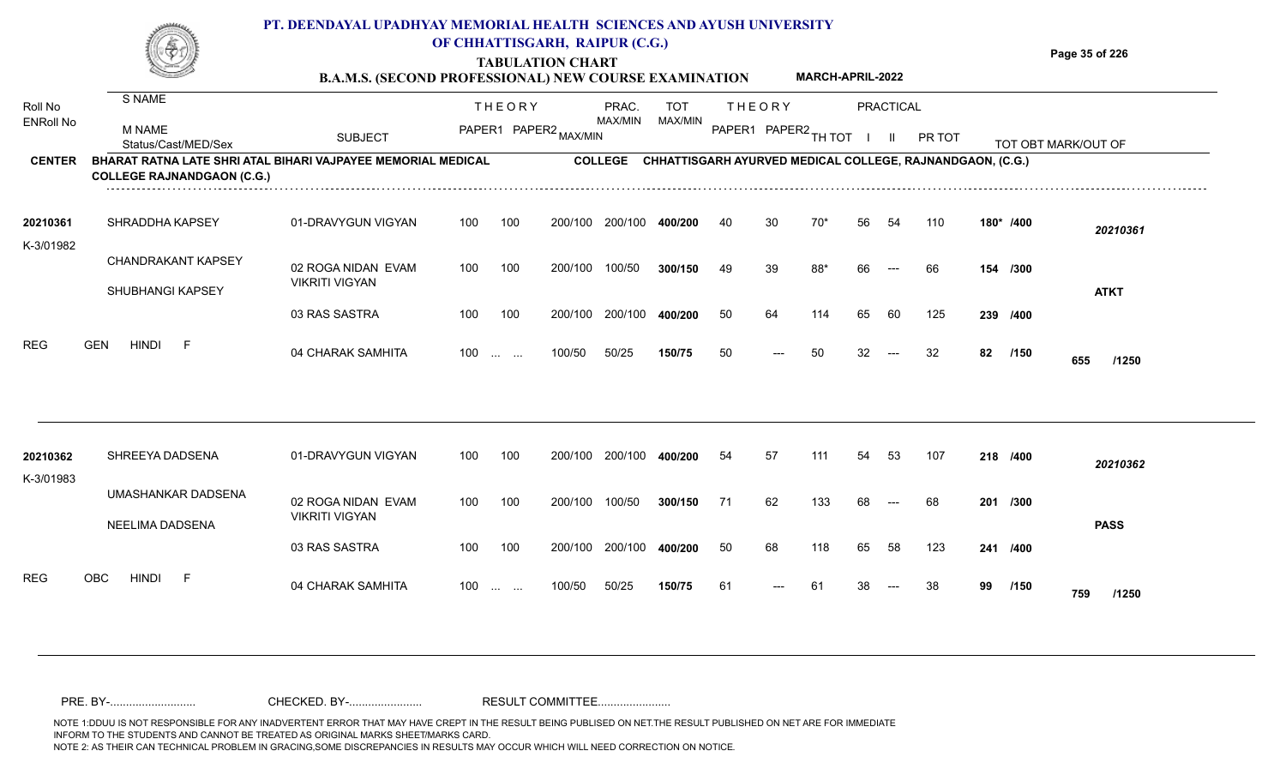**TABULATION CHART**

**Page 35 of 226**

#### **B.A.M.S. (SECOND PROFESSIONAL) NEW COURSE EXAMINATION MARCH-APRIL-2022**

| Roll No<br><b>ENRoll No</b> | S NAME<br><b>M NAME</b><br>Status/Cast/MED/Sex                                                    | <b>SUBJECT</b>                              | <b>THEORY</b><br>PAPER1 PAPER2 MAX/MIN |                                                |         | PRAC.<br>MAX/MIN |                                                           | <b>THEORY</b><br>MAX/MIN<br>PAPER1 PAPER2 TH TOT |     |     |    | PRACTICAL<br>$\mathbf{H}$ | PR TOT |    |           | TOT OBT MARK/OUT OF |  |
|-----------------------------|---------------------------------------------------------------------------------------------------|---------------------------------------------|----------------------------------------|------------------------------------------------|---------|------------------|-----------------------------------------------------------|--------------------------------------------------|-----|-----|----|---------------------------|--------|----|-----------|---------------------|--|
| <b>CENTER</b>               | BHARAT RATNA LATE SHRI ATAL BIHARI VAJPAYEE MEMORIAL MEDICAL<br><b>COLLEGE RAJNANDGAON (C.G.)</b> |                                             |                                        |                                                |         | <b>COLLEGE</b>   | CHHATTISGARH AYURVED MEDICAL COLLEGE, RAJNANDGAON, (C.G.) |                                                  |     |     |    |                           |        |    |           |                     |  |
| 20210361<br>K-3/01982       | SHRADDHA KAPSEY                                                                                   | 01-DRAVYGUN VIGYAN                          | 100                                    | 100                                            | 200/100 | 200/100          | 400/200                                                   | 40                                               | 30  | 70* | 56 | 54                        | 110    |    | 180* /400 | 20210361            |  |
|                             | <b>CHANDRAKANT KAPSEY</b><br>SHUBHANGI KAPSEY                                                     | 02 ROGA NIDAN EVAM<br><b>VIKRITI VIGYAN</b> | 100                                    | 100                                            | 200/100 | 100/50           | 300/150                                                   | 49                                               | 39  | 88* | 66 |                           | 66     |    | 154 /300  | <b>ATKT</b>         |  |
|                             |                                                                                                   | 03 RAS SASTRA                               | 100                                    | 100                                            | 200/100 | 200/100          | 400/200                                                   | 50                                               | 64  | 114 | 65 | 60                        | 125    |    | 239 /400  |                     |  |
| <b>REG</b>                  | <b>GEN</b><br><b>HINDI</b><br>- F                                                                 | 04 CHARAK SAMHITA                           | 100                                    | $\mathbf{r}$ and $\mathbf{r}$ and $\mathbf{r}$ | 100/50  | 50/25            | 150/75                                                    | 50                                               | --- | 50  | 32 | $---$                     | 32     | 82 | /150      | 655<br>/1250        |  |
| 20210362                    | SHREEYA DADSENA                                                                                   | 01-DRAVYGUN VIGYAN                          | 100                                    | 100                                            | 200/100 | 200/100          | 400/200                                                   | 54                                               | 57  | 111 | 54 | 53                        | 107    |    | 218 /400  | 20210362            |  |
| K-3/01983                   | UMASHANKAR DADSENA<br>NEELIMA DADSENA                                                             | 02 ROGA NIDAN EVAM<br><b>VIKRITI VIGYAN</b> | 100                                    | 100                                            | 200/100 | 100/50           | 300/150                                                   | 71                                               | 62  | 133 | 68 | $---$                     | 68     |    | 201 /300  | <b>PASS</b>         |  |
|                             |                                                                                                   | 03 RAS SASTRA                               | 100                                    | 100                                            | 200/100 | 200/100          | 400/200                                                   | 50                                               | 68  | 118 | 65 | 58                        | 123    |    | 241 /400  |                     |  |
| <b>REG</b>                  | <b>OBC</b><br><b>HINDI</b><br>- F                                                                 | 04 CHARAK SAMHITA                           | 100                                    | <b>Service Control</b>                         | 100/50  | 50/25            | 150/75                                                    | 61                                               |     | 61  |    |                           | 38     | 99 | /150      | 759<br>/1250        |  |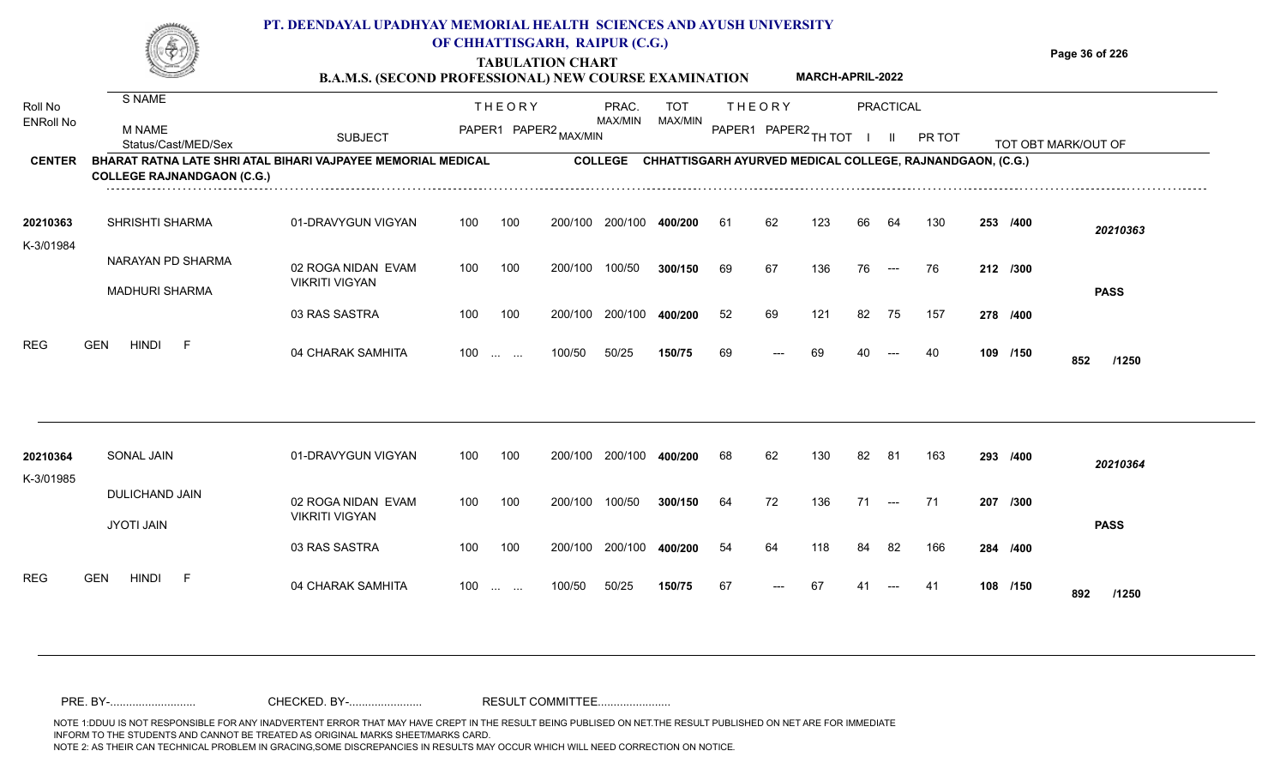**TABULATION CHART**

**Page 36 of 226**

|                       |                                                                                                   | LADULATIOR CHART<br>MARCH-APRIL-2022<br><b>B.A.M.S. (SECOND PROFESSIONAL) NEW COURSE EXAMINATION</b> |                   |     |                                  |                         |            |                      |       |                                                                   |    |                      |        |          |          |                     |
|-----------------------|---------------------------------------------------------------------------------------------------|------------------------------------------------------------------------------------------------------|-------------------|-----|----------------------------------|-------------------------|------------|----------------------|-------|-------------------------------------------------------------------|----|----------------------|--------|----------|----------|---------------------|
| Roll No               | S NAME                                                                                            |                                                                                                      | <b>THEORY</b>     |     | PRAC.                            |                         | <b>TOT</b> | <b>THEORY</b>        |       | PRACTICAL                                                         |    |                      |        |          |          |                     |
| <b>ENRoll No</b>      | M NAME<br>Status/Cast/MED/Sex                                                                     | <b>SUBJECT</b>                                                                                       |                   |     | MAX/MIN<br>PAPER1 PAPER2 MAX/MIN |                         | MAX/MIN    | PAPER1 PAPER2 TH TOT |       |                                                                   |    | $\mathbf{II}$        | PR TOT |          |          | TOT OBT MARK/OUT OF |
| <b>CENTER</b>         | BHARAT RATNA LATE SHRI ATAL BIHARI VAJPAYEE MEMORIAL MEDICAL<br><b>COLLEGE RAJNANDGAON (C.G.)</b> |                                                                                                      |                   |     |                                  |                         |            |                      |       | COLLEGE CHHATTISGARH AYURVED MEDICAL COLLEGE, RAJNANDGAON, (C.G.) |    |                      |        |          |          |                     |
| 20210363<br>K-3/01984 | SHRISHTI SHARMA                                                                                   | 01-DRAVYGUN VIGYAN                                                                                   | 100               | 100 |                                  | 200/100 200/100 400/200 |            | 61                   | 62    | 123                                                               | 66 | 64                   | 130    |          | 253 /400 | 20210363            |
|                       | NARAYAN PD SHARMA                                                                                 | 02 ROGA NIDAN EVAM                                                                                   | 100               | 100 | 200/100                          | 100/50                  | 300/150    | 69                   | 67    | 136                                                               | 76 | $\sim$ $\sim$        | 76     | 212 /300 |          |                     |
|                       | <b>MADHURI SHARMA</b>                                                                             | <b>VIKRITI VIGYAN</b>                                                                                |                   |     |                                  |                         |            |                      |       |                                                                   |    |                      |        |          |          | <b>PASS</b>         |
|                       |                                                                                                   | 03 RAS SASTRA                                                                                        | 100               | 100 |                                  | 200/100 200/100         | 400/200    | 52                   | 69    | 121                                                               | 82 | 75                   | 157    |          | 278 /400 |                     |
| <b>REG</b>            | <b>HINDI</b><br><b>GEN</b><br>-F                                                                  | 04 CHARAK SAMHITA                                                                                    | $100 \dots \dots$ |     | 100/50                           | 50/25                   | 150/75     | 69                   | $---$ | 69                                                                | 40 | $---$                | 40     |          | 109 /150 | 852<br>/1250        |
| 20210364              | SONAL JAIN                                                                                        | 01-DRAVYGUN VIGYAN                                                                                   | 100               | 100 |                                  | 200/100 200/100         | 400/200    | 68                   | 62    | 130                                                               | 82 | 81                   | 163    |          | 293 /400 | 20210364            |
| K-3/01985             |                                                                                                   |                                                                                                      |                   |     |                                  |                         |            |                      |       |                                                                   |    |                      |        |          |          |                     |
|                       | DULICHAND JAIN<br><b>JYOTI JAIN</b>                                                               | 02 ROGA NIDAN EVAM<br><b>VIKRITI VIGYAN</b>                                                          | 100               | 100 | 200/100                          | 100/50                  | 300/150    | 64                   | 72    | 136                                                               | 71 | $\hspace{0.05cm}---$ | 71     |          | 207 /300 | <b>PASS</b>         |
|                       |                                                                                                   | 03 RAS SASTRA                                                                                        | 100               | 100 |                                  | 200/100 200/100         | 400/200    | 54                   | 64    | 118                                                               | 84 | 82                   | 166    |          | 284 /400 |                     |
| <b>REG</b>            | <b>GEN</b><br>HINDI F                                                                             | 04 CHARAK SAMHITA                                                                                    | $100$             |     | 100/50                           | 50/25                   | 150/75     | 67                   | $---$ | 67                                                                | 41 |                      | 41     |          | 108 /150 | 892<br>/1250        |
|                       |                                                                                                   |                                                                                                      |                   |     |                                  |                         |            |                      |       |                                                                   |    |                      |        |          |          |                     |

NOTE 1:DDUU IS NOT RESPONSIBLE FOR ANY INADVERTENT ERROR THAT MAY HAVE CREPT IN THE RESULT BEING PUBLISED ON NET.THE RESULT PUBLISHED ON NET ARE FOR IMMEDIATE INFORM TO THE STUDENTS AND CANNOT BE TREATED AS ORIGINAL MARKS SHEET/MARKS CARD.<br>NOTE 2: AS THEIR CAN TECHNICAL PROBLEM IN GRACING,SOME DISCREPANCIES IN RESULTS MAY OCCUR WHICH WILL NEED CORRECTION ON NOTICE. NOTE 2: AS THEIR CAN TECHNICAL PROBLEM IN GRACING,SOME DISCREPANCIES IN RESULTS MAY OCCUR WHICH WILL NEED CORRECTION ON NOTICE. PRE. BY-........................... CHECKED. BY-....................... RESULT COMMITTEE.......................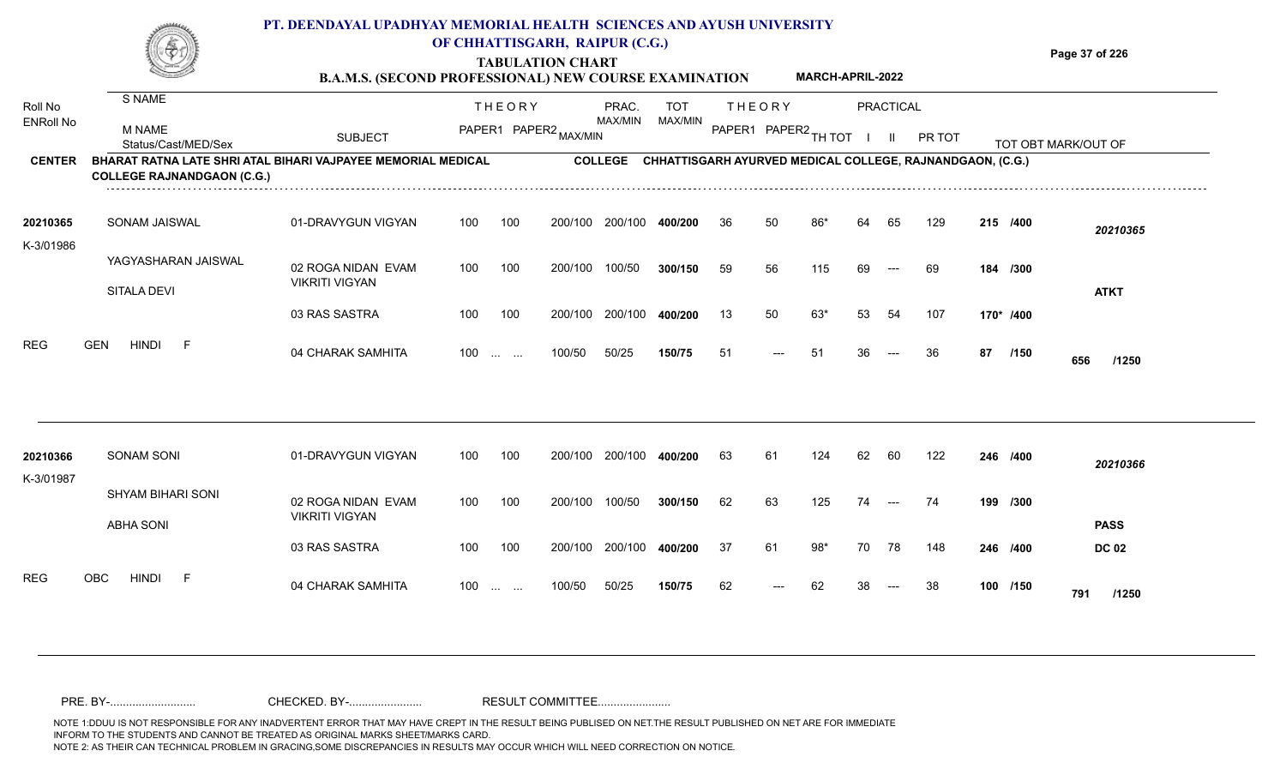## **PT. DEENDAYAL UPADHYAY MEMORIAL HEALTH SCIENCES AND AYUSH UNIVERSITY OF CHHATTISGARH, RAIPUR (C.G.)**



# **TABULATION CHART**

**Page 37 of 226**

#### **B.A.M.S. (SECOND PROFESSIONAL) NEW COURSE EXAMINATION MARCH-APRIL-2022**

| Roll No<br><b>ENRoll No</b> | S NAME<br>M NAME<br>Status/Cast/MED/Sex                                                           | <b>SUBJECT</b>                              |                   | <b>THEORY</b><br>PAPER1 PAPER2 MAX/MIN |         | PRAC.<br>MAX/MIN | <b>TOT</b><br>MAX/MIN |    | <b>THEORY</b><br>PAPER1 PAPER2 TH TOT |       |    | <b>PRACTICAL</b><br>$\mathbf{II}$ | PR TOT                                                    |    |           | TOT OBT MARK/OUT OF |
|-----------------------------|---------------------------------------------------------------------------------------------------|---------------------------------------------|-------------------|----------------------------------------|---------|------------------|-----------------------|----|---------------------------------------|-------|----|-----------------------------------|-----------------------------------------------------------|----|-----------|---------------------|
| <b>CENTER</b>               | BHARAT RATNA LATE SHRI ATAL BIHARI VAJPAYEE MEMORIAL MEDICAL<br><b>COLLEGE RAJNANDGAON (C.G.)</b> |                                             |                   |                                        |         | <b>COLLEGE</b>   |                       |    |                                       |       |    |                                   | CHHATTISGARH AYURVED MEDICAL COLLEGE, RAJNANDGAON, (C.G.) |    |           |                     |
| 20210365<br>K-3/01986       | SONAM JAISWAL                                                                                     | 01-DRAVYGUN VIGYAN                          | 100               | 100                                    | 200/100 | 200/100          | 400/200               | 36 | 50                                    | 86*   | 64 | 65                                | 129                                                       |    | 215 /400  | 20210365            |
|                             | YAGYASHARAN JAISWAL<br>SITALA DEVI                                                                | 02 ROGA NIDAN EVAM<br><b>VIKRITI VIGYAN</b> | 100               | 100                                    | 200/100 | 100/50           | 300/150               | 59 | 56                                    | 115   | 69 | $---$                             | 69                                                        |    | 184 /300  | <b>ATKT</b>         |
|                             |                                                                                                   | 03 RAS SASTRA                               | 100               | 100                                    | 200/100 | 200/100          | 400/200               | 13 | 50                                    | 63*   | 53 | 54                                | 107                                                       |    | 170* /400 |                     |
| <b>REG</b>                  | <b>HINDI</b><br><b>GEN</b><br>- F                                                                 | 04 CHARAK SAMHITA                           | $100 \dots \dots$ |                                        | 100/50  | 50/25            | 150/75                | 51 | ---                                   | 51    | 36 | $---$                             | 36                                                        | 87 | /150      | 656<br>/1250        |
| 20210366<br>K-3/01987       | <b>SONAM SONI</b>                                                                                 | 01-DRAVYGUN VIGYAN                          | 100               | 100                                    | 200/100 | 200/100          | 400/200               | 63 | 61                                    | 124   | 62 | 60                                | 122                                                       |    | 246 /400  | 20210366            |
|                             | <b>SHYAM BIHARI SONI</b><br><b>ABHA SONI</b>                                                      | 02 ROGA NIDAN EVAM<br><b>VIKRITI VIGYAN</b> | 100               | 100                                    | 200/100 | 100/50           | 300/150               | 62 | 63                                    | 125   | 74 | $---$                             | 74                                                        |    | 199 /300  | <b>PASS</b>         |
|                             |                                                                                                   | 03 RAS SASTRA                               | 100               | 100                                    | 200/100 | 200/100          | 400/200               | 37 | 61                                    | $98*$ | 70 | 78                                | 148                                                       |    | 246 /400  | <b>DC 02</b>        |
| <b>REG</b>                  | <b>OBC</b><br><b>HINDI</b><br>- F                                                                 | 04 CHARAK SAMHITA                           | 100               | <b>Contract Contract</b>               | 100/50  | 50/25            | 150/75                | 62 |                                       | 62    |    |                                   | 38                                                        |    | 100 /150  | 791<br>/1250        |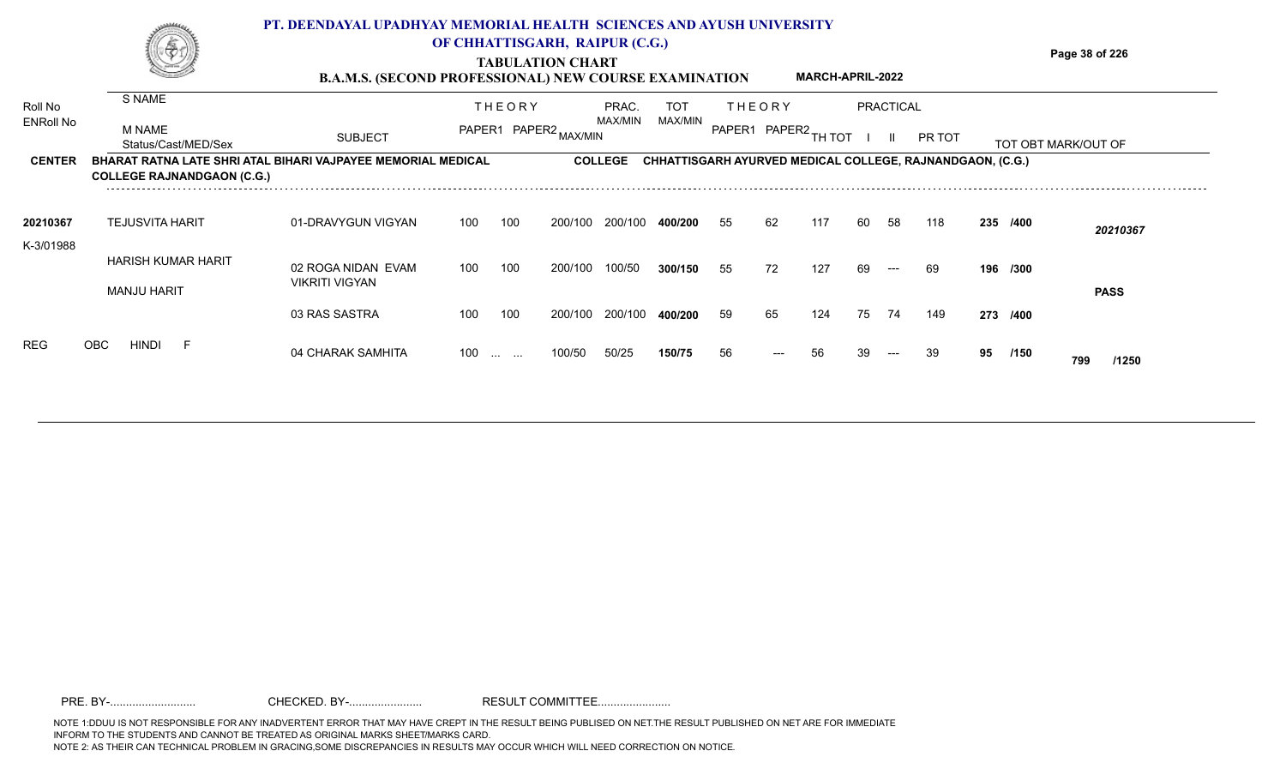|                      |                                                                                                          | PT. DEENDAYAL UPADHYAY MEMORIAL HEALTH SCIENCES AND AYUSH UNIVERSITY |     |               |                                                           |                  |                       |    |                                                                  |                         |    |           |        |    |          |                     |
|----------------------|----------------------------------------------------------------------------------------------------------|----------------------------------------------------------------------|-----|---------------|-----------------------------------------------------------|------------------|-----------------------|----|------------------------------------------------------------------|-------------------------|----|-----------|--------|----|----------|---------------------|
|                      |                                                                                                          | <b>B.A.M.S. (SECOND PROFESSIONAL) NEW COURSE EXAMINATION</b>         |     |               | OF CHHATTISGARH, RAIPUR (C.G.)<br><b>TABULATION CHART</b> |                  |                       |    |                                                                  | <b>MARCH-APRIL-2022</b> |    |           |        |    |          | Page 38 of 226      |
| Roll No<br>ENRoll No | S NAME                                                                                                   |                                                                      |     | <b>THEORY</b> |                                                           | PRAC.<br>MAX/MIN | <b>TOT</b><br>MAX/MIN |    | THEORY                                                           |                         |    | PRACTICAL |        |    |          |                     |
|                      | M NAME<br>Status/Cast/MED/Sex                                                                            | <b>SUBJECT</b>                                                       |     |               | PAPER1 PAPER2 MAX/MIN                                     |                  |                       |    | PAPER1 PAPER2                                                    | ТН ТОТ                  |    |           | PR TOT |    |          | TOT OBT MARK/OUT OF |
| <b>CENTER</b>        | <b>BHARAT RATNA LATE SHRI ATAL BIHARI VAJPAYEE MEMORIAL MEDICAL</b><br><b>COLLEGE RAJNANDGAON (C.G.)</b> |                                                                      |     |               |                                                           | <b>COLLEGE</b>   |                       |    | <b>CHHATTISGARH AYURVED MEDICAL COLLEGE, RAJNANDGAON, (C.G.)</b> |                         |    |           |        |    |          |                     |
| 20210367             | <b>TEJUSVITA HARIT</b>                                                                                   | 01-DRAVYGUN VIGYAN                                                   | 100 | 100           | 200/100                                                   | 200/100          | 400/200               | 55 | 62                                                               | 117                     | 60 | -58       | 118    |    | 235 /400 | 20210367            |
| K-3/01988            | <b>HARISH KUMAR HARIT</b>                                                                                | 02 ROGA NIDAN EVAM<br><b>VIKRITI VIGYAN</b>                          | 100 | 100           | 200/100                                                   | 100/50           | 300/150               | 55 | 72                                                               | 127                     | 69 |           | -69    |    | 196 /300 |                     |
|                      | <b>MANJU HARIT</b>                                                                                       | 03 RAS SASTRA                                                        | 100 | 100           | 200/100                                                   | 200/100          | 400/200               | 59 | 65                                                               | 124                     | 75 | 74        | 149    |    | 273 /400 | <b>PASS</b>         |
|                      | OBC<br><b>HINDI</b>                                                                                      | 04 CHARAK SAMHITA                                                    | 100 |               | 100/50                                                    | 50/25            | 150/75                | 56 |                                                                  |                         |    |           | 39     | 95 | /150     | 799<br>/1250        |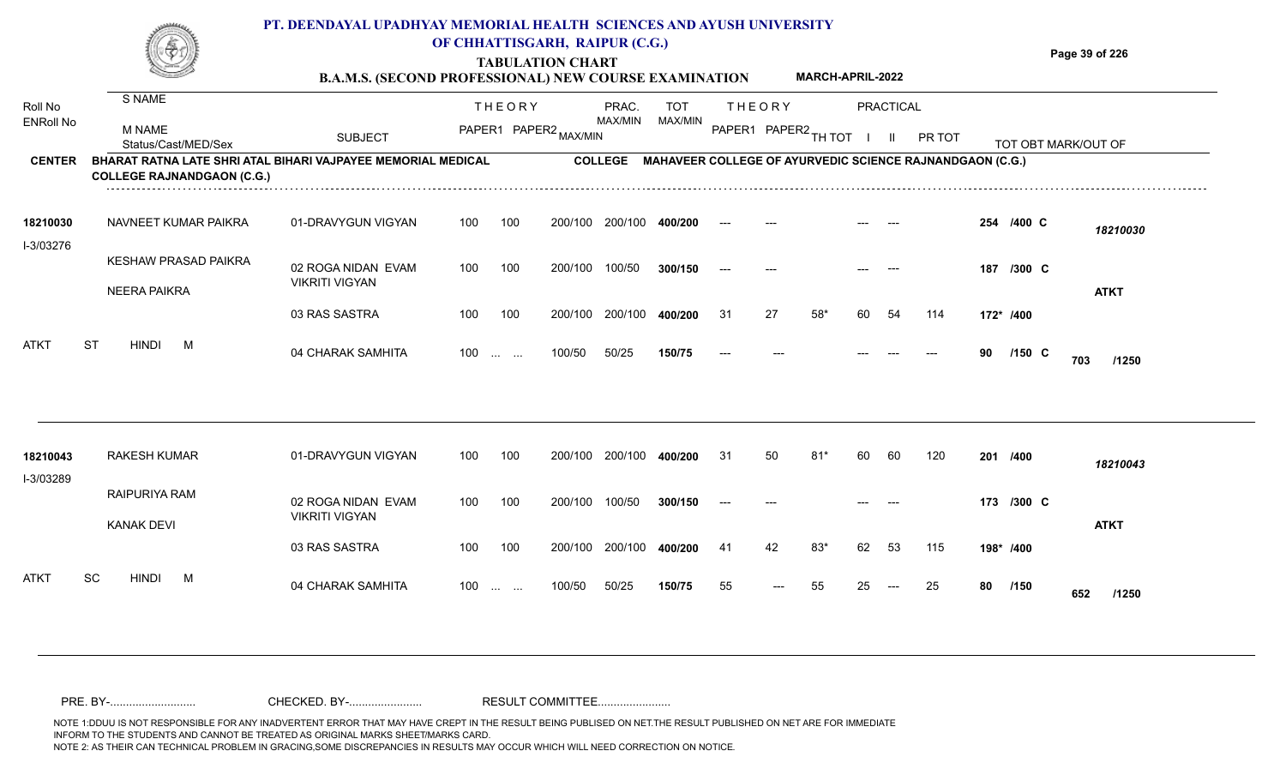|                             |                                   | PT. DEENDAYAL UPADHYAY MEMORIAL HEALTH SCIENCES AND AYUSH UNIVERSITY<br><b>B.A.M.S. (SECOND PROFESSIONAL) NEW COURSE EXAMINATION</b> |       | OF CHHATTISGARH, RAIPUR (C.G.)<br><b>TABULATION CHART</b>     |         |                  |                       |       |               | <b>MARCH-APRIL-2022</b> |        |                  |                                                                  |           |            | Page 39 of 226      |
|-----------------------------|-----------------------------------|--------------------------------------------------------------------------------------------------------------------------------------|-------|---------------------------------------------------------------|---------|------------------|-----------------------|-------|---------------|-------------------------|--------|------------------|------------------------------------------------------------------|-----------|------------|---------------------|
| Roll No<br><b>ENRoll No</b> | S NAME                            |                                                                                                                                      |       | <b>THEORY</b>                                                 |         | PRAC.<br>MAX/MIN | <b>TOT</b><br>MAX/MIN |       | <b>THEORY</b> |                         |        | <b>PRACTICAL</b> |                                                                  |           |            |                     |
|                             | M NAME<br>Status/Cast/MED/Sex     | <b>SUBJECT</b>                                                                                                                       |       | PAPER1 PAPER2 MAX/MIN                                         |         |                  |                       |       |               | PAPER1 PAPER2 TH TOT    | $\Box$ | $\mathbf{H}$     | PR TOT                                                           |           |            | TOT OBT MARK/OUT OF |
| <b>CENTER</b>               | <b>COLLEGE RAJNANDGAON (C.G.)</b> | BHARAT RATNA LATE SHRI ATAL BIHARI VAJPAYEE MEMORIAL MEDICAL                                                                         |       |                                                               |         |                  |                       |       |               |                         |        |                  | COLLEGE MAHAVEER COLLEGE OF AYURVEDIC SCIENCE RAJNANDGAON (C.G.) |           |            |                     |
| 18210030<br>I-3/03276       | NAVNEET KUMAR PAIKRA              | 01-DRAVYGUN VIGYAN                                                                                                                   | 100   | 100                                                           | 200/100 | 200/100          | 400/200               |       |               |                         |        |                  |                                                                  |           | 254 /400 C | 18210030            |
|                             | KESHAW PRASAD PAIKRA              | 02 ROGA NIDAN EVAM                                                                                                                   | 100   | 100                                                           |         | 200/100 100/50   | 300/150               | $---$ |               |                         |        |                  |                                                                  |           | 187 /300 C |                     |
|                             | <b>NEERA PAIKRA</b>               | <b>VIKRITI VIGYAN</b>                                                                                                                |       |                                                               |         |                  |                       |       |               |                         |        |                  |                                                                  |           |            | <b>ATKT</b>         |
|                             |                                   | 03 RAS SASTRA                                                                                                                        | 100   | 100                                                           | 200/100 | 200/100          | 400/200               | 31    | 27            | $58*$                   | 60     | -54              | 114                                                              | 172* /400 |            |                     |
| <b>ATKT</b>                 | <b>HINDI</b><br><b>ST</b><br>M    | 04 CHARAK SAMHITA                                                                                                                    | $100$ |                                                               | 100/50  | 50/25            | 150/75                | $---$ |               |                         |        |                  |                                                                  | 90        | $/150$ C   | 703<br>/1250        |
| 18210043                    | <b>RAKESH KUMAR</b>               | 01-DRAVYGUN VIGYAN                                                                                                                   | 100   | 100                                                           | 200/100 | 200/100          | 400/200               | 31    | 50            | 81'                     | 60     | 60               | 120                                                              |           | 201 /400   | 18210043            |
| I-3/03289                   | RAIPURIYA RAM                     | 02 ROGA NIDAN EVAM                                                                                                                   | 100   | 100                                                           |         | 200/100 100/50   | 300/150               |       |               |                         |        |                  |                                                                  |           | 173 /300 C |                     |
|                             | <b>KANAK DEVI</b>                 | <b>VIKRITI VIGYAN</b>                                                                                                                |       |                                                               |         |                  |                       |       |               |                         |        |                  |                                                                  |           |            | <b>ATKT</b>         |
|                             |                                   | 03 RAS SASTRA                                                                                                                        | 100   | 100                                                           | 200/100 | 200/100          | 400/200               | 41    | 42            | 83*                     | 62     | 53               | 115                                                              |           | 198* /400  |                     |
| <b>ATKT</b>                 | <b>SC</b><br><b>HINDI</b><br>M    | 04 CHARAK SAMHITA                                                                                                                    | 100   | $\mathcal{L}_{\mathcal{F}}$ , and $\mathcal{L}_{\mathcal{F}}$ | 100/50  | 50/25            | 150/75                | 55    | $---$         | 55                      | 25     | $---$            | 25                                                               | 80        | /150       | 652<br>/1250        |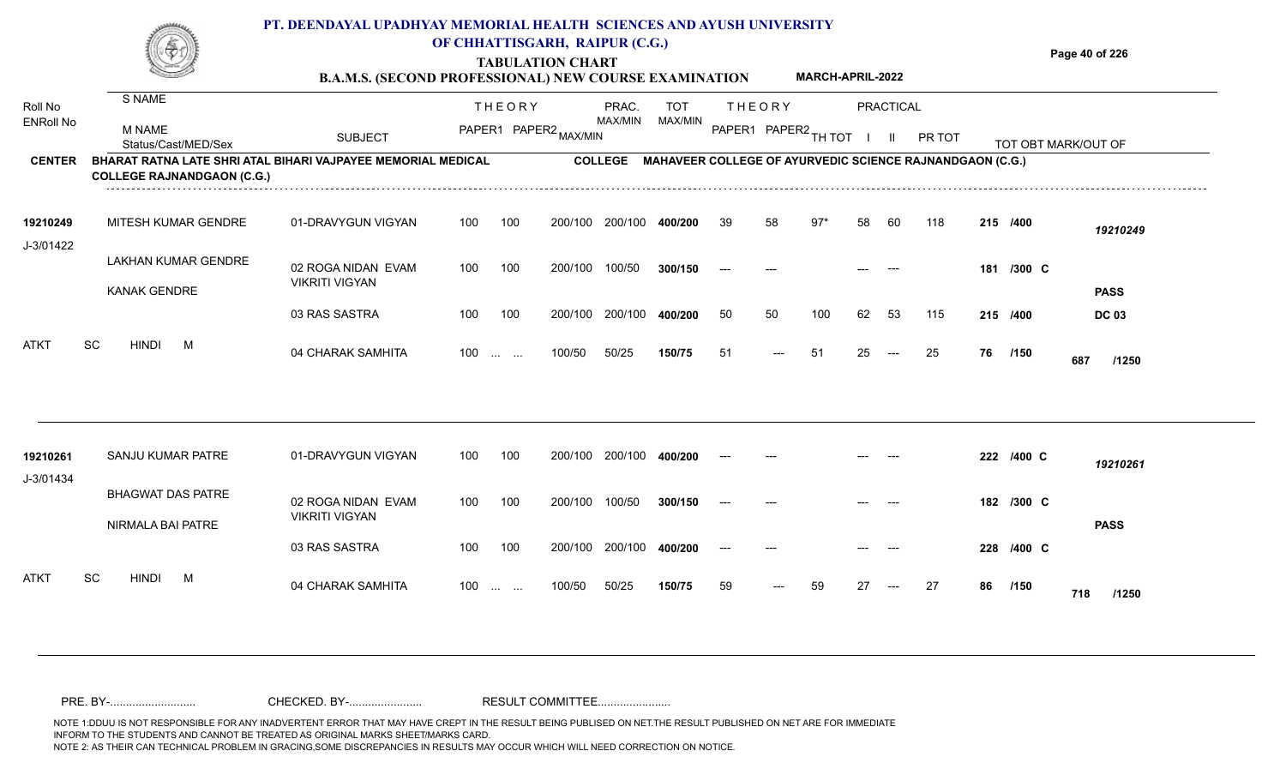|     | PT. DEENDAYAL UPADHYAY MEMORIAL HEALTH SCIENCES AND AYUSH UNIVERSITY |                         |                |
|-----|----------------------------------------------------------------------|-------------------------|----------------|
| (4) | OF CHHATTISGARH, RAIPUR (C.G.)                                       |                         |                |
| Š   | <b>TABULATION CHART</b>                                              |                         | Page 40 of 226 |
|     | <b>B.A.M.S. (SECOND PROFESSIONAL) NEW COURSE EXAMINATION</b>         | <b>MARCH-APRIL-2022</b> |                |

| Roll No               | S NAME                                                                                                   |                                             |     | <b>THEORY</b>                                  |                       | PRAC.          | <b>TOT</b>                                               |    | <b>THEORY</b> |                      |    | PRACTICAL |        |    |                     |              |
|-----------------------|----------------------------------------------------------------------------------------------------------|---------------------------------------------|-----|------------------------------------------------|-----------------------|----------------|----------------------------------------------------------|----|---------------|----------------------|----|-----------|--------|----|---------------------|--------------|
| <b>ENRoll No</b>      | M NAME<br>Status/Cast/MED/Sex                                                                            | <b>SUBJECT</b>                              |     |                                                | PAPER1 PAPER2 MAX/MIN | MAX/MIN        | MAX/MIN                                                  |    |               | PAPER1 PAPER2 TH TOT |    |           | PR TOT |    | TOT OBT MARK/OUT OF |              |
| <b>CENTER</b>         | <b>BHARAT RATNA LATE SHRI ATAL BIHARI VAJPAYEE MEMORIAL MEDICAL</b><br><b>COLLEGE RAJNANDGAON (C.G.)</b> |                                             |     |                                                |                       | <b>COLLEGE</b> | MAHAVEER COLLEGE OF AYURVEDIC SCIENCE RAJNANDGAON (C.G.) |    |               |                      |    |           |        |    |                     |              |
| 19210249<br>J-3/01422 | MITESH KUMAR GENDRE                                                                                      | 01-DRAVYGUN VIGYAN                          | 100 | 100                                            | 200/100               | 200/100        | 400/200                                                  | 39 | 58            | $97*$                | 58 | 60        | 118    |    | 215 /400            | 19210249     |
|                       | LAKHAN KUMAR GENDRE<br>KANAK GENDRE                                                                      | 02 ROGA NIDAN EVAM<br><b>VIKRITI VIGYAN</b> | 100 | 100                                            | 200/100               | 100/50         | 300/150                                                  |    |               |                      |    |           |        |    | 181 /300 C          | <b>PASS</b>  |
|                       |                                                                                                          | 03 RAS SASTRA                               | 100 | 100                                            | 200/100               | 200/100        | 400/200                                                  | 50 | 50            | 100                  | 62 | 53        | 115    |    | 215 /400            | <b>DC 03</b> |
| <b>ATKT</b>           | <b>SC</b><br><b>HINDI</b><br>M                                                                           | 04 CHARAK SAMHITA                           | 100 | $\mathbf{r}$ and $\mathbf{r}$ and $\mathbf{r}$ | 100/50                | 50/25          | 150/75                                                   | 51 | $---$         | -51                  | 25 | $---$     | 25     | 76 | /150                | 687<br>/1250 |
|                       |                                                                                                          |                                             |     |                                                |                       |                |                                                          |    |               |                      |    |           |        |    |                     |              |
| 19210261<br>J-3/01434 | SANJU KUMAR PATRE                                                                                        | 01-DRAVYGUN VIGYAN                          | 100 | 100                                            | 200/100               | 200/100        | 400/200                                                  |    |               |                      |    |           |        |    | 222 /400 C          | 19210261     |

02 ROGA NIDAN EVAM VIKRITI VIGYAN 03 RAS SASTRA 04 CHARAK SAMHITA 100 … … 100/50 50/25 **150/75** 59 --- 59 27 --- 27 **86 /150 718 /1250** 100 100 200/100 200/100 400/200 100/50 50/25 **150/75** 100/50 **300/150** 200/100 **400/200** --- 100 ... ... 100/50 50/25 **150/75** 59 --- 59 27 **/300** --- --- --- **182 C /400** --- --- --- --- **228 C /150** BHAGWAT DAS PATRE NIRMALA BAI PATRE ATKT SC HINDI M 04 CHARAK SAMHITA J-3/01434 100 200/100 100/50 <sup>59</sup> <sup>59</sup> <sup>27</sup> <sup>27</sup> **<sup>86</sup> <sup>718</sup> PASS**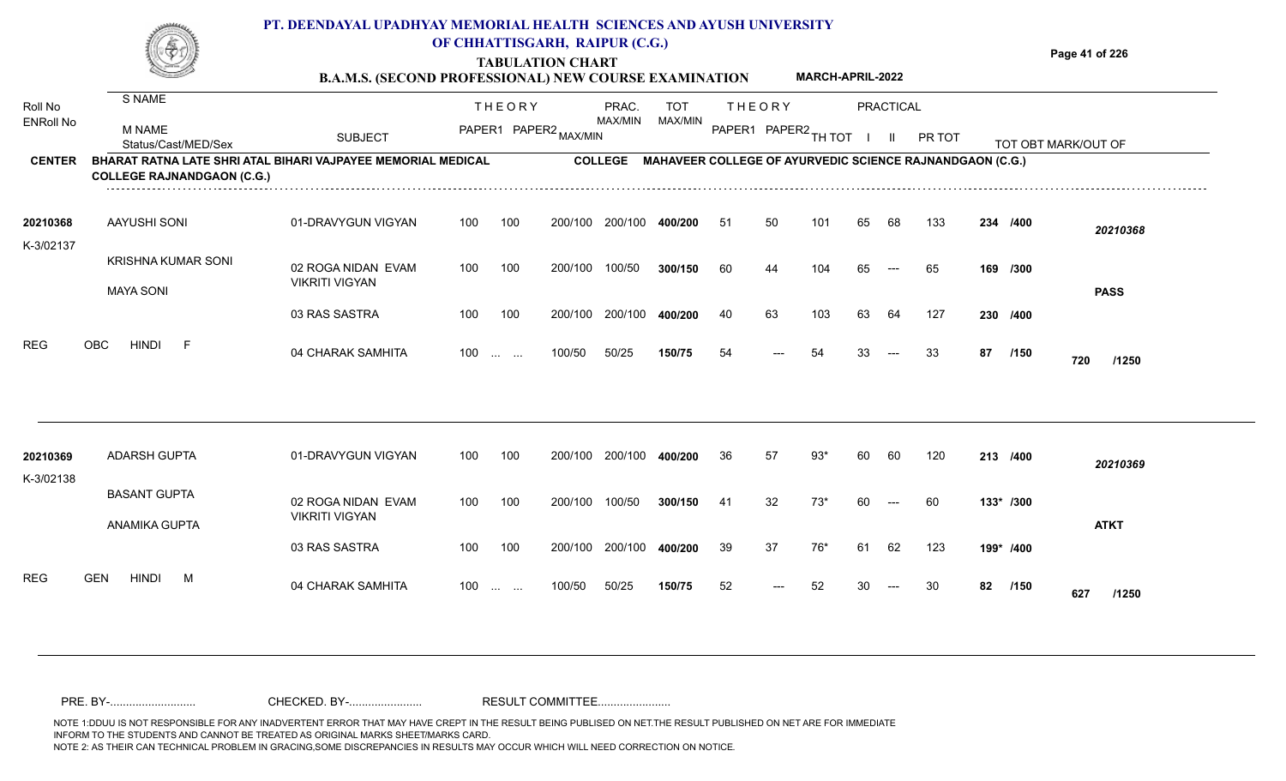### **TABULATION CHART Page 41 of 226 B.A.M.S. (SECOND PROFESSIONAL) NEW COURSE EXAMINATION PT. DEENDAYAL UPADHYAY MEMORIAL HEALTH SCIENCES AND AYUSH UNIVERSITY OF CHHATTISGARH, RAIPUR (C.G.) MARCH-APRIL-2022**

| Roll No               | S NAME                                        |                                                              |     | <b>THEORY</b>                      | PRAC.          | <b>TOT</b>                                               |     | <b>THEORY</b> |              |    | PRACTICAL |        |    |           |                     |
|-----------------------|-----------------------------------------------|--------------------------------------------------------------|-----|------------------------------------|----------------|----------------------------------------------------------|-----|---------------|--------------|----|-----------|--------|----|-----------|---------------------|
| <b>ENRoll No</b>      | M NAME<br>Status/Cast/MED/Sex                 | <b>SUBJECT</b>                                               |     | PAPER1 PAPER2 MAX/MIN              | MAX/MIN        | MAX/MIN                                                  |     | PAPER1 PAPER2 | TH TOT       |    | H         | PR TOT |    |           | TOT OBT MARK/OUT OF |
| <b>CENTER</b>         | <b>COLLEGE RAJNANDGAON (C.G.)</b>             | BHARAT RATNA LATE SHRI ATAL BIHARI VAJPAYEE MEMORIAL MEDICAL |     |                                    | <b>COLLEGE</b> | MAHAVEER COLLEGE OF AYURVEDIC SCIENCE RAJNANDGAON (C.G.) |     |               |              |    |           |        |    |           |                     |
| 20210368              | <b>AAYUSHI SONI</b>                           | 01-DRAVYGUN VIGYAN                                           | 100 | 100<br>200/100                     | 200/100        | 400/200                                                  | -51 | 50            | $10^{\circ}$ | 65 | 68        | 133    |    | 234 /400  | 20210368            |
| K-3/02137             | <b>KRISHNA KUMAR SONI</b><br><b>MAYA SONI</b> | 02 ROGA NIDAN EVAM<br><b>VIKRITI VIGYAN</b>                  | 100 | 100<br>200/100                     | 100/50         | 300/150                                                  | 60  | 44            | 104          | 65 | $---$     | 65     |    | 169 /300  | <b>PASS</b>         |
|                       |                                               | 03 RAS SASTRA                                                | 100 | 100<br>200/100                     | 200/100        | 400/200                                                  | 40  | 63            | 103          | 63 | 64        | 127    |    | 230 /400  |                     |
| <b>REG</b>            | <b>HINDI</b><br><b>OBC</b>                    | 04 CHARAK SAMHITA                                            | 100 | 100/50<br><b>Contract Contract</b> | 50/25          | 150/75                                                   | 54  | $---$         | 54           | 33 | $---$     | 33     | 87 | /150      | 720<br>/1250        |
|                       |                                               |                                                              |     |                                    |                |                                                          |     |               |              |    |           |        |    |           |                     |
| 20210369<br>K-3/02138 | <b>ADARSH GUPTA</b>                           | 01-DRAVYGUN VIGYAN                                           | 100 | 100<br>200/100                     | 200/100        | 400/200                                                  | 36  | 57            | 93*          | 60 | 60        | 120    |    | 213 /400  | 20210369            |
|                       | <b>BASANT GUPTA</b><br><b>ANAMIKA GUPTA</b>   | 02 ROGA NIDAN EVAM<br><b>VIKRITI VIGYAN</b>                  | 100 | 100<br>200/100                     | 100/50         | 300/150                                                  | -41 | 32            | $73*$        | 60 | $---$     | -60    |    | 133* /300 | <b>ATKT</b>         |
|                       |                                               | 03 RAS SASTRA                                                | 100 | 100<br>200/100                     | 200/100        | 400/200                                                  | 39  | 37            | 76*          | 61 | 62        | 123    |    | 199* /400 |                     |
| <b>REG</b>            | <b>GEN</b><br>HINDI<br>M                      | 04 CHARAK SAMHITA                                            | 100 | 100/50<br><b>Contract Contract</b> | 50/25          | 150/75                                                   | 52  |               |              |    |           |        | 82 | /150      | 627<br>/1250        |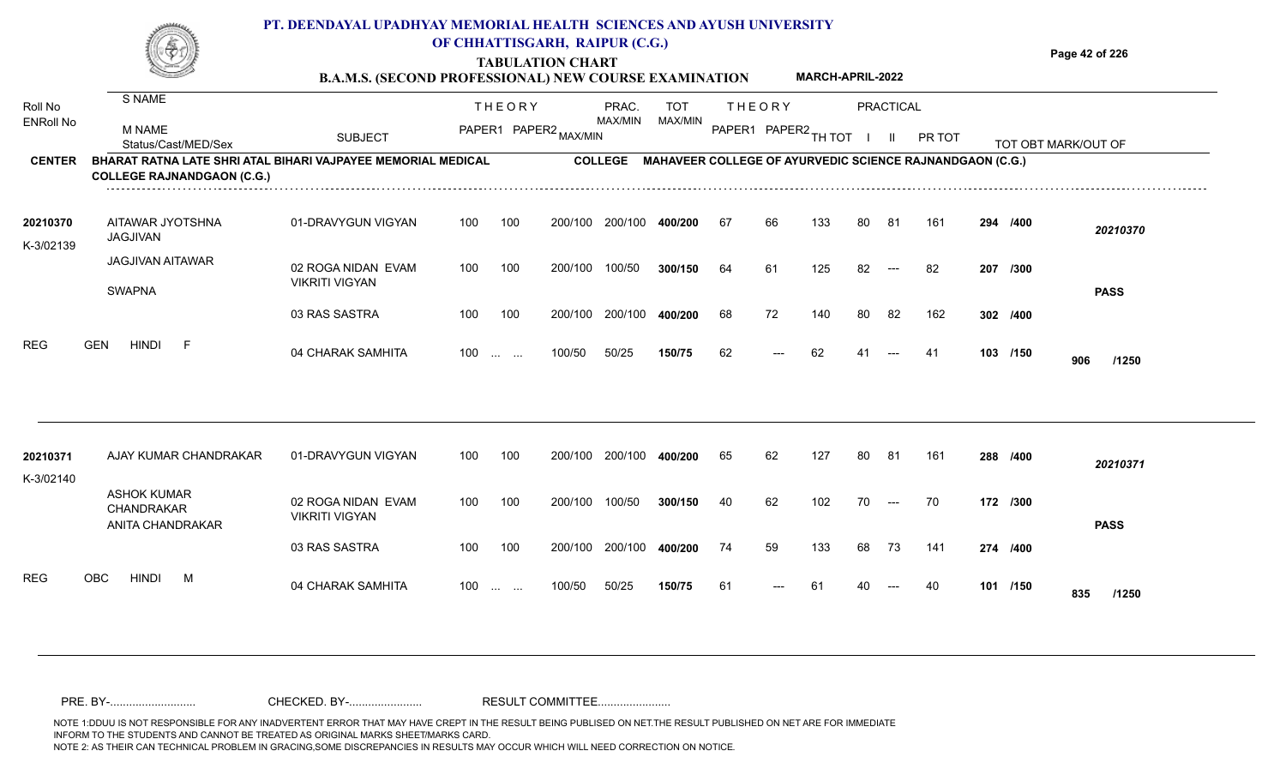|                             |                                                | PT. DEENDAYAL UPADHYAY MEMORIAL HEALTH SCIENCES AND AYUSH UNIVERSITY<br><b>B.A.M.S. (SECOND PROFESSIONAL) NEW COURSE EXAMINATION</b> |     |                               | OF CHHATTISGARH, RAIPUR (C.G.)<br><b>TABULATION CHART</b> |                  |                       |     |               | <b>MARCH-APRIL-2022</b> |    |           |                                                                 |     |          | Page 42 of 226      |
|-----------------------------|------------------------------------------------|--------------------------------------------------------------------------------------------------------------------------------------|-----|-------------------------------|-----------------------------------------------------------|------------------|-----------------------|-----|---------------|-------------------------|----|-----------|-----------------------------------------------------------------|-----|----------|---------------------|
| Roll No<br><b>ENRoll No</b> | S NAME<br><b>M NAME</b><br>Status/Cast/MED/Sex | <b>SUBJECT</b>                                                                                                                       |     | <b>THEORY</b>                 | PAPER1 PAPER2 MAX/MIN                                     | PRAC.<br>MAX/MIN | <b>TOT</b><br>MAX/MIN |     | <b>THEORY</b> | PAPER1 PAPER2 TH TOT    |    | PRACTICAL | PR TOT                                                          |     |          | TOT OBT MARK/OUT OF |
| <b>CENTER</b>               | <b>COLLEGE RAJNANDGAON (C.G.)</b>              | BHARAT RATNA LATE SHRI ATAL BIHARI VAJPAYEE MEMORIAL MEDICAL                                                                         |     |                               |                                                           | <b>COLLEGE</b>   |                       |     |               |                         |    |           | <b>MAHAVEER COLLEGE OF AYURVEDIC SCIENCE RAJNANDGAON (C.G.)</b> |     |          |                     |
| 20210370<br>K-3/02139       | AITAWAR JYOTSHNA<br>JAGJIVAN                   | 01-DRAVYGUN VIGYAN                                                                                                                   | 100 | 100                           | 200/100                                                   | 200/100          | 400/200               | -67 | 66            | 133                     | 80 | -81       | 161                                                             |     | 294 /400 | 20210370            |
|                             | <b>JAGJIVAN AITAWAR</b><br><b>SWAPNA</b>       | 02 ROGA NIDAN EVAM<br><b>VIKRITI VIGYAN</b>                                                                                          | 100 | 100                           | 200/100                                                   | 100/50           | 300/150               | 64  | 61            | 125                     | 82 |           | 82                                                              | 207 | /300     | <b>PASS</b>         |
|                             |                                                | 03 RAS SASTRA                                                                                                                        | 100 | 100                           | 200/100                                                   | 200/100          | 400/200               | 68  | 72            | 140                     | 80 | 82        | 162                                                             |     | 302 /400 |                     |
| <b>REG</b>                  | <b>GEN</b><br>HINDI                            | 04 CHARAK SAMHITA                                                                                                                    | 100 | $\mathbf{r}$ and $\mathbf{r}$ | 100/50                                                    | 50/25            | 150/75                | 62  | $---$         | 62                      |    |           | -41                                                             |     | 103 /150 | 906<br>/1250        |
|                             |                                                |                                                                                                                                      |     |                               |                                                           |                  |                       |     |               |                         |    |           |                                                                 |     |          |                     |
| 20210371                    | AJAY KUMAR CHANDRAKAR                          | 01-DRAVYGUN VIGYAN                                                                                                                   | 100 | 100                           | 200/100                                                   | 200/100          | 400/200               | 65  | 62            | 127                     | 80 | 81        | 161                                                             |     | 288 /400 | $\frac{1}{2}$       |

| .          |                                               |                                             |       |     |         |         |         |    |       |     |    |       |     |     |          | 20210371     |
|------------|-----------------------------------------------|---------------------------------------------|-------|-----|---------|---------|---------|----|-------|-----|----|-------|-----|-----|----------|--------------|
| K-3/02140  |                                               |                                             |       |     |         |         |         |    |       |     |    |       |     |     |          |              |
|            | ASHOK KUMAR<br>CHANDRAKAR<br>ANITA CHANDRAKAR | 02 ROGA NIDAN EVAM<br><b>VIKRITI VIGYAN</b> | 100   | 100 | 200/100 | 100/50  | 300/150 | 40 | 62    | 102 | 70 | $---$ | 70  |     | 172 /300 | <b>PASS</b>  |
|            |                                               | 03 RAS SASTRA                               | 100   | 100 | 200/100 | 200/100 | 400/200 | 74 | 59    | 133 | 68 | 73    | 141 |     | 274 /400 |              |
| <b>REG</b> | <b>HINDI</b><br><b>OBC</b><br>M               | 04 CHARAK SAMHITA                           | $100$ |     | 100/50  | 50/25   | 150/75  | 61 | $---$ | -61 | 40 | $---$ | 40  | 101 | /150     | 835<br>/1250 |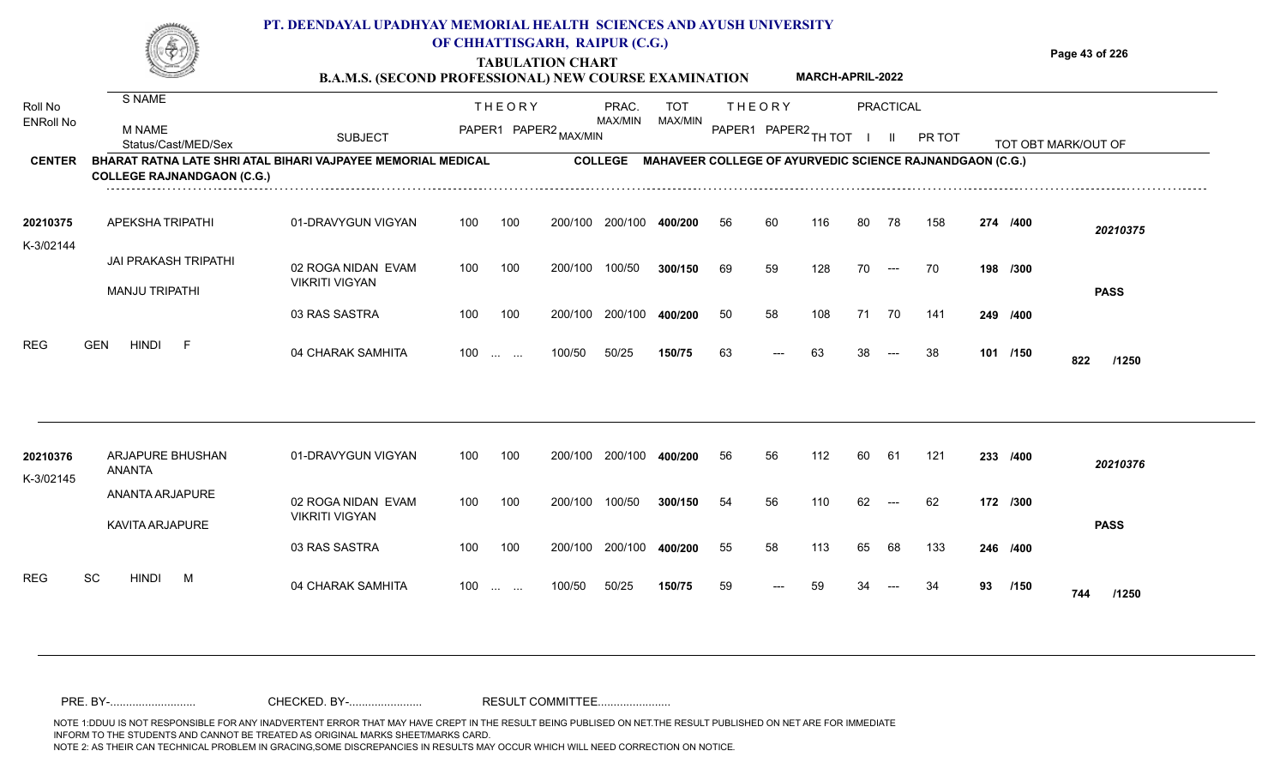### **TABULATION CHART Page 43 of 226 PT. DEENDAYAL UPADHYAY MEMORIAL HEALTH SCIENCES AND AYUSH UNIVERSITY OF CHHATTISGARH, RAIPUR (C.G.) MARCH-APRIL-2022**

**B.A.M.S. (SECOND PROFESSIONAL) NEW COURSE EXAMINATION** 

| Roll No               | S NAME                                                                                            |                                             |     | <b>THEORY</b>            |         | PRAC.          | <b>TOT</b>                                                      |    | <b>THEORY</b>        |     |    | <b>PRACTICAL</b>                         |        |    |          |                     |  |
|-----------------------|---------------------------------------------------------------------------------------------------|---------------------------------------------|-----|--------------------------|---------|----------------|-----------------------------------------------------------------|----|----------------------|-----|----|------------------------------------------|--------|----|----------|---------------------|--|
| <b>ENRoll No</b>      | <b>M NAME</b><br>Status/Cast/MED/Sex                                                              | <b>SUBJECT</b>                              |     | PAPER1 PAPER2 MAX/MIN    |         | MAX/MIN        | MAX/MIN                                                         |    | PAPER1 PAPER2 TH TOT |     |    | $\mathbf{H}$                             | PR TOT |    |          | TOT OBT MARK/OUT OF |  |
| <b>CENTER</b>         | BHARAT RATNA LATE SHRI ATAL BIHARI VAJPAYEE MEMORIAL MEDICAL<br><b>COLLEGE RAJNANDGAON (C.G.)</b> |                                             |     |                          |         | <b>COLLEGE</b> | <b>MAHAVEER COLLEGE OF AYURVEDIC SCIENCE RAJNANDGAON (C.G.)</b> |    |                      |     |    |                                          |        |    |          |                     |  |
| 20210375              | APEKSHA TRIPATHI                                                                                  | 01-DRAVYGUN VIGYAN                          | 100 | 100                      | 200/100 | 200/100        | 400/200                                                         | 56 | 60                   | 116 | 80 | 78                                       | 158    |    | 274 /400 | 20210375            |  |
| K-3/02144             | <b>JAI PRAKASH TRIPATHI</b><br><b>MANJU TRIPATHI</b>                                              | 02 ROGA NIDAN EVAM<br><b>VIKRITI VIGYAN</b> | 100 | 100                      | 200/100 | 100/50         | 300/150                                                         | 69 | 59                   | 128 | 70 | $\hspace{0.05cm} \ldots \hspace{0.05cm}$ | 70     |    | 198 /300 |                     |  |
|                       |                                                                                                   | 03 RAS SASTRA                               | 100 | 100                      | 200/100 | 200/100        | 400/200                                                         | 50 | 58                   | 108 | 71 | 70                                       | 141    |    | 249 /400 | <b>PASS</b>         |  |
| <b>REG</b>            | <b>GEN</b><br><b>HINDI</b><br>F                                                                   | 04 CHARAK SAMHITA                           | 100 | <b>Service</b> Service   | 100/50  | 50/25          | 150/75                                                          | 63 | ---                  | 63  | 38 | $---$                                    | 38     |    | 101 /150 | 822<br>/1250        |  |
|                       |                                                                                                   |                                             |     |                          |         |                |                                                                 |    |                      |     |    |                                          |        |    |          |                     |  |
| 20210376<br>K-3/02145 | ARJAPURE BHUSHAN<br><b>ANANTA</b>                                                                 | 01-DRAVYGUN VIGYAN                          | 100 | 100                      | 200/100 | 200/100        | 400/200                                                         | 56 | 56                   | 112 | 60 | 61                                       | 121    |    | 233 /400 | 20210376            |  |
|                       | ANANTA ARJAPURE<br>KAVITA ARJAPURE                                                                | 02 ROGA NIDAN EVAM<br><b>VIKRITI VIGYAN</b> | 100 | 100                      | 200/100 | 100/50         | 300/150                                                         | 54 | 56                   | 110 | 62 | $---$                                    | 62     |    | 172 /300 | <b>PASS</b>         |  |
|                       |                                                                                                   | 03 RAS SASTRA                               | 100 | 100                      | 200/100 | 200/100        | 400/200                                                         | 55 | 58                   | 113 | 65 | 68                                       | 133    |    | 246 /400 |                     |  |
| <b>REG</b>            | SC<br><b>HINDI</b><br>M                                                                           | 04 CHARAK SAMHITA                           | 100 | <b>Contract Contract</b> | 100/50  | 50/25          | 150/75                                                          | 59 | ---                  | 59  | 34 |                                          | 34     | 93 | /150     | 744<br>/1250        |  |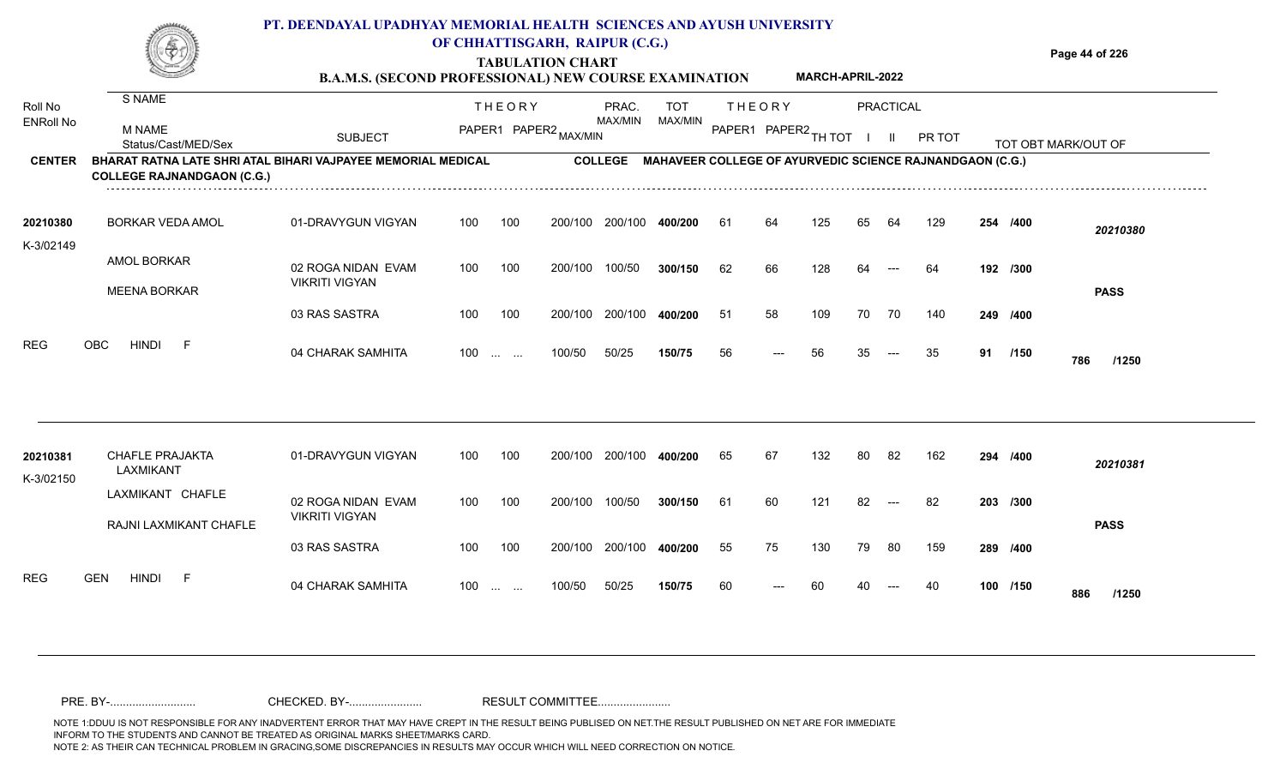|               |                                                                                                   |                | PT. DEENDAYAL UPADHYAY MEMORIAL HEALTH SCIENCES AND AYUSH UNIVERSITY<br>OF CHHATTISGARH, RAIPUR (C.G.)<br><b>TABULATION CHART</b><br><b>B.A.M.S. (SECOND PROFESSIONAL) NEW COURSE EXAMINATION</b> | <b>MARCH-APRIL-2022</b>                                         | Page 44 of 226      |
|---------------|---------------------------------------------------------------------------------------------------|----------------|---------------------------------------------------------------------------------------------------------------------------------------------------------------------------------------------------|-----------------------------------------------------------------|---------------------|
| Roll No       | S NAME                                                                                            |                | <b>THFORY</b><br>PRAC.                                                                                                                                                                            | <b>THFORY</b><br><b>TOT</b><br>PRACTICAL                        |                     |
| ENRoll No     | <b>M NAME</b><br>Status/Cast/MED/Sex                                                              | <b>SUBJECT</b> | MAX/MIN<br>PAPER1 PAPER2,                                                                                                                                                                         | MAX/MIN<br>PAPER1<br>PAPER2 <sub>TH</sub><br>PR TOT             | TOT OBT MARK/OUT OF |
| <b>CENTER</b> | BHARAT RATNA LATE SHRI ATAL BIHARI VAJPAYEE MEMORIAL MEDICAL<br><b>COLLEGE RAJNANDGAON (C.G.)</b> |                | <b>COLLEGE</b>                                                                                                                                                                                    | <b>MAHAVEER COLLEGE OF AYURVEDIC SCIENCE RAJNANDGAON (C.G.)</b> |                     |

| 20210380<br>K-3/02149 | <b>BORKAR VEDA AMOL</b>            | 01-DRAVYGUN VIGYAN                          | 100   | 100 | 200/100 | 200/100 | 400/200 | 61 | 64                  | 125 | 65 | 64                         | 129 | 254 /400 |             | 20210380    |
|-----------------------|------------------------------------|---------------------------------------------|-------|-----|---------|---------|---------|----|---------------------|-----|----|----------------------------|-----|----------|-------------|-------------|
|                       | AMOL BORKAR<br><b>MEENA BORKAR</b> | 02 ROGA NIDAN EVAM<br><b>VIKRITI VIGYAN</b> | 100   | 100 | 200/100 | 100/50  | 300/150 | 62 | 66                  | 128 | 64 | $\qquad \qquad \text{---}$ | 64  | 192 /300 |             | <b>PASS</b> |
|                       |                                    | 03 RAS SASTRA                               | 100   | 100 | 200/100 | 200/100 | 400/200 | 51 | 58                  | 109 | 70 | 70                         | 140 | 249 /400 |             |             |
| REG<br>OBC            | HINDI<br>. F                       | 04 CHARAK SAMHITA                           | $100$ |     | 100/50  | 50/25   | 150/75  | 56 | $\qquad \qquad - -$ | 56  | 35 | $---$                      | 35  | 91       | /150<br>786 | /1250       |

| 20210381<br>K-3/02150 | <b>CHAFLE PRAJAKTA</b><br>LAXMIKANT        | 01-DRAVYGUN VIGYAN                          | 100 | 100      | 200/100 | 200/100 | 400/200 | 65 | 67    | 132 | 80 | -82                 | 162 | 294 /400 |     | 20210381    |
|-----------------------|--------------------------------------------|---------------------------------------------|-----|----------|---------|---------|---------|----|-------|-----|----|---------------------|-----|----------|-----|-------------|
|                       | LAXMIKANT CHAFLE<br>RAJNI LAXMIKANT CHAFLE | 02 ROGA NIDAN EVAM<br><b>VIKRITI VIGYAN</b> | 100 | 100      | 200/100 | 100/50  | 300/150 | 61 | 60    | 121 | 82 | $---$               | -82 | 203 /300 |     | <b>PASS</b> |
|                       |                                            | 03 RAS SASTRA                               | 100 | 100      | 200/100 | 200/100 | 400/200 | 55 | 75    | 130 | 79 | - 80                | 159 | 289 /400 |     |             |
| <b>REG</b>            | <b>HINDI</b><br><b>GEN</b><br><b>1</b>     | 04 CHARAK SAMHITA                           | 100 | $\cdots$ | 100/50  | 50/25   | 150/75  | 60 | $---$ | 60  | 40 | $\qquad \qquad - -$ | -40 | 100 /150 | 886 | /1250       |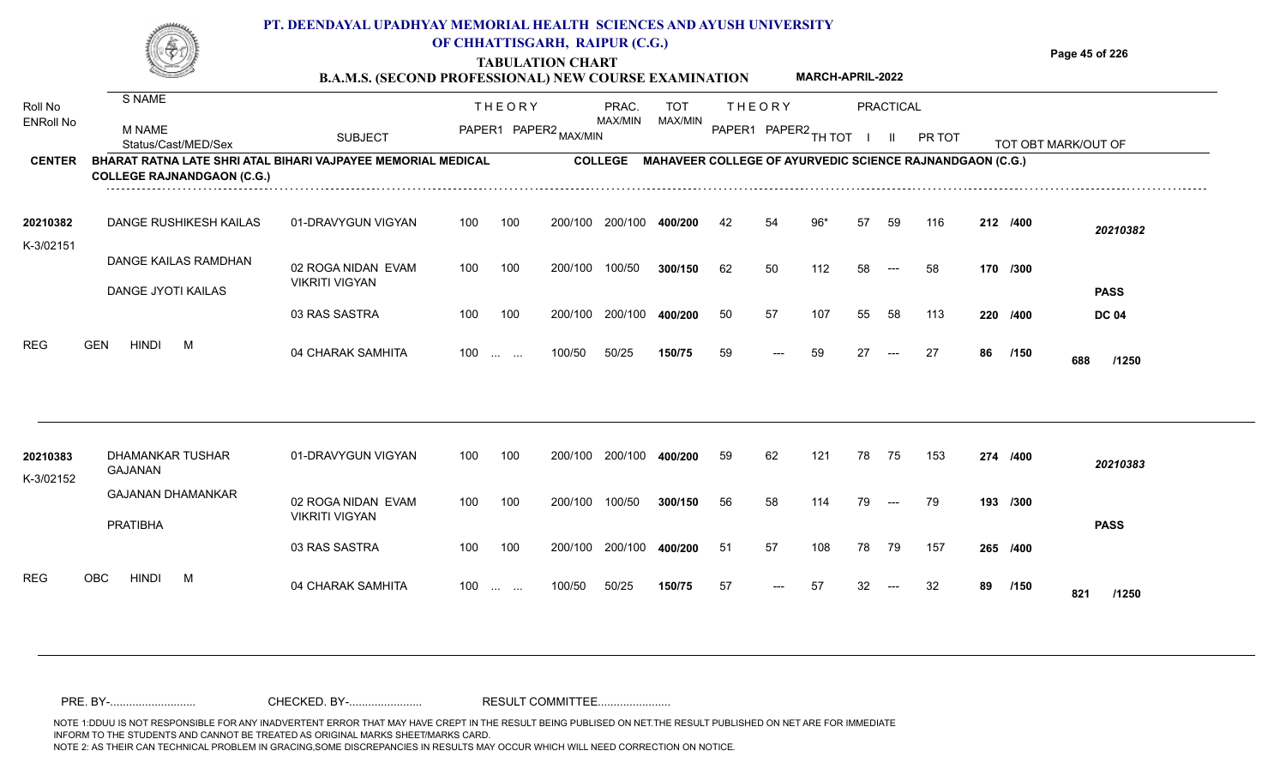## **PT. DEENDAYAL UPADHYAY MEMORIAL HEALTH SCIENCES AND AYUSH UNIVERSITY OF CHHATTISGARH, RAIPUR (C.G.)**



# **TABULATION CHART**

**Page 45 of 226**

#### **B.A.M.S. (SECOND PROFESSIONAL) NEW COURSE EXAMINATION MARCH-APRIL-2022**

| Roll No<br><b>ENRoll No</b> | S NAME<br>M NAME<br>Status/Cast/MED/Sex                                                           | <b>SUBJECT</b>                              |     | <b>THEORY</b><br>PAPER1 PAPER2 MAX/MIN                    |         | PRAC.<br>MAX/MIN | TOT<br>MAX/MIN |    | <b>THEORY</b><br>PAPER1 PAPER2 TH TOT |     |    | <b>PRACTICAL</b><br>H. | PR TOT                                                          |    |          | TOT OBT MARK/OUT OF |
|-----------------------------|---------------------------------------------------------------------------------------------------|---------------------------------------------|-----|-----------------------------------------------------------|---------|------------------|----------------|----|---------------------------------------|-----|----|------------------------|-----------------------------------------------------------------|----|----------|---------------------|
| <b>CENTER</b>               | BHARAT RATNA LATE SHRI ATAL BIHARI VAJPAYEE MEMORIAL MEDICAL<br><b>COLLEGE RAJNANDGAON (C.G.)</b> |                                             |     |                                                           |         | <b>COLLEGE</b>   |                |    |                                       |     |    |                        | <b>MAHAVEER COLLEGE OF AYURVEDIC SCIENCE RAJNANDGAON (C.G.)</b> |    |          |                     |
| 20210382<br>K-3/02151       | DANGE RUSHIKESH KAILAS                                                                            | 01-DRAVYGUN VIGYAN                          | 100 | 100                                                       | 200/100 | 200/100          | 400/200        | 42 | 54                                    | 96* | 57 | 59                     | 116                                                             |    | 212 /400 | 20210382            |
|                             | DANGE KAILAS RAMDHAN<br>DANGE JYOTI KAILAS                                                        | 02 ROGA NIDAN EVAM<br><b>VIKRITI VIGYAN</b> | 100 | 100                                                       | 200/100 | 100/50           | 300/150        | 62 | 50                                    | 112 | 58 | $---$                  | 58                                                              |    | 170 /300 | <b>PASS</b>         |
|                             |                                                                                                   | 03 RAS SASTRA                               | 100 | 100                                                       | 200/100 | 200/100          | 400/200        | 50 | 57                                    | 107 | 55 | 58                     | 113                                                             |    | 220 /400 | <b>DC 04</b>        |
| <b>REG</b>                  | <b>HINDI</b><br><b>GEN</b><br>M                                                                   | 04 CHARAK SAMHITA                           | 100 | $\mathbf{r}$ , $\mathbf{r}$ , $\mathbf{r}$ , $\mathbf{r}$ | 100/50  | 50/25            | 150/75         | 59 | ---                                   | 59  | 27 | $---$                  | 27                                                              | 86 | /150     | 688<br>/1250        |
| 20210383<br>K-3/02152       | DHAMANKAR TUSHAR<br><b>GAJANAN</b>                                                                | 01-DRAVYGUN VIGYAN                          | 100 | 100                                                       | 200/100 | 200/100          | 400/200        | 59 | 62                                    | 121 | 78 | - 75                   | 153                                                             |    | 274 /400 | 20210383            |
|                             | <b>GAJANAN DHAMANKAR</b><br><b>PRATIBHA</b>                                                       | 02 ROGA NIDAN EVAM<br><b>VIKRITI VIGYAN</b> | 100 | 100                                                       | 200/100 | 100/50           | 300/150        | 56 | 58                                    | 114 | 79 | $---$                  | 79                                                              |    | 193 /300 | <b>PASS</b>         |
|                             |                                                                                                   | 03 RAS SASTRA                               | 100 | 100                                                       | 200/100 | 200/100          | 400/200        | 51 | 57                                    | 108 | 78 | 79                     | 157                                                             |    | 265 /400 |                     |
| <b>REG</b>                  | OBC<br><b>HINDI</b><br>M                                                                          | 04 CHARAK SAMHITA                           | 100 | $\mathbf{r}$ and $\mathbf{r}$ and $\mathbf{r}$            | 100/50  | 50/25            | 150/75         | 57 |                                       | 57  |    |                        | 32                                                              | 89 | /150     | 821<br>/1250        |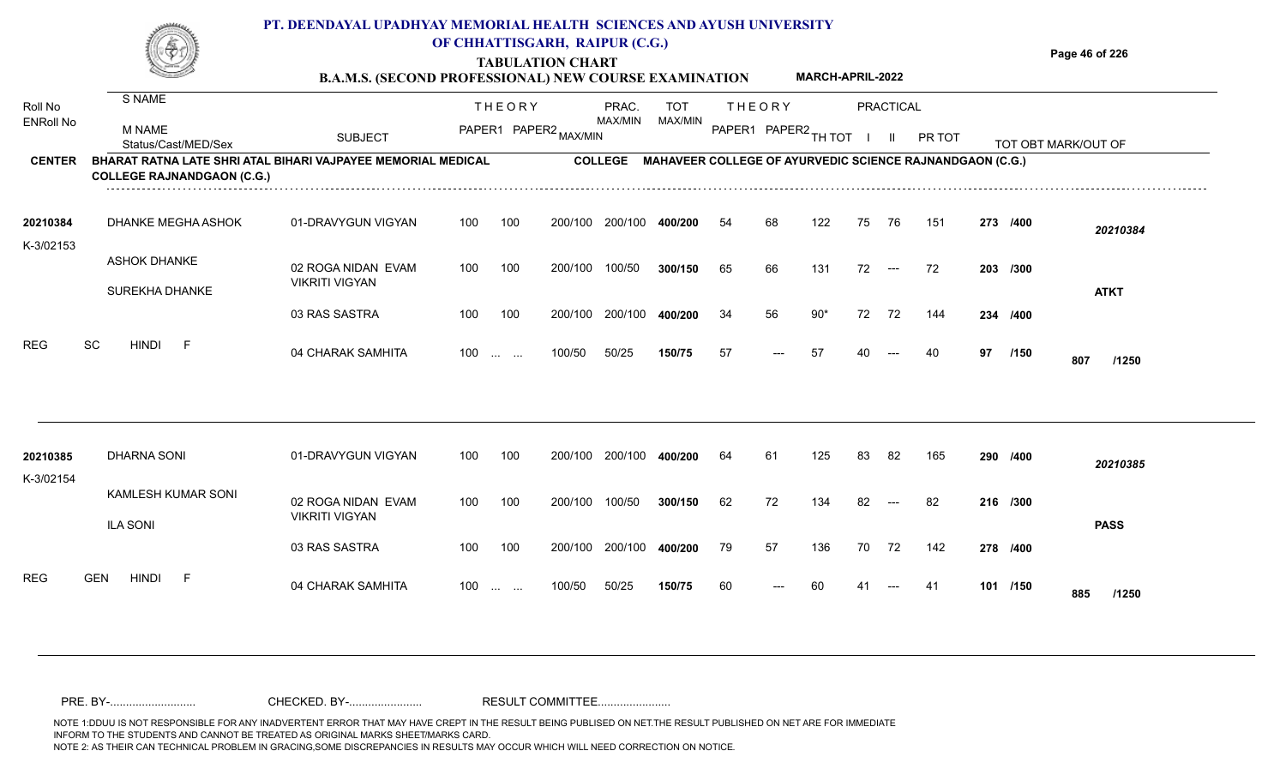|                       |                                                                                                          | PT. DEENDAYAL UPADHYAY MEMORIAL HEALTH SCIENCES AND AYUSH UNIVERSITY<br><b>B.A.M.S. (SECOND PROFESSIONAL) NEW COURSE EXAMINATION</b> |               | OF CHHATTISGARH, RAIPUR (C.G.)<br><b>TABULATION CHART</b> |                |                                                                 |                            | <b>MARCH-APRIL-2022</b> |               |          | Page 46 of 226      |
|-----------------------|----------------------------------------------------------------------------------------------------------|--------------------------------------------------------------------------------------------------------------------------------------|---------------|-----------------------------------------------------------|----------------|-----------------------------------------------------------------|----------------------------|-------------------------|---------------|----------|---------------------|
| Roll No               | S NAME                                                                                                   |                                                                                                                                      | <b>THEORY</b> | PRAC.<br>MAX/MIN                                          | TOT<br>MAX/MIN | <b>THEORY</b>                                                   |                            | PRACTICAL               |               |          |                     |
| <b>ENRoll No</b>      | M NAME<br>Status/Cast/MED/Sex                                                                            | SUBJECT                                                                                                                              | PAPER1        | PAPER2                                                    |                | PAPER1                                                          | N PAPER2 <sub>TH TOT</sub> |                         | <b>PR TOT</b> |          | TOT OBT MARK/OUT OF |
| <b>CENTER</b>         | <b>BHARAT RATNA LATE SHRI ATAL BIHARI VAJPAYEE MEMORIAL MEDICAL</b><br><b>COLLEGE RAJNANDGAON (C.G.)</b> |                                                                                                                                      |               | <b>COLLEGE</b>                                            |                | <b>MAHAVEER COLLEGE OF AYURVEDIC SCIENCE RAJNANDGAON (C.G.)</b> |                            |                         |               |          |                     |
| 20210384<br>K-3/02153 | DHANKE MEGHA ASHOK                                                                                       | 01-DRAVYGUN VIGYAN                                                                                                                   | 100<br>100    | 200/100<br>200/100                                        | 400/200        | 68<br>54                                                        | 122                        | 75<br>76                | 151           | 273 /400 | 20210384            |

| 20210385<br>K-3/02154 | <b>DHARNA SONI</b>              | 01-DRAVYGUN VIGYAN    | 100 | 100               | 200/100 | 200/100 | 400/200 | 64 | 61                                       | 125 | 83 | 82                                       | 165 | 290 /400 | 20210385     |
|-----------------------|---------------------------------|-----------------------|-----|-------------------|---------|---------|---------|----|------------------------------------------|-----|----|------------------------------------------|-----|----------|--------------|
|                       | KAMLESH KUMAR SONI              | 02 ROGA NIDAN EVAM    | 100 | 100               | 200/100 | 100/50  | 300/150 | 62 | 72                                       | 134 | 82 | $\hspace{0.05cm} \ldots \hspace{0.05cm}$ | 82  | 216 /300 |              |
|                       | <b>ILA SONI</b>                 | <b>VIKRITI VIGYAN</b> |     |                   |         |         |         |    |                                          |     |    |                                          |     |          | <b>PASS</b>  |
|                       |                                 | 03 RAS SASTRA         | 100 | 100               | 200/100 | 200/100 | 400/200 | 79 | 57                                       | 136 | 70 | 72                                       | 142 | 278 /400 |              |
| <b>REG</b>            | <b>GEN</b><br>E<br><b>HINDI</b> | 04 CHARAK SAMHITA     | 100 | $\cdots$ $\cdots$ | 100/50  | 50/25   | 150/75  | 60 | $\hspace{0.05cm} \ldots \hspace{0.05cm}$ | -60 | 41 | $- - -$                                  | -41 | 101 /150 | 885<br>/1250 |

100 100 200/100 200/100 **400/200** 34

100 200/100 100/50

100/50 50/25 **150/75**

100 ... ... 100/50 50/25 **150/75** 57 --- 57 40

100/50 **300/150**

**400/200**

04 CHARAK SAMHITA 100 … … 100/50 50/25 **150/75** 57 --- 57 40 --- 40 **97 /150 807 /1250**

72 --- 72

**/300** 65 66 131 72 72 **203**

**/400** 34 56 90\* 72 72 144 **234**

<sup>57</sup> <sup>57</sup> <sup>40</sup> <sup>40</sup> **<sup>97</sup> <sup>807</sup>**

97 /150 **807** /1250

**ATKT**

02 ROGA NIDAN EVAM

03 RAS SASTRA

VIKRITI VIGYAN

ASHOK DHANKE

SUREKHA DHANKE

REG SC HINDI F 04 CHARAK SAMHITA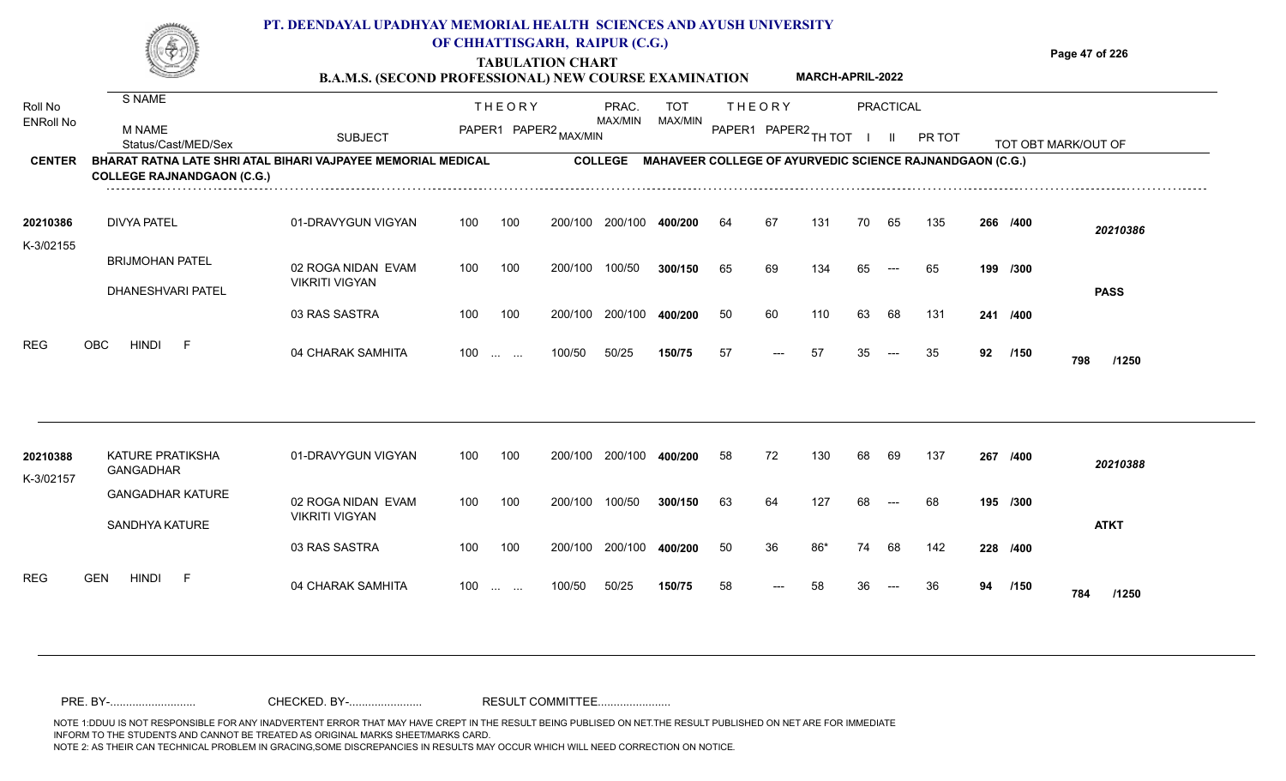### **TABULATION CHART Page 47 of 226 B.A.M.S. (SECOND PROFESSIONAL) NEW COURSE EXAMINATION PT. DEENDAYAL UPADHYAY MEMORIAL HEALTH SCIENCES AND AYUSH UNIVERSITY OF CHHATTISGARH, RAIPUR (C.G.) MARCH-APRIL-2022**

| Roll No          | S NAME                                                                                            |                                             |     | <b>THEORY</b>                     |                       | PRAC.          | <b>TOT</b>     |                      | <b>THEORY</b> |     |    | <b>PRACTICAL</b> |                                                                  |    |          |                     |  |
|------------------|---------------------------------------------------------------------------------------------------|---------------------------------------------|-----|-----------------------------------|-----------------------|----------------|----------------|----------------------|---------------|-----|----|------------------|------------------------------------------------------------------|----|----------|---------------------|--|
| <b>ENRoll No</b> | M NAME<br>Status/Cast/MED/Sex                                                                     | <b>SUBJECT</b>                              |     |                                   | PAPER1 PAPER2 MAX/MIN | <b>MAX/MIN</b> | <b>MAX/MIN</b> | PAPER1 PAPER2 TH TOT |               |     |    |                  | PR TOT                                                           |    |          | TOT OBT MARK/OUT OF |  |
| <b>CENTER</b>    | BHARAT RATNA LATE SHRI ATAL BIHARI VAJPAYEE MEMORIAL MEDICAL<br><b>COLLEGE RAJNANDGAON (C.G.)</b> |                                             |     |                                   |                       |                |                |                      |               |     |    |                  | COLLEGE MAHAVEER COLLEGE OF AYURVEDIC SCIENCE RAJNANDGAON (C.G.) |    |          |                     |  |
| 20210386         | <b>DIVYA PATEL</b>                                                                                | 01-DRAVYGUN VIGYAN                          | 100 | 100                               | 200/100               | 200/100        | 400/200        | 64                   | 67            | 131 | 70 | 65               | 135                                                              |    | 266 /400 | 20210386            |  |
| K-3/02155        | <b>BRIJMOHAN PATEL</b><br>DHANESHVARI PATEL                                                       | 02 ROGA NIDAN EVAM<br><b>VIKRITI VIGYAN</b> | 100 | 100                               | 200/100               | 100/50         | 300/150        | 65                   | 69            | 134 | 65 | $---$            | 65                                                               |    | 199 /300 | <b>PASS</b>         |  |
|                  |                                                                                                   | 03 RAS SASTRA                               | 100 | 100                               | 200/100               | 200/100        | 400/200        | 50                   | 60            | 110 | 63 | 68               | 131                                                              |    | 241 /400 |                     |  |
| <b>REG</b>       | <b>HINDI</b><br>OBC<br>-F                                                                         | 04 CHARAK SAMHITA                           |     | $100 \dots \dots$                 | 100/50                | 50/25          | 150/75         | 57                   | $---$         | 57  | 35 | $---$            | 35                                                               | 92 | /150     | 798<br>/1250        |  |
| 20210388         | KATURE PRATIKSHA<br>GANGADHAR                                                                     | 01-DRAVYGUN VIGYAN                          | 100 | 100                               | 200/100               | 200/100        | 400/200        | 58                   | 72            | 130 | 68 | 69               | 137                                                              |    | 267 /400 | 20210388            |  |
| K-3/02157        | <b>GANGADHAR KATURE</b><br>SANDHYA KATURE                                                         | 02 ROGA NIDAN EVAM<br><b>VIKRITI VIGYAN</b> | 100 | 100                               | 200/100               | 100/50         | 300/150        | 63                   | 64            | 127 | 68 | $---$            | 68                                                               |    | 195 /300 | <b>ATKT</b>         |  |
|                  |                                                                                                   | 03 RAS SASTRA                               | 100 | 100                               | 200/100               | 200/100        | 400/200        | 50                   | 36            | 86* | 74 | 68               | 142                                                              |    | 228 /400 |                     |  |
| <b>REG</b>       | <b>GEN</b><br><b>HINDI</b><br>F                                                                   | 04 CHARAK SAMHITA                           | 100 | $\sim 10^{-1}$ and $\sim 10^{-1}$ | 100/50                | 50/25          | 150/75         | 58                   | $---$         | 58  | 36 | $---$            | 36                                                               | 94 | /150     | 784<br>/1250        |  |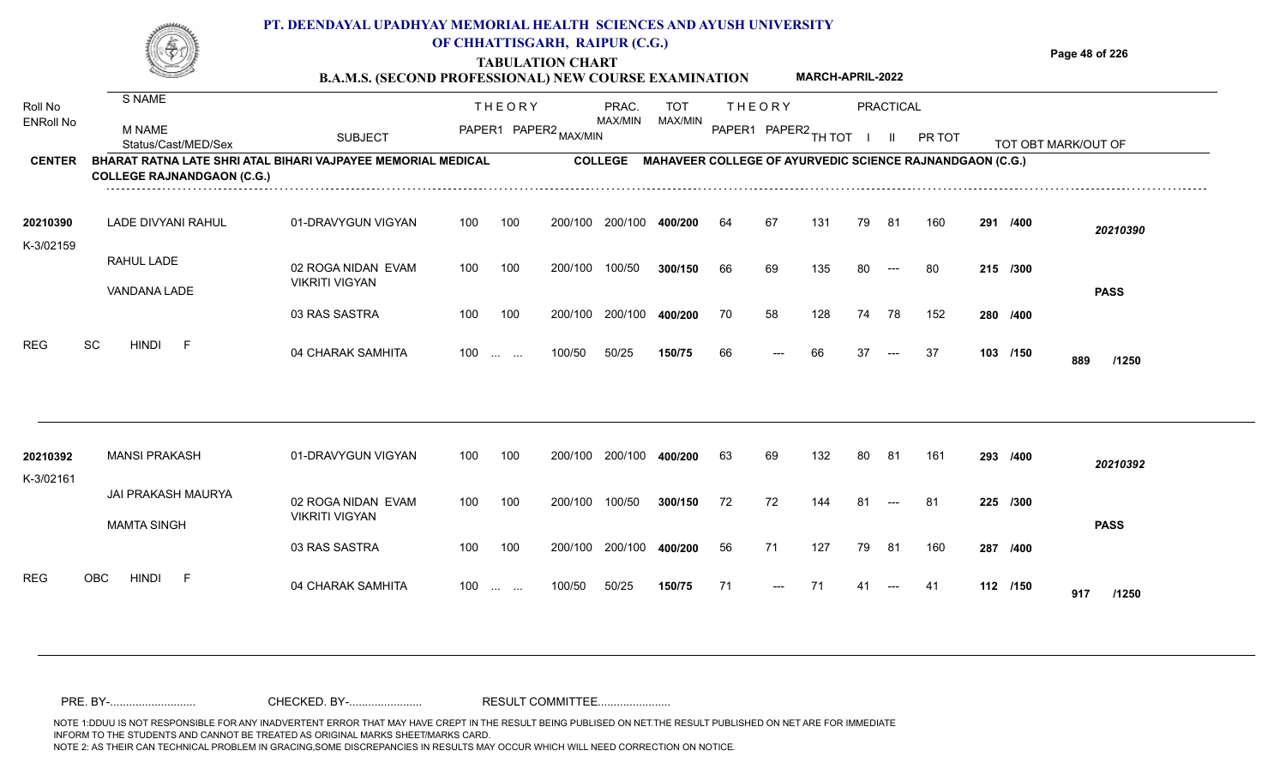|                  |                                   | <b>B.A.M.S. (SECOND PROFESSIONAL) NEW COURSE EXAMINATION</b> |     |                | OF CHHATTISGARH, RAIPUR (C.G.)<br><b>TABULATION CHART</b> |         |            |        |                            | <b>MARCH-APRIL-2022</b> |     |           |                                                                  |             | Page 48 of 226      |
|------------------|-----------------------------------|--------------------------------------------------------------|-----|----------------|-----------------------------------------------------------|---------|------------|--------|----------------------------|-------------------------|-----|-----------|------------------------------------------------------------------|-------------|---------------------|
| Roll No          | S NAME                            |                                                              |     | <b>THEORY</b>  |                                                           | PRAC.   | <b>TOT</b> |        | THEORY                     |                         |     | PRACTICAL |                                                                  |             |                     |
| <b>ENRoll No</b> | M NAME<br>Status/Cast/MED/Sex     | <b>SUBJECT</b>                                               |     | PAPER1 PAPER2. |                                                           | MAX/MIN | MAX/MIN    | PAPER1 | <sup>I</sup> PAPER2 TH TOT |                         |     |           | <b>PR TOT</b>                                                    |             | TOT OBT MARK/OUT OF |
| <b>CENTER</b>    | <b>COLLEGE RAJNANDGAON (C.G.)</b> | BHARAT RATNA LATE SHRI ATAL BIHARI VAJPAYEE MEMORIAL MEDICAL |     |                |                                                           |         |            |        |                            |                         |     |           | COLLEGE MAHAVEER COLLEGE OF AYURVEDIC SCIENCE RAJNANDGAON (C.G.) |             |                     |
| 20210390         | LADE DIVYANI RAHUL                | 01-DRAVYGUN VIGYAN                                           | 100 | 100            | 200/100                                                   | 200/100 | 400/200    | 64     | 67                         | 131                     | 79  | 81        | 160                                                              | 291<br>/400 | 20210390            |
| K-3/02159        | RAHUL LADE                        | 02 ROGA NIDAN EVAM                                           | 100 | 100            | 200/100                                                   | 100/50  | 300/150    | 66     | 69                         | 135                     | -80 | $---$     | -80                                                              | 215 /300    |                     |
|                  | VANDANA LADE                      | <b>VIKRITI VIGYAN</b>                                        |     |                |                                                           |         |            |        |                            |                         |     |           |                                                                  |             | <b>PASS</b>         |

100 100 200/100 200/100 **400/200**

**/400** 70 58 128 74 78 152 **280**

| REG                   | SC<br><b>HINDI</b><br>-F                 | 04 CHARAK SAMHITA                           | 100<br><b>Section Contract</b>  | 100/50         | 50/25   | 150/75  | 66 | $---$ | 66   | 37 | $---$                 | 37  | 103 /150 | 889<br>/1250 |
|-----------------------|------------------------------------------|---------------------------------------------|---------------------------------|----------------|---------|---------|----|-------|------|----|-----------------------|-----|----------|--------------|
| 20210392<br>K-3/02161 | <b>MANSI PRAKASH</b>                     | 01-DRAVYGUN VIGYAN                          | 100                             | 100<br>200/100 | 200/100 | 400/200 | 63 | 69    | 132  | 80 | 81                    | 161 | 293 /400 | 20210392     |
|                       | JAI PRAKASH MAURYA<br><b>MAMTA SINGH</b> | 02 ROGA NIDAN EVAM<br><b>VIKRITI VIGYAN</b> | 100                             | 100<br>200/100 | 100/50  | 300/150 | 72 | 72    | 144  | 81 | $---$                 | 81  | 225 /300 | <b>PASS</b>  |
|                       |                                          | 03 RAS SASTRA                               | 100                             | 100<br>200/100 | 200/100 | 400/200 | 56 | 71    | 127  | 79 | 81                    | 160 | 287 /400 |              |
| <b>REG</b>            | <b>OBC</b><br><b>HINDI</b><br>F          | 04 CHARAK SAMHITA                           | 100<br><b>Contract Contract</b> | 100/50         | 50/25   | 150/75  | 71 | $---$ | - 71 | 41 | $\qquad \qquad - - -$ | -41 | 112 /150 | 917<br>/1250 |

03 RAS SASTRA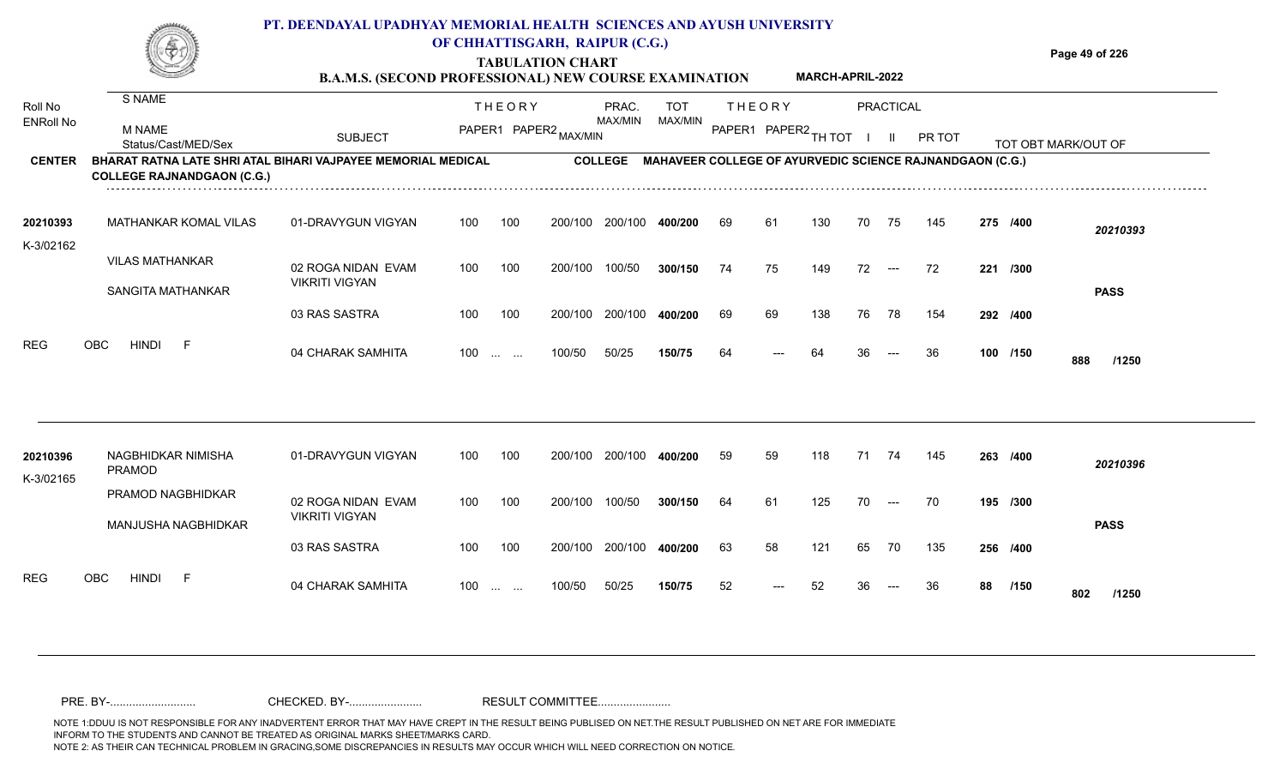|                  |                                                                                                          |                | OF CHHATTISGARH, RAIPUR (C.G.)<br><b>TABULATION CHART</b><br><b>B.A.M.S. (SECOND PROFESSIONAL) NEW COURSE EXAMINATION</b> |         |         |               | <b>MARCH-APRIL-2022</b>                                  | Page 49 of 226   |
|------------------|----------------------------------------------------------------------------------------------------------|----------------|---------------------------------------------------------------------------------------------------------------------------|---------|---------|---------------|----------------------------------------------------------|------------------|
|                  | S NAME                                                                                                   |                | <b>THFORY</b>                                                                                                             | PRAC.   | TOT     | <b>THEORY</b> | PRACTICAL                                                |                  |
| <b>ENRoll No</b> | M NAME<br>Status/Cast/MFD/Sex                                                                            | <b>SUBJECT</b> | PAPER1 PAPER2                                                                                                             | MAX/MIN | MAX/MIN | PAPER1        | $\leq 1$ PAPER2 TH TOT<br>PR TOT                         | ⊺ORT MARK/OUT OF |
| <b>CENTER</b>    | <b>BHARAT RATNA LATE SHRI ATAL BIHARI VAJPAYEE MEMORIAL MEDICAL</b><br><b>COLLEGE RAJNANDGAON (C.G.)</b> |                |                                                                                                                           | COLLEGE |         |               | MAHAVEER COLLEGE OF AYURVEDIC SCIENCE RAJNANDGAON (C.G.) |                  |

| 20210393  | MATHANKAR KOMAL VILAS                 | 01-DRAVYGUN VIGYAN    | 100   | 100 | 200/100 | 200/100 | 400/200 | 69 | 61    | 130 | 70 | 75    | 145 | 275 /400 | 20210393     |
|-----------|---------------------------------------|-----------------------|-------|-----|---------|---------|---------|----|-------|-----|----|-------|-----|----------|--------------|
| K-3/02162 |                                       |                       |       |     |         |         |         |    |       |     |    |       |     |          |              |
|           | <b>VILAS MATHANKAR</b>                | 02 ROGA NIDAN EVAM    | 100   | 100 | 200/100 | 100/50  | 300/150 | 74 | 75    | 149 | 72 | $---$ | 72  | 221 /300 |              |
|           | SANGITA MATHANKAR                     | <b>VIKRITI VIGYAN</b> |       |     |         |         |         |    |       |     |    |       |     |          | <b>PASS</b>  |
|           |                                       | 03 RAS SASTRA         | 100   | 100 | 200/100 | 200/100 | 400/200 | 69 | 69    | 138 | 76 | 78    | 154 | 292 /400 |              |
| REG       | OBC<br><b>HINDI</b><br>$\overline{a}$ | 04 CHARAK SAMHITA     | $100$ |     | 100/50  | 50/25   | 150/75  | 64 | $---$ | 64  | 36 | $---$ | -36 | 100 /150 | 888<br>/1250 |

| 20210396<br>K-3/02165 | NAGBHIDKAR NIMISHA<br>PRAMOD             | 01-DRAVYGUN VIGYAN                   | 100 | 100                                            | 200/100 | 200/100 | 400/200 | 59 | 59    | 118 | 71 | 74                  | 145 | 263 /400 |      | 20210396     |
|-----------------------|------------------------------------------|--------------------------------------|-----|------------------------------------------------|---------|---------|---------|----|-------|-----|----|---------------------|-----|----------|------|--------------|
|                       | PRAMOD NAGBHIDKAR<br>MANJUSHA NAGBHIDKAR | 02 ROGA NIDAN EVAM<br>VIKRITI VIGYAN | 100 | 100                                            | 200/100 | 100/50  | 300/150 | 64 | 61    | 125 | 70 | $---$               | 70  | 195 /300 |      | <b>PASS</b>  |
|                       |                                          | 03 RAS SASTRA                        | 100 | 100                                            | 200/100 | 200/100 | 400/200 | 63 | 58    | 121 | 65 | 70                  | 135 | 256 /400 |      |              |
| <b>REG</b>            | OBC<br><b>HINDI</b><br>$\overline{F}$    | 04 CHARAK SAMHITA                    | 100 | $\mathbf{r}$ and $\mathbf{r}$ and $\mathbf{r}$ | 100/50  | 50/25   | 150/75  | 52 | $---$ | 52  | 36 | $\qquad \qquad - -$ | 36  | 88       | /150 | 802<br>/1250 |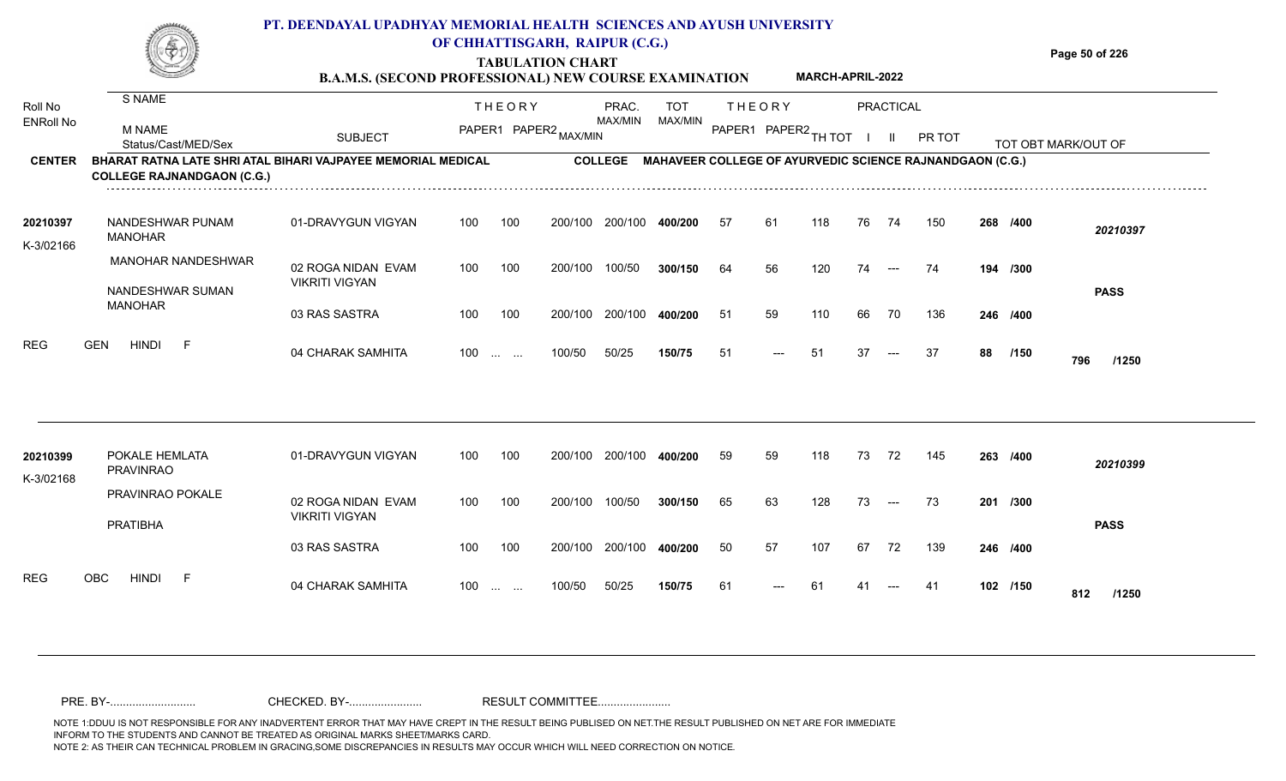|                       |                                                                                                   | PT. DEENDAYAL UPADHYAY MEMORIAL HEALTH  SCIENCES AND AYUSH UNIVERSITY<br><b>B.A.M.S. (SECOND PROFESSIONAL) NEW COURSE EXAMINATION</b> |     |               | OF CHHATTISGARH, RAIPUR (C.G.)<br><b>TABULATION CHART</b> |                |            |                      |               | <b>MARCH-APRIL-2022</b> |    |           |                                                                 |     |          | Page 50 of 226      |
|-----------------------|---------------------------------------------------------------------------------------------------|---------------------------------------------------------------------------------------------------------------------------------------|-----|---------------|-----------------------------------------------------------|----------------|------------|----------------------|---------------|-------------------------|----|-----------|-----------------------------------------------------------------|-----|----------|---------------------|
| Roll No               | S NAME                                                                                            |                                                                                                                                       |     | <b>THEORY</b> |                                                           | PRAC.          | <b>TOT</b> |                      | <b>THEORY</b> |                         |    | PRACTICAL |                                                                 |     |          |                     |
| <b>ENRoll No</b>      | M NAME<br>Status/Cast/MED/Sex                                                                     | <b>SUBJECT</b>                                                                                                                        |     |               | PAPER1 PAPER2 MAX/MIN                                     | MAX/MIN        | MAX/MIN    | PAPER1 PAPER2 TH TOT |               |                         |    |           | <b>PR TOT</b>                                                   |     |          | TOT ORT MARK/OUT OF |
| <b>CENTER</b>         | BHARAT RATNA LATE SHRI ATAL BIHARI VAJPAYEE MEMORIAL MEDICAL<br><b>COLLEGE RAJNANDGAON (C.G.)</b> |                                                                                                                                       |     |               |                                                           | <b>COLLEGE</b> |            |                      |               |                         |    |           | <b>MAHAVEER COLLEGE OF AYURVEDIC SCIENCE RAJNANDGAON (C.G.)</b> |     |          |                     |
| 20210397<br>K-3/02166 | NANDESHWAR PUNAM<br>MANOHAR                                                                       | 01-DRAVYGUN VIGYAN                                                                                                                    | 100 | 100           | 200/100                                                   | 200/100        | 400/200    | 57                   | 61            | 118                     | 76 | 74        | 150                                                             |     | 268 /400 | 20210397            |
|                       | <b>MANOHAR NANDESHWAR</b>                                                                         | 02 ROGA NIDAN EVAM                                                                                                                    | 100 | 100           | 200/100                                                   | 100/50         | 300/150    | 64                   | 56            | 120                     | 74 | $---$     | 74                                                              | 194 | /300     |                     |
|                       | NANDESHWAR SUMAN<br><b>MANOHAR</b>                                                                | <b>VIKRITI VIGYAN</b>                                                                                                                 |     |               |                                                           |                |            |                      |               |                         |    |           |                                                                 |     |          | <b>PASS</b>         |

| REG                   | <b>HINDI</b><br><b>GEN</b>         | 04 CHARAK SAMHITA                           | 100 | <b>Section Contract</b> | 100/50  | 50/25   | 150/75  | 51 | $---$ | 51  | 37 | $\sim$ $\sim$ | -37 | 88 | /150     | 796<br>/1250 |
|-----------------------|------------------------------------|---------------------------------------------|-----|-------------------------|---------|---------|---------|----|-------|-----|----|---------------|-----|----|----------|--------------|
| 20210399<br>K-3/02168 | POKALE HEMLATA<br><b>PRAVINRAO</b> | 01-DRAVYGUN VIGYAN                          | 100 | 100                     | 200/100 | 200/100 | 400/200 | 59 | 59    | 118 | 73 | 72            | 145 |    | 263 /400 | 20210399     |
|                       | PRAVINRAO POKALE<br>PRATIBHA       | 02 ROGA NIDAN EVAM<br><b>VIKRITI VIGYAN</b> | 100 | 100                     | 200/100 | 100/50  | 300/150 | 65 | 63    | 128 | 73 | $\sim$ $\sim$ | 73  |    | 201 /300 | <b>PASS</b>  |
|                       |                                    | 03 RAS SASTRA                               | 100 | 100                     | 200/100 | 200/100 | 400/200 | 50 | 57    | 107 | 67 | 72            | 139 |    | 246 /400 |              |
| <b>REG</b>            | OBC<br><b>HINDI</b><br>F           | 04 CHARAK SAMHITA                           | 100 | <b>Service</b> State    | 100/50  | 50/25   | 150/75  | 61 | $---$ | 61  | 41 | $---$         | -41 |    | 102 /150 | 812<br>/1250 |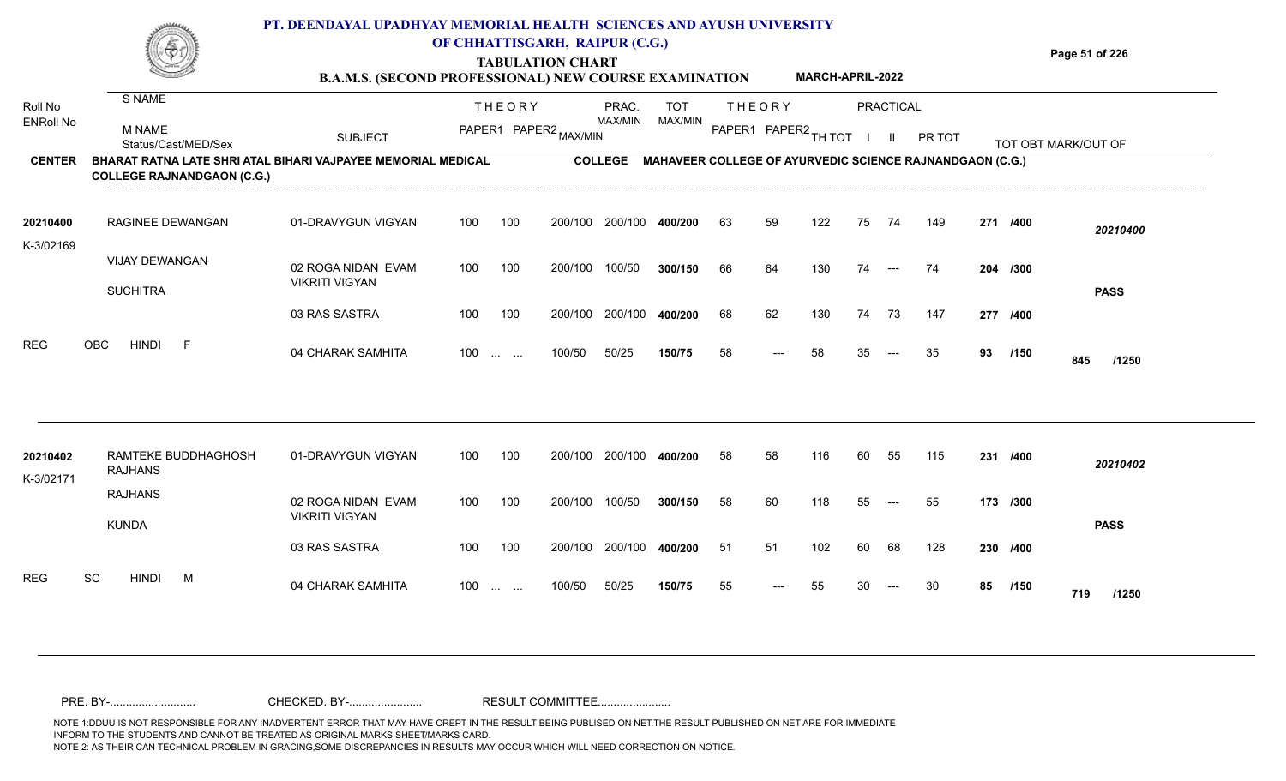| È<br>e yn | PT. DEENDAYAL UPADHYAY MEMORIAL HEALTH SCIENCES AND AYUSH UNIVERSITY<br>OF CHHATTISGARH, RAIPUR (C.G.)             |                |
|-----------|--------------------------------------------------------------------------------------------------------------------|----------------|
| Š         | <b>TABULATION CHART</b><br><b>MARCH-APRIL-2022</b><br><b>B.A.M.S. (SECOND PROFESSIONAL) NEW COURSE EXAMINATION</b> | Page 51 of 226 |
| S NAME    | PRACTICAL<br><b>THEORY</b><br><b>TOT</b><br>PRAC.<br><b>THFORY</b>                                                 |                |

| <b>ENRoll No</b>      | M NAME<br>Status/Cast/MED/Sex                                                                     | <b>SUBJECT</b>                              | PAPER1          | PAPER2 MAX/MIN |                | MAX/MIN | MAX/MIN | PAPER1 | I PAPER2 TH TOT |     |    |                       | PR TOT                                                          |          | TOT OBT |              |
|-----------------------|---------------------------------------------------------------------------------------------------|---------------------------------------------|-----------------|----------------|----------------|---------|---------|--------|-----------------|-----|----|-----------------------|-----------------------------------------------------------------|----------|---------|--------------|
| <b>CENTER</b>         | BHARAT RATNA LATE SHRI ATAL BIHARI VAJPAYEE MEMORIAL MEDICAL<br><b>COLLEGE RAJNANDGAON (C.G.)</b> |                                             |                 |                | <b>COLLEGE</b> |         |         |        |                 |     |    |                       | <b>MAHAVEER COLLEGE OF AYURVEDIC SCIENCE RAJNANDGAON (C.G.)</b> |          |         |              |
| 20210400<br>K-3/02169 | <b>RAGINEE DEWANGAN</b>                                                                           | 01-DRAVYGUN VIGYAN                          | 100             | 100            | 200/100        | 200/100 | 400/200 | 63     | 59              | 122 | 75 | 74                    | 149                                                             | 271      | /400    | 20210400     |
|                       | <b>VIJAY DEWANGAN</b><br><b>SUCHITRA</b>                                                          | 02 ROGA NIDAN EVAM<br><b>VIKRITI VIGYAN</b> | 100             | 100            | 200/100        | 100/50  | 300/150 | 66     | 64              | 130 | 74 | $---$                 | 74                                                              | 204 /300 |         | <b>PASS</b>  |
|                       |                                                                                                   | 03 RAS SASTRA                               | 100             | 100            | 200/100        | 200/100 | 400/200 | 68     | 62              | 130 | 74 | 73                    | 147                                                             | 277      | /400    |              |
| <b>REG</b>            | <b>HINDI</b><br>OBC.                                                                              | 04 CHARAK SAMHITA                           | 100<br>$\cdots$ | $\cdots$       | 100/50         | 50/25   | 150/75  | 58     | $--$            | 58  | 35 | $\qquad \qquad - - -$ | 35                                                              | 93       | /150    | 845<br>/1250 |

| 20210402<br>K-3/02171   | RAMTEKE BUDDHAGHOSH<br><b>RAJHANS</b> | 01-DRAVYGUN VIGYAN                   | 100 | 100                                            | 200/100 | 200/100 | 400/200 | 58 | 58    | 116 | 60 | 55    | 115 | 231      | /400        | 20210402    |
|-------------------------|---------------------------------------|--------------------------------------|-----|------------------------------------------------|---------|---------|---------|----|-------|-----|----|-------|-----|----------|-------------|-------------|
|                         | RAJHANS<br><b>KUNDA</b>               | 02 ROGA NIDAN EVAM<br>VIKRITI VIGYAN | 100 | 100                                            | 200/100 | 100/50  | 300/150 | 58 | 60    | 118 | 55 | $---$ | 55  | 173 /300 |             | <b>PASS</b> |
|                         |                                       | 03 RAS SASTRA                        | 100 | 100                                            | 200/100 | 200/100 | 400/200 | 51 | 51    | 102 | 60 | 68    | 128 | 230 /400 |             |             |
| <b>REG</b><br><b>SC</b> | <b>HINDI</b><br>M                     | 04 CHARAK SAMHITA                    | 100 | $\mathbf{r}$ and $\mathbf{r}$ and $\mathbf{r}$ | 100/50  | 50/25   | 150/75  | 55 | $---$ | 55  | 30 | $---$ | 30  | 85       | /150<br>719 | /1250       |

Roll No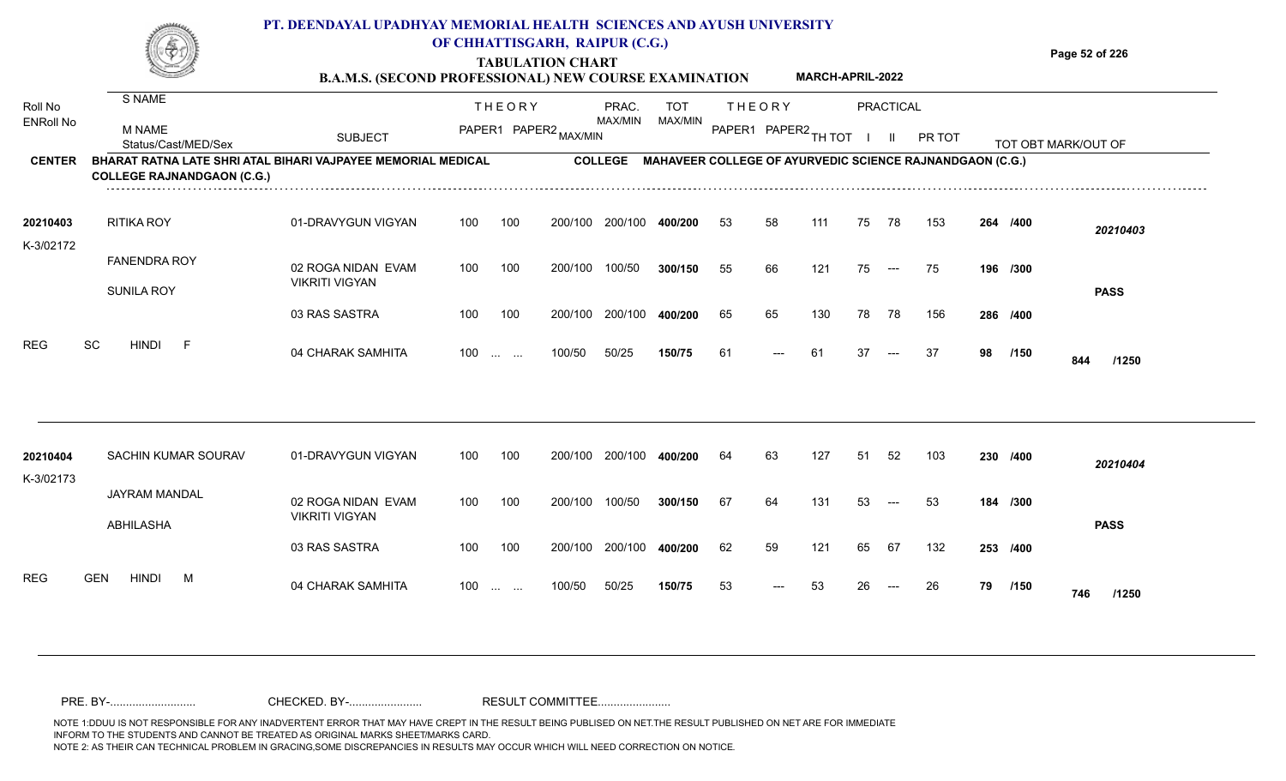## **TABULATION CHART PT. DEENDAYAL UPADHYAY MEMORIAL HEALTH SCIENCES AND AYUSH UNIVERSITY OF CHHATTISGARH, RAIPUR (C.G.)**

**B.A.M.S. (SECOND PROFESSIONAL) NEW COURSE EXAMINATION MARCH-APRIL-2022** **Page 52 of 226**

| Roll No          | S NAME                                                                                            |                                             |       | <b>THEORY</b>                     |                       | PRAC.          | <b>TOT</b> |                      | <b>THEORY</b> |     |    | <b>PRACTICAL</b>     |                                                                  |    |          |                     |
|------------------|---------------------------------------------------------------------------------------------------|---------------------------------------------|-------|-----------------------------------|-----------------------|----------------|------------|----------------------|---------------|-----|----|----------------------|------------------------------------------------------------------|----|----------|---------------------|
| <b>ENRoll No</b> | M NAME<br>Status/Cast/MED/Sex                                                                     | <b>SUBJECT</b>                              |       |                                   | PAPER1 PAPER2 MAX/MIN | <b>MAX/MIN</b> | MAX/MIN    | PAPER1 PAPER2 TH TOT |               |     |    |                      | PR TOT                                                           |    |          | TOT OBT MARK/OUT OF |
| <b>CENTER</b>    | BHARAT RATNA LATE SHRI ATAL BIHARI VAJPAYEE MEMORIAL MEDICAL<br><b>COLLEGE RAJNANDGAON (C.G.)</b> |                                             |       |                                   |                       |                |            |                      |               |     |    |                      | COLLEGE MAHAVEER COLLEGE OF AYURVEDIC SCIENCE RAJNANDGAON (C.G.) |    |          |                     |
| 20210403         | RITIKA ROY                                                                                        | 01-DRAVYGUN VIGYAN                          | 100   | 100                               | 200/100               | 200/100        | 400/200    | 53                   | 58            | 111 | 75 | 78                   | 153                                                              |    | 264 /400 | 20210403            |
| K-3/02172        | <b>FANENDRA ROY</b><br><b>SUNILA ROY</b>                                                          | 02 ROGA NIDAN EVAM<br><b>VIKRITI VIGYAN</b> | 100   | 100                               | 200/100               | 100/50         | 300/150    | 55                   | 66            | 121 | 75 | $\hspace{0.05cm}---$ | 75                                                               |    | 196 /300 | <b>PASS</b>         |
|                  |                                                                                                   | 03 RAS SASTRA                               | 100   | 100                               | 200/100               | 200/100        | 400/200    | 65                   | 65            | 130 | 78 | 78                   | 156                                                              |    | 286 /400 |                     |
| <b>REG</b>       | SC<br><b>HINDI</b><br>-F                                                                          | 04 CHARAK SAMHITA                           | 100   | $\sim 10^{11}$ and $\sim 10^{11}$ | 100/50                | 50/25          | 150/75     | 61                   | ---           | -61 | 37 | $---$                | -37                                                              | 98 | /150     | 844<br>/1250        |
| 20210404         | SACHIN KUMAR SOURAV                                                                               | 01-DRAVYGUN VIGYAN                          | 100   | 100                               | 200/100               | 200/100        | 400/200    | 64                   | 63            | 127 | 51 | 52                   | 103                                                              |    | 230 /400 | 20210404            |
| K-3/02173        | JAYRAM MANDAL<br>ABHILASHA                                                                        | 02 ROGA NIDAN EVAM<br><b>VIKRITI VIGYAN</b> | 100   | 100                               | 200/100               | 100/50         | 300/150    | 67                   | 64            | 131 | 53 | $---$                | 53                                                               |    | 184 /300 | <b>PASS</b>         |
|                  |                                                                                                   | 03 RAS SASTRA                               | 100   | 100                               | 200/100               | 200/100        | 400/200    | 62                   | 59            | 121 | 65 | 67                   | 132                                                              |    | 253 /400 |                     |
| <b>REG</b>       | <b>GEN</b><br><b>HINDI</b><br>M                                                                   | 04 CHARAK SAMHITA                           | $100$ |                                   | 100/50                | 50/25          | 150/75     | 53                   | $---$         | 53  | 26 | $---$                | 26                                                               | 79 | /150     | 746<br>/1250        |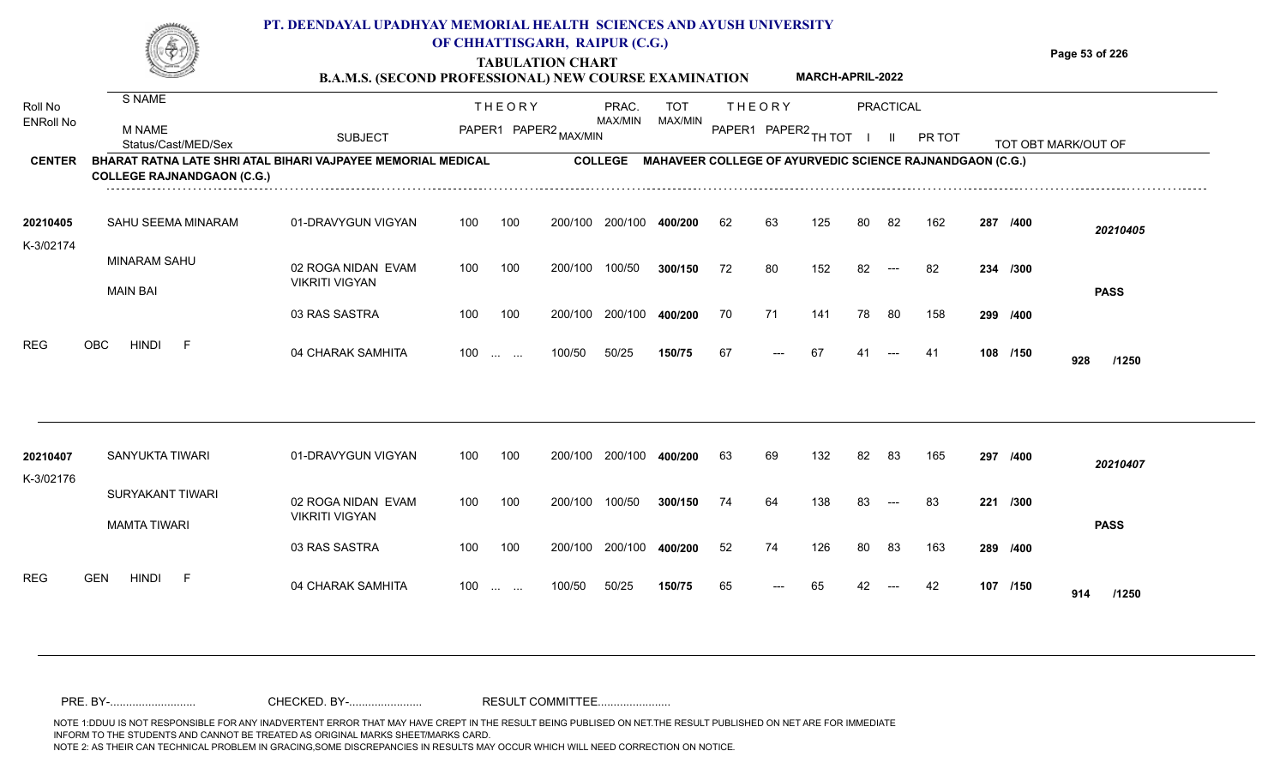# **PT. DEENDAYAL UPADHYAY MEMORIAL HEALTH SCIENCES AND AYUSH UNIVERSITY OF CHHATTISGARH, RAIPUR (C.G.)**

**TABULATION CHART B.A.M.S. (SECOND PROFESSIONAL) NEW COURSE EXAMINATION**  **Page 53 of 226**

**MARCH-APRIL-2022**

| Roll No<br><b>ENRoll No</b> | S NAME                                                                                            |                                             |     | <b>THEORY</b>                                                 |         | PRAC.          | <b>TOT</b>                                                      |    | <b>THEORY</b>        |     |     | <b>PRACTICAL</b>     |        |          |                     |
|-----------------------------|---------------------------------------------------------------------------------------------------|---------------------------------------------|-----|---------------------------------------------------------------|---------|----------------|-----------------------------------------------------------------|----|----------------------|-----|-----|----------------------|--------|----------|---------------------|
|                             | <b>M NAME</b><br>Status/Cast/MED/Sex                                                              | <b>SUBJECT</b>                              |     | PAPER1 PAPER2 MAX/MIN                                         |         | MAX/MIN        | MAX/MIN                                                         |    | PAPER1 PAPER2 TH TOT |     |     | - II                 | PR TOT |          | TOT OBT MARK/OUT OF |
| <b>CENTER</b>               | BHARAT RATNA LATE SHRI ATAL BIHARI VAJPAYEE MEMORIAL MEDICAL<br><b>COLLEGE RAJNANDGAON (C.G.)</b> |                                             |     |                                                               |         | <b>COLLEGE</b> | <b>MAHAVEER COLLEGE OF AYURVEDIC SCIENCE RAJNANDGAON (C.G.)</b> |    |                      |     |     |                      |        |          |                     |
| 20210405<br>K-3/02174       | SAHU SEEMA MINARAM                                                                                | 01-DRAVYGUN VIGYAN                          | 100 | 100                                                           | 200/100 | 200/100        | 400/200                                                         | 62 | 63                   | 125 | 80  | 82                   | 162    | 287 /400 | 20210405            |
|                             | <b>MINARAM SAHU</b>                                                                               | 02 ROGA NIDAN EVAM<br><b>VIKRITI VIGYAN</b> | 100 | 100                                                           | 200/100 | 100/50         | 300/150                                                         | 72 | 80                   | 152 | 82. | $\hspace{0.05cm}---$ | -82    | 234 /300 |                     |
|                             | <b>MAIN BAI</b>                                                                                   | 03 RAS SASTRA                               | 100 | 100                                                           | 200/100 | 200/100        | 400/200                                                         | 70 | 71                   | 141 | 78  | -80                  | 158    | 299 /400 | <b>PASS</b>         |
| <b>REG</b>                  | HINDI<br><b>OBC</b><br>-F                                                                         | 04 CHARAK SAMHITA                           | 100 | $\mathcal{L}_{\mathcal{F}}$ , and $\mathcal{L}_{\mathcal{F}}$ | 100/50  | 50/25          | 150/75                                                          | 67 | $---$                | 67  |     |                      | -41    | 108 /150 | 928<br>/1250        |
|                             |                                                                                                   |                                             |     |                                                               |         |                |                                                                 |    |                      |     |     |                      |        |          |                     |
| 20210407                    | SANYUKTA TIWARI                                                                                   | 01-DRAVYGUN VIGYAN                          | 100 | 100                                                           | 200/100 | 200/100        | 400/200                                                         | 63 | 69                   | 132 | 82  | 83                   | 165    | 297 /400 | 20210407            |
| K-3/02176                   | SURYAKANT TIWARI<br><b>MAMTA TIWARI</b>                                                           | 02 ROGA NIDAN EVAM<br><b>VIKRITI VIGYAN</b> | 100 | 100                                                           | 200/100 | 100/50         | 300/150                                                         | 74 | 64                   | 138 | 83  | $---$                | 83     | 221 /300 | <b>PASS</b>         |
|                             |                                                                                                   | 03 RAS SASTRA                               | 100 | 100                                                           | 200/100 | 200/100        | 400/200                                                         | 52 | 74                   | 126 | 80  | 83                   | 163    | 289 /400 |                     |
| <b>REG</b>                  | <b>GEN</b><br><b>HINDI</b><br>-F                                                                  | 04 CHARAK SAMHITA                           | 100 | <b>Section Contract</b>                                       | 100/50  | 50/25          | 150/75                                                          | 65 | $---$                | 65  | 42  | $---$                | 42     | 107 /150 | 914<br>/1250        |
|                             |                                                                                                   |                                             |     |                                                               |         |                |                                                                 |    |                      |     |     |                      |        |          |                     |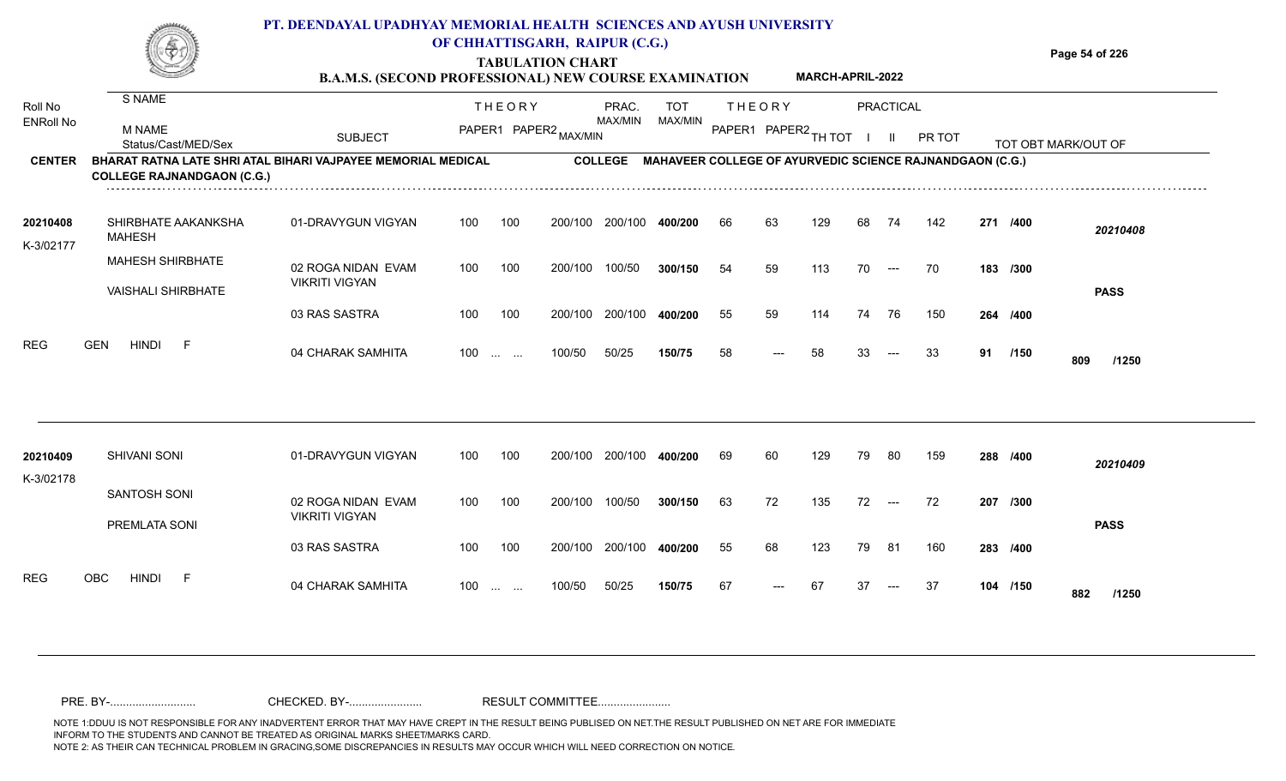|                             |                                                                                                          | PT. DEENDAYAL UPADHYAY MEMORIAL HEALTH SCIENCES AND AYUSH UNIVERSITY<br><b>B.A.M.S. (SECOND PROFESSIONAL) NEW COURSE EXAMINATION</b> |     |                        | OF CHHATTISGARH, RAIPUR (C.G.)<br><b>TABULATION CHART</b> |                  |                                                                 |    |                                       | <b>MARCH-APRIL-2022</b> |    |           |        |     |                     | Page 54 of 226 |             |
|-----------------------------|----------------------------------------------------------------------------------------------------------|--------------------------------------------------------------------------------------------------------------------------------------|-----|------------------------|-----------------------------------------------------------|------------------|-----------------------------------------------------------------|----|---------------------------------------|-------------------------|----|-----------|--------|-----|---------------------|----------------|-------------|
| Roll No<br><b>ENRoll No</b> | S NAME<br><b>M NAME</b><br>Status/Cast/MED/Sex                                                           | <b>SUBJECT</b>                                                                                                                       |     | <b>THEORY</b>          | PAPER1 PAPER2 MAX/MIN                                     | PRAC.<br>MAX/MIN | <b>TOT</b><br>MAX/MIN                                           |    | <b>THEORY</b><br>PAPER1 PAPER2 TH TOT |                         |    | PRACTICAL | PR TOT |     | TOT OBT MARK/OUT OF |                |             |
| <b>CENTER</b>               | <b>BHARAT RATNA LATE SHRI ATAL BIHARI VAJPAYEE MEMORIAL MEDICAL</b><br><b>COLLEGE RAJNANDGAON (C.G.)</b> |                                                                                                                                      |     |                        |                                                           | <b>COLLEGE</b>   | <b>MAHAVEER COLLEGE OF AYURVEDIC SCIENCE RAJNANDGAON (C.G.)</b> |    |                                       |                         |    |           |        |     |                     |                |             |
| 20210408<br>K-3/02177       | SHIRBHATE AAKANKSHA<br>MAHESH                                                                            | 01-DRAVYGUN VIGYAN                                                                                                                   | 100 | 100                    | 200/100                                                   | 200/100          | 400/200                                                         | 66 | 63                                    | 129                     | 68 | 74        | 142    |     | 271 /400            |                | 20210408    |
|                             | <b>MAHESH SHIRBHATE</b><br><b>VAISHALI SHIRBHATE</b>                                                     | 02 ROGA NIDAN EVAM<br><b>VIKRITI VIGYAN</b>                                                                                          | 100 | 100                    | 200/100                                                   | 100/50           | 300/150                                                         | 54 | 59                                    | 113                     | 70 | $---$     | 70     |     | 183 /300            |                | <b>PASS</b> |
|                             |                                                                                                          | 03 RAS SASTRA                                                                                                                        | 100 | 100                    | 200/100                                                   | 200/100          | 400/200                                                         | 55 | 59                                    | 114                     | 74 | 76        | 150    | 264 | /400                |                |             |
| <b>REG</b>                  | <b>GEN</b><br><b>HINDI</b>                                                                               | 04 CHARAK SAMHITA                                                                                                                    | 100 | <b>Service Control</b> | 100/50                                                    | 50/25            | 150/75                                                          | 58 | $\qquad \qquad - -$                   | 58                      | 33 | $---$     | 33     | 91  | /150                | 809            | /1250       |

| 20210409<br>K-3/02178 | SHIVANI SONI                  | 01-DRAVYGUN VIGYAN                          | 100 | 100                      | 200/100 200/100 |         | 400/200 | 69 | 60    | 129 | 79  | -80                  | 159  | 288 /400 |     | 20210409    |
|-----------------------|-------------------------------|---------------------------------------------|-----|--------------------------|-----------------|---------|---------|----|-------|-----|-----|----------------------|------|----------|-----|-------------|
|                       | SANTOSH SONI<br>PREMLATA SONI | 02 ROGA NIDAN EVAM<br><b>VIKRITI VIGYAN</b> | 100 | 100                      | 200/100         | 100/50  | 300/150 | 63 | 72    | 135 | 72  | $\hspace{0.05cm}---$ | 72   | 207 /300 |     | <b>PASS</b> |
|                       |                               | 03 RAS SASTRA                               | 100 | 100                      | 200/100         | 200/100 | 400/200 | 55 | 68    | 123 | 79  | -81                  | 160  | 283 /400 |     |             |
| <b>REG</b><br>OBC     | <b>HINDI</b><br><b>1</b>      | 04 CHARAK SAMHITA                           | 100 | and the same of the same | 100/50          | 50/25   | 150/75  | 67 | $---$ | 67  | -37 | $---$                | - 37 | 104 /150 | 882 | /1250       |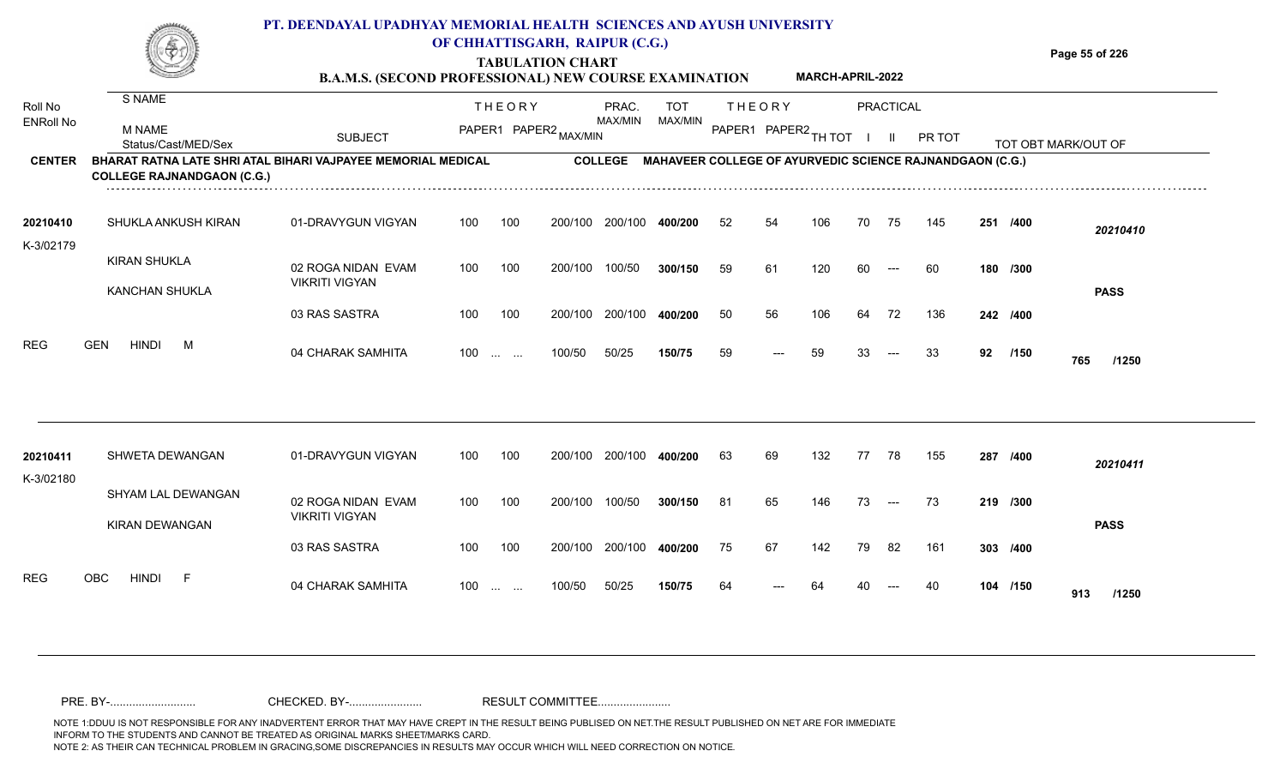## **PT. DEENDAYAL UPADHYAY MEMORIAL HEALTH SCIENCES AND AYUSH UNIVERSITY OF CHHATTISGARH, RAIPUR (C.G.)**

**TABULATION CHART**

**Page 55 of 226**

|                             |                                                                                                          | <b>B.A.M.S. (SECOND PROFESSIONAL) NEW COURSE EXAMINATION</b> |     |                                        |         |                  |                |    |                                       | MARCH-APRIL-2022 |    |                           |                                                          |     |          |                     |
|-----------------------------|----------------------------------------------------------------------------------------------------------|--------------------------------------------------------------|-----|----------------------------------------|---------|------------------|----------------|----|---------------------------------------|------------------|----|---------------------------|----------------------------------------------------------|-----|----------|---------------------|
| Roll No<br><b>ENRoll No</b> | S NAME<br><b>M NAME</b><br>Status/Cast/MED/Sex                                                           | <b>SUBJECT</b>                                               |     | <b>THEORY</b><br>PAPER1 PAPER2 MAX/MIN |         | PRAC.<br>MAX/MIN | TOT<br>MAX/MIN |    | <b>THEORY</b><br>PAPER1 PAPER2 TH TOT |                  |    | PRACTICAL<br>$\mathbf{H}$ | PR TOT                                                   |     |          | TOT OBT MARK/OUT OF |
| <b>CENTER</b>               | <b>BHARAT RATNA LATE SHRI ATAL BIHARI VAJPAYEE MEMORIAL MEDICAL</b><br><b>COLLEGE RAJNANDGAON (C.G.)</b> |                                                              |     |                                        |         | <b>COLLEGE</b>   |                |    |                                       |                  |    |                           | MAHAVEER COLLEGE OF AYURVEDIC SCIENCE RAJNANDGAON (C.G.) |     |          |                     |
| 20210410<br>K-3/02179       | SHUKLA ANKUSH KIRAN                                                                                      | 01-DRAVYGUN VIGYAN                                           | 100 | 100                                    | 200/100 | 200/100          | 400/200        | 52 | 54                                    | 106              | 70 | 75                        | 145                                                      | 251 | /400     | 20210410            |
|                             | <b>KIRAN SHUKLA</b><br><b>KANCHAN SHUKLA</b>                                                             | 02 ROGA NIDAN EVAM<br><b>VIKRITI VIGYAN</b>                  | 100 | 100                                    | 200/100 | 100/50           | 300/150        | 59 | 61                                    | 120              | 60 | $---$                     | 60                                                       |     | 180 /300 | <b>PASS</b>         |
|                             |                                                                                                          | 03 RAS SASTRA                                                | 100 | 100                                    | 200/100 | 200/100          | 400/200        | 50 | 56                                    | 106              | 64 | 72                        | 136                                                      |     | 242 /400 |                     |
| <b>REG</b>                  | <b>HINDI</b><br><b>GEN</b><br>M                                                                          | 04 CHARAK SAMHITA                                            | 100 | $\sim 10^{-10}$ and $\sim 10^{-10}$    | 100/50  | 50/25            | 150/75         | 59 | $---$                                 | 59               | 33 | $---$                     | 33                                                       | 92  | /150     | 765<br>/1250        |
| 20210411<br>K-3/02180       | SHWETA DEWANGAN                                                                                          | 01-DRAVYGUN VIGYAN                                           | 100 | 100                                    | 200/100 | 200/100          | 400/200        | 63 | 69                                    | 132              | 77 | 78                        | 155                                                      |     | 287 /400 | 20210411            |
|                             | <b>SHYAM LAL DEWANGAN</b><br>KIRAN DEWANGAN                                                              | 02 ROGA NIDAN EVAM<br><b>VIKRITI VIGYAN</b>                  | 100 | 100                                    | 200/100 | 100/50           | 300/150        | 81 | 65                                    | 146              | 73 | $\hspace{0.05cm} \ldots$  | 73                                                       |     | 219 /300 | <b>PASS</b>         |
|                             |                                                                                                          | 03 RAS SASTRA                                                | 100 | 100                                    | 200/100 | 200/100          | 400/200        | 75 | 67                                    | 142              | 79 | 82                        | 161                                                      |     | 303 /400 |                     |
| <b>REG</b>                  | <b>OBC</b><br><b>HINDI</b><br>-F                                                                         | 04 CHARAK SAMHITA                                            | 100 | <b>Section Contract</b>                | 100/50  | 50/25            | 150/75         | 64 |                                       | 64               |    |                           | 40                                                       |     | 104 /150 | 913<br>/1250        |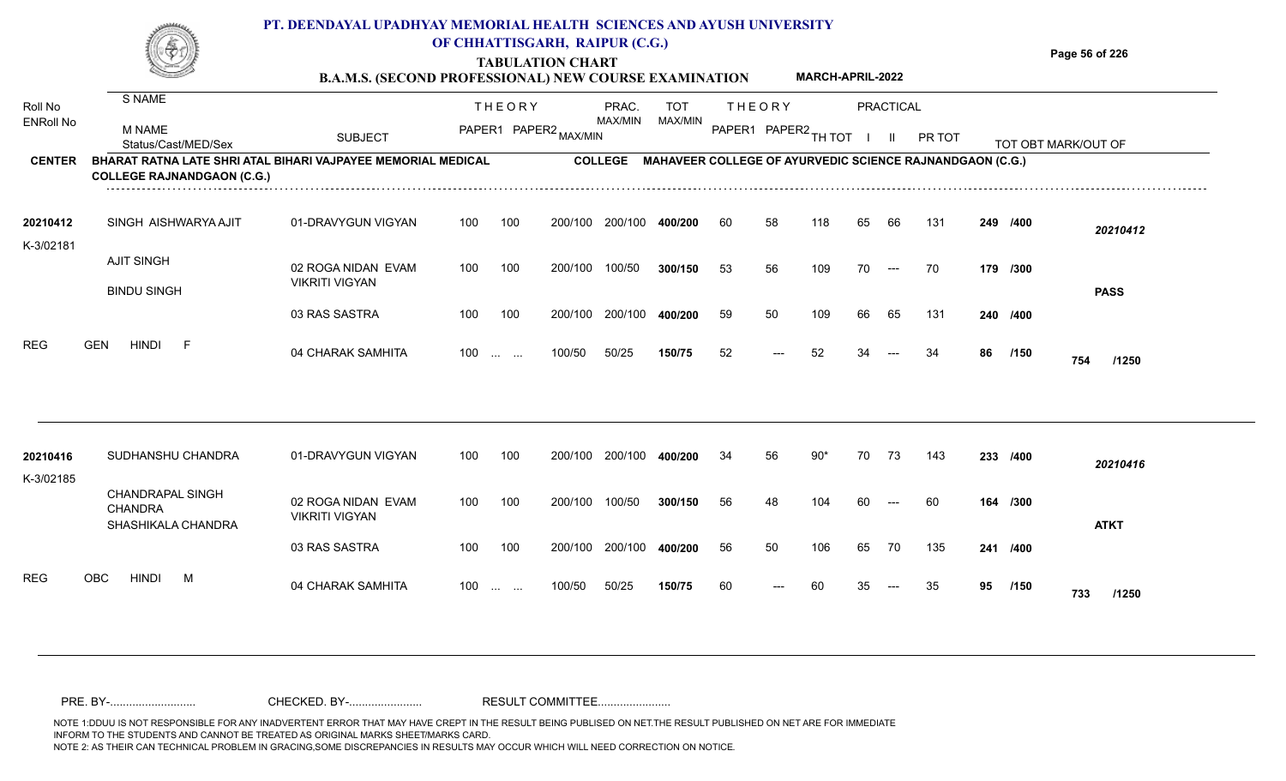## **PT. DEENDAYAL UPADHYAY MEMORIAL HEALTH SCIENCES AND AYUSH UNIVERSITY OF CHHATTISGARH, RAIPUR (C.G.)**

**TABULATION CHART B.A.M.S. (SECOND PROFESSIONAL) NEW COURSE EXAMINATION**  **Page 56 of 226**

**MARCH-APRIL-2022**

| Roll No<br><b>ENRoll No</b> | S NAME                                                                                            |                                             |     | <b>THEORY</b>                                                 |         | PRAC.          | <b>TOT</b> | <b>THEORY</b>        |       |       |    | PRACTICAL |                                                          |    |          |                     |
|-----------------------------|---------------------------------------------------------------------------------------------------|---------------------------------------------|-----|---------------------------------------------------------------|---------|----------------|------------|----------------------|-------|-------|----|-----------|----------------------------------------------------------|----|----------|---------------------|
|                             | <b>M NAME</b><br>Status/Cast/MED/Sex                                                              | <b>SUBJECT</b>                              |     | PAPER1 PAPER2 MAX/MIN                                         |         | MAX/MIN        | MAX/MIN    | PAPER1 PAPER2 TH TOT |       |       |    |           | PR TOT                                                   |    |          | TOT OBT MARK/OUT OF |
| <b>CENTER</b>               | BHARAT RATNA LATE SHRI ATAL BIHARI VAJPAYEE MEMORIAL MEDICAL<br><b>COLLEGE RAJNANDGAON (C.G.)</b> |                                             |     |                                                               |         | <b>COLLEGE</b> |            |                      |       |       |    |           | MAHAVEER COLLEGE OF AYURVEDIC SCIENCE RAJNANDGAON (C.G.) |    |          |                     |
| 20210412                    | SINGH AISHWARYA AJIT                                                                              | 01-DRAVYGUN VIGYAN                          | 100 | 100                                                           | 200/100 | 200/100        | 400/200    | 60                   | 58    | 118   | 65 | 66        | 131                                                      |    | 249 /400 | 20210412            |
| K-3/02181                   | <b>AJIT SINGH</b>                                                                                 | 02 ROGA NIDAN EVAM                          | 100 | 100                                                           | 200/100 | 100/50         | 300/150    | 53                   | 56    | 109   | 70 | $---$     | -70                                                      |    | 179 /300 |                     |
|                             | <b>BINDU SINGH</b>                                                                                | <b>VIKRITI VIGYAN</b>                       |     |                                                               |         |                |            |                      |       |       |    |           |                                                          |    |          | <b>PASS</b>         |
|                             |                                                                                                   | 03 RAS SASTRA                               | 100 | 100                                                           | 200/100 | 200/100        | 400/200    | 59                   | 50    | 109   | 66 | 65        | 131                                                      |    | 240 /400 |                     |
| <b>REG</b>                  | <b>HINDI</b><br><b>GEN</b><br>-F                                                                  | 04 CHARAK SAMHITA                           | 100 |                                                               | 100/50  | 50/25          | 150/75     | 52                   | $---$ | 52    | 34 |           | 34                                                       | 86 | /150     | 754<br>/1250        |
|                             |                                                                                                   |                                             |     |                                                               |         |                |            |                      |       |       |    |           |                                                          |    |          |                     |
| 20210416<br>K-3/02185       | SUDHANSHU CHANDRA                                                                                 | 01-DRAVYGUN VIGYAN                          | 100 | 100                                                           | 200/100 | 200/100        | 400/200    | 34                   | 56    | $90*$ | 70 | 73        | 143                                                      |    | 233 /400 | 20210416            |
|                             | <b>CHANDRAPAL SINGH</b><br><b>CHANDRA</b><br>SHASHIKALA CHANDRA                                   | 02 ROGA NIDAN EVAM<br><b>VIKRITI VIGYAN</b> | 100 | 100                                                           | 200/100 | 100/50         | 300/150    | 56                   | 48    | 104   | 60 | $---$     | 60                                                       |    | 164 /300 | <b>ATKT</b>         |
|                             |                                                                                                   | 03 RAS SASTRA                               | 100 | 100                                                           | 200/100 | 200/100        | 400/200    | 56                   | 50    | 106   | 65 | 70        | 135                                                      |    | 241 /400 |                     |
| <b>REG</b>                  | <b>HINDI</b><br><b>OBC</b><br>M                                                                   | 04 CHARAK SAMHITA                           | 100 | $\mathcal{L}_{\mathcal{F}}$ , and $\mathcal{L}_{\mathcal{F}}$ | 100/50  | 50/25          | 150/75     | 60                   | $---$ | 60    | 35 | $---$     | 35                                                       | 95 | /150     | 733<br>/1250        |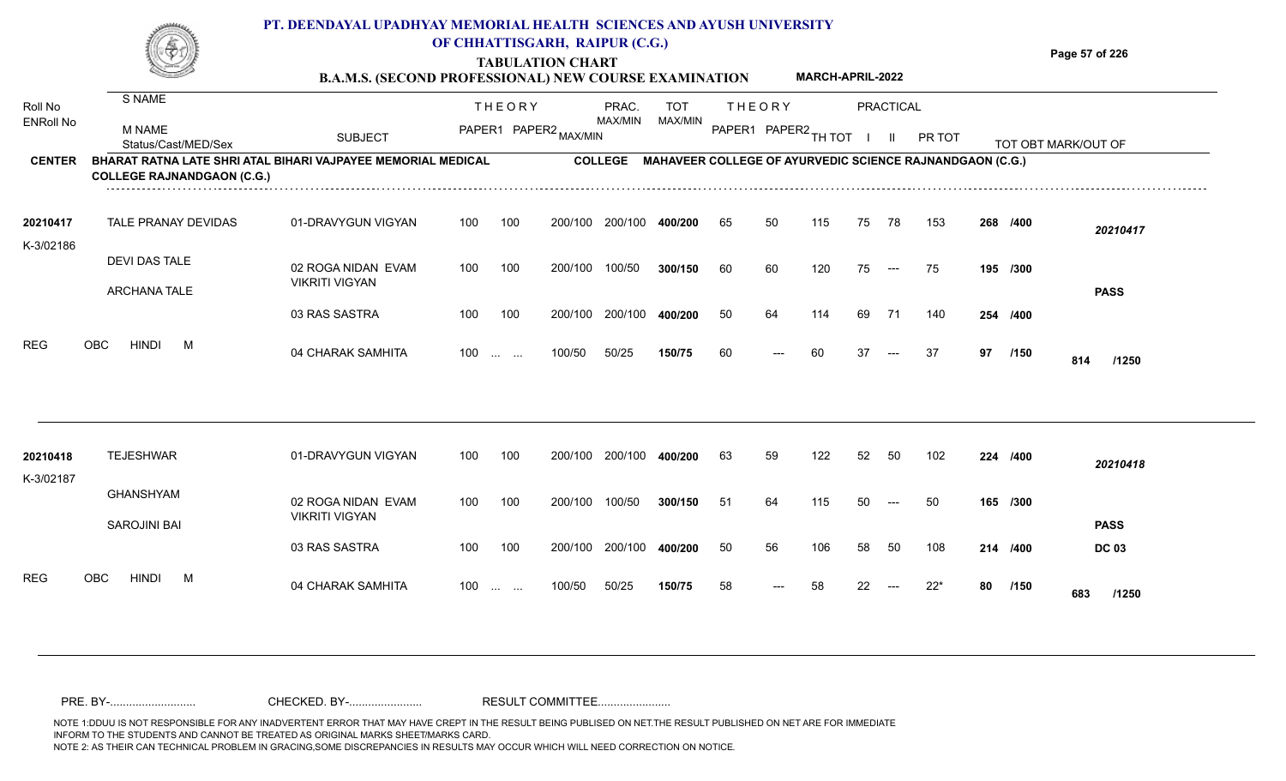|                       |                                      | PT. DEENDAYAL UPADHYAY MEMORIAL HEALTH SCIENCES AND AYUSH UNIVERSITY<br><b>B.A.M.S. (SECOND PROFESSIONAL) NEW COURSE EXAMINATION</b> |     |                                                | OF CHHATTISGARH, RAIPUR (C.G.)<br><b>TABULATION CHART</b> |         |                                                                  |    |                      | <b>MARCH-APRIL-2022</b> |    |           |        |     |          | Page 57 of 226      |
|-----------------------|--------------------------------------|--------------------------------------------------------------------------------------------------------------------------------------|-----|------------------------------------------------|-----------------------------------------------------------|---------|------------------------------------------------------------------|----|----------------------|-------------------------|----|-----------|--------|-----|----------|---------------------|
| Roll No               | S NAME                               |                                                                                                                                      |     | <b>THEORY</b>                                  |                                                           | PRAC.   | TOT                                                              |    | <b>THEORY</b>        |                         |    | PRACTICAL |        |     |          |                     |
| <b>ENRoll No</b>      | <b>M NAME</b><br>Status/Cast/MED/Sex | <b>SUBJECT</b>                                                                                                                       |     |                                                | PAPER1 PAPER2 MAX/MIN                                     | MAX/MIN | MAX/MIN                                                          |    | PAPER1 PAPER2 TH TOT |                         |    |           | PR TOT |     |          | TOT OBT MARK/OUT OF |
| <b>CENTER</b>         | <b>COLLEGE RAJNANDGAON (C.G.)</b>    | BHARAT RATNA LATE SHRI ATAL BIHARI VAJPAYEE MEMORIAL MEDICAL                                                                         |     |                                                |                                                           |         | COLLEGE MAHAVEER COLLEGE OF AYURVEDIC SCIENCE RAJNANDGAON (C.G.) |    |                      |                         |    |           |        |     |          |                     |
| 20210417<br>K-3/02186 | <b>TALE PRANAY DEVIDAS</b>           | 01-DRAVYGUN VIGYAN                                                                                                                   | 100 | 100                                            | 200/100                                                   | 200/100 | 400/200                                                          | 65 | 50                   | 115                     | 75 | 78        | 153    |     | 268 /400 | 20210417            |
|                       | DEVI DAS TALE<br><b>ARCHANA TALE</b> | 02 ROGA NIDAN EVAM<br><b>VIKRITI VIGYAN</b>                                                                                          | 100 | 100                                            | 200/100                                                   | 100/50  | 300/150                                                          | 60 | 60                   | 120                     | 75 | $---$     | 75     |     | 195 /300 | <b>PASS</b>         |
|                       |                                      | 03 RAS SASTRA                                                                                                                        | 100 | 100                                            | 200/100                                                   | 200/100 | 400/200                                                          | 50 | 64                   | 114                     | 69 | 71        | 140    | 254 | /400     |                     |
| <b>REG</b>            | <b>OBC</b><br><b>HINDI</b><br>M      | 04 CHARAK SAMHITA                                                                                                                    | 100 | $\mathbf{r}$ and $\mathbf{r}$ and $\mathbf{r}$ | 100/50                                                    | 50/25   | 150/75                                                           | 60 | $---$                | 60                      | 37 | $---$     | 37     | 97  | /150     | 814<br>/1250        |
|                       |                                      |                                                                                                                                      |     |                                                |                                                           |         |                                                                  |    |                      |                         |    |           |        |     |          |                     |

| 20210418          | <b>TEJESHWAR</b>    | 01-DRAVYGUN VIGYAN                          | 100 | 100                                            | 200/100 | 200/100 | 400/200 | 63 | 59                    | 122 | 52 | 50                                     | 102 | 224 /400 |             | 20210418     |
|-------------------|---------------------|---------------------------------------------|-----|------------------------------------------------|---------|---------|---------|----|-----------------------|-----|----|----------------------------------------|-----|----------|-------------|--------------|
| K-3/02187         |                     |                                             |     |                                                |         |         |         |    |                       |     |    |                                        |     |          |             |              |
|                   | GHANSHYAM           | 02 ROGA NIDAN EVAM<br><b>VIKRITI VIGYAN</b> | 100 | 100                                            | 200/100 | 100/50  | 300/150 | 51 | 64                    | 115 | 50 | $---$                                  | -50 | 165 /300 |             |              |
|                   | <b>SAROJINI BAI</b> |                                             |     |                                                |         |         |         |    |                       |     |    |                                        |     |          |             | <b>PASS</b>  |
|                   |                     | 03 RAS SASTRA                               | 100 | 100                                            | 200/100 | 200/100 | 400/200 | 50 | 56                    | 106 | 58 | -50                                    | 108 | 214 /400 |             | <b>DC 03</b> |
| <b>REG</b><br>OBC | <b>HINDI</b><br>М   | 04 CHARAK SAMHITA                           | 100 | $\mathbf{r}$ and $\mathbf{r}$ and $\mathbf{r}$ | 100/50  | 50/25   | 150/75  | 58 | $\scriptstyle \cdots$ | 58  | 22 | $\hspace{0.1em} \ldots \hspace{0.1em}$ | 22* | 80       | /150<br>683 | /1250        |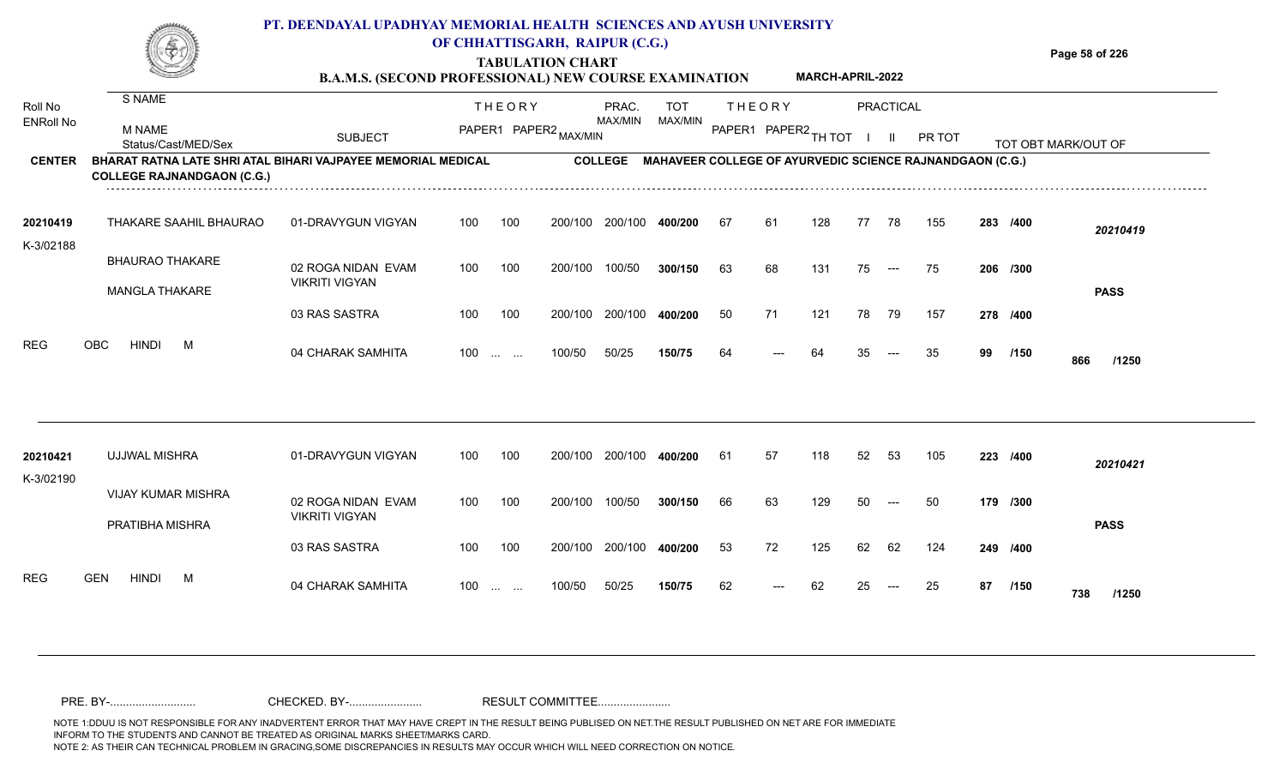|                  |                                                              | PT. DEENDAYAL UPADHYAY MEMORIAL HEALTH SCIENCES AND AYUSH UNIVERSITY | OF CHHATTISGARH, RAIPUR (C.G.)<br><b>TABULATION CHART</b><br><b>B.A.M.S. (SECOND PROFESSIONAL) NEW COURSE EXAMINATION</b> |                     |                      | <b>MARCH-APRIL-2022</b>                                         | Page 58 of 226      |  |
|------------------|--------------------------------------------------------------|----------------------------------------------------------------------|---------------------------------------------------------------------------------------------------------------------------|---------------------|----------------------|-----------------------------------------------------------------|---------------------|--|
| <b>Roll No</b>   | S NAME                                                       |                                                                      | THEORY                                                                                                                    | <b>TOT</b><br>PRAC. | THEORY               | PRACTICAL                                                       |                     |  |
| <b>ENRoll No</b> | M NAME<br>Status/Cast/MED/Sex                                | <b>SUBJECT</b>                                                       | PAPER1 PAPER2.                                                                                                            | MAX/MIN<br>MAX/MIN  | PAPER1 PAPER2 TH TOT | PR TOT                                                          | TOT OBT MARK/OUT OF |  |
| <b>CENTER</b>    | BHARAT RATNA LATE SHRI ATAL BIHARI VAJPAYEE MEMORIAL MEDICAL |                                                                      | <b>COLLEGE</b>                                                                                                            |                     |                      | <b>MAHAVEER COLLEGE OF AYURVEDIC SCIENCE RAJNANDGAON (C.G.)</b> |                     |  |

100 100 200/100 200/100 **400/200**

100/50 **300/150**

**400/200**

---

67 61 128 77 78 155 **283**

**/300** 63 68 131 75 75 **206**

**/400** 50 71 121 78 79 157 **278**

**/400** *20210419*

**PASS**

01-DRAVYGUN VIGYAN 100 100

03 RAS SASTRA

02 ROGA NIDAN EVAM

VIKRITI VIGYAN

K-3/02188

**COLLEGE RAJNANDGAON (C.G.)**

BHAURAO THAKARE

MANGLA THAKARE

THAKARE SAAHIL BHAURAO **20210419**

NOTE 1:DDUU IS NOT RESPONSIBLE FOR ANY INADVERTENT ERROR THAT MAY HAVE CREPT IN THE RESULT BEING PUBLISED ON NET.THE RESULT PUBLISHED ON NET ARE FOR IMMEDIATE INFORM TO THE STUDENTS AND CANNOT BE TREATED AS ORIGINAL MARKS SHEET/MARKS CARD. NOTE 2: AS THEIR CAN TECHNICAL PROBLEM IN GRACING,SOME DISCREPANCIES IN RESULTS MAY OCCUR WHICH WILL NEED CORRECTION ON NOTICE. PRE. BY-........................... CHECKED. BY-....................... RESULT COMMITTEE.......................

| REG       | OBC<br>HINDI<br>M                            | 04 CHARAK SAMHITA                           | $100 \dots \dots$ |                   | 100/50  | 50/25   | 150/75  | 64 | $---$ | 64  | 35 | $---$               | 35  | 99       | /150 | 866<br>/1250 |
|-----------|----------------------------------------------|---------------------------------------------|-------------------|-------------------|---------|---------|---------|----|-------|-----|----|---------------------|-----|----------|------|--------------|
| 20210421  | UJJWAL MISHRA                                | 01-DRAVYGUN VIGYAN                          | 100               | 100               | 200/100 | 200/100 | 400/200 | 61 | 57    | 118 | 52 | 53                  | 105 | 223 /400 |      | 20210421     |
| K-3/02190 | <b>VIJAY KUMAR MISHRA</b><br>PRATIBHA MISHRA | 02 ROGA NIDAN EVAM<br><b>VIKRITI VIGYAN</b> | 100               | 100               | 200/100 | 100/50  | 300/150 | 66 | 63    | 129 | 50 | $---$               | 50  | 179 /300 |      | <b>PASS</b>  |
|           |                                              | 03 RAS SASTRA                               | 100               | 100               | 200/100 | 200/100 | 400/200 | 53 | 72    | 125 | 62 | 62                  | 124 | 249 /400 |      |              |
| REG       | <b>GEN</b><br>HINDI<br>M                     | 04 CHARAK SAMHITA                           | 100               | $\cdots$ $\cdots$ | 100/50  | 50/25   | 150/75  | 62 | $---$ | 62  | 25 | $\qquad \qquad - -$ | 25  | 87       | /150 | 738<br>/1250 |

100 100 200/100 200/100 **400/200** 50

100 200/100 100/50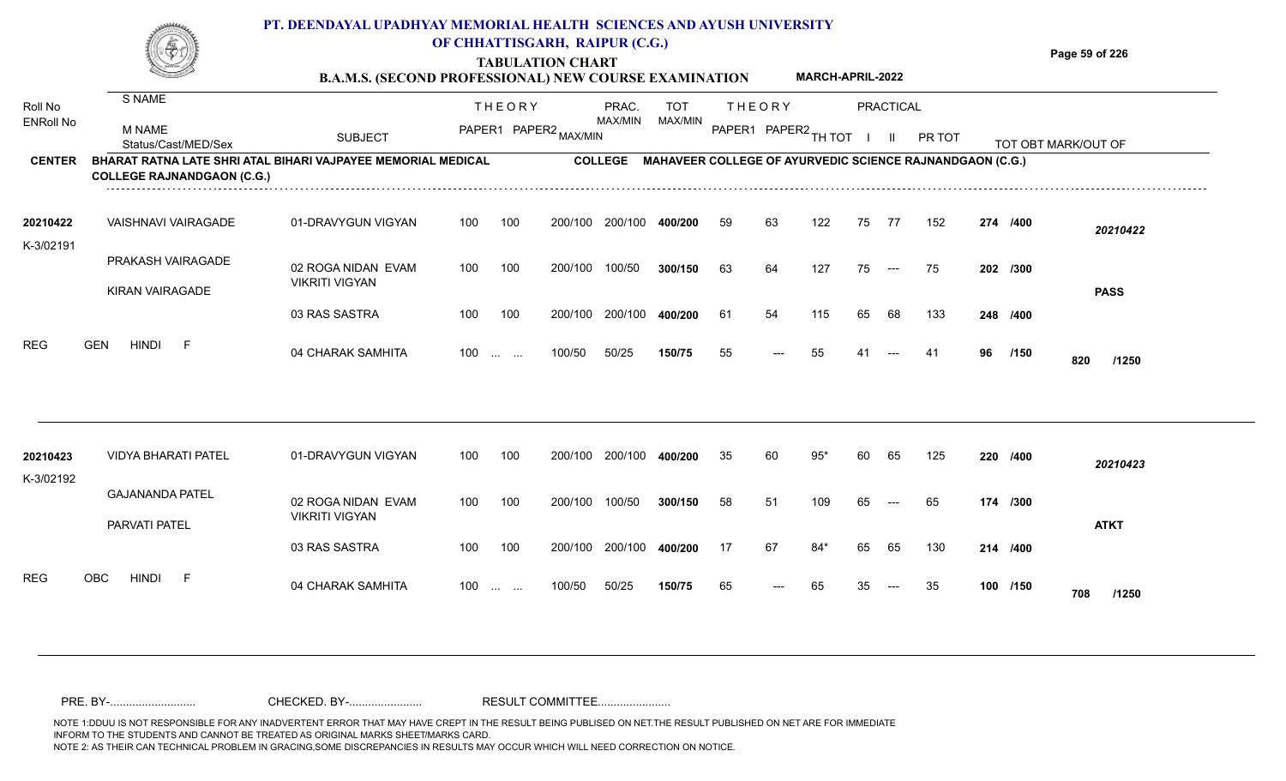## **PT. DEENDAYAL UPADHYAY MEMORIAL HEALTH SCIENCES AND AYUSH UNIVERSITY OF CHHATTISGARH, RAIPUR (C.G.)**

**TABULATION CHART B.A.M.S. (SECOND PROFESSIONAL) NEW COURSE EXAMINATION**  **Page 59 of 226**

|                             |                                                                                                   | <b>B.A.M.S. (SECOND PROFESSIONAL) NEW COURSE EXAMINATION</b> |     |                                                               |         |                |                |    |                      | MARCH-APRIL-2022 |    |                          |                                                          |    |          |                     |
|-----------------------------|---------------------------------------------------------------------------------------------------|--------------------------------------------------------------|-----|---------------------------------------------------------------|---------|----------------|----------------|----|----------------------|------------------|----|--------------------------|----------------------------------------------------------|----|----------|---------------------|
| Roll No<br><b>ENRoll No</b> | S NAME                                                                                            |                                                              |     | <b>THEORY</b>                                                 |         | PRAC.          | <b>TOT</b>     |    | <b>THEORY</b>        |                  |    | PRACTICAL                |                                                          |    |          |                     |
|                             | M NAME<br>Status/Cast/MED/Sex                                                                     | <b>SUBJECT</b>                                               |     | PAPER1 PAPER2 MAX/MIN                                         |         | MAX/MIN        | <b>MAX/MIN</b> |    | PAPER1 PAPER2 TH TOT |                  |    | -II.                     | PR TOT                                                   |    |          | TOT OBT MARK/OUT OF |
| <b>CENTER</b>               | BHARAT RATNA LATE SHRI ATAL BIHARI VAJPAYEE MEMORIAL MEDICAL<br><b>COLLEGE RAJNANDGAON (C.G.)</b> |                                                              |     |                                                               |         | <b>COLLEGE</b> |                |    |                      |                  |    |                          | MAHAVEER COLLEGE OF AYURVEDIC SCIENCE RAJNANDGAON (C.G.) |    |          |                     |
| 20210422                    | VAISHNAVI VAIRAGADE                                                                               | 01-DRAVYGUN VIGYAN                                           | 100 | 100                                                           | 200/100 | 200/100        | 400/200        | 59 | 63                   | 122              | 75 | 77                       | 152                                                      |    | 274 /400 | 20210422            |
| K-3/02191                   | PRAKASH VAIRAGADE                                                                                 | 02 ROGA NIDAN EVAM                                           | 100 | 100                                                           | 200/100 | 100/50         | 300/150        | 63 | 64                   | 127              | 75 | $\hspace{0.05cm} \ldots$ | 75                                                       |    | 202 /300 |                     |
|                             | <b>KIRAN VAIRAGADE</b>                                                                            | <b>VIKRITI VIGYAN</b><br>03 RAS SASTRA                       | 100 | 100                                                           | 200/100 | 200/100        | 400/200        | 61 | 54                   | 115              | 65 | 68                       | 133                                                      |    | 248 /400 | <b>PASS</b>         |
| <b>REG</b>                  | <b>HINDI</b><br><b>GEN</b><br>- F                                                                 | 04 CHARAK SAMHITA                                            | 100 | $\mathcal{L}_{\mathcal{F}}$ , and $\mathcal{L}_{\mathcal{F}}$ | 100/50  | 50/25          | 150/75         | 55 | ---                  | 55               | 41 |                          | -41                                                      | 96 | /150     | 820<br>/1250        |
|                             |                                                                                                   |                                                              | 100 |                                                               | 200/100 |                |                | 35 | 60                   | $95*$            |    | 65                       |                                                          |    |          |                     |
| 20210423<br>K-3/02192       | <b>VIDYA BHARATI PATEL</b>                                                                        | 01-DRAVYGUN VIGYAN                                           |     | 100                                                           |         | 200/100        | 400/200        |    |                      |                  | 60 |                          | 125                                                      |    | 220 /400 | 20210423            |
|                             | <b>GAJANANDA PATEL</b><br>PARVATI PATEL                                                           | 02 ROGA NIDAN EVAM<br><b>VIKRITI VIGYAN</b>                  | 100 | 100                                                           | 200/100 | 100/50         | 300/150        | 58 | 51                   | 109              | 65 | $\qquad \qquad - -$      | 65                                                       |    | 174 /300 | <b>ATKT</b>         |
|                             |                                                                                                   | 03 RAS SASTRA                                                | 100 | 100                                                           | 200/100 | 200/100        | 400/200        | 17 | 67                   | $84*$            | 65 | 65                       | 130                                                      |    | 214 /400 |                     |
| <b>REG</b>                  | OBC<br><b>HINDI</b><br>-F                                                                         | 04 CHARAK SAMHITA                                            | 100 | $\mathbf{1}$ and $\mathbf{1}$ and $\mathbf{1}$                | 100/50  | 50/25          | 150/75         | 65 | ---                  | 65               | 35 | $---$                    | 35                                                       |    | 100 /150 | 708<br>/1250        |
|                             |                                                                                                   |                                                              |     |                                                               |         |                |                |    |                      |                  |    |                          |                                                          |    |          |                     |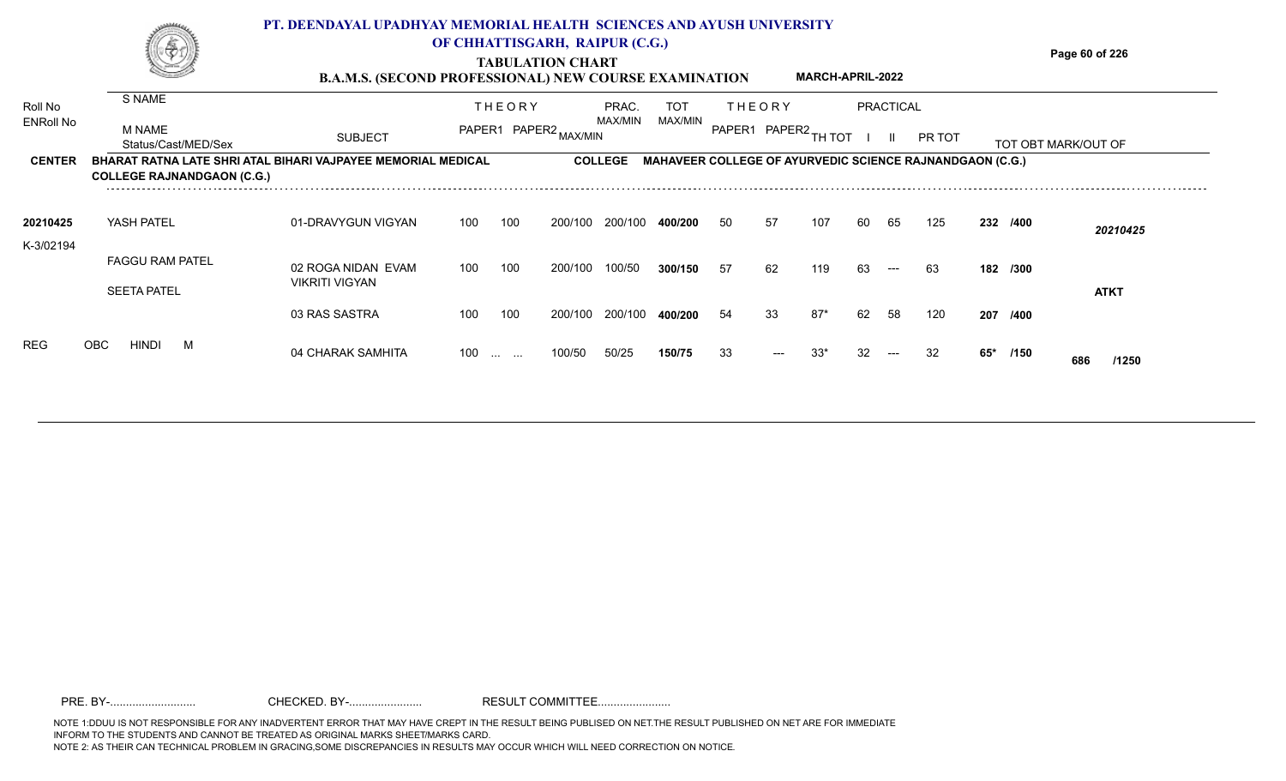|                  |                                                                                                   | PT. DEENDAYAL UPADHYAY MEMORIAL HEALTH SCIENCES AND AYUSH UNIVERSITY |                                |                         |         |                |                                                                 |     |                      |                         |    |                  |        |     |          |                     |
|------------------|---------------------------------------------------------------------------------------------------|----------------------------------------------------------------------|--------------------------------|-------------------------|---------|----------------|-----------------------------------------------------------------|-----|----------------------|-------------------------|----|------------------|--------|-----|----------|---------------------|
|                  |                                                                                                   |                                                                      | OF CHHATTISGARH, RAIPUR (C.G.) | <b>TABULATION CHART</b> |         |                |                                                                 |     |                      | <b>MARCH-APRIL-2022</b> |    |                  |        |     |          | Page 60 of 226      |
| Roll No          | S NAME                                                                                            | <b>B.A.M.S. (SECOND PROFESSIONAL) NEW COURSE EXAMINATION</b>         |                                | <b>THEORY</b>           |         | PRAC.          | TOT                                                             |     | THEORY               |                         |    | <b>PRACTICAL</b> |        |     |          |                     |
| <b>ENRoll No</b> | M NAME<br>Status/Cast/MED/Sex                                                                     | <b>SUBJECT</b>                                                       |                                | PAPER1 PAPER2 MAX/MIN   |         | MAX/MIN        | MAX/MIN                                                         |     | PAPER1 PAPER2 TH TOT |                         |    |                  | PR TOT |     |          | TOT OBT MARK/OUT OF |
| <b>CENTER</b>    | BHARAT RATNA LATE SHRI ATAL BIHARI VAJPAYEE MEMORIAL MEDICAL<br><b>COLLEGE RAJNANDGAON (C.G.)</b> |                                                                      |                                |                         |         | <b>COLLEGE</b> | <b>MAHAVEER COLLEGE OF AYURVEDIC SCIENCE RAJNANDGAON (C.G.)</b> |     |                      |                         |    |                  |        |     |          |                     |
| 20210425         | YASH PATEL                                                                                        | 01-DRAVYGUN VIGYAN                                                   | 100                            | 100                     | 200/100 | 200/100        | 400/200                                                         | -50 | 57                   | 107                     | 60 | 65               | 125    |     | 232 /400 | 20210425            |
| K-3/02194        | <b>FAGGU RAM PATEL</b><br><b>SEETA PATEL</b>                                                      | 02 ROGA NIDAN EVAM<br><b>VIKRITI VIGYAN</b>                          | 100                            | 100                     | 200/100 | 100/50         | 300/150                                                         | -57 | 62                   | 119                     | 63 | $---$            | 63     |     | 182 /300 | <b>ATKT</b>         |
|                  |                                                                                                   | 03 RAS SASTRA                                                        | 100                            | 100                     | 200/100 | 200/100        | 400/200                                                         | 54  | 33                   | 87*                     | 62 | 58               | 120    | 207 | /400     |                     |
| <b>REG</b>       | OBC.<br><b>HINDI</b><br>M                                                                         | 04 CHARAK SAMHITA                                                    | 100<br>$\sim 10^{-11}$         | $\sim$                  | 100/50  | 50/25          | 150/75                                                          | 33  |                      |                         |    |                  |        | 65* | /150     | /1250<br>686        |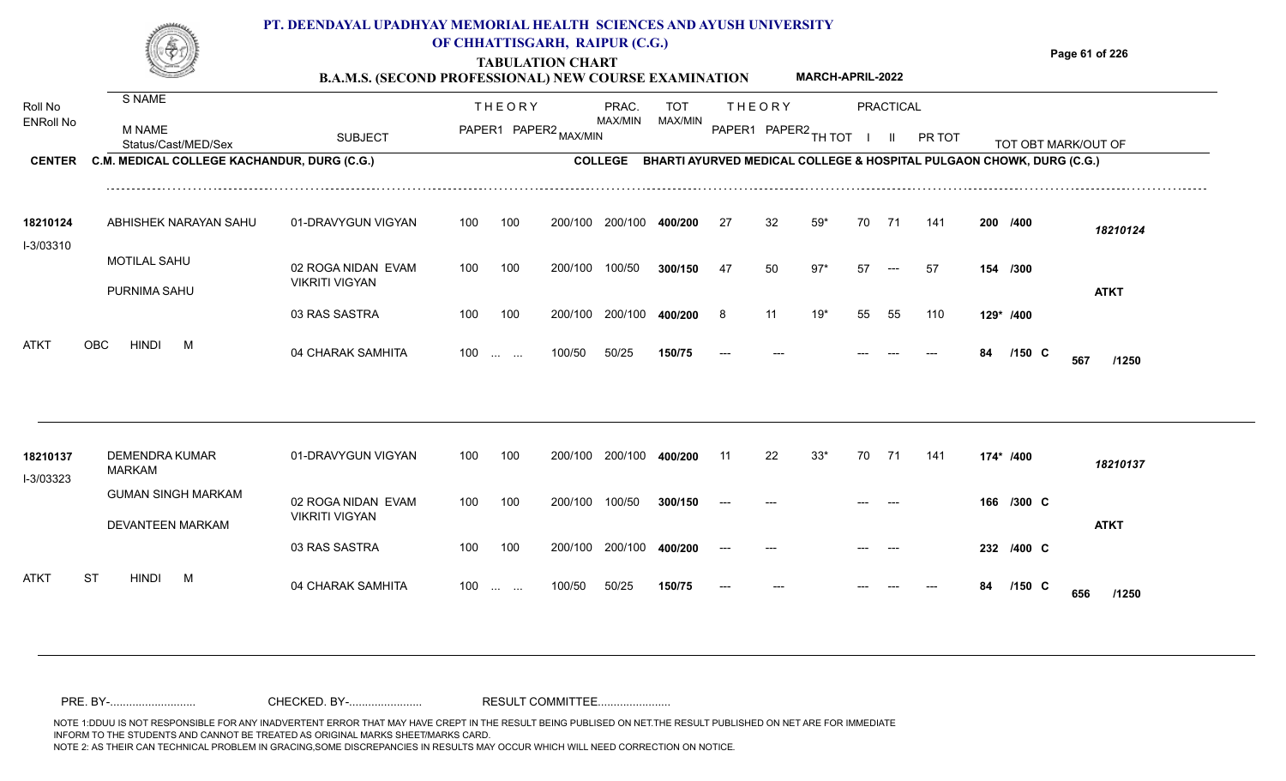## **PT. DEENDAYAL UPADHYAY MEMORIAL HEALTH SCIENCES AND AYUSH UNIVERSITY OF CHHATTISGARH, RAIPUR (C.G.)**



# **TABULATION CHART**

**Page 61 of 226**

#### **B.A.M.S. (SECOND PROFESSIONAL) NEW COURSE EXAMINATION MARCH-APRIL-2022**

| Roll No<br><b>ENRoll No</b><br><b>CENTER</b> | S NAME<br><b>M NAME</b><br>Status/Cast/MED/Sex | <b>SUBJECT</b>                              |     | <b>THEORY</b>                                                 | PAPER1 PAPER2 MAX/MIN | PRAC.<br>MAX/MIN | <b>TOT</b><br>MAX/MIN |     | <b>THEORY</b><br>PAPER1 PAPER2 TH TOT |       |    | PRACTICAL<br>H. | PR TOT |    |            | TOT OBT MARK/OUT OF                                                  |  |
|----------------------------------------------|------------------------------------------------|---------------------------------------------|-----|---------------------------------------------------------------|-----------------------|------------------|-----------------------|-----|---------------------------------------|-------|----|-----------------|--------|----|------------|----------------------------------------------------------------------|--|
|                                              | C.M. MEDICAL COLLEGE KACHANDUR, DURG (C.G.)    |                                             |     |                                                               |                       | <b>COLLEGE</b>   |                       |     |                                       |       |    |                 |        |    |            | BHARTI AYURVED MEDICAL COLLEGE & HOSPITAL PULGAON CHOWK, DURG (C.G.) |  |
| 18210124<br>I-3/03310                        | ABHISHEK NARAYAN SAHU                          | 01-DRAVYGUN VIGYAN                          | 100 | 100                                                           | 200/100               | 200/100          | 400/200               | 27  | 32                                    | $59*$ | 70 | 71              | 141    |    | 200 /400   | 18210124                                                             |  |
|                                              | <b>MOTILAL SAHU</b><br>PURNIMA SAHU            | 02 ROGA NIDAN EVAM<br><b>VIKRITI VIGYAN</b> | 100 | 100                                                           | 200/100               | 100/50           | 300/150               | 47  | 50                                    | $97*$ | 57 | $---$           | 57     |    | 154 /300   | <b>ATKT</b>                                                          |  |
|                                              |                                                | 03 RAS SASTRA                               | 100 | 100                                                           | 200/100               | 200/100          | 400/200               | 8   | 11                                    | $19*$ | 55 | 55              | 110    |    | 129* /400  |                                                                      |  |
| ATKT                                         | <b>OBC</b><br><b>HINDI</b><br>M                | 04 CHARAK SAMHITA                           | 100 | $\mathbf{r}$ and $\mathbf{r}$                                 | 100/50                | 50/25            | 150/75                |     |                                       |       |    |                 |        | 84 | $/150$ C   | 567<br>/1250                                                         |  |
|                                              |                                                |                                             |     |                                                               |                       |                  |                       |     |                                       |       |    |                 |        |    |            |                                                                      |  |
| 18210137<br>I-3/03323                        | <b>DEMENDRA KUMAR</b><br><b>MARKAM</b>         | 01-DRAVYGUN VIGYAN                          | 100 | 100                                                           | 200/100               | 200/100          | 400/200               | -11 | 22                                    | $33*$ | 70 | 71              | 141    |    | 174* /400  | 18210137                                                             |  |
|                                              | <b>GUMAN SINGH MARKAM</b><br>DEVANTEEN MARKAM  | 02 ROGA NIDAN EVAM<br><b>VIKRITI VIGYAN</b> | 100 | 100                                                           | 200/100               | 100/50           | 300/150               |     |                                       |       |    |                 |        |    | 166 /300 C | <b>ATKT</b>                                                          |  |
|                                              |                                                | 03 RAS SASTRA                               | 100 | 100                                                           | 200/100               | 200/100          | 400/200               |     |                                       |       |    |                 |        |    | 232 /400 C |                                                                      |  |
| ATKT                                         | ST<br><b>HINDI</b><br>M                        | 04 CHARAK SAMHITA                           | 100 | $\mathcal{L}_{\mathcal{F}}$ , and $\mathcal{L}_{\mathcal{F}}$ | 100/50                | 50/25            | 150/75                |     |                                       |       |    |                 |        | 84 | $/150$ C   | 656<br>/1250                                                         |  |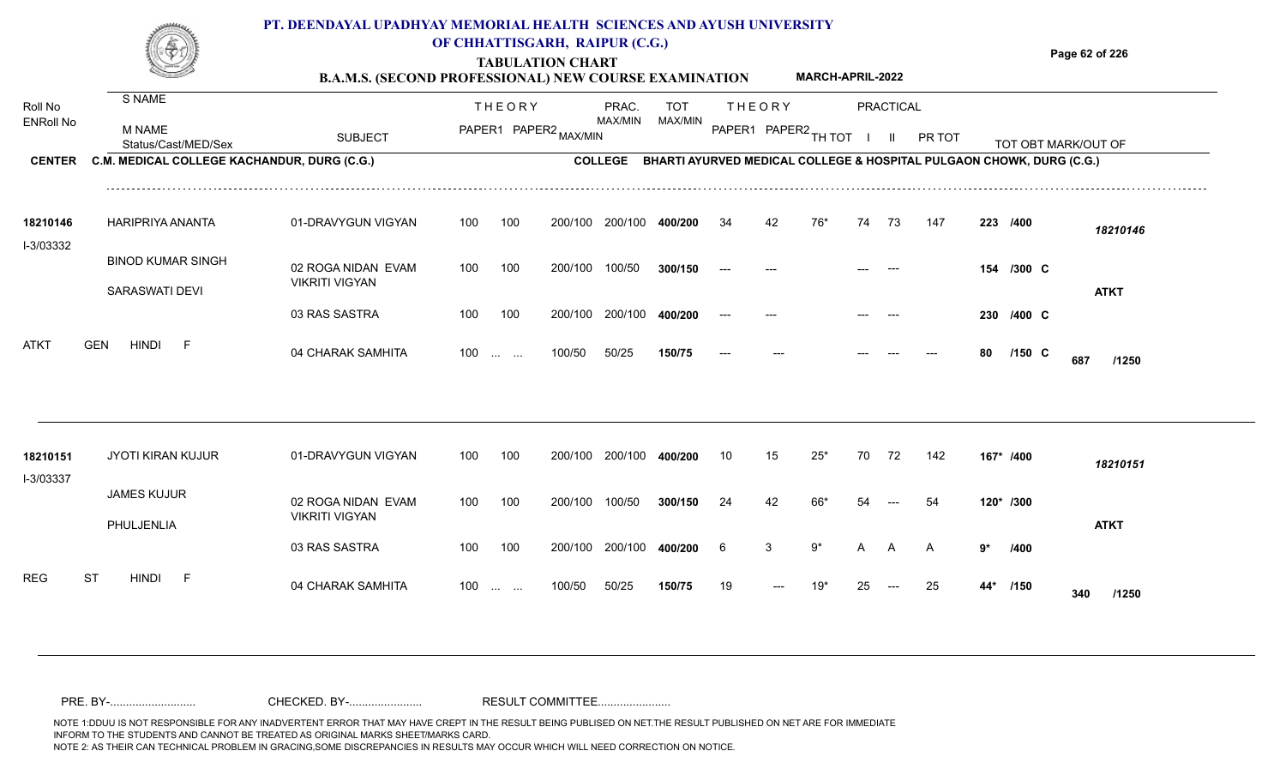|                  |                                             | PT. DEENDAYAL UPADHYAY MEMORIAL HEALTH SCIENCES AND AYUSH UNIVERSITY<br><b>B.A.M.S. (SECOND PROFESSIONAL) NEW COURSE EXAMINATION</b> |     |                                                | OF CHHATTISGARH, RAIPUR (C.G.)<br><b>TABULATION CHART</b> |                 |            |    |               | MARCH-APRIL-2022     |    |                     |        |    |                                                                      | Page 62 of 226      |
|------------------|---------------------------------------------|--------------------------------------------------------------------------------------------------------------------------------------|-----|------------------------------------------------|-----------------------------------------------------------|-----------------|------------|----|---------------|----------------------|----|---------------------|--------|----|----------------------------------------------------------------------|---------------------|
| Roll No          | S NAME                                      |                                                                                                                                      |     | <b>THEORY</b>                                  |                                                           | PRAC.           | <b>TOT</b> |    | <b>THEORY</b> |                      |    | <b>PRACTICAL</b>    |        |    |                                                                      |                     |
| <b>ENRoll No</b> | M NAME<br>Status/Cast/MED/Sex               | <b>SUBJECT</b>                                                                                                                       |     |                                                | PAPER1 PAPER2 MAX/MIN                                     | MAX/MIN         | MAX/MIN    |    |               | PAPER1 PAPER2 TH TOT |    | H.                  | PR TOT |    |                                                                      | TOT OBT MARK/OUT OF |
| <b>CENTER</b>    | C.M. MEDICAL COLLEGE KACHANDUR, DURG (C.G.) |                                                                                                                                      |     |                                                |                                                           | <b>COLLEGE</b>  |            |    |               |                      |    |                     |        |    | BHARTI AYURVED MEDICAL COLLEGE & HOSPITAL PULGAON CHOWK, DURG (C.G.) |                     |
| 18210146         | HARIPRIYA ANANTA                            | 01-DRAVYGUN VIGYAN                                                                                                                   | 100 | 100                                            |                                                           | 200/100 200/100 | 400/200    | 34 | 42            | 76*                  | 74 | 73                  | 147    |    | 223 /400                                                             | 18210146            |
| I-3/03332        | <b>BINOD KUMAR SINGH</b><br>SARASWATI DEVI  | 02 ROGA NIDAN EVAM<br><b>VIKRITI VIGYAN</b>                                                                                          | 100 | 100                                            | 200/100                                                   | 100/50          | 300/150    |    |               |                      |    |                     |        |    | 154 /300 C                                                           | <b>ATKT</b>         |
|                  |                                             | 03 RAS SASTRA                                                                                                                        | 100 | 100                                            |                                                           | 200/100 200/100 | 400/200    |    |               |                      |    |                     |        |    | 230 /400 C                                                           |                     |
| ATKT             | <b>GEN</b><br><b>HINDI</b><br>- F           | 04 CHARAK SAMHITA                                                                                                                    | 100 | $\mathbf{L}$ and $\mathbf{L}$ and $\mathbf{L}$ | 100/50                                                    | 50/25           | 150/75     |    |               |                      |    |                     |        | 80 | $/150$ C                                                             | 687<br>/1250        |
| 18210151         | <b>JYOTI KIRAN KUJUR</b>                    | 01-DRAVYGUN VIGYAN                                                                                                                   | 100 | 100                                            |                                                           | 200/100 200/100 | 400/200    | 10 | 15            | $25*$                | 70 | 72                  | 142    |    | 167* /400                                                            | 18210151            |
| I-3/03337        | <b>JAMES KUJUR</b>                          | 02 ROGA NIDAN EVAM                                                                                                                   | 100 | 100                                            | 200/100                                                   | 100/50          | 300/150    | 24 | 42            | 66*                  | 54 | $\qquad \qquad - -$ | 54     |    | 120* /300                                                            |                     |
|                  | PHULJENLIA                                  | <b>VIKRITI VIGYAN</b><br>03 RAS SASTRA                                                                                               | 100 | 100                                            |                                                           | 200/100 200/100 | 400/200    | 6  | 3             | 9*                   | A  | A                   | A      | 9* | /400                                                                 | <b>ATKT</b>         |
| REG              | <b>ST</b><br>HINDI<br>- F                   | 04 CHARAK SAMHITA                                                                                                                    |     | $100 \dots \dots$                              | 100/50                                                    | 50/25           | 150/75     | 19 |               | 19*                  | 25 |                     | 25     |    | 44* /150                                                             | /1250<br>340        |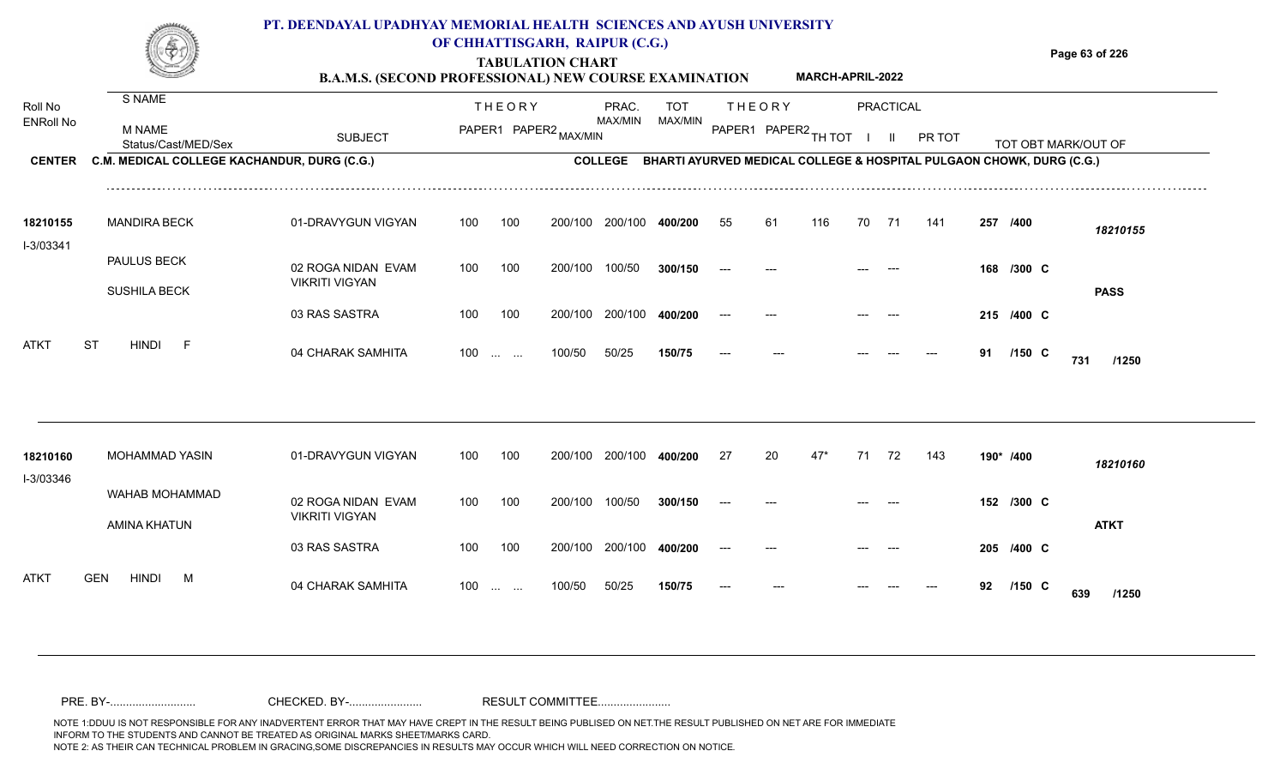|                                              |                                                                                               | PT. DEENDAYAL UPADHYAY MEMORIAL HEALTH SCIENCES AND AYUSH UNIVERSITY<br><b>B.A.M.S. (SECOND PROFESSIONAL) NEW COURSE EXAMINATION</b> |     |                                                | OF CHHATTISGARH, RAIPUR (C.G.)<br><b>TABULATION CHART</b> |                  |                       |    |               | MARCH-APRIL-2022     |    |                                  |        |    |            | Page 63 of 226                                                                                      |
|----------------------------------------------|-----------------------------------------------------------------------------------------------|--------------------------------------------------------------------------------------------------------------------------------------|-----|------------------------------------------------|-----------------------------------------------------------|------------------|-----------------------|----|---------------|----------------------|----|----------------------------------|--------|----|------------|-----------------------------------------------------------------------------------------------------|
| Roll No<br><b>ENRoll No</b><br><b>CENTER</b> | S NAME<br><b>M NAME</b><br>Status/Cast/MED/Sex<br>C.M. MEDICAL COLLEGE KACHANDUR, DURG (C.G.) | <b>SUBJECT</b>                                                                                                                       |     | <b>THEORY</b>                                  | PAPER1 PAPER2 MAX/MIN                                     | PRAC.<br>MAX/MIN | <b>TOT</b><br>MAX/MIN |    | <b>THEORY</b> | PAPER1 PAPER2 TH TOT |    | <b>PRACTICAL</b><br>$\mathbf{I}$ | PR TOT |    |            | TOT OBT MARK/OUT OF<br>COLLEGE BHARTI AYURVED MEDICAL COLLEGE & HOSPITAL PULGAON CHOWK, DURG (C.G.) |
|                                              |                                                                                               |                                                                                                                                      |     |                                                |                                                           |                  |                       |    |               |                      |    |                                  |        |    |            |                                                                                                     |
| 18210155                                     | <b>MANDIRA BECK</b>                                                                           | 01-DRAVYGUN VIGYAN                                                                                                                   | 100 | 100                                            |                                                           | 200/100 200/100  | 400/200               | 55 | 61            | 116                  | 70 | - 71                             | 141    |    | 257 /400   | 18210155                                                                                            |
| I-3/03341                                    | <b>PAULUS BECK</b><br><b>SUSHILA BECK</b>                                                     | 02 ROGA NIDAN EVAM<br><b>VIKRITI VIGYAN</b>                                                                                          | 100 | 100                                            | 200/100                                                   | 100/50           | 300/150               |    |               |                      |    |                                  |        |    | 168 /300 C | <b>PASS</b>                                                                                         |
|                                              |                                                                                               | 03 RAS SASTRA                                                                                                                        | 100 | 100                                            | 200/100                                                   | 200/100          | 400/200               |    |               |                      |    |                                  |        |    | 215 /400 C |                                                                                                     |
| ATKT                                         | <b>HINDI</b><br><b>ST</b><br>$-F$                                                             | 04 CHARAK SAMHITA                                                                                                                    | 100 | $\mathbf{r}$ and $\mathbf{r}$ and $\mathbf{r}$ | 100/50                                                    | 50/25            | 150/75                |    |               |                      |    |                                  |        | 91 | $/150$ C   | 731<br>/1250                                                                                        |
| 18210160                                     | MOHAMMAD YASIN                                                                                | 01-DRAVYGUN VIGYAN                                                                                                                   | 100 | 100                                            | 200/100                                                   | 200/100          | 400/200               | 27 | 20            | $47*$                | 71 | 72                               | 143    |    | 190* /400  |                                                                                                     |
| I-3/03346                                    | WAHAB MOHAMMAD                                                                                | 02 ROGA NIDAN EVAM                                                                                                                   | 100 | 100                                            | 200/100                                                   | 100/50           | 300/150               |    |               |                      |    |                                  |        |    | 152 /300 C | 18210160                                                                                            |
|                                              | AMINA KHATUN                                                                                  | <b>VIKRITI VIGYAN</b>                                                                                                                |     |                                                |                                                           |                  |                       |    |               |                      |    |                                  |        |    |            | <b>ATKT</b>                                                                                         |

100 100 200/100 200/100 **400/200**

100 ... ... 100/50 50/25

100/50 50/25 **150/75**

04 CHARAK SAMHITA 100 … … 100/50 50/25 **150/75 --- --- --- --- --- 92 /150 C /1250** 

**/400** --- --- --- --- **205 C**

**/150** --- --- --- **92 C**

**639**

ATKT GEN HINDI M 04 CHARAK SAMHITA

03 RAS SASTRA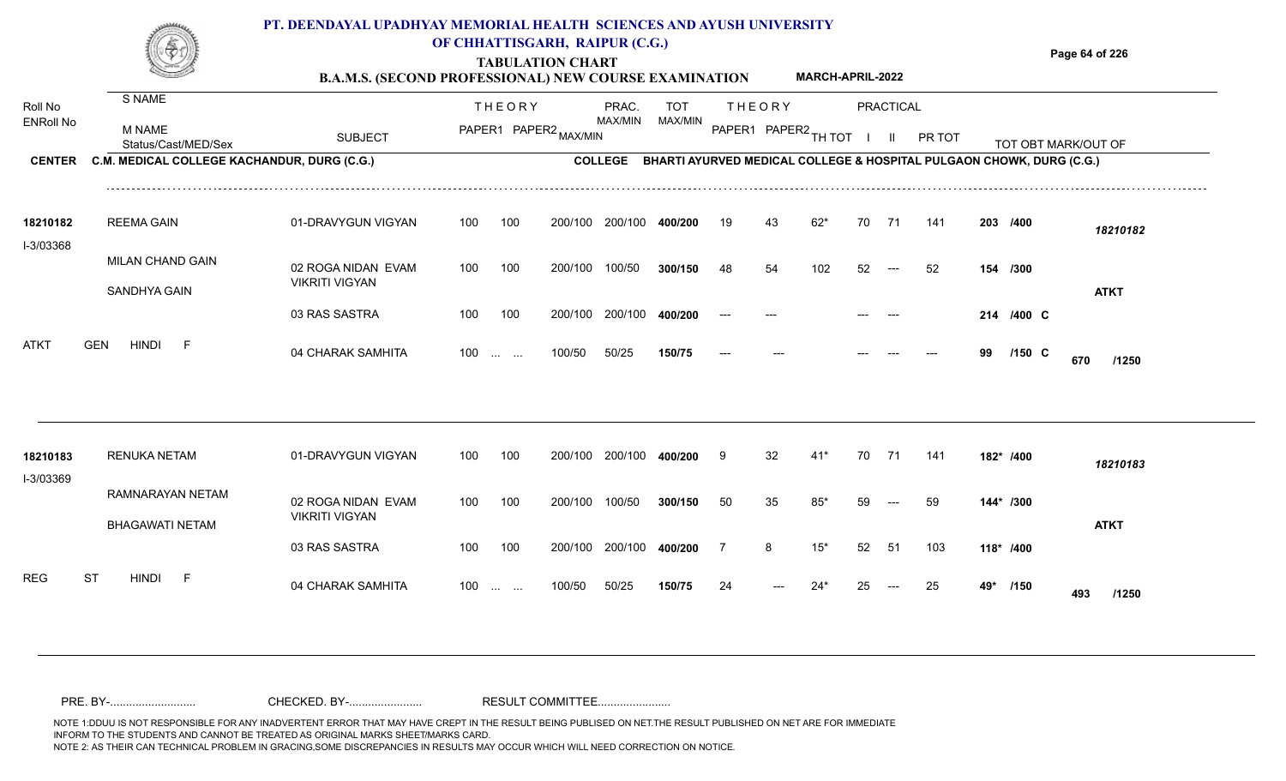#### **TABULATION CHART Page 64 of 226 B.A.M.S. (SECOND PROFESSIONAL) NEW COURSE EXAMINATION**  Roll No ENRoll No MAX/MIN MAX/MIN MAX/MIN MAX/MIN ANG THIOT I II PRITOT TOT OBTIMARK/OUT OF SUBJECT PAPER2 <sub>MAX/MIN</sub> MAX/MIN PAPER1 PAPER2 <sub>TH</sub>IOT I II PRITOT TOT OBTIMARK/OUT OF **PRACTICAL CENTER C.M. MEDICAL COLLEGE KACHANDUR, DURG (C.G.)** THEORY PRAC. TOT PAPER1 PAPER2 MAX/MIN PAPER PRAC. THEORY S NAME M NAME **PT. DEENDAYAL UPADHYAY MEMORIAL HEALTH SCIENCES AND AYUSH UNIVERSITY OF CHHATTISGARH, RAIPUR (C.G.) COLLEGE BHARTI AYURVED MEDICAL COLLEGE & HOSPITAL PULGAON CHOWK, DURG (C.G.) MARCH-APRIL-2022** 01-DRAVYGUN VIGYAN 100 100 100 100 200/100 200/100 400/200 200/100 **400/200 /400** *18210182* REEMA GAIN **18210182** 19 43 62\* 70 71 141 **203**

|                       | SANDHYA GAIN                        | 02 ROGA NIDAN EVAM<br><b>VIKRITI VIGYAN</b> | 100 | 100                                            | 200/100 | 100/50  | 300/150 | 48    | 54    | 102   | 52      | $---$                 | 52    | 154 | /300       | <b>ATKT</b>  |
|-----------------------|-------------------------------------|---------------------------------------------|-----|------------------------------------------------|---------|---------|---------|-------|-------|-------|---------|-----------------------|-------|-----|------------|--------------|
|                       |                                     | 03 RAS SASTRA                               | 100 | 100                                            | 200/100 | 200/100 | 400/200 | $---$ | $---$ |       | $---$   | $---$                 |       |     | 214 /400 C |              |
| <b>ATKT</b>           | <b>GEN</b><br><b>HINDI</b><br>$-F$  | 04 CHARAK SAMHITA                           | 100 | $\mathbf{r}$ and $\mathbf{r}$ and $\mathbf{r}$ | 100/50  | 50/25   | 150/75  | $---$ | $---$ |       | $- - -$ | ---                   | $---$ | 99  | $/150$ C   | 670<br>/1250 |
|                       |                                     |                                             |     |                                                |         |         |         |       |       |       |         |                       |       |     |            |              |
| 18210183<br>I-3/03369 | <b>RENUKA NETAM</b>                 | 01-DRAVYGUN VIGYAN                          | 100 | 100                                            | 200/100 | 200/100 | 400/200 | 9     | 32    | $41*$ | 70      | 71                    | 141   |     | 182* /400  | 18210183     |
|                       | RAMNARAYAN NETAM<br>BHAGAWATI NETAM | 02 ROGA NIDAN EVAM<br><b>VIKRITI VIGYAN</b> | 100 | 100                                            | 200/100 | 100/50  | 300/150 | 50    | 35    | $85*$ | 59      | $\qquad \qquad - - -$ | 59    |     | 144* /300  | <b>ATKT</b>  |

100 100 200/100 200/100 400/200 7 1

100/50 50/25 **150/75**

100 ... ... 100/50 50/25 **150/75** 24 --- 24\*

04 CHARAK SAMHITA 100 … … 100/50 50/25 **150/75 2**4 --- 24\* 25 --- 25 **49\* /150 493 /1250** 

**400/200**

**/400** 7 8 15\* 52 51 103 **118\***

<sup>24</sup> 24\* <sup>25</sup> <sup>25</sup> **49\* <sup>493</sup>**

49<sup>\*</sup> /150 **493** /1250

03 RAS SASTRA

MILAN CHAND GAIN

REG ST HINDI F 04 CHARAK SAMHITA

I-3/03368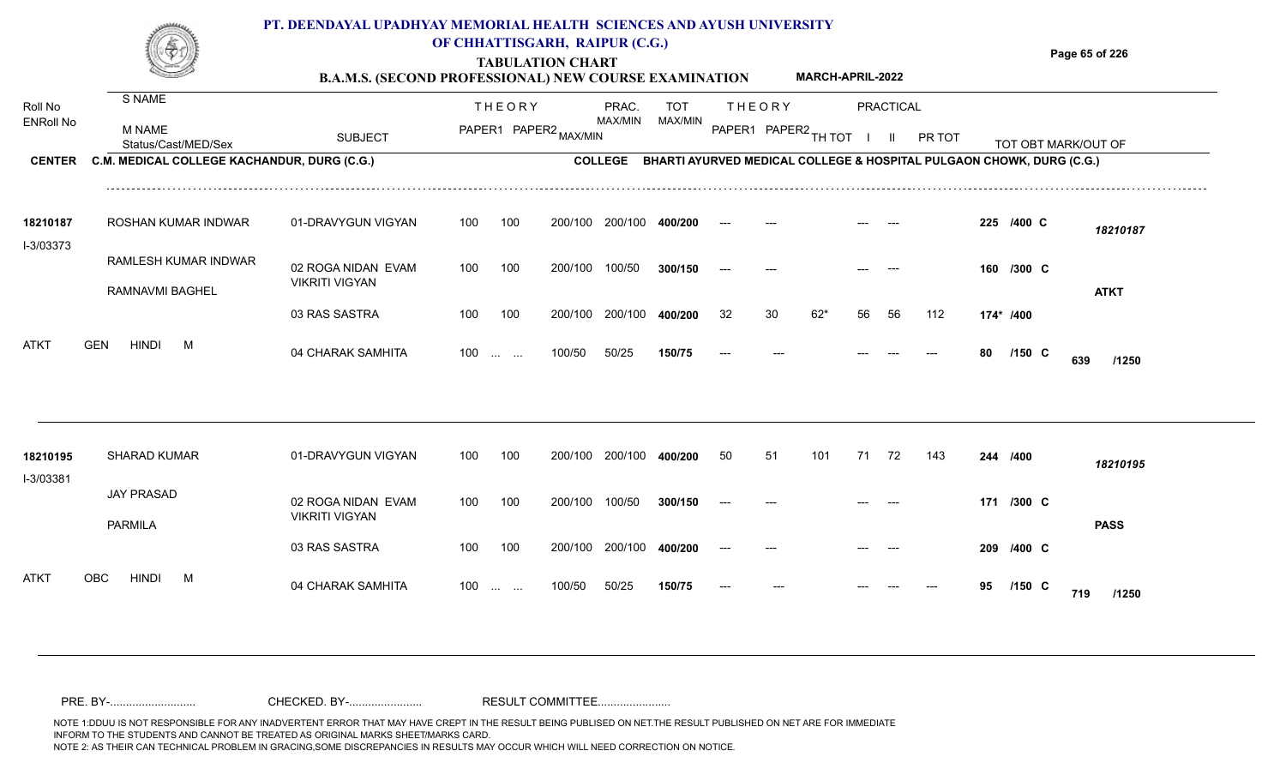|                             |                                             | PT. DEENDAYAL UPADHYAY MEMORIAL HEALTH SCIENCES AND AYUSH UNIVERSITY<br><b>B.A.M.S. (SECOND PROFESSIONAL) NEW COURSE EXAMINATION</b> |     | OF CHHATTISGARH, RAIPUR (C.G.)<br><b>TABULATION CHART</b> |                  |                                                                      |               |    | <b>MARCH-APRIL-2022</b> |       |           |        |    |            | Page 65 of 226      |
|-----------------------------|---------------------------------------------|--------------------------------------------------------------------------------------------------------------------------------------|-----|-----------------------------------------------------------|------------------|----------------------------------------------------------------------|---------------|----|-------------------------|-------|-----------|--------|----|------------|---------------------|
| Roll No<br><b>ENRoll No</b> | S NAME                                      |                                                                                                                                      |     | <b>THEORY</b>                                             | PRAC.<br>MAX/MIN | <b>TOT</b><br>MAX/MIN                                                | <b>THEORY</b> |    |                         |       | PRACTICAL |        |    |            |                     |
|                             | <b>M NAME</b><br>Status/Cast/MED/Sex        | <b>SUBJECT</b>                                                                                                                       |     | PAPER1 PAPER2 MAX/MIN                                     |                  |                                                                      |               |    | PAPER1 PAPER2 TH TOT I  |       | - 11      | PR TOT |    |            | TOT OBT MARK/OUT OF |
| <b>CENTER</b>               | C.M. MEDICAL COLLEGE KACHANDUR, DURG (C.G.) |                                                                                                                                      |     |                                                           | <b>COLLEGE</b>   | BHARTI AYURVED MEDICAL COLLEGE & HOSPITAL PULGAON CHOWK, DURG (C.G.) |               |    |                         |       |           |        |    |            |                     |
| 18210187<br>I-3/03373       | ROSHAN KUMAR INDWAR                         | 01-DRAVYGUN VIGYAN                                                                                                                   | 100 | 100                                                       | 200/100 200/100  | 400/200                                                              |               |    |                         |       |           |        |    | 225 /400 C | 18210187            |
|                             | RAMLESH KUMAR INDWAR                        | 02 ROGA NIDAN EVAM                                                                                                                   | 100 | 100<br>200/100                                            | 100/50           | 300/150                                                              |               |    |                         |       |           |        |    | 160 /300 C |                     |
|                             | RAMNAVMI BAGHEL                             | <b>VIKRITI VIGYAN</b>                                                                                                                |     |                                                           |                  |                                                                      |               |    |                         |       |           |        |    |            | <b>ATKT</b>         |
|                             |                                             | 03 RAS SASTRA                                                                                                                        | 100 | 100                                                       | 200/100 200/100  | 400/200                                                              | 32            | 30 | $62*$                   | 56    | 56        | 112    |    | 174* /400  |                     |
| <b>ATKT</b>                 | <b>HINDI</b><br><b>GEN</b><br>M             | 04 CHARAK SAMHITA                                                                                                                    | 100 | 100/50<br><b>Contract Contract</b>                        | 50/25            | 150/75                                                               | $---$         |    |                         |       |           |        | 80 | $/150$ C   | 639<br>/1250        |
| 18210195                    | <b>SHARAD KUMAR</b>                         | 01-DRAVYGUN VIGYAN                                                                                                                   | 100 | 100                                                       | 200/100 200/100  | 400/200                                                              | 50            | 51 | 101                     | 71 72 |           | 143    |    | 244 /400   | 18210195            |
| I-3/03381                   | <b>JAY PRASAD</b><br><b>PARMILA</b>         | 02 ROGA NIDAN EVAM<br><b>VIKRITI VIGYAN</b>                                                                                          | 100 | 100                                                       | 200/100 100/50   | 300/150                                                              |               |    |                         |       |           |        |    | 171 /300 C | <b>PASS</b>         |
|                             |                                             | 03 RAS SASTRA                                                                                                                        | 100 | 100                                                       | 200/100 200/100  | 400/200                                                              |               |    |                         |       |           |        |    | 209 /400 C |                     |
| <b>ATKT</b>                 | <b>OBC</b><br><b>HINDI</b><br>M             | 04 CHARAK SAMHITA                                                                                                                    | 100 | 100/50<br>$\mathbf{r}$ . The state $\mathbf{r}$           | 50/25            | 150/75                                                               |               |    |                         |       |           |        | 95 | $/150$ C   | 719<br>/1250        |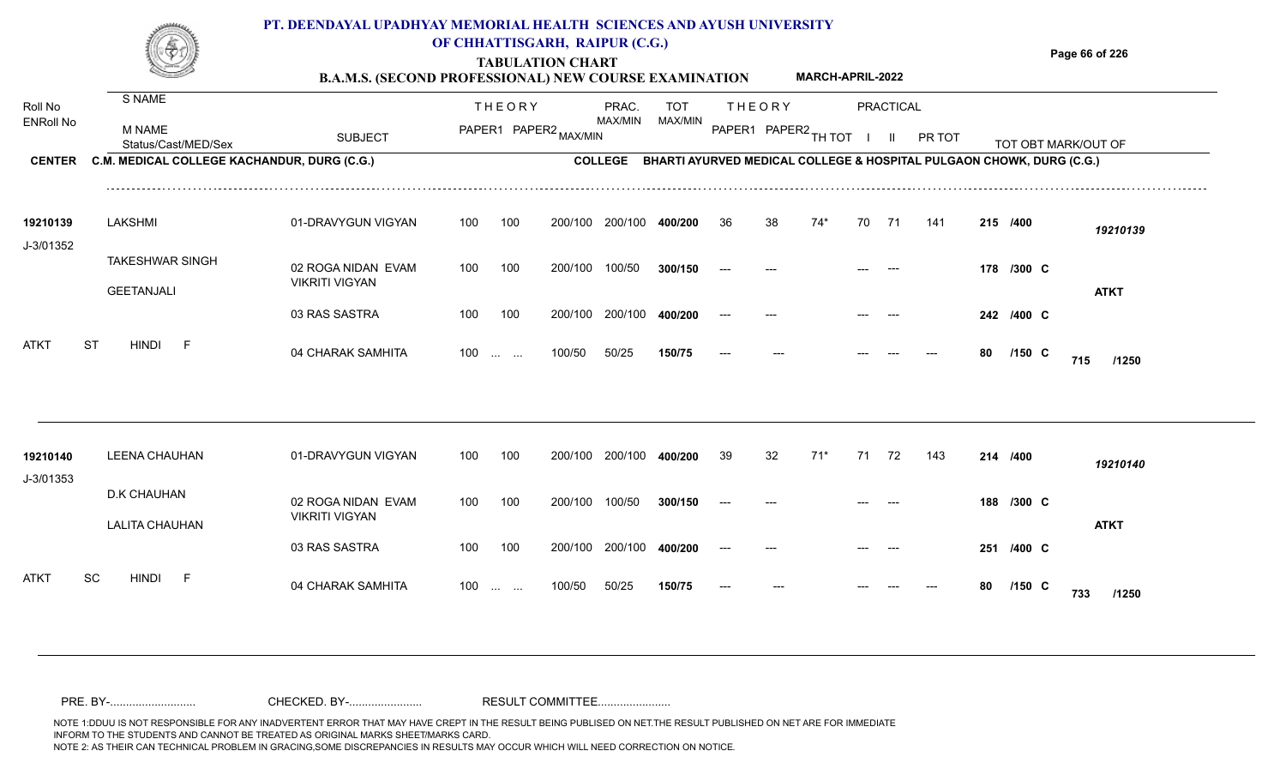|                       |                                             | PT. DEENDAYAL UPADHYAY MEMORIAL HEALTH SCIENCES AND AYUSH UNIVERSITY<br><b>B.A.M.S. (SECOND PROFESSIONAL) NEW COURSE EXAMINATION</b> |     |                                   | OF CHHATTISGARH, RAIPUR (C.G.)<br><b>TABULATION CHART</b> |                 |            |       |               | MARCH-APRIL-2022     |    |                  |                                                                              |    |            | Page 66 of 226      |
|-----------------------|---------------------------------------------|--------------------------------------------------------------------------------------------------------------------------------------|-----|-----------------------------------|-----------------------------------------------------------|-----------------|------------|-------|---------------|----------------------|----|------------------|------------------------------------------------------------------------------|----|------------|---------------------|
| Roll No               | S NAME                                      |                                                                                                                                      |     | <b>THEORY</b>                     |                                                           | PRAC.           | <b>TOT</b> |       | <b>THEORY</b> |                      |    | <b>PRACTICAL</b> |                                                                              |    |            |                     |
| ENRoll No             | M NAME<br>Status/Cast/MED/Sex               | <b>SUBJECT</b>                                                                                                                       |     |                                   | PAPER1 PAPER2 MAX/MIN                                     | <b>MAX/MIN</b>  | MAX/MIN    |       |               | PAPER1 PAPER2 TH TOT |    | -II.             | PR TOT                                                                       |    |            | TOT OBT MARK/OUT OF |
| <b>CENTER</b>         | C.M. MEDICAL COLLEGE KACHANDUR, DURG (C.G.) |                                                                                                                                      |     |                                   |                                                           |                 |            |       |               |                      |    |                  | COLLEGE BHARTI AYURVED MEDICAL COLLEGE & HOSPITAL PULGAON CHOWK, DURG (C.G.) |    |            |                     |
| 19210139              | <b>LAKSHMI</b>                              | 01-DRAVYGUN VIGYAN                                                                                                                   | 100 | 100                               |                                                           | 200/100 200/100 | 400/200    | 36    | 38            | 74*                  | 70 | - 71             | 141                                                                          |    | 215 /400   | 19210139            |
| J-3/01352             | <b>TAKESHWAR SINGH</b><br><b>GEETANJALI</b> | 02 ROGA NIDAN EVAM<br><b>VIKRITI VIGYAN</b>                                                                                          | 100 | 100                               | 200/100                                                   | 100/50          | 300/150    |       |               |                      |    |                  |                                                                              |    | 178 /300 C | <b>ATKT</b>         |
|                       |                                             | 03 RAS SASTRA                                                                                                                        | 100 | 100                               | 200/100                                                   | 200/100         | 400/200    |       |               |                      |    |                  |                                                                              |    | 242 /400 C |                     |
| ATKT                  | <b>HINDI</b><br><b>ST</b><br>- F            | 04 CHARAK SAMHITA                                                                                                                    | 100 | $\sim 10^{-1}$ and $\sim 10^{-1}$ | 100/50                                                    | 50/25           | 150/75     |       |               |                      |    |                  |                                                                              | 80 | $/150$ C   | 715<br>/1250        |
|                       |                                             |                                                                                                                                      |     |                                   |                                                           |                 |            |       |               |                      |    |                  |                                                                              |    |            |                     |
| 19210140<br>J-3/01353 | <b>LEENA CHAUHAN</b>                        | 01-DRAVYGUN VIGYAN                                                                                                                   | 100 | 100                               |                                                           | 200/100 200/100 | 400/200    | 39    | 32            | $71*$                | 71 | 72               | 143                                                                          |    | 214 /400   | 19210140            |
|                       | D.K CHAUHAN                                 | 02 ROGA NIDAN EVAM<br><b>VIKRITI VIGYAN</b>                                                                                          | 100 | 100                               | 200/100                                                   | 100/50          | 300/150    | $---$ |               |                      |    |                  |                                                                              |    | 188 /300 C |                     |
|                       | <b>LALITA CHAUHAN</b>                       | 03 RAS SASTRA                                                                                                                        | 100 | 100                               |                                                           | 200/100 200/100 | 400/200    |       |               |                      |    |                  |                                                                              |    | 251 /400 C | <b>ATKT</b>         |
| ATKT                  | SC<br><b>HINDI</b><br>- F                   | 04 CHARAK SAMHITA                                                                                                                    |     | $100$                             | 100/50                                                    | 50/25           | 150/75     |       |               |                      |    |                  |                                                                              | 80 | $/150$ C   | 733<br>/1250        |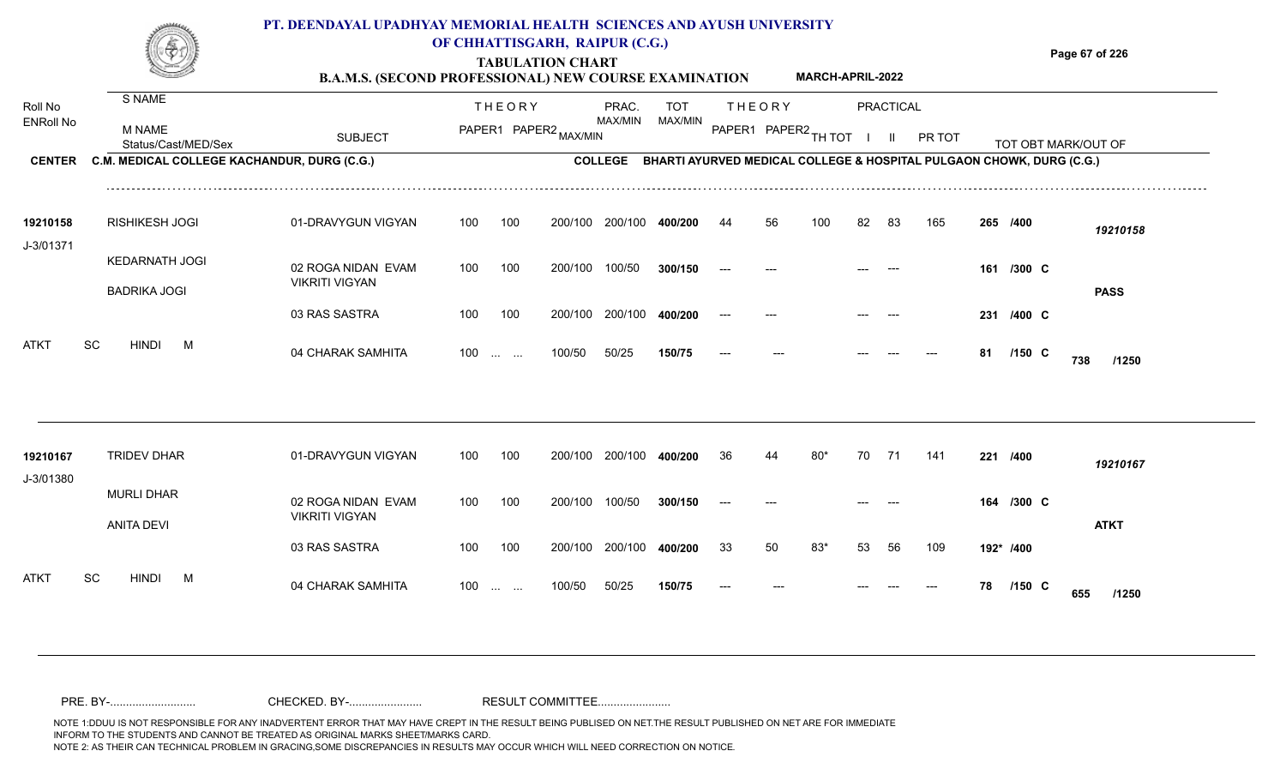|                             |                                             | PT. DEENDAYAL UPADHYAY MEMORIAL HEALTH SCIENCES AND AYUSH UNIVERSITY<br><b>B.A.M.S. (SECOND PROFESSIONAL) NEW COURSE EXAMINATION</b> | OF CHHATTISGARH, RAIPUR (C.G.)                        | <b>TABULATION CHART</b> |                  |                       |    |               | <b>MARCH-APRIL-2022</b> |    |           |        |     |            | Page 67 of 226                                                       |
|-----------------------------|---------------------------------------------|--------------------------------------------------------------------------------------------------------------------------------------|-------------------------------------------------------|-------------------------|------------------|-----------------------|----|---------------|-------------------------|----|-----------|--------|-----|------------|----------------------------------------------------------------------|
| Roll No<br><b>ENRoll No</b> | S NAME<br>M NAME<br>Status/Cast/MED/Sex     | <b>SUBJECT</b>                                                                                                                       | <b>THEORY</b>                                         | PAPER1 PAPER2 MAX/MIN   | PRAC.<br>MAX/MIN | <b>TOT</b><br>MAX/MIN |    | <b>THEORY</b> | PAPER1 PAPER2 TH TOT    |    | PRACTICAL | PR TOT |     |            | TOT OBT MARK/OUT OF                                                  |
| <b>CENTER</b>               | C.M. MEDICAL COLLEGE KACHANDUR, DURG (C.G.) |                                                                                                                                      |                                                       |                         | <b>COLLEGE</b>   |                       |    |               |                         |    |           |        |     |            | BHARTI AYURVED MEDICAL COLLEGE & HOSPITAL PULGAON CHOWK, DURG (C.G.) |
| 19210158<br>J-3/01371       | <b>RISHIKESH JOGI</b>                       | 01-DRAVYGUN VIGYAN                                                                                                                   | 100<br>100                                            |                         | 200/100 200/100  | 400/200               | 44 | 56            | 100                     | 82 | 83        | 165    |     | 265 /400   | 19210158                                                             |
|                             | KEDARNATH JOGI<br><b>BADRIKA JOGI</b>       | 02 ROGA NIDAN EVAM<br><b>VIKRITI VIGYAN</b>                                                                                          | 100<br>100                                            | 200/100                 | 100/50           |                       |    |               |                         |    |           |        |     | 161 /300 C | <b>PASS</b>                                                          |
|                             |                                             | 03 RAS SASTRA                                                                                                                        | 100<br>100                                            | 200/100                 | 200/100          | 400/200               |    |               |                         |    |           |        | 231 | /400 C     |                                                                      |
| <b>ATKT</b>                 | <b>SC</b><br><b>HINDI</b><br>M              | 04 CHARAK SAMHITA                                                                                                                    | 100<br>$\mathbf{r}$ and $\mathbf{r}$ and $\mathbf{r}$ | 100/50                  | 50/25            | 150/75                |    |               |                         |    |           |        | 81  | $/150$ C   | 738<br>/1250                                                         |

| 19210167<br>J-3/01380    | <b>TRIDEV DHAR</b>              | 01-DRAVYGUN VIGYAN                          | 100               | 100 | 200/100 | 200/100 | 400/200 | 36                       | 44    | 80* | 70    | -71                  | 141 | 221       | /400        | 19210167     |
|--------------------------|---------------------------------|---------------------------------------------|-------------------|-----|---------|---------|---------|--------------------------|-------|-----|-------|----------------------|-----|-----------|-------------|--------------|
|                          | <b>MURLI DHAR</b><br>ANITA DEVI | 02 ROGA NIDAN EVAM<br><b>VIKRITI VIGYAN</b> | 100               | 100 | 200/100 | 100/50  | 300/150 | $\hspace{0.05cm} \ldots$ | $---$ |     | $---$ | $\sim$ $\sim$ $\sim$ |     | 164       | /300 C      |              |
|                          |                                 | 03 RAS SASTRA                               | 100               | 100 | 200/100 | 200/100 | 400/200 | 33                       | 50    | 83* | 53    | 56                   | 109 | 192* /400 |             | <b>ATKT</b>  |
| <b>ATKT</b><br><b>SC</b> | <b>HINDI</b><br>М               | 04 CHARAK SAMHITA                           | $100 \dots \dots$ |     | 100/50  | 50/25   | 150/75  | $---$                    | ---   |     | $---$ | $---$                | --- | 78        | $/150 \, C$ | 655<br>/1250 |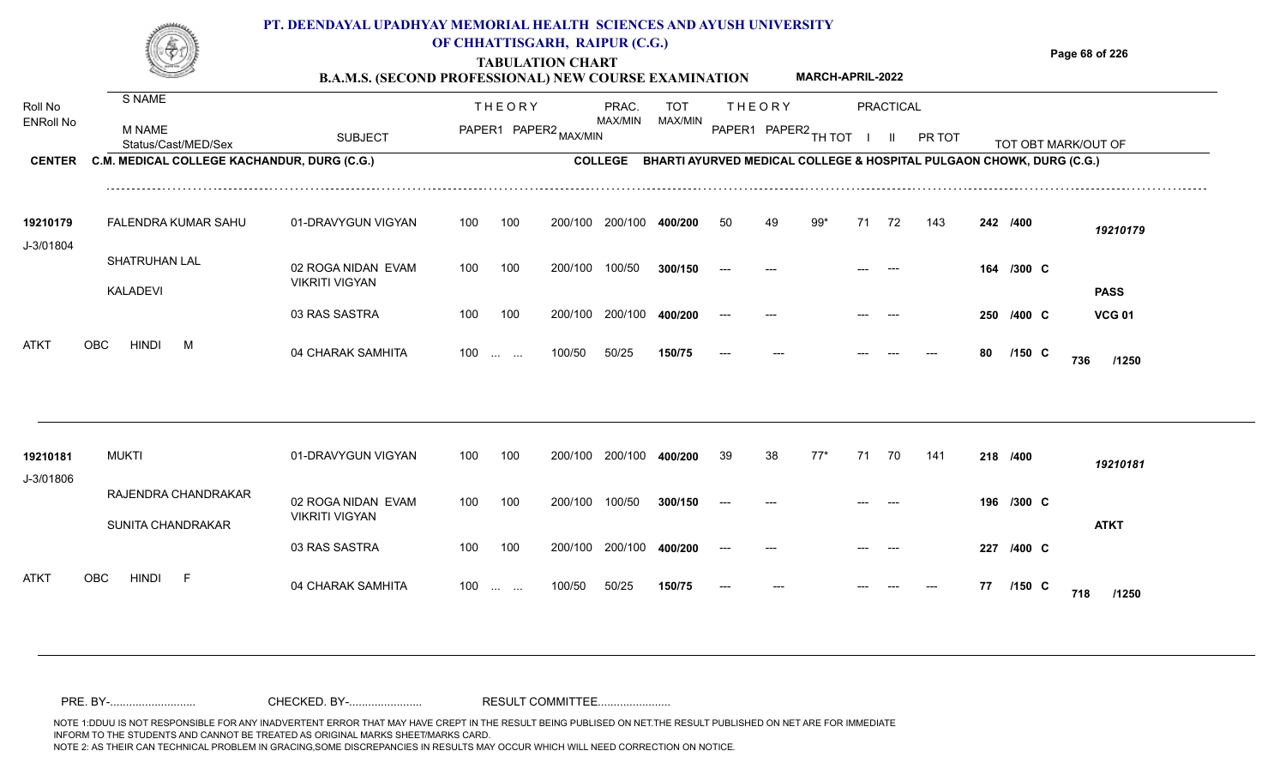|                       |                                             | PT. DEENDAYAL UPADHYAY MEMORIAL HEALTH SCIENCES AND AYUSH UNIVERSITY<br><b>B.A.M.S. (SECOND PROFESSIONAL) NEW COURSE EXAMINATION</b> |     |                            | OF CHHATTISGARH, RAIPUR (C.G.)<br><b>TABULATION CHART</b> |                |            |       |                      | <b>MARCH-APRIL-2022</b> |    |           |        |     |             | Page 68 of 226                                                       |               |
|-----------------------|---------------------------------------------|--------------------------------------------------------------------------------------------------------------------------------------|-----|----------------------------|-----------------------------------------------------------|----------------|------------|-------|----------------------|-------------------------|----|-----------|--------|-----|-------------|----------------------------------------------------------------------|---------------|
| Roll No               | S NAME                                      |                                                                                                                                      |     | <b>THEORY</b>              |                                                           | PRAC.          | <b>TOT</b> |       | <b>THEORY</b>        |                         |    | PRACTICAL |        |     |             |                                                                      |               |
| <b>ENRoll No</b>      | M NAME<br>Status/Cast/MED/Sex               | <b>SUBJECT</b>                                                                                                                       |     | -------------------------- | PAPER1 PAPER2 MAX/MIN                                     | MAX/MIN        | MAX/MIN    |       | PAPER1 PAPER2 TH TOT |                         |    |           | PR TOT |     |             | TOT OBT MARK/OUT OF                                                  |               |
| <b>CENTER</b>         | C.M. MEDICAL COLLEGE KACHANDUR, DURG (C.G.) |                                                                                                                                      |     |                            |                                                           | <b>COLLEGE</b> |            |       |                      |                         |    |           |        |     |             | BHARTI AYURVED MEDICAL COLLEGE & HOSPITAL PULGAON CHOWK, DURG (C.G.) |               |
| 19210179<br>J-3/01804 | FALENDRA KUMAR SAHU                         | 01-DRAVYGUN VIGYAN                                                                                                                   | 100 | 100                        | 200/100                                                   | 200/100        | 400/200    | 50    | 49                   | 99*                     | 71 | 72        | 143    |     | 242 /400    |                                                                      | 19210179      |
|                       | SHATRUHAN LAL<br><b>KALADEVI</b>            | 02 ROGA NIDAN EVAM<br><b>VIKRITI VIGYAN</b>                                                                                          | 100 | 100                        | 200/100                                                   | 100/50         | 300/150    |       |                      |                         |    |           |        |     | 164 /300 C  |                                                                      | <b>PASS</b>   |
|                       |                                             | 03 RAS SASTRA                                                                                                                        | 100 | 100                        | 200/100                                                   | 200/100        | 400/200    |       |                      |                         |    |           |        | 250 | $/400 \, C$ |                                                                      | <b>VCG 01</b> |
| <b>ATKT</b>           | <b>OBC</b><br><b>HINDI</b><br>M             | 04 CHARAK SAMHITA                                                                                                                    | 100 | $\cdots$ $\cdots$          | 100/50                                                    | 50/25          | 150/75     | $---$ |                      |                         |    |           |        | 80  | $/150$ C    | 736                                                                  | /1250         |

| 19210181    | <b>MUKTI</b>                          | 01-DRAVYGUN VIGYAN                          | 100               | 100 | 200/100 200/100 |         | 400/200 | -39                  | 38    | 77* | -71   | 70         | 141   | 218 /400 |                 | 19210181    |
|-------------|---------------------------------------|---------------------------------------------|-------------------|-----|-----------------|---------|---------|----------------------|-------|-----|-------|------------|-------|----------|-----------------|-------------|
| J-3/01806   |                                       |                                             |                   |     |                 |         |         |                      |       |     |       |            |       |          |                 |             |
|             | RAJENDRA CHANDRAKAR                   | 02 ROGA NIDAN EVAM<br><b>VIKRITI VIGYAN</b> | 100               | 100 | 200/100         | 100/50  | 300/150 | $\hspace{0.05cm}---$ | $---$ |     | $---$ | $\sim$ $-$ |       |          | 196 /300 C      |             |
|             | SUNITA CHANDRAKAR                     |                                             |                   |     |                 |         |         |                      |       |     |       |            |       |          |                 | <b>ATKT</b> |
|             |                                       | 03 RAS SASTRA                               | 100               | 100 | 200/100         | 200/100 | 400/200 | ---                  | $---$ |     | $---$ | $---$      |       |          | 227 /400 C      |             |
| <b>ATKT</b> | OBC<br><b>HINDI</b><br>$\overline{a}$ | 04 CHARAK SAMHITA                           | $100 \dots \dots$ |     | 100/50          | 50/25   | 150/75  | $---$                | $---$ |     | $---$ | $---$      | $---$ | 77       | $/150$ C<br>718 | /1250       |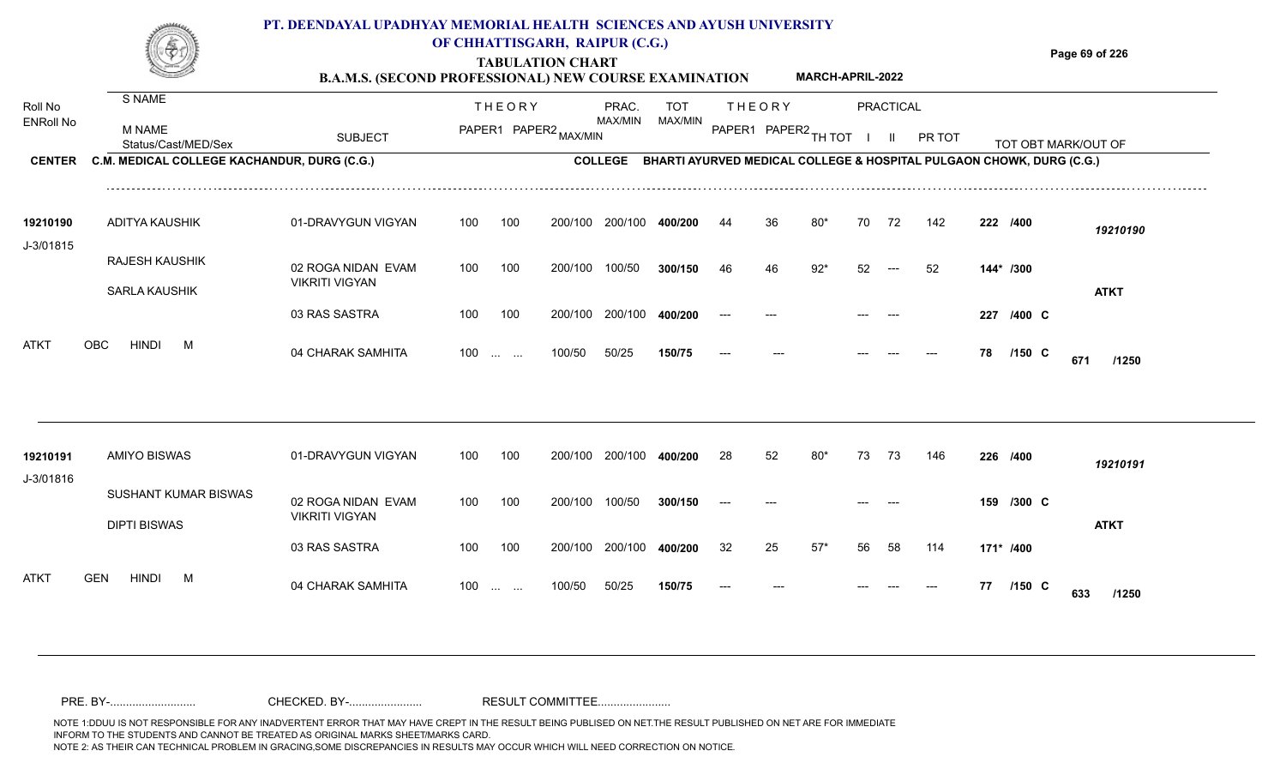|                       |                                               | PT. DEENDAYAL UPADHYAY MEMORIAL HEALTH SCIENCES AND AYUSH UNIVERSITY<br><b>B.A.M.S. (SECOND PROFESSIONAL) NEW COURSE EXAMINATION</b> |                                         | OF CHHATTISGARH, RAIPUR (C.G.)<br><b>TABULATION CHART</b>                    |                |                      |               | <b>MARCH-APRIL-2022</b> |    |           |        |     |           | Page 69 of 226      |
|-----------------------|-----------------------------------------------|--------------------------------------------------------------------------------------------------------------------------------------|-----------------------------------------|------------------------------------------------------------------------------|----------------|----------------------|---------------|-------------------------|----|-----------|--------|-----|-----------|---------------------|
| Roll No               | S NAME                                        |                                                                                                                                      | <b>THEORY</b>                           | PRAC.                                                                        | TOT            |                      | <b>THEORY</b> |                         |    | PRACTICAL |        |     |           |                     |
| <b>ENRoll No</b>      | <b>M NAME</b><br>Status/Cast/MED/Sex          | <b>SUBJECT</b>                                                                                                                       | PAPER1 PAPER2                           | MAX/MIN                                                                      | <b>MAX/MIN</b> | PAPER1 PAPER2 TH TOT |               |                         |    |           | PR TOT |     |           | TOT OBT MARK/OUT OF |
| <b>CENTER</b>         | C.M. MEDICAL COLLEGE KACHANDUR, DURG (C.G.)   |                                                                                                                                      |                                         | COLLEGE BHARTI AYURVED MEDICAL COLLEGE & HOSPITAL PULGAON CHOWK, DURG (C.G.) |                |                      |               |                         |    |           |        |     |           |                     |
| 19210190<br>J-3/01815 | ADITYA KAUSHIK                                | 01-DRAVYGUN VIGYAN                                                                                                                   | 100<br>100                              | 200/100<br>200/100                                                           |                |                      | 36.           | 80*                     | 70 | 72        | 142    |     | 222 /400  | 19210190            |
|                       | <b>RAJESH KAUSHIK</b><br><b>SARLA KAUSHIK</b> | 02 ROGA NIDAN EVAM<br><b>VIKRITI VIGYAN</b>                                                                                          | 100<br>100                              | 200/100<br>100/50                                                            | 300/150        | 46                   | 46            | $92*$                   | 52 |           | 52     |     | 144* /300 | <b>ATKT</b>         |
|                       |                                               | 03 RAS SASTRA                                                                                                                        | 100<br>100                              | 200/100<br>200/100                                                           |                |                      |               |                         |    |           |        | 227 | /400 C    |                     |
| <b>ATKT</b>           | HINDI<br><b>OBC</b><br>м                      | 04 CHARAK SAMHITA                                                                                                                    | 100<br>$\cdots$<br>$\sim$ $\sim$ $\sim$ | 50/25<br>100/50                                                              | 150/75         |                      |               |                         |    |           |        | 78  | $/150$ C  | 671<br>/1250        |

| 19210191<br>J-3/01816 | AMIYO BISWAS                                       | 01-DRAVYGUN VIGYAN                          | 100               | 100 | 200/100 | 200/100 | 400/200 | 28                   | 52    | 80*   | -73   | -73   | 146   | 226 /400  |                 | 19210191    |
|-----------------------|----------------------------------------------------|---------------------------------------------|-------------------|-----|---------|---------|---------|----------------------|-------|-------|-------|-------|-------|-----------|-----------------|-------------|
|                       | <b>SUSHANT KUMAR BISWAS</b><br><b>DIPTI BISWAS</b> | 02 ROGA NIDAN EVAM<br><b>VIKRITI VIGYAN</b> | 100               | 100 | 200/100 | 100/50  | 300/150 | $\hspace{0.05cm}---$ | $---$ |       | $---$ | ----- |       |           | 159 /300 C      | <b>ATKT</b> |
|                       |                                                    | 03 RAS SASTRA                               | 100               | 100 | 200/100 | 200/100 | 400/200 | 32                   | 25    | $57*$ | 56    | 58    | 114   | 171* /400 |                 |             |
| <b>ATKT</b>           | GEN<br><b>HINDI</b><br>м                           | 04 CHARAK SAMHITA                           | $100 \dots \dots$ |     | 100/50  | 50/25   | 150/75  | $---$                | $---$ |       | $---$ | $---$ | $---$ | 77        | $/150$ C<br>633 | /1250       |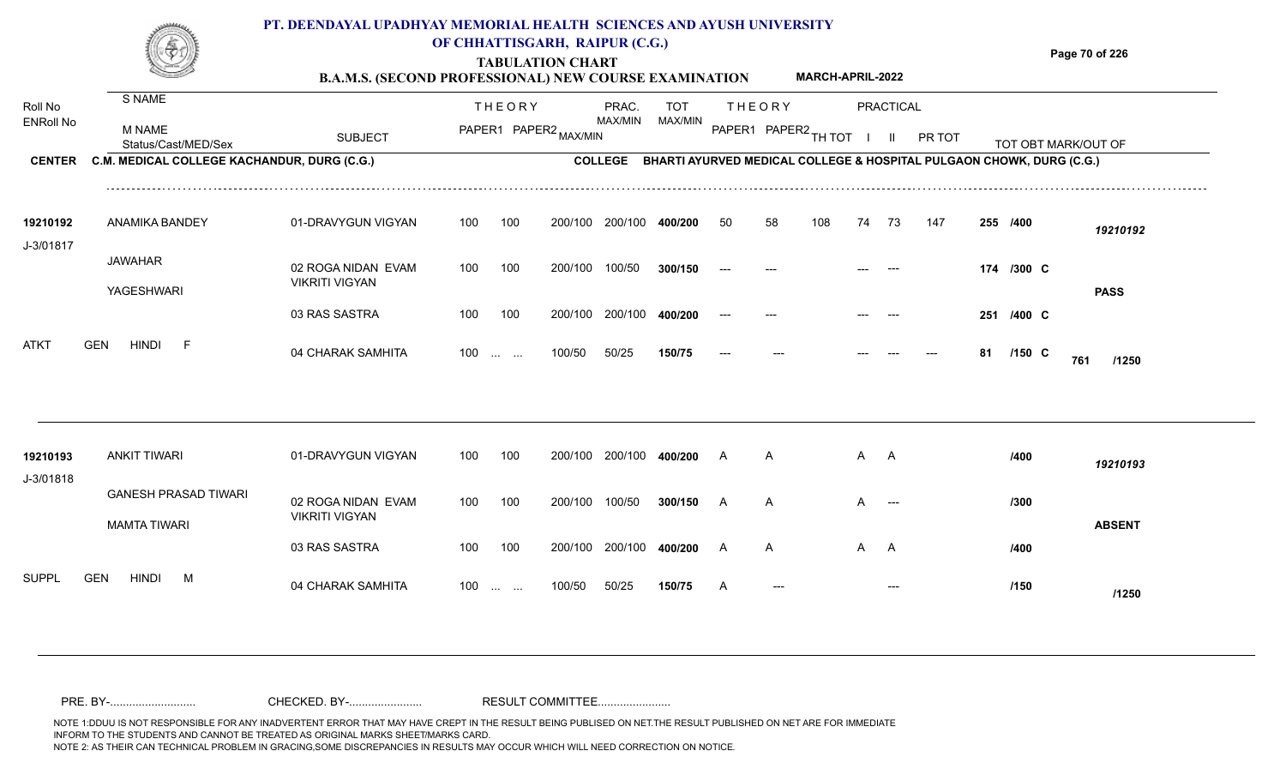#### **TABULATION CHART Page 70 of 226 B.A.M.S. (SECOND PROFESSIONAL) NEW COURSE EXAMINATION**  Roll No ENRoll No MAX/MIN MAX/MIN MAX/MIN MAX/MIN ANG THIOT I II PRITOT TOT OBTIMARK/OUT OF SUBJECT PAPER2 <sub>MAX/MIN</sub> MAX/MIN PAPER1 PAPER2 <sub>TH</sub>IOT I II PRITOT TOT OBTIMARK/OUT OF **PRACTICAL CENTER C.M. MEDICAL COLLEGE KACHANDUR, DURG (C.G.)** THEORY PRAC. TOT PAPER1 PAPER2 MAX/MIN PAPER PRAC. THEORY S NAME M NAME **PT. DEENDAYAL UPADHYAY MEMORIAL HEALTH SCIENCES AND AYUSH UNIVERSITY OF CHHATTISGARH, RAIPUR (C.G.) C.M. MEDICAL COLLEGE KACHANDUR, DURG (C.G.) BHARTI AYURVED MEDICAL COLLEGE & HOSPITAL PULGAON CHOWK, DURG (C.G.) MARCH-APRIL-2022** 01-DRAVYGUN VIGYAN 100 100 02 ROGA NIDAN EVAM VIKRITI VIGYAN 100 100 200/100 200/100 **400/200** 50 100/50 **300/150 400/200** --- **/400** *19210192* **/300** --- --- --- **174 C** 19210192 ANAMIKA BANDEY 01-DRAVYG JAWAHAR YAGESHWARI J-3/01817 100 200/100 100/50 50 58 108 74 73 147 **255 PASS**

|      | YAGESHWARI                 |                   |     |     |              |                         |                      |               |  |    |            |     | <b>PASS</b> |  |
|------|----------------------------|-------------------|-----|-----|--------------|-------------------------|----------------------|---------------|--|----|------------|-----|-------------|--|
|      |                            | 03 RAS SASTRA     | 100 | 100 |              | 200/100 200/100 400/200 | $\hspace{0.05cm}---$ | $\sim$ $\sim$ |  |    | 251 /400 C |     |             |  |
| ATKT | <b>HINDI</b><br><b>GEN</b> | 04 CHARAK SAMHITA | 100 |     | 100/50 50/25 | 150/75                  | $---$                | $\sim$        |  | 81 | /150 C     | 761 | /1250       |  |

| 19210193                   | ANKIT TIWARI                                | 01-DRAVYGUN VIGYAN                          | 100   | 100 | 200/100 | 200/100 | 400/200 |   | A            | A A |                                        | /400 | 19210193      |
|----------------------------|---------------------------------------------|---------------------------------------------|-------|-----|---------|---------|---------|---|--------------|-----|----------------------------------------|------|---------------|
| J-3/01818                  | <b>GANESH PRASAD TIWARI</b><br>MAMTA TIWARI | 02 ROGA NIDAN EVAM<br><b>VIKRITI VIGYAN</b> | 100   | 100 | 200/100 | 100/50  | 300/150 |   | $\mathsf{A}$ | A   | $\hspace{0.1em} \ldots \hspace{0.1em}$ | /300 | <b>ABSENT</b> |
|                            |                                             | 03 RAS SASTRA                               | 100   | 100 | 200/100 | 200/100 | 400/200 |   | $\mathsf{A}$ | A A |                                        | /400 |               |
| <b>SUPPL</b><br><b>GEN</b> | <b>HINDI</b><br>M                           | 04 CHARAK SAMHITA                           | $100$ |     | 100/50  | 50/25   | 150/75  | A | $---$        |     | $---$                                  | /150 | /1250         |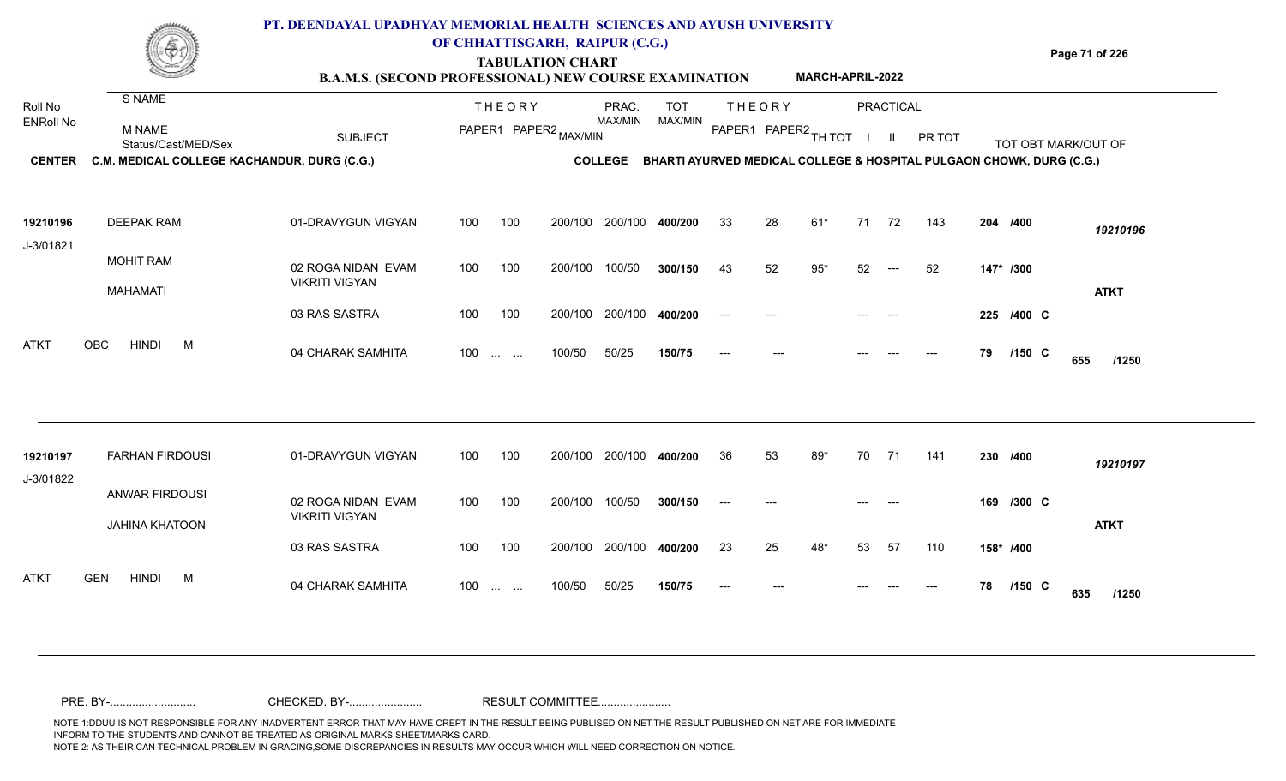### **TABULATION CHART Page 71 of 226 B.A.M.S. (SECOND PROFESSIONAL) NEW COURSE EXAMINATION**  Roll No ENRoll No MAX/MIN MAX/MIN MAX/MIN MAX/MIN ANG THIOT I II PRITOT TOT OBTIMARK/OUT OF SUBJECT PAPER2 <sub>MAX/MIN</sub> MAX/MIN PAPER1 PAPER2 <sub>TH</sub>IOT I II PRITOT TOT OBTIMARK/OUT OF **PRACTICAL CENTER C.M. MEDICAL COLLEGE KACHANDUR, DURG (C.G.)** THEORY PRAC. TOT PAPER1 PAPER2 MAX/MIN PAPER PRAC. THEORY S NAME M NAME **PT. DEENDAYAL UPADHYAY MEMORIAL HEALTH SCIENCES AND AYUSH UNIVERSITY OF CHHATTISGARH, RAIPUR (C.G.) C.M. MEDICAL COLLEGE KACHANDUR, DURG (C.G.) BHARTI AYURVED MEDICAL COLLEGE & HOSPITAL PULGAON CHOWK, DURG (C.G.) MARCH-APRIL-2022** 01-DRAVYGUN VIGYAN 100 100 33 28 61\* 71 72 143 **204**

| 19210196    | DEEPAK RAM                             | 01-DRAVYGUN VIGYAN    | 100               | 100 | 200/100 200/100 |                         | 400/200 | 33    | 28    | 61*   | 71    | - 72                                   | 143 | 204 /400  |                 | 19210196    |
|-------------|----------------------------------------|-----------------------|-------------------|-----|-----------------|-------------------------|---------|-------|-------|-------|-------|----------------------------------------|-----|-----------|-----------------|-------------|
| J-3/01821   |                                        |                       |                   |     |                 |                         |         |       |       |       |       |                                        |     |           |                 |             |
|             | <b>MOHIT RAM</b>                       | 02 ROGA NIDAN EVAM    | 100               | 100 | 200/100         | 100/50                  | 300/150 | 43    | 52    | $95*$ | 52    | $\hspace{0.1em} \ldots \hspace{0.1em}$ | -52 | 147* /300 |                 |             |
|             | MAHAMATI                               | <b>VIKRITI VIGYAN</b> |                   |     |                 |                         |         |       |       |       |       |                                        |     |           |                 | <b>ATKT</b> |
|             |                                        | 03 RAS SASTRA         | 100               | 100 |                 | 200/100 200/100 400/200 |         | $---$ | $---$ |       | $---$ | $--$                                   |     |           | 225 /400 C      |             |
| <b>ATKT</b> | <b>HINDI</b><br><b>OBC</b><br><b>M</b> | 04 CHARAK SAMHITA     | $100 \dots \dots$ |     | 100/50          | 50/25                   | 150/75  | $---$ | $---$ |       | $---$ | $---$                                  | --- | 79        | $/150$ C<br>655 | /1250       |

| 19210197<br>J-3/01822     | <b>FARHAN FIRDOUSI</b>                         | 01-DRAVYGUN VIGYAN                          | 100   | 100              | 200/100 | 200/100 | 400/200 | -36   | 53    | 89* | 70      | -71   | 141   | 230 /400  |                 | 19210197    |
|---------------------------|------------------------------------------------|---------------------------------------------|-------|------------------|---------|---------|---------|-------|-------|-----|---------|-------|-------|-----------|-----------------|-------------|
|                           | <b>ANWAR FIRDOUSI</b><br><b>JAHINA KHATOON</b> | 02 ROGA NIDAN EVAM<br><b>VIKRITI VIGYAN</b> | 100   | 100              | 200/100 | 100/50  | 300/150 | $---$ | $---$ |     | ----    | ----  |       | 169       | $/300$ C        | <b>ATKT</b> |
|                           |                                                | 03 RAS SASTRA                               | 100   | 100              | 200/100 | 200/100 | 400/200 | 23    | 25    | 48* | 53      | -57   | 110   | 158* /400 |                 |             |
| <b>ATKT</b><br><b>GEN</b> | <b>HINDI</b><br>M                              | 04 CHARAK SAMHITA                           | $100$ | $\sim$ 100 $\mu$ | 100/50  | 50/25   | 150/75  | $---$ | $---$ |     | $- - -$ | $---$ | $---$ | 78        | $/150$ C<br>635 | /1250       |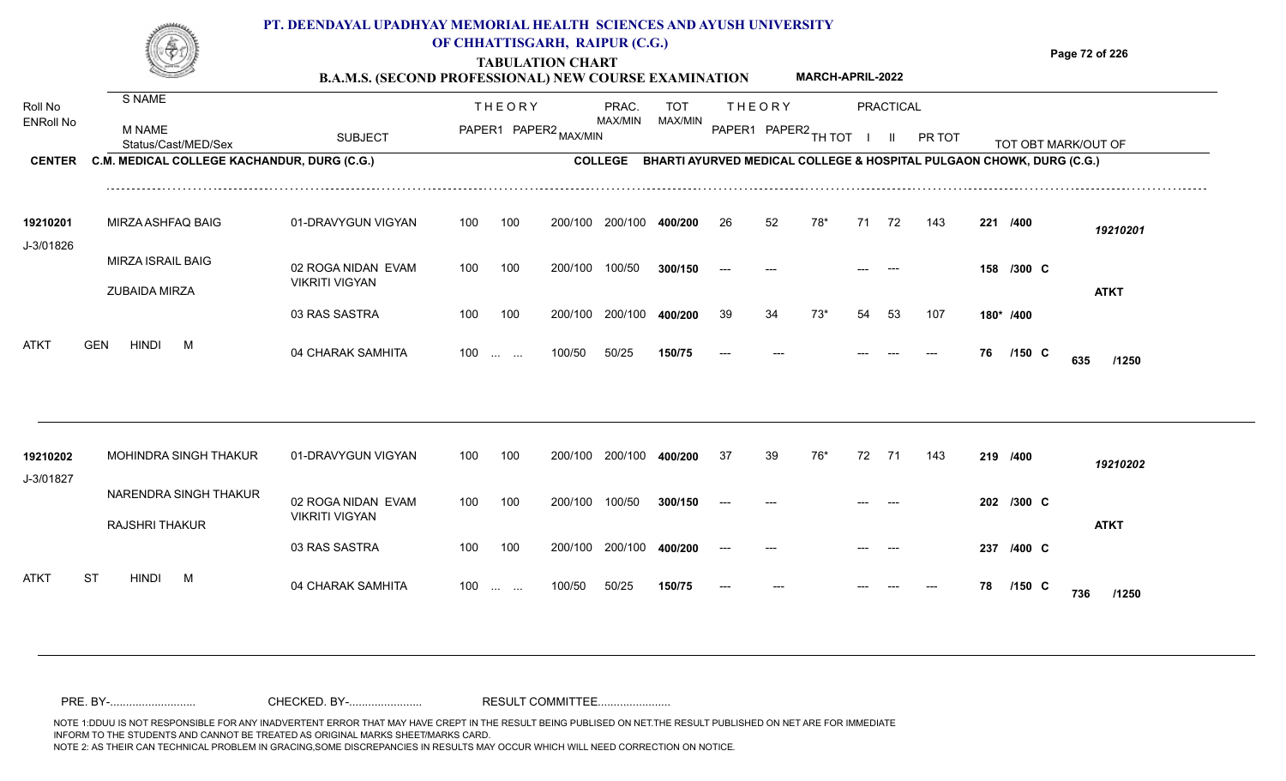|                             |                                                  | PT. DEENDAYAL UPADHYAY MEMORIAL HEALTH SCIENCES AND AYUSH UNIVERSITY<br><b>B.A.M.S. (SECOND PROFESSIONAL) NEW COURSE EXAMINATION</b> |                   |               | <b>TABULATION CHART</b> | OF CHHATTISGARH, RAIPUR (C.G.) |                |    |               | <b>MARCH-APRIL-2022</b> |    |           |               |    |                                                                      | Page 72 of 226 |
|-----------------------------|--------------------------------------------------|--------------------------------------------------------------------------------------------------------------------------------------|-------------------|---------------|-------------------------|--------------------------------|----------------|----|---------------|-------------------------|----|-----------|---------------|----|----------------------------------------------------------------------|----------------|
| Roll No<br><b>ENRoll No</b> | S NAME<br><b>M NAME</b><br>Status/Cast/MED/Sex   | <b>SUBJECT</b>                                                                                                                       |                   | <b>THEORY</b> | PAPER1 PAPER2 MAX/MIN   | PRAC.<br>MAX/MIN               | TOT<br>MAX/MIN |    | <b>THEORY</b> | PAPER1 PAPER2 TH TOT    |    | PRACTICAL | <b>PR TOT</b> |    | TOT OBT MARK/OUT OF                                                  |                |
| <b>CENTER</b>               | C.M. MEDICAL COLLEGE KACHANDUR, DURG (C.G.)      |                                                                                                                                      |                   |               |                         | <b>COLLEGE</b>                 |                |    |               |                         |    |           |               |    | BHARTI AYURVED MEDICAL COLLEGE & HOSPITAL PULGAON CHOWK, DURG (C.G.) |                |
| 19210201<br>J-3/01826       | MIRZA ASHFAQ BAIG                                | 01-DRAVYGUN VIGYAN                                                                                                                   | 100               | 100           | 200/100                 | 200/100                        | 400/200        | 26 | 52            | 78*                     | 71 | 72        | 143           |    | 221 /400                                                             | 19210201       |
|                             | <b>MIRZA ISRAIL BAIG</b><br><b>ZUBAIDA MIRZA</b> | 02 ROGA NIDAN EVAM<br><b>VIKRITI VIGYAN</b>                                                                                          | 100               | 100           | 200/100                 | 100/50                         | 300/150        |    |               |                         |    |           |               |    | 158 /300 C                                                           | <b>ATKT</b>    |
|                             |                                                  | 03 RAS SASTRA                                                                                                                        | 100               | 100           | 200/100                 | 200/100                        | 400/200        | 39 | 34            | 73*                     | 54 | -53       | 107           |    | 180* /400                                                            |                |
| <b>ATKT</b>                 | <b>HINDI</b><br><b>GEN</b><br>M                  | 04 CHARAK SAMHITA                                                                                                                    | $100 \dots \dots$ |               | 100/50                  | 50/25                          | 150/75         |    |               |                         |    |           |               | 76 | /150 C                                                               | 635<br>/1250   |
|                             |                                                  |                                                                                                                                      |                   |               |                         |                                |                |    |               |                         |    |           |               |    |                                                                      |                |
| 19210202                    | <b>MOHINDRA SINGH THAKUR</b>                     | 01-DRAVYGUN VIGYAN                                                                                                                   | 100               | 100           | 200/100                 | 200/100                        | 400/200        | 37 | 39            | 76*                     | 72 | -71       | 143           |    | 219 /400                                                             | 19210202       |

| J-3/01827   |    |                       |                       |                       |                   |     |         |         |         |       |       |       |       |       |    |            |             |       |
|-------------|----|-----------------------|-----------------------|-----------------------|-------------------|-----|---------|---------|---------|-------|-------|-------|-------|-------|----|------------|-------------|-------|
|             |    |                       | NARENDRA SINGH THAKUR | 02 ROGA NIDAN EVAM    | 100               | 100 | 200/100 | 100/50  | 300/150 | $--$  | $---$ | $---$ | $---$ |       |    | 202 /300 C |             |       |
|             |    | <b>RAJSHRI THAKUR</b> |                       | <b>VIKRITI VIGYAN</b> |                   |     |         |         |         |       |       |       |       |       |    |            | <b>ATKT</b> |       |
|             |    |                       |                       | 03 RAS SASTRA         | 100               | 100 | 200/100 | 200/100 | 400/200 | $--$  | $---$ | ----  | $---$ |       |    | 237 /400 C |             |       |
| <b>ATKT</b> | ST | <b>HINDI</b>          | M                     | 04 CHARAK SAMHITA     | $100 \dots \dots$ |     | 100/50  | 50/25   | 150/75  | $---$ | $---$ | ---   | ----  | $---$ | 78 | $/150$ C   | 736         | /1250 |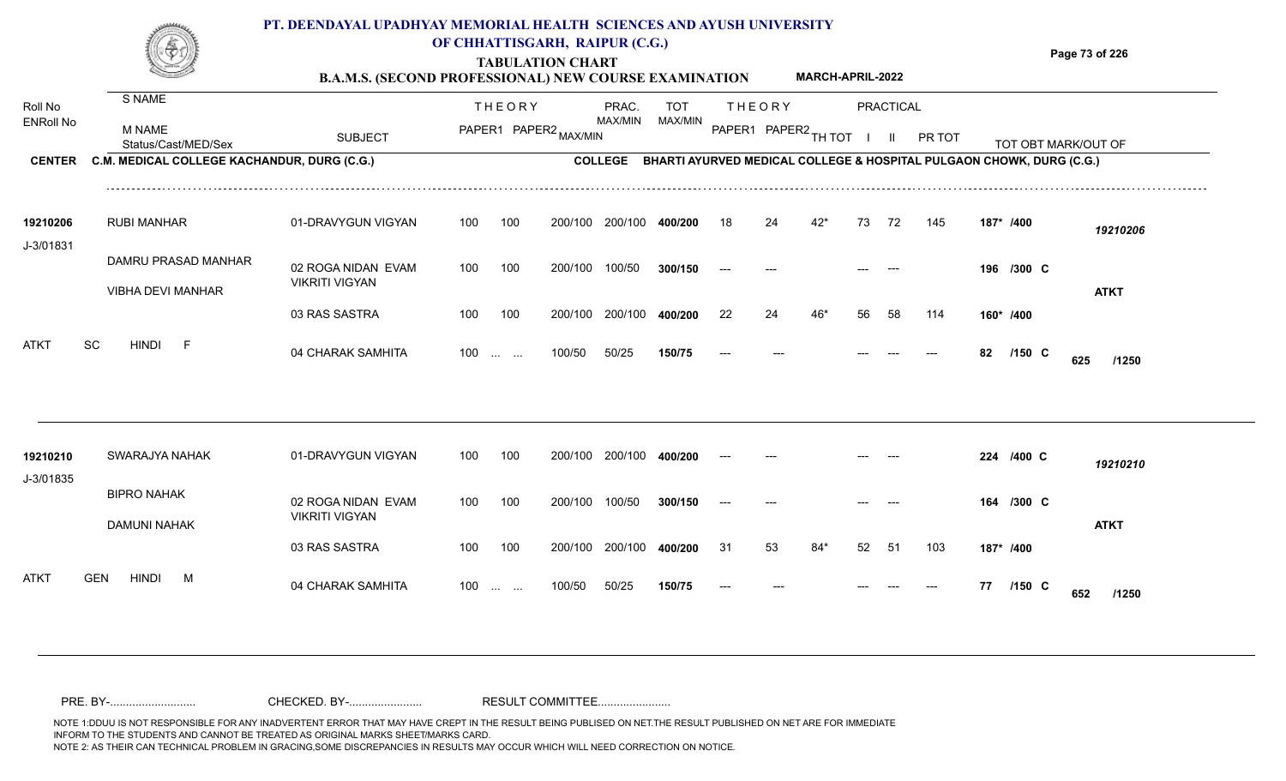#### **TABULATION CHART Page 73 of 226 B.A.M.S. (SECOND PROFESSIONAL) NEW COURSE EXAMINATION PT. DEENDAYAL UPADHYAY MEMORIAL HEALTH SCIENCES AND AYUSH UNIVERSITY OF CHHATTISGARH, RAIPUR (C.G.) MARCH-APRIL-2022**

| Roll No               | S NAME                                      |                                             |     | <b>THEORY</b>                                               |                       | PRAC.   | <b>TOT</b>                                                                   |       | <b>THEORY</b> |                      |    | <b>PRACTICAL</b> |        |    |            |                     |  |
|-----------------------|---------------------------------------------|---------------------------------------------|-----|-------------------------------------------------------------|-----------------------|---------|------------------------------------------------------------------------------|-------|---------------|----------------------|----|------------------|--------|----|------------|---------------------|--|
| <b>ENRoll No</b>      | <b>M NAME</b><br>Status/Cast/MED/Sex        | <b>SUBJECT</b>                              |     |                                                             | PAPER1 PAPER2 MAX/MIN | MAX/MIN | MAX/MIN                                                                      |       |               | PAPER1 PAPER2 TH TOT |    |                  | PR TOT |    |            | TOT OBT MARK/OUT OF |  |
| <b>CENTER</b>         | C.M. MEDICAL COLLEGE KACHANDUR, DURG (C.G.) |                                             |     |                                                             |                       |         | COLLEGE BHARTI AYURVED MEDICAL COLLEGE & HOSPITAL PULGAON CHOWK, DURG (C.G.) |       |               |                      |    |                  |        |    |            |                     |  |
| 19210206              | <b>RUBI MANHAR</b>                          | 01-DRAVYGUN VIGYAN                          | 100 | 100                                                         | 200/100               | 200/100 | 400/200                                                                      | 18    | 24            | $42*$                | 73 | 72               | 145    |    | 187* /400  | 19210206            |  |
| J-3/01831             | DAMRU PRASAD MANHAR                         | 02 ROGA NIDAN EVAM                          | 100 | 100                                                         | 200/100               | 100/50  | 300/150                                                                      | $---$ |               |                      |    |                  |        |    | 196 /300 C |                     |  |
|                       | VIBHA DEVI MANHAR                           | <b>VIKRITI VIGYAN</b>                       |     |                                                             |                       |         |                                                                              |       |               |                      |    |                  |        |    |            | <b>ATKT</b>         |  |
|                       |                                             | 03 RAS SASTRA                               | 100 | 100                                                         | 200/100               | 200/100 | 400/200                                                                      | 22    | 24            | 46*                  | 56 | 58               | 114    |    | 160* /400  |                     |  |
| <b>ATKT</b>           | SC<br><b>HINDI</b><br>-F                    | 04 CHARAK SAMHITA                           |     | $100 \dots \dots$                                           | 100/50                | 50/25   | 150/75                                                                       | $---$ |               |                      |    |                  |        | 82 | $/150$ C   | 625<br>/1250        |  |
|                       |                                             |                                             |     |                                                             |                       |         |                                                                              |       |               |                      |    |                  |        |    |            |                     |  |
| 19210210<br>J-3/01835 | SWARAJYA NAHAK                              | 01-DRAVYGUN VIGYAN                          | 100 | 100                                                         | 200/100               | 200/100 | 400/200                                                                      |       |               |                      |    |                  |        |    | 224 /400 C | 19210210            |  |
|                       | <b>BIPRO NAHAK</b><br><b>DAMUNI NAHAK</b>   | 02 ROGA NIDAN EVAM<br><b>VIKRITI VIGYAN</b> | 100 | 100                                                         | 200/100               | 100/50  | 300/150                                                                      |       |               |                      |    |                  |        |    | 164 /300 C | <b>ATKT</b>         |  |
|                       |                                             | 03 RAS SASTRA                               | 100 | 100                                                         | 200/100               | 200/100 | 400/200                                                                      | 31    | 53            | $84*$                | 52 | 51               | 103    |    | 187* /400  |                     |  |
| <b>ATKT</b>           | <b>HINDI</b><br><b>GEN</b><br>M             | 04 CHARAK SAMHITA                           | 100 | $\mathcal{L}_{\text{max}}$ , and $\mathcal{L}_{\text{max}}$ | 100/50                | 50/25   | 150/75                                                                       |       |               |                      |    |                  |        | 77 | $/150$ C   | 652<br>/1250        |  |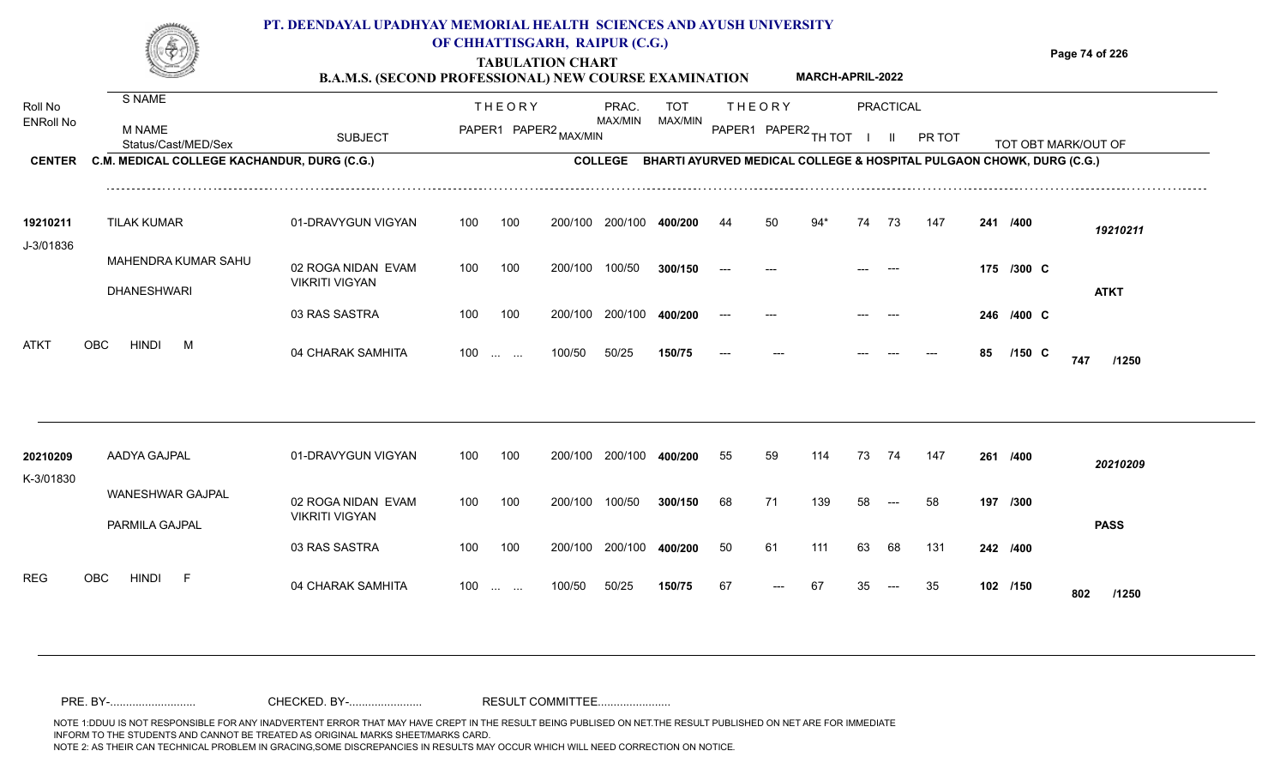|                                              |                                                                                               | PT. DEENDAYAL UPADHYAY MEMORIAL HEALTH SCIENCES AND AYUSH UNIVERSITY<br><b>B.A.M.S. (SECOND PROFESSIONAL) NEW COURSE EXAMINATION</b> |     |               | OF CHHATTISGARH, RAIPUR (C.G.)<br><b>TABULATION CHART</b> |                                    |                |    |                                | <b>MARCH-APRIL-2022</b> |    |                                  |        |    |            | Page 74 of 226                                                                              |
|----------------------------------------------|-----------------------------------------------------------------------------------------------|--------------------------------------------------------------------------------------------------------------------------------------|-----|---------------|-----------------------------------------------------------|------------------------------------|----------------|----|--------------------------------|-------------------------|----|----------------------------------|--------|----|------------|---------------------------------------------------------------------------------------------|
| Roll No<br><b>ENRoll No</b><br><b>CENTER</b> | S NAME<br><b>M NAME</b><br>Status/Cast/MED/Sex<br>C.M. MEDICAL COLLEGE KACHANDUR, DURG (C.G.) | <b>SUBJECT</b>                                                                                                                       |     | <b>THEORY</b> | PAPER1 PAPER2 MAX/MIN                                     | PRAC.<br>MAX/MIN<br><b>COLLEGE</b> | TOT<br>MAX/MIN |    | <b>THEORY</b><br>PAPER1 PAPER2 | TH TOT                  |    | <b>PRACTICAL</b><br>$\mathbf{H}$ | PR TOT |    |            | TOT OBT MARK/OUT OF<br>BHARTI AYURVED MEDICAL COLLEGE & HOSPITAL PULGAON CHOWK, DURG (C.G.) |
|                                              |                                                                                               |                                                                                                                                      |     |               |                                                           |                                    |                |    |                                |                         |    |                                  |        |    |            |                                                                                             |
| 19210211<br>J-3/01836                        | <b>TILAK KUMAR</b>                                                                            | 01-DRAVYGUN VIGYAN                                                                                                                   | 100 | 100           | 200/100                                                   | 200/100                            | 400/200        | 44 | 50                             | 94*                     | 74 | -73                              | 147    |    | 241 /400   | 19210211                                                                                    |
|                                              | MAHENDRA KUMAR SAHU<br><b>DHANESHWARI</b>                                                     | 02 ROGA NIDAN EVAM<br><b>VIKRITI VIGYAN</b>                                                                                          | 100 | 100           | 200/100                                                   | 100/50                             | 300/150        |    |                                |                         |    |                                  |        |    | 175 /300 C | <b>ATKT</b>                                                                                 |
|                                              |                                                                                               | 03 RAS SASTRA                                                                                                                        | 100 | 100           | 200/100                                                   | 200/100                            | 400/200        |    |                                |                         |    |                                  |        |    | 246 /400 C |                                                                                             |
| ATKT                                         | <b>OBC</b><br><b>HINDI</b><br>M                                                               | 04 CHARAK SAMHITA                                                                                                                    | 100 | $\cdots$      | 100/50                                                    | 50/25                              | 150/75         |    |                                |                         |    |                                  |        | 85 | $/150$ C   | 747<br>/1250                                                                                |
|                                              |                                                                                               |                                                                                                                                      |     |               |                                                           |                                    |                |    |                                |                         |    |                                  |        |    |            |                                                                                             |
| 20210209<br>K-3/01830                        | AADYA GAJPAL                                                                                  | 01-DRAVYGUN VIGYAN                                                                                                                   | 100 | 100           | 200/100                                                   | 200/100                            | 400/200        | 55 | 59                             | 114                     | 73 | 74                               | 147    |    | 261 /400   | 20210209                                                                                    |
|                                              | <b>WANESHWAR GAJPAL</b><br>PARMILA GAJPAL                                                     | 02 ROGA NIDAN EVAM<br><b>VIKRITI VIGYAN</b>                                                                                          | 100 | 100           | 200/100                                                   | 100/50                             | 300/150        | 68 | 71                             | 139                     | 58 |                                  | 58     |    | 197 /300   | <b>PASS</b>                                                                                 |
|                                              |                                                                                               | 03 RAS SASTRA                                                                                                                        | 100 | 100           | 200/100                                                   | 200/100 400/200                    |                | 50 | 61                             | 111                     | 63 | 68                               | 131    |    | 242 /400   |                                                                                             |

04 CHARAK SAMHITA 100 ... ... 100/50 50/25 **150/75** 67 --- 67 35 -- 35 **102 /150 802 /1250** 

**/150**

<sup>67</sup> <sup>67</sup> <sup>35</sup> <sup>35</sup> **<sup>102</sup> <sup>802</sup>**

50/25 **150/75**

REG OBC HINDI F 04 CHARAK SAMHITA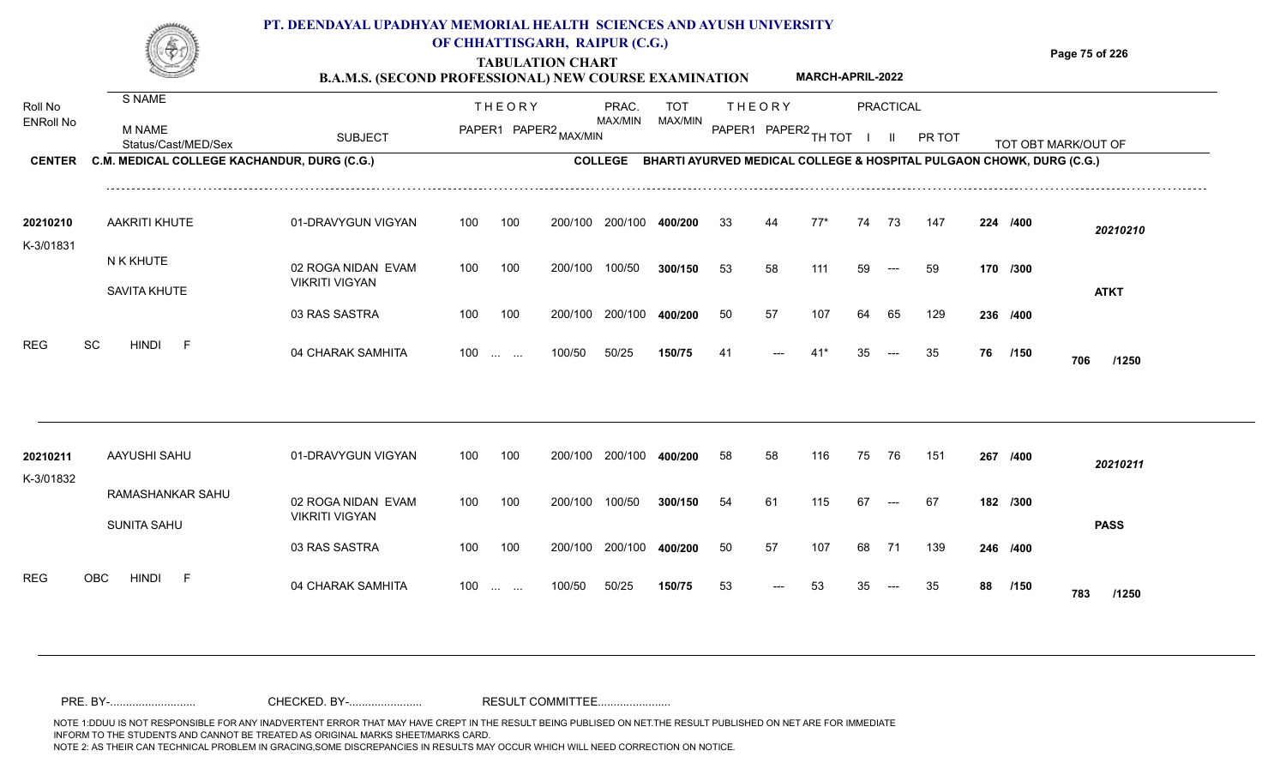**TABULATION CHART B.A.M.S. (SECOND PROFESSIONAL) NEW COURSE EXAMINATION**  **Page 75 of 226**

**MARCH-APRIL-2022**

|                             |                                             | D.A.M.S. (SECOND I ROFESSIONAL) NEW COURSE EAAMINATION |                   |               |                       |                         |                                                                      |     |                        |       |    |               |        |    |          |                     |
|-----------------------------|---------------------------------------------|--------------------------------------------------------|-------------------|---------------|-----------------------|-------------------------|----------------------------------------------------------------------|-----|------------------------|-------|----|---------------|--------|----|----------|---------------------|
| Roll No<br><b>ENRoll No</b> | S NAME                                      |                                                        |                   | <b>THEORY</b> |                       | PRAC.<br>MAX/MIN        | <b>TOT</b><br>MAX/MIN                                                |     | <b>THEORY</b>          |       |    | PRACTICAL     |        |    |          |                     |
|                             | <b>M NAME</b><br>Status/Cast/MED/Sex        | <b>SUBJECT</b>                                         |                   |               | PAPER1 PAPER2 MAX/MIN |                         |                                                                      |     | PAPER1 PAPER2 TH TOT I |       |    | $\mathbf{II}$ | PR TOT |    |          | TOT OBT MARK/OUT OF |
| <b>CENTER</b>               | C.M. MEDICAL COLLEGE KACHANDUR, DURG (C.G.) |                                                        |                   |               |                       | <b>COLLEGE</b>          | BHARTI AYURVED MEDICAL COLLEGE & HOSPITAL PULGAON CHOWK, DURG (C.G.) |     |                        |       |    |               |        |    |          |                     |
| 20210210                    | <b>AAKRITI KHUTE</b>                        | 01-DRAVYGUN VIGYAN                                     | 100               | 100           | 200/100               | 200/100 400/200         |                                                                      | 33  | 44                     | $77*$ | 74 | 73            | 147    |    | 224 /400 | 20210210            |
| K-3/01831                   | N K KHUTE<br>SAVITA KHUTE                   | 02 ROGA NIDAN EVAM<br><b>VIKRITI VIGYAN</b>            | 100               | 100           | 200/100               | 100/50                  | 300/150                                                              | 53  | 58                     | 111   | 59 | $---$         | 59     |    | 170 /300 | <b>ATKT</b>         |
|                             |                                             | 03 RAS SASTRA                                          | 100               | 100           |                       | 200/100 200/100 400/200 |                                                                      | 50  | 57                     | 107   | 64 | 65            | 129    |    | 236 /400 |                     |
| <b>REG</b>                  | SC<br><b>HINDI</b><br>F                     | 04 CHARAK SAMHITA                                      | $100 \dots \dots$ |               | 100/50                | 50/25                   | 150/75                                                               | -41 |                        |       | 35 |               | 35     | 76 | /150     | 706<br>/1250        |
|                             |                                             |                                                        |                   |               |                       |                         |                                                                      |     |                        |       |    |               |        |    |          |                     |
| 20210211<br>K-3/01832       | AAYUSHI SAHU                                | 01-DRAVYGUN VIGYAN                                     | 100               | 100           | 200/100               | 200/100                 | 400/200                                                              | 58  | 58                     | 116   | 75 | 76            | 151    |    | 267 /400 | 20210211            |
|                             | RAMASHANKAR SAHU<br><b>SUNITA SAHU</b>      | 02 ROGA NIDAN EVAM<br><b>VIKRITI VIGYAN</b>            | 100               | 100           | 200/100               | 100/50                  | 300/150                                                              | 54  | 61                     | 115   | 67 | $--$          | 67     |    | 182 /300 | <b>PASS</b>         |
|                             |                                             | 03 RAS SASTRA                                          | 100               | 100           | 200/100               | 200/100                 | 400/200                                                              | 50  | 57                     | 107   | 68 | 71            | 139    |    | 246 /400 |                     |
| <b>REG</b>                  | <b>HINDI</b><br>F<br>OBC                    | 04 CHARAK SAMHITA                                      | $100 \dots \dots$ |               | 100/50                | 50/25                   | 150/75                                                               | 53  | $---$                  | 53    | 35 | $---$         | 35     | 88 | /150     | 783<br>/1250        |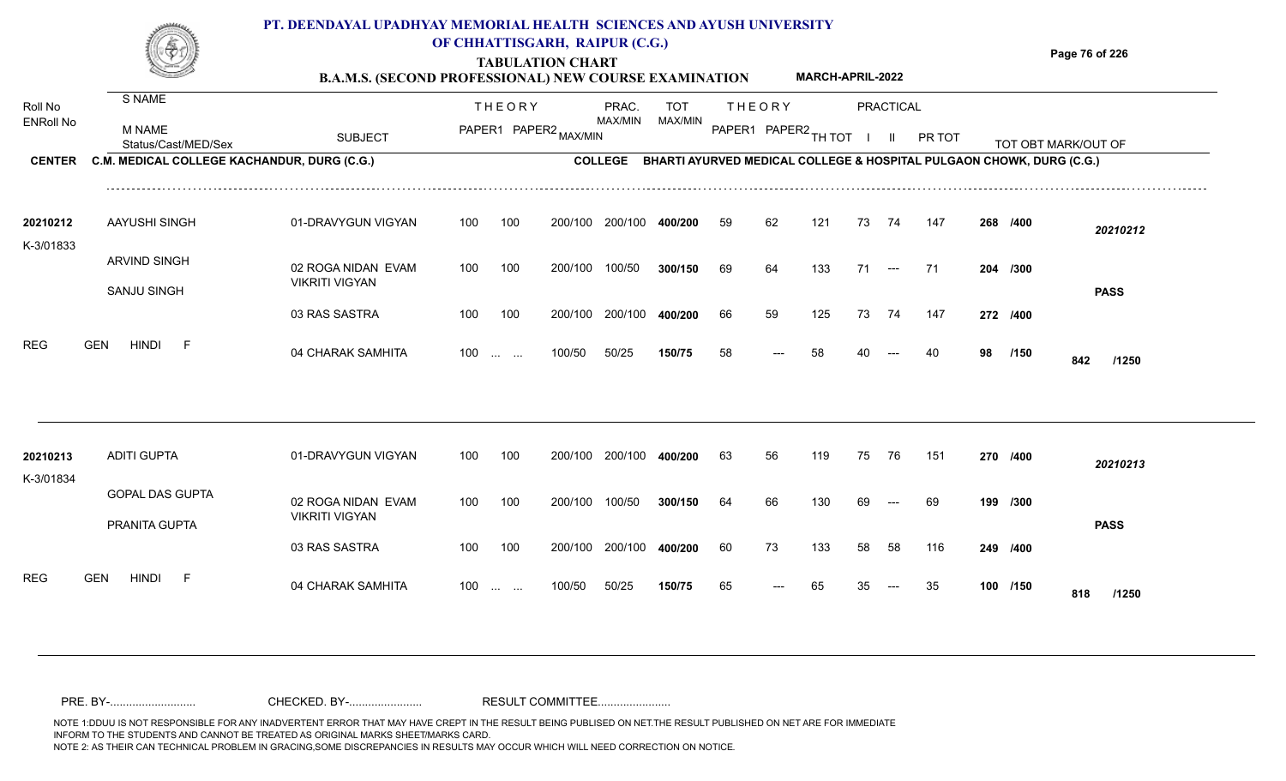#### **TABULATION CHART Page 76 of 226 B.A.M.S. (SECOND PROFESSIONAL) NEW COURSE EXAMINATION PT. DEENDAYAL UPADHYAY MEMORIAL HEALTH SCIENCES AND AYUSH UNIVERSITY OF CHHATTISGARH, RAIPUR (C.G.) MARCH-APRIL-2022**

|                             |                                             | <b>B.A.M.S. (SECOND PROFESSIONAL) NEW COURSE EXAMINATION</b> |     |                      |                       |                |                                                                                 |    |                      | <b>MARCH-APRIL-2022</b> |    |           |        |    |          |                     |
|-----------------------------|---------------------------------------------|--------------------------------------------------------------|-----|----------------------|-----------------------|----------------|---------------------------------------------------------------------------------|----|----------------------|-------------------------|----|-----------|--------|----|----------|---------------------|
| Roll No<br><b>ENRoll No</b> | S NAME                                      |                                                              |     | <b>THEORY</b>        |                       | PRAC.          | TOT                                                                             |    | <b>THEORY</b>        |                         |    | PRACTICAL |        |    |          |                     |
|                             | <b>M NAME</b><br>Status/Cast/MED/Sex        | <b>SUBJECT</b>                                               |     |                      | PAPER1 PAPER2 MAX/MIN | MAX/MIN        | MAX/MIN                                                                         |    | PAPER1 PAPER2 TH TOT |                         |    |           | PR TOT |    |          | TOT OBT MARK/OUT OF |
| <b>CENTER</b>               | C.M. MEDICAL COLLEGE KACHANDUR, DURG (C.G.) |                                                              |     |                      |                       | <b>COLLEGE</b> | <b>BHARTI AYURVED MEDICAL COLLEGE &amp; HOSPITAL PULGAON CHOWK, DURG (C.G.)</b> |    |                      |                         |    |           |        |    |          |                     |
| 20210212                    | AAYUSHI SINGH                               | 01-DRAVYGUN VIGYAN                                           | 100 | 100                  | 200/100               | 200/100        | 400/200                                                                         | 59 | 62                   | 121                     | 73 | 74        | 147    |    | 268 /400 | 20210212            |
| K-3/01833                   | <b>ARVIND SINGH</b>                         | 02 ROGA NIDAN EVAM                                           | 100 | 100                  | 200/100               | 100/50         | 300/150                                                                         | 69 | 64                   | 133                     | 71 | $---$     | - 71   |    | 204 /300 |                     |
|                             | <b>SANJU SINGH</b>                          | <b>VIKRITI VIGYAN</b>                                        |     |                      |                       |                |                                                                                 |    |                      |                         |    |           |        |    |          | <b>PASS</b>         |
| <b>REG</b>                  | <b>GEN</b><br>HINDI<br>- F                  | 03 RAS SASTRA                                                | 100 | 100                  | 200/100               | 200/100        | 400/200                                                                         | 66 | 59                   | 125                     | 73 | 74        | 147    |    | 272 /400 |                     |
|                             |                                             | 04 CHARAK SAMHITA                                            | 100 | $\sim$ $\sim$ $\sim$ | 100/50                | 50/25          | 150/75                                                                          | 58 |                      | 58                      |    |           | 40     | 98 | /150     | 842<br>/1250        |
|                             |                                             |                                                              |     |                      |                       |                |                                                                                 |    |                      |                         |    |           |        |    |          |                     |
| 20210213                    | <b>ADITI GUPTA</b>                          | 01-DRAVYGUN VIGYAN                                           | 100 | 100                  | 200/100               | 200/100        | 400/200                                                                         | 63 | 56                   | 119                     | 75 | 76        | 151    |    | 270 /400 | 20210213            |
| K-3/01834                   | <b>GOPAL DAS GUPTA</b>                      |                                                              |     |                      |                       |                |                                                                                 |    |                      |                         |    |           |        |    |          |                     |
|                             |                                             | 02 ROGA NIDAN EVAM<br><b>VIKRITI VIGYAN</b>                  | 100 | 100                  | 200/100               | 100/50         | 300/150                                                                         | 64 | 66                   | 130                     |    |           | 69     |    | 199 /300 |                     |

100 100 200/100 200/100 **400/200**

100/50 50/25 **150/75**

100 ... ... 100/50 50/25 **150/75** 65 --- 65 35

04 CHARAK SAMHITA 100 … … 100/50 50/25 **150/75** 65 --- 65 35 -- 35 **100 /150 818 /1250** 

**/400** 60 73 133 58 58 116 **249**

<sup>65</sup> <sup>65</sup> <sup>35</sup> <sup>35</sup> **<sup>100</sup> <sup>818</sup>**

**/150**

**PASS**

PRANITA GUPTA

REG GEN HINDI F 04 CHARAK SAMHITA

03 RAS SASTRA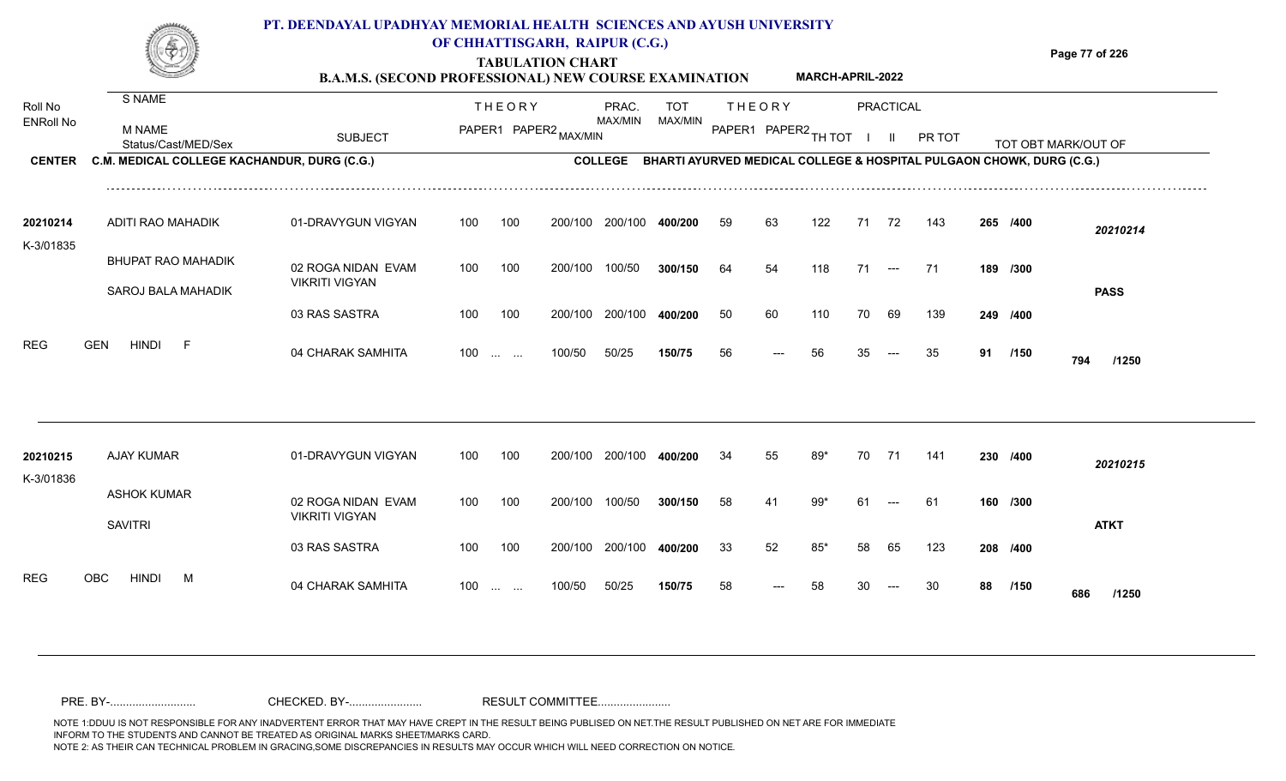#### **TABULATION CHART Page 77 of 226 B.A.M.S. (SECOND PROFESSIONAL) NEW COURSE EXAMINATION**  ENRoll No MAX/MIN MAX/MIN MAX/MIN MAX/MIN ANG THIOT I II PRITOT TOT OBTIMARK/OUT OF SUBJECT PAPER2 <sub>MAX/MIN</sub> MAX/MIN PAPER1 PAPER2 <sub>TH</sub>IOT I II PRITOT TOT OBTIMARK/OUT OF **PRACTICAL CENTER C.M. MEDICAL COLLEGE KACHANDUR, DURG (C.G.)** THEORY PRAC. TOT PAPER1 PAPER2 MAX/MIN PAPER PRAC. THEORY S NAME M NAME **PT. DEENDAYAL UPADHYAY MEMORIAL HEALTH SCIENCES AND AYUSH UNIVERSITY OF CHHATTISGARH, RAIPUR (C.G.) C.M. MEDICAL COLLEGE KACHANDUR, DURG (C.G.) BHARTI AYURVED MEDICAL COLLEGE & HOSPITAL PULGAON CHOWK, DURG (C.G.) MARCH-APRIL-2022**

| 20210214<br>K-3/01835    | ADITI RAO MAHADIK                        | 01-DRAVYGUN VIGYAN                          | 100               | 100 | 200/100 | 200/100 | 400/200 | 59 | 63    | 122 |    | 72    | 143  | 265 /400 |             | 20210214    |
|--------------------------|------------------------------------------|---------------------------------------------|-------------------|-----|---------|---------|---------|----|-------|-----|----|-------|------|----------|-------------|-------------|
|                          | BHUPAT RAO MAHADIK<br>SAROJ BALA MAHADIK | 02 ROGA NIDAN EVAM<br><b>VIKRITI VIGYAN</b> | 100               | 100 | 200/100 | 100/50  | 300/150 | 64 | 54    | 118 |    | $---$ | - 71 | 189 /300 |             | <b>PASS</b> |
|                          |                                          | 03 RAS SASTRA                               | 100               | 100 | 200/100 | 200/100 | 400/200 | 50 | 60    | 110 | 70 | 69    | 139  | 249      | /400        |             |
| <b>REG</b><br><b>GEN</b> | HINDI<br>F.                              | 04 CHARAK SAMHITA                           | $100 \dots \dots$ |     | 100/50  | 50/25   | 150/75  | 56 | $---$ | 56  | 35 | $---$ | 35   | 91       | /150<br>794 | /1250       |

| 20210215<br>K-3/01836 | AJAY KUMAR                           | 01-DRAVYGUN VIGYAN                          | 100 | 100                  | 200/100 | 200/100 | 400/200 | 34 | 55    | 89* | 70  |       | 141 | 230 /400 |             | 20210215    |
|-----------------------|--------------------------------------|---------------------------------------------|-----|----------------------|---------|---------|---------|----|-------|-----|-----|-------|-----|----------|-------------|-------------|
|                       | <b>ASHOK KUMAR</b><br><b>SAVITRI</b> | 02 ROGA NIDAN EVAM<br><b>VIKRITI VIGYAN</b> | 100 | 100                  | 200/100 | 100/50  | 300/150 | 58 | 41    | 99* | -61 | $---$ | -61 | 160 /300 |             | <b>ATKT</b> |
|                       |                                      | 03 RAS SASTRA                               | 100 | 100                  | 200/100 | 200/100 | 400/200 | 33 | 52    | 85* | 58  | 65    | 123 | 208 /400 |             |             |
| OBC<br><b>REG</b>     | hindi<br>М                           | 04 CHARAK SAMHITA                           | 100 | <b>Service State</b> | 100/50  | 50/25   | 150/75  | 58 | $---$ | 58  | 30  | $---$ | -30 | 88       | /150<br>686 | /1250       |

Roll No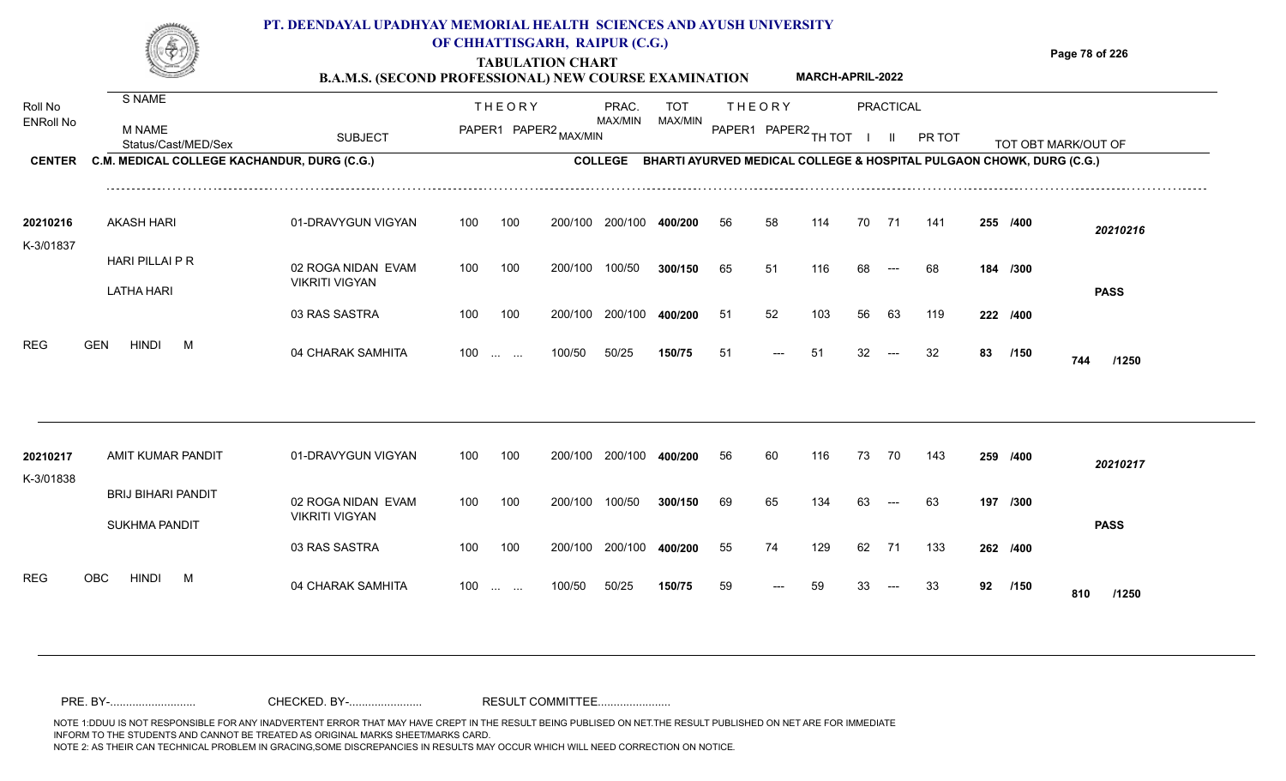**TABULATION CHART B.A.M.S. (SECOND PROFESSIONAL) NEW COURSE EXAMINATION**  **Page 78 of 226**

**MARCH-APRIL-2022**

|                       |                                                   | D.A.M.D. (BECOND I NOTEBBIONAL) NEW COUNSE EXAMINATION |     |                               |                       |                 |                                                                      |    |               |                        |    |              |        |    |          |                     |
|-----------------------|---------------------------------------------------|--------------------------------------------------------|-----|-------------------------------|-----------------------|-----------------|----------------------------------------------------------------------|----|---------------|------------------------|----|--------------|--------|----|----------|---------------------|
| Roll No               | S NAME                                            |                                                        |     | <b>THEORY</b>                 |                       | PRAC.           | <b>TOT</b>                                                           |    | <b>THEORY</b> |                        |    | PRACTICAL    |        |    |          |                     |
| <b>ENRoll No</b>      | M NAME<br>Status/Cast/MED/Sex                     | <b>SUBJECT</b>                                         |     |                               | PAPER1 PAPER2 MAX/MIN | <b>MAX/MIN</b>  | MAX/MIN                                                              |    |               | PAPER1 PAPER2 TH TOT I |    | $\mathbf{H}$ | PR TOT |    |          | TOT OBT MARK/OUT OF |
| <b>CENTER</b>         | C.M. MEDICAL COLLEGE KACHANDUR, DURG (C.G.)       |                                                        |     |                               |                       | <b>COLLEGE</b>  | BHARTI AYURVED MEDICAL COLLEGE & HOSPITAL PULGAON CHOWK, DURG (C.G.) |    |               |                        |    |              |        |    |          |                     |
| 20210216<br>K-3/01837 | <b>AKASH HARI</b>                                 | 01-DRAVYGUN VIGYAN                                     | 100 | 100                           | 200/100               | 200/100         | 400/200                                                              | 56 | 58            | 114                    | 70 | 71           | 141    |    | 255 /400 | 20210216            |
|                       | HARI PILLAI P R<br><b>LATHA HARI</b>              | 02 ROGA NIDAN EVAM<br><b>VIKRITI VIGYAN</b>            | 100 | 100                           | 200/100               | 100/50          | 300/150                                                              | 65 | 51            | 116                    | 68 | $---$        | 68     |    | 184 /300 | <b>PASS</b>         |
|                       |                                                   | 03 RAS SASTRA                                          | 100 | 100                           |                       | 200/100 200/100 | 400/200                                                              | 51 | 52            | 103                    | 56 | 63           | 119    |    | 222 /400 |                     |
| <b>REG</b>            | <b>GEN</b><br><b>HINDI</b><br>M                   | 04 CHARAK SAMHITA                                      |     | $100$                         | 100/50                | 50/25           | 150/75                                                               | 51 |               | 51                     | 32 | $---$        | 32     | 83 | /150     | 744<br>/1250        |
|                       |                                                   |                                                        |     |                               |                       |                 |                                                                      |    |               |                        |    |              |        |    |          |                     |
| 20210217<br>K-3/01838 | AMIT KUMAR PANDIT                                 | 01-DRAVYGUN VIGYAN                                     | 100 | 100                           | 200/100               | 200/100         | 400/200                                                              | 56 | 60            | 116                    | 73 | 70           | 143    |    | 259 /400 | 20210217            |
|                       | <b>BRIJ BIHARI PANDIT</b><br><b>SUKHMA PANDIT</b> | 02 ROGA NIDAN EVAM<br><b>VIKRITI VIGYAN</b>            | 100 | 100                           | 200/100               | 100/50          | 300/150                                                              | 69 | 65            | 134                    | 63 | $--$         | 63     |    | 197 /300 | <b>PASS</b>         |
|                       |                                                   | 03 RAS SASTRA                                          | 100 | 100                           | 200/100               | 200/100         | 400/200                                                              | 55 | 74            | 129                    | 62 | 71           | 133    |    | 262 /400 |                     |
| <b>REG</b>            | <b>HINDI</b><br><b>OBC</b><br>M                   | 04 CHARAK SAMHITA                                      | 100 | $\mathbf{u}$ and $\mathbf{u}$ | 100/50                | 50/25           | 150/75                                                               | 59 | $---$         | 59                     | 33 | $---$        | 33     |    | 92 /150  | 810<br>/1250        |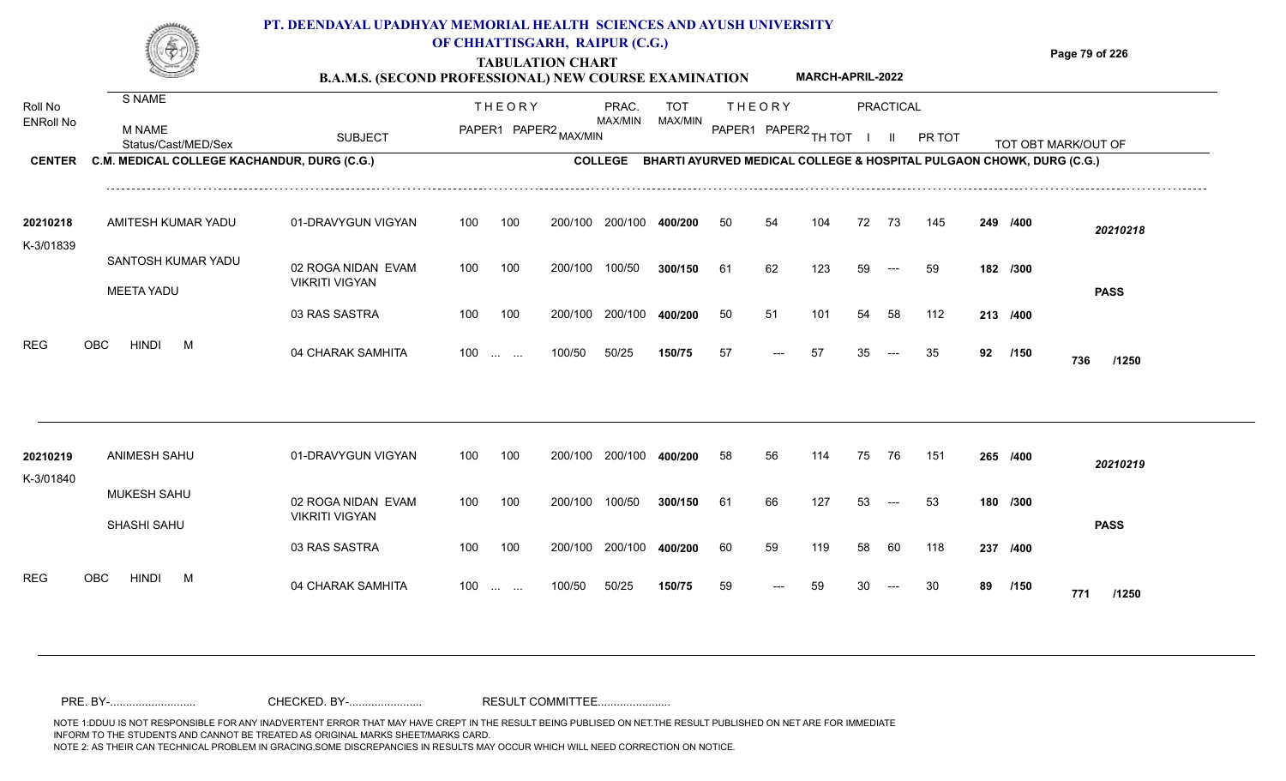**Page 79 of 226**

**TABULATION CHART**

|                             |                                             | <b>B.A.M.S. (SECOND PROFESSIONAL) NEW COURSE EXAMINATION</b> |                       |                                                                              |                |    |                      | <b>MARCH-APRIL-2022</b> |    |           |        |    |          |                     |
|-----------------------------|---------------------------------------------|--------------------------------------------------------------|-----------------------|------------------------------------------------------------------------------|----------------|----|----------------------|-------------------------|----|-----------|--------|----|----------|---------------------|
| Roll No<br><b>ENRoll No</b> | S NAME                                      |                                                              | <b>THEORY</b>         | PRAC.                                                                        | TOT            |    | <b>THEORY</b>        |                         |    | PRACTICAL |        |    |          |                     |
|                             | M NAME<br>Status/Cast/MED/Sex               | <b>SUBJECT</b>                                               | PAPER1 PAPER2 MAX/MIN | MAX/MIN                                                                      | <b>MAX/MIN</b> |    | PAPER1 PAPER2 TH TOT |                         |    |           | PR TOT |    |          | TOT OBT MARK/OUT OF |
| <b>CENTER</b>               | C.M. MEDICAL COLLEGE KACHANDUR, DURG (C.G.) |                                                              |                       | COLLEGE BHARTI AYURVED MEDICAL COLLEGE & HOSPITAL PULGAON CHOWK, DURG (C.G.) |                |    |                      |                         |    |           |        |    |          |                     |
| 20210218                    | AMITESH KUMAR YADU                          | 01-DRAVYGUN VIGYAN                                           | 100<br>100            | 200/100<br>200/100                                                           | 400/200        | 50 | 54                   | 104                     | 72 | -73       | 145    |    | 249 /400 | 20210218            |
| K-3/01839                   | SANTOSH KUMAR YADU<br><b>MEETA YADU</b>     | 02 ROGA NIDAN EVAM<br><b>VIKRITI VIGYAN</b>                  | 100<br>100            | 100/50<br>200/100                                                            | 300/150        | 61 | 62                   | 123                     | 59 | $---$     | 59     |    | 182 /300 | <b>PASS</b>         |
|                             |                                             | 03 RAS SASTRA                                                | 100<br>100            | 200/100<br>200/100                                                           | 400/200        | 50 | 51                   | 101                     | 54 | -58       | 112    |    | 213 /400 |                     |
| <b>REG</b>                  | <b>HINDI</b><br><b>OBC</b><br>M             | 04 CHARAK SAMHITA                                            | $100 \dots \dots$     | 50/25<br>100/50                                                              | 150/75         | 57 | ---                  | -57                     | 35 | $---$     | 35     | 92 | /150     | 736<br>/1250        |
|                             |                                             |                                                              |                       |                                                                              |                |    |                      |                         |    |           |        |    |          |                     |
| 20210219<br>$K$ 3/01910     | <b>ANIMESH SAHU</b>                         | 01-DRAVYGUN VIGYAN                                           | 100<br>100            | 200/100<br>200/100                                                           | 400/200        | 58 | 56                   | 114                     | 75 | 76        | 151    |    | 265 /400 | 20210219            |

02 ROGA NIDAN EVAM VIKRITI VIGYAN 03 RAS SASTRA 04 CHARAK SAMHITA 100 … … 100/50 50/25 **150/75** 59 --- 59 30 --- 30 **89 /150 771 /1250** 100 100 200/100 200/100 400/200 100/50 50/25 **150/75** 100/50 **300/150** 200/100 **400/200** --- 100 ... ... 100/50 50/25 **150/75** 59 --- 59 30 **61** 66 127 53 --- 53 **180 /300 /400** 60 59 119 58 60 118 **237 /150** MUKESH SAHU SHASHI SAHU REG OBC HINDI M 04 CHARAK SAMHITA K-3/01840 100 200/100 100/50 <sup>59</sup> <sup>59</sup> <sup>30</sup> <sup>30</sup> **<sup>89</sup> <sup>771</sup> PASS**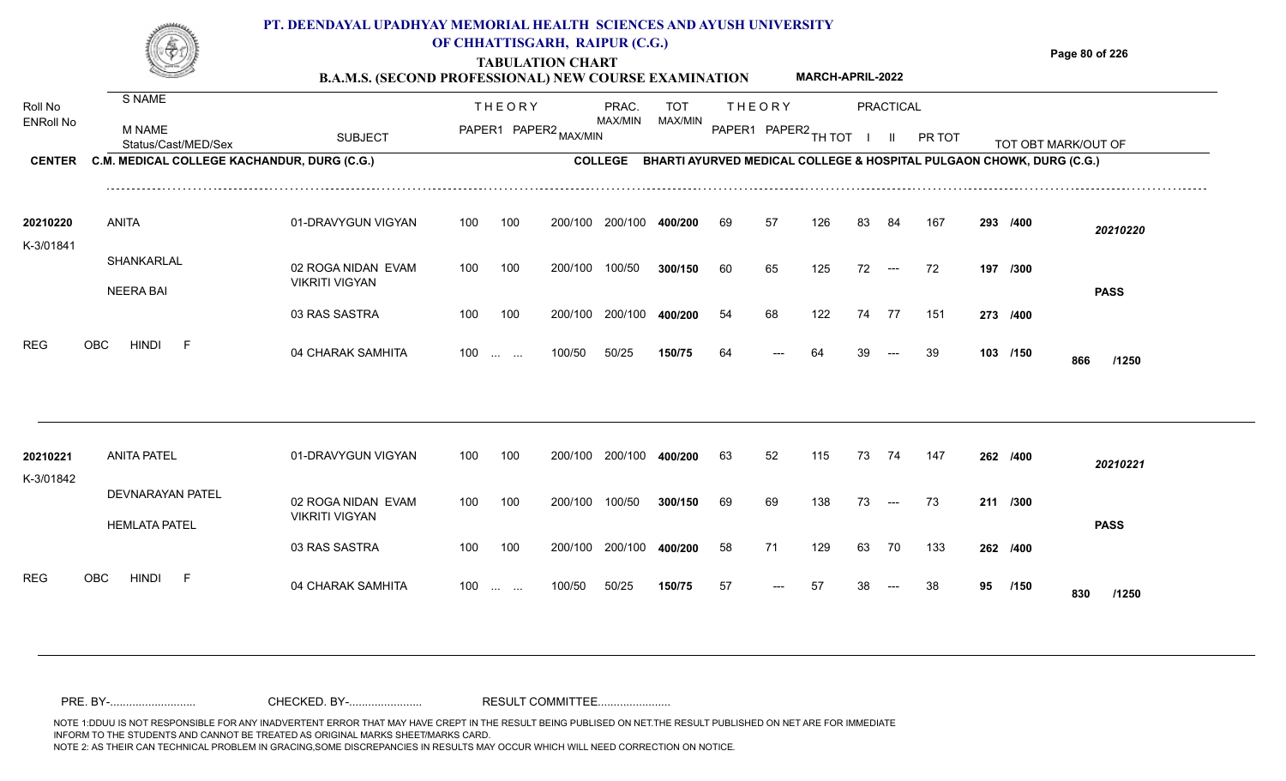**B.A.M.S. (SECOND PROFESSIONAL) NEW COURSE EXAMINATION MARCH-APRIL-2022** **Page 80 of 226**

| Roll No               | S NAME                                          |                                             |     | <b>THEORY</b>                                                 |                       | PRAC.           | <b>TOT</b>                                                           |    | <b>THEORY</b>        |     |    | PRACTICAL                                |        |          |                     |  |
|-----------------------|-------------------------------------------------|---------------------------------------------|-----|---------------------------------------------------------------|-----------------------|-----------------|----------------------------------------------------------------------|----|----------------------|-----|----|------------------------------------------|--------|----------|---------------------|--|
| <b>ENRoll No</b>      | M NAME<br>Status/Cast/MED/Sex                   | <b>SUBJECT</b>                              |     |                                                               | PAPER1 PAPER2 MAX/MIN | MAX/MIN         | MAX/MIN                                                              |    | PAPER1 PAPER2 TH TOT |     |    |                                          | PR TOT |          | TOT OBT MARK/OUT OF |  |
| <b>CENTER</b>         | C.M. MEDICAL COLLEGE KACHANDUR, DURG (C.G.)     |                                             |     |                                                               |                       | <b>COLLEGE</b>  | BHARTI AYURVED MEDICAL COLLEGE & HOSPITAL PULGAON CHOWK, DURG (C.G.) |    |                      |     |    |                                          |        |          |                     |  |
| 20210220<br>K-3/01841 | <b>ANITA</b>                                    | 01-DRAVYGUN VIGYAN                          | 100 | 100                                                           | 200/100               | 200/100         | 400/200                                                              | 69 | 57                   | 126 | 83 | 84                                       | 167    | 293 /400 | 20210220            |  |
|                       | SHANKARLAL<br><b>NEERA BAI</b>                  | 02 ROGA NIDAN EVAM<br><b>VIKRITI VIGYAN</b> | 100 | 100                                                           | 200/100               | 100/50          | 300/150                                                              | 60 | 65                   | 125 | 72 | $\hspace{0.05cm} \ldots \hspace{0.05cm}$ | 72     | 197 /300 | <b>PASS</b>         |  |
|                       |                                                 | 03 RAS SASTRA                               | 100 | 100                                                           | 200/100               | 200/100         | 400/200                                                              | 54 | 68                   | 122 | 74 | -77                                      | 151    | 273 /400 |                     |  |
| <b>REG</b>            | <b>HINDI</b><br><b>OBC</b><br>F                 | 04 CHARAK SAMHITA                           |     | $100$                                                         | 100/50                | 50/25           | 150/75                                                               | 64 |                      | 64  |    |                                          | 39     | 103 /150 | 866<br>/1250        |  |
|                       |                                                 |                                             |     |                                                               |                       |                 |                                                                      |    |                      |     |    |                                          |        |          |                     |  |
| 20210221<br>K-3/01842 | <b>ANITA PATEL</b>                              | 01-DRAVYGUN VIGYAN                          | 100 | 100                                                           |                       | 200/100 200/100 | 400/200                                                              | 63 | 52                   | 115 | 73 | 74                                       | -147   | 262 /400 | 20210221            |  |
|                       | <b>DEVNARAYAN PATEL</b><br><b>HEMLATA PATEL</b> | 02 ROGA NIDAN EVAM<br><b>VIKRITI VIGYAN</b> | 100 | 100                                                           | 200/100               | 100/50          | 300/150                                                              | 69 | 69                   | 138 | 73 | $\hspace{0.1em} \ldots \hspace{0.1em}$   | 73     | 211 /300 | <b>PASS</b>         |  |
|                       |                                                 | 03 RAS SASTRA                               | 100 | 100                                                           | 200/100               | 200/100         | 400/200                                                              | 58 | 71                   | 129 | 63 | 70                                       | 133    | 262 /400 |                     |  |
| <b>REG</b>            | <b>HINDI</b><br>OBC<br>F                        | 04 CHARAK SAMHITA                           | 100 | $\mathcal{L}_{\mathcal{F}}$ , and $\mathcal{L}_{\mathcal{F}}$ | 100/50                | 50/25           | 150/75                                                               | 57 |                      | 57  |    |                                          | 38     | 95 /150  | 830<br>/1250        |  |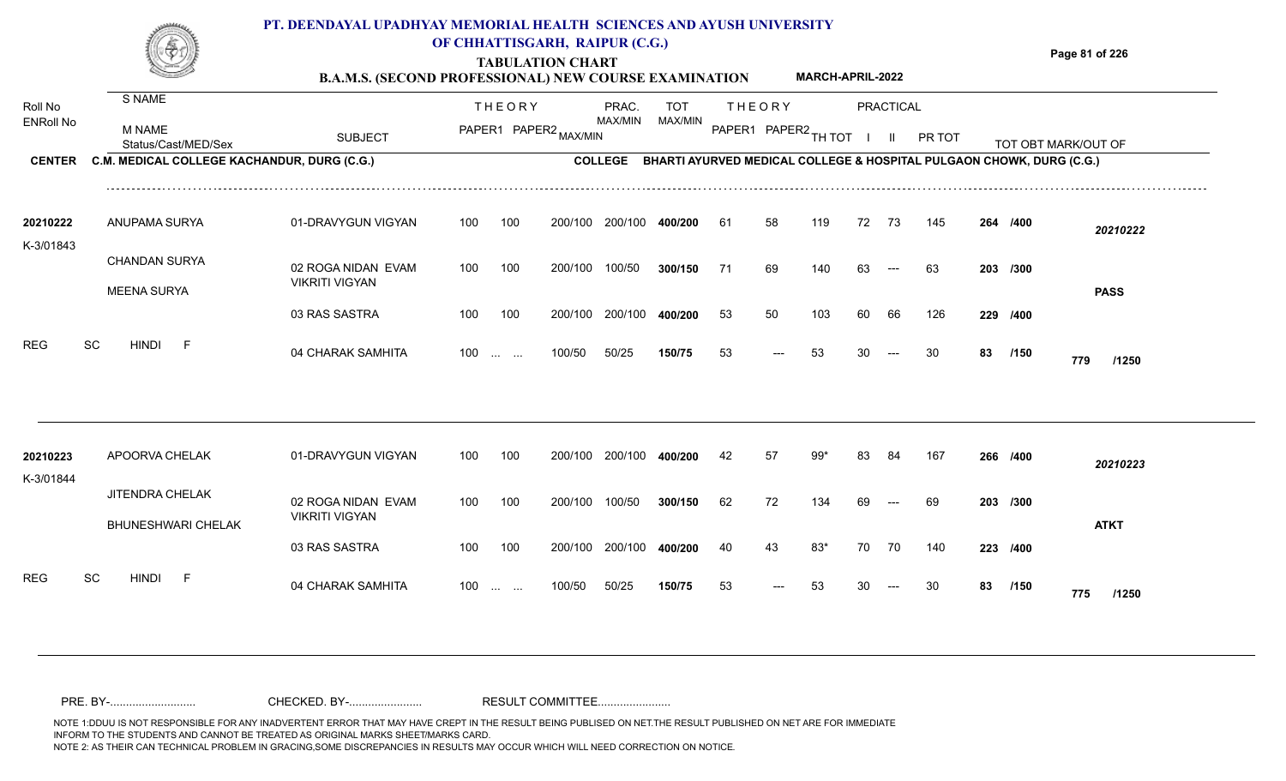**Page 81 of 226**

**/150**

<sup>53</sup> <sup>53</sup> <sup>30</sup> <sup>30</sup> **<sup>83</sup> <sup>775</sup>**

**TABULATION CHART B.A.M.S. (SECOND PROFESSIONAL) NEW COUPSE EXAMINATION** 

|                             |                                             | <b>B.A.M.S. (SECOND PROFESSIONAL) NEW COURSE EXAMINATION</b> |     |                                                           |                       |                  |                                                                      |     |               | <b>MARCH-APRIL-2022</b> |    |           |        |    |          |                     |
|-----------------------------|---------------------------------------------|--------------------------------------------------------------|-----|-----------------------------------------------------------|-----------------------|------------------|----------------------------------------------------------------------|-----|---------------|-------------------------|----|-----------|--------|----|----------|---------------------|
| Roll No<br><b>ENRoll No</b> | <b>S NAME</b>                               |                                                              |     | <b>THEORY</b>                                             |                       | PRAC.<br>MAX/MIN | <b>TOT</b>                                                           |     | <b>THEORY</b> |                         |    | PRACTICAL |        |    |          |                     |
|                             | <b>M NAME</b><br>Status/Cast/MED/Sex        | <b>SUBJECT</b>                                               |     |                                                           | PAPER1 PAPER2 MAX/MIN |                  | MAX/MIN                                                              |     |               | PAPER1 PAPER2 TH TOT    |    |           | PR TOT |    |          | TOT OBT MARK/OUT OF |
| <b>CENTER</b>               | C.M. MEDICAL COLLEGE KACHANDUR, DURG (C.G.) |                                                              |     |                                                           |                       | <b>COLLEGE</b>   | BHARTI AYURVED MEDICAL COLLEGE & HOSPITAL PULGAON CHOWK, DURG (C.G.) |     |               |                         |    |           |        |    |          |                     |
| 20210222                    | ANUPAMA SURYA                               | 01-DRAVYGUN VIGYAN                                           | 100 | 100                                                       | 200/100               | 200/100          | 400/200                                                              | -61 | 58            | 119                     | 72 | 73        | 145    |    | 264 /400 | 20210222            |
| K-3/01843                   | <b>CHANDAN SURYA</b>                        | 02 ROGA NIDAN EVAM                                           | 100 | 100                                                       | 200/100               | 100/50           | 300/150                                                              | 71  | 69            | 140                     | 63 | $---$     | 63     |    | 203 /300 |                     |
|                             | <b>MEENA SURYA</b>                          | <b>VIKRITI VIGYAN</b><br>03 RAS SASTRA                       | 100 | 100                                                       | 200/100               | 200/100          | 400/200                                                              | 53  | 50            | 103                     | 60 | 66        | 126    |    | 229 /400 | <b>PASS</b>         |
| <b>REG</b>                  | SC<br><b>HINDI</b><br>- F                   | 04 CHARAK SAMHITA                                            | 100 | $\mathbf{r}$ , $\mathbf{r}$ , $\mathbf{r}$ , $\mathbf{r}$ | 100/50                | 50/25            | 150/75                                                               | 53  |               | 53                      | 30 | ---       | 30     | 83 | /150     | 779                 |
|                             |                                             |                                                              |     |                                                           |                       |                  |                                                                      |     |               |                         |    |           |        |    |          | /1250               |
|                             |                                             |                                                              |     |                                                           |                       |                  |                                                                      |     |               |                         |    |           |        |    |          |                     |
| 20210223<br>K-3/01844       | APOORVA CHELAK                              | 01-DRAVYGUN VIGYAN                                           | 100 | 100                                                       | 200/100               | 200/100          | 400/200                                                              | 42  | 57            | 99*                     | 83 | 84        | 167    |    | 266 /400 | 20210223            |
|                             | <b>JITENDRA CHELAK</b>                      | 02 ROGA NIDAN EVAM<br><b>VIKRITI VIGYAN</b>                  | 100 | 100                                                       | 200/100               | 100/50           | 300/150                                                              | 62  | 72            | 134                     | 69 |           | 69     |    | 203 /300 |                     |
|                             | <b>BHUNESHWARI CHELAK</b>                   | 03 RAS SASTRA                                                | 100 | 100                                                       | 200/100               | 200/100          | 400/200                                                              | 40  | 43            | $83*$                   | 70 | 70        | 140    |    | 223 /400 | <b>ATKT</b>         |

100/50 100 ... ... ---

50/25 **150/75**

04 CHARAK SAMHITA 100 … … 100/50 50/25 **150/75** 53 --- 53 30 --- 30 **83 /150 775 /1250** 

REG SC HINDI F 04 CHARAK SAMHITA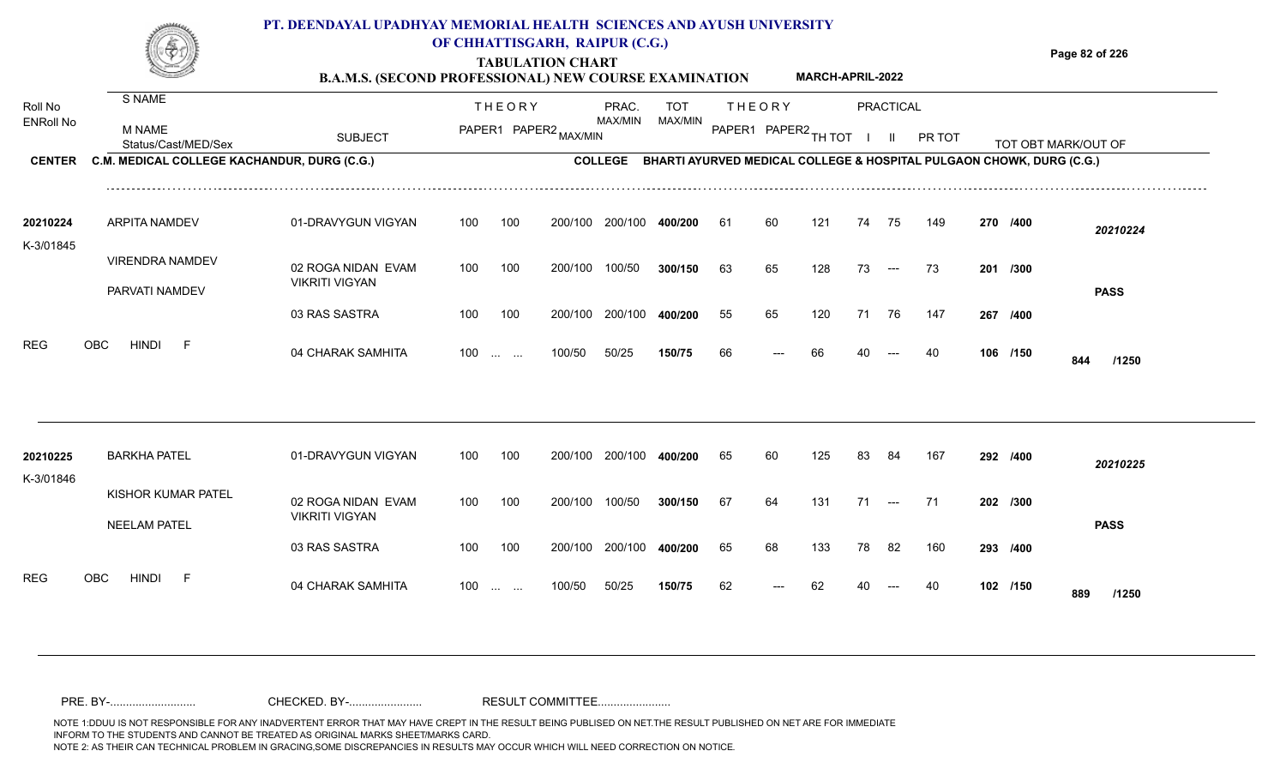### **TABULATION CHART Page 82 of 226 B.A.M.S. (SECOND PROFESSIONAL) NEW COURSE EXAMINATION PT. DEENDAYAL UPADHYAY MEMORIAL HEALTH SCIENCES AND AYUSH UNIVERSITY OF CHHATTISGARH, RAIPUR (C.G.) MARCH-APRIL-2022**

| Roll No          | S NAME                                      |                                             |     | <b>THEORY</b>                                  |                       | PRAC.           | <b>TOT</b>                                                                   |     | <b>THEORY</b> |                      |    | PRACTICAL    |        |          |                     |  |
|------------------|---------------------------------------------|---------------------------------------------|-----|------------------------------------------------|-----------------------|-----------------|------------------------------------------------------------------------------|-----|---------------|----------------------|----|--------------|--------|----------|---------------------|--|
| <b>ENRoll No</b> | <b>M NAME</b><br>Status/Cast/MED/Sex        | <b>SUBJECT</b>                              |     |                                                | PAPER1 PAPER2 MAX/MIN | MAX/MIN         | MAX/MIN                                                                      |     |               | PAPER1 PAPER2 TH TOT |    | $\mathbf{H}$ | PR TOT |          | TOT OBT MARK/OUT OF |  |
| <b>CENTER</b>    | C.M. MEDICAL COLLEGE KACHANDUR, DURG (C.G.) |                                             |     |                                                |                       |                 | COLLEGE BHARTI AYURVED MEDICAL COLLEGE & HOSPITAL PULGAON CHOWK, DURG (C.G.) |     |               |                      |    |              |        |          |                     |  |
| 20210224         | <b>ARPITA NAMDEV</b>                        | 01-DRAVYGUN VIGYAN                          | 100 | 100                                            |                       | 200/100 200/100 | 400/200                                                                      | -61 | 60            | 121                  | 74 | 75           | 149    | 270 /400 | 20210224            |  |
| K-3/01845        | <b>VIRENDRA NAMDEV</b><br>PARVATI NAMDEV    | 02 ROGA NIDAN EVAM<br><b>VIKRITI VIGYAN</b> | 100 | 100                                            | 200/100               | 100/50          | 300/150                                                                      | 63  | 65            | 128                  | 73 | $---$        | 73     | 201 /300 | <b>PASS</b>         |  |
|                  |                                             | 03 RAS SASTRA                               | 100 | 100                                            | 200/100               | 200/100         | 400/200                                                                      | 55  | 65            | 120                  | 71 | 76           | 147    | 267 /400 |                     |  |
| <b>REG</b>       | <b>HINDI</b><br>OBC<br>-F                   | 04 CHARAK SAMHITA                           | 100 | $\mathbf{r}$ and $\mathbf{r}$ and $\mathbf{r}$ | 100/50                | 50/25           | 150/75                                                                       | 66  | $---$         | 66                   | 40 | $---$        | 40     | 106 /150 | 844<br>/1250        |  |
| 20210225         | <b>BARKHA PATEL</b>                         | 01-DRAVYGUN VIGYAN                          | 100 | 100                                            | 200/100               | 200/100         | 400/200                                                                      | 65  | 60            | 125                  | 83 | 84           | 167    | 292 /400 | 20210225            |  |
| K-3/01846        | KISHOR KUMAR PATEL<br><b>NEELAM PATEL</b>   | 02 ROGA NIDAN EVAM<br><b>VIKRITI VIGYAN</b> | 100 | 100                                            | 200/100               | 100/50          | 300/150                                                                      | 67  | 64            | 131                  | 71 | $--$         | 71     | 202 /300 | <b>PASS</b>         |  |
|                  |                                             | 03 RAS SASTRA                               | 100 | 100                                            |                       | 200/100 200/100 | 400/200                                                                      | 65  | 68            | 133                  | 78 | 82           | 160    | 293 /400 |                     |  |
| <b>REG</b>       | OBC<br><b>HINDI</b><br>$-F$                 | 04 CHARAK SAMHITA                           | 100 | $\mathbf{r}$ and $\mathbf{r}$                  | 100/50                | 50/25           | 150/75                                                                       | 62  | ---           | 62                   |    |              | 40     | 102 /150 | 889<br>/1250        |  |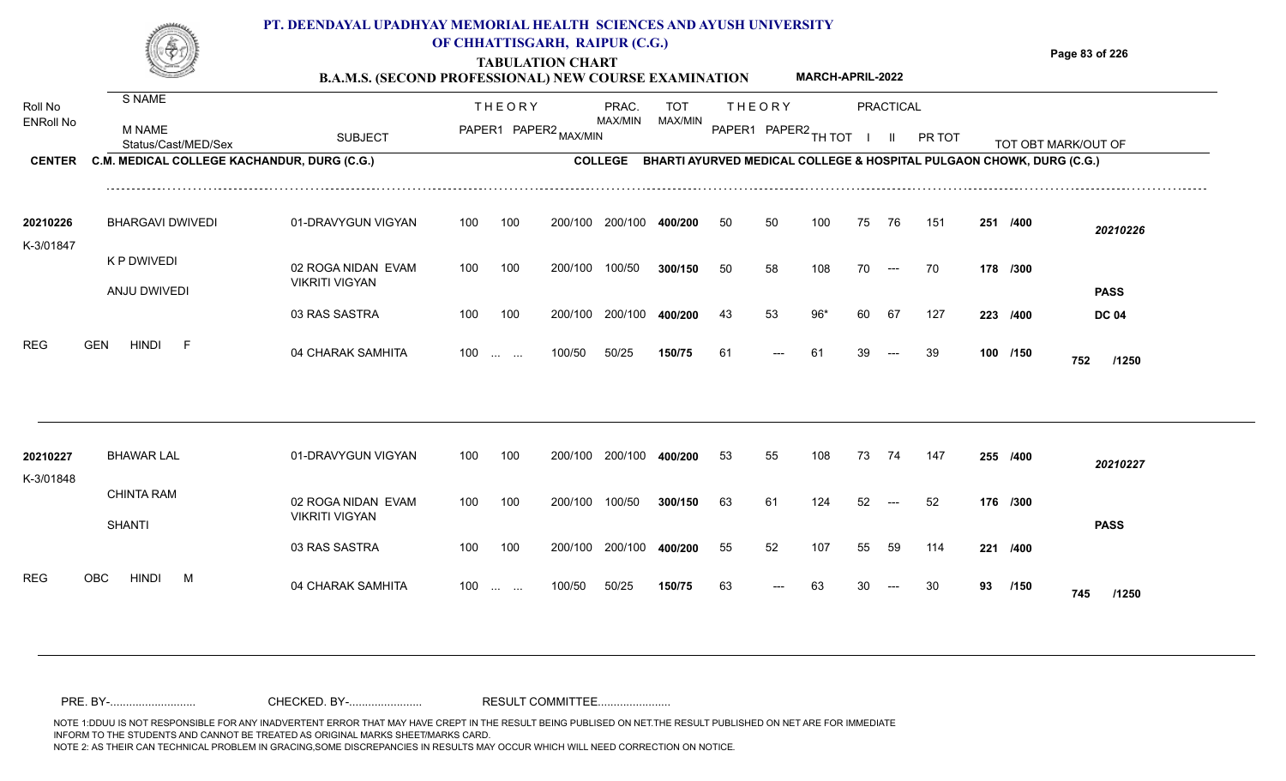# **PT. DEENDAYAL UPADHYAY MEMORIAL HEALTH SCIENCES AND AYUSH UNIVERSITY**



## **OF CHHATTISGARH, RAIPUR (C.G.)**

**Page 83 of 226**

**MARCH-APRIL-2022**

**TABULATION CHART B.A.M.S. (SECOND PROFESSIONAL) NEW COURSE EXAMINATION** 

| Roll No<br><b>ENRoll No</b> | <b>S NAME</b><br><b>M NAME</b><br>Status/Cast/MED/Sex | <b>SUBJECT</b>                              |     | <b>THEORY</b><br>PAPER1 PAPER2 MAX/MIN |         | PRAC.<br>MAX/MIN | <b>TOT</b><br>MAX/MIN |    | <b>THEORY</b><br>PAPER1 PAPER2 TH TOT |       |    | PRACTICAL<br>$\mathbf{H}$ | PR TOT                                                               |    |          | TOT OBT MARK/OUT OF |
|-----------------------------|-------------------------------------------------------|---------------------------------------------|-----|----------------------------------------|---------|------------------|-----------------------|----|---------------------------------------|-------|----|---------------------------|----------------------------------------------------------------------|----|----------|---------------------|
| <b>CENTER</b>               | C.M. MEDICAL COLLEGE KACHANDUR, DURG (C.G.)           |                                             |     |                                        |         | <b>COLLEGE</b>   |                       |    |                                       |       |    |                           | BHARTI AYURVED MEDICAL COLLEGE & HOSPITAL PULGAON CHOWK, DURG (C.G.) |    |          |                     |
| 20210226<br>K-3/01847       | <b>BHARGAVI DWIVEDI</b>                               | 01-DRAVYGUN VIGYAN                          | 100 | 100                                    | 200/100 | 200/100          | 400/200               | 50 | 50                                    | 100   | 75 | 76                        | 151                                                                  |    | 251 /400 | 20210226            |
|                             | K P DWIVEDI<br>ANJU DWIVEDI                           | 02 ROGA NIDAN EVAM<br><b>VIKRITI VIGYAN</b> | 100 | 100                                    | 200/100 | 100/50           | 300/150               | 50 | 58                                    | 108   | 70 | $\hspace{0.05cm}---$      | 70                                                                   |    | 178 /300 | <b>PASS</b>         |
|                             |                                                       | 03 RAS SASTRA                               | 100 | 100                                    | 200/100 | 200/100          | 400/200               | 43 | 53                                    | $96*$ | 60 | 67                        | 127                                                                  |    | 223 /400 | <b>DC 04</b>        |
| <b>REG</b>                  | <b>HINDI</b><br><b>GEN</b><br>$-F$                    | 04 CHARAK SAMHITA                           | 100 | $\sim 10^{-1}$ and $\sim 10^{-1}$      | 100/50  | 50/25            | 150/75                | 61 |                                       | 61    |    |                           | 39                                                                   |    | 100 /150 | 752<br>/1250        |
|                             |                                                       |                                             |     |                                        |         |                  |                       |    |                                       |       |    |                           |                                                                      |    |          |                     |
| 20210227<br>K-3/01848       | <b>BHAWAR LAL</b>                                     | 01-DRAVYGUN VIGYAN                          | 100 | 100                                    | 200/100 | 200/100          | 400/200               | 53 | 55                                    | 108   | 73 | - 74                      | 147                                                                  |    | 255 /400 | 20210227            |
|                             | <b>CHINTA RAM</b><br><b>SHANTI</b>                    | 02 ROGA NIDAN EVAM<br><b>VIKRITI VIGYAN</b> | 100 | 100                                    | 200/100 | 100/50           | 300/150               | 63 | 61                                    | 124   | 52 |                           | 52                                                                   |    | 176 /300 | <b>PASS</b>         |
|                             |                                                       | 03 RAS SASTRA                               | 100 | 100                                    | 200/100 | 200/100          | 400/200               | 55 | 52                                    | 107   | 55 | 59                        | 114                                                                  |    | 221 /400 |                     |
| <b>REG</b>                  | <b>HINDI</b><br>OBC<br>M                              | 04 CHARAK SAMHITA                           | 100 | <b>Service Control</b>                 | 100/50  | 50/25            | 150/75                | 63 |                                       | 63    |    |                           | 30                                                                   | 93 | /150     | 745<br>/1250        |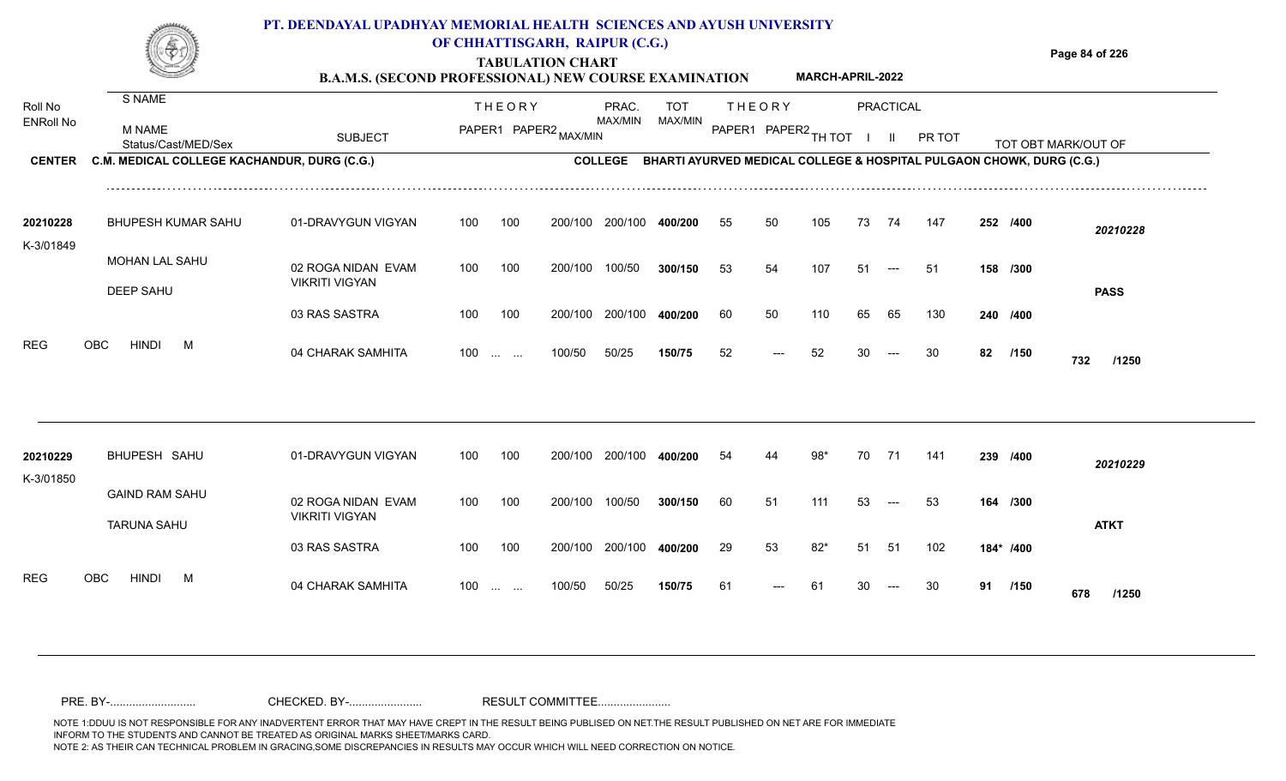**Page 84 of 226**

**TABULATION CHART**

|                  |                                             | <b>B.A.M.S. (SECOND PROFESSIONAL) NEW COURSE EXAMINATION</b> |     |                          |                       |                |         |    |        | <b>MARCH-APRIL-2022</b> |     |           |                                                                      |    |          |                     |
|------------------|---------------------------------------------|--------------------------------------------------------------|-----|--------------------------|-----------------------|----------------|---------|----|--------|-------------------------|-----|-----------|----------------------------------------------------------------------|----|----------|---------------------|
| Roll No          | S NAME                                      |                                                              |     | <b>THEORY</b>            |                       | PRAC.          | TOT     |    | THEORY |                         |     | PRACTICAL |                                                                      |    |          |                     |
| <b>ENRoll No</b> | M NAME<br>Status/Cast/MED/Sex               | <b>SUBJECT</b>                                               |     |                          | PAPER1 PAPER2 MAX/MIN | MAX/MIN        | MAX/MIN |    |        | PAPER1 PAPER2 TH TOT    |     |           | PR TOT                                                               |    |          | TOT OBT MARK/OUT OF |
| <b>CENTER</b>    | C.M. MEDICAL COLLEGE KACHANDUR, DURG (C.G.) |                                                              |     |                          |                       | <b>COLLEGE</b> |         |    |        |                         |     |           | BHARTI AYURVED MEDICAL COLLEGE & HOSPITAL PULGAON CHOWK, DURG (C.G.) |    |          |                     |
| 20210228         | <b>BHUPESH KUMAR SAHU</b>                   | 01-DRAVYGUN VIGYAN                                           | 100 | 100                      | 200/100               | 200/100        | 400/200 | 55 | 50     | 105                     | 73  | 74        | 147                                                                  |    | 252 /400 | 20210228            |
| K-3/01849        | MOHAN LAL SAHU<br><b>DEEP SAHU</b>          | 02 ROGA NIDAN EVAM<br><b>VIKRITI VIGYAN</b>                  | 100 | 100                      | 200/100               | 100/50         | 300/150 | 53 | 54     | 107                     | -51 | ---       | -51                                                                  |    | 158 /300 | <b>PASS</b>         |
|                  |                                             | 03 RAS SASTRA                                                | 100 | 100                      | 200/100               | 200/100        | 400/200 | 60 | 50     | 110                     | 65  | 65        | 130                                                                  |    | 240 /400 |                     |
| <b>REG</b>       | OBC<br>HINDI<br>M                           | 04 CHARAK SAMHITA                                            | 100 | <b>Contract Contract</b> | 100/50                | 50/25          | 150/75  | 52 | ---    | 52                      | 30  |           | 30                                                                   | 82 | /150     | 732<br>/1250        |

| 20210229  | BHUPESH SAHU              | 01-DRAVYGUN VIGYAN    | 100 | 100 | 200/100         | 200/100 | 400/200 | 54 | 44    | 98*   | 70  | -71   | 141 | 239 /400  |      | 20210229     |
|-----------|---------------------------|-----------------------|-----|-----|-----------------|---------|---------|----|-------|-------|-----|-------|-----|-----------|------|--------------|
| K-3/01850 |                           |                       |     |     |                 |         |         |    |       |       |     |       |     |           |      |              |
|           | <b>GAIND RAM SAHU</b>     | 02 ROGA NIDAN EVAM    | 100 | 100 | 200/100         | 100/50  | 300/150 | 60 | 51    | 111   | -53 | $--$  | -53 | 164 /300  |      |              |
|           | <b>TARUNA SAHU</b>        | <b>VIKRITI VIGYAN</b> |     |     |                 |         |         |    |       |       |     |       |     |           |      | <b>ATKT</b>  |
|           |                           | 03 RAS SASTRA         | 100 | 100 | 200/100 200/100 |         | 400/200 | 29 | 53    | $82*$ | -51 | -51   | 102 | 184* /400 |      |              |
| REG       | OBC.<br><b>HINDI</b><br>M |                       |     |     |                 |         |         |    |       |       |     |       |     |           |      |              |
|           |                           | 04 CHARAK SAMHITA     | 100 |     | 100/50          | 50/25   | 150/75  | 61 | $---$ | -61   | 30  | $---$ | 30  | 91        | /150 | 678<br>/1250 |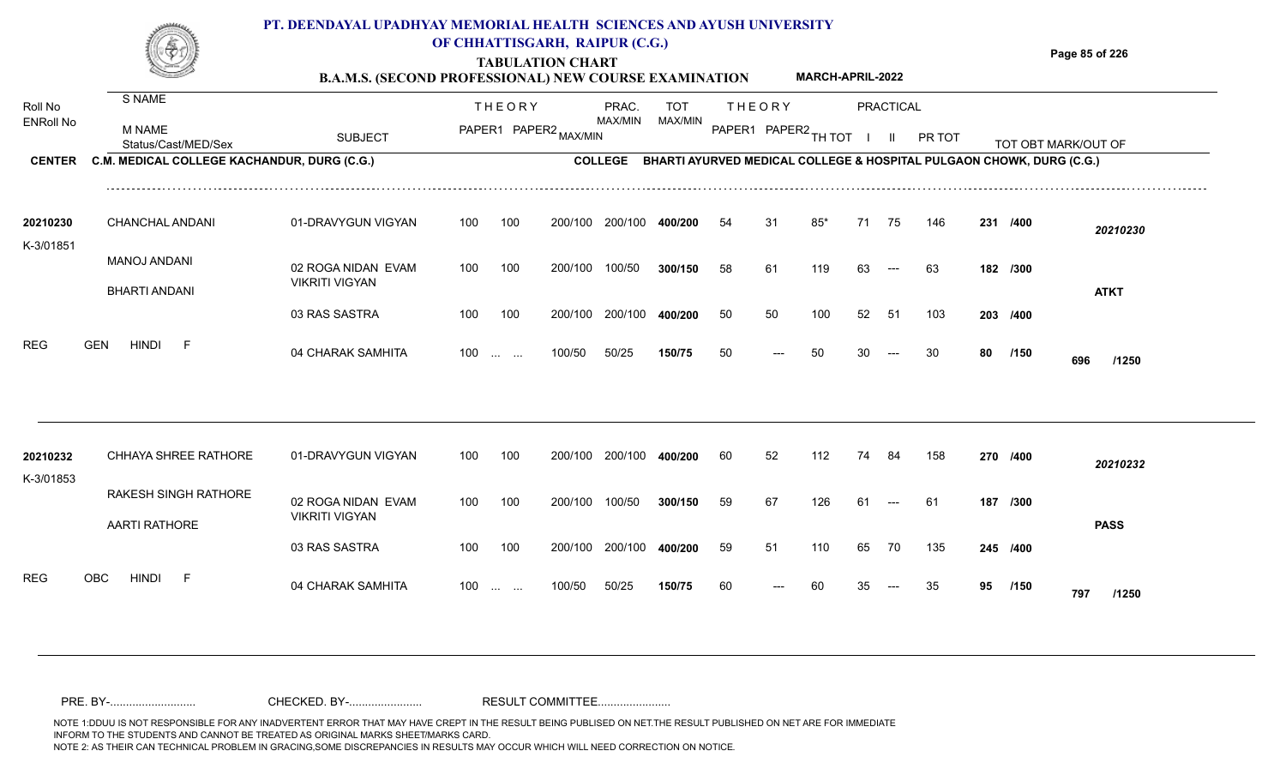**TABULATION CHART B.A.M.S. (SECOND PROFESSIONAL) NEW COURSE EXAMINATION**  **Page 85 of 226**

**MARCH-APRIL-2022**

|                       |                                                     | D.A.M.D. (BECOND I ROFEBBIONAL) NEW COURSE EAAMINATION |     |                                   |                       |                |                                                                      |    |               |                        |    |                     |        |    |          |                     |
|-----------------------|-----------------------------------------------------|--------------------------------------------------------|-----|-----------------------------------|-----------------------|----------------|----------------------------------------------------------------------|----|---------------|------------------------|----|---------------------|--------|----|----------|---------------------|
| Roll No               | S NAME                                              |                                                        |     | <b>THEORY</b>                     |                       | PRAC.          | <b>TOT</b>                                                           |    | <b>THEORY</b> |                        |    | PRACTICAL           |        |    |          |                     |
| <b>ENRoll No</b>      | M NAME<br>Status/Cast/MED/Sex                       | <b>SUBJECT</b>                                         |     |                                   | PAPER1 PAPER2 MAX/MIN | MAX/MIN        | MAX/MIN                                                              |    |               | PAPER1 PAPER2 TH TOT I |    | $\mathbf{II}$       | PR TOT |    |          | TOT OBT MARK/OUT OF |
| <b>CENTER</b>         | C.M. MEDICAL COLLEGE KACHANDUR, DURG (C.G.)         |                                                        |     |                                   |                       | <b>COLLEGE</b> | BHARTI AYURVED MEDICAL COLLEGE & HOSPITAL PULGAON CHOWK, DURG (C.G.) |    |               |                        |    |                     |        |    |          |                     |
| 20210230<br>K-3/01851 | <b>CHANCHAL ANDANI</b>                              | 01-DRAVYGUN VIGYAN                                     | 100 | 100                               | 200/100               | 200/100        | 400/200                                                              | 54 | 31            | $85*$                  | 71 | 75                  | 146    |    | 231 /400 | 20210230            |
|                       | MANOJ ANDANI<br><b>BHARTI ANDANI</b>                | 02 ROGA NIDAN EVAM<br><b>VIKRITI VIGYAN</b>            | 100 | 100                               | 200/100               | 100/50         | 300/150                                                              | 58 | 61            | 119                    | 63 | $---$               | 63     |    | 182 /300 | <b>ATKT</b>         |
|                       |                                                     | 03 RAS SASTRA                                          | 100 | 100                               | 200/100               | 200/100        | 400/200                                                              | 50 | 50            | 100                    | 52 | -51                 | 103    |    | 203 /400 |                     |
| <b>REG</b>            | <b>GEN</b><br><b>HINDI</b><br>E                     | 04 CHARAK SAMHITA                                      | 100 | $\sim 10^{11}$ and $\sim 10^{11}$ | 100/50                | 50/25          | 150/75                                                               | 50 |               | 50                     | 30 | $---$               | 30     | 80 | /150     | 696<br>/1250        |
|                       |                                                     |                                                        |     |                                   |                       |                |                                                                      |    |               |                        |    |                     |        |    |          |                     |
| 20210232<br>K-3/01853 | CHHAYA SHREE RATHORE                                | 01-DRAVYGUN VIGYAN                                     | 100 | 100                               | 200/100               | 200/100        | 400/200                                                              | 60 | 52            | 112                    | 74 | -84                 | 158    |    | 270 /400 | 20210232            |
|                       | <b>RAKESH SINGH RATHORE</b><br><b>AARTI RATHORE</b> | 02 ROGA NIDAN EVAM<br><b>VIKRITI VIGYAN</b>            | 100 | 100                               | 200/100               | 100/50         | 300/150                                                              | 59 | 67            | 126                    | 61 | $\qquad \qquad - -$ | 61     |    | 187 /300 | <b>PASS</b>         |
|                       |                                                     | 03 RAS SASTRA                                          | 100 | 100                               | 200/100               | 200/100        | 400/200                                                              | 59 | 51            | 110                    | 65 | 70                  | 135    |    | 245 /400 |                     |
| <b>REG</b>            | <b>HINDI</b><br><b>OBC</b><br>-F                    | 04 CHARAK SAMHITA                                      |     | $100 \dots \dots$                 | 100/50                | 50/25          | 150/75                                                               | 60 | $---$         | 60                     | 35 | $---$               | 35     | 95 | /150     | 797<br>/1250        |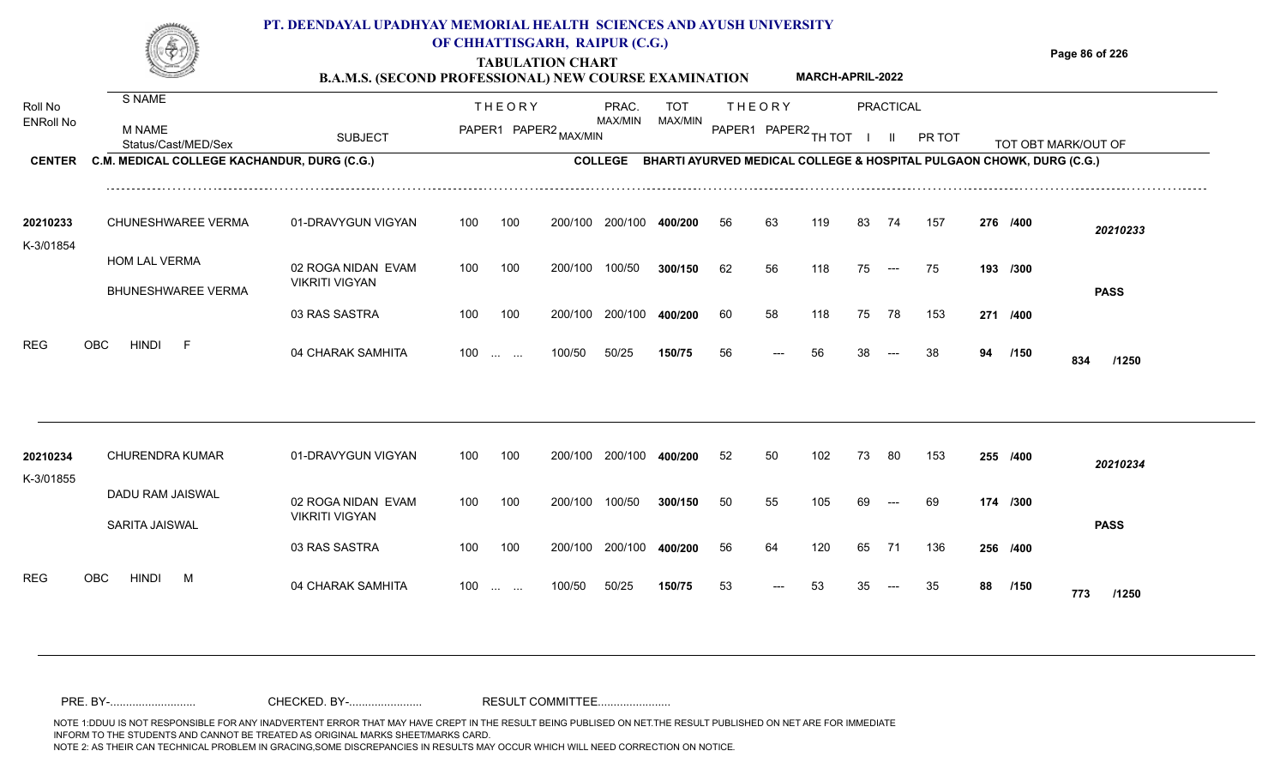#### **TABULATION CHART Page 86 of 226 B.A.M.S. (SECOND PROFESSIONAL) NEW COURSE EXAMINATION PT. DEENDAYAL UPADHYAY MEMORIAL HEALTH SCIENCES AND AYUSH UNIVERSITY OF CHHATTISGARH, RAIPUR (C.G.) MARCH-APRIL-2022**

| Roll No               | S NAME                                      |                       |     | <b>THEORY</b>                                  |                       | PRAC.           | <b>TOT</b>                                                                   |                      | <b>THEORY</b> |     |    | PRACTICAL                |        |    |          |                     |  |
|-----------------------|---------------------------------------------|-----------------------|-----|------------------------------------------------|-----------------------|-----------------|------------------------------------------------------------------------------|----------------------|---------------|-----|----|--------------------------|--------|----|----------|---------------------|--|
| <b>ENRoll No</b>      | <b>M NAME</b><br>Status/Cast/MED/Sex        | <b>SUBJECT</b>        |     |                                                | PAPER1 PAPER2 MAX/MIN | MAX/MIN         | MAX/MIN                                                                      | PAPER1 PAPER2 TH TOT |               |     |    | $\mathbf{H}$             | PR TOT |    |          | TOT OBT MARK/OUT OF |  |
| <b>CENTER</b>         | C.M. MEDICAL COLLEGE KACHANDUR, DURG (C.G.) |                       |     |                                                |                       |                 | COLLEGE BHARTI AYURVED MEDICAL COLLEGE & HOSPITAL PULGAON CHOWK, DURG (C.G.) |                      |               |     |    |                          |        |    |          |                     |  |
| 20210233<br>K-3/01854 | CHUNESHWAREE VERMA                          | 01-DRAVYGUN VIGYAN    | 100 | 100                                            |                       | 200/100 200/100 | 400/200                                                                      | 56                   | 63            | 119 | 83 | 74                       | 157    |    | 276 /400 | 20210233            |  |
|                       | <b>HOM LAL VERMA</b>                        | 02 ROGA NIDAN EVAM    | 100 | 100                                            | 200/100               | 100/50          | 300/150                                                                      | 62                   | 56            | 118 | 75 | $\hspace{0.05cm} \ldots$ | 75     |    | 193 /300 |                     |  |
|                       | <b>BHUNESHWAREE VERMA</b>                   | <b>VIKRITI VIGYAN</b> |     |                                                |                       |                 |                                                                              |                      |               |     |    |                          |        |    |          | <b>PASS</b>         |  |
|                       |                                             | 03 RAS SASTRA         | 100 | 100                                            | 200/100               | 200/100         | 400/200                                                                      | 60                   | 58            | 118 | 75 | 78                       | 153    |    | 271 /400 |                     |  |
| <b>REG</b>            | <b>HINDI</b><br>OBC<br>-F                   | 04 CHARAK SAMHITA     |     | $100 \dots \dots$                              | 100/50                | 50/25           | 150/75                                                                       | 56                   | ---           | 56  | 38 | $---$                    | 38     | 94 | /150     | 834<br>/1250        |  |
|                       |                                             |                       |     |                                                |                       |                 |                                                                              |                      |               |     |    |                          |        |    |          |                     |  |
| 20210234<br>K-3/01855 | <b>CHURENDRA KUMAR</b>                      | 01-DRAVYGUN VIGYAN    | 100 | 100                                            | 200/100               | 200/100         | 400/200                                                                      | 52                   | 50            | 102 | 73 | 80                       | 153    |    | 255 /400 | 20210234            |  |
|                       | DADU RAM JAISWAL                            | 02 ROGA NIDAN EVAM    | 100 | 100                                            | 200/100               | 100/50          | 300/150                                                                      | 50                   | 55            | 105 | 69 | $---$                    | 69     |    | 174 /300 |                     |  |
|                       | SARITA JAISWAL                              | <b>VIKRITI VIGYAN</b> |     |                                                |                       |                 |                                                                              |                      |               |     |    |                          |        |    |          | <b>PASS</b>         |  |
|                       |                                             | 03 RAS SASTRA         | 100 | 100                                            |                       | 200/100 200/100 | 400/200                                                                      | 56                   | 64            | 120 | 65 | 71                       | 136    |    | 256 /400 |                     |  |
| <b>REG</b>            | OBC<br><b>HINDI</b><br>M                    | 04 CHARAK SAMHITA     | 100 | $\mathbf{r}$ and $\mathbf{r}$ and $\mathbf{r}$ | 100/50                | 50/25           | 150/75                                                                       | 53                   | ---           | 53  |    |                          | 35     | 88 | /150     | 773<br>/1250        |  |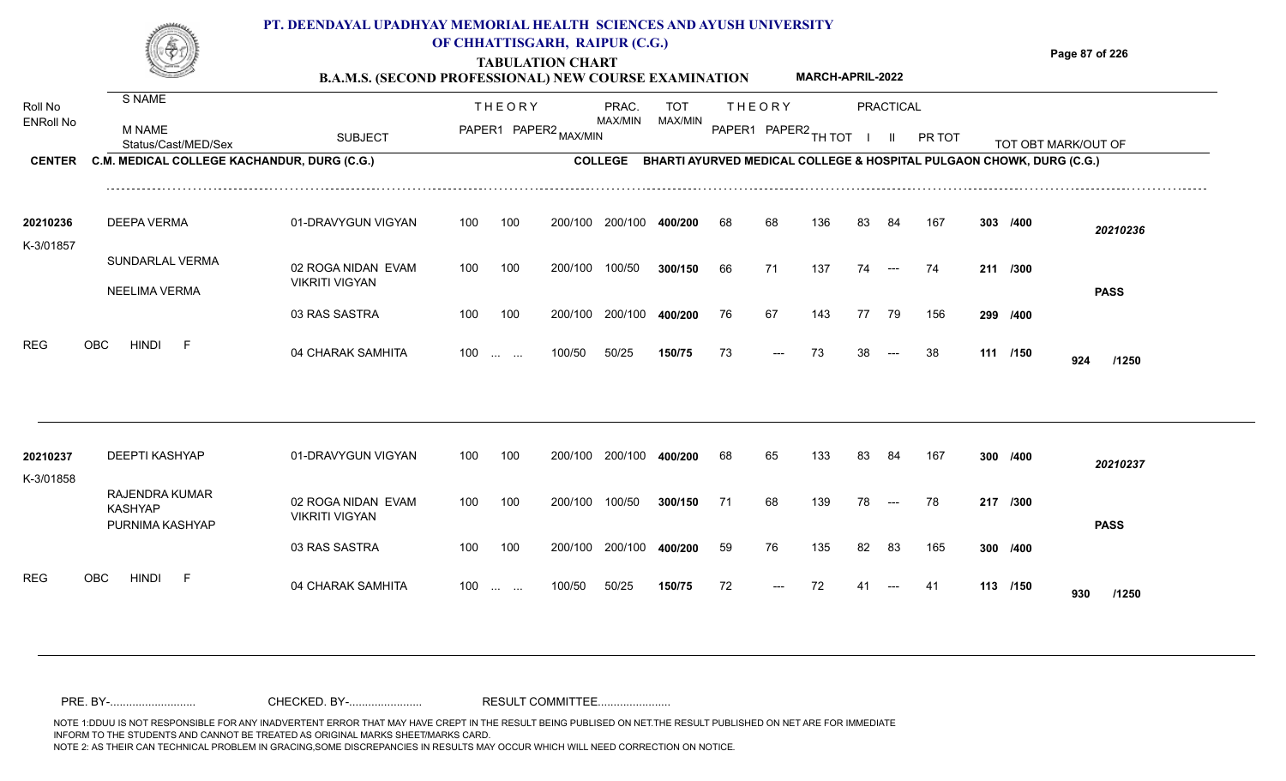#### **TABULATION CHART Page 87 of 226 B.A.M.S. (SECOND PROFESSIONAL) NEW COURSE EXAMINATION PT. DEENDAYAL UPADHYAY MEMORIAL HEALTH SCIENCES AND AYUSH UNIVERSITY OF CHHATTISGARH, RAIPUR (C.G.) MARCH-APRIL-2022**

| Roll No               | S NAME                                              |                                             |     | <b>THEORY</b>                                            | PRAC.          | <b>TOT</b> |                      | <b>THEORY</b> |     |    | PRACTICAL                |                                                                      |          |                     |  |
|-----------------------|-----------------------------------------------------|---------------------------------------------|-----|----------------------------------------------------------|----------------|------------|----------------------|---------------|-----|----|--------------------------|----------------------------------------------------------------------|----------|---------------------|--|
| <b>ENRoll No</b>      | <b>M NAME</b><br>Status/Cast/MED/Sex                | <b>SUBJECT</b>                              |     | PAPER1 PAPER2 MAX/MIN                                    | MAX/MIN        | MAX/MIN    | PAPER1 PAPER2 TH TOT |               |     |    |                          | PR TOT                                                               |          | TOT OBT MARK/OUT OF |  |
| <b>CENTER</b>         | C.M. MEDICAL COLLEGE KACHANDUR, DURG (C.G.)         |                                             |     |                                                          | <b>COLLEGE</b> |            |                      |               |     |    |                          | BHARTI AYURVED MEDICAL COLLEGE & HOSPITAL PULGAON CHOWK, DURG (C.G.) |          |                     |  |
| 20210236              | <b>DEEPA VERMA</b>                                  | 01-DRAVYGUN VIGYAN                          | 100 | 100<br>200/100                                           | 200/100        | 400/200    | 68                   | 68            | 136 | 83 | 84                       | 167                                                                  | 303 /400 | 20210236            |  |
| K-3/01857             | SUNDARLAL VERMA                                     | 02 ROGA NIDAN EVAM<br><b>VIKRITI VIGYAN</b> | 100 | 100<br>200/100                                           | 100/50         | 300/150    | 66                   | 71            | 137 | 74 | $---$                    | 74                                                                   | 211 /300 |                     |  |
|                       | NEELIMA VERMA                                       | 03 RAS SASTRA                               | 100 | 100<br>200/100                                           | 200/100        | 400/200    | 76                   | 67            | 143 | 77 | 79                       | 156                                                                  | 299 /400 | <b>PASS</b>         |  |
| <b>REG</b>            | <b>HINDI</b><br><b>OBC</b><br>$-F$                  | 04 CHARAK SAMHITA                           | 100 | 100/50<br>$\mathbf{r}$ and $\mathbf{r}$ and $\mathbf{r}$ | 50/25          | 150/75     | 73                   | ---           | 73  | 38 | $\hspace{0.05cm} \ldots$ | 38                                                                   | 111 /150 | 924<br>/1250        |  |
| 20210237<br>K-3/01858 | <b>DEEPTI KASHYAP</b>                               | 01-DRAVYGUN VIGYAN                          | 100 | 100<br>200/100                                           | 200/100        | 400/200    | 68                   | 65            | 133 | 83 | 84                       | 167                                                                  | 300 /400 | 20210237            |  |
|                       | RAJENDRA KUMAR<br><b>KASHYAP</b><br>PURNIMA KASHYAP | 02 ROGA NIDAN EVAM<br><b>VIKRITI VIGYAN</b> | 100 | 100<br>200/100                                           | 100/50         | 300/150    | 71                   | 68            | 139 | 78 | $\hspace{0.05cm} \ldots$ | 78                                                                   | 217 /300 | <b>PASS</b>         |  |
|                       |                                                     | 03 RAS SASTRA                               | 100 | 100<br>200/100                                           | 200/100        | 400/200    | 59                   | 76            | 135 | 82 | 83                       | 165                                                                  | 300 /400 |                     |  |
| <b>REG</b>            | OBC<br><b>HINDI</b><br>- F                          | 04 CHARAK SAMHITA                           | 100 | 100/50<br><b>Service State</b>                           | 50/25          | 150/75     | 72                   |               | 72  |    |                          | 41                                                                   | 113 /150 | 930<br>/1250        |  |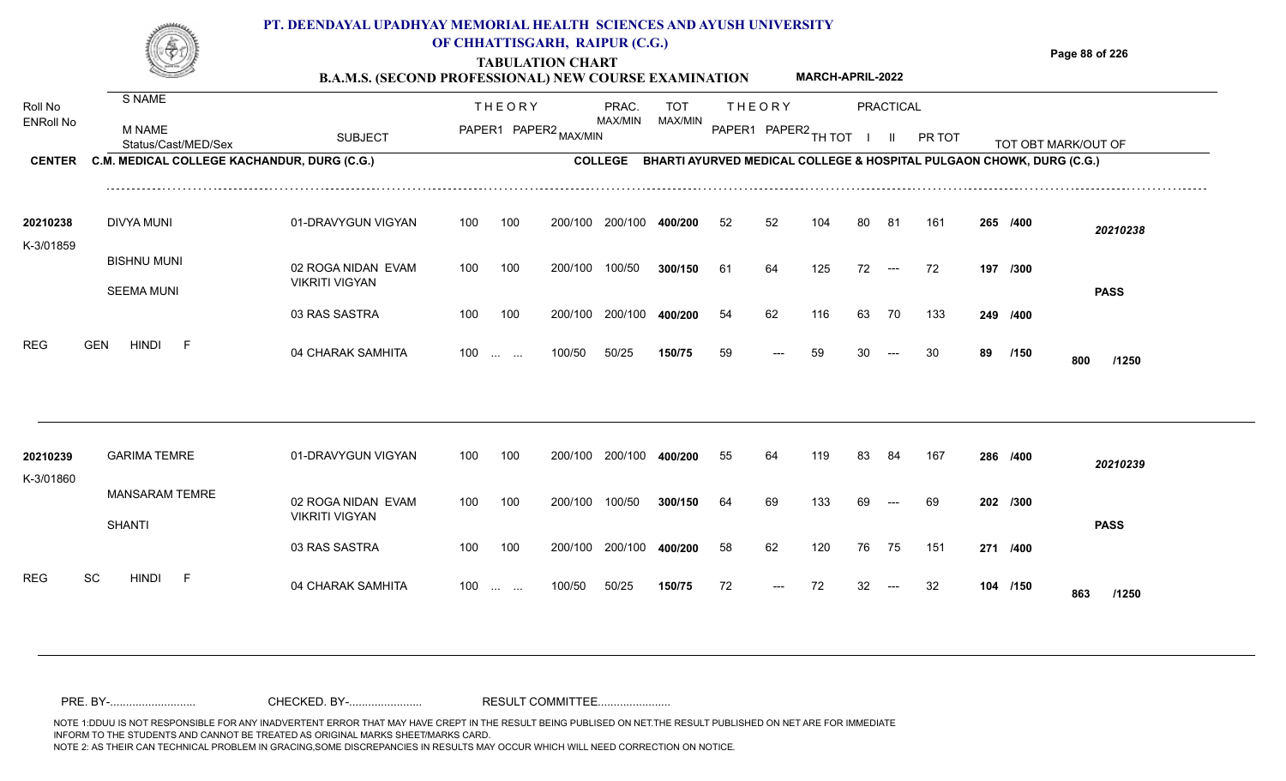**TABULATION CHART B.A.M.S. (SECOND PROFESSIONAL) NEW COURSE EXAMINATION**  **Page 88 of 226**

|                             |                                                                    | <b>B.A.M.S. (SECOND PROFESSIONAL) NEW COURSE EXAMINATION</b> |            |                                                               |                   |                  |                       |                      |               | MARCH-APRIL-2022 |          |                      |                                                                                |                      |                     |
|-----------------------------|--------------------------------------------------------------------|--------------------------------------------------------------|------------|---------------------------------------------------------------|-------------------|------------------|-----------------------|----------------------|---------------|------------------|----------|----------------------|--------------------------------------------------------------------------------|----------------------|---------------------|
| Roll No<br><b>ENRoll No</b> | S NAME<br><b>M NAME</b>                                            |                                                              |            | <b>THEORY</b><br>PAPER1 PAPER2 MAX/MIN                        |                   | PRAC.<br>MAX/MIN | <b>TOT</b><br>MAX/MIN | PAPER1 PAPER2 TH TOT | <b>THEORY</b> |                  |          | PRACTICAL            |                                                                                |                      |                     |
| <b>CENTER</b>               | Status/Cast/MED/Sex<br>C.M. MEDICAL COLLEGE KACHANDUR, DURG (C.G.) | <b>SUBJECT</b>                                               |            |                                                               |                   | <b>COLLEGE</b>   |                       |                      |               |                  |          | Ш.                   | PR TOT<br>BHARTI AYURVED MEDICAL COLLEGE & HOSPITAL PULGAON CHOWK, DURG (C.G.) |                      | TOT OBT MARK/OUT OF |
| 20210238<br>K-3/01859       | <b>DIVYA MUNI</b>                                                  | 01-DRAVYGUN VIGYAN                                           | 100        | 100                                                           | 200/100           | 200/100          | 400/200               | 52                   | 52            | 104              | 80       | 81                   | 161                                                                            | 265 /400             | 20210238            |
|                             | <b>BISHNU MUNI</b><br><b>SEEMA MUNI</b>                            | 02 ROGA NIDAN EVAM<br><b>VIKRITI VIGYAN</b>                  | 100        | 100                                                           | 200/100           | 100/50           | 300/150               | 61                   | 64            | 125              | 72       | $\hspace{0.05cm}---$ | 72                                                                             | 197 /300             | <b>PASS</b>         |
|                             |                                                                    | 03 RAS SASTRA                                                | 100        | 100                                                           | 200/100           | 200/100          | 400/200               | 54                   | 62            | 116              | 63       | 70                   | 133                                                                            | 249 /400             |                     |
| REG                         | <b>HINDI</b><br>-F<br><b>GEN</b>                                   | 04 CHARAK SAMHITA                                            | 100        | $\mathcal{L}_{\mathcal{S}}$ , and $\mathcal{L}_{\mathcal{S}}$ | 100/50            | 50/25            | 150/75                | 59                   | $---$         | 59               | 30       | $---$                | 30                                                                             | 89 /150              | 800<br>/1250        |
| 20210239<br>K-3/01860       | <b>GARIMA TEMRE</b>                                                | 01-DRAVYGUN VIGYAN                                           | 100        | 100                                                           | 200/100           | 200/100          | 400/200               | 55                   | 64            | 119              | 83       | 84                   | 167                                                                            | 286 /400             | 20210239            |
|                             | <b>MANSARAM TEMRE</b><br><b>SHANTI</b>                             | 02 ROGA NIDAN EVAM<br><b>VIKRITI VIGYAN</b>                  | 100        | 100                                                           | 200/100           | 100/50           | 300/150               | 64                   | 69            | 133              | 69       | $---$                | 69                                                                             | 202 /300             | <b>PASS</b>         |
| <b>REG</b>                  | SC<br><b>HINDI</b><br>-F                                           | 03 RAS SASTRA<br>04 CHARAK SAMHITA                           | 100<br>100 | 100<br>$\mathbf{r}$ and $\mathbf{r}$                          | 200/100<br>100/50 | 200/100<br>50/25 | 400/200<br>150/75     | 58<br>72             | 62<br>$---$   | 120<br>72        | 76<br>32 | 75<br>$---$          | 151<br>32                                                                      | 271 /400<br>104 /150 | 863<br>/1250        |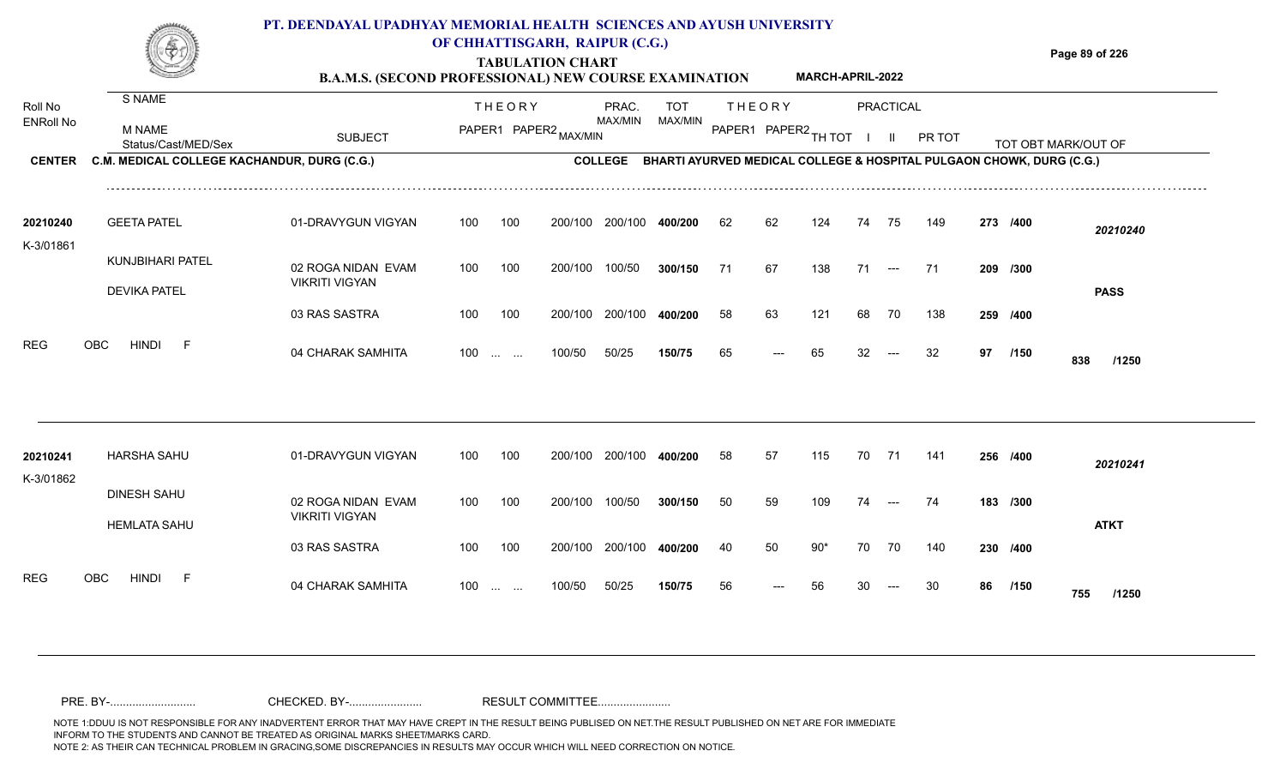### **TABULATION CHART Page 89 of 226 PT. DEENDAYAL UPADHYAY MEMORIAL HEALTH SCIENCES AND AYUSH UNIVERSITY OF CHHATTISGARH, RAIPUR (C.G.)**

| таротаттов спавт                                             |                         |
|--------------------------------------------------------------|-------------------------|
| <b>B.A.M.S. (SECOND PROFESSIONAL) NEW COURSE EXAMINATION</b> | <b>MARCH-APRIL-2022</b> |

| Roll No               | S NAME                                      |                                             |     | <b>THEORY</b>                                  |                       | PRAC.           | <b>TOT</b> |    | <b>THEORY</b>                                                        |       |       | <b>PRACTICAL</b>                       |        |    |          |                     |  |
|-----------------------|---------------------------------------------|---------------------------------------------|-----|------------------------------------------------|-----------------------|-----------------|------------|----|----------------------------------------------------------------------|-------|-------|----------------------------------------|--------|----|----------|---------------------|--|
| <b>ENRoll No</b>      | <b>M NAME</b><br>Status/Cast/MED/Sex        | <b>SUBJECT</b>                              |     |                                                | PAPER1 PAPER2 MAX/MIN | MAX/MIN         | MAX/MIN    |    | PAPER1 PAPER2 TH TOT                                                 |       |       | $\mathbf{H}$                           | PR TOT |    |          | TOT OBT MARK/OUT OF |  |
| <b>CENTER</b>         | C.M. MEDICAL COLLEGE KACHANDUR, DURG (C.G.) |                                             |     |                                                |                       | <b>COLLEGE</b>  |            |    | BHARTI AYURVED MEDICAL COLLEGE & HOSPITAL PULGAON CHOWK, DURG (C.G.) |       |       |                                        |        |    |          |                     |  |
| 20210240<br>K-3/01861 | <b>GEETA PATEL</b>                          | 01-DRAVYGUN VIGYAN                          | 100 | 100                                            | 200/100               | 200/100         | 400/200    | 62 | 62                                                                   | 124   | 74    | 75                                     | 149    |    | 273 /400 | 20210240            |  |
|                       | KUNJBIHARI PATEL<br><b>DEVIKA PATEL</b>     | 02 ROGA NIDAN EVAM<br><b>VIKRITI VIGYAN</b> | 100 | 100                                            | 200/100               | 100/50          | 300/150    | 71 | 67                                                                   | 138   | 71    | $\hspace{0.1em} \ldots \hspace{0.1em}$ | -71    |    | 209 /300 | <b>PASS</b>         |  |
|                       |                                             | 03 RAS SASTRA                               | 100 | 100                                            | 200/100               | 200/100         | 400/200    | 58 | 63                                                                   | 121   | 68    | 70                                     | 138    |    | 259 /400 |                     |  |
| <b>REG</b>            | OBC<br><b>HINDI</b><br>- F                  | 04 CHARAK SAMHITA                           | 100 | $\sim 10^{-1}$ and                             | 100/50                | 50/25           | 150/75     | 65 | ---                                                                  | 65    | 32    | $---$                                  | 32     | 97 | /150     | 838<br>/1250        |  |
|                       |                                             |                                             |     |                                                |                       |                 |            |    |                                                                      |       |       |                                        |        |    |          |                     |  |
| 20210241<br>K-3/01862 | <b>HARSHA SAHU</b>                          | 01-DRAVYGUN VIGYAN                          | 100 | 100                                            |                       | 200/100 200/100 | 400/200    | 58 | 57                                                                   | 115   | 70 71 |                                        | 141    |    | 256 /400 | 20210241            |  |
|                       | <b>DINESH SAHU</b><br><b>HEMLATA SAHU</b>   | 02 ROGA NIDAN EVAM<br><b>VIKRITI VIGYAN</b> | 100 | 100                                            | 200/100               | 100/50          | 300/150    | 50 | 59                                                                   | 109   | 74    | $---$                                  | 74     |    | 183 /300 | <b>ATKT</b>         |  |
|                       |                                             | 03 RAS SASTRA                               | 100 | 100                                            |                       | 200/100 200/100 | 400/200    | 40 | 50                                                                   | $90*$ | 70    | 70                                     | 140    |    | 230 /400 |                     |  |
| <b>REG</b>            | OBC<br><b>HINDI</b><br>- F                  | 04 CHARAK SAMHITA                           | 100 | $\mathbf{r}$ and $\mathbf{r}$ and $\mathbf{r}$ | 100/50                | 50/25           | 150/75     | 56 |                                                                      | 56    |       |                                        | 30     | 86 | /150     | 755<br>/1250        |  |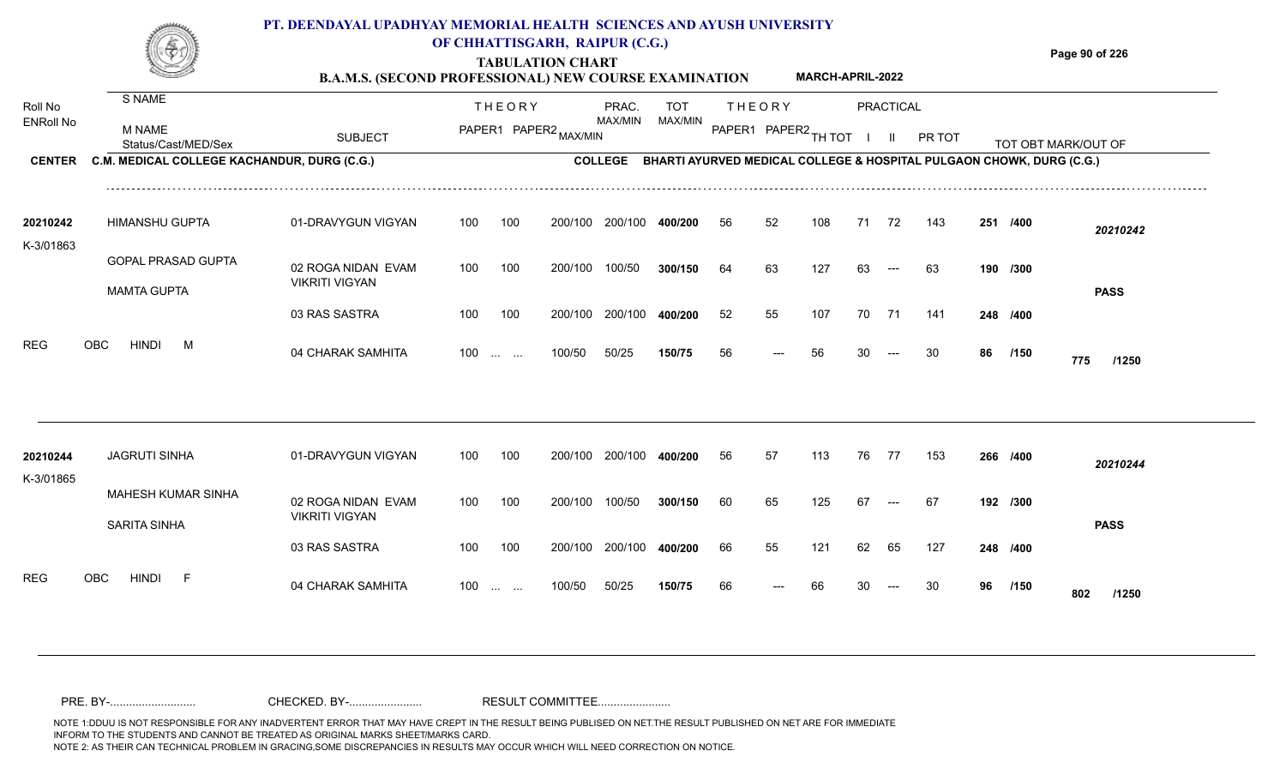#### **TABULATION CHART Page 90 of 226 B.A.M.S. (SECOND PROFESSIONAL) NEW COURSE EXAMINATION PT. DEENDAYAL UPADHYAY MEMORIAL HEALTH SCIENCES AND AYUSH UNIVERSITY OF CHHATTISGARH, RAIPUR (C.G.) MARCH-APRIL-2022**

| Roll No               | S NAME                                          |                                             | <b>THEORY</b> | PRAC.                            | <b>TOT</b>                                                           |    | <b>THEORY</b> |                      | <b>PRACTICAL</b> |        |    |          |                     |  |
|-----------------------|-------------------------------------------------|---------------------------------------------|---------------|----------------------------------|----------------------------------------------------------------------|----|---------------|----------------------|------------------|--------|----|----------|---------------------|--|
| <b>ENRoll No</b>      | <b>M NAME</b><br>Status/Cast/MED/Sex            | <b>SUBJECT</b>                              |               | MAX/MIN<br>PAPER1 PAPER2 MAX/MIN | MAX/MIN                                                              |    |               | PAPER1 PAPER2 TH TOT |                  | PR TOT |    |          | TOT OBT MARK/OUT OF |  |
| <b>CENTER</b>         | C.M. MEDICAL COLLEGE KACHANDUR, DURG (C.G.)     |                                             |               | <b>COLLEGE</b>                   | BHARTI AYURVED MEDICAL COLLEGE & HOSPITAL PULGAON CHOWK, DURG (C.G.) |    |               |                      |                  |        |    |          |                     |  |
| 20210242              | <b>HIMANSHU GUPTA</b>                           | 01-DRAVYGUN VIGYAN                          | 100<br>100    | 200/100<br>200/100               | 400/200                                                              | 56 | 52            | 108                  | 71<br>72         | 143    |    | 251 /400 | 20210242            |  |
| K-3/01863             | <b>GOPAL PRASAD GUPTA</b><br><b>MAMTA GUPTA</b> | 02 ROGA NIDAN EVAM<br><b>VIKRITI VIGYAN</b> | 100<br>100    | 100/50<br>200/100                | 300/150                                                              | 64 | 63            | 127                  | 63<br>$---$      | 63     |    | 190 /300 | <b>PASS</b>         |  |
|                       |                                                 | 03 RAS SASTRA                               | 100<br>100    | 200/100 200/100                  | 400/200                                                              | 52 | 55            | 107                  | 70<br>71         | 141    |    | 248 /400 |                     |  |
| <b>REG</b>            | <b>HINDI</b><br><b>OBC</b><br>M                 | 04 CHARAK SAMHITA                           | $100$         | 50/25<br>100/50                  | 150/75                                                               | 56 | $---$         | 56                   | 30<br>$---$      | 30     | 86 | /150     | 775<br>/1250        |  |
| 20210244<br>K-3/01865 | <b>JAGRUTI SINHA</b>                            | 01-DRAVYGUN VIGYAN                          | 100<br>100    | 200/100 200/100                  | 400/200                                                              | 56 | 57            | 113                  | 76<br>77         | 153    |    | 266 /400 | 20210244            |  |
|                       | <b>MAHESH KUMAR SINHA</b><br>SARITA SINHA       | 02 ROGA NIDAN EVAM<br><b>VIKRITI VIGYAN</b> | 100<br>100    | 100/50<br>200/100                | 300/150                                                              | 60 | 65            | 125                  | 67               | 67     |    | 192 /300 | <b>PASS</b>         |  |
|                       |                                                 | 03 RAS SASTRA                               | 100<br>100    | 200/100<br>200/100               | 400/200                                                              | 66 | 55            | 121                  | 65<br>62         | 127    |    | 248 /400 |                     |  |
| <b>REG</b>            | <b>HINDI</b><br><b>OBC</b><br>- F               | 04 CHARAK SAMHITA                           | 100           | 50/25<br>100/50                  | 150/75                                                               | 66 |               | 66                   |                  | 30     | 96 | /150     | 802<br>/1250        |  |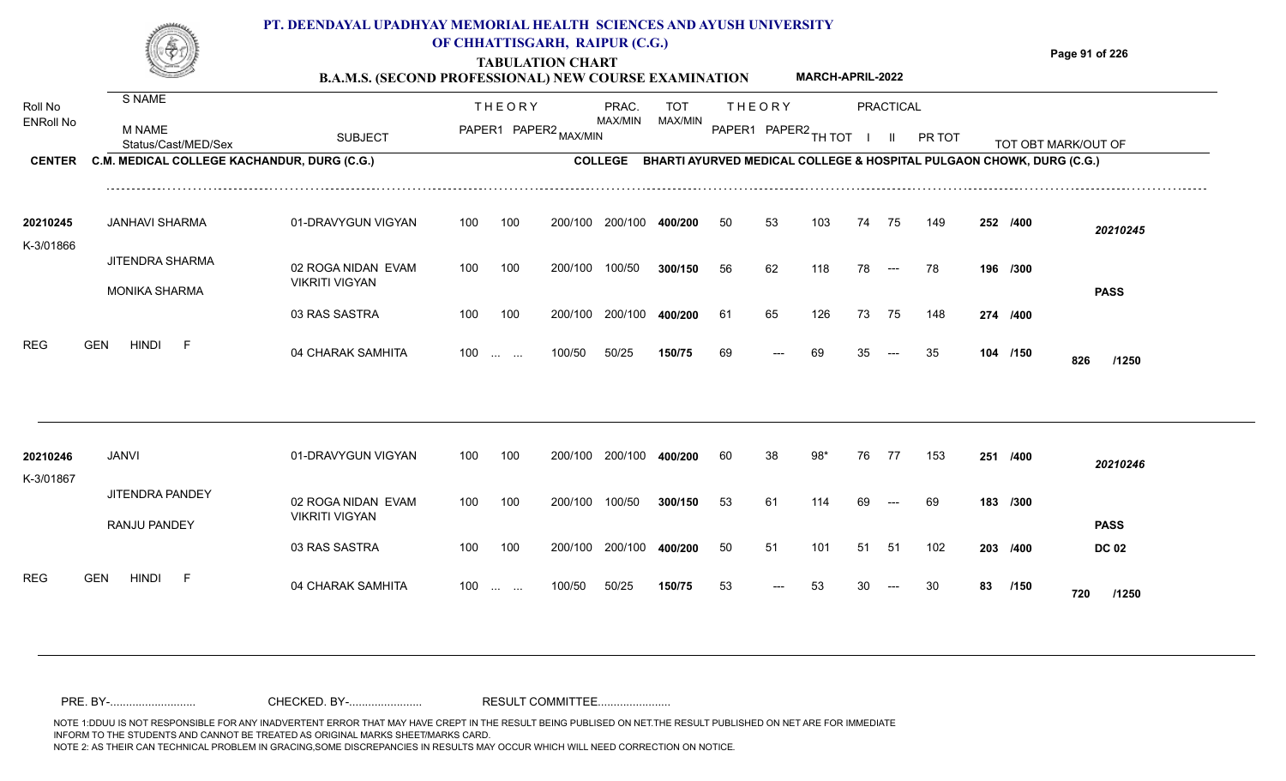**TABULATION CHART**

**Page 91 of 226**

|                       |                                             | <b>B.A.M.S. (SECOND PROFESSIONAL) NEW COURSE EXAMINATION</b> |     |                                                               |                       |                |            |    |               | MARCH-APRIL-2022     |    |                      |                                                                      |    |          |                     |
|-----------------------|---------------------------------------------|--------------------------------------------------------------|-----|---------------------------------------------------------------|-----------------------|----------------|------------|----|---------------|----------------------|----|----------------------|----------------------------------------------------------------------|----|----------|---------------------|
| Roll No               | S NAME                                      |                                                              |     | <b>THEORY</b>                                                 |                       | PRAC.          | <b>TOT</b> |    | <b>THEORY</b> |                      |    | <b>PRACTICAL</b>     |                                                                      |    |          |                     |
| <b>ENRoll No</b>      | M NAME<br>Status/Cast/MED/Sex               | <b>SUBJECT</b>                                               |     |                                                               | PAPER1 PAPER2 MAX/MIN | MAX/MIN        | MAX/MIN    |    |               | PAPER1 PAPER2 TH TOT |    |                      | PR TOT                                                               |    |          | TOT OBT MARK/OUT OF |
| <b>CENTER</b>         | C.M. MEDICAL COLLEGE KACHANDUR, DURG (C.G.) |                                                              |     |                                                               |                       | <b>COLLEGE</b> |            |    |               |                      |    |                      | BHARTI AYURVED MEDICAL COLLEGE & HOSPITAL PULGAON CHOWK, DURG (C.G.) |    |          |                     |
| 20210245<br>K-3/01866 | <b>JANHAVI SHARMA</b>                       | 01-DRAVYGUN VIGYAN                                           | 100 | 100                                                           | 200/100               | 200/100        | 400/200    | 50 | 53            | 103                  | 74 | 75                   | 149                                                                  |    | 252 /400 | 20210245            |
|                       | JITENDRA SHARMA<br><b>MONIKA SHARMA</b>     | 02 ROGA NIDAN EVAM<br><b>VIKRITI VIGYAN</b>                  | 100 | 100                                                           | 200/100               | 100/50         | 300/150    | 56 | 62            | 118                  | 78 | $\hspace{0.05cm}---$ | 78                                                                   |    | 196 /300 | <b>PASS</b>         |
|                       |                                             | 03 RAS SASTRA                                                | 100 | 100                                                           | 200/100               | 200/100        | 400/200    | 61 | 65            | 126                  | 73 | 75                   | 148                                                                  |    | 274 /400 |                     |
| <b>REG</b>            | <b>HINDI</b><br><b>GEN</b><br>-F            | 04 CHARAK SAMHITA                                            | 100 | $\mathcal{L}_{\mathcal{F}}$ , and $\mathcal{L}_{\mathcal{F}}$ | 100/50                | 50/25          | 150/75     | 69 | $---$         | 69                   | 35 | $---$                | 35                                                                   |    | 104 /150 | 826<br>/1250        |
|                       |                                             |                                                              |     |                                                               |                       |                |            |    |               |                      |    |                      |                                                                      |    |          |                     |
| 20210246<br>K-3/01867 | <b>JANVI</b>                                | 01-DRAVYGUN VIGYAN                                           | 100 | 100                                                           | 200/100               | 200/100        | 400/200    | 60 | 38            | 98*                  | 76 | 77                   | 153                                                                  |    | 251 /400 | 20210246            |
|                       | JITENDRA PANDEY<br>RANJU PANDEY             | 02 ROGA NIDAN EVAM<br><b>VIKRITI VIGYAN</b>                  | 100 | 100                                                           | 200/100               | 100/50         | 300/150    | 53 | 61            | 114                  | 69 | $\hspace{0.05cm}---$ | 69                                                                   |    | 183 /300 | <b>PASS</b>         |
|                       |                                             | 03 RAS SASTRA                                                | 100 | 100                                                           | 200/100               | 200/100        | 400/200    | 50 | 51            | 101                  | 51 | 51                   | 102                                                                  |    | 203 /400 | <b>DC 02</b>        |
| <b>REG</b>            | <b>GEN</b><br><b>HINDI</b><br>-F            | 04 CHARAK SAMHITA                                            | 100 | $\mathcal{L}_{\mathcal{F}}$ , and $\mathcal{L}_{\mathcal{F}}$ | 100/50                | 50/25          | 150/75     | 53 | ---           | 53                   |    | $---$                | 30                                                                   | 83 | /150     | 720<br>/1250        |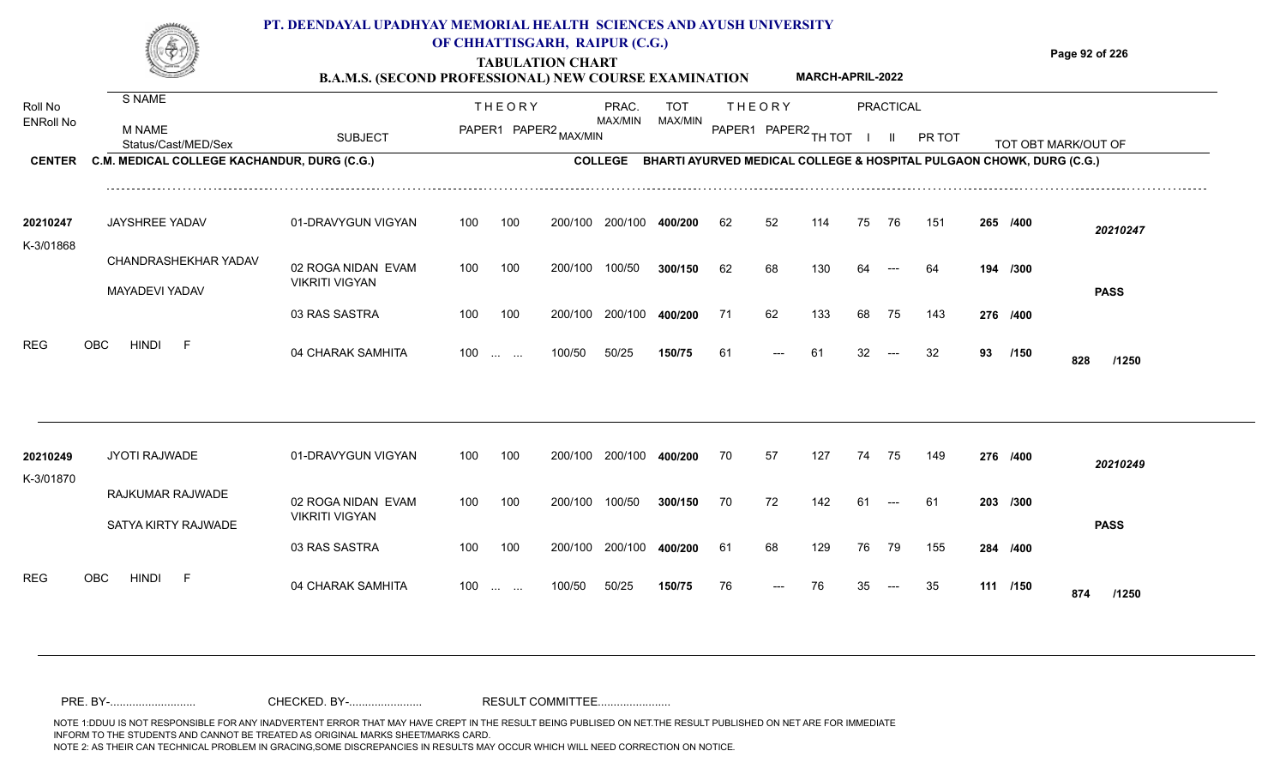**B.A.M.S. (SECOND PROFESSIONAL) NEW COURSE EXAMINATION MARCH-APRIL-2022**

**Page 92 of 226**

| Roll No<br><b>ENRoll No</b> | S NAME                                      |                                             |     | <b>THEORY</b>                 |                       | PRAC.<br>MAX/MIN | <b>TOT</b><br>MAX/MIN                                                        |    | <b>THEORY</b> |                      |    | <b>PRACTICAL</b>                         |        |    |          |                     |  |
|-----------------------------|---------------------------------------------|---------------------------------------------|-----|-------------------------------|-----------------------|------------------|------------------------------------------------------------------------------|----|---------------|----------------------|----|------------------------------------------|--------|----|----------|---------------------|--|
|                             | <b>M NAME</b><br>Status/Cast/MED/Sex        | <b>SUBJECT</b>                              |     |                               | PAPER1 PAPER2 MAX/MIN |                  |                                                                              |    |               | PAPER1 PAPER2 TH TOT |    | $\mathbf{H}$                             | PR TOT |    |          | TOT OBT MARK/OUT OF |  |
| <b>CENTER</b>               | C.M. MEDICAL COLLEGE KACHANDUR, DURG (C.G.) |                                             |     |                               |                       |                  | COLLEGE BHARTI AYURVED MEDICAL COLLEGE & HOSPITAL PULGAON CHOWK, DURG (C.G.) |    |               |                      |    |                                          |        |    |          |                     |  |
| 20210247<br>K-3/01868       | <b>JAYSHREE YADAV</b>                       | 01-DRAVYGUN VIGYAN                          | 100 | 100                           | 200/100               | 200/100          | 400/200                                                                      | 62 | 52            | 114                  | 75 | 76                                       | 151    |    | 265 /400 | 20210247            |  |
|                             | CHANDRASHEKHAR YADAV                        | 02 ROGA NIDAN EVAM                          | 100 | 100                           | 200/100               | 100/50           | 300/150                                                                      | 62 | 68            | 130                  | 64 |                                          | 64     |    | 194 /300 |                     |  |
|                             | MAYADEVI YADAV                              | <b>VIKRITI VIGYAN</b>                       |     |                               |                       |                  |                                                                              |    |               |                      |    |                                          |        |    |          | <b>PASS</b>         |  |
|                             |                                             | 03 RAS SASTRA                               | 100 | 100                           | 200/100               | 200/100          | 400/200                                                                      | 71 | 62            | 133                  | 68 | 75                                       | 143    |    | 276 /400 |                     |  |
| <b>REG</b>                  | <b>HINDI</b><br>OBC<br>- F                  | 04 CHARAK SAMHITA                           |     | $100$                         | 100/50                | 50/25            | 150/75                                                                       | 61 | ---           | 61                   | 32 | $---$                                    | 32     | 93 | /150     | 828<br>/1250        |  |
|                             |                                             |                                             |     |                               |                       |                  |                                                                              |    |               |                      |    |                                          |        |    |          |                     |  |
| 20210249<br>K-3/01870       | JYOTI RAJWADE                               | 01-DRAVYGUN VIGYAN                          | 100 | 100                           |                       | 200/100 200/100  | 400/200                                                                      | 70 | 57            | 127                  | 74 | 75                                       | 149    |    | 276 /400 | 20210249            |  |
|                             | RAJKUMAR RAJWADE                            | 02 ROGA NIDAN EVAM<br><b>VIKRITI VIGYAN</b> | 100 | 100                           | 200/100               | 100/50           | 300/150                                                                      | 70 | 72            | 142                  | 61 | $---$                                    | -61    |    | 203 /300 |                     |  |
|                             | SATYA KIRTY RAJWADE                         |                                             |     |                               |                       |                  |                                                                              |    |               |                      |    |                                          |        |    |          | <b>PASS</b>         |  |
|                             |                                             | 03 RAS SASTRA                               | 100 | 100                           |                       | 200/100 200/100  | 400/200                                                                      | 61 | 68            | 129                  | 76 | - 79                                     | 155    |    | 284 /400 |                     |  |
| <b>REG</b>                  | OBC<br><b>HINDI</b><br>- F                  | 04 CHARAK SAMHITA                           | 100 | $\mathbf{r}$ and $\mathbf{r}$ | 100/50                | 50/25            | 150/75                                                                       | 76 | $---$         | 76                   | 35 | $\hspace{0.05cm} \ldots \hspace{0.05cm}$ | 35     |    | 111 /150 | 874<br>/1250        |  |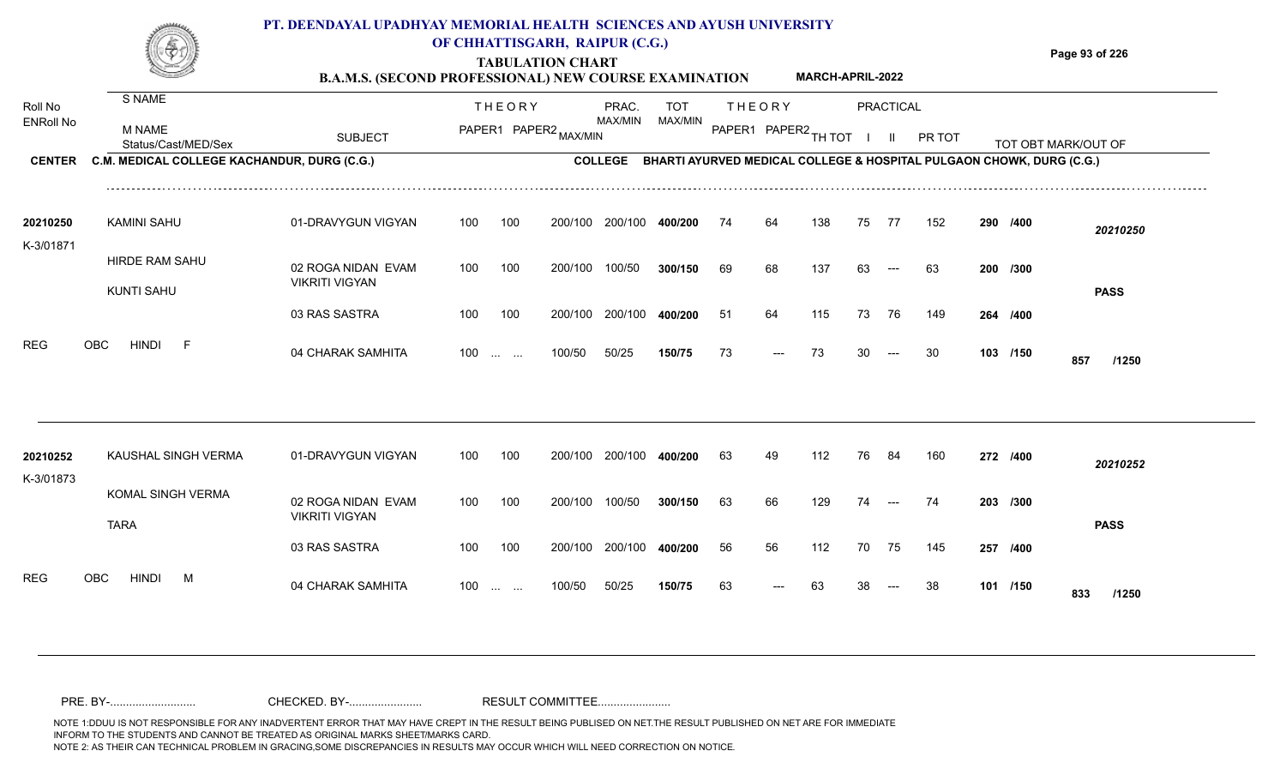**B.A.M.S. (SECOND PROFESSIONAL) NEW COURSE EXAMINATION MARCH-APRIL-2022** **Page 93 of 226**

| Roll No               | S NAME                                      |                                             | <b>THEORY</b>                  |                       | PRAC.          | <b>TOT</b> |    | <b>THEORY</b>        |     |              | <b>PRACTICAL</b> |        |                                                                      |                     |  |
|-----------------------|---------------------------------------------|---------------------------------------------|--------------------------------|-----------------------|----------------|------------|----|----------------------|-----|--------------|------------------|--------|----------------------------------------------------------------------|---------------------|--|
| <b>ENRoll No</b>      | <b>M NAME</b><br>Status/Cast/MED/Sex        | <b>SUBJECT</b>                              |                                | PAPER1 PAPER2 MAX/MIN | MAX/MIN        | MAX/MIN    |    | PAPER1 PAPER2 TH TOT |     | $\mathbf{L}$ | - III.           | PR TOT |                                                                      | TOT OBT MARK/OUT OF |  |
| <b>CENTER</b>         | C.M. MEDICAL COLLEGE KACHANDUR, DURG (C.G.) |                                             |                                |                       | <b>COLLEGE</b> |            |    |                      |     |              |                  |        | BHARTI AYURVED MEDICAL COLLEGE & HOSPITAL PULGAON CHOWK, DURG (C.G.) |                     |  |
| 20210250<br>K-3/01871 | <b>KAMINI SAHU</b>                          | 01-DRAVYGUN VIGYAN                          | 100<br>100                     | 200/100               | 200/100        | 400/200    | 74 | 64                   | 138 | 75           | 77               | 152    | 290 /400                                                             | 20210250            |  |
|                       | HIRDE RAM SAHU<br>KUNTI SAHU                | 02 ROGA NIDAN EVAM<br><b>VIKRITI VIGYAN</b> | 100<br>100                     | 200/100               | 100/50         | 300/150    | 69 | 68                   | 137 | 63           | $---$            | 63     | 200 /300                                                             | <b>PASS</b>         |  |
|                       |                                             | 03 RAS SASTRA                               | 100<br>100                     | 200/100               | 200/100        | 400/200    | 51 | 64                   | 115 | 73           | 76               | 149    | 264 /400                                                             |                     |  |
| <b>REG</b>            | <b>HINDI</b><br>-F<br><b>OBC</b>            | 04 CHARAK SAMHITA                           | $100 \dots \dots$              | 100/50                | 50/25          | 150/75     | 73 | $---$                | 73  | 30           | $---$            | 30     | 103 /150                                                             | 857<br>/1250        |  |
|                       |                                             |                                             |                                |                       |                |            |    |                      |     |              |                  |        |                                                                      |                     |  |
| 20210252<br>K-3/01873 | KAUSHAL SINGH VERMA                         | 01-DRAVYGUN VIGYAN                          | 100<br>100                     | 200/100               | 200/100        | 400/200    | 63 | 49                   | 112 | 76           | 84               | 160    | 272 /400                                                             | 20210252            |  |
|                       | KOMAL SINGH VERMA<br><b>TARA</b>            | 02 ROGA NIDAN EVAM<br><b>VIKRITI VIGYAN</b> | 100<br>100                     | 200/100               | 100/50         | 300/150    | 63 | 66                   | 129 | 74           | $---$            | 74     | 203 /300                                                             | <b>PASS</b>         |  |
|                       |                                             | 03 RAS SASTRA                               | 100<br>100                     | 200/100               | 200/100        | 400/200    | 56 | 56                   | 112 | 70           | 75               | 145    | 257 /400                                                             |                     |  |
| <b>REG</b>            | M<br>OBC<br>hindi                           | 04 CHARAK SAMHITA                           | 100<br><b>Section Contract</b> | 100/50                | 50/25          | 150/75     | 63 |                      | 63  |              |                  | 38     | 101 /150                                                             | 833<br>/1250        |  |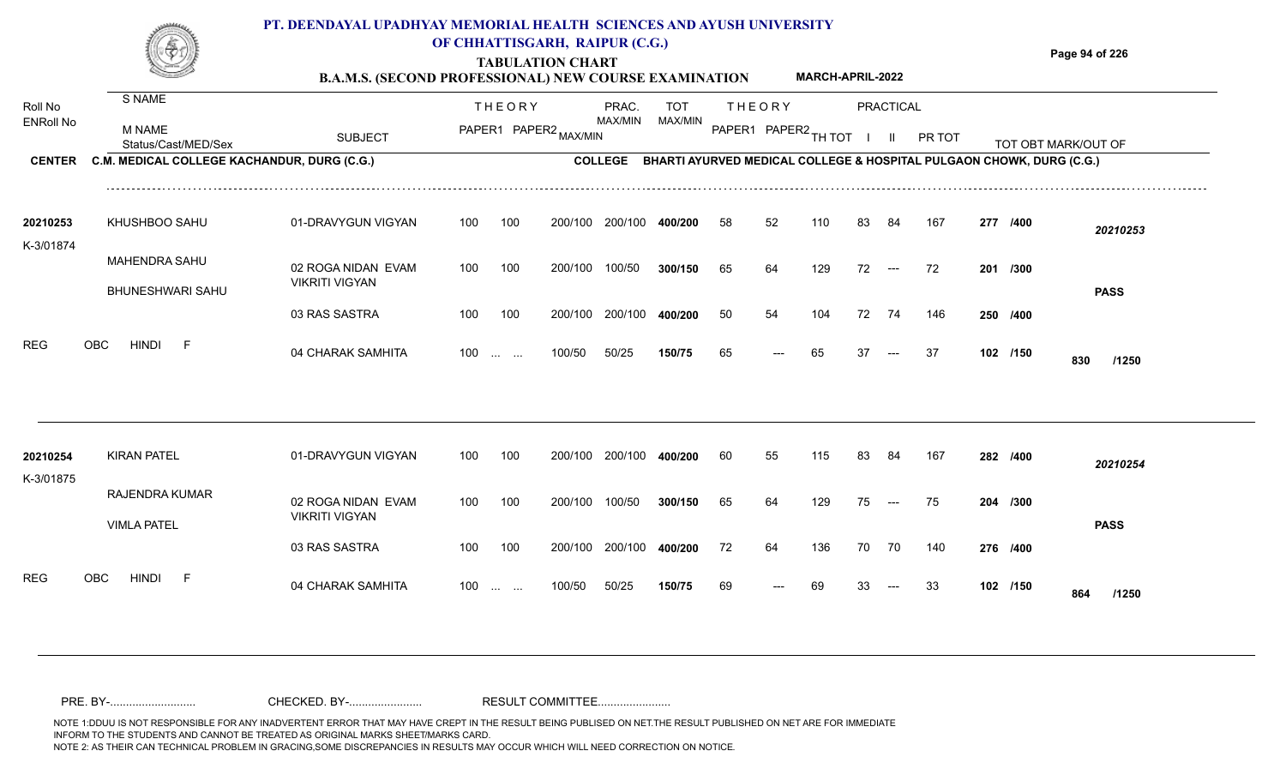### **TABULATION CHART Page 94 of 226 PT. DEENDAYAL UPADHYAY MEMORIAL HEALTH SCIENCES AND AYUSH UNIVERSITY OF CHHATTISGARH, RAIPUR (C.G.)**

**B.A.M.S. (SECOND PROFESSIONAL) NEW COURSE EXAMINATION MARCH-APRIL-2022**

| Roll No               | S NAME                                          |                                             | <b>THEORY</b>                              | PRAC.                            | <b>TOT</b>                                                           |    | <b>THEORY</b>        |     |    | <b>PRACTICAL</b>     |        |          |                     |  |
|-----------------------|-------------------------------------------------|---------------------------------------------|--------------------------------------------|----------------------------------|----------------------------------------------------------------------|----|----------------------|-----|----|----------------------|--------|----------|---------------------|--|
| <b>ENRoll No</b>      | M NAME<br>Status/Cast/MED/Sex                   | <b>SUBJECT</b>                              |                                            | MAX/MIN<br>PAPER1 PAPER2 MAX/MIN | MAX/MIN                                                              |    | PAPER1 PAPER2 TH TOT |     |    |                      | PR TOT |          | TOT OBT MARK/OUT OF |  |
| <b>CENTER</b>         | C.M. MEDICAL COLLEGE KACHANDUR, DURG (C.G.)     |                                             |                                            | <b>COLLEGE</b>                   | BHARTI AYURVED MEDICAL COLLEGE & HOSPITAL PULGAON CHOWK, DURG (C.G.) |    |                      |     |    |                      |        |          |                     |  |
| 20210253<br>K-3/01874 | KHUSHBOO SAHU                                   | 01-DRAVYGUN VIGYAN                          | 100<br>100                                 | 200/100<br>200/100               | 400/200                                                              | 58 | 52                   | 110 | 83 | 84                   | 167    | 277 /400 | 20210253            |  |
|                       | <b>MAHENDRA SAHU</b><br><b>BHUNESHWARI SAHU</b> | 02 ROGA NIDAN EVAM<br><b>VIKRITI VIGYAN</b> | 100<br>100                                 | 100/50<br>200/100                | 300/150                                                              | 65 | 64                   | 129 | 72 | $---$                | 72     | 201 /300 | <b>PASS</b>         |  |
|                       |                                                 | 03 RAS SASTRA                               | 100<br>100                                 | 200/100<br>200/100               | 400/200                                                              | 50 | 54                   | 104 | 72 | 74                   | 146    | 250 /400 |                     |  |
| <b>REG</b>            | <b>HINDI</b><br><b>OBC</b><br>-F                | 04 CHARAK SAMHITA                           | 100<br>$\sim 10^{-10}$ and $\sim 10^{-10}$ | 50/25<br>100/50                  | 150/75                                                               | 65 | ---                  | 65  | 37 | $---$                | 37     | 102 /150 | 830<br>/1250        |  |
|                       |                                                 |                                             |                                            |                                  |                                                                      |    |                      |     |    |                      |        |          |                     |  |
| 20210254<br>K-3/01875 | <b>KIRAN PATEL</b>                              | 01-DRAVYGUN VIGYAN                          | 100<br>100                                 | 200/100<br>200/100               | 400/200                                                              | 60 | 55                   | 115 | 83 | 84                   | 167    | 282 /400 | 20210254            |  |
|                       | RAJENDRA KUMAR<br><b>VIMLA PATEL</b>            | 02 ROGA NIDAN EVAM<br><b>VIKRITI VIGYAN</b> | 100<br>100                                 | 100/50<br>200/100                | 300/150                                                              | 65 | 64                   | 129 | 75 | $\hspace{0.05cm}---$ | 75     | 204 /300 | <b>PASS</b>         |  |
|                       |                                                 | 03 RAS SASTRA                               | 100<br>100                                 | 200/100<br>200/100               | 400/200                                                              | 72 | 64                   | 136 | 70 | 70                   | 140    | 276 /400 |                     |  |
| <b>REG</b>            | <b>OBC</b><br><b>HINDI</b><br>-F                | 04 CHARAK SAMHITA                           | 100<br><b>Service Control</b>              | 50/25<br>100/50                  | 150/75                                                               | 69 | $---$                | 69  | 33 | $---$                | 33     | 102 /150 | 864<br>/1250        |  |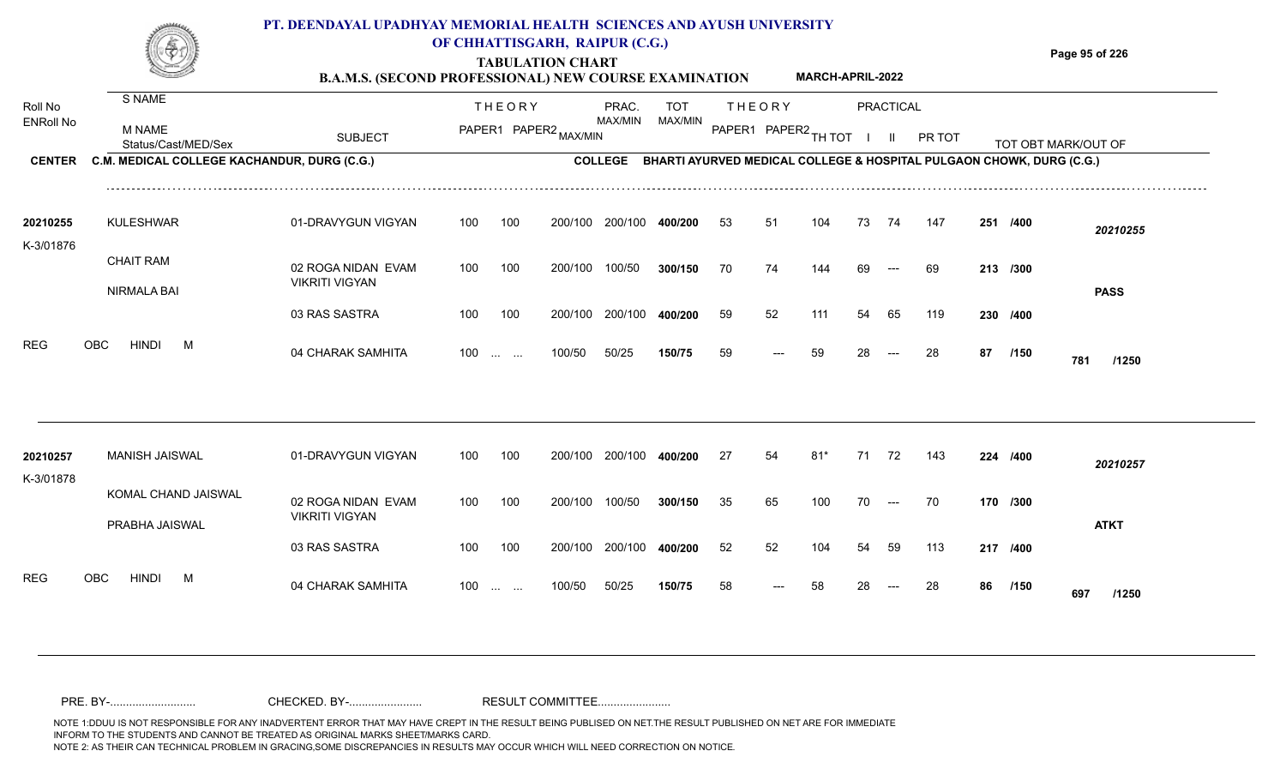### **TABULATION CHART Page 95 of 226 PT. DEENDAYAL UPADHYAY MEMORIAL HEALTH SCIENCES AND AYUSH UNIVERSITY OF CHHATTISGARH, RAIPUR (C.G.)**

**B.A.M.S. (SECOND PROFESSIONAL) NEW COURSE EXAMINATION MARCH-APRIL-2022**

| Roll No<br><b>ENRoll No</b> | S NAME                                      |                                             |     | <b>THEORY</b>                                         |         | PRAC.<br>MAX/MIN | <b>TOT</b><br>MAX/MIN                                                |    | <b>THEORY</b> |        |    | <b>PRACTICAL</b>     |        |    |          |                     |
|-----------------------------|---------------------------------------------|---------------------------------------------|-----|-------------------------------------------------------|---------|------------------|----------------------------------------------------------------------|----|---------------|--------|----|----------------------|--------|----|----------|---------------------|
|                             | <b>M NAME</b><br>Status/Cast/MED/Sex        | <b>SUBJECT</b>                              |     | PAPER1 PAPER2 MAX/MIN                                 |         |                  |                                                                      |    | PAPER1 PAPER2 | TH TOT |    |                      | PR TOT |    |          | TOT OBT MARK/OUT OF |
| <b>CENTER</b>               | C.M. MEDICAL COLLEGE KACHANDUR, DURG (C.G.) |                                             |     |                                                       |         | <b>COLLEGE</b>   | BHARTI AYURVED MEDICAL COLLEGE & HOSPITAL PULGAON CHOWK, DURG (C.G.) |    |               |        |    |                      |        |    |          |                     |
| 20210255                    | <b>KULESHWAR</b>                            | 01-DRAVYGUN VIGYAN                          | 100 | 100                                                   | 200/100 | 200/100          | 400/200                                                              | 53 | 51            | 104    | 73 | 74                   | 147    |    | 251 /400 | 20210255            |
| K-3/01876                   | <b>CHAIT RAM</b>                            | 02 ROGA NIDAN EVAM                          | 100 | 100                                                   | 200/100 | 100/50           | 300/150                                                              | 70 | 74            | 144    | 69 |                      | 69     |    | 213 /300 |                     |
|                             | NIRMALA BAI                                 | <b>VIKRITI VIGYAN</b>                       |     |                                                       |         |                  |                                                                      |    |               |        |    |                      |        |    |          | <b>PASS</b>         |
|                             |                                             | 03 RAS SASTRA                               | 100 | 100                                                   | 200/100 | 200/100          | 400/200                                                              | 59 | 52            | 111    | 54 | 65                   | 119    |    | 230 /400 |                     |
| <b>REG</b>                  | <b>HINDI</b><br>OBC<br>M                    | 04 CHARAK SAMHITA                           | 100 | $\mathcal{L}_{\text{max}} = \mathcal{L}_{\text{max}}$ | 100/50  | 50/25            | 150/75                                                               | 59 |               | 59     | 28 |                      | 28     | 87 | /150     | 781<br>/1250        |
|                             |                                             |                                             |     |                                                       |         |                  |                                                                      |    |               |        |    |                      |        |    |          |                     |
| 20210257                    | <b>MANISH JAISWAL</b>                       | 01-DRAVYGUN VIGYAN                          | 100 | 100                                                   | 200/100 | 200/100          | 400/200                                                              | 27 | 54            | $81*$  | 71 | 72                   | 143    |    | 224 /400 | 20210257            |
| K-3/01878                   | KOMAL CHAND JAISWAL                         | 02 ROGA NIDAN EVAM<br><b>VIKRITI VIGYAN</b> | 100 | 100                                                   | 200/100 | 100/50           | 300/150                                                              | 35 | 65            | 100    | 70 | $\hspace{0.05cm}---$ | 70     |    | 170 /300 |                     |
|                             | PRABHA JAISWAL                              | 03 RAS SASTRA                               | 100 | 100                                                   | 200/100 | 200/100          | 400/200                                                              | 52 | 52            | 104    | 54 | 59                   | 113    |    | 217 /400 | <b>ATKT</b>         |
| <b>REG</b>                  | <b>HINDI</b><br><b>OBC</b><br>M             | 04 CHARAK SAMHITA                           |     | $100$                                                 | 100/50  | 50/25            | 150/75                                                               | 58 | ---           | 58     | 28 |                      | 28     | 86 | /150     | 697<br>/1250        |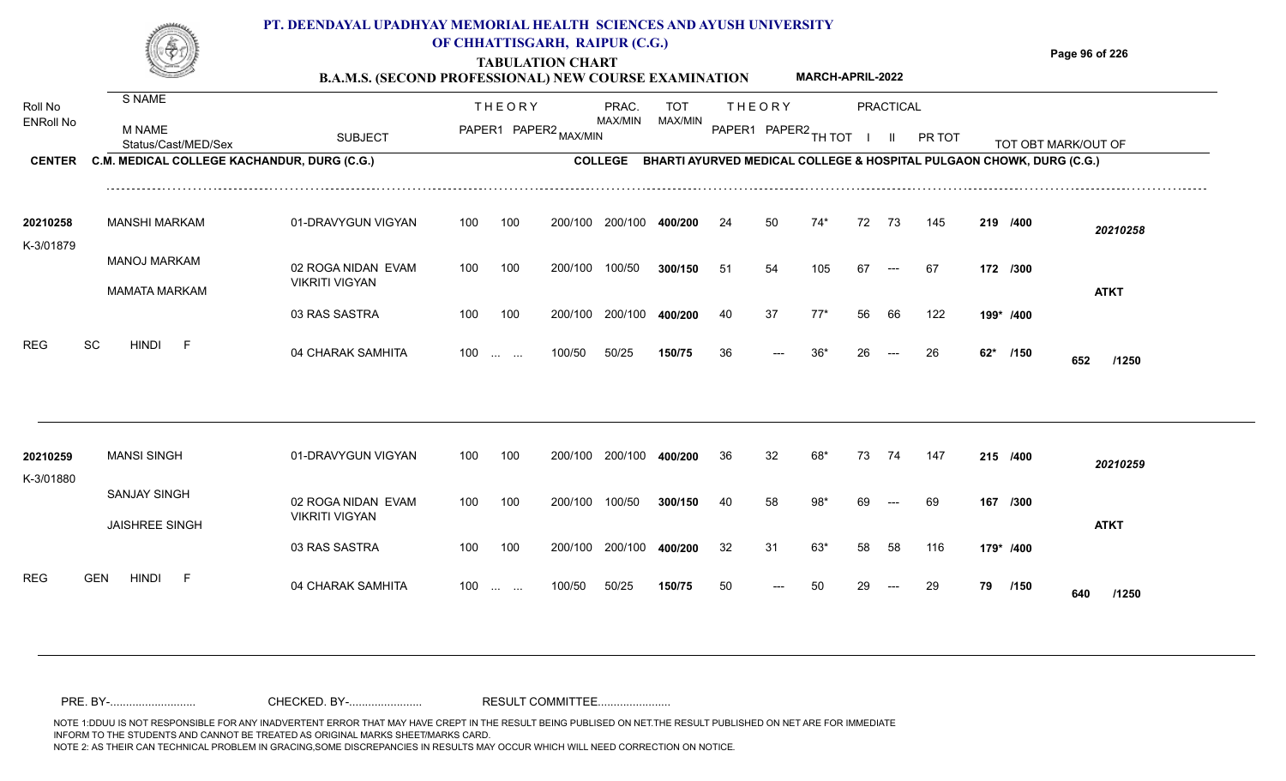

# **TABULATION CHART**

**Page 96 of 226**

**B.A.M.S. (SECOND PROFESSIONAL) NEW COURSE EXAMINATION MARCH-APRIL-2022**

| Roll No               | S NAME                                       |                                             |                   | <b>THEORY</b> |                       | PRAC.          | <b>TOT</b>                                                           |    | <b>THEORY</b>        |       |              | PRACTICAL                 |        |    |           |                     |  |
|-----------------------|----------------------------------------------|---------------------------------------------|-------------------|---------------|-----------------------|----------------|----------------------------------------------------------------------|----|----------------------|-------|--------------|---------------------------|--------|----|-----------|---------------------|--|
| <b>ENRoll No</b>      | M NAME<br>Status/Cast/MED/Sex                | <b>SUBJECT</b>                              |                   |               | PAPER1 PAPER2 MAX/MIN | MAX/MIN        | MAX/MIN                                                              |    | PAPER1 PAPER2 TH TOT |       | $\mathbf{I}$ | - II                      | PR TOT |    |           | TOT OBT MARK/OUT OF |  |
| <b>CENTER</b>         | C.M. MEDICAL COLLEGE KACHANDUR, DURG (C.G.)  |                                             |                   |               |                       | <b>COLLEGE</b> | BHARTI AYURVED MEDICAL COLLEGE & HOSPITAL PULGAON CHOWK, DURG (C.G.) |    |                      |       |              |                           |        |    |           |                     |  |
| 20210258<br>K-3/01879 | <b>MANSHI MARKAM</b>                         | 01-DRAVYGUN VIGYAN                          | 100               | 100           | 200/100               | 200/100        | 400/200                                                              | 24 | 50                   | 74*   | 72           | 73                        | 145    |    | 219 /400  | 20210258            |  |
| SC                    | <b>MANOJ MARKAM</b><br><b>MAMATA MARKAM</b>  | 02 ROGA NIDAN EVAM<br><b>VIKRITI VIGYAN</b> | 100               | 100           | 200/100               | 100/50         | 300/150                                                              | 51 | 54                   | 105   | 67           | $---$                     | -67    |    | 172 /300  | <b>ATKT</b>         |  |
|                       |                                              | 03 RAS SASTRA                               | 100               | 100           | 200/100               | 200/100        | 400/200                                                              | 40 | 37                   | $77*$ | 56           | 66                        | 122    |    | 199* /400 |                     |  |
| <b>REG</b>            | <b>HINDI</b><br>-F                           | 04 CHARAK SAMHITA                           | $100 \dots \dots$ |               | 100/50                | 50/25          | 150/75                                                               | 36 | $---$                | $36*$ | 26           | $\qquad \qquad -\qquad -$ | 26     |    | 62* /150  | 652<br>/1250        |  |
|                       |                                              |                                             |                   |               |                       |                |                                                                      |    |                      |       |              |                           |        |    |           |                     |  |
| 20210259<br>K-3/01880 | <b>MANSI SINGH</b>                           | 01-DRAVYGUN VIGYAN                          | 100               | 100           | 200/100               | 200/100        | 400/200                                                              | 36 | 32                   | 68*   | 73           | 74                        | 147    |    | 215 /400  | 20210259            |  |
|                       | <b>SANJAY SINGH</b><br><b>JAISHREE SINGH</b> | 02 ROGA NIDAN EVAM<br><b>VIKRITI VIGYAN</b> | 100               | 100           | 200/100               | 100/50         | 300/150                                                              | 40 | 58                   | 98*   | 69           | $---$                     | 69     |    | 167 /300  | <b>ATKT</b>         |  |
|                       |                                              | 03 RAS SASTRA                               | 100               | 100           | 200/100               | 200/100        | 400/200                                                              | 32 | 31                   | 63*   | 58           | 58                        | 116    |    | 179* /400 |                     |  |
| <b>REG</b>            | <b>GEN</b><br><b>HINDI</b><br>-F             | 04 CHARAK SAMHITA                           | $100$             |               | 100/50                | 50/25          | 150/75                                                               | 50 | $---$                | 50    | 29           | $---$                     | 29     | 79 | /150      | 640<br>/1250        |  |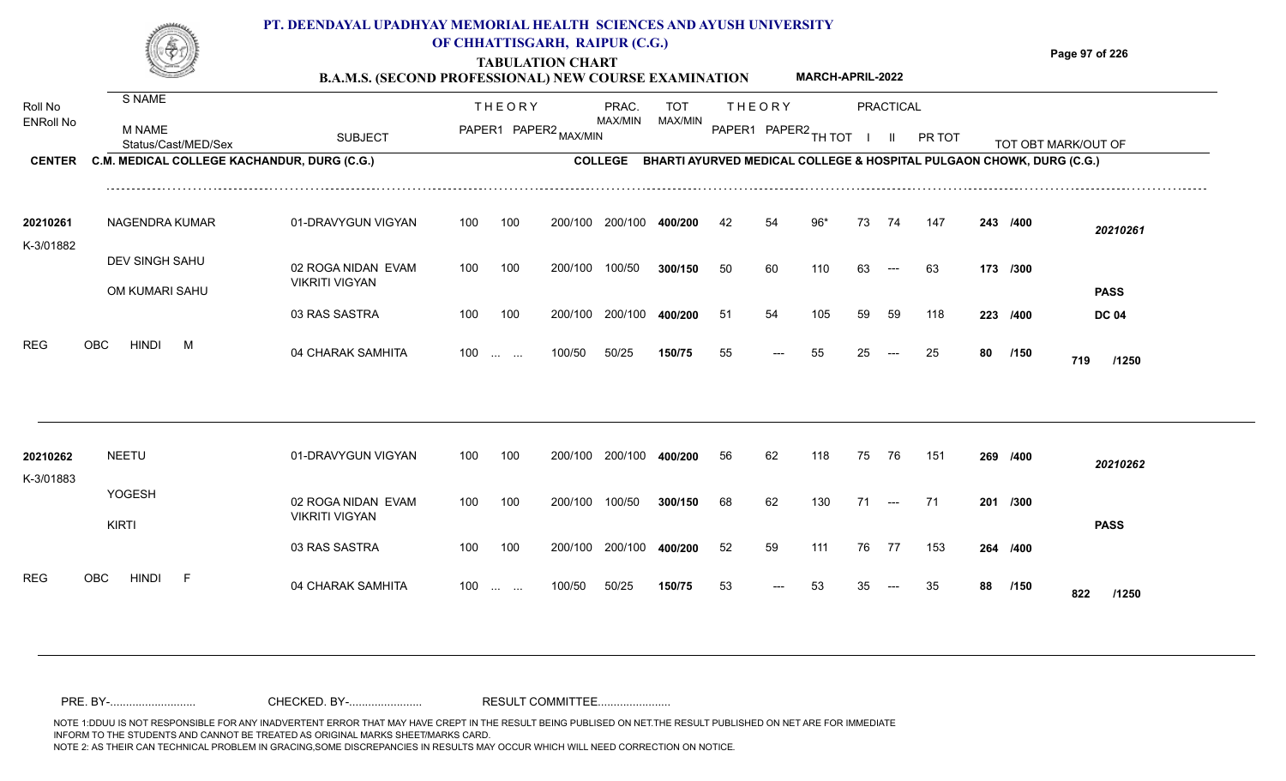**TABULATION CHART**

**Page 97 of 226**

|                             |                                             | <b>B.A.M.S. (SECOND PROFESSIONAL) NEW COURSE EXAMINATION</b> |     |                                                |         |                  |                                                                      |                      |               | MARCH-APRIL-2022 |    |                      |        |    |          |                     |
|-----------------------------|---------------------------------------------|--------------------------------------------------------------|-----|------------------------------------------------|---------|------------------|----------------------------------------------------------------------|----------------------|---------------|------------------|----|----------------------|--------|----|----------|---------------------|
| Roll No<br><b>ENRoll No</b> | S NAME<br>M NAME                            |                                                              |     | <b>THEORY</b>                                  |         | PRAC.<br>MAX/MIN | TOT<br>MAX/MIN                                                       |                      | <b>THEORY</b> |                  |    | PRACTICAL            |        |    |          |                     |
|                             | Status/Cast/MED/Sex                         | <b>SUBJECT</b>                                               |     | PAPER1 PAPER2 MAX/MIN                          |         |                  |                                                                      | PAPER1 PAPER2 TH TOT |               |                  |    | - 11                 | PR TOT |    |          | TOT OBT MARK/OUT OF |
| <b>CENTER</b>               | C.M. MEDICAL COLLEGE KACHANDUR, DURG (C.G.) |                                                              |     |                                                |         | <b>COLLEGE</b>   | BHARTI AYURVED MEDICAL COLLEGE & HOSPITAL PULGAON CHOWK, DURG (C.G.) |                      |               |                  |    |                      |        |    |          |                     |
| 20210261<br>K-3/01882       | NAGENDRA KUMAR                              | 01-DRAVYGUN VIGYAN                                           | 100 | 100                                            | 200/100 | 200/100          | 400/200                                                              | 42                   | 54            | $96*$            | 73 | 74                   | 147    |    | 243 /400 | 20210261            |
|                             | DEV SINGH SAHU<br>OM KUMARI SAHU            | 02 ROGA NIDAN EVAM<br><b>VIKRITI VIGYAN</b>                  | 100 | 100                                            | 200/100 | 100/50           | 300/150                                                              | 50                   | 60            | 110              | 63 | $---$                | 63     |    | 173 /300 | <b>PASS</b>         |
|                             |                                             | 03 RAS SASTRA                                                | 100 | 100                                            | 200/100 | 200/100          | 400/200                                                              | 51                   | 54            | 105              | 59 | 59                   | 118    |    | 223 /400 | <b>DC 04</b>        |
| REG                         | <b>OBC</b><br><b>HINDI</b><br>M             | 04 CHARAK SAMHITA                                            | 100 | $\mathbf{1}$ and $\mathbf{1}$ and $\mathbf{1}$ | 100/50  | 50/25            | 150/75                                                               | 55                   | $---$         | 55               | 25 | $---$                | 25     | 80 | /150     | 719<br>/1250        |
| 20210262                    | <b>NEETU</b>                                | 01-DRAVYGUN VIGYAN                                           | 100 | 100                                            | 200/100 | 200/100          | 400/200                                                              | 56                   | 62            | 118              | 75 | 76                   | 151    |    | 269 /400 |                     |
| K-3/01883                   | YOGESH                                      |                                                              |     |                                                |         |                  |                                                                      |                      |               |                  |    |                      |        |    |          | 20210262            |
|                             | <b>KIRTI</b>                                | 02 ROGA NIDAN EVAM<br><b>VIKRITI VIGYAN</b>                  | 100 | 100                                            | 200/100 | 100/50           | 300/150                                                              | 68                   | 62            | 130              | 71 | $\hspace{0.05cm}---$ | 71     |    | 201 /300 | <b>PASS</b>         |
|                             |                                             | 03 RAS SASTRA                                                | 100 | 100                                            | 200/100 | 200/100          | 400/200                                                              | 52                   | 59            | 111              | 76 | 77                   | 153    |    | 264 /400 |                     |
| <b>REG</b>                  | <b>OBC</b><br><b>HINDI</b><br>-F            | 04 CHARAK SAMHITA                                            | 100 | $\sim 10^{-1}$ and $\sim 10^{-1}$              | 100/50  | 50/25            | 150/75                                                               | 53                   | $---$         | 53               | 35 | $---$                | 35     | 88 | /150     | 822<br>/1250        |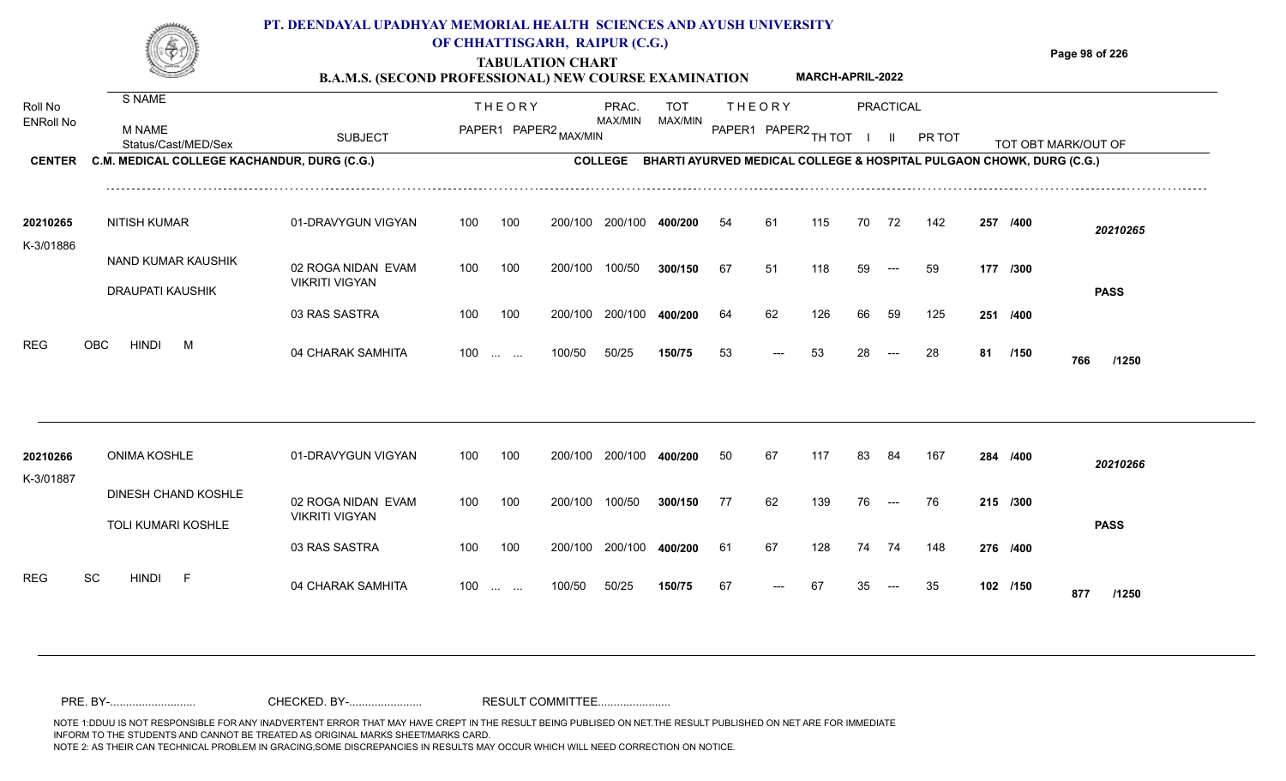### **TABULATION CHART Page 98 of 226 B.A.M.S. (SECOND PROFESSIONAL) NEW COURSE EXAMINATION PT. DEENDAYAL UPADHYAY MEMORIAL HEALTH SCIENCES AND AYUSH UNIVERSITY OF CHHATTISGARH, RAIPUR (C.G.) MARCH-APRIL-2022**

| Roll No               | S NAME                                           |                                             |     | <b>THEORY</b>                                  |                       | PRAC.           | <b>TOT</b>                                                                   |    | <b>THEORY</b> |                      |    | PRACTICAL                |               |     |          |                     |  |
|-----------------------|--------------------------------------------------|---------------------------------------------|-----|------------------------------------------------|-----------------------|-----------------|------------------------------------------------------------------------------|----|---------------|----------------------|----|--------------------------|---------------|-----|----------|---------------------|--|
| <b>ENRoll No</b>      | <b>M NAME</b><br>Status/Cast/MED/Sex             | <b>SUBJECT</b>                              |     |                                                | PAPER1 PAPER2 MAX/MIN | MAX/MIN         | MAX/MIN                                                                      |    |               | PAPER1 PAPER2 TH TOT |    | $\mathbf{I}$             | <b>PR TOT</b> |     |          | TOT OBT MARK/OUT OF |  |
| <b>CENTER</b>         | C.M. MEDICAL COLLEGE KACHANDUR, DURG (C.G.)      |                                             |     |                                                |                       |                 | COLLEGE BHARTI AYURVED MEDICAL COLLEGE & HOSPITAL PULGAON CHOWK, DURG (C.G.) |    |               |                      |    |                          |               |     |          |                     |  |
| 20210265<br>K-3/01886 | <b>NITISH KUMAR</b>                              | 01-DRAVYGUN VIGYAN                          | 100 | 100                                            | 200/100               | 200/100         | 400/200                                                                      | 54 | 61            | 115                  | 70 | 72                       | 142           | 257 | /400     | 20210265            |  |
|                       | NAND KUMAR KAUSHIK<br>DRAUPATI KAUSHIK           | 02 ROGA NIDAN EVAM<br><b>VIKRITI VIGYAN</b> | 100 | 100                                            | 200/100               | 100/50          | 300/150                                                                      | 67 | 51            | 118                  | 59 | $---$                    | 59            |     | 177 /300 | <b>PASS</b>         |  |
|                       |                                                  | 03 RAS SASTRA                               | 100 | 100                                            | 200/100               | 200/100         | 400/200                                                                      | 64 | 62            | 126                  | 66 | 59                       | 125           |     | 251 /400 |                     |  |
| <b>REG</b>            | <b>HINDI</b><br><b>OBC</b><br>M                  | 04 CHARAK SAMHITA                           |     | $100$                                          | 100/50                | 50/25           | 150/75                                                                       | 53 | $---$         | 53                   | 28 | $---$                    | 28            | 81  | /150     | 766<br>/1250        |  |
|                       |                                                  |                                             |     |                                                |                       |                 |                                                                              |    |               |                      |    |                          |               |     |          |                     |  |
| 20210266<br>K-3/01887 | <b>ONIMA KOSHLE</b>                              | 01-DRAVYGUN VIGYAN                          | 100 | 100                                            |                       | 200/100 200/100 | 400/200                                                                      | 50 | 67            | 117                  | 83 | 84                       | 167           |     | 284 /400 | 20210266            |  |
|                       | DINESH CHAND KOSHLE<br><b>TOLI KUMARI KOSHLE</b> | 02 ROGA NIDAN EVAM<br><b>VIKRITI VIGYAN</b> | 100 | 100                                            | 200/100               | 100/50          | 300/150                                                                      | 77 | 62            | 139                  | 76 | $\hspace{0.05cm} \ldots$ | 76            |     | 215 /300 | <b>PASS</b>         |  |
|                       |                                                  | 03 RAS SASTRA                               | 100 | 100                                            | 200/100               | 200/100         | 400/200                                                                      | 61 | 67            | 128                  | 74 | 74                       | 148           |     | 276 /400 |                     |  |
| <b>REG</b>            | SC<br><b>HINDI</b><br>-F                         | 04 CHARAK SAMHITA                           | 100 | $\mathbf{r}$ and $\mathbf{r}$ and $\mathbf{r}$ | 100/50                | 50/25           | 150/75                                                                       | 67 |               | 67                   | 35 |                          | 35            |     | 102 /150 | 877<br>/1250        |  |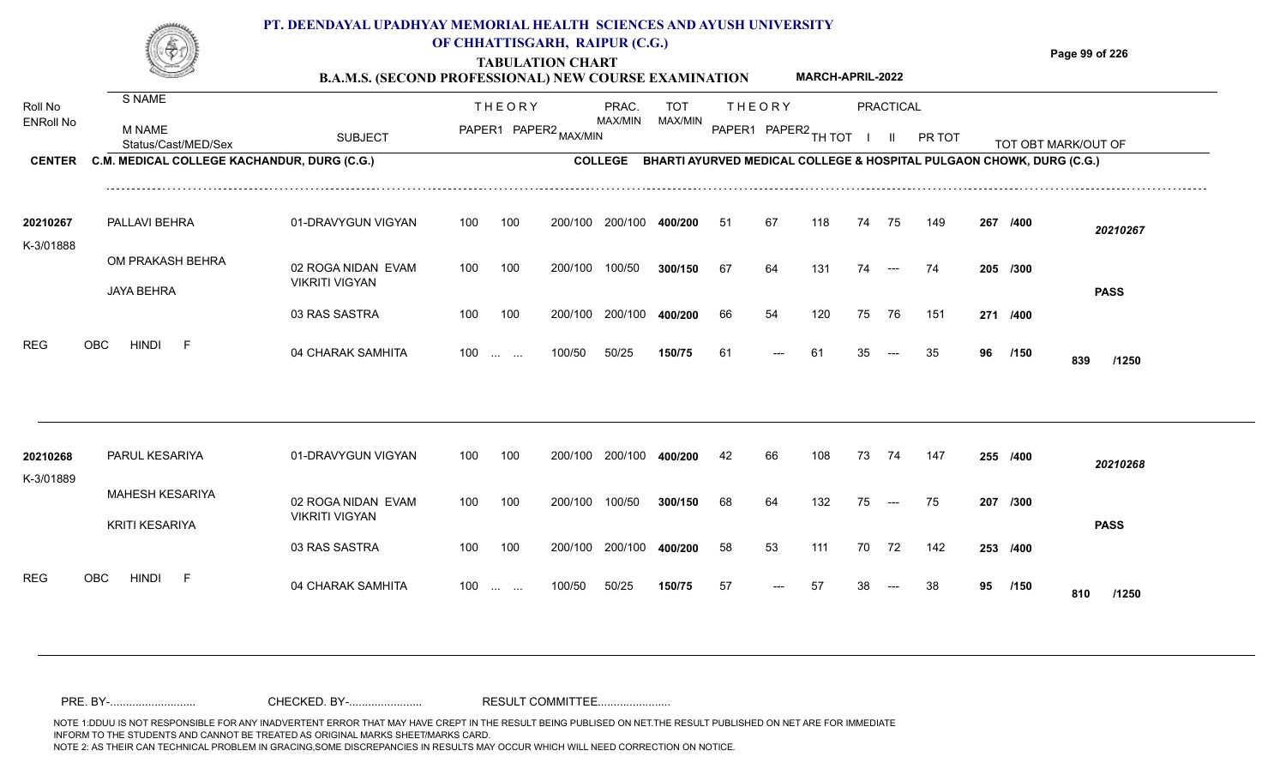#### **TABULATION CHART Page 99 of 226 B.A.M.S. (SECOND PROFESSIONAL) NEW COURSE EXAMINATION PT. DEENDAYAL UPADHYAY MEMORIAL HEALTH SCIENCES AND AYUSH UNIVERSITY OF CHHATTISGARH, RAIPUR (C.G.) MARCH-APRIL-2022**

| Roll No<br><b>ENRoll No</b><br><b>CENTER</b> | S NAME                                          |                                             |                   | <b>THEORY</b>         |         | PRAC.          | TOT     |     | <b>THEORY</b>        |     |    | <b>PRACTICAL</b>     |                                                                      |    |          |                     |
|----------------------------------------------|-------------------------------------------------|---------------------------------------------|-------------------|-----------------------|---------|----------------|---------|-----|----------------------|-----|----|----------------------|----------------------------------------------------------------------|----|----------|---------------------|
|                                              | M NAME<br>Status/Cast/MED/Sex                   | <b>SUBJECT</b>                              |                   | PAPER1 PAPER2 MAX/MIN |         | MAX/MIN        | MAX/MIN |     | PAPER1 PAPER2 TH TOT |     |    |                      | PR TOT                                                               |    |          | TOT OBT MARK/OUT OF |
|                                              | C.M. MEDICAL COLLEGE KACHANDUR, DURG (C.G.)     |                                             |                   |                       |         | <b>COLLEGE</b> |         |     |                      |     |    |                      | BHARTI AYURVED MEDICAL COLLEGE & HOSPITAL PULGAON CHOWK, DURG (C.G.) |    |          |                     |
| 20210267                                     | PALLAVI BEHRA                                   | 01-DRAVYGUN VIGYAN                          | 100               | 100                   | 200/100 | 200/100        | 400/200 | -51 | 67                   | 118 | 74 | 75                   | 149                                                                  |    | 267 /400 | 20210267            |
| K-3/01888                                    | OM PRAKASH BEHRA<br><b>JAYA BEHRA</b>           | 02 ROGA NIDAN EVAM<br><b>VIKRITI VIGYAN</b> | 100               | 100                   | 200/100 | 100/50         | 300/150 | 67  | 64                   | 131 | 74 | $---$                | 74                                                                   |    | 205 /300 | <b>PASS</b>         |
|                                              |                                                 | 03 RAS SASTRA                               | 100               | 100                   | 200/100 | 200/100        | 400/200 | 66  | 54                   | 120 | 75 | 76                   | 151                                                                  |    | 271 /400 |                     |
| <b>REG</b>                                   | <b>HINDI</b><br>OBC<br>$-F$                     | 04 CHARAK SAMHITA                           | $100 \dots \dots$ |                       | 100/50  | 50/25          | 150/75  | 61  |                      | 61  | 35 |                      | 35                                                                   | 96 | /150     | 839<br>/1250        |
|                                              |                                                 |                                             |                   |                       |         |                |         |     |                      |     |    |                      |                                                                      |    |          |                     |
| 20210268                                     | PARUL KESARIYA                                  | 01-DRAVYGUN VIGYAN                          | 100               | 100                   | 200/100 | 200/100        | 400/200 | 42  | 66                   | 108 | 73 | 74                   | 147                                                                  |    | 255 /400 | 20210268            |
| K-3/01889                                    | <b>MAHESH KESARIYA</b><br><b>KRITI KESARIYA</b> | 02 ROGA NIDAN EVAM<br><b>VIKRITI VIGYAN</b> | 100               | 100                   | 200/100 | 100/50         | 300/150 | 68  | 64                   | 132 | 75 | $\hspace{0.05cm}---$ | 75                                                                   |    | 207 /300 | <b>PASS</b>         |
|                                              |                                                 | 03 RAS SASTRA                               | 100               | 100                   | 200/100 | 200/100        | 400/200 | 58  | 53                   | 111 | 70 | 72                   | 142                                                                  |    | 253 /400 |                     |
| <b>REG</b>                                   | <b>HINDI</b><br><b>OBC</b><br>- F               | 04 CHARAK SAMHITA                           | $100 \dots \dots$ |                       | 100/50  | 50/25          | 150/75  | 57  |                      | 57  |    |                      | 38                                                                   | 95 | /150     | 810<br>/1250        |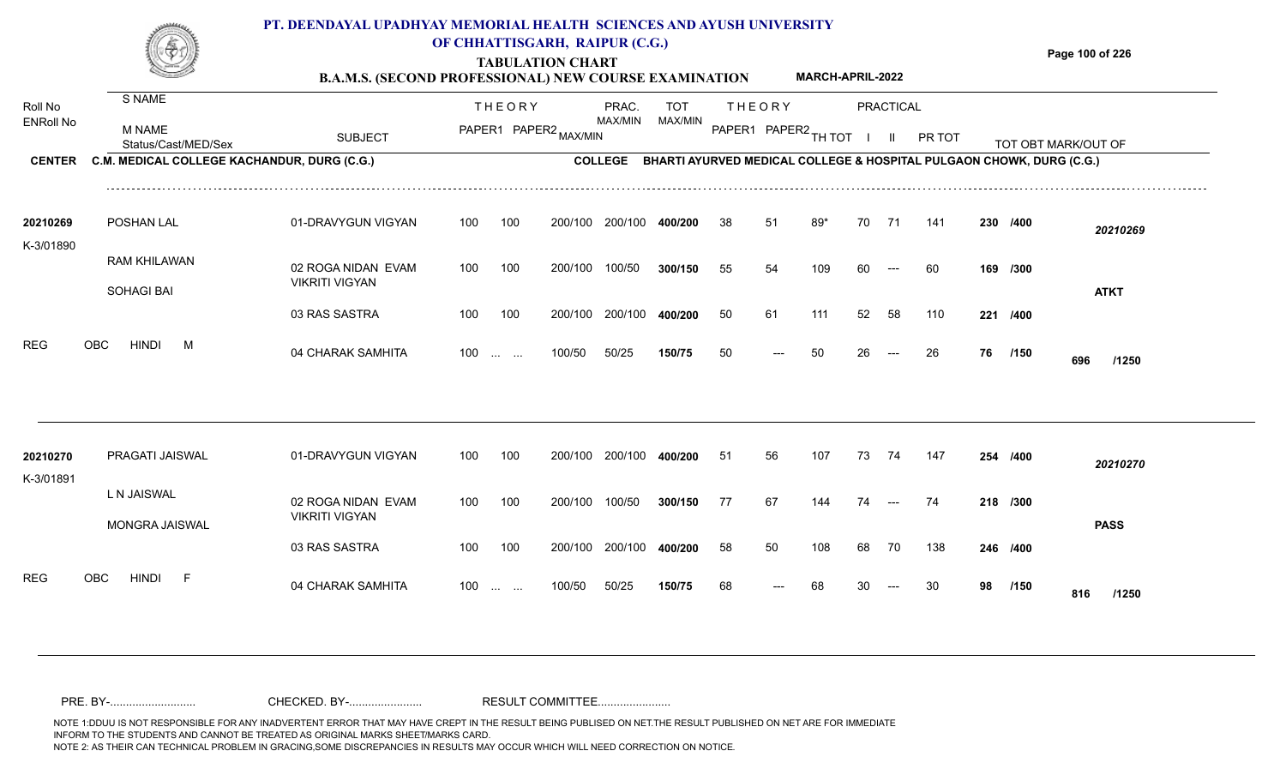|                             |                                                | PT. DEENDAYAL UPADHYAY MEMORIAL HEALTH SCIENCES AND AYUSH UNIVERSITY<br><b>B.A.M.S. (SECOND PROFESSIONAL) NEW COURSE EXAMINATION</b> |                   |               | OF CHHATTISGARH, RAIPUR (C.G.)<br><b>TABULATION CHART</b> |                         |                |     |               | <b>MARCH-APRIL-2022</b> |     |           |                                                                              |    |          | Page 100 of 226     |
|-----------------------------|------------------------------------------------|--------------------------------------------------------------------------------------------------------------------------------------|-------------------|---------------|-----------------------------------------------------------|-------------------------|----------------|-----|---------------|-------------------------|-----|-----------|------------------------------------------------------------------------------|----|----------|---------------------|
| Roll No<br><b>ENRoll No</b> | S NAME<br><b>M NAME</b><br>Status/Cast/MED/Sex | <b>SUBJECT</b>                                                                                                                       |                   | <b>THEORY</b> | PAPER1 PAPER2 MAX/MIN                                     | PRAC.<br><b>MAX/MIN</b> | TOT<br>MAX/MIN |     | <b>THEORY</b> | PAPER1 PAPER2 TH TOT    |     | PRACTICAL | PR TOT                                                                       |    |          | TOT OBT MARK/OUT OF |
| <b>CENTER</b>               | C.M. MEDICAL COLLEGE KACHANDUR, DURG (C.G.)    |                                                                                                                                      |                   |               |                                                           |                         |                |     |               |                         |     |           | COLLEGE BHARTI AYURVED MEDICAL COLLEGE & HOSPITAL PULGAON CHOWK, DURG (C.G.) |    |          |                     |
| 20210269<br>K-3/01890       | POSHAN LAL                                     | 01-DRAVYGUN VIGYAN                                                                                                                   | 100               | 100           | 200/100                                                   | 200/100                 | 400/200        | -38 | -51           | 89*                     | 70  | 71        | 141                                                                          |    | 230 /400 | 20210269            |
|                             | <b>RAM KHILAWAN</b><br><b>SOHAGI BAI</b>       | 02 ROGA NIDAN EVAM<br><b>VIKRITI VIGYAN</b>                                                                                          | 100               | 100           | 200/100                                                   | 100/50                  | 300/150        | 55  | 54            | 109                     | 60. |           | -60                                                                          |    | 169 /300 | <b>ATKT</b>         |
|                             |                                                | 03 RAS SASTRA                                                                                                                        | 100               | 100           | 200/100                                                   | 200/100                 | 400/200        | 50  | 61            | 111                     | 52  | 58        | 110                                                                          |    | 221 /400 |                     |
| <b>REG</b>                  | <b>OBC</b><br><b>HINDI</b><br>M                | 04 CHARAK SAMHITA                                                                                                                    | $100 \dots \dots$ |               | 100/50                                                    | 50/25                   | 150/75         | 50  | ---           | 50                      | 26  | $---$     | 26                                                                           | 76 | /150     | 696<br>/1250        |
|                             |                                                |                                                                                                                                      |                   |               |                                                           |                         |                |     |               |                         |     |           |                                                                              |    |          |                     |

| 20210270   | PRAGATI JAISWAL           | 01-DRAVYGUN VIGYAN    | 100               | 100 | 200/100         | 200/100 | 400/200 | 51 | 56                   | 107 | 73 | 74    | 147 | 254 /400 |      | 20210270     |
|------------|---------------------------|-----------------------|-------------------|-----|-----------------|---------|---------|----|----------------------|-----|----|-------|-----|----------|------|--------------|
| K-3/01891  |                           |                       |                   |     |                 |         |         |    |                      |     |    |       |     |          |      |              |
|            | L N JAISWAL               | 02 ROGA NIDAN EVAM    | 100               | 100 | 200/100         | 100/50  | 300/150 | 77 | 67                   | 144 | 74 | $---$ | 74  | 218 /300 |      |              |
|            |                           | <b>VIKRITI VIGYAN</b> |                   |     |                 |         |         |    |                      |     |    |       |     |          |      | <b>PASS</b>  |
|            | MONGRA JAISWAL            | 03 RAS SASTRA         | 100               | 100 | 200/100 200/100 |         | 400/200 | 58 | 50                   | 108 | 68 | 70    | 138 | 246 /400 |      |              |
| <b>REG</b> | HINDI<br>OBC.<br><b>E</b> | 04 CHARAK SAMHITA     | $100 \dots \dots$ |     | 100/50          | 50/25   | 150/75  | 68 | $\hspace{0.05cm}---$ | 68  | 30 | $---$ | 30  | 98       | /150 | 816<br>/1250 |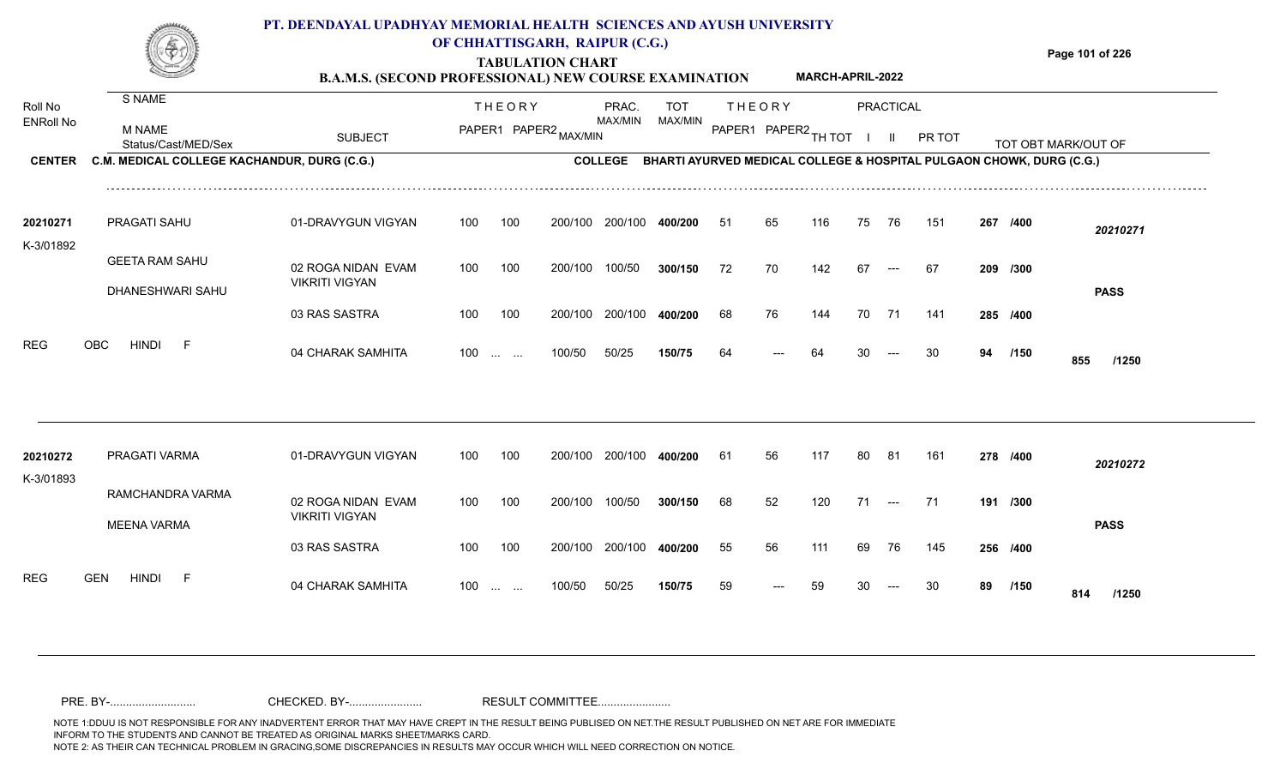#### **TABULATION CHART Page 101 of 226 B.A.M.S. (SECOND PROFESSIONAL) NEW COURSE EXAMINATION**  Roll No ENRoll No MAX/MIN MAX/MIN MAX/MIN MAX/MIN ANG THIOT I II PRITOT TOT OBTIMARK/OUT OF SUBJECT PAPER2 <sub>MAX/MIN</sub> MAX/MIN PAPER1 PAPER2 <sub>TH</sub>IOT I II PRITOT TOT OBTIMARK/OUT OF **PRACTICAL CENTER C.M. MEDICAL COLLEGE KACHANDUR, DURG (C.G.)** THEORY PRAC. TOT PAPER1 PAPER2 MAX/MIN PAPER PRAC. THEORY S NAME M NAME **PT. DEENDAYAL UPADHYAY MEMORIAL HEALTH SCIENCES AND AYUSH UNIVERSITY OF CHHATTISGARH, RAIPUR (C.G.) COLLEGE BHARTI AYURVED MEDICAL COLLEGE & HOSPITAL PULGAON CHOWK, DURG (C.G.) MARCH-APRIL-2022** 01-DRAVYGUN VIGYAN 100 100 100 100 200/100 200/100 400/200 200/100 **400/200 /400** *20210271* PRAGATI SAHU **20210271** K-3/01892 51 65 116 75 76 151 **267**

| 20210272  | PRAGATI VARMA                          | 01-DRAVYGUN VIGYAN                          | 100               | 100 | 200/100 | 200/100 | 400/200 | 61 | 56    | 117 | 80 | - 81                  | 161 | 278 /400 |      | 20210272     |
|-----------|----------------------------------------|---------------------------------------------|-------------------|-----|---------|---------|---------|----|-------|-----|----|-----------------------|-----|----------|------|--------------|
| K-3/01893 | RAMCHANDRA VARMA<br><b>MEENA VARMA</b> | 02 ROGA NIDAN EVAM<br><b>VIKRITI VIGYAN</b> | 100               | 100 | 200/100 | 100/50  | 300/150 | 68 | 52    | 120 | 71 | $\qquad \qquad - - -$ | 71  | 191 /300 |      | <b>PASS</b>  |
|           |                                        | 03 RAS SASTRA                               | 100               | 100 | 200/100 | 200/100 | 400/200 | 55 | 56    | 111 | 69 | 76                    | 145 | 256 /400 |      |              |
| REG       | <b>GEN</b><br><b>HINDI</b><br>-F       | 04 CHARAK SAMHITA                           | $100 \dots \dots$ |     | 100/50  | 50/25   | 150/75  | 59 | $---$ | 59  | 30 | $---$                 | 30  | 89       | /150 | 814<br>/1250 |

200/100

100 200/100 100/50 300/150 72

200/100

100/50

04 CHARAK SAMHITA 100 … … 100/50 50/25 **150/75 64 --- 64 30 --- 30 94 /150 855 /1250** 

---

**/300** 72 70 142 67 67 **209**

**/400** 68 76 144 70 71 141 **285**

<sup>64</sup> <sup>64</sup> <sup>30</sup> <sup>30</sup> **<sup>94</sup> <sup>855</sup>**

**/150**

**PASS**

100/50 **300/150**

200/100 **400/200**

50/25 **150/75**

100 ... ... 100/50 50/25 1**50/75** 64 --- 64 30

02 ROGA NIDAN EVAM

03 RAS SASTRA

VIKRITI VIGYAN

GEETA RAM SAHU

DHANESHWARI SAHU

REG OBC HINDI F 04 CHARAK SAMHITA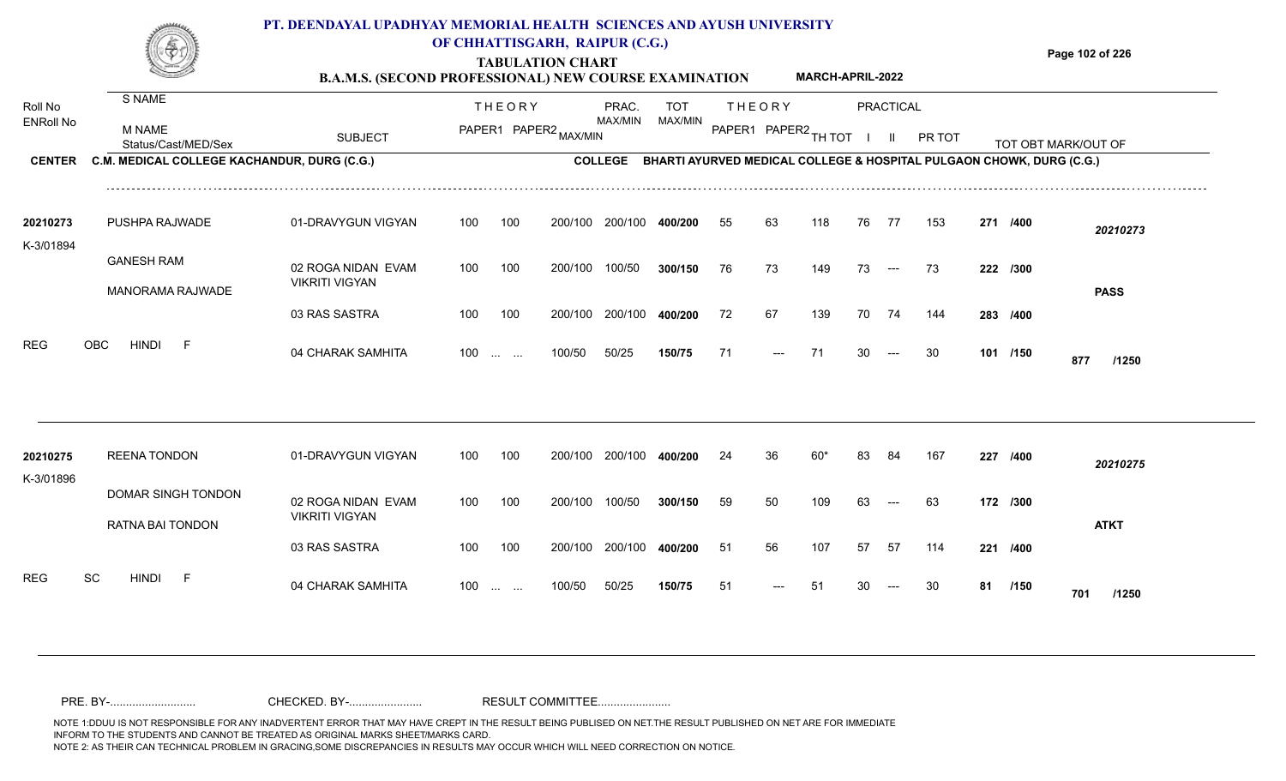|                       |                                             | PT. DEENDAYAL UPADHYAY MEMORIAL HEALTH SCIENCES AND AYUSH UNIVERSITY<br><b>B.A.M.S. (SECOND PROFESSIONAL) NEW COURSE EXAMINATION</b> | OF CHHATTISGARH, RAIPUR (C.G.) |               | <b>TABULATION CHART</b> |                |            |        |         | <b>MARCH-APRIL-2022</b> |    |           |        |                                                                      | Page 102 of 226     |
|-----------------------|---------------------------------------------|--------------------------------------------------------------------------------------------------------------------------------------|--------------------------------|---------------|-------------------------|----------------|------------|--------|---------|-------------------------|----|-----------|--------|----------------------------------------------------------------------|---------------------|
| Roll No               | S NAME                                      |                                                                                                                                      |                                | <b>THEORY</b> |                         | PRAC.          | <b>TOT</b> |        | THEORY  |                         |    | PRACTICAL |        |                                                                      |                     |
| <b>ENRoll No</b>      | M NAME<br>Status/Cast/MED/Sex               | <b>SUBJECT</b>                                                                                                                       |                                | PAPER1 PAPER2 |                         | MAX/MIN        | MAX/MIN    | PAPER1 | PAPER2. |                         |    |           | PR TOT |                                                                      | TOT OBT MARK/OUT OF |
| <b>CENTER</b>         | C.M. MEDICAL COLLEGE KACHANDUR, DURG (C.G.) |                                                                                                                                      |                                |               |                         | <b>COLLEGE</b> |            |        |         |                         |    |           |        | BHARTI AYURVED MEDICAL COLLEGE & HOSPITAL PULGAON CHOWK, DURG (C.G.) |                     |
| 20210273<br>K-3/01894 | PUSHPA RAJWADE                              | 01-DRAVYGUN VIGYAN                                                                                                                   | 100                            | 100           | 200/100                 | 200/100        | 400/200    | 55     | 63      | 118                     | 76 | - 77      | 153    | 271 /400                                                             | 20210273            |
|                       | <b>GANESH RAM</b><br>MANORAMA RAJWADE       | 02 ROGA NIDAN EVAM<br><b>VIKRITI VIGYAN</b>                                                                                          | 100                            | 100           | 200/100                 | 100/50         | 300/150    | 76     | 73      | 149                     | 73 | $---$     | 73     | 222 /300                                                             | <b>PASS</b>         |
|                       |                                             | 03 RAS SASTRA                                                                                                                        | 100                            | 100           | 200/100                 | 200/100        | 400/200    | 72     | 67      | 139                     | 70 | 74        | 144    | 283 /400                                                             |                     |

100/50 50/25 **150/75**

100 ... ... 100/50 50/25 150/75 71 --- 71 30

04 CHARAK SAMHITA 100 … … 100/50 50/25 **150/75 71 --- 71 30 --- 30 101 /150 877 /1250** 

**/150**

<sup>71</sup> <sup>71</sup> <sup>30</sup> <sup>30</sup> **<sup>101</sup> <sup>877</sup>**

| 20210275<br>K-3/01896 | <b>REENA TONDON</b>      | 01-DRAVYGUN VIGYAN                     | 100 | 100                                            | 200/100 | 200/100 | 400/200 | 24  | 36    | 60* | 83 | 84    | 167 | 227      | /400        | 20210275    |
|-----------------------|--------------------------|----------------------------------------|-----|------------------------------------------------|---------|---------|---------|-----|-------|-----|----|-------|-----|----------|-------------|-------------|
|                       | DOMAR SINGH TONDON       | 02 ROGA NIDAN EVAM                     | 100 | 100                                            | 200/100 | 100/50  | 300/150 | 59  | 50    | 109 | 63 | $---$ | 63  | 172 /300 |             |             |
|                       | RATNA BAI TONDON         | <b>VIKRITI VIGYAN</b><br>03 RAS SASTRA | 100 | 100                                            | 200/100 | 200/100 | 400/200 | -51 | 56    | 107 | 57 | -57   | 114 | 221      | /400        | <b>ATKT</b> |
| <b>REG</b>            | SC<br><b>HINDI</b><br>F. | 04 CHARAK SAMHITA                      | 100 | $\mathbf{r}$ and $\mathbf{r}$ and $\mathbf{r}$ | 100/50  | 50/25   | 150/75  | 51  | $---$ | -51 | 30 | $--$  | 30  | 81       | /150<br>701 | /1250       |

REG OBC HINDI F 04 CHARAK SAMHITA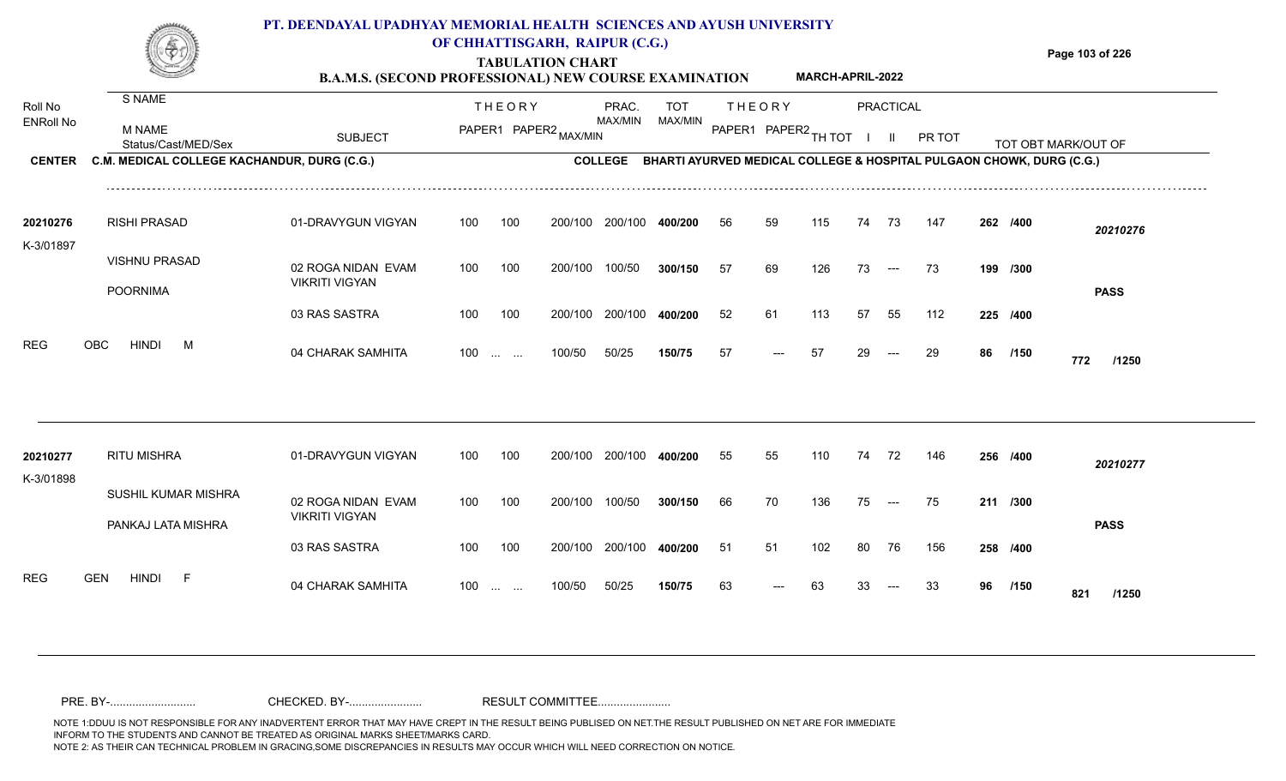#### **TABULATION CHART Page 103 of 226 B.A.M.S. (SECOND PROFESSIONAL) NEW COURSE EXAMINATION PRACTICAL** THEORY PRAC. TOT PRAC. THEORY S NAME **PT. DEENDAYAL UPADHYAY MEMORIAL HEALTH SCIENCES AND AYUSH UNIVERSITY OF CHHATTISGARH, RAIPUR (C.G.) MARCH-APRIL-2022**

| <b>ENRoll No</b>      | <b>M NAME</b><br>Status/Cast/MED/Sex        | <b>SUBJECT</b>                              |     |                   | PAPER1 PAPER2 MAX/MIN | MAX/MIN         | MAX/MIN                                                                      |    |       | PAPER1 PAPER2 TH TOT |    |                          | PR TOT |    |          | TOT OBT MARK/OUT OF |
|-----------------------|---------------------------------------------|---------------------------------------------|-----|-------------------|-----------------------|-----------------|------------------------------------------------------------------------------|----|-------|----------------------|----|--------------------------|--------|----|----------|---------------------|
| <b>CENTER</b>         | C.M. MEDICAL COLLEGE KACHANDUR, DURG (C.G.) |                                             |     |                   |                       |                 | COLLEGE BHARTI AYURVED MEDICAL COLLEGE & HOSPITAL PULGAON CHOWK, DURG (C.G.) |    |       |                      |    |                          |        |    |          |                     |
| 20210276<br>K-3/01897 | <b>RISHI PRASAD</b>                         | 01-DRAVYGUN VIGYAN                          | 100 | 100               |                       | 200/100 200/100 | 400/200                                                                      | 56 | 59    | 115                  | 74 | 73                       | 147    |    | 262 /400 | 20210276            |
|                       | <b>VISHNU PRASAD</b><br><b>POORNIMA</b>     | 02 ROGA NIDAN EVAM<br><b>VIKRITI VIGYAN</b> | 100 | 100               | 200/100               | 100/50          | 300/150                                                                      | 57 | 69    | 126                  | 73 | $\hspace{0.05cm} \ldots$ | 73     |    | 199 /300 | <b>PASS</b>         |
|                       |                                             | 03 RAS SASTRA                               | 100 | 100               | 200/100               | 200/100         | 400/200                                                                      | 52 | 61    | 113                  | 57 | 55                       | 112    |    | 225 /400 |                     |
| <b>REG</b>            | <b>HINDI</b><br>OBC<br>M                    | 04 CHARAK SAMHITA                           |     | $100$             | 100/50                | 50/25           | 150/75                                                                       | 57 | ---   | -57                  | 29 | $---$                    | 29     | 86 | /150     | 772<br>/1250        |
| 20210277              | <b>RITU MISHRA</b>                          | 01-DRAVYGUN VIGYAN                          | 100 | 100               | 200/100               | 200/100         | 400/200                                                                      | 55 | 55    | 110                  | 74 | 72                       | 146    |    | 256 /400 | 20210277            |
| K-3/01898             | SUSHIL KUMAR MISHRA<br>PANKAJ LATA MISHRA   | 02 ROGA NIDAN EVAM<br><b>VIKRITI VIGYAN</b> | 100 | 100               | 200/100               | 100/50          | 300/150                                                                      | 66 | 70    | 136                  | 75 | $--$                     | 75     |    | 211 /300 | <b>PASS</b>         |
|                       |                                             | 03 RAS SASTRA                               | 100 | 100               | 200/100               | 200/100         | 400/200                                                                      | 51 | 51    | 102                  | 80 | 76                       | 156    |    | 258 /400 |                     |
| <b>REG</b>            | <b>GEN</b><br>HINDI<br>-F                   | 04 CHARAK SAMHITA                           |     | $100 \dots \dots$ | 100/50                | 50/25           | 150/75                                                                       | 63 | $---$ | 63                   | 33 | $\hspace{0.05cm} \ldots$ | 33     | 96 | /150     | 821<br>/1250        |

Roll No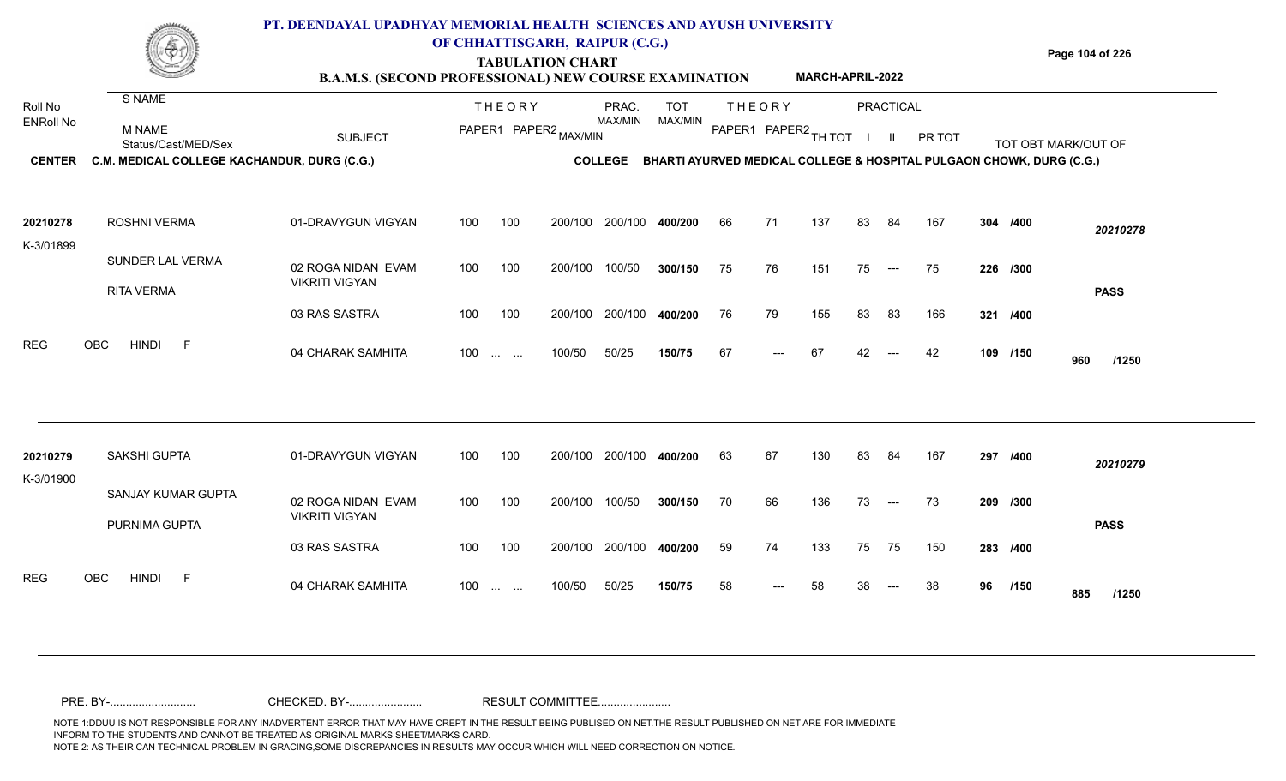|                       |                                             | PT. DEENDAYAL UPADHYAY MEMORIAL HEALTH SCIENCES AND AYUSH UNIVERSITY<br><b>B.A.M.S. (SECOND PROFESSIONAL) NEW COURSE EXAMINATION</b> | OF CHHATTISGARH, RAIPUR (C.G.) |               | <b>TABULATION CHART</b> |         |            |     |                      | <b>MARCH-APRIL-2022</b> |     |           |                                                                              |     |          | Page 104 of 226     |
|-----------------------|---------------------------------------------|--------------------------------------------------------------------------------------------------------------------------------------|--------------------------------|---------------|-------------------------|---------|------------|-----|----------------------|-------------------------|-----|-----------|------------------------------------------------------------------------------|-----|----------|---------------------|
| Roll No               | S NAME                                      |                                                                                                                                      |                                | <b>THEORY</b> |                         | PRAC.   | <b>TOT</b> |     | THEORY               |                         |     | PRACTICAL |                                                                              |     |          |                     |
| <b>ENRoll No</b>      | M NAME<br>Status/Cast/MED/Sex               | <b>SUBJECT</b>                                                                                                                       |                                |               | PAPER1 PAPER2 MAX/MIN   | MAX/MIN | MAX/MIN    |     | PAPER1 PAPER2 TH TOT |                         |     |           | PR TOT                                                                       |     |          | TOT OBT MARK/OUT OF |
| <b>CENTER</b>         | C.M. MEDICAL COLLEGE KACHANDUR, DURG (C.G.) |                                                                                                                                      |                                |               |                         |         |            |     |                      |                         |     |           | COLLEGE BHARTI AYURVED MEDICAL COLLEGE & HOSPITAL PULGAON CHOWK, DURG (C.G.) |     |          |                     |
| 20210278<br>K-3/01899 | ROSHNI VERMA                                | 01-DRAVYGUN VIGYAN                                                                                                                   | 100                            | 100           | 200/100                 | 200/100 | 400/200    | 66  | 71                   | 137                     | 83  | -84       | 167                                                                          |     | 304 /400 | 20210278            |
|                       | SUNDER LAL VERMA<br><b>RITA VERMA</b>       | 02 ROGA NIDAN EVAM<br><b>VIKRITI VIGYAN</b>                                                                                          | 100                            | 100           | 200/100                 | 100/50  | 300/150    | 75  | 76.                  | 151                     | 75  | $---$     | 75                                                                           |     | 226 /300 | <b>PASS</b>         |
|                       |                                             | 03 RAS SASTRA                                                                                                                        | 100                            | 100           | 200/100                 | 200/100 | 400/200    | 76  | 79                   | 155                     | 83. | 83        | 166                                                                          | 321 | /400     |                     |
| <b>REG</b>            | OBC<br>HINDI                                | 04 CHARAK SAMHITA                                                                                                                    | 100                            |               | 100/50                  | 50/25   | 150/75     | -67 |                      |                         |     |           |                                                                              | 109 | /150     | 960<br>/1250        |

| 20210279<br>K-3/01900    | SAKSHI GUPTA                        | 01-DRAVYGUN VIGYAN                          | 100               | 100 | 200/100 | 200/100 | 400/200 | 63 | 67   | 130 | 83  | -84   | 167 | 297      | /400        | 20210279    |
|--------------------------|-------------------------------------|---------------------------------------------|-------------------|-----|---------|---------|---------|----|------|-----|-----|-------|-----|----------|-------------|-------------|
|                          | SANJAY KUMAR GUPTA<br>PURNIMA GUPTA | 02 ROGA NIDAN EVAM<br><b>VIKRITI VIGYAN</b> | 100               | 100 | 200/100 | 100/50  | 300/150 | 70 | 66   | 136 | 73  | $---$ | -73 | 209 /300 |             | <b>PASS</b> |
|                          |                                     | 03 RAS SASTRA                               | 100               | 100 | 200/100 | 200/100 | 400/200 | 59 | 74   | 133 | 75  | 75    | 150 | 283 /400 |             |             |
| <b>REG</b><br><b>OBC</b> | <b>HINDI</b><br>$\vdash$            | 04 CHARAK SAMHITA                           | $100 \dots \dots$ |     | 100/50  | 50/25   | 150/75  | 58 | $--$ | 58  | -38 | $---$ | -38 | 96       | /150<br>885 | /1250       |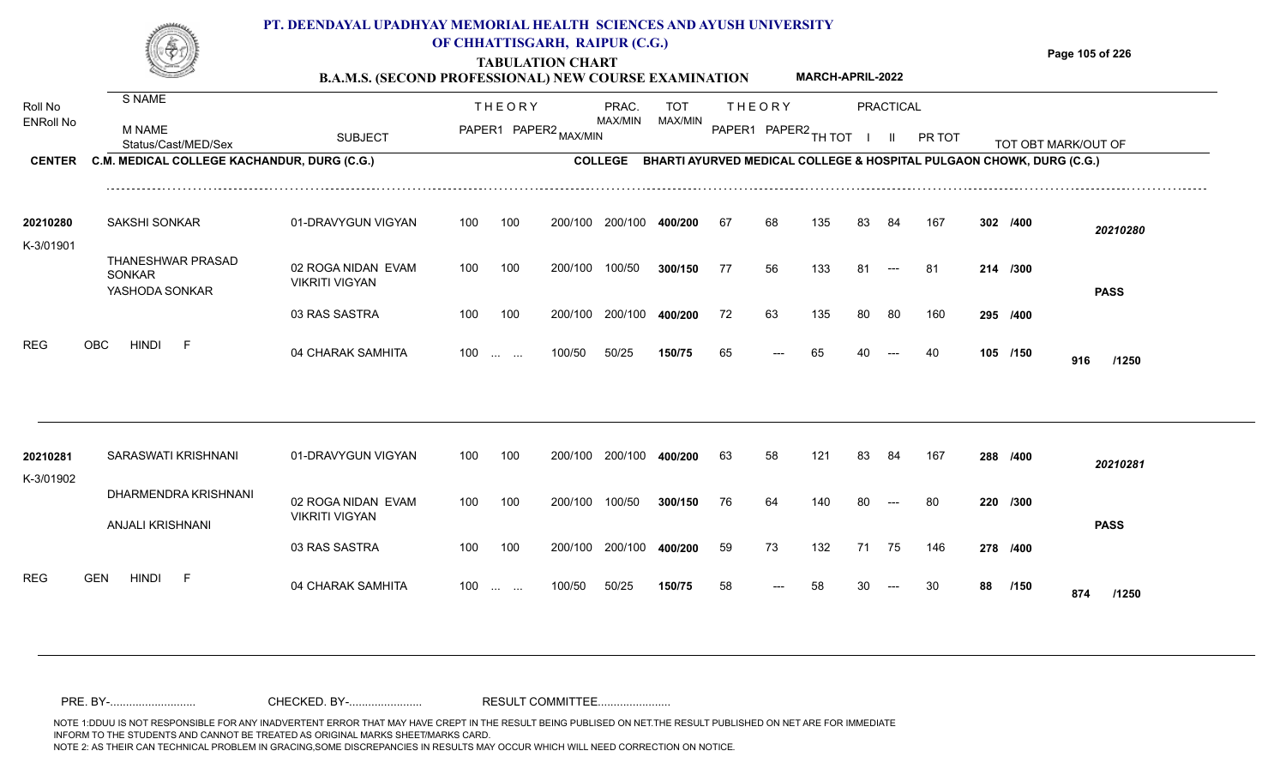|                                       | PT. DEENDAYAL UPADHYAY MEMORIAL HEALTH SCIENCES AND AYUSH UNIVERSITY<br>OF CHHATTISGARH, RAIPUR (C.G.)<br><b>TABULATION CHART</b><br><b>MARCH-APRIL-2022</b><br><b>B.A.M.S. (SECOND PROFESSIONAL) NEW COURSE EXAMINATION</b> |                                             |            |                                                       |                       |                                                                                                         |                       |          |                                       |           |    |                           |           |  | Page 105 of 226      |                     |  |  |  |  |
|---------------------------------------|------------------------------------------------------------------------------------------------------------------------------------------------------------------------------------------------------------------------------|---------------------------------------------|------------|-------------------------------------------------------|-----------------------|---------------------------------------------------------------------------------------------------------|-----------------------|----------|---------------------------------------|-----------|----|---------------------------|-----------|--|----------------------|---------------------|--|--|--|--|
| Roll No<br>ENRoll No<br><b>CENTER</b> | S NAME<br>M NAME<br>Status/Cast/MED/Sex<br>C.M. MEDICAL COLLEGE KACHANDUR, DURG (C.G.)                                                                                                                                       | <b>SUBJECT</b>                              |            | <b>THEORY</b>                                         | PAPER1 PAPER2 MAX/MIN | PRAC.<br><b>MAX/MIN</b><br>COLLEGE BHARTI AYURVED MEDICAL COLLEGE & HOSPITAL PULGAON CHOWK, DURG (C.G.) | <b>TOT</b><br>MAX/MIN |          | <b>THEORY</b><br>PAPER1 PAPER2 TH TOT |           |    | PRACTICAL<br>$\mathbf{H}$ | PR TOT    |  |                      | TOT OBT MARK/OUT OF |  |  |  |  |
| 20210280                              | <b>SAKSHI SONKAR</b>                                                                                                                                                                                                         | 01-DRAVYGUN VIGYAN                          | 100        | 100                                                   |                       | 200/100 200/100                                                                                         | 400/200               | 67       | 68                                    | 135       | 83 | 84                        | 167       |  | 302 /400             | 20210280            |  |  |  |  |
| K-3/01901                             | THANESHWAR PRASAD<br><b>SONKAR</b><br>YASHODA SONKAR                                                                                                                                                                         | 02 ROGA NIDAN EVAM<br><b>VIKRITI VIGYAN</b> | 100        | 100                                                   | 200/100               | 100/50                                                                                                  | 300/150               | 77       | 56                                    | 133       | 81 |                           | 81        |  | 214 /300             | <b>PASS</b>         |  |  |  |  |
| REG                                   | <b>OBC</b><br><b>HINDI</b><br>- F                                                                                                                                                                                            | 03 RAS SASTRA<br>04 CHARAK SAMHITA          | 100<br>100 | 100<br>$\mathbf{r}$ and $\mathbf{r}$ and $\mathbf{r}$ | 200/100<br>100/50     | 200/100<br>50/25                                                                                        | 400/200<br>150/75     | 72<br>65 | 63                                    | 135<br>65 | 80 | -80                       | 160<br>40 |  | 295 /400<br>105 /150 | 916<br>/1250        |  |  |  |  |
| 20210281                              | SARASWATI KRISHNANI                                                                                                                                                                                                          | 01-DRAVYGUN VIGYAN                          | 100        | 100                                                   | 200/100               | 200/100                                                                                                 | 400/200               | 63       | 58                                    | 121       | 83 | -84                       | 167       |  | 288 /400             | 20210281            |  |  |  |  |
| K-3/01902                             | DHARMENDRA KRISHNANI<br><b>ANJALI KRISHNANI</b>                                                                                                                                                                              | 02 ROGA NIDAN EVAM<br><b>VIKRITI VIGYAN</b> | 100        | 100                                                   | 200/100               | 100/50                                                                                                  | 300/150               | 76       | 64                                    | 140       |    |                           | 80        |  | 220 /300             | <b>PASS</b>         |  |  |  |  |

100 100 200/100 200/100 **400/200**

100/50 50/25 **150/75**

100 ... ... 100/50 50/25 **150/75** 58 --- 58 30

04 CHARAK SAMHITA 100 … … 100/50 50/25 **150/75** 58 --- 58 30 --- 30 **88 /150 874 /1250**

**/400** 59 73 132 71 75 146 **278**

<sup>58</sup> <sup>58</sup> <sup>30</sup> <sup>30</sup> **<sup>88</sup> <sup>874</sup>**

88 /150 **874** /1250

REG GEN HINDI F 04 CHARAK SAMHITA

03 RAS SASTRA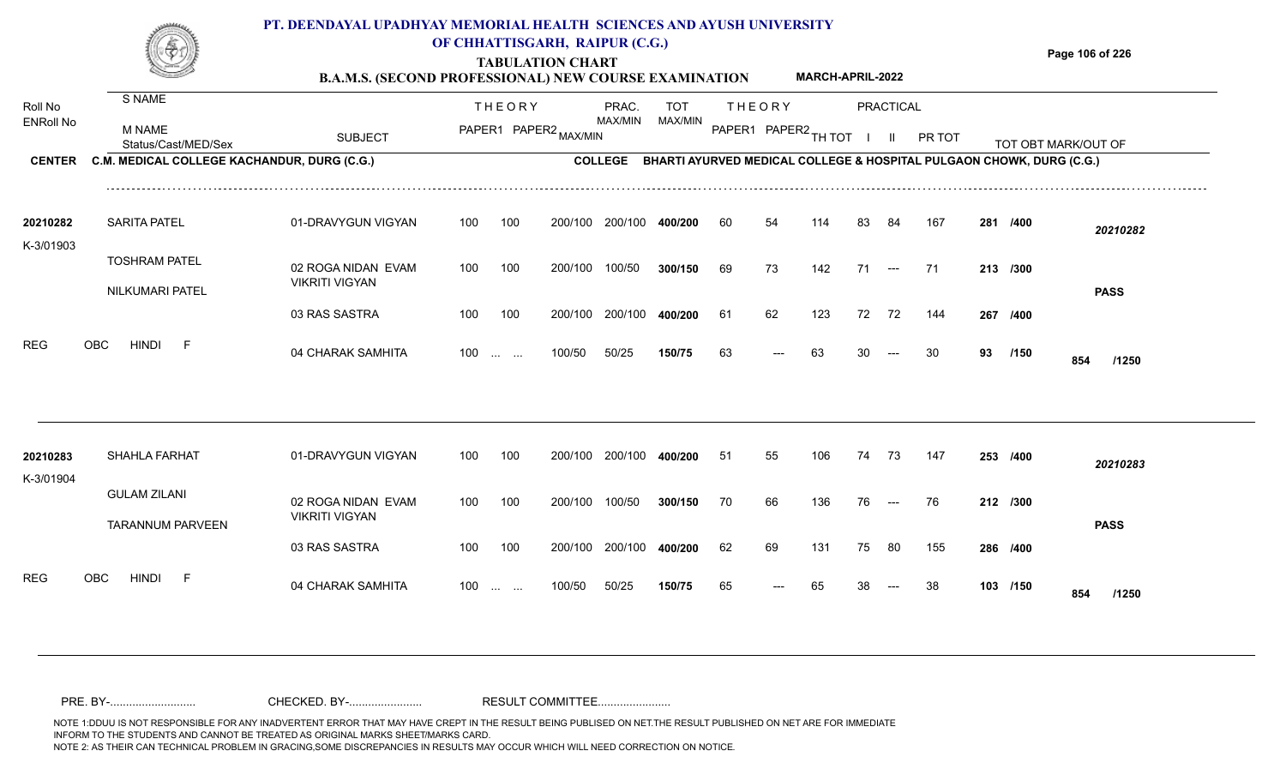|                       |                                             | PT. DEENDAYAL UPADHYAY MEMORIAL HEALTH SCIENCES AND AYUSH UNIVERSITY<br><b>B.A.M.S. (SECOND PROFESSIONAL) NEW COURSE EXAMINATION</b> |               |                                                               | OF CHHATTISGARH, RAIPUR (C.G.)<br><b>TABULATION CHART</b> |                         | Page 106 of 226                                                              |               |                      |     |    |                                        |        |    |          |                     |
|-----------------------|---------------------------------------------|--------------------------------------------------------------------------------------------------------------------------------------|---------------|---------------------------------------------------------------|-----------------------------------------------------------|-------------------------|------------------------------------------------------------------------------|---------------|----------------------|-----|----|----------------------------------------|--------|----|----------|---------------------|
| Roll No               | S NAME                                      |                                                                                                                                      | <b>THEORY</b> |                                                               |                                                           | PRAC.                   |                                                                              | <b>THEORY</b> |                      |     |    | PRACTICAL                              |        |    |          |                     |
| <b>ENRoll No</b>      | <b>M NAME</b><br>Status/Cast/MED/Sex        | <b>SUBJECT</b>                                                                                                                       |               |                                                               | PAPER1 PAPER2 MAX/MIN                                     | MAX/MIN                 | MAX/MIN                                                                      |               | PAPER1 PAPER2 TH TOT |     |    | $\mathbf{I}$                           | PR TOT |    |          | TOT OBT MARK/OUT OF |
| <b>CENTER</b>         | C.M. MEDICAL COLLEGE KACHANDUR, DURG (C.G.) |                                                                                                                                      |               |                                                               |                                                           |                         | COLLEGE BHARTI AYURVED MEDICAL COLLEGE & HOSPITAL PULGAON CHOWK, DURG (C.G.) |               |                      |     |    |                                        |        |    |          |                     |
| 20210282<br>K-3/01903 | <b>SARITA PATEL</b>                         | 01-DRAVYGUN VIGYAN                                                                                                                   | 100           | 100                                                           |                                                           | 200/100 200/100         | 400/200                                                                      | 60            | 54                   | 114 | 83 | 84                                     | 167    |    | 281 /400 | 20210282            |
|                       | <b>TOSHRAM PATEL</b><br>NILKUMARI PATEL     | 02 ROGA NIDAN EVAM<br><b>VIKRITI VIGYAN</b>                                                                                          | 100           | 100                                                           | 200/100                                                   | 100/50                  | 300/150                                                                      | 69            | 73                   | 142 | 71 | $\hspace{0.05cm}---$                   | -71    |    | 213 /300 | <b>PASS</b>         |
|                       |                                             | 03 RAS SASTRA                                                                                                                        | 100           | 100                                                           |                                                           | 200/100 200/100         | 400/200                                                                      | 61            | 62                   | 123 | 72 | 72                                     | 144    |    | 267 /400 |                     |
| <b>REG</b>            | OBC<br><b>HINDI</b><br>-F                   | 04 CHARAK SAMHITA                                                                                                                    | 100           | $\mathcal{L}_{\mathcal{F}}$ , and $\mathcal{L}_{\mathcal{F}}$ | 100/50                                                    | 50/25                   | 150/75                                                                       | 63            |                      | 63  | 30 | $---$                                  | 30     | 93 | /150     | 854<br>/1250        |
| 20210283              | <b>SHAHLA FARHAT</b>                        | 01-DRAVYGUN VIGYAN                                                                                                                   | 100           | 100                                                           |                                                           | 200/100 200/100 400/200 |                                                                              | -51           | 55                   | 106 | 74 | - 73                                   | 147    |    | 253 /400 | 20210283            |
| K-3/01904             | <b>GULAM ZILANI</b>                         | 02 ROGA NIDAN EVAM<br><b>VIKRITI VIGYAN</b>                                                                                          | 100           | 100                                                           | 200/100 100/50                                            |                         | 300/150                                                                      | 70            | 66                   | 136 | 76 | $\qquad \qquad - -$                    | 76     |    | 212 /300 |                     |
|                       | <b>TARANNUM PARVEEN</b>                     | 03 RAS SASTRA                                                                                                                        | 100           | 100                                                           |                                                           | 200/100 200/100         | 400/200                                                                      | 62            | 69                   | 131 | 75 | 80                                     | 155    |    | 286 /400 | <b>PASS</b>         |
| <b>REG</b>            | <b>HINDI</b><br><b>OBC</b><br>E             | 04 CHARAK SAMHITA                                                                                                                    | 100           |                                                               | 100/50                                                    | 50/25                   | 150/75                                                                       | 65            |                      | 65  | 38 | $\hspace{0.1em} \ldots \hspace{0.1em}$ | 38     |    | 103 /150 |                     |

100 ... ... 100/50 50/25 **150/75** 65 --- 65

50/25 **150/75**

04 CHARAK SAMHITA 100 … … 100/50 50/25 **150/75** 65 --- 65 38 --- 38 **103 /150 854 /1250**

103 /150 854 /1250

<sup>65</sup> <sup>65</sup> <sup>38</sup> <sup>38</sup> **<sup>103</sup> <sup>854</sup>**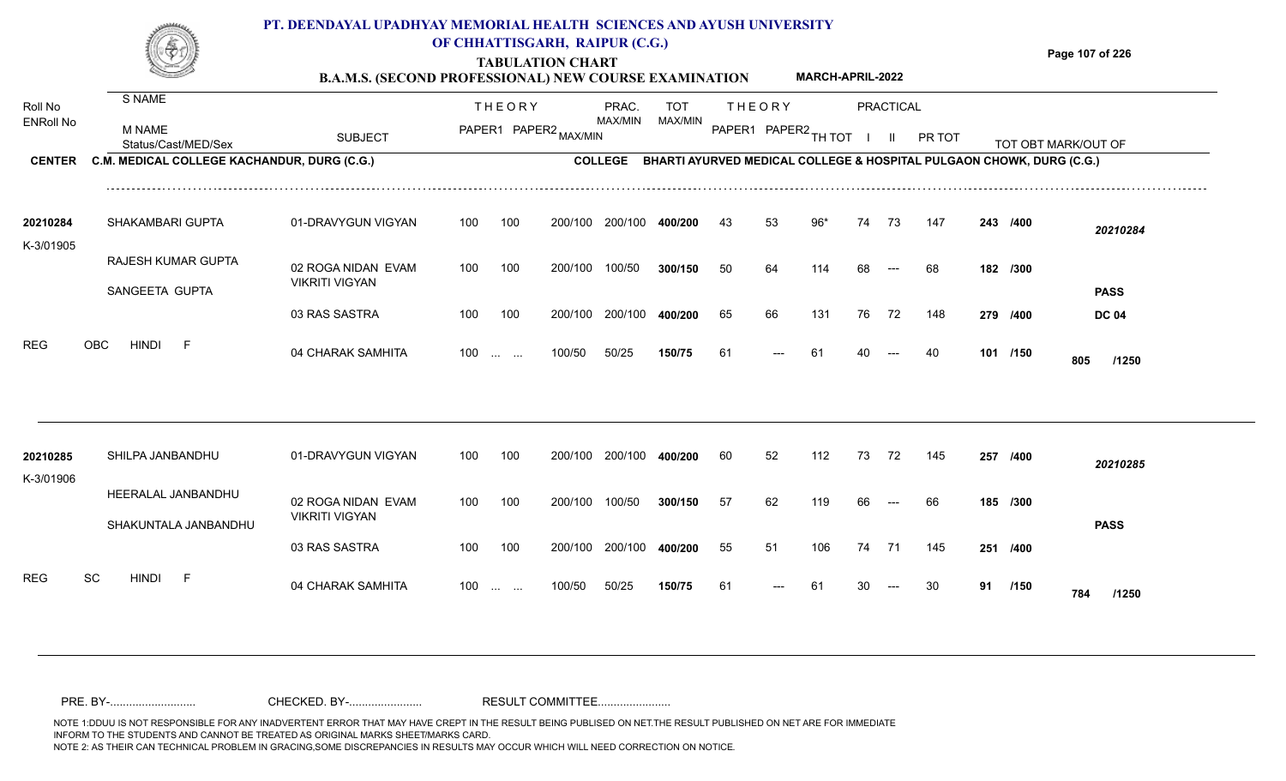### **TABULATION CHART Page 107 of 226 PT. DEENDAYAL UPADHYAY MEMORIAL HEALTH SCIENCES AND AYUSH UNIVERSITY OF CHHATTISGARH, RAIPUR (C.G.)**

**B.A.M.S. (SECOND PROFESSIONAL) NEW COURSE EXAMINATION MARCH-APRIL-2022**

| Roll No<br><b>ENRoll No</b> | S NAME<br><b>M NAME</b><br>Status/Cast/MED/Sex | <b>SUBJECT</b>                              |     | <b>THEORY</b><br>PAPER1 PAPER2 MAX/MIN                        |         | PRAC.<br><b>MAX/MIN</b> | <b>TOT</b><br>MAX/MIN |    | <b>THEORY</b><br>PAPER1 PAPER2 TH TOT                                |       |    | PRACTICAL<br>$\mathbf{II}$               | PR TOT |    |          | TOT OBT MARK/OUT OF |
|-----------------------------|------------------------------------------------|---------------------------------------------|-----|---------------------------------------------------------------|---------|-------------------------|-----------------------|----|----------------------------------------------------------------------|-------|----|------------------------------------------|--------|----|----------|---------------------|
| <b>CENTER</b>               | C.M. MEDICAL COLLEGE KACHANDUR, DURG (C.G.)    |                                             |     |                                                               |         | <b>COLLEGE</b>          |                       |    | BHARTI AYURVED MEDICAL COLLEGE & HOSPITAL PULGAON CHOWK, DURG (C.G.) |       |    |                                          |        |    |          |                     |
| 20210284<br>K-3/01905       | SHAKAMBARI GUPTA                               | 01-DRAVYGUN VIGYAN                          | 100 | 100                                                           | 200/100 | 200/100                 | 400/200               | 43 | 53                                                                   | $96*$ | 74 | 73                                       | 147    |    | 243 /400 | 20210284            |
|                             | RAJESH KUMAR GUPTA<br>SANGEETA GUPTA           | 02 ROGA NIDAN EVAM<br><b>VIKRITI VIGYAN</b> | 100 | 100                                                           | 200/100 | 100/50                  | 300/150               | 50 | 64                                                                   | 114   | 68 | $---$                                    | 68     |    | 182 /300 | <b>PASS</b>         |
|                             |                                                | 03 RAS SASTRA                               | 100 | 100                                                           | 200/100 | 200/100                 | 400/200               | 65 | 66                                                                   | 131   | 76 | 72                                       | 148    |    | 279 /400 | <b>DC 04</b>        |
| <b>REG</b>                  | <b>HINDI</b><br><b>OBC</b><br>$-F$             | 04 CHARAK SAMHITA                           | 100 | $\mathcal{L}_{\mathcal{F}}$ , and $\mathcal{L}_{\mathcal{F}}$ | 100/50  | 50/25                   | 150/75                | 61 | ---                                                                  | 61    | 40 |                                          | 40     |    | 101 /150 | 805<br>/1250        |
| 20210285                    | SHILPA JANBANDHU                               | 01-DRAVYGUN VIGYAN                          | 100 | 100                                                           | 200/100 | 200/100                 | 400/200               | 60 | 52                                                                   | 112   | 73 | 72                                       | 145    |    | 257 /400 | 20210285            |
| K-3/01906                   | HEERALAL JANBANDHU<br>SHAKUNTALA JANBANDHU     | 02 ROGA NIDAN EVAM<br><b>VIKRITI VIGYAN</b> | 100 | 100                                                           | 200/100 | 100/50                  | 300/150               | 57 | 62                                                                   | 119   | 66 | $\hspace{0.05cm} \ldots \hspace{0.05cm}$ | 66     |    | 185 /300 | <b>PASS</b>         |
|                             |                                                | 03 RAS SASTRA                               | 100 | 100                                                           | 200/100 | 200/100                 | 400/200               | 55 | 51                                                                   | 106   | 74 | 71                                       | 145    |    | 251 /400 |                     |
| <b>REG</b>                  | <b>SC</b><br><b>HINDI</b><br>- F               | 04 CHARAK SAMHITA                           | 100 | <b>Service Control</b>                                        | 100/50  | 50/25                   | 150/75                | 61 | $---$                                                                | 61    | 30 | $---$                                    | 30     | 91 | /150     | 784<br>/1250        |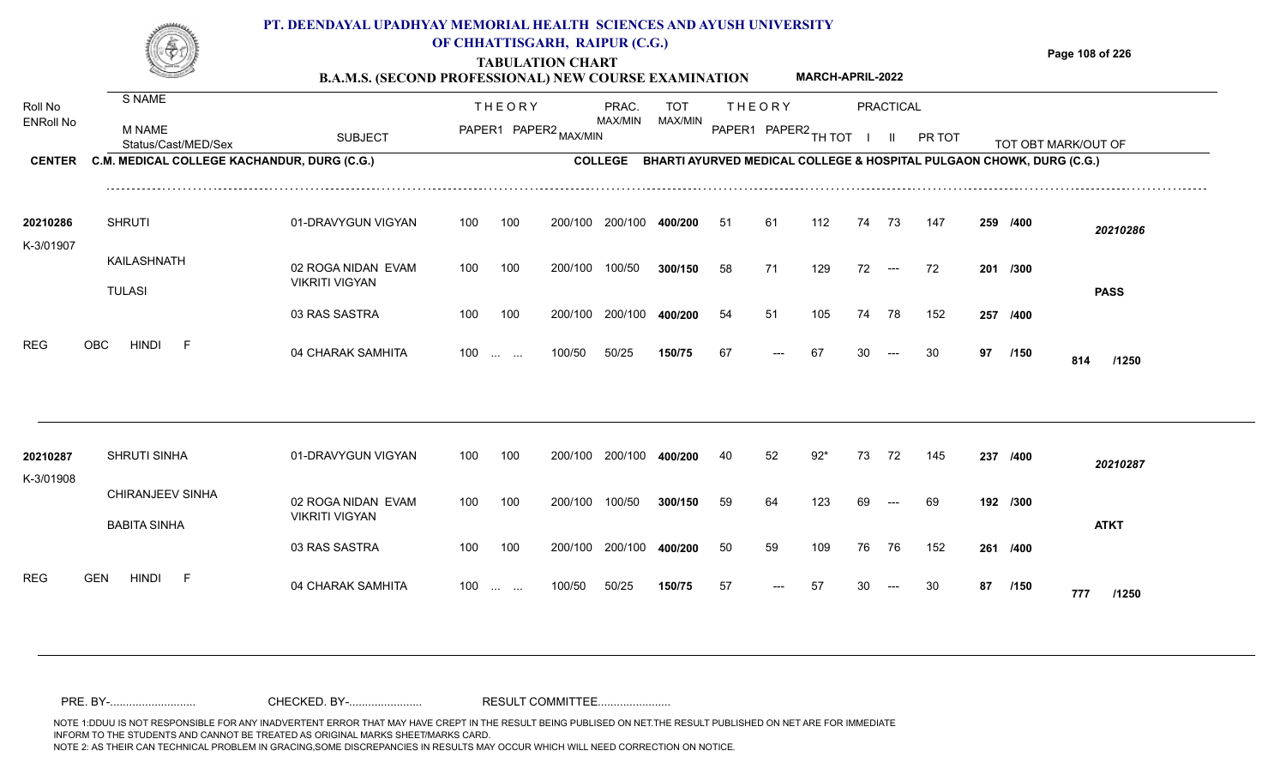#### **TABULATION CHART Page 108 of 226 B.A.M.S. (SECOND PROFESSIONAL) NEW COURSE EXAMINATION**  Roll No ENRoll No MAX/MIN MAX/MIN MAX/MIN MAX/MIN ANG THIOT I II PRITOT TOT OBTIMARK/OUT OF SUBJECT PAPER2 <sub>MAX/MIN</sub> MAX/MIN PAPER1 PAPER2 <sub>TH</sub>IOT I II PRITOT TOT OBTIMARK/OUT OF **PRACTICAL CENTER C.M. MEDICAL COLLEGE KACHANDUR, DURG (C.G.)** THEORY PRAC. TOT PAPER1 PAPER2 MAX/MIN PAPER PRAC. THEORY S NAME M NAME **PT. DEENDAYAL UPADHYAY MEMORIAL HEALTH SCIENCES AND AYUSH UNIVERSITY OF CHHATTISGARH, RAIPUR (C.G.) COLLEGE BHARTI AYURVED MEDICAL COLLEGE & HOSPITAL PULGAON CHOWK, DURG (C.G.) MARCH-APRIL-2022** 01-DRAVYGUN VIGYAN 100 100 100 100 200/100 200/100 400/200 200/100 **400/200 /400** *20210286* SHRUTI **20210286** 51 61 112 74 73 147 **259**

| 20210287  | <b>SHRUTI SINHA</b>              | 01-DRAVYGUN VIGYAN    | 100 | 100                    | 200/100 | 200/100 | 400/200 | 40 | 52    | $92*$ | 73 | 72         | 145 | 237      | /400<br>20210287     |  |
|-----------|----------------------------------|-----------------------|-----|------------------------|---------|---------|---------|----|-------|-------|----|------------|-----|----------|----------------------|--|
| K-3/01908 | <b>CHIRANJEEV SINHA</b>          | 02 ROGA NIDAN EVAM    | 100 | 100                    | 200/100 | 100/50  | 300/150 | 59 | 64    | 123   | 69 | $   \cdot$ | 69  | 192 /300 |                      |  |
|           | BABITA SINHA                     | <b>VIKRITI VIGYAN</b> |     |                        |         |         |         |    |       |       |    |            |     |          | <b>ATKT</b>          |  |
|           |                                  | 03 RAS SASTRA         | 100 | 100                    | 200/100 | 200/100 | 400/200 | 50 | 59    | 109   | 76 | 76         | 152 | 261 /400 |                      |  |
| REG       | <b>HINDI</b><br><b>GEN</b><br>F. | 04 CHARAK SAMHITA     | 100 | <b>Service Control</b> | 100/50  | 50/25   | 150/75  | 57 | $---$ | 57    | 30 | $   \,$    | 30  | 87       | /150<br>777<br>/1250 |  |

200/100

200/100

100 200/100 100/50

100/50

04 CHARAK SAMHITA 100 … … 100/50 50/25 **150/75** 67 --- 67 30 --- 30 **97 /150 814 /1250** 

---

**/300** 58 71 129 72 72 **201**

**/400** 54 51 105 74 78 152 **257**

<sup>67</sup> <sup>67</sup> <sup>30</sup> <sup>30</sup> **<sup>97</sup> <sup>814</sup>**

**/150**

**PASS**

100/50 **300/150**

200/100 **400/200**

50/25 **150/75**

100 ... ... 100/50 50/25 1**50/75** 67 --- 67 30

02 ROGA NIDAN EVAM

03 RAS SASTRA

VIKRITI VIGYAN

KAILASHNATH

REG OBC HINDI F 04 CHARAK SAMHITA

TULASI

K-3/01907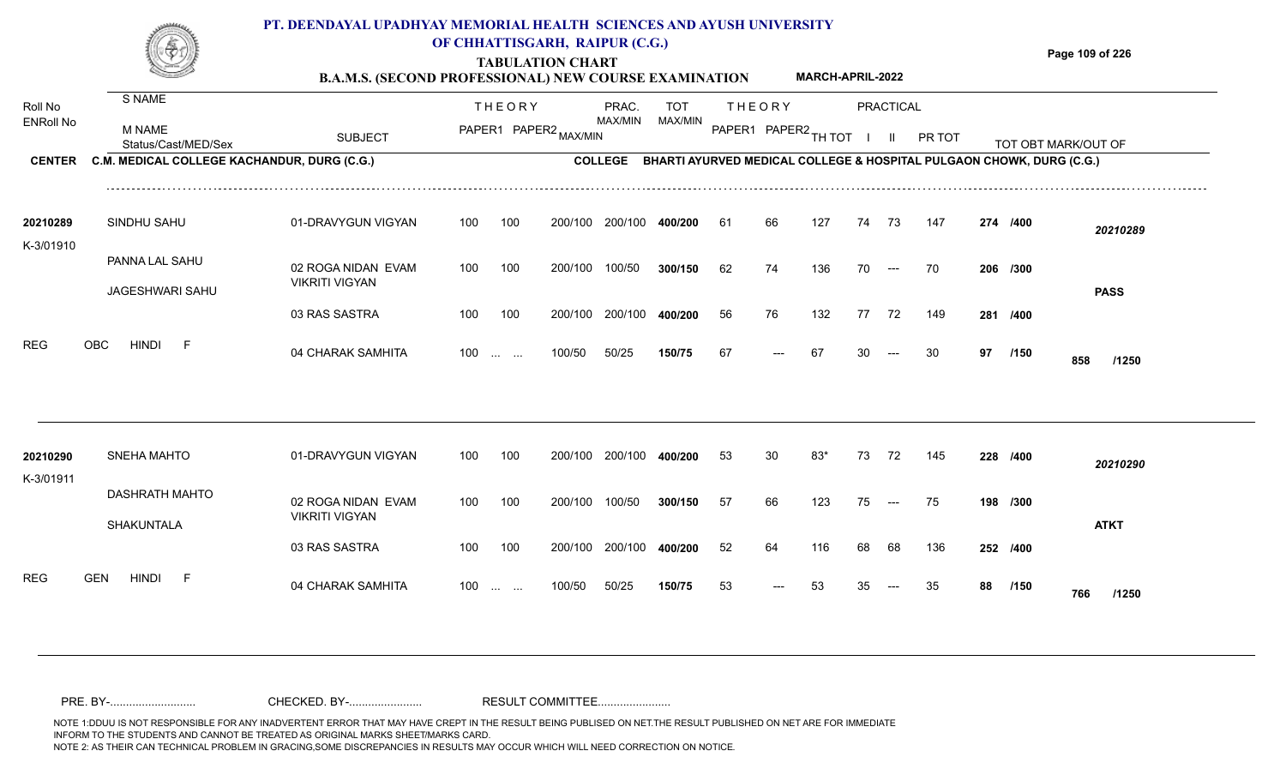#### **TABULATION CHART Page 109 of 226 B.A.M.S. (SECOND PROFESSIONAL) NEW COURSE EXAMINATION**  ENRoll No MAX/MIN MAX/MIN MAX/MIN MAX/MIN ANG THIOT I II PRITOT TOT OBTIMARK/OUT OF SUBJECT PAPER2 <sub>MAX/MIN</sub> MAX/MIN PAPER1 PAPER2 <sub>TH</sub>IOT I II PRITOT TOT OBTIMARK/OUT OF **PRACTICAL CENTER C.M. MEDICAL COLLEGE KACHANDUR, DURG (C.G.)** THEORY PRAC. TOT PAPER1 PAPER2 MAX/MIN PAPER PRAC. THEORY S NAME M NAME **PT. DEENDAYAL UPADHYAY MEMORIAL HEALTH SCIENCES AND AYUSH UNIVERSITY OF CHHATTISGARH, RAIPUR (C.G.) C.M. MEDICAL COLLEGE KACHANDUR, DURG (C.G.) BHARTI AYURVED MEDICAL COLLEGE & HOSPITAL PULGAON CHOWK, DURG (C.G.) MARCH-APRIL-2022**

| 20210289                 | SINDHU SAHU         | 01-DRAVYGUN VIGYAN                          | 100               | 100 | 200/100 | 200/100 | 400/200 | 61 | 66    | 127 | 74 | 73                               | 147 | 274 /400 |             | 20210289    |
|--------------------------|---------------------|---------------------------------------------|-------------------|-----|---------|---------|---------|----|-------|-----|----|----------------------------------|-----|----------|-------------|-------------|
| K-3/01910                | PANNA LAL SAHU      | 02 ROGA NIDAN EVAM<br><b>VIKRITI VIGYAN</b> | 100               | 100 | 200/100 | 100/50  | 300/150 | 62 | 74    | 136 | 70 | $---$                            | 70  | 206 /300 |             |             |
|                          | JAGESHWARI SAHU     | 03 RAS SASTRA                               | 100               | 100 | 200/100 | 200/100 | 400/200 | 56 | 76    | 132 | 77 | 72                               | 149 | 281 /400 |             | <b>PASS</b> |
| <b>REG</b><br><b>OBC</b> | <b>HINDI</b><br>. F | 04 CHARAK SAMHITA                           | $100 \dots \dots$ |     | 100/50  | 50/25   | 150/75  | 67 | $---$ | 67  | 30 | $\hspace{0.1em} \dashrightarrow$ | 30  | 97       | /150<br>858 | /1250       |

| 20210290<br>K-3/01911 | SNEHA MAHTO                       | 01-DRAVYGUN VIGYAN                          | 100               | 100 | 200/100 | 200/100 | 400/200 | -53 | 30                  | 83*  | 73 | 72                   | 145 | 228 /400 |             | 20210290    |
|-----------------------|-----------------------------------|---------------------------------------------|-------------------|-----|---------|---------|---------|-----|---------------------|------|----|----------------------|-----|----------|-------------|-------------|
|                       | DASHRATH MAHTO<br>SHAKUNTALA      | 02 ROGA NIDAN EVAM<br><b>VIKRITI VIGYAN</b> | 100               | 100 | 200/100 | 100/50  | 300/150 | 57  | 66                  | 123  | 75 | $\hspace{0.05cm}---$ | 75  | 198 /300 |             | <b>ATKT</b> |
|                       |                                   | 03 RAS SASTRA                               | 100               | 100 | 200/100 | 200/100 | 400/200 | 52  | 64                  | 116  | 68 | 68                   | 136 | 252 /400 |             |             |
| <b>REG</b>            | <b>GEN</b><br><b>HINDI</b><br>- F | 04 CHARAK SAMHITA                           | $100 \dots \dots$ |     | 100/50  | 50/25   | 150/75  | 53  | $\qquad \qquad - -$ | - 53 | 35 | $---$                | -35 | 88       | /150<br>766 | /1250       |

Roll No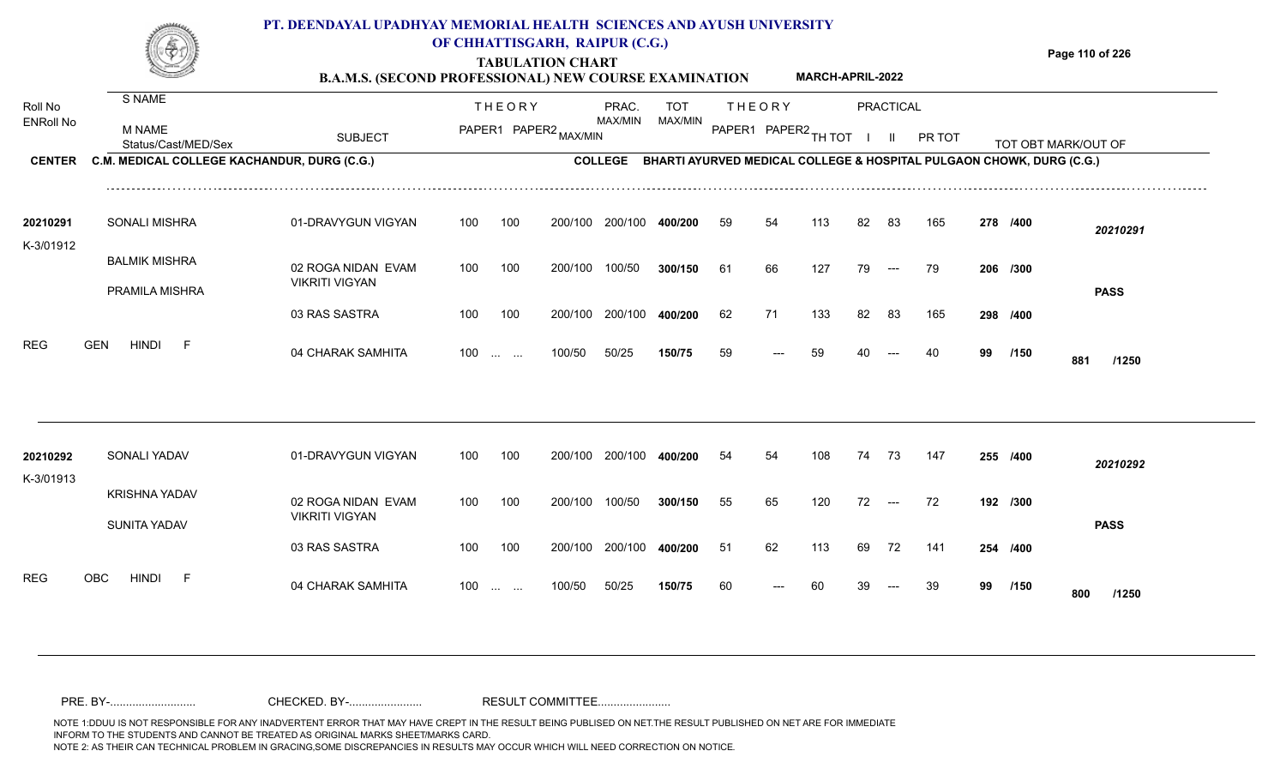## **TABULATION CHART Page 110 of 226 B.A.M.S. (SECOND PROFESSIONAL) NEW COURSE EXAMINATION PT. DEENDAYAL UPADHYAY MEMORIAL HEALTH SCIENCES AND AYUSH UNIVERSITY OF CHHATTISGARH, RAIPUR (C.G.) MARCH-APRIL-2022**

| Roll No<br><b>ENRoll No</b> | S NAME<br>M NAME                            |                                             |     | <b>THEORY</b>                                         |                       | PRAC.<br>MAX/MIN | <b>TOT</b><br>MAX/MIN |    | <b>THEORY</b>                                                        |     |    | <b>PRACTICAL</b>                       |        |    |          |                     |  |
|-----------------------------|---------------------------------------------|---------------------------------------------|-----|-------------------------------------------------------|-----------------------|------------------|-----------------------|----|----------------------------------------------------------------------|-----|----|----------------------------------------|--------|----|----------|---------------------|--|
|                             | Status/Cast/MED/Sex                         | <b>SUBJECT</b>                              |     |                                                       | PAPER1 PAPER2 MAX/MIN |                  |                       |    | PAPER1 PAPER2 TH TOT                                                 |     |    | $\mathbf{H}$                           | PR TOT |    |          | TOT OBT MARK/OUT OF |  |
| <b>CENTER</b>               | C.M. MEDICAL COLLEGE KACHANDUR, DURG (C.G.) |                                             |     |                                                       |                       | <b>COLLEGE</b>   |                       |    | BHARTI AYURVED MEDICAL COLLEGE & HOSPITAL PULGAON CHOWK, DURG (C.G.) |     |    |                                        |        |    |          |                     |  |
| 20210291                    | SONALI MISHRA                               | 01-DRAVYGUN VIGYAN                          | 100 | 100                                                   |                       | 200/100 200/100  | 400/200               | 59 | 54                                                                   | 113 | 82 | 83                                     | 165    |    | 278 /400 | 20210291            |  |
| K-3/01912                   |                                             |                                             |     |                                                       |                       |                  |                       |    |                                                                      |     |    |                                        |        |    |          |                     |  |
|                             | <b>BALMIK MISHRA</b>                        | 02 ROGA NIDAN EVAM<br><b>VIKRITI VIGYAN</b> | 100 | 100                                                   | 200/100               | 100/50           | 300/150               | 61 | 66                                                                   | 127 | 79 | $\hspace{0.05cm}---$                   | 79     |    | 206 /300 |                     |  |
|                             | PRAMILA MISHRA                              |                                             |     |                                                       |                       |                  |                       |    |                                                                      |     |    |                                        |        |    |          | <b>PASS</b>         |  |
|                             |                                             | 03 RAS SASTRA                               | 100 | 100                                                   | 200/100               | 200/100          | 400/200               | 62 | 71                                                                   | 133 | 82 | 83                                     | 165    |    | 298 /400 |                     |  |
| <b>REG</b>                  | <b>HINDI</b><br><b>GEN</b><br>- F           | 04 CHARAK SAMHITA                           | 100 | $\mathcal{L}_{\text{max}} = \mathcal{L}_{\text{max}}$ | 100/50                | 50/25            | 150/75                | 59 |                                                                      | 59  |    |                                        | 40     | 99 | /150     | 881<br>/1250        |  |
|                             |                                             |                                             |     |                                                       |                       |                  |                       |    |                                                                      |     |    |                                        |        |    |          |                     |  |
| 20210292<br>K-3/01913       | SONALI YADAV                                | 01-DRAVYGUN VIGYAN                          | 100 | 100                                                   | 200/100               | 200/100          | 400/200               | 54 | 54                                                                   | 108 | 74 | -73                                    | 147    |    | 255 /400 | 20210292            |  |
|                             | <b>KRISHNA YADAV</b>                        | 02 ROGA NIDAN EVAM                          | 100 | 100                                                   | 200/100               | 100/50           | 300/150               | 55 | 65                                                                   | 120 | 72 | $\hspace{0.1em} \ldots \hspace{0.1em}$ | 72     |    | 192 /300 |                     |  |
|                             | <b>SUNITA YADAV</b>                         | <b>VIKRITI VIGYAN</b>                       |     |                                                       |                       |                  |                       |    |                                                                      |     |    |                                        |        |    |          | <b>PASS</b>         |  |
|                             |                                             | 03 RAS SASTRA                               | 100 | 100                                                   | 200/100               | 200/100          | 400/200               | 51 | 62                                                                   | 113 | 69 | 72                                     | 141    |    | 254 /400 |                     |  |
| <b>REG</b>                  | <b>OBC</b><br><b>HINDI</b><br>-F            | 04 CHARAK SAMHITA                           | 100 | $\mathbf{r}$ and $\mathbf{r}$ and $\mathbf{r}$        | 100/50                | 50/25            | 150/75                | 60 |                                                                      | -60 |    |                                        | 39     | 99 | /150     | 800<br>/1250        |  |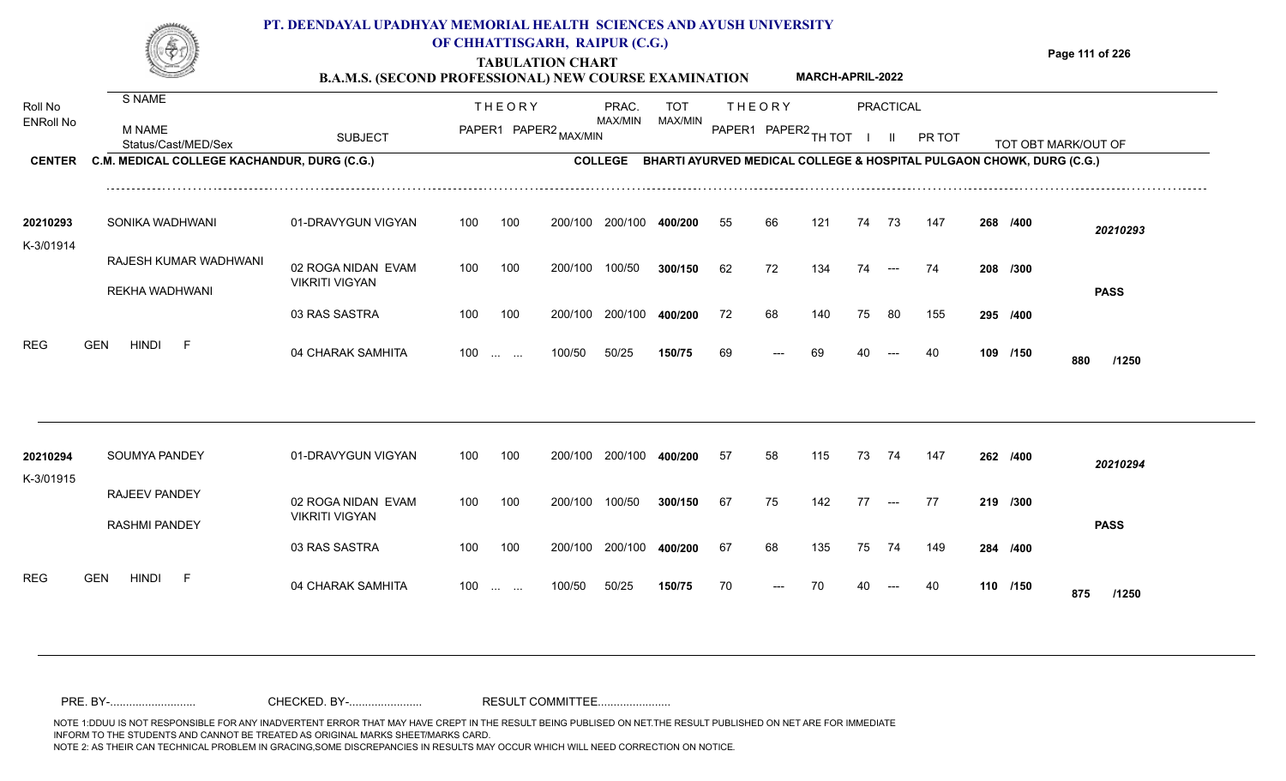### **TABULATION CHART Page 111 of 226 B.A.M.S. (SECOND PROFESSIONAL) NEW COURSE EXAMINATION**  Roll No ENRoll No MAX/MIN MAX/MIN MAX/MIN MAX/MIN ANG THIOT I II PRITOT TOT OBTIMARK/OUT OF SUBJECT PAPER2 <sub>MAX/MIN</sub> MAX/MIN PAPER1 PAPER2 <sub>TH</sub>IOT I II PRITOT TOT OBTIMARK/OUT OF **PRACTICAL CENTER C.M. MEDICAL COLLEGE KACHANDUR, DURG (C.G.)** THEORY PRAC. TOT PAPER1 PAPER2 MAX/MIN PAPER PRAC. THEORY S NAME M NAME **PT. DEENDAYAL UPADHYAY MEMORIAL HEALTH SCIENCES AND AYUSH UNIVERSITY OF CHHATTISGARH, RAIPUR (C.G.) COLLEGE BHARTI AYURVED MEDICAL COLLEGE & HOSPITAL PULGAON CHOWK, DURG (C.G.) MARCH-APRIL-2022** 01-DRAVYGUN VIGYAN 100 100 100 100 200/100 200/100 400/200 200/100 **400/200 /400** *20210293* SONIKA WADHWANI **20210293** RAJESH KUMAR WADHWANI K-3/01914 55 66 121 74 73 147 **268**

| 20210294<br>K-3/01915 | <b>SOUMYA PANDEY</b>                         | 01-DRAVYGUN VIGYAN                          | 100 | 100                                            | 200/100 | 200/100 | 400/200 | 57 | 58   | 115 | 73 | 74    | 147 | 262 /400 |          | 20210294     |
|-----------------------|----------------------------------------------|---------------------------------------------|-----|------------------------------------------------|---------|---------|---------|----|------|-----|----|-------|-----|----------|----------|--------------|
|                       | <b>RAJEEV PANDEY</b><br><b>RASHMI PANDEY</b> | 02 ROGA NIDAN EVAM<br><b>VIKRITI VIGYAN</b> | 100 | 100                                            | 200/100 | 100/50  | 300/150 | 67 | 75   | 142 | 77 | $---$ | 77  | 219 /300 |          | <b>PASS</b>  |
|                       |                                              | 03 RAS SASTRA                               | 100 | 100                                            | 200/100 | 200/100 | 400/200 | 67 | 68   | 135 | 75 | 74    | 149 | 284 /400 |          |              |
| REG                   | <b>GEN</b><br><b>HINDI</b><br>F              | 04 CHARAK SAMHITA                           | 100 | $\mathbf{r}$ and $\mathbf{r}$ and $\mathbf{r}$ | 100/50  | 50/25   | 150/75  | 70 | $--$ | 70  | 40 | $---$ | 40  |          | 110 /150 | 875<br>/1250 |

200/100

200/100

100 200/100 100/50

100/50

04 CHARAK SAMHITA 100 … … 100/50 50/25 **150/75 6**9 --- 69 40 --- 40 **109 /150 880 /1250**

---

**/300** 62 72 134 74 74 **208**

**/400** 72 68 140 75 80 155 **295**

<sup>69</sup> <sup>69</sup> <sup>40</sup> <sup>40</sup> **<sup>109</sup> <sup>880</sup>**

**/150**

**PASS**

100/50 **300/150**

200/100 **400/200**

50/25 **150/75**

100 ... ... 100/50 50/25 **150/75** 69 --- 69 40

02 ROGA NIDAN EVAM

03 RAS SASTRA

VIKRITI VIGYAN

REKHA WADHWANI

REG GEN HINDI F 04 CHARAK SAMHITA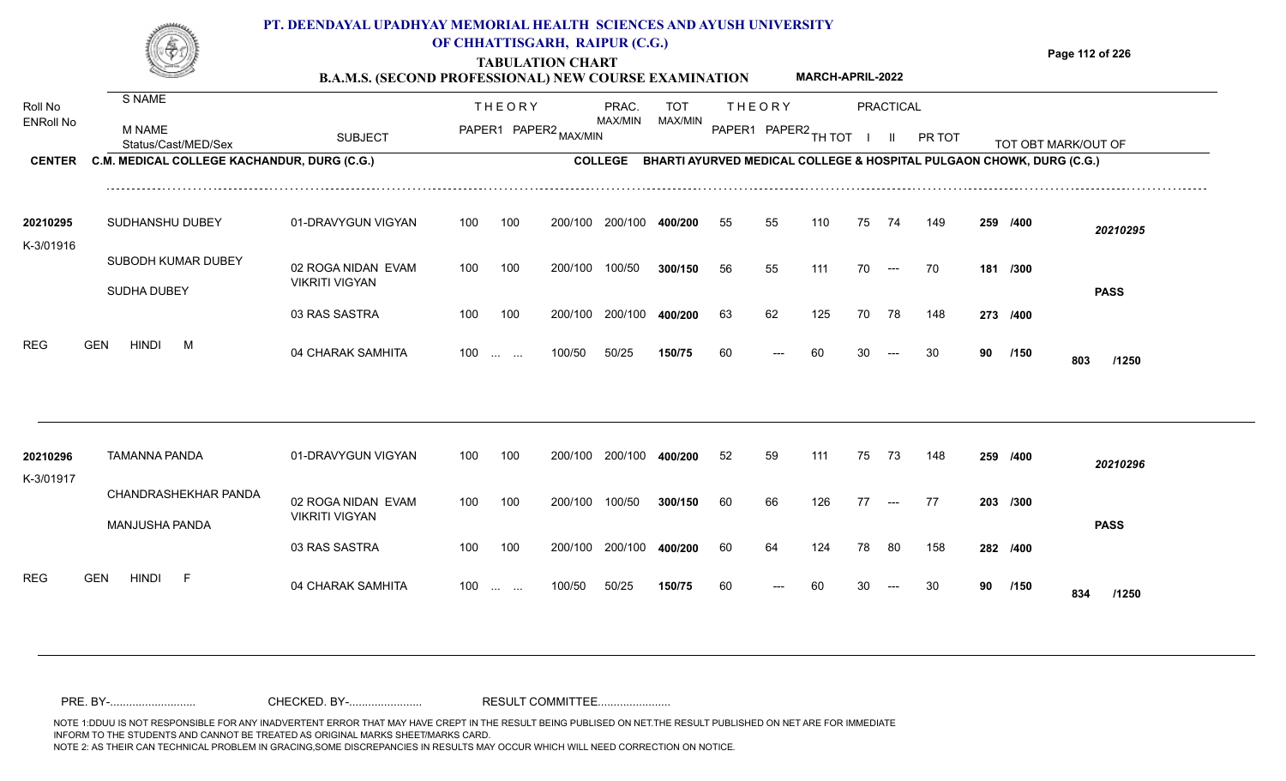### **TABULATION CHART Page 112 of 226 B.A.M.S. (SECOND PROFESSIONAL) NEW COURSE EXAMINATION**  Roll No ENRoll No MAX/MIN MAX/MIN MAX/MIN MAX/MIN ANG THIOT I II PRITOT TOT OBTIMARK/OUT OF SUBJECT PAPER2 <sub>MAX/MIN</sub> MAX/MIN PAPER1 PAPER2 <sub>TH</sub>IOT I II PRITOT TOT OBTIMARK/OUT OF **PRACTICAL CENTER C.M. MEDICAL COLLEGE KACHANDUR, DURG (C.G.)** THEORY PRAC. TOT PAPER1 PAPER2 MAX/MIN PAPER PRAC. THEORY S NAME M NAME **PT. DEENDAYAL UPADHYAY MEMORIAL HEALTH SCIENCES AND AYUSH UNIVERSITY OF CHHATTISGARH, RAIPUR (C.G.) COLLEGE BHARTI AYURVED MEDICAL COLLEGE & HOSPITAL PULGAON CHOWK, DURG (C.G.) MARCH-APRIL-2022** 01-DRAVYGUN VIGYAN 100 100 100 100 200/100 200/100 400/200 200/100 **400/200 /400** *20210295* 20210295 SUDHANSHU DUBEY 01-DRAVYGUN K-3/01916 55 55 110 75 74 149 **259**

200/100

200/100

100 200/100 100/50

100/50

| 20210296<br>K-3/01917 |            | TAMANNA PANDA  |                      | 01-DRAVYGUN VIGYAN                          | 100 | 100                      | 200/100 | 200/100 | 400/200 | 52 | 59                    | 111 | 75 | -73   | 148  | 259 /400 |             | 20210296    |
|-----------------------|------------|----------------|----------------------|---------------------------------------------|-----|--------------------------|---------|---------|---------|----|-----------------------|-----|----|-------|------|----------|-------------|-------------|
|                       |            | MANJUSHA PANDA | CHANDRASHEKHAR PANDA | 02 ROGA NIDAN EVAM<br><b>VIKRITI VIGYAN</b> | 100 | 100                      | 200/100 | 100/50  | 300/150 | 60 | 66                    | 126 | 77 | $---$ | - 77 | 203 /300 |             | <b>PASS</b> |
|                       |            |                |                      | 03 RAS SASTRA                               | 100 | 100                      | 200/100 | 200/100 | 400/200 | 60 | 64                    | 124 | 78 | -80   | 158  | 282 /400 |             |             |
| <b>REG</b>            | <b>GEN</b> | <b>HINDI</b>   | <b>.</b>             | 04 CHARAK SAMHITA                           | 100 | and the same of the same | 100/50  | 50/25   | 150/75  | 60 | $\scriptstyle \cdots$ | 60  | 30 | $--$  | -30  | 90       | /150<br>834 | /1250       |

04 CHARAK SAMHITA 100 … … 100/50 50/25 **150/75 6**0 --- 60 30 --- 30 **90 /150 803 /1250**

---

**/300** 56 55 111 70 70 **181**

**/400** 63 62 125 70 78 148 **273**

<sup>60</sup> <sup>60</sup> <sup>30</sup> <sup>30</sup> **<sup>90</sup> <sup>803</sup>**

**/150**

**PASS**

100/50 **300/150**

200/100 **400/200**

50/25 **150/75**

100 ... ... 100/50 50/25 1**50/75** 60 --- 60 30

02 ROGA NIDAN EVAM

03 RAS SASTRA

VIKRITI VIGYAN

SUBODH KUMAR DUBEY

REG GEN HINDI M 04 CHARAK SAMHITA

SUDHA DUBEY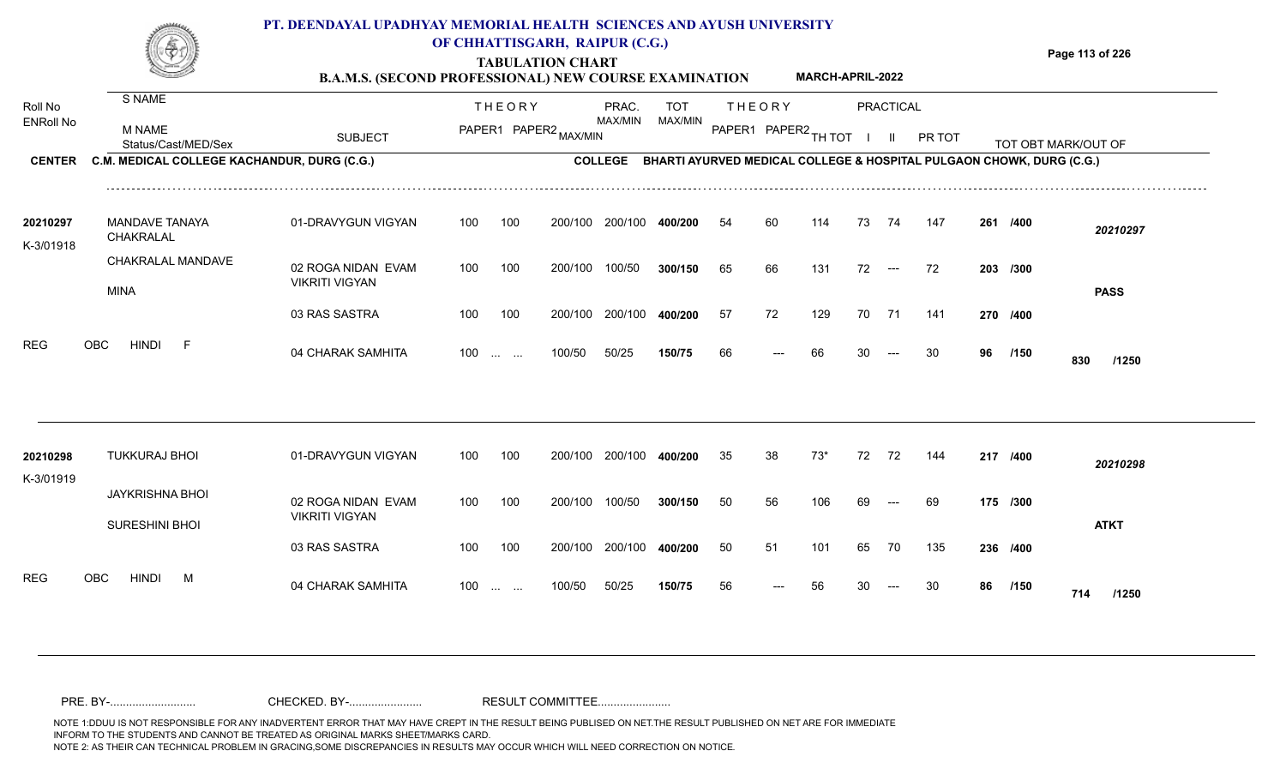|                                              |                                                                                               | PT. DEENDAYAL UPADHYAY MEMORIAL HEALTH SCIENCES AND AYUSH UNIVERSITY<br><b>B.A.M.S. (SECOND PROFESSIONAL) NEW COURSE EXAMINATION</b> |            |                                               | OF CHHATTISGARH, RAIPUR (C.G.)<br><b>TABULATION CHART</b> |                                    |                       |                      |               | <b>MARCH-APRIL-2022</b> |          |                      |                                                                                |    |                      | Page 113 of 226     |
|----------------------------------------------|-----------------------------------------------------------------------------------------------|--------------------------------------------------------------------------------------------------------------------------------------|------------|-----------------------------------------------|-----------------------------------------------------------|------------------------------------|-----------------------|----------------------|---------------|-------------------------|----------|----------------------|--------------------------------------------------------------------------------|----|----------------------|---------------------|
| Roll No<br><b>ENRoll No</b><br><b>CENTER</b> | S NAME<br><b>M NAME</b><br>Status/Cast/MED/Sex<br>C.M. MEDICAL COLLEGE KACHANDUR, DURG (C.G.) | <b>SUBJECT</b>                                                                                                                       |            | <b>THEORY</b>                                 | PAPER1 PAPER2 MAX/MIN                                     | PRAC.<br>MAX/MIN<br><b>COLLEGE</b> | <b>TOT</b><br>MAX/MIN | PAPER1 PAPER2 TH TOT | <b>THEORY</b> |                         |          | PRACTICAL<br>H.      | PR TOT<br>BHARTI AYURVED MEDICAL COLLEGE & HOSPITAL PULGAON CHOWK, DURG (C.G.) |    |                      | TOT OBT MARK/OUT OF |
| 20210297<br>K-3/01918                        | <b>MANDAVE TANAYA</b><br>CHAKRALAL                                                            | 01-DRAVYGUN VIGYAN                                                                                                                   | 100        | 100                                           | 200/100                                                   | 200/100                            | 400/200               | 54                   | 60            | 114                     | 73       | 74                   | 147                                                                            |    | 261 /400             | 20210297            |
|                                              | CHAKRALAL MANDAVE<br><b>MINA</b>                                                              | 02 ROGA NIDAN EVAM<br><b>VIKRITI VIGYAN</b>                                                                                          | 100        | 100                                           | 200/100                                                   | 100/50                             | 300/150               | 65                   | 66            | 131                     | 72       | $\hspace{0.05cm}---$ | 72                                                                             |    | 203 /300             | <b>PASS</b>         |
| <b>REG</b>                                   | <b>HINDI</b><br>OBC<br>-F                                                                     | 03 RAS SASTRA<br>04 CHARAK SAMHITA                                                                                                   | 100<br>100 | 100<br>$\mathbf{r}$ . The set of $\mathbf{r}$ | 200/100<br>100/50                                         | 200/100<br>50/25                   | 400/200<br>150/75     | 57<br>66             | 72<br>---     | 129<br>66               | 70<br>30 | 71                   | 141<br>30                                                                      | 96 | 270 /400<br>/150     | 830<br>/1250        |
| 20210298<br>K-3/01919                        | <b>TUKKURAJ BHOI</b>                                                                          | 01-DRAVYGUN VIGYAN                                                                                                                   | 100        | 100                                           |                                                           | 200/100 200/100                    | 400/200               | 35                   | 38            | $73*$                   | 72       | 72                   | 144                                                                            |    | 217 /400             | 20210298            |
|                                              | <b>JAYKRISHNA BHOI</b><br><b>SURESHINI BHOI</b>                                               | 02 ROGA NIDAN EVAM<br><b>VIKRITI VIGYAN</b><br>03 RAS SASTRA                                                                         | 100<br>100 | 100<br>100                                    | 200/100                                                   | 100/50<br>200/100 200/100          | 300/150<br>400/200    | 50<br>50             | 56<br>51      | 106<br>101              | 69<br>65 | $---$<br>70          | 69<br>135                                                                      |    | 175 /300<br>236 /400 | <b>ATKT</b>         |

100 100 200/100 200/100 **400/200**

100/50 50/25 **150/75**

100 ... ... 100/50 50/25 **150/75** 56 --- 56 30

04 CHARAK SAMHITA 100 … … 100/50 50/25 **150/75** 56 --- 56 30 --- 30 **86 /150 714 /1250** 

**/400** 50 51 101 65 70 135 **236**

<sup>56</sup> <sup>56</sup> <sup>30</sup> <sup>30</sup> **<sup>86</sup> <sup>714</sup>**

**/150**

REG OBC HINDI M 04 CHARAK SAMHITA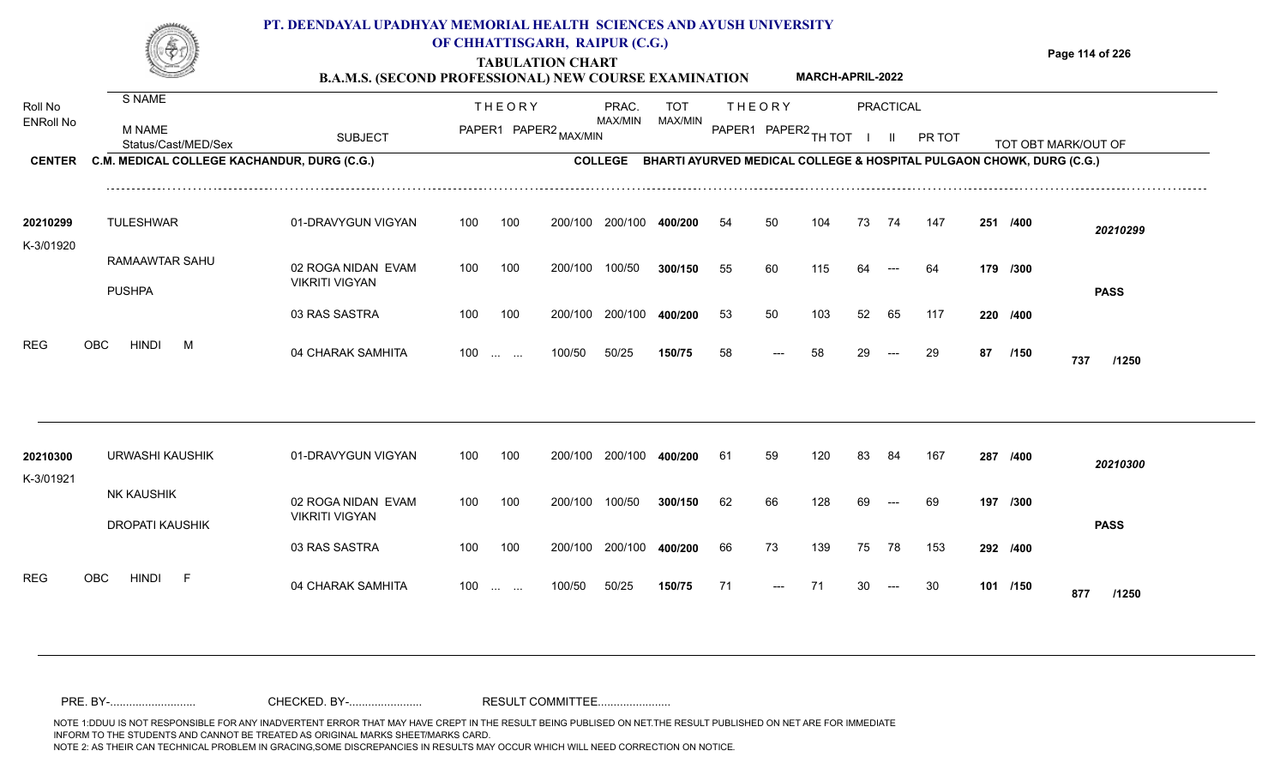## **TABULATION CHART Page 114 of 226 B.A.M.S. (SECOND PROFESSIONAL) NEW COURSE EXAMINATION**  ENRoll No MAX/MIN MAX/MIN MAX/MIN MAX/MIN ANG THIOT I II PRITOT TOT OBTIMARK/OUT OF SUBJECT PAPER2 <sub>MAX/MIN</sub> MAX/MIN PAPER1 PAPER2 <sub>TH</sub>IOT I II PRITOT TOT OBTIMARK/OUT OF **PRACTICAL CENTER C.M. MEDICAL COLLEGE KACHANDUR, DURG (C.G.)** THEORY PRAC. TOT PAPER1 PAPER2 MAX/MIN PAPER PRAC. THEORY S NAME M NAME **PT. DEENDAYAL UPADHYAY MEMORIAL HEALTH SCIENCES AND AYUSH UNIVERSITY OF CHHATTISGARH, RAIPUR (C.G.) C.M. MEDICAL COLLEGE KACHANDUR, DURG (C.G.) BHARTI AYURVED MEDICAL COLLEGE & HOSPITAL PULGAON CHOWK, DURG (C.G.) MARCH-APRIL-2022**

| 20210299   | <b>TULESHWAR</b>                | 01-DRAVYGUN VIGYAN | 100 | 100                                            | 200/100 | 200/100 | 400/200 | 54 | 50    | 104 | 73 | 74    | 147 | 251      | /400        | 20210299    |
|------------|---------------------------------|--------------------|-----|------------------------------------------------|---------|---------|---------|----|-------|-----|----|-------|-----|----------|-------------|-------------|
| K-3/01920  |                                 |                    |     |                                                |         |         |         |    |       |     |    |       |     |          |             |             |
|            | RAMAAWTAR SAHU                  | 02 ROGA NIDAN EVAM | 100 | 100                                            | 200/100 | 100/50  | 300/150 | 55 | -60   | 115 | 64 | $---$ | 64  | 179 /300 |             |             |
|            | <b>PUSHPA</b>                   | VIKRITI VIGYAN     |     |                                                |         |         |         |    |       |     |    |       |     |          |             | <b>PASS</b> |
|            |                                 | 03 RAS SASTRA      | 100 | 100                                            | 200/100 | 200/100 | 400/200 | 53 | 50    | 103 | 52 | 65    | 117 | 220 /400 |             |             |
| <b>REG</b> | <b>HINDI</b><br><b>OBC</b><br>M | 04 CHARAK SAMHITA  | 100 | $\mathbf{r}$ and $\mathbf{r}$ and $\mathbf{r}$ | 100/50  | 50/25   | 150/75  | 58 | $---$ | 58  | 29 | $--$  | 29  | 87       | /150<br>737 | /1250       |

| 20210300<br>K-3/01921 | URWASHI KAUSHIK               | 01-DRAVYGUN VIGYAN                          | 100               | 100 | 200/100 | 200/100 | 400/200 | 61 | 59    | 120 | 83 | 84                     | 167 | 287      | /400        | 20210300    |
|-----------------------|-------------------------------|---------------------------------------------|-------------------|-----|---------|---------|---------|----|-------|-----|----|------------------------|-----|----------|-------------|-------------|
|                       | NK KAUSHIK<br>DROPATI KAUSHIK | 02 ROGA NIDAN EVAM<br><b>VIKRITI VIGYAN</b> | 100               | 100 | 200/100 | 100/50  | 300/150 | 62 | 66    | 128 | 69 | $---$                  | 69  | 197 /300 |             | <b>PASS</b> |
|                       |                               | 03 RAS SASTRA                               | 100               | 100 | 200/100 | 200/100 | 400/200 | 66 | 73    | 139 | 75 | 78                     | 153 | 292 /400 |             |             |
| <b>REG</b>            | OBC<br><b>HINDI</b><br>E.     | 04 CHARAK SAMHITA                           | $100 \dots \dots$ |     | 100/50  | 50/25   | 150/75  | 71 | $---$ |     | 30 | $\qquad \qquad \cdots$ | -30 | 101      | /150<br>877 | /1250       |

Roll No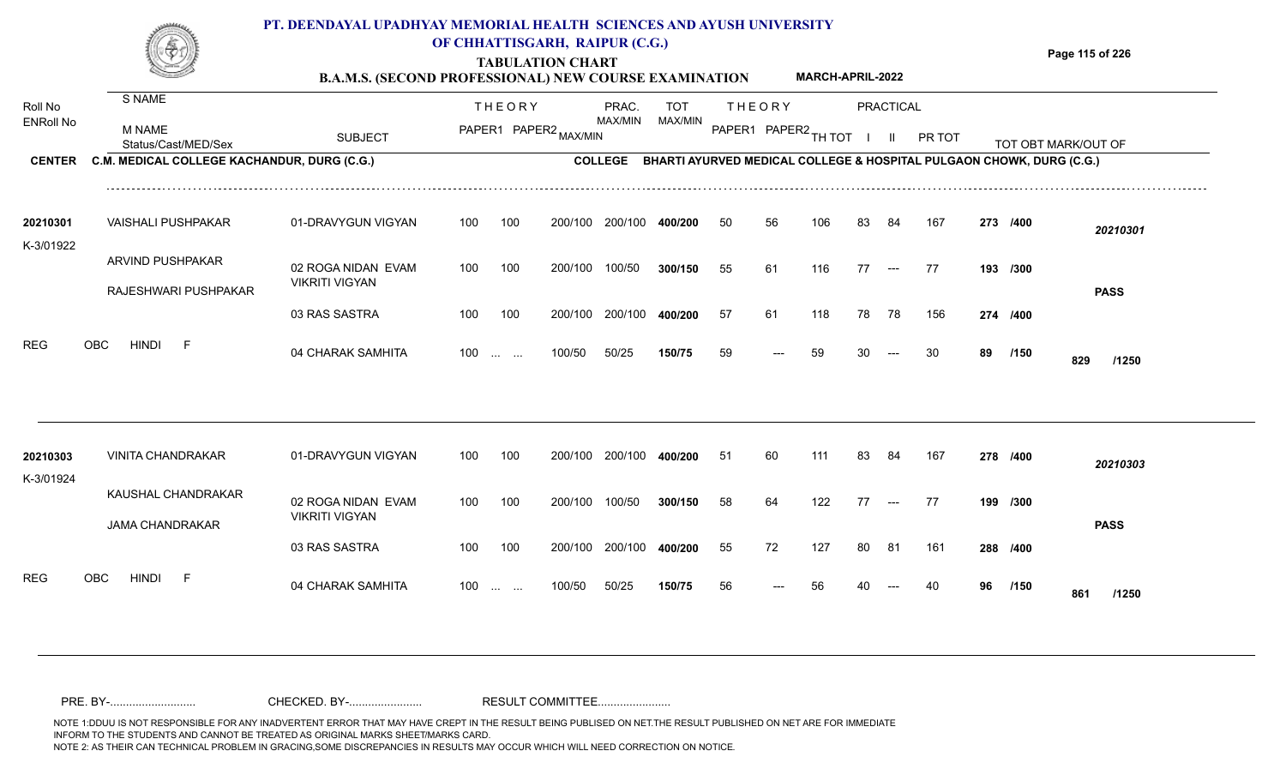#### **TABULATION CHART Page 115 of 226 B.A.M.S. (SECOND PROFESSIONAL) NEW COURSE EXAMINATION**  Roll No ENRoll No MAX/MIN MAX/MIN MAX/MIN MAX/MIN ANG THIOT I II PRITOT TOT OBTIMARK/OUT OF SUBJECT PAPER2 <sub>MAX/MIN</sub> MAX/MIN PAPER1 PAPER2 <sub>TH</sub>IOT I II PRITOT TOT OBTIMARK/OUT OF **PRACTICAL CENTER C.M. MEDICAL COLLEGE KACHANDUR, DURG (C.G.)** THEORY PRAC. TOT PAPER1 PAPER2 MAX/MIN PAPER PRAC. THEORY S NAME M NAME **PT. DEENDAYAL UPADHYAY MEMORIAL HEALTH SCIENCES AND AYUSH UNIVERSITY OF CHHATTISGARH, RAIPUR (C.G.) COLLEGE BHARTI AYURVED MEDICAL COLLEGE & HOSPITAL PULGAON CHOWK, DURG (C.G.) MARCH-APRIL-2022** 01-DRAVYGUN VIGYAN 100 100 02 ROGA NIDAN EVAM VIKRITI VIGYAN 100 100 200/100 200/100 400/200 200/100 **400/200** 100/50 **300/150** --- **/400** *20210301* **/300** 55 61 116 77 77 **193** VAISHALI PUSHPAKAR **20210301** ARVIND PUSHPAKAR RAJESHWARI PUSHPAKAR K-3/01922 100 200/100 100/50 50 56 106 83 84 167 **273 PASS**

200/100

04 CHARAK SAMHITA 100 … … 100/50 50/25 **150/75** 59 --- 59 30 --- 30 **89 /150 829 /1250** 

**/400** 57 61 118 78 78 156 **274**

<sup>59</sup> <sup>59</sup> <sup>30</sup> <sup>30</sup> **<sup>89</sup> <sup>829</sup>**

**/150**

200/100 **400/200**

50/25 **150/75**

100 ... ... 100/50 50/25 **150/75** 59 --- 59 30

| 20210303   | <b>VINITA CHANDRAKAR</b>        | 01-DRAVYGUN VIGYAN    | 100 | 100                                                | 200/100 | 200/100 | 400/200 | 51 | 60                    | 111 | -83 | 84                  | 167  | 278 /400 |             | 20210303    |
|------------|---------------------------------|-----------------------|-----|----------------------------------------------------|---------|---------|---------|----|-----------------------|-----|-----|---------------------|------|----------|-------------|-------------|
| K-3/01924  |                                 |                       |     |                                                    |         |         |         |    |                       |     |     |                     |      |          |             |             |
|            | KAUSHAL CHANDRAKAR              | 02 ROGA NIDAN EVAM    | 100 | 100                                                | 200/100 | 100/50  | 300/150 | 58 | 64                    | 122 | 77  | $\qquad \qquad - -$ | - 77 | 199 /300 |             |             |
|            | <b>JAMA CHANDRAKAR</b>          | <b>VIKRITI VIGYAN</b> |     |                                                    |         |         |         |    |                       |     |     |                     |      |          |             | <b>PASS</b> |
|            |                                 | 03 RAS SASTRA         | 100 | 100                                                | 200/100 | 200/100 | 400/200 | 55 | 72                    | 127 | -80 | -81                 | 161  | 288 /400 |             |             |
| <b>REG</b> | OBC<br><b>HINDI</b><br><b>1</b> | 04 CHARAK SAMHITA     | 100 | $\mathbf{r}$ and $\mathbf{r}$ are all $\mathbf{r}$ | 100/50  | 50/25   | 150/75  | 56 | $\scriptstyle \cdots$ | 56  | 40  | $---$               | 40   | 96       | /150<br>861 | /1250       |

200/100

100/50

03 RAS SASTRA

REG OBC HINDI F 04 CHARAK SAMHITA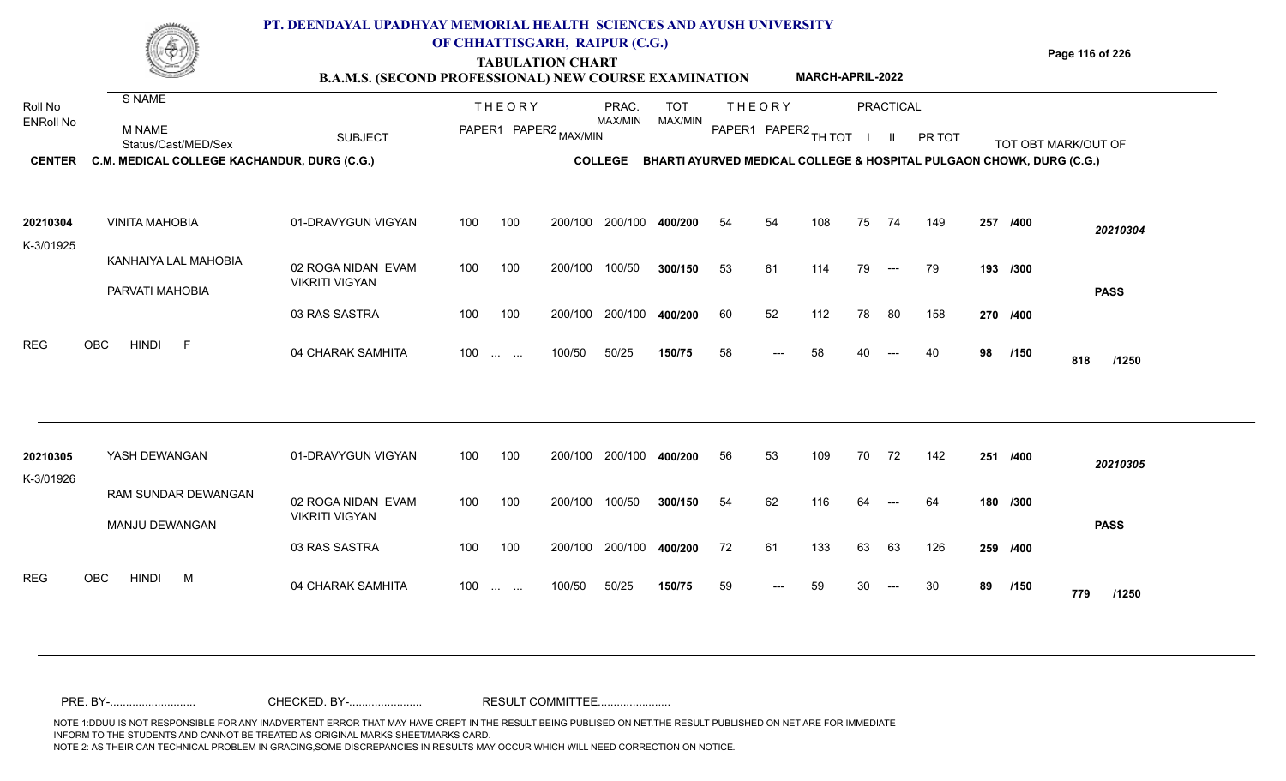## **TABULATION CHART Page 116 of 226 B.A.M.S. (SECOND PROFESSIONAL) NEW COURSE EXAMINATION**  S NAME **PT. DEENDAYAL UPADHYAY MEMORIAL HEALTH SCIENCES AND AYUSH UNIVERSITY OF CHHATTISGARH, RAIPUR (C.G.) MARCH-APRIL-2022**

| Roll No<br><b>ENRoll No</b> | – •••••••                                   |                                             |     | <b>THEORY</b>                                                                 |                       | PRAC.<br>MAX/MIN | <b>TOT</b><br>MAX/MIN                                                |    | <b>THEORY</b>        |     |    | PRACTICAL            |        |     |          |                     |  |
|-----------------------------|---------------------------------------------|---------------------------------------------|-----|-------------------------------------------------------------------------------|-----------------------|------------------|----------------------------------------------------------------------|----|----------------------|-----|----|----------------------|--------|-----|----------|---------------------|--|
|                             | M NAME<br>Status/Cast/MED/Sex               | <b>SUBJECT</b>                              |     |                                                                               | PAPER1 PAPER2 MAX/MIN |                  |                                                                      |    | PAPER1 PAPER2 TH TOT |     |    |                      | PR TOT |     |          | TOT OBT MARK/OUT OF |  |
| <b>CENTER</b>               | C.M. MEDICAL COLLEGE KACHANDUR, DURG (C.G.) |                                             |     |                                                                               |                       | <b>COLLEGE</b>   | BHARTI AYURVED MEDICAL COLLEGE & HOSPITAL PULGAON CHOWK, DURG (C.G.) |    |                      |     |    |                      |        |     |          |                     |  |
| 20210304<br>K-3/01925       | <b>VINITA MAHOBIA</b>                       | 01-DRAVYGUN VIGYAN                          | 100 | 100                                                                           | 200/100               | 200/100          | 400/200                                                              | 54 | 54                   | 108 | 75 | 74                   | 149    | 257 | /400     | 20210304            |  |
|                             | KANHAIYA LAL MAHOBIA<br>PARVATI MAHOBIA     | 02 ROGA NIDAN EVAM<br><b>VIKRITI VIGYAN</b> | 100 | 100                                                                           | 200/100               | 100/50           | 300/150                                                              | 53 | 61                   | 114 | 79 | $\hspace{0.05cm}---$ | 79     |     | 193 /300 | <b>PASS</b>         |  |
|                             |                                             | 03 RAS SASTRA                               | 100 | 100                                                                           | 200/100               | 200/100          | 400/200                                                              | 60 | 52                   | 112 | 78 | 80                   | 158    |     | 270 /400 |                     |  |
| <b>REG</b>                  | <b>HINDI</b><br>OBC<br>-F                   | 04 CHARAK SAMHITA                           | 100 | <b>Service</b> Service                                                        | 100/50                | 50/25            | 150/75                                                               | 58 |                      | 58  |    |                      | 40     | 98  | /150     | 818<br>/1250        |  |
| 20210305                    | YASH DEWANGAN                               | 01-DRAVYGUN VIGYAN                          | 100 | 100                                                                           | 200/100               | 200/100          | 400/200                                                              | 56 | 53                   | 109 | 70 | 72                   | 142    |     | 251 /400 |                     |  |
| K-3/01926                   |                                             |                                             |     |                                                                               |                       |                  |                                                                      |    |                      |     |    |                      |        |     |          | 20210305            |  |
|                             | RAM SUNDAR DEWANGAN<br>MANJU DEWANGAN       | 02 ROGA NIDAN EVAM<br><b>VIKRITI VIGYAN</b> | 100 | 100                                                                           | 200/100               | 100/50           | 300/150                                                              | 54 | 62                   | 116 |    |                      | 64     |     | 180 /300 | <b>PASS</b>         |  |
|                             |                                             | 03 RAS SASTRA                               | 100 | 100                                                                           | 200/100               | 200/100          | 400/200                                                              | 72 | 61                   | 133 | 63 | 63                   | 126    |     | 259 /400 |                     |  |
| <b>REG</b>                  | <b>HINDI</b><br><b>OBC</b><br>M             | 04 CHARAK SAMHITA                           | 100 | $\mathcal{L}_{\mathcal{F}}$ and $\mathcal{L}_{\mathcal{F}}$ . The contract of | 100/50                | 50/25            | 150/75                                                               | 59 |                      | 59  |    |                      |        | 89  | /150     | 779<br>/1250        |  |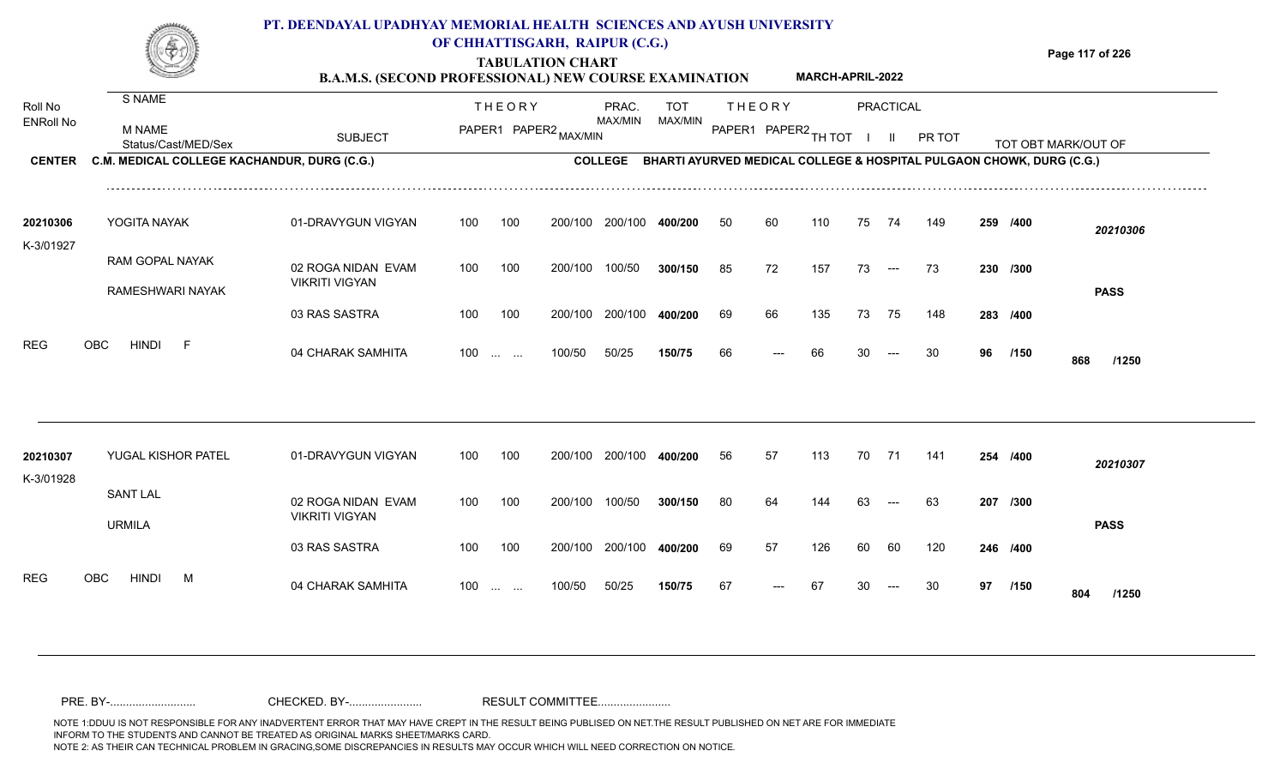## **TABULATION CHART Page 117 of 226 B.A.M.S. (SECOND PROFESSIONAL) NEW COURSE EXAMINATION**  Roll No ENRoll No MAX/MIN MAX/MIN MAX/MIN MAX/MIN ANG THIOT I II PRITOT TOT OBTIMARK/OUT OF SUBJECT PAPER2 <sub>MAX/MIN</sub> MAX/MIN PAPER1 PAPER2 <sub>TH</sub>IOT I II PRITOT TOT OBTIMARK/OUT OF **PRACTICAL CENTER C.M. MEDICAL COLLEGE KACHANDUR, DURG (C.G.)** THEORY PRAC. TOT PAPER1 PAPER2 MAX/MIN PAPER PRAC. THEORY S NAME M NAME **PT. DEENDAYAL UPADHYAY MEMORIAL HEALTH SCIENCES AND AYUSH UNIVERSITY OF CHHATTISGARH, RAIPUR (C.G.) C.M. MEDICAL COLLEGE KACHANDUR, DURG (C.G.) BHARTI AYURVED MEDICAL COLLEGE & HOSPITAL PULGAON CHOWK, DURG (C.G.) MARCH-APRIL-2022**

| 20210306  | YOGITA NAYAK     | 01-DRAVYGUN VIGYAN    | 100   | 100 | 200/100 | 200/100 | 400/200 | 50 | 60    | 110 | 75 | 74                     | 149 | 259 /400 |      | 20210306     |
|-----------|------------------|-----------------------|-------|-----|---------|---------|---------|----|-------|-----|----|------------------------|-----|----------|------|--------------|
| K-3/01927 |                  |                       |       |     |         |         |         |    |       |     |    |                        |     |          |      |              |
|           | RAM GOPAL NAYAK  | 02 ROGA NIDAN EVAM    | 100   | 100 | 200/100 | 100/50  | 300/150 | 85 | 72    | 157 | 73 | $---$                  | -73 | 230 /300 |      |              |
|           | RAMESHWARI NAYAK | <b>VIKRITI VIGYAN</b> |       |     |         |         |         |    |       |     |    |                        |     |          |      | <b>PASS</b>  |
|           |                  | 03 RAS SASTRA         | 100   | 100 | 200/100 | 200/100 | 400/200 | 69 | 66    | 135 | 73 | 75                     | 148 | 283 /400 |      |              |
| REG       | OBC<br>HINDI     | 04 CHARAK SAMHITA     | $100$ |     | 100/50  | 50/25   | 150/75  | 66 | $---$ | 66  | 30 | $\qquad \qquad \cdots$ | -30 | 96       | /150 | 868<br>/1250 |

| 20210307<br>K-3/01928 | YUGAL KISHOR PATEL        | 01-DRAVYGUN VIGYAN                          | 100   | 100 | 200/100 | 200/100 | 400/200 | 56 | 57    | 113 | 70 | 71    | 141 | 254      | /400        | 20210307    |
|-----------------------|---------------------------|---------------------------------------------|-------|-----|---------|---------|---------|----|-------|-----|----|-------|-----|----------|-------------|-------------|
|                       | <b>SANT LAL</b><br>URMILA | 02 ROGA NIDAN EVAM<br><b>VIKRITI VIGYAN</b> | 100   | 100 | 200/100 | 100/50  | 300/150 | 80 | 64    | 144 | 63 | $---$ | 63  | 207 /300 |             | <b>PASS</b> |
|                       |                           | 03 RAS SASTRA                               | 100   | 100 | 200/100 | 200/100 | 400/200 | 69 | 57    | 126 | 60 | -60   | 120 | 246 /400 |             |             |
| <b>REG</b><br>OBC     | <b>HINDI</b><br>М         | 04 CHARAK SAMHITA                           | $100$ |     | 100/50  | 50/25   | 150/75  | 67 | $---$ | 67  | 30 | $---$ | 30  | 97       | /150<br>804 | /1250       |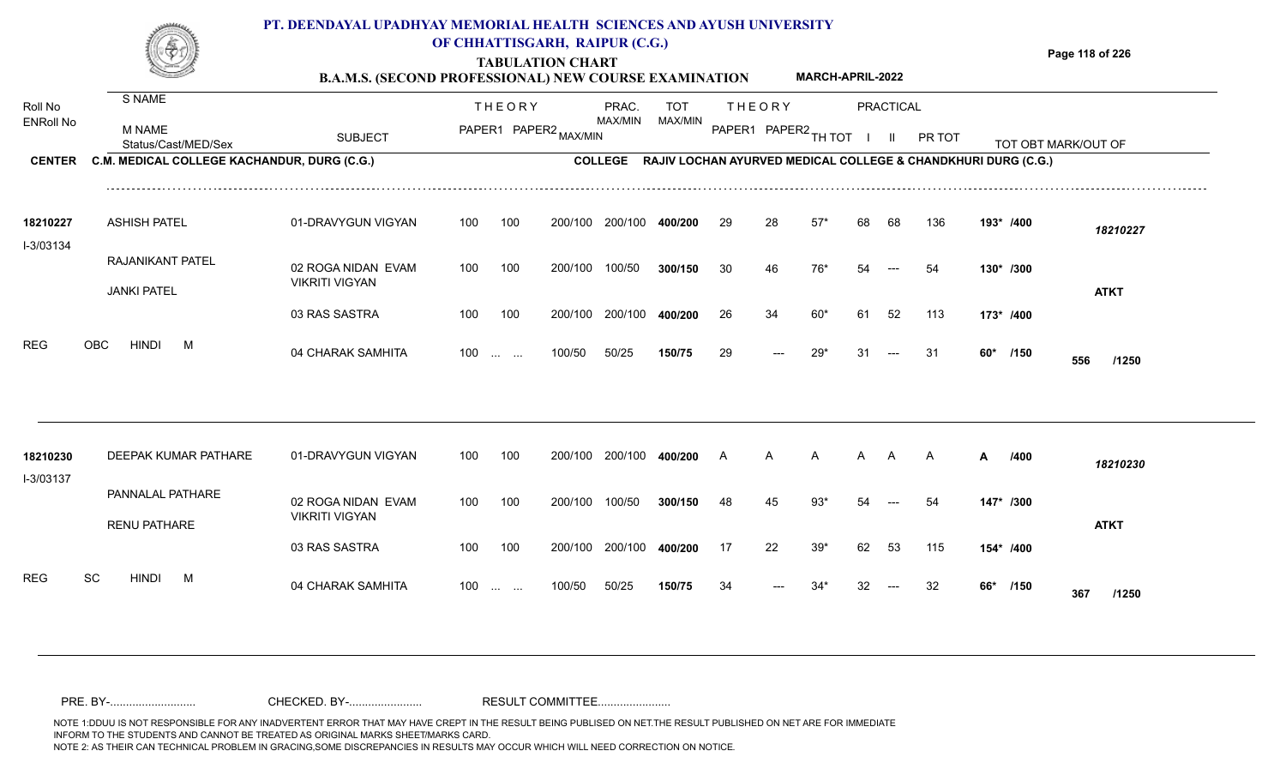# **PT. DEENDAYAL UPADHYAY MEMORIAL HEALTH SCIENCES AND AYUSH UNIVERSITY**



## **OF CHHATTISGARH, RAIPUR (C.G.)**

**Page 118 of 226**

**TABULATION CHART B.A.M.S. (SECOND PROFESSIONAL) NEW COURSE EXAMINATION MARCH-APRIL-2022**

| Roll No               | S NAME                                      |                                             |     | <b>THEORY</b>                                                 |         | PRAC.          | <b>TOT</b>                                                    |                      | <b>THEORY</b> |       |    | <b>PRACTICAL</b> |              |   |           |                     |
|-----------------------|---------------------------------------------|---------------------------------------------|-----|---------------------------------------------------------------|---------|----------------|---------------------------------------------------------------|----------------------|---------------|-------|----|------------------|--------------|---|-----------|---------------------|
| <b>ENRoll No</b>      | M NAME<br>Status/Cast/MED/Sex               | <b>SUBJECT</b>                              |     | PAPER1 PAPER2 MAX/MIN                                         |         | MAX/MIN        | MAX/MIN                                                       | PAPER1 PAPER2 TH TOT |               |       |    |                  | PR TOT       |   |           | TOT OBT MARK/OUT OF |
| <b>CENTER</b>         | C.M. MEDICAL COLLEGE KACHANDUR, DURG (C.G.) |                                             |     |                                                               |         | <b>COLLEGE</b> | RAJIV LOCHAN AYURVED MEDICAL COLLEGE & CHANDKHURI DURG (C.G.) |                      |               |       |    |                  |              |   |           |                     |
| 18210227<br>I-3/03134 | <b>ASHISH PATEL</b>                         | 01-DRAVYGUN VIGYAN                          | 100 | 100                                                           | 200/100 | 200/100        | 400/200                                                       | 29                   | 28            | $57*$ | 68 | 68               | 136          |   | 193* /400 | 18210227            |
|                       | RAJANIKANT PATEL                            | 02 ROGA NIDAN EVAM<br><b>VIKRITI VIGYAN</b> | 100 | 100                                                           | 200/100 | 100/50         | 300/150                                                       | 30                   | 46            | 76*   |    |                  | 54           |   | 130* /300 |                     |
|                       | <b>JANKI PATEL</b>                          |                                             |     |                                                               |         |                |                                                               |                      |               |       |    |                  |              |   |           | <b>ATKT</b>         |
|                       |                                             | 03 RAS SASTRA                               | 100 | 100                                                           | 200/100 | 200/100        | 400/200                                                       | 26                   | 34            | $60*$ | 61 | 52               | 113          |   | 173* /400 |                     |
| <b>REG</b>            | <b>HINDI</b><br><b>OBC</b><br>M             | 04 CHARAK SAMHITA                           | 100 | $\mathcal{L}_{\mathcal{F}}$ , and $\mathcal{L}_{\mathcal{F}}$ | 100/50  | 50/25          | 150/75                                                        | 29                   |               | $29*$ | 31 |                  | 31           |   | 60* /150  | 556<br>/1250        |
|                       |                                             |                                             |     |                                                               |         |                |                                                               |                      |               |       |    |                  |              |   |           |                     |
| 18210230<br>I-3/03137 | <b>DEEPAK KUMAR PATHARE</b>                 | 01-DRAVYGUN VIGYAN                          | 100 | 100                                                           | 200/100 | 200/100        | 400/200                                                       | A                    | A             | A     | A  | A                | $\mathsf{A}$ | A | /400      | 18210230            |
|                       | PANNALAL PATHARE<br><b>RENU PATHARE</b>     | 02 ROGA NIDAN EVAM<br><b>VIKRITI VIGYAN</b> | 100 | 100                                                           | 200/100 | 100/50         | 300/150                                                       | 48                   | 45            | $93*$ | 54 |                  | 54           |   | 147* /300 | <b>ATKT</b>         |
|                       |                                             | 03 RAS SASTRA                               | 100 | 100                                                           | 200/100 | 200/100        | 400/200                                                       | 17                   | 22            | $39*$ | 62 | 53               | 115          |   | 154* /400 |                     |
| <b>REG</b>            | SC<br><b>HINDI</b><br>M                     | 04 CHARAK SAMHITA                           | 100 | $\mathcal{L}_{\mathcal{F}}$ and $\mathcal{L}_{\mathcal{F}}$ . | 100/50  | 50/25          | 150/75                                                        | 34                   |               | 34*   | 32 |                  | 32           |   | 66* /150  | 367<br>/1250        |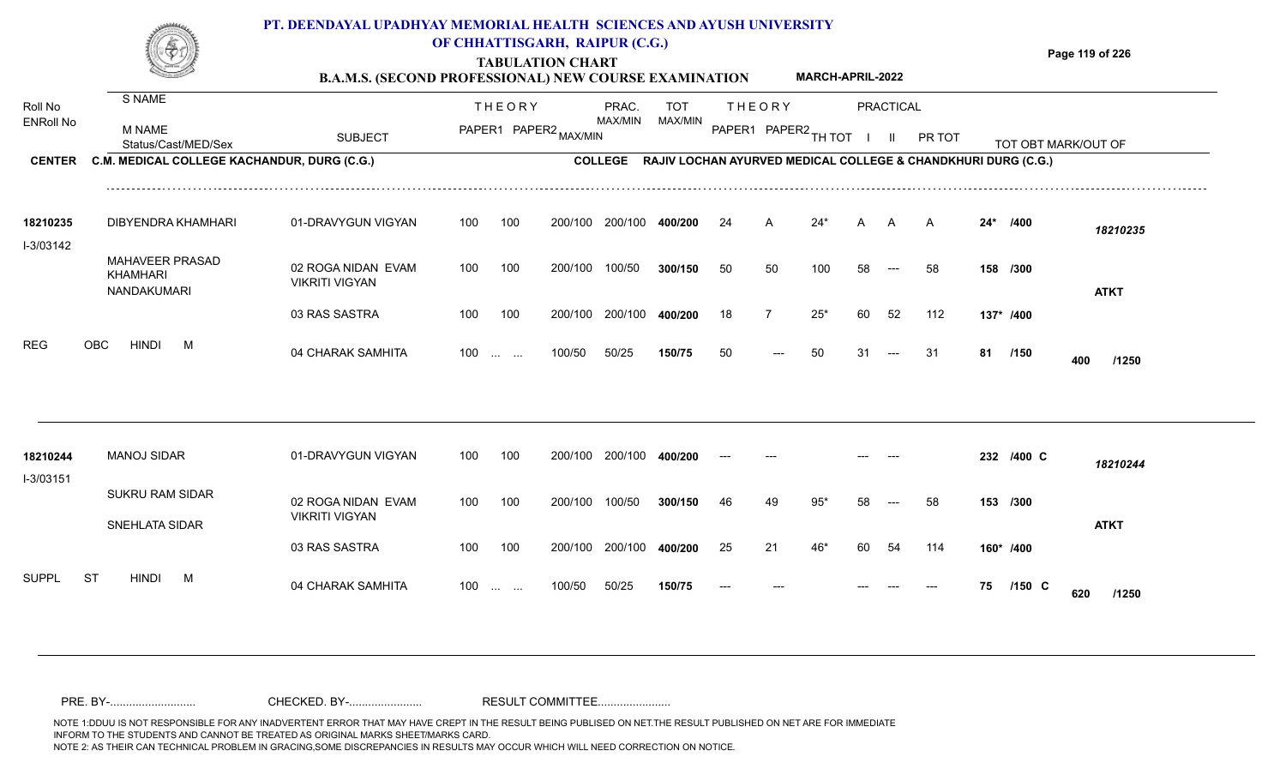## **TABULATION CHART Page 119 of 226 B.A.M.S. (SECOND PROFESSIONAL) NEW COURSE EXAMINATION**  S NAME **PT. DEENDAYAL UPADHYAY MEMORIAL HEALTH SCIENCES AND AYUSH UNIVERSITY OF CHHATTISGARH, RAIPUR (C.G.) MARCH-APRIL-2022**

| Roll No               | <b>JIVAIVIL</b>                             |                                             |     | <b>THEORY</b>                                  |                       | PRAC.          | <b>TOT</b> |       | <b>THEORY</b> |                      |    | <b>PRACTICAL</b> |                                                               |       |            |                     |
|-----------------------|---------------------------------------------|---------------------------------------------|-----|------------------------------------------------|-----------------------|----------------|------------|-------|---------------|----------------------|----|------------------|---------------------------------------------------------------|-------|------------|---------------------|
| <b>ENRoll No</b>      | <b>M NAME</b><br>Status/Cast/MED/Sex        | <b>SUBJECT</b>                              |     |                                                | PAPER1 PAPER2 MAX/MIN | MAX/MIN        | MAX/MIN    |       |               | PAPER1 PAPER2 TH TOT |    |                  | PR TOT                                                        |       |            | TOT OBT MARK/OUT OF |
| <b>CENTER</b>         | C.M. MEDICAL COLLEGE KACHANDUR, DURG (C.G.) |                                             |     |                                                |                       | <b>COLLEGE</b> |            |       |               |                      |    |                  | RAJIV LOCHAN AYURVED MEDICAL COLLEGE & CHANDKHURI DURG (C.G.) |       |            |                     |
| 18210235<br>I-3/03142 | DIBYENDRA KHAMHARI                          | 01-DRAVYGUN VIGYAN                          | 100 | 100                                            | 200/100               | 200/100        | 400/200    | 24    | A             | $24*$                | A  | A                | A                                                             | $24*$ | /400       | 18210235            |
|                       | MAHAVEER PRASAD<br>KHAMHARI<br>NANDAKUMARI  | 02 ROGA NIDAN EVAM<br><b>VIKRITI VIGYAN</b> | 100 | 100                                            | 200/100               | 100/50         | 300/150    | 50    | 50            | 100                  | 58 | $---$            | 58                                                            |       | 158 /300   | <b>ATKT</b>         |
|                       |                                             | 03 RAS SASTRA                               | 100 | 100                                            | 200/100               | 200/100        | 400/200    | 18    |               | $25*$                | 60 | 52               | 112                                                           |       | 137* /400  |                     |
| <b>REG</b>            | OBC<br><b>HINDI</b><br>M                    | 04 CHARAK SAMHITA                           | 100 | $\mathbf{r}$ and $\mathbf{r}$ and $\mathbf{r}$ | 100/50                | 50/25          | 150/75     | 50    | $---$         | 50                   | 31 |                  | 31                                                            | 81    | /150       | 400<br>/1250        |
|                       |                                             |                                             |     |                                                |                       |                |            |       |               |                      |    |                  |                                                               |       |            |                     |
| 18210244<br>I-3/03151 | <b>MANOJ SIDAR</b>                          | 01-DRAVYGUN VIGYAN                          | 100 | 100                                            | 200/100               | 200/100        | 400/200    | $---$ |               |                      |    |                  |                                                               |       | 232 /400 C | 18210244            |
|                       | <b>SUKRU RAM SIDAR</b><br>SNEHLATA SIDAR    | 02 ROGA NIDAN EVAM<br><b>VIKRITI VIGYAN</b> | 100 | 100                                            | 200/100               | 100/50         | 300/150    | 46    | 49            | 95'                  | 58 |                  | 58                                                            |       | 153 /300   | <b>ATKT</b>         |
|                       |                                             | 03 RAS SASTRA                               | 100 | 100                                            | 200/100               | 200/100        | 400/200    | 25    | 21            | 46*                  | 60 | 54               | 114                                                           |       | 160* /400  |                     |
| <b>SUPPL</b>          | ST<br><b>HINDI</b><br>M                     | 04 CHARAK SAMHITA                           | 100 | <b>Service Control</b>                         | 100/50                | 50/25          | 150/75     |       |               |                      |    |                  |                                                               | 75    | $/150$ C   | 620<br>/1250        |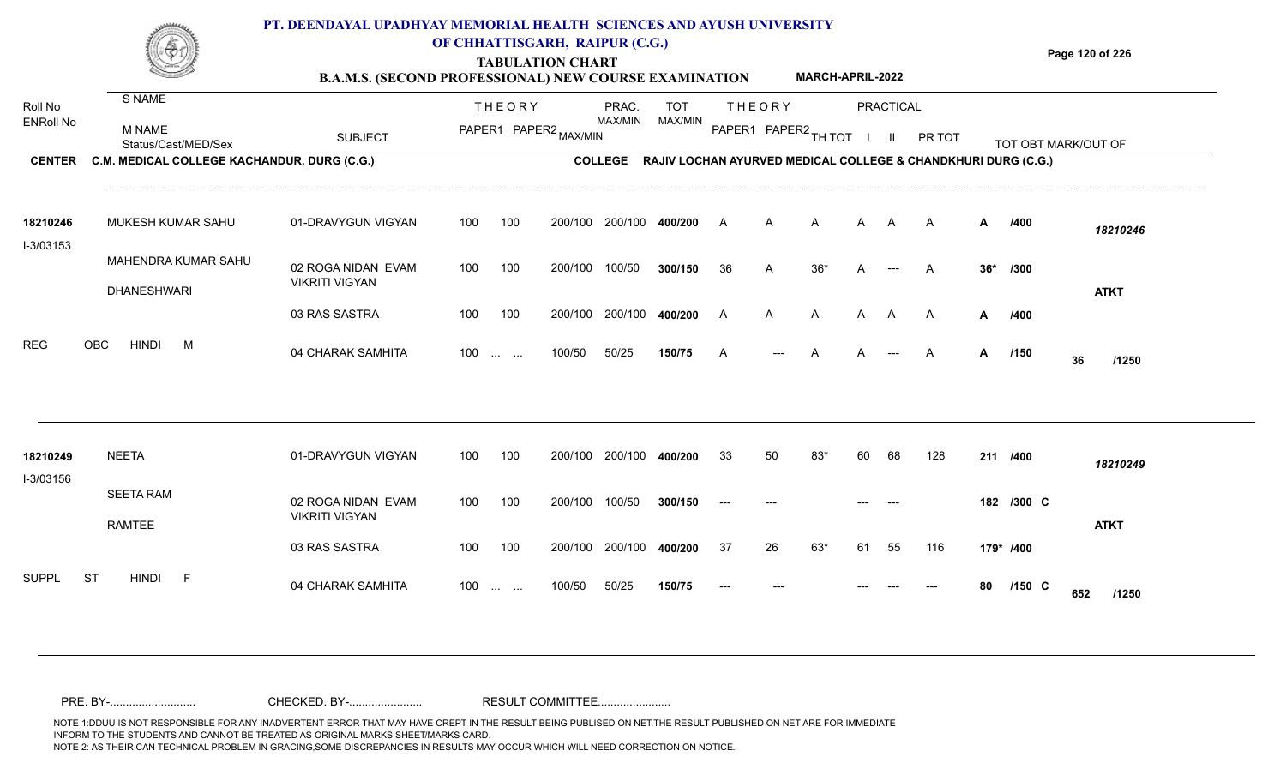|                       |                                             | PT. DEENDAYAL UPADHYAY MEMORIAL HEALTH SCIENCES AND AYUSH UNIVERSITY<br><b>B.A.M.S. (SECOND PROFESSIONAL) NEW COURSE EXAMINATION</b> |     |               | OF CHHATTISGARH, RAIPUR (C.G.)<br><b>TABULATION CHART</b> |                 |                                                                       |                |               | <b>MARCH-APRIL-2022</b> |    |              |        |     |                     |     | Page 120 of 226 |
|-----------------------|---------------------------------------------|--------------------------------------------------------------------------------------------------------------------------------------|-----|---------------|-----------------------------------------------------------|-----------------|-----------------------------------------------------------------------|----------------|---------------|-------------------------|----|--------------|--------|-----|---------------------|-----|-----------------|
| Roll No               | S NAME                                      |                                                                                                                                      |     | <b>THEORY</b> |                                                           | PRAC.           | TOT                                                                   |                | <b>THEORY</b> |                         |    | PRACTICAL    |        |     |                     |     |                 |
| <b>ENRoll No</b>      | M NAME<br>Status/Cast/MED/Sex               | <b>SUBJECT</b>                                                                                                                       |     |               | PAPER1 PAPER2 MAX/MIN                                     | MAX/MIN         | MAX/MIN                                                               |                |               | PAPER1 PAPER2 TH TOT    |    | $\mathbf{H}$ | PR TOT |     | TOT OBT MARK/OUT OF |     |                 |
| <b>CENTER</b>         | C.M. MEDICAL COLLEGE KACHANDUR, DURG (C.G.) |                                                                                                                                      |     |               |                                                           |                 | COLLEGE RAJIV LOCHAN AYURVED MEDICAL COLLEGE & CHANDKHURI DURG (C.G.) |                |               |                         |    |              |        |     |                     |     |                 |
| 18210246<br>I-3/03153 | MUKESH KUMAR SAHU                           | 01-DRAVYGUN VIGYAN                                                                                                                   | 100 | 100           | 200/100                                                   | 200/100         | 400/200                                                               | A              | A             | A                       | A  | A            | A      | A   | /400                |     | 18210246        |
|                       | MAHENDRA KUMAR SAHU<br><b>DHANESHWARI</b>   | 02 ROGA NIDAN EVAM<br><b>VIKRITI VIGYAN</b>                                                                                          | 100 | 100           | 200/100                                                   | 100/50          | 300/150                                                               | 36             | A             | $36*$                   | A  |              | A      | 36* | /300                |     | <b>ATKT</b>     |
|                       |                                             | 03 RAS SASTRA                                                                                                                        | 100 | 100           |                                                           | 200/100 200/100 | 400/200                                                               | $\overline{A}$ | A             | A                       | A  | A            | A      | A   | /400                |     |                 |
| REG                   | <b>OBC</b><br><b>HINDI</b><br>M             | 04 CHARAK SAMHITA                                                                                                                    | 100 |               | 100/50                                                    | 50/25           | 150/75                                                                | A              |               |                         | А  |              | A      | A   | /150                | 36  | /1250           |
| 18210249              | <b>NEETA</b>                                | 01-DRAVYGUN VIGYAN                                                                                                                   | 100 | 100           |                                                           | 200/100 200/100 | 400/200                                                               | 33             | 50            | 83*                     | 60 | 68           | 128    |     | 211 /400            |     |                 |
| I-3/03156             |                                             |                                                                                                                                      |     |               |                                                           |                 |                                                                       |                |               |                         |    |              |        |     |                     |     | 18210249        |
|                       | <b>SEETA RAM</b><br><b>RAMTEE</b>           | 02 ROGA NIDAN EVAM<br><b>VIKRITI VIGYAN</b>                                                                                          | 100 | 100           | 200/100                                                   | 100/50          | 300/150                                                               | $---$          |               |                         |    |              |        |     | 182 /300 C          |     | <b>ATKT</b>     |
|                       |                                             | 03 RAS SASTRA                                                                                                                        | 100 | 100           |                                                           | 200/100 200/100 | 400/200                                                               | 37             | 26            | $63*$                   | 61 | 55           | 116    |     | 179* /400           |     |                 |
| SUPPL                 | ST<br><b>HINDI</b><br>- F                   | 04 CHARAK SAMHITA                                                                                                                    |     | $100$         | 100/50                                                    | 50/25           | 150/75                                                                |                |               |                         |    |              |        | 80  | $/150$ C            | 652 | /1250           |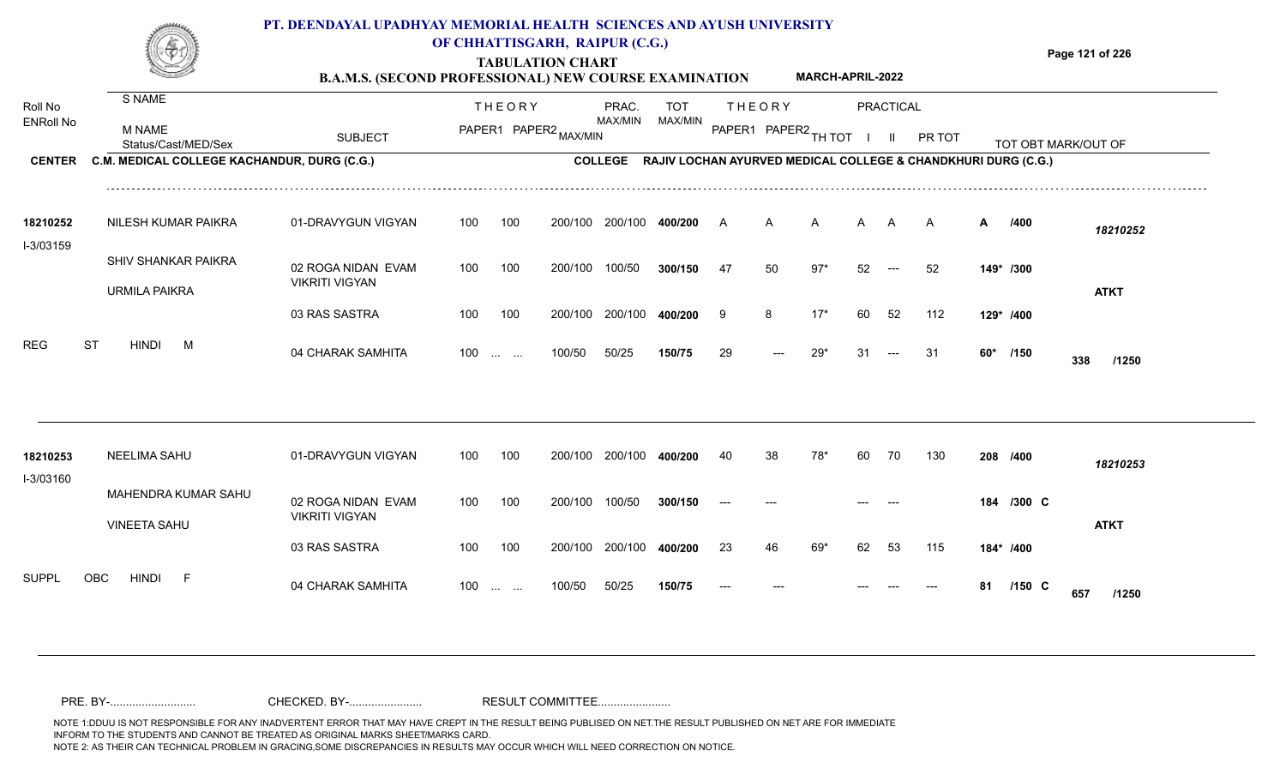|                             |                                                | PT. DEENDAYAL UPADHYAY MEMORIAL HEALTH SCIENCES AND AYUSH UNIVERSITY<br><b>B.A.M.S. (SECOND PROFESSIONAL) NEW COURSE EXAMINATION</b> |                  |                                                               | OF CHHATTISGARH, RAIPUR (C.G.)<br><b>TABULATION CHART</b> |                  |                       |    |               | MARCH-APRIL-2022     |    |                  |                                                               |   | Page 121 of 226     |             |
|-----------------------------|------------------------------------------------|--------------------------------------------------------------------------------------------------------------------------------------|------------------|---------------------------------------------------------------|-----------------------------------------------------------|------------------|-----------------------|----|---------------|----------------------|----|------------------|---------------------------------------------------------------|---|---------------------|-------------|
| Roll No<br><b>ENRoll No</b> | S NAME<br><b>M NAME</b><br>Status/Cast/MED/Sex | <b>SUBJECT</b>                                                                                                                       |                  | <b>THEORY</b>                                                 | PAPER1 PAPER2 MAX/MIN                                     | PRAC.<br>MAX/MIN | <b>TOT</b><br>MAX/MIN |    | <b>THEORY</b> | PAPER1 PAPER2 TH TOT |    | <b>PRACTICAL</b> | PR TOT                                                        |   | TOT OBT MARK/OUT OF |             |
| <b>CENTER</b>               | C.M. MEDICAL COLLEGE KACHANDUR, DURG (C.G.)    |                                                                                                                                      |                  |                                                               |                                                           | <b>COLLEGE</b>   |                       |    |               |                      |    |                  | RAJIV LOCHAN AYURVED MEDICAL COLLEGE & CHANDKHURI DURG (C.G.) |   |                     |             |
| 18210252<br>I-3/03159       | NILESH KUMAR PAIKRA                            | 01-DRAVYGUN VIGYAN                                                                                                                   | 100              | 100                                                           |                                                           | 200/100 200/100  | 400/200               | A  | A             | A                    | A  | A                | A                                                             | A | /400                | 18210252    |
|                             | SHIV SHANKAR PAIKRA<br><b>URMILA PAIKRA</b>    | 02 ROGA NIDAN EVAM<br><b>VIKRITI VIGYAN</b>                                                                                          | 100              | 100                                                           | 200/100                                                   | 100/50           | 300/150               | 47 | 50            | $97*$                | 52 | $---$            | 52                                                            |   | 149* /300           | <b>ATKT</b> |
|                             |                                                | 03 RAS SASTRA                                                                                                                        | 100              | 100                                                           | 200/100                                                   | 200/100          | 400/200               | 9  | 8             | $17*$                | 60 | 52               | 112                                                           |   | 129* /400           |             |
| <b>REG</b>                  | <b>ST</b><br><b>HINDI</b><br>M                 | 04 CHARAK SAMHITA                                                                                                                    | 100 <sub>1</sub> | $\mathcal{L}_{\mathcal{L}}$ , and $\mathcal{L}_{\mathcal{L}}$ | 100/50                                                    | 50/25            | 150/75                | 29 |               | $29*$                | 31 | $---$            | 31                                                            |   | 60* /150<br>338     | /1250       |
|                             |                                                |                                                                                                                                      |                  |                                                               |                                                           |                  |                       |    |               |                      |    |                  |                                                               |   |                     |             |
| 18210253<br>I-3/03160       | <b>NEELIMA SAHU</b>                            | 01-DRAVYGUN VIGYAN                                                                                                                   | 100              | 100                                                           |                                                           | 200/100 200/100  | 400/200               | 40 | 38            | 78*                  | 60 | 70               | 130                                                           |   | 208 /400            | 18210253    |
|                             | MAHENDRA KUMAR SAHU<br><b>VINEETA SAHU</b>     | 02 ROGA NIDAN EVAM<br><b>VIKRITI VIGYAN</b>                                                                                          | 100              | 100                                                           | 200/100                                                   | 100/50           | 300/150               |    |               |                      |    |                  |                                                               |   | 184 /300 C          | <b>ATKT</b> |
|                             |                                                | 03 RAS SASTRA                                                                                                                        | 100              | 100                                                           |                                                           | 200/100 200/100  | 400/200               | 23 |               | 69*                  | 62 | 53               | 115                                                           |   | 184* /400           |             |

100 ... ... 100/50 50/25 **150/75** --- --- ---

50/25 **150/75**

04 CHARAK SAMHITA 100 … … 100/50 50/25 **150/75 --- --- --- --- --- 81 /150 C /1250** 

**/150** --- --- --- **81 C**

**657**

SUPPL OBC HINDI F 04 CHARAK SAMHITA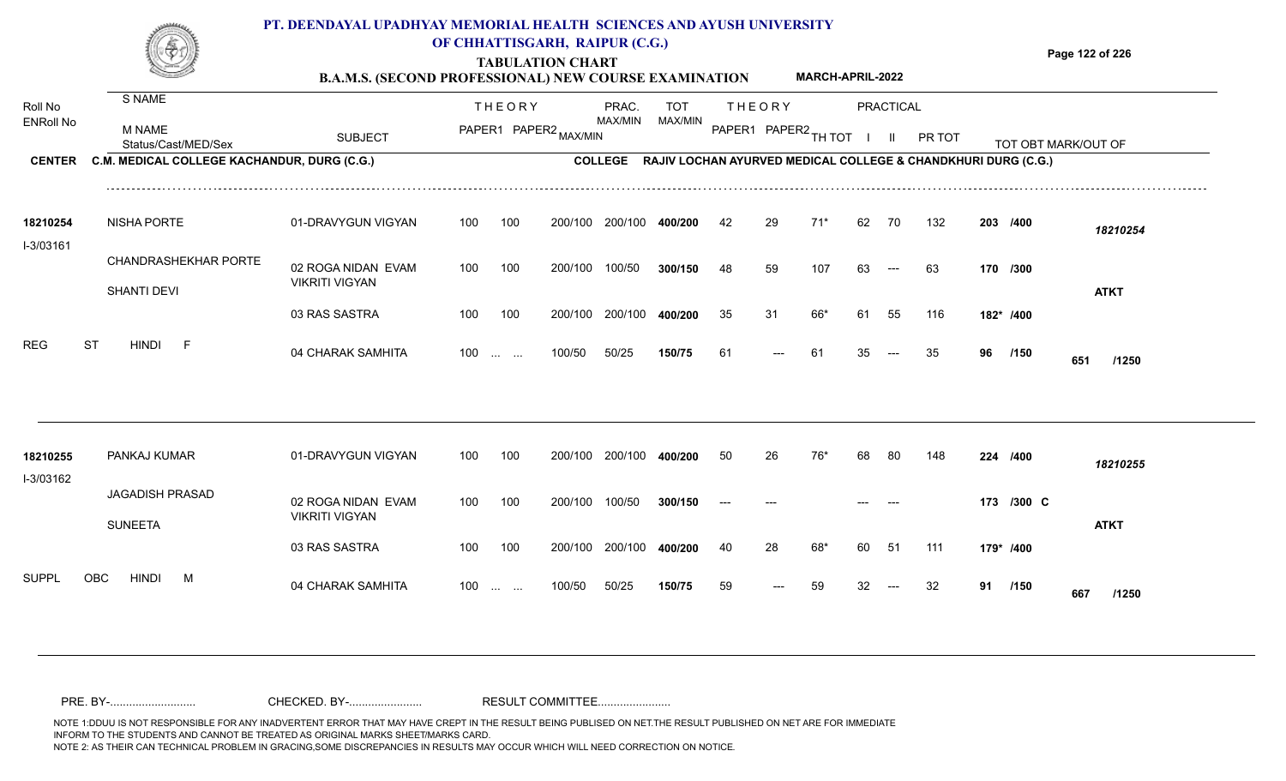## **PT. DEENDAYAL UPADHYAY MEMORIAL HEALTH SCIENCES AND AYUSH UNIVERSITY OF CHHATTISGARH, RAIPUR (C.G.)**

**Page 122 of 226**

**MARCH-APRIL-2022**

**TABULATION CHART B.A.M.S. (SECOND PROFESSIONAL) NEW COURSE EXAMINATION** 

| Roll No          | <b>S NAME</b>                               |                                             |     | <b>THEORY</b>                                                 |         | PRAC.          | <b>TOT</b>                                                    |       | <b>THEORY</b>        |       |    | PRACTICAL    |        |    |            |                     |  |
|------------------|---------------------------------------------|---------------------------------------------|-----|---------------------------------------------------------------|---------|----------------|---------------------------------------------------------------|-------|----------------------|-------|----|--------------|--------|----|------------|---------------------|--|
| <b>ENRoll No</b> | M NAME<br>Status/Cast/MED/Sex               | <b>SUBJECT</b>                              |     | PAPER1 PAPER2 MAX/MIN                                         |         | MAX/MIN        | MAX/MIN                                                       |       | PAPER1 PAPER2 TH TOT |       |    | $\mathbf{I}$ | PR TOT |    |            | TOT OBT MARK/OUT OF |  |
| <b>CENTER</b>    | C.M. MEDICAL COLLEGE KACHANDUR, DURG (C.G.) |                                             |     |                                                               |         | <b>COLLEGE</b> | RAJIV LOCHAN AYURVED MEDICAL COLLEGE & CHANDKHURI DURG (C.G.) |       |                      |       |    |              |        |    |            |                     |  |
| 18210254         | NISHA PORTE                                 | 01-DRAVYGUN VIGYAN                          | 100 | 100                                                           | 200/100 | 200/100        | 400/200                                                       | 42    | 29                   | $71*$ | 62 | 70           | 132    |    | 203 /400   | 18210254            |  |
| I-3/03161        | <b>CHANDRASHEKHAR PORTE</b><br>SHANTI DEVI  | 02 ROGA NIDAN EVAM<br><b>VIKRITI VIGYAN</b> | 100 | 100                                                           | 200/100 | 100/50         | 300/150                                                       | 48    | 59                   | 107   | 63 | $---$        | 63     |    | 170 /300   | <b>ATKT</b>         |  |
|                  |                                             | 03 RAS SASTRA                               | 100 | 100                                                           | 200/100 | 200/100        | 400/200                                                       | 35    | 31                   | 66*   | 61 | 55           | 116    |    | 182* /400  |                     |  |
| <b>REG</b>       | <b>ST</b><br><b>HINDI</b><br>$-F$           | 04 CHARAK SAMHITA                           | 100 | $\sim 10^{-1}$ and $\sim 10^{-1}$                             | 100/50  | 50/25          | 150/75                                                        | 61    |                      | 61    | 35 |              | 35     | 96 | /150       | 651<br>/1250        |  |
| 18210255         | PANKAJ KUMAR                                | 01-DRAVYGUN VIGYAN                          | 100 | 100                                                           | 200/100 | 200/100        | 400/200                                                       | 50    | 26                   | 76'   | 68 | 80           | 148    |    | 224 /400   | 18210255            |  |
| I-3/03162        | <b>JAGADISH PRASAD</b><br><b>SUNEETA</b>    | 02 ROGA NIDAN EVAM<br><b>VIKRITI VIGYAN</b> | 100 | 100                                                           | 200/100 | 100/50         | 300/150                                                       | $---$ |                      |       |    |              |        |    | 173 /300 C | <b>ATKT</b>         |  |
|                  |                                             | 03 RAS SASTRA                               | 100 | 100                                                           | 200/100 | 200/100        | 400/200                                                       | 40    | 28                   | 68*   | 60 | 51           | 111    |    | 179* /400  |                     |  |
| <b>SUPPL</b>     | <b>HINDI</b><br>OBC<br>M                    | 04 CHARAK SAMHITA                           | 100 | $\mathcal{L}_{\mathcal{F}}$ , and $\mathcal{L}_{\mathcal{F}}$ | 100/50  | 50/25          | 150/75                                                        | 59    |                      | 59    | 32 |              | 32     | 91 | /150       | 667<br>/1250        |  |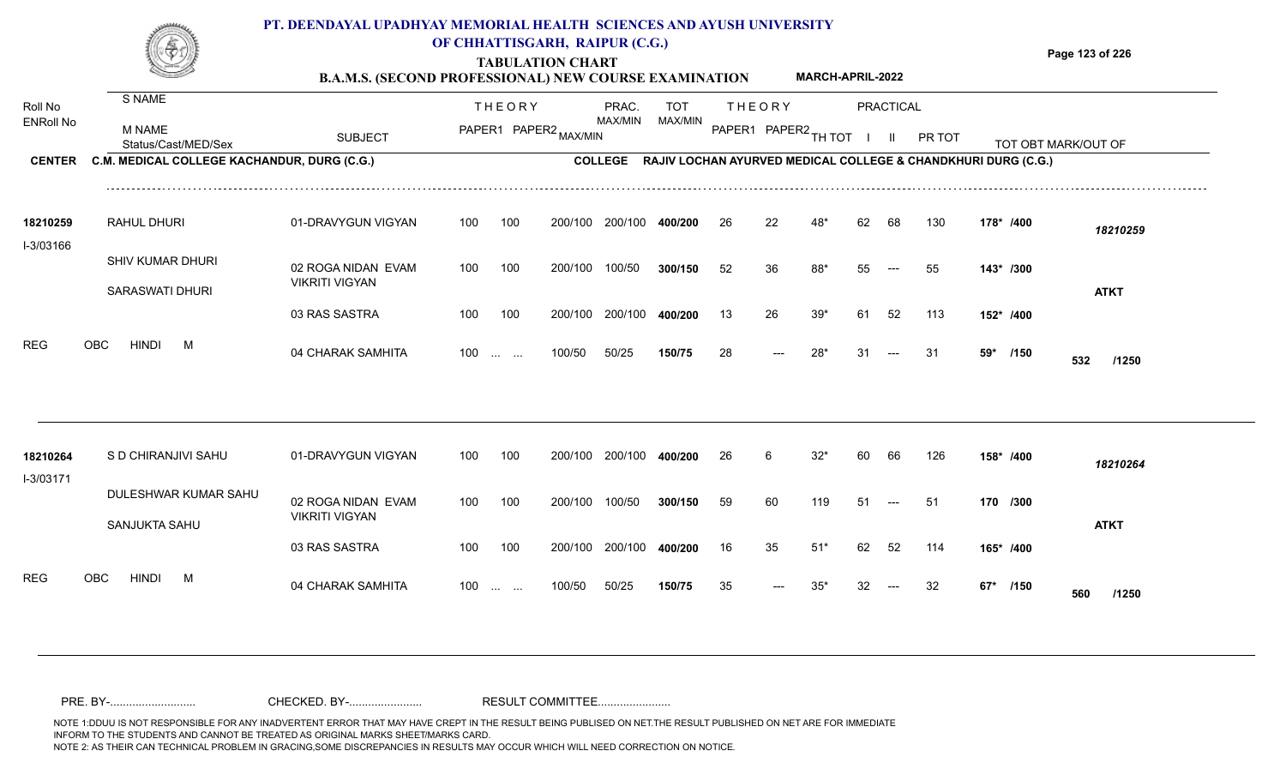# **PT. DEENDAYAL UPADHYAY MEMORIAL HEALTH SCIENCES AND AYUSH UNIVERSITY**



# **OF CHHATTISGARH, RAIPUR (C.G.)**

**Page 123 of 226**

## **TABULATION CHART B.A.M.S. (SECOND PROFESSIONAL) NEW COURSE EXAMINATION MARCH-APRIL-2022**

| Roll No<br><b>ENRoll No</b><br><b>CENTER</b> | <b>S NAME</b><br><b>M NAME</b><br>Status/Cast/MED/Sex<br>C.M. MEDICAL COLLEGE KACHANDUR, DURG (C.G.) | <b>SUBJECT</b>        |     | <b>THEORY</b>                 | PAPER1 PAPER2 MAX/MIN | PRAC.<br>MAX/MIN<br><b>COLLEGE</b> | <b>TOT</b><br>MAX/MIN<br>RAJIV LOCHAN AYURVED MEDICAL COLLEGE & CHANDKHURI DURG (C.G.) |    | <b>THEORY</b><br>PAPER1 PAPER2 TH TOT |       |     | <b>PRACTICAL</b><br>$\mathbf{H}$ | PR TOT |           |      | TOT OBT MARK/OUT OF |
|----------------------------------------------|------------------------------------------------------------------------------------------------------|-----------------------|-----|-------------------------------|-----------------------|------------------------------------|----------------------------------------------------------------------------------------|----|---------------------------------------|-------|-----|----------------------------------|--------|-----------|------|---------------------|
|                                              |                                                                                                      |                       |     |                               |                       |                                    |                                                                                        |    |                                       |       |     |                                  |        |           |      |                     |
| 18210259<br>I-3/03166                        | RAHUL DHURI                                                                                          | 01-DRAVYGUN VIGYAN    | 100 | 100                           | 200/100               | 200/100                            | 400/200                                                                                | 26 | 22                                    |       | 62  | 68                               | 130    | 178* /400 |      | 18210259            |
|                                              | SHIV KUMAR DHURI                                                                                     | 02 ROGA NIDAN EVAM    | 100 | 100                           | 200/100               | 100/50                             | 300/150                                                                                | 52 | 36                                    | 88*   | 55  | $---$                            | 55     | 143* /300 |      |                     |
|                                              | <b>SARASWATI DHURI</b>                                                                               | <b>VIKRITI VIGYAN</b> |     |                               |                       |                                    |                                                                                        |    |                                       |       |     |                                  |        |           |      | <b>ATKT</b>         |
|                                              |                                                                                                      | 03 RAS SASTRA         | 100 | 100                           | 200/100               | 200/100                            | 400/200                                                                                | 13 | 26                                    | $39*$ | 61  | 52                               | 113    | 152* /400 |      |                     |
| <b>REG</b>                                   | OBC<br><b>HINDI</b><br>M                                                                             | 04 CHARAK SAMHITA     | 100 | $\mathbf{r}$ and $\mathbf{r}$ | 100/50                | 50/25                              | 150/75                                                                                 | 28 |                                       | 28'   | 31  | ---                              | 31     | 59*       | /150 | 532<br>/1250        |
|                                              |                                                                                                      |                       |     |                               |                       |                                    |                                                                                        |    |                                       |       |     |                                  |        |           |      |                     |
| 18210264<br>I-3/03171                        | S D CHIRANJIVI SAHU                                                                                  | 01-DRAVYGUN VIGYAN    | 100 | 100                           | 200/100               | 200/100                            | 400/200                                                                                | 26 | 6                                     | $32*$ | 60. | 66                               | 126    | 158* /400 |      | 18210264            |
|                                              | DULESHWAR KUMAR SAHU                                                                                 | 02 ROGA NIDAN EVAM    | 100 | 100                           | 200/100               | 100/50                             | 300/150                                                                                | 59 | 60                                    | 119   | 51  |                                  | -51    | 170 /300  |      |                     |
|                                              | SANJUKTA SAHU                                                                                        | <b>VIKRITI VIGYAN</b> |     |                               |                       |                                    |                                                                                        |    |                                       |       |     |                                  |        |           |      | <b>ATKT</b>         |
|                                              |                                                                                                      | 03 RAS SASTRA         | 100 | 100                           | 200/100               | 200/100                            | 400/200                                                                                | 16 | 35                                    | $51*$ | 62  | -52                              | 114    | 165* /400 |      |                     |
| <b>REG</b>                                   | <b>OBC</b><br>HINDI<br>M                                                                             | 04 CHARAK SAMHITA     | 100 | <b>Service State</b>          | 100/50                | 50/25                              | 150/75                                                                                 | 35 |                                       | 35'   |     |                                  | 32     | $67*$     | /150 | 560<br>/1250        |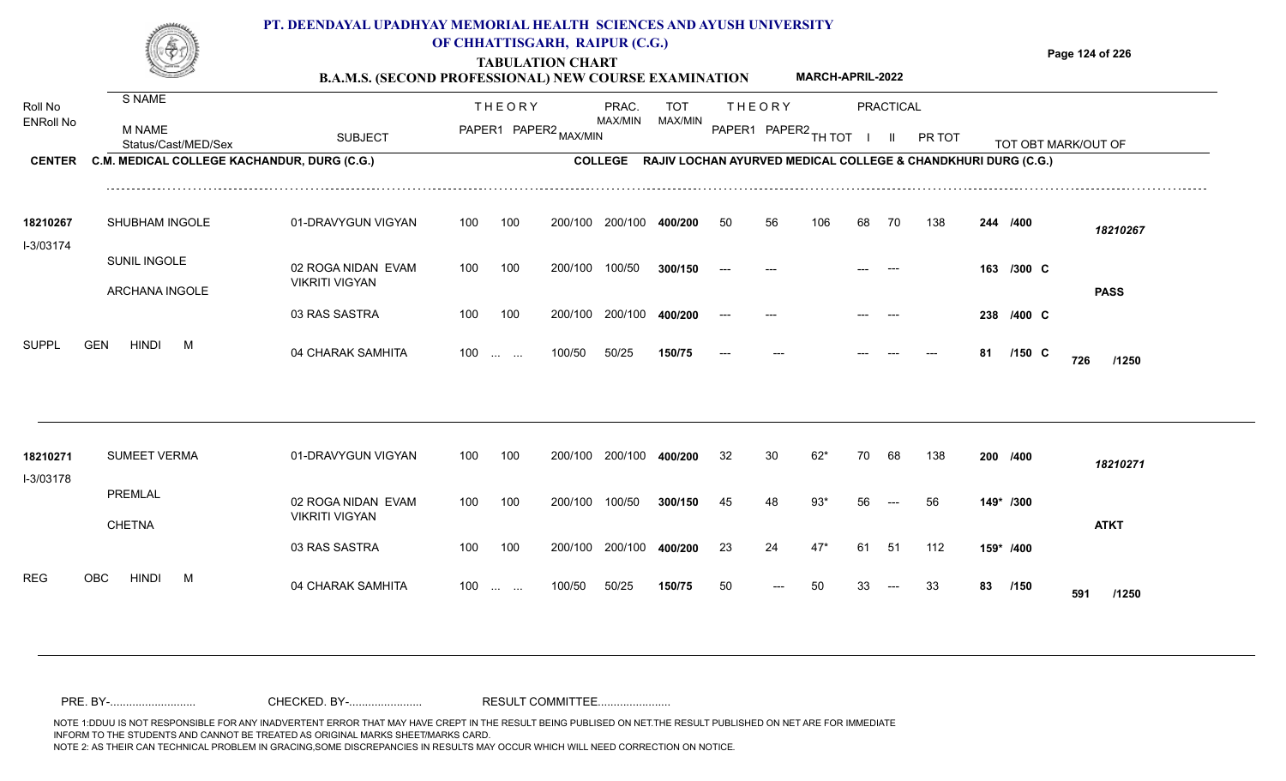|                       |                                             | PT. DEENDAYAL UPADHYAY MEMORIAL HEALTH SCIENCES AND AYUSH UNIVERSITY<br><b>B.A.M.S. (SECOND PROFESSIONAL) NEW COURSE EXAMINATION</b> |     |                   | OF CHHATTISGARH, RAIPUR (C.G.)<br><b>TABULATION CHART</b> |                 |                                                                       |       |                        | <b>MARCH-APRIL-2022</b> |    |                  |        |    |            | Page 124 of 226     |
|-----------------------|---------------------------------------------|--------------------------------------------------------------------------------------------------------------------------------------|-----|-------------------|-----------------------------------------------------------|-----------------|-----------------------------------------------------------------------|-------|------------------------|-------------------------|----|------------------|--------|----|------------|---------------------|
| Roll No               | S NAME                                      |                                                                                                                                      |     | <b>THEORY</b>     |                                                           | PRAC.           | <b>TOT</b>                                                            |       | <b>THEORY</b>          |                         |    | <b>PRACTICAL</b> |        |    |            |                     |
| ENRoll No             | M NAME<br>Status/Cast/MED/Sex               | <b>SUBJECT</b>                                                                                                                       |     |                   | PAPER1 PAPER2 MAX/MIN                                     | MAX/MIN         | MAX/MIN                                                               |       | PAPER1 PAPER2 TH TOT I |                         |    | - II             | PR TOT |    |            | TOT OBT MARK/OUT OF |
| <b>CENTER</b>         | C.M. MEDICAL COLLEGE KACHANDUR, DURG (C.G.) |                                                                                                                                      |     |                   |                                                           |                 | COLLEGE RAJIV LOCHAN AYURVED MEDICAL COLLEGE & CHANDKHURI DURG (C.G.) |       |                        |                         |    |                  |        |    |            |                     |
| 18210267<br>I-3/03174 | SHUBHAM INGOLE                              | 01-DRAVYGUN VIGYAN                                                                                                                   | 100 | 100               | 200/100                                                   | 200/100         | 400/200                                                               | 50    | 56                     | 106                     | 68 | 70               | 138    |    | 244 /400   | 18210267            |
|                       | SUNIL INGOLE<br><b>ARCHANA INGOLE</b>       | 02 ROGA NIDAN EVAM<br><b>VIKRITI VIGYAN</b>                                                                                          | 100 | 100               | 200/100                                                   | 100/50          | 300/150                                                               |       |                        |                         |    |                  |        |    | 163 /300 C | <b>PASS</b>         |
|                       |                                             | 03 RAS SASTRA                                                                                                                        | 100 | 100               | 200/100                                                   | 200/100         | 400/200                                                               | $---$ |                        |                         |    |                  |        |    | 238 /400 C |                     |
| SUPPL                 | <b>GEN</b><br><b>HINDI</b><br>M             | 04 CHARAK SAMHITA                                                                                                                    |     | $100$             | 100/50                                                    | 50/25           | 150/75                                                                |       |                        |                         |    |                  |        | 81 | $/150$ C   | 726<br>/1250        |
| 18210271              | <b>SUMEET VERMA</b>                         | 01-DRAVYGUN VIGYAN                                                                                                                   | 100 | 100               |                                                           | 200/100 200/100 | 400/200                                                               | 32    | 30                     | $62*$                   | 70 | 68               | 138    |    | 200 /400   |                     |
| I-3/03178             |                                             |                                                                                                                                      |     |                   |                                                           |                 |                                                                       |       |                        |                         |    |                  |        |    |            | 18210271            |
|                       | PREMLAL<br><b>CHETNA</b>                    | 02 ROGA NIDAN EVAM<br><b>VIKRITI VIGYAN</b>                                                                                          | 100 | 100               | 200/100 100/50                                            |                 | 300/150                                                               | 45    | 48                     | $93*$                   | 56 | $---$            | 56     |    | 149* /300  | <b>ATKT</b>         |
|                       |                                             | 03 RAS SASTRA                                                                                                                        | 100 | 100               |                                                           | 200/100 200/100 | 400/200                                                               | 23    | 24                     | $47*$                   | 61 | 51               | 112    |    | 159* /400  |                     |
| REG                   | OBC<br><b>HINDI</b><br>M                    | 04 CHARAK SAMHITA                                                                                                                    |     | $100 \dots \dots$ | 100/50                                                    | 50/25           | 150/75                                                                | 50    |                        | 50                      | 33 |                  | 33     |    | 83 /150    | 591<br>/1250        |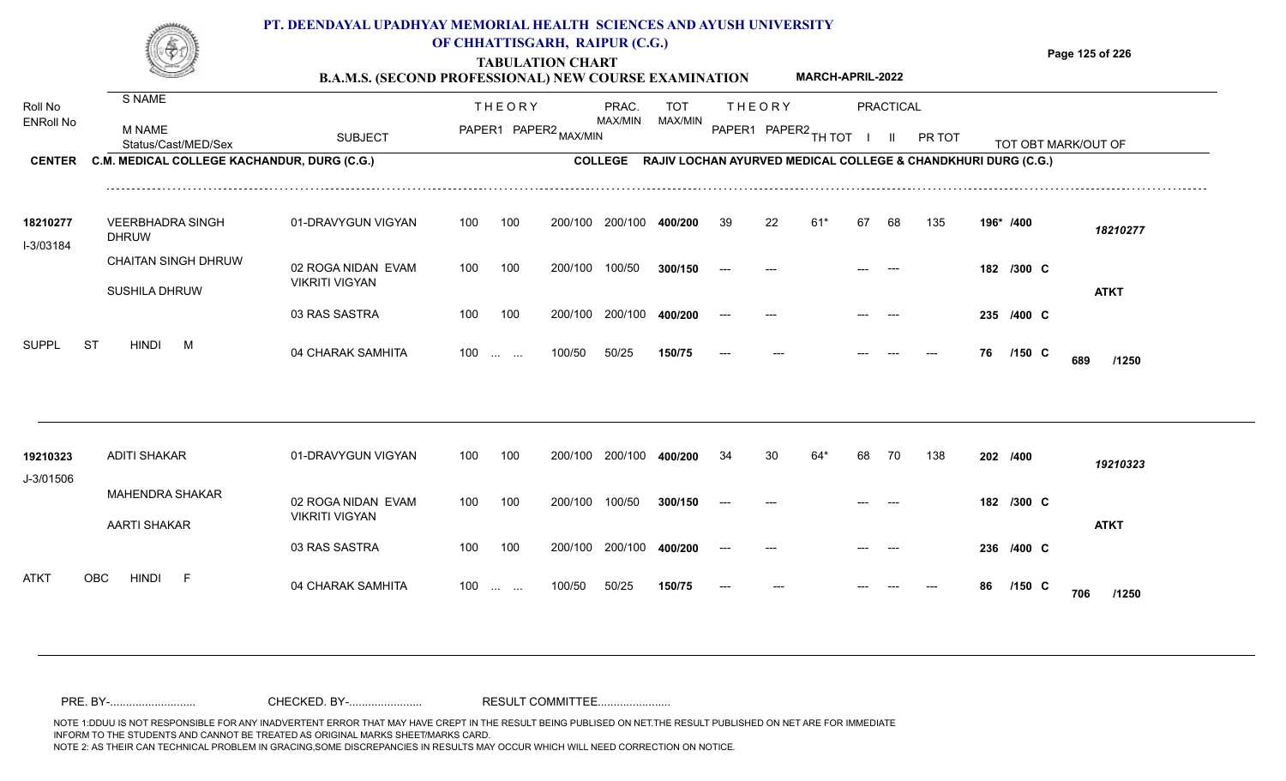## **TABULATION CHART Page 125 of 226 PT. DEENDAYAL UPADHYAY MEMORIAL HEALTH SCIENCES AND AYUSH UNIVERSITY OF CHHATTISGARH, RAIPUR (C.G.)**

| <b>B.A.M.S. (SECOND PROFESSIONAL) NEW COURSE EXAMINATION</b> |             |     | <b>MARCH-APRIL-2022</b> |  |
|--------------------------------------------------------------|-------------|-----|-------------------------|--|
|                                                              | <b>PRAC</b> | ⊤∩⊤ | <b>DDACTICAL</b>        |  |

| Roll No               | S NAME                                        |                                             |     | <b>THEORY</b>                     |                       | PRAC.          | <b>TOT</b>                                                    |       | <b>THEORY</b>        |     |    | <b>PRACTICAL</b> |               |          |            |                     |  |
|-----------------------|-----------------------------------------------|---------------------------------------------|-----|-----------------------------------|-----------------------|----------------|---------------------------------------------------------------|-------|----------------------|-----|----|------------------|---------------|----------|------------|---------------------|--|
| <b>ENRoll No</b>      | M NAME<br>Status/Cast/MED/Sex                 | <b>SUBJECT</b>                              |     |                                   | PAPER1 PAPER2 MAX/MIN | MAX/MIN        | MAX/MIN                                                       |       | PAPER1 PAPER2 TH TOT |     |    |                  | <b>PR TOT</b> |          |            | TOT OBT MARK/OUT OF |  |
| <b>CENTER</b>         | C.M. MEDICAL COLLEGE KACHANDUR, DURG (C.G.)   |                                             |     |                                   |                       | <b>COLLEGE</b> | RAJIV LOCHAN AYURVED MEDICAL COLLEGE & CHANDKHURI DURG (C.G.) |       |                      |     |    |                  |               |          |            |                     |  |
| 18210277<br>I-3/03184 | <b>VEERBHADRA SINGH</b><br><b>DHRUW</b>       | 01-DRAVYGUN VIGYAN                          | 100 | 100                               | 200/100               | 200/100        | 400/200                                                       | 39    | 22                   | 61  | 67 | 68               | 135           |          | 196* /400  | 18210277            |  |
|                       | <b>CHAITAN SINGH DHRUW</b>                    | 02 ROGA NIDAN EVAM                          | 100 | 100                               | 200/100               | 100/50         | 300/150                                                       |       |                      |     |    |                  |               |          | 182 /300 C |                     |  |
|                       | <b>SUSHILA DHRUW</b>                          | <b>VIKRITI VIGYAN</b>                       |     |                                   |                       |                |                                                               |       |                      |     |    |                  |               |          |            | <b>ATKT</b>         |  |
|                       |                                               | 03 RAS SASTRA                               | 100 | 100                               | 200/100               | 200/100        | 400/200                                                       |       |                      |     |    |                  |               |          | 235 /400 C |                     |  |
| <b>SUPPL</b>          | <b>ST</b><br><b>HINDI</b><br>M                | 04 CHARAK SAMHITA                           | 100 | $\sim 10^{-1}$ and $\sim 10^{-1}$ | 100/50                | 50/25          | 150/75                                                        | $---$ |                      |     |    |                  |               | 76       | /150 C     | 689<br>/1250        |  |
|                       |                                               |                                             |     |                                   |                       |                |                                                               |       |                      |     |    |                  |               |          |            |                     |  |
| 19210323<br>J-3/01506 | <b>ADITI SHAKAR</b>                           | 01-DRAVYGUN VIGYAN                          | 100 | 100                               | 200/100               | 200/100        | 400/200                                                       | 34    | 30                   | 64* | 68 | 70               | 138           | 202 /400 |            | 19210323            |  |
|                       | <b>MAHENDRA SHAKAR</b><br><b>AARTI SHAKAR</b> | 02 ROGA NIDAN EVAM<br><b>VIKRITI VIGYAN</b> | 100 | 100                               | 200/100               | 100/50         | 300/150                                                       | $---$ |                      |     |    |                  |               |          | 182 /300 C | <b>ATKT</b>         |  |
|                       |                                               | 03 RAS SASTRA                               | 100 | 100                               | 200/100               | 200/100        | 400/200                                                       |       |                      |     |    |                  |               |          | 236 /400 C |                     |  |
| <b>ATKT</b>           | <b>HINDI</b><br><b>OBC</b><br>-F              | 04 CHARAK SAMHITA                           | 100 | <b>Contract Contract</b>          | 100/50                | 50/25          | 150/75                                                        |       |                      |     |    |                  |               | 86       | $/150$ C   | 706<br>/1250        |  |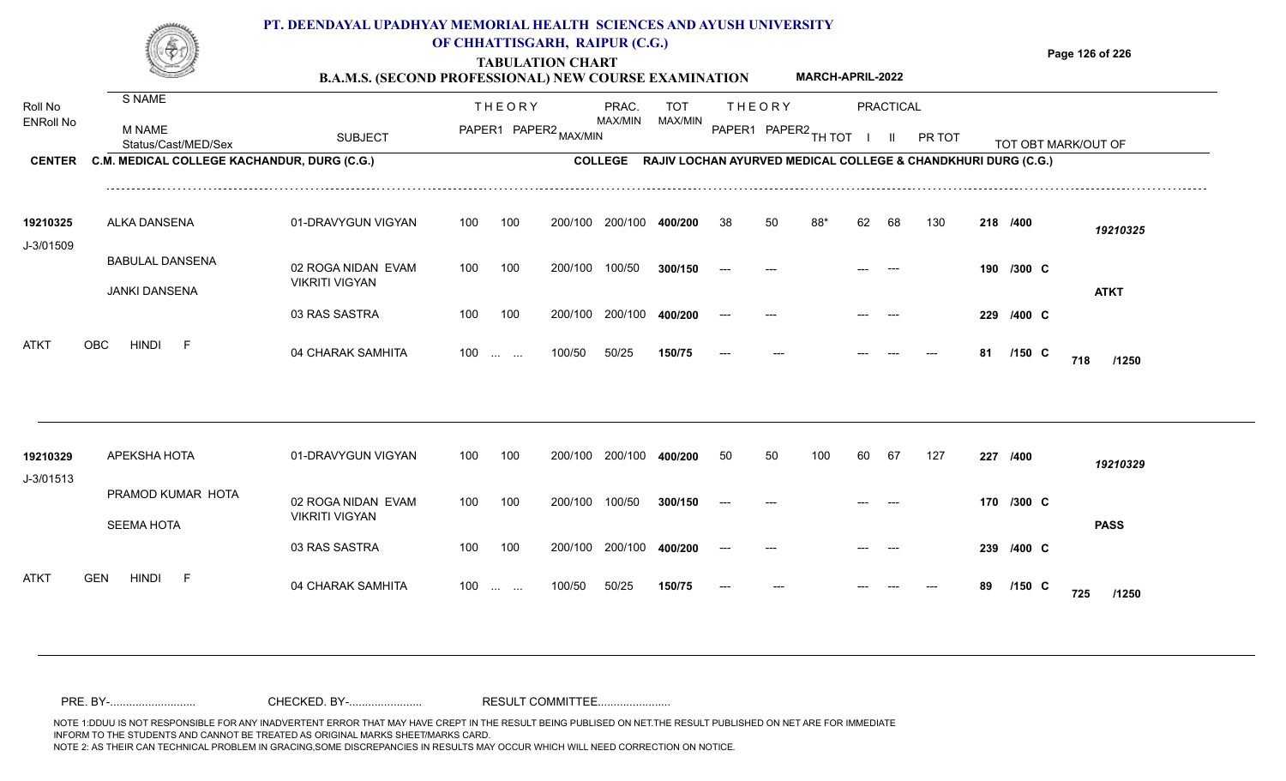|                                              |                                                                                               | PT. DEENDAYAL UPADHYAY MEMORIAL HEALTH SCIENCES AND AYUSH UNIVERSITY<br><b>B.A.M.S. (SECOND PROFESSIONAL) NEW COURSE EXAMINATION</b> |     |                   | OF CHHATTISGARH, RAIPUR (C.G.)<br><b>TABULATION CHART</b> |                  |                                                                                                |    |                                       | <b>MARCH-APRIL-2022</b> |    |                                  |        |    |            | Page 126 of 226     |
|----------------------------------------------|-----------------------------------------------------------------------------------------------|--------------------------------------------------------------------------------------------------------------------------------------|-----|-------------------|-----------------------------------------------------------|------------------|------------------------------------------------------------------------------------------------|----|---------------------------------------|-------------------------|----|----------------------------------|--------|----|------------|---------------------|
| Roll No<br><b>ENRoll No</b><br><b>CENTER</b> | S NAME<br><b>M NAME</b><br>Status/Cast/MED/Sex<br>C.M. MEDICAL COLLEGE KACHANDUR, DURG (C.G.) | <b>SUBJECT</b>                                                                                                                       |     | <b>THEORY</b>     | PAPER1 PAPER2 MAX/MIN                                     | PRAC.<br>MAX/MIN | <b>TOT</b><br>MAX/MIN<br>COLLEGE RAJIV LOCHAN AYURVED MEDICAL COLLEGE & CHANDKHURI DURG (C.G.) |    | <b>THEORY</b><br>PAPER1 PAPER2 TH TOT |                         |    | <b>PRACTICAL</b><br>$\mathbf{H}$ | PR TOT |    |            | TOT OBT MARK/OUT OF |
| 19210325<br>J-3/01509                        | ALKA DANSENA                                                                                  | 01-DRAVYGUN VIGYAN                                                                                                                   | 100 | 100               | 200/100                                                   | 200/100          | 400/200                                                                                        | 38 | 50                                    | 88*                     | 62 | 68                               | 130    |    | 218 /400   | 19210325            |
|                                              | <b>BABULAL DANSENA</b><br><b>JANKI DANSENA</b>                                                | 02 ROGA NIDAN EVAM<br><b>VIKRITI VIGYAN</b>                                                                                          | 100 | 100               | 200/100                                                   | 100/50           | 300/150                                                                                        |    |                                       |                         |    |                                  |        |    | 190 /300 C | <b>ATKT</b>         |
| ATKT                                         | <b>OBC</b><br><b>HINDI</b><br>-F                                                              | 03 RAS SASTRA                                                                                                                        | 100 | 100               | 200/100                                                   | 200/100          | 400/200                                                                                        |    |                                       |                         |    |                                  |        |    | 229 /400 C |                     |
|                                              |                                                                                               | 04 CHARAK SAMHITA                                                                                                                    |     | $100 \dots \dots$ | 100/50                                                    | 50/25            | 150/75                                                                                         |    |                                       |                         |    |                                  |        | 81 | $/150$ C   | 718<br>/1250        |
| 19210329<br>J-3/01513                        | APEKSHA HOTA                                                                                  | 01-DRAVYGUN VIGYAN                                                                                                                   | 100 | 100               | 200/100                                                   | 200/100          | 400/200                                                                                        | 50 | 50                                    | 100                     | 60 | 67                               | 127    |    | 227 /400   | 19210329            |
|                                              | PRAMOD KUMAR HOTA<br><b>SEEMA HOTA</b>                                                        | 02 ROGA NIDAN EVAM<br><b>VIKRITI VIGYAN</b>                                                                                          | 100 | 100               | 200/100                                                   | 100/50           | 300/150                                                                                        |    |                                       |                         |    |                                  |        |    | 170 /300 C | <b>PASS</b>         |

100 100 200/100 200/100 **400/200**

100 ... ... 100/50 50/25

100/50 50/25 **150/75**

04 CHARAK SAMHITA 100 … … 100/50 50/25 **150/75 --- --- --- --- --- 89 /150 C 725 /1250** 

**/400** --- --- --- --- **239 C**

**/150** --- --- --- **89 C**

**725**

ATKT GEN HINDI F 04 CHARAK SAMHITA

03 RAS SASTRA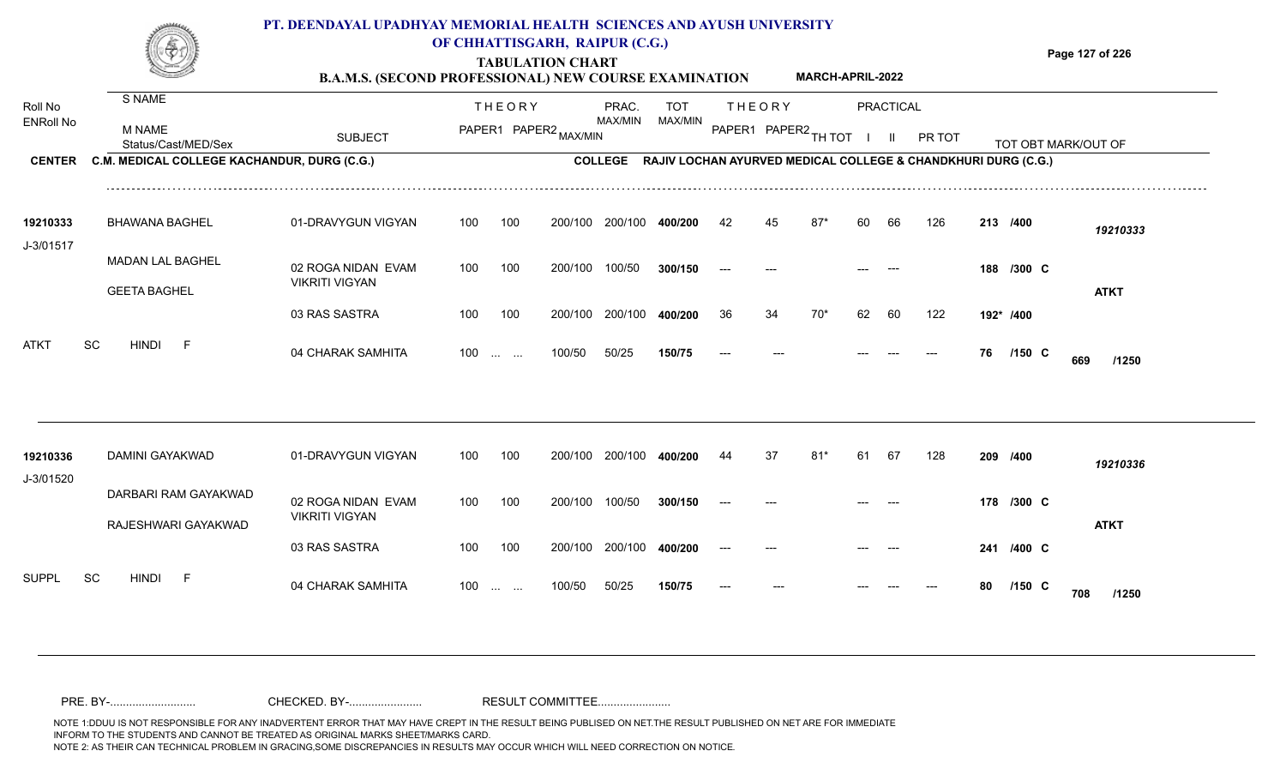|                             |                                                | PT. DEENDAYAL UPADHYAY MEMORIAL HEALTH SCIENCES AND AYUSH UNIVERSITY<br><b>B.A.M.S. (SECOND PROFESSIONAL) NEW COURSE EXAMINATION</b> |     |                         | OF CHHATTISGARH, RAIPUR (C.G.)<br><b>TABULATION CHART</b> |                  |                       |    |               | <b>MARCH-APRIL-2022</b> |    |           |                                                                       |    |            | Page 127 of 226     |
|-----------------------------|------------------------------------------------|--------------------------------------------------------------------------------------------------------------------------------------|-----|-------------------------|-----------------------------------------------------------|------------------|-----------------------|----|---------------|-------------------------|----|-----------|-----------------------------------------------------------------------|----|------------|---------------------|
| Roll No<br><b>ENRoll No</b> | S NAME<br><b>M NAME</b><br>Status/Cast/MED/Sex | <b>SUBJECT</b>                                                                                                                       |     | <b>THEORY</b>           | PAPER1 PAPER2 MAX/MIN                                     | PRAC.<br>MAX/MIN | <b>TOT</b><br>MAX/MIN |    | <b>THEORY</b> | PAPER1 PAPER2 TH TOT    |    | PRACTICAL | <b>PR TOT</b>                                                         |    |            | TOT OBT MARK/OUT OF |
| <b>CENTER</b>               | C.M. MEDICAL COLLEGE KACHANDUR, DURG (C.G.)    |                                                                                                                                      |     |                         |                                                           |                  |                       |    |               |                         |    |           | COLLEGE RAJIV LOCHAN AYURVED MEDICAL COLLEGE & CHANDKHURI DURG (C.G.) |    |            |                     |
| 19210333<br>J-3/01517       | <b>BHAWANA BAGHEL</b>                          | 01-DRAVYGUN VIGYAN                                                                                                                   | 100 | 100                     | 200/100                                                   | 200/100          | 400/200               | 42 | 45            | $87*$                   | 60 | 66        | 126                                                                   |    | 213 /400   | 19210333            |
|                             | <b>MADAN LAL BAGHEL</b><br><b>GEETA BAGHEL</b> | 02 ROGA NIDAN EVAM<br><b>VIKRITI VIGYAN</b>                                                                                          | 100 | 100                     | 200/100                                                   | 100/50           | 300/150               |    |               |                         |    |           |                                                                       |    | 188 /300 C | <b>ATKT</b>         |
|                             |                                                | 03 RAS SASTRA                                                                                                                        | 100 | 100                     | 200/100                                                   | 200/100          | 400/200               | 36 | 34            | $70*$                   | 62 | 60        | 122                                                                   |    | 192* /400  |                     |
| <b>ATKT</b>                 | <b>SC</b><br>HINDI<br>F                        | 04 CHARAK SAMHITA                                                                                                                    | 100 | <b>Section Contract</b> | 100/50                                                    | 50/25            | 150/75                |    |               |                         |    |           |                                                                       | 76 | $/150$ C   | 669<br>/1250        |
|                             |                                                |                                                                                                                                      |     |                         |                                                           |                  |                       |    |               |                         |    |           |                                                                       |    |            |                     |

| 19210336     | DAMINI GAYAKWAD           | 01-DRAVYGUN VIGYAN    | 100               | 100 | 200/100 | 200/100 | 400/200 | 44                   | 37    | 81* | 61                  | -67                                    | 128   | 209 /400 |                    | 19210336    |
|--------------|---------------------------|-----------------------|-------------------|-----|---------|---------|---------|----------------------|-------|-----|---------------------|----------------------------------------|-------|----------|--------------------|-------------|
| J-3/01520    |                           |                       |                   |     |         |         |         |                      |       |     |                     |                                        |       |          |                    |             |
|              | DARBARI RAM GAYAKWAD      | 02 ROGA NIDAN EVAM    | 100               | 100 | 200/100 | 100/50  | 300/150 | $\hspace{0.05cm}---$ | $---$ |     | $\qquad \qquad - -$ | $\hspace{0.1em} \ldots \hspace{0.1em}$ |       |          | 178 /300 C         |             |
|              | RAJESHWARI GAYAKWAD       | <b>VIKRITI VIGYAN</b> |                   |     |         |         |         |                      |       |     |                     |                                        |       |          |                    | <b>ATKT</b> |
|              |                           |                       |                   |     |         |         |         |                      |       |     |                     |                                        |       |          |                    |             |
|              |                           | 03 RAS SASTRA         | 100               | 100 | 200/100 | 200/100 | 400/200 | ---                  | $---$ |     | $---$               | $---$                                  |       |          | 241 /400 C         |             |
| <b>SUPPL</b> | <b>SC</b><br><b>HINDI</b> |                       |                   |     |         |         |         |                      |       |     |                     |                                        |       |          |                    |             |
|              |                           | 04 CHARAK SAMHITA     | $100 \dots \dots$ |     | 100/50  | 50/25   | 150/75  | $---$                | $---$ |     | $---$               | $---$                                  | $---$ | 80       | $/150 \, C$<br>708 | /1250       |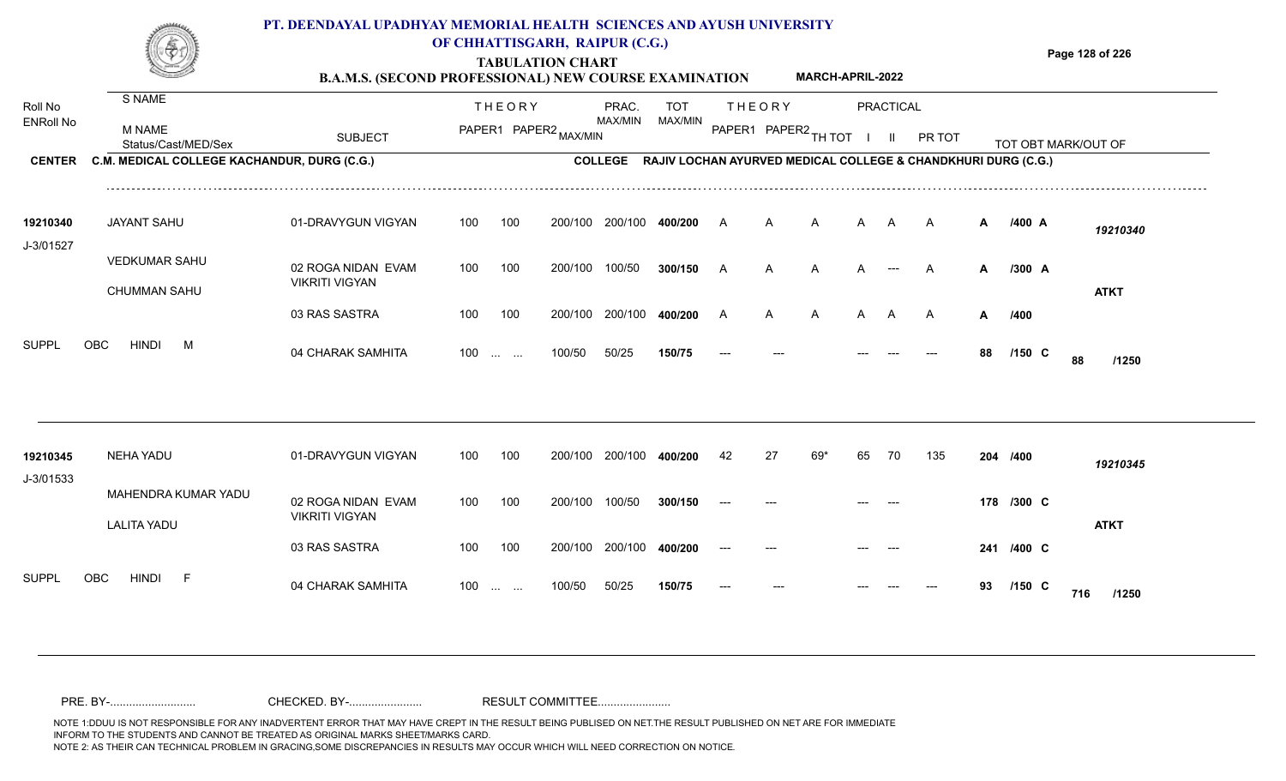|                       |                                             | PT. DEENDAYAL UPADHYAY MEMORIAL HEALTH SCIENCES AND AYUSH UNIVERSITY<br><b>B.A.M.S. (SECOND PROFESSIONAL) NEW COURSE EXAMINATION</b> |     |               | OF CHHATTISGARH, RAIPUR (C.G.)<br><b>TABULATION CHART</b> |                 |                                                               |         |               | <b>MARCH-APRIL-2022</b> |                |                  |        |    |            | Page 128 of 226     |
|-----------------------|---------------------------------------------|--------------------------------------------------------------------------------------------------------------------------------------|-----|---------------|-----------------------------------------------------------|-----------------|---------------------------------------------------------------|---------|---------------|-------------------------|----------------|------------------|--------|----|------------|---------------------|
| Roll No               | S NAME                                      |                                                                                                                                      |     | <b>THEORY</b> |                                                           | PRAC.           | <b>TOT</b>                                                    |         | <b>THEORY</b> |                         |                | <b>PRACTICAL</b> |        |    |            |                     |
| <b>ENRoll No</b>      | <b>M NAME</b><br>Status/Cast/MED/Sex        | <b>SUBJECT</b>                                                                                                                       |     |               | PAPER1 PAPER2 MAX/MIN                                     | MAX/MIN         | MAX/MIN                                                       |         |               | PAPER1 PAPER2 TH TOT    | $\blacksquare$ | $\mathbf{H}$     | PR TOT |    |            | TOT OBT MARK/OUT OF |
| <b>CENTER</b>         | C.M. MEDICAL COLLEGE KACHANDUR, DURG (C.G.) |                                                                                                                                      |     |               |                                                           | <b>COLLEGE</b>  | RAJIV LOCHAN AYURVED MEDICAL COLLEGE & CHANDKHURI DURG (C.G.) |         |               |                         |                |                  |        |    |            |                     |
| 19210340<br>J-3/01527 | <b>JAYANT SAHU</b>                          | 01-DRAVYGUN VIGYAN                                                                                                                   | 100 | 100           |                                                           | 200/100 200/100 | 400/200                                                       | A       | A             | A                       | A              | A                | A      | A  | /400 A     | 19210340            |
|                       | <b>VEDKUMAR SAHU</b><br><b>CHUMMAN SAHU</b> | 02 ROGA NIDAN EVAM<br><b>VIKRITI VIGYAN</b>                                                                                          | 100 | 100           | 200/100 100/50                                            |                 | 300/150                                                       | A       | A             | A                       | A              | $---$            | A      | A  | /300 A     | <b>ATKT</b>         |
|                       |                                             | 03 RAS SASTRA                                                                                                                        | 100 | 100           |                                                           | 200/100 200/100 | 400/200                                                       | A       | A             | A                       | A              | A                | A      | A  | /400       |                     |
| <b>SUPPL</b>          | <b>HINDI</b><br><b>OBC</b><br>M             | 04 CHARAK SAMHITA                                                                                                                    | 100 | and the same  | 100/50                                                    | 50/25           | 150/75                                                        |         |               |                         |                |                  |        | 88 | $/150$ C   | 88<br>/1250         |
| 19210345<br>J-3/01533 | <b>NEHA YADU</b>                            | 01-DRAVYGUN VIGYAN                                                                                                                   | 100 | 100           | 200/100                                                   | 200/100         | 400/200                                                       | 42      | 27            | 69*                     | 65             | 70               | 135    |    | 204 /400   | 19210345            |
|                       | MAHENDRA KUMAR YADU<br><b>LALITA YADU</b>   | 02 ROGA NIDAN EVAM<br><b>VIKRITI VIGYAN</b>                                                                                          | 100 | 100           | 200/100 100/50                                            |                 | 300/150                                                       |         |               |                         |                |                  |        |    | 178 /300 C | <b>ATKT</b>         |
|                       |                                             | 03 RAS SASTRA                                                                                                                        | 100 | 100           |                                                           | 200/100 200/100 | 400/200                                                       | $- - -$ |               |                         |                |                  |        |    | 241 /400 C |                     |
| <b>SUPPL</b>          | <b>OBC</b><br><b>HINDI</b>                  | 04 CHARAK SAMHITA                                                                                                                    |     | $100$         | 100/50                                                    | 50/25           | 150/75                                                        |         |               |                         |                |                  |        | 93 | $/150$ C   | 716<br>/1250        |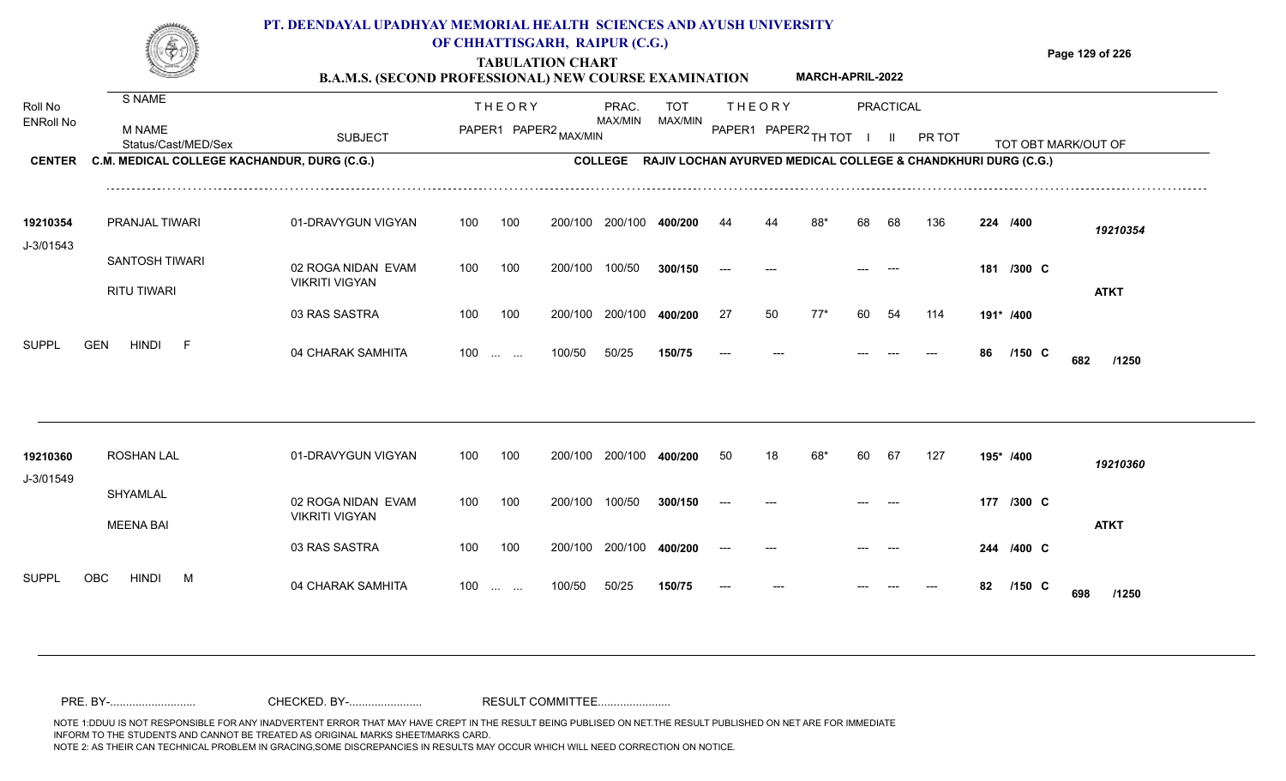|                       |                                             | PT. DEENDAYAL UPADHYAY MEMORIAL HEALTH SCIENCES AND AYUSH UNIVERSITY<br><b>B.A.M.S. (SECOND PROFESSIONAL) NEW COURSE EXAMINATION</b> |                  |                               | OF CHHATTISGARH, RAIPUR (C.G.)<br><b>TABULATION CHART</b> |                         |                       |    |               | <b>MARCH-APRIL-2022</b> |    |           |                                                                       |    |            | Page 129 of 226     |
|-----------------------|---------------------------------------------|--------------------------------------------------------------------------------------------------------------------------------------|------------------|-------------------------------|-----------------------------------------------------------|-------------------------|-----------------------|----|---------------|-------------------------|----|-----------|-----------------------------------------------------------------------|----|------------|---------------------|
| Roll No<br>ENRoll No  | S NAME                                      |                                                                                                                                      |                  | <b>THEORY</b>                 |                                                           | PRAC.<br>MAX/MIN        | <b>TOT</b><br>MAX/MIN |    | <b>THEORY</b> |                         |    | PRACTICAL |                                                                       |    |            |                     |
|                       | <b>M NAME</b><br>Status/Cast/MED/Sex        | <b>SUBJECT</b>                                                                                                                       |                  |                               | PAPER1 PAPER2 MAX/MIN                                     |                         |                       |    |               | PAPER1 PAPER2 TH TOT    |    |           | PR TOT                                                                |    |            | TOT OBT MARK/OUT OF |
| <b>CENTER</b>         | C.M. MEDICAL COLLEGE KACHANDUR, DURG (C.G.) |                                                                                                                                      |                  |                               |                                                           |                         |                       |    |               |                         |    |           | COLLEGE RAJIV LOCHAN AYURVED MEDICAL COLLEGE & CHANDKHURI DURG (C.G.) |    |            |                     |
| 19210354<br>J-3/01543 | PRANJAL TIWARI                              | 01-DRAVYGUN VIGYAN                                                                                                                   | 100              | 100                           |                                                           | 200/100 200/100         | 400/200               | 44 |               |                         |    | 68        | 136                                                                   |    | 224 /400   | 19210354            |
|                       | <b>SANTOSH TIWARI</b><br><b>RITU TIWARI</b> | 02 ROGA NIDAN EVAM<br><b>VIKRITI VIGYAN</b>                                                                                          | 100              | 100                           | 200/100                                                   | 100/50                  | 300/150               |    |               |                         |    |           |                                                                       |    | 181 /300 C | <b>ATKT</b>         |
|                       |                                             | 03 RAS SASTRA                                                                                                                        | 100              | 100                           | 200/100                                                   | 200/100                 | 400/200               | 27 | 50            | 77*                     | 60 | 54        | 114                                                                   |    | 191* /400  |                     |
| <b>SUPPL</b>          | <b>HINDI</b><br><b>GEN</b><br>$-F$          | 04 CHARAK SAMHITA                                                                                                                    | 100 <sub>1</sub> | $\mathbf{r}$ and $\mathbf{r}$ | 100/50                                                    | 50/25                   | 150/75                |    |               |                         |    |           |                                                                       | 86 | $/150$ C   | 682<br>/1250        |
|                       |                                             |                                                                                                                                      |                  |                               |                                                           |                         |                       |    |               |                         |    |           |                                                                       |    |            |                     |
| 19210360<br>J-3/01549 | <b>ROSHAN LAL</b>                           | 01-DRAVYGUN VIGYAN                                                                                                                   | 100              | 100                           |                                                           | 200/100 200/100         | 400/200               | 50 | 18            | 68*                     | 60 | 67        | 127                                                                   |    | 195* /400  | 19210360            |
|                       | SHYAMLAL                                    | 02 ROGA NIDAN EVAM<br><b>VIKRITI VIGYAN</b>                                                                                          | 100              | 100                           | 200/100                                                   | 100/50                  | 300/150               |    |               |                         |    |           |                                                                       |    | 177 /300 C |                     |
|                       | <b>MEENA BAI</b>                            | 03 RAS SASTRA                                                                                                                        | 100              | 100                           |                                                           | 200/100 200/100 400/200 |                       |    |               |                         |    |           |                                                                       |    | 244 /400 C | <b>ATKT</b>         |

100 100 200/100 200/100 **400/200**

100 ... ... 100/50 50/25

100/50 50/25 **150/75**

04 CHARAK SAMHITA 100 … … 100/50 50/25 **150/75 --- --- --- --- --- 82 /150 C /1250** 

**/400** --- --- --- --- **244 C**

**/150** --- --- --- **82 C**

**698**

SUPPL OBC HINDI M 04 CHARAK SAMHITA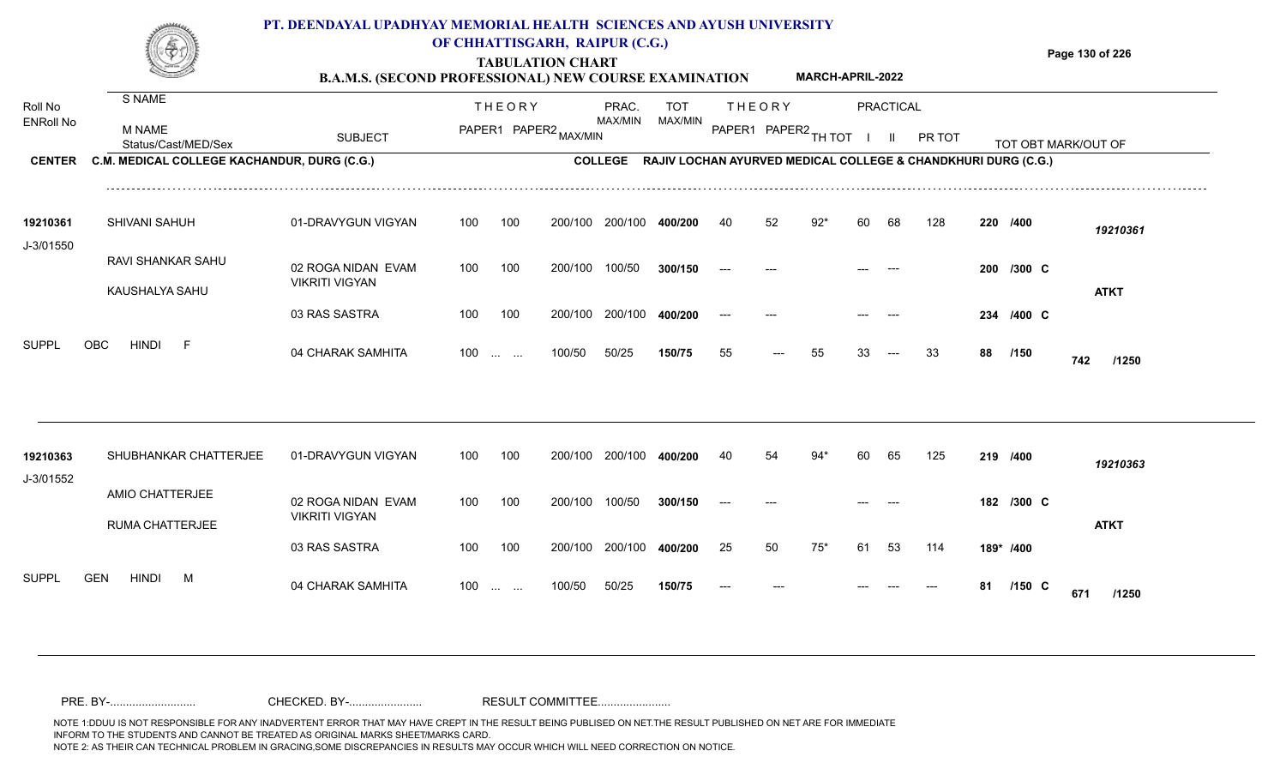|                       |                                             | PT. DEENDAYAL UPADHYAY MEMORIAL HEALTH SCIENCES AND AYUSH UNIVERSITY<br><b>B.A.M.S. (SECOND PROFESSIONAL) NEW COURSE EXAMINATION</b> |     |               | OF CHHATTISGARH, RAIPUR (C.G.)<br><b>TABULATION CHART</b> |                                                                       |         |       |               | <b>MARCH-APRIL-2022</b> |    |           |        |    |            | Page 130 of 226     |
|-----------------------|---------------------------------------------|--------------------------------------------------------------------------------------------------------------------------------------|-----|---------------|-----------------------------------------------------------|-----------------------------------------------------------------------|---------|-------|---------------|-------------------------|----|-----------|--------|----|------------|---------------------|
| Roll No               | S NAME                                      |                                                                                                                                      |     | <b>THEORY</b> |                                                           | PRAC.                                                                 | TOT     |       | <b>THEORY</b> |                         |    | PRACTICAL |        |    |            |                     |
| <b>ENRoll No</b>      | M NAME<br>Status/Cast/MED/Sex               | <b>SUBJECT</b>                                                                                                                       |     |               | PAPER1 PAPER2 MAX/MIN                                     | MAX/MIN                                                               | MAX/MIN |       |               | PAPER1 PAPER2 TH TOT    |    | -II.      | PR TOT |    |            | TOT OBT MARK/OUT OF |
| <b>CENTER</b>         | C.M. MEDICAL COLLEGE KACHANDUR, DURG (C.G.) |                                                                                                                                      |     |               |                                                           | COLLEGE RAJIV LOCHAN AYURVED MEDICAL COLLEGE & CHANDKHURI DURG (C.G.) |         |       |               |                         |    |           |        |    |            |                     |
| 19210361<br>J-3/01550 | SHIVANI SAHUH                               | 01-DRAVYGUN VIGYAN                                                                                                                   | 100 | 100           | 200/100                                                   | 200/100                                                               | 400/200 | 40    | 52            | $92*$                   | 60 | 68        | 128    |    | 220 /400   | 19210361            |
|                       | RAVI SHANKAR SAHU<br>KAUSHALYA SAHU         | 02 ROGA NIDAN EVAM<br><b>VIKRITI VIGYAN</b>                                                                                          | 100 | 100           | 200/100                                                   | 100/50                                                                | 300/150 |       |               |                         |    |           |        |    | 200 /300 C | <b>ATKT</b>         |
|                       |                                             | 03 RAS SASTRA                                                                                                                        | 100 | 100           | 200/100                                                   | 200/100                                                               | 400/200 |       |               |                         |    |           |        |    | 234 /400 C |                     |
| <b>SUPPL</b>          | <b>OBC</b><br><b>HINDI</b><br>- F           | 04 CHARAK SAMHITA                                                                                                                    | 100 |               | 100/50                                                    | 50/25                                                                 | 150/75  | 55    | $---$         | 55                      | 33 | $---$     | 33     |    | 88 /150    | 742<br>/1250        |
| 19210363              | SHUBHANKAR CHATTERJEE                       | 01-DRAVYGUN VIGYAN                                                                                                                   | 100 | 100           |                                                           | 200/100 200/100                                                       | 400/200 | 40    | 54            | $94*$                   | 60 | 65        | 125    |    | 219 /400   | 19210363            |
| J-3/01552             | AMIO CHATTERJEE                             | 02 ROGA NIDAN EVAM                                                                                                                   | 100 | 100           | 200/100                                                   | 100/50                                                                | 300/150 | $---$ |               |                         |    |           |        |    | 182 /300 C |                     |
|                       | RUMA CHATTERJEE                             | <b>VIKRITI VIGYAN</b><br>03 RAS SASTRA                                                                                               | 100 | 100           |                                                           | 200/100 200/100                                                       | 400/200 | 25    | 50            | $75*$                   | 61 | 53        | 114    |    | 189* /400  | <b>ATKT</b>         |
| Suppl                 | <b>GEN</b><br><b>HINDI</b><br>M             | 04 CHARAK SAMHITA                                                                                                                    |     | $100$         | 100/50                                                    | 50/25                                                                 | 150/75  |       |               |                         |    |           |        | 81 | $/150$ C   | 671<br>/1250        |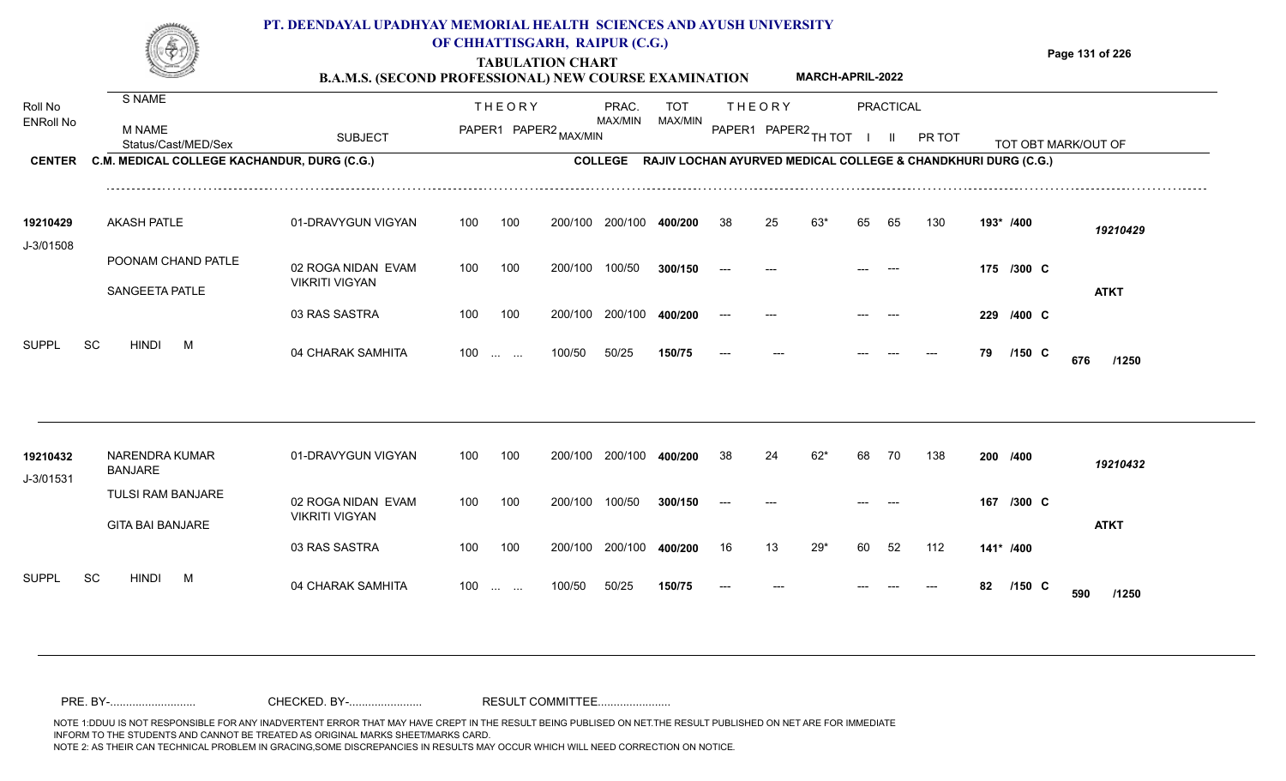#### **TABULATION CHART Page 131 of 226 B.A.M.S. (SECOND PROFESSIONAL) NEW COURSE EXAMINATION**  Roll No ENRoll No MAX/MIN MAX/MIN MAX/MIN MAX/MIN ANG THIOT I II PRITOT TOT OBTIMARK/OUT OF SUBJECT PAPER2 <sub>MAX/MIN</sub> MAX/MIN PAPER1 PAPER2 <sub>TH</sub>IOT I II PRITOT TOT OBTIMARK/OUT OF **PRACTICAL CENTER C.M. MEDICAL COLLEGE KACHANDUR, DURG (C.G.)** THEORY PRAC. TOT PAPER1 PAPER2 MAX/MIN PAPER PRAC. THEORY S NAME M NAME **PT. DEENDAYAL UPADHYAY MEMORIAL HEALTH SCIENCES AND AYUSH UNIVERSITY OF CHHATTISGARH, RAIPUR (C.G.) COLLEGE RAJIV LOCHAN AYURVED MEDICAL COLLEGE & CHANDKHURI DURG (C.G.) MARCH-APRIL-2022** 01-DRAVYGUN VIGYAN 100 100 02 ROGA NIDAN EVAM VIKRITI VIGYAN 03 RAS SASTRA 100 100 200/100 200/100 400/200 200/100 200/100 200/100 **400/200** 100/50 **300/150** 200/100 **400/200** --- **/400** *19210429* **/300** --- --- --- **175 C /400** --- --- --- --- **229 C** AKASH PATLE **19210429** POONAM CHAND PATLE SANGEETA PATLE J-3/01508 100 200/100 100/50 38 25 63\* 65 65 130 **193\* ATKT**

| 19210432<br>J-3/01531 |    | NARENDRA KUMAR<br>BANJARE |   | 01-DRAVYGUN VIGYAN                     | 100 | 100                                            | 200/100 | 200/100 | 400/200 | -38   | 24    | 62* | 68    | 70    | 138  | 200 | /400      | 19210432     |
|-----------------------|----|---------------------------|---|----------------------------------------|-----|------------------------------------------------|---------|---------|---------|-------|-------|-----|-------|-------|------|-----|-----------|--------------|
|                       |    | TULSI RAM BANJARE         |   | 02 ROGA NIDAN EVAM                     | 100 | 100                                            | 200/100 | 100/50  | 300/150 | $---$ | $---$ |     | $---$ | $---$ |      | 167 | /300 C    |              |
|                       |    | <b>GITA BAI BANJARE</b>   |   | <b>VIKRITI VIGYAN</b><br>03 RAS SASTRA | 100 | 100                                            | 200/100 | 200/100 | 400/200 | 16    | 13    | 29* | -60   | 52    | 112  |     | 141* /400 | <b>ATKT</b>  |
| <b>SUPPL</b>          | SC | <b>HINDI</b>              | M | 04 CHARAK SAMHITA                      | 100 | $\mathbf{r}$ and $\mathbf{r}$ and $\mathbf{r}$ | 100/50  | 50/25   | 150/75  | $---$ | $---$ |     | ---   | $---$ | ---- | 82  | $/150$ C  | 590<br>/1250 |

100 ... ... 100/50 50/25

100/50 50/25 **150/75**

04 CHARAK SAMHITA 100 … … 100/50 50/25 **150/75 --- --- --- --- --- 79 /150 C 676 /1250** 

**/150**

**676**

--- --- --- **79 C**

SUPPL SC HINDI M 04 CHARAK SAMHITA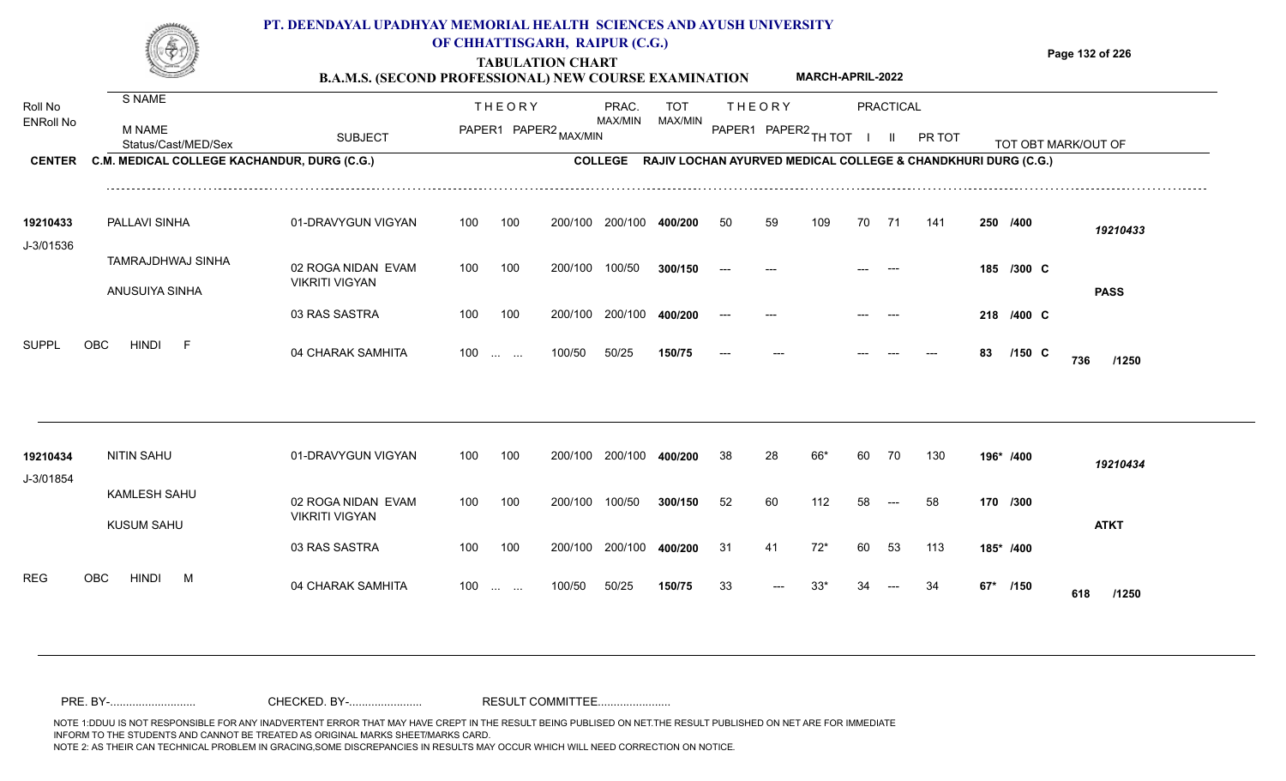|                             |                                             | PT. DEENDAYAL UPADHYAY MEMORIAL HEALTH SCIENCES AND AYUSH UNIVERSITY<br><b>B.A.M.S. (SECOND PROFESSIONAL) NEW COURSE EXAMINATION</b> | OF CHHATTISGARH, RAIPUR (C.G.) |               | <b>TABULATION CHART</b> |                         |                                                                       |       |               | MARCH-APRIL-2022       |    |                  |        |    |            | Page 132 of 226     |
|-----------------------------|---------------------------------------------|--------------------------------------------------------------------------------------------------------------------------------------|--------------------------------|---------------|-------------------------|-------------------------|-----------------------------------------------------------------------|-------|---------------|------------------------|----|------------------|--------|----|------------|---------------------|
| Roll No<br><b>ENRoll No</b> | S NAME                                      |                                                                                                                                      |                                | <b>THEORY</b> |                         | PRAC.<br>MAX/MIN        | <b>TOT</b><br>MAX/MIN                                                 |       | <b>THEORY</b> |                        |    | <b>PRACTICAL</b> |        |    |            |                     |
|                             | M NAME<br>Status/Cast/MED/Sex               | <b>SUBJECT</b>                                                                                                                       |                                |               | PAPER1 PAPER2 MAX/MIN   |                         |                                                                       |       |               | PAPER1 PAPER2 TH TOT I |    | - III            | PR TOT |    |            | TOT OBT MARK/OUT OF |
| <b>CENTER</b>               | C.M. MEDICAL COLLEGE KACHANDUR, DURG (C.G.) |                                                                                                                                      |                                |               |                         |                         | COLLEGE RAJIV LOCHAN AYURVED MEDICAL COLLEGE & CHANDKHURI DURG (C.G.) |       |               |                        |    |                  |        |    |            |                     |
| 19210433<br>J-3/01536       | PALLAVI SINHA                               | 01-DRAVYGUN VIGYAN                                                                                                                   | 100                            | 100           |                         | 200/100 200/100         | 400/200                                                               | 50    | 59            | 109                    | 70 | 71               | 141    |    | 250 /400   | 19210433            |
|                             | TAMRAJDHWAJ SINHA                           | 02 ROGA NIDAN EVAM<br><b>VIKRITI VIGYAN</b>                                                                                          | 100                            | 100           | 200/100                 | 100/50                  | 300/150                                                               | $---$ |               |                        |    |                  |        |    | 185 /300 C |                     |
|                             | ANUSUIYA SINHA                              | 03 RAS SASTRA                                                                                                                        | 100                            | 100           |                         | 200/100 200/100 400/200 |                                                                       |       |               |                        |    |                  |        |    | 218 /400 C | <b>PASS</b>         |
| Suppl                       | OBC<br><b>HINDI</b><br>- F                  | 04 CHARAK SAMHITA                                                                                                                    | $100 \dots \dots$              |               | 100/50                  | 50/25                   | 150/75                                                                |       |               |                        |    |                  |        | 83 | $/150$ C   | 736<br>/1250        |
| 19210434                    | <b>NITIN SAHU</b>                           | 01-DRAVYGUN VIGYAN                                                                                                                   | 100                            | 100           |                         | 200/100 200/100 400/200 |                                                                       | 38    | 28            | 66*                    | 60 | 70               | 130    |    | 196* /400  | 19210434            |
| J-3/01854                   | <b>KAMLESH SAHU</b><br><b>KUSUM SAHU</b>    | 02 ROGA NIDAN EVAM<br><b>VIKRITI VIGYAN</b>                                                                                          | 100                            | 100           | 200/100                 | 100/50                  | 300/150                                                               | 52    | 60            | 112                    | 58 | $---$            | 58     |    | 170 /300   | <b>ATKT</b>         |
|                             |                                             | 03 RAS SASTRA                                                                                                                        | 100                            | 100           |                         | 200/100 200/100         | 400/200                                                               | 31    | 41            | $72*$                  | 60 | 53               | 113    |    | 185* /400  |                     |
| <b>REG</b>                  | OBC<br><b>HINDI</b><br>M                    | 04 CHARAK SAMHITA                                                                                                                    | $100$                          |               | 100/50                  | 50/25                   | 150/75                                                                | 33    |               | $33*$                  | 34 |                  | 34     |    | 67* /150   | 618<br>/1250        |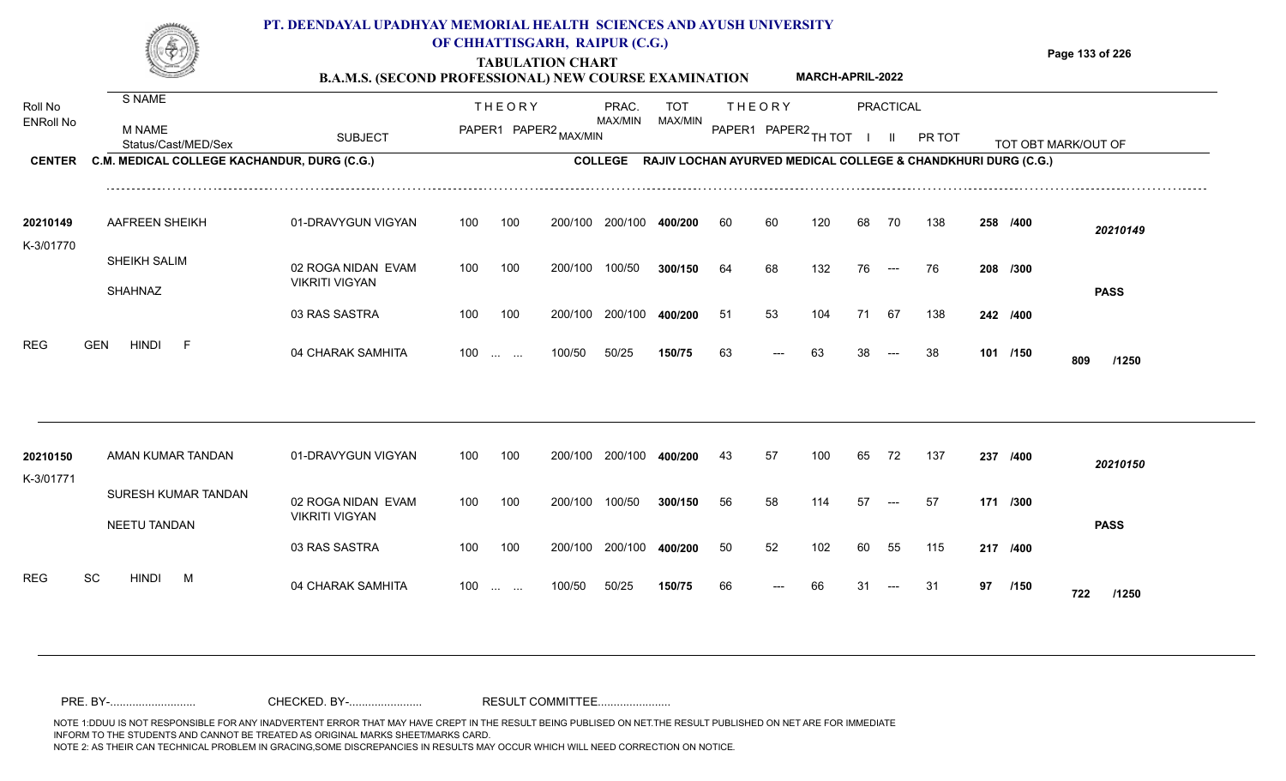|                                              |                                                                                               | PT. DEENDAYAL UPADHYAY MEMORIAL HEALTH SCIENCES AND AYUSH UNIVERSITY<br><b>B.A.M.S. (SECOND PROFESSIONAL) NEW COURSE EXAMINATION</b> |     |                               | OF CHHATTISGARH, RAIPUR (C.G.)<br><b>TABULATION CHART</b> |                                    |                       |    |               | <b>MARCH-APRIL-2022</b> |    |                          |                                                                         |     |          | Page 133 of 226     |
|----------------------------------------------|-----------------------------------------------------------------------------------------------|--------------------------------------------------------------------------------------------------------------------------------------|-----|-------------------------------|-----------------------------------------------------------|------------------------------------|-----------------------|----|---------------|-------------------------|----|--------------------------|-------------------------------------------------------------------------|-----|----------|---------------------|
| Roll No<br><b>ENRoll No</b><br><b>CENTER</b> | S NAME<br><b>M NAME</b><br>Status/Cast/MED/Sex<br>C.M. MEDICAL COLLEGE KACHANDUR, DURG (C.G.) | <b>SUBJECT</b>                                                                                                                       |     | <b>THEORY</b>                 | PAPER1 PAPER2 MAX/MIN                                     | PRAC.<br>MAX/MIN<br><b>COLLEGE</b> | <b>TOT</b><br>MAX/MIN |    | <b>THEORY</b> | PAPER1 PAPER2 TH TOT    |    | PRACTICAL                | PR TOT<br>RAJIV LOCHAN AYURVED MEDICAL COLLEGE & CHANDKHURI DURG (C.G.) |     |          | TOT OBT MARK/OUT OF |
|                                              |                                                                                               |                                                                                                                                      |     |                               |                                                           |                                    |                       |    |               |                         |    |                          |                                                                         |     |          |                     |
| 20210149<br>K-3/01770                        | AAFREEN SHEIKH                                                                                | 01-DRAVYGUN VIGYAN                                                                                                                   | 100 | 100                           | 200/100                                                   | 200/100                            | 400/200               | 60 | 60            | 120                     | 68 | 70                       | 138                                                                     |     | 258 /400 | 20210149            |
|                                              | SHEIKH SALIM<br><b>SHAHNAZ</b>                                                                | 02 ROGA NIDAN EVAM<br><b>VIKRITI VIGYAN</b>                                                                                          | 100 | 100                           | 200/100                                                   | 100/50                             | 300/150               | 64 | 68            | 132                     | 76 | $\hspace{0.05cm} \ldots$ | 76                                                                      |     | 208 /300 | <b>PASS</b>         |
|                                              |                                                                                               | 03 RAS SASTRA                                                                                                                        | 100 | 100                           | 200/100                                                   | 200/100                            | 400/200               | 51 | 53            | 104                     | 71 | 67                       | 138                                                                     |     | 242 /400 |                     |
| <b>REG</b>                                   | <b>HINDI</b><br><b>GEN</b><br>-F                                                              | 04 CHARAK SAMHITA                                                                                                                    | 100 | $\mathbf{r}$ and $\mathbf{r}$ | 100/50                                                    | 50/25                              | 150/75                | 63 | $---$         | 63                      | 38 |                          | 38                                                                      |     | 101 /150 | 809<br>/1250        |
|                                              |                                                                                               |                                                                                                                                      |     |                               |                                                           |                                    |                       |    |               |                         |    |                          |                                                                         |     |          |                     |
| 20210150<br>K-3/01771                        | AMAN KUMAR TANDAN                                                                             | 01-DRAVYGUN VIGYAN                                                                                                                   | 100 | 100                           | 200/100                                                   | 200/100                            | 400/200               | 43 | 57            | 100                     | 65 | 72                       | 137                                                                     | 237 | /400     | 20210150            |
|                                              | SURESH KUMAR TANDAN                                                                           | 02 ROGA NIDAN EVAM                                                                                                                   | 100 | 100                           | 200/100                                                   | 100/50                             | 300/150               | 56 | 58            | 114                     | 57 | $---$                    | 57                                                                      |     | 171 /300 |                     |

100 100 200/100 200/100 400/200

04 CHARAK SAMHITA --- **/1250**

**/400** 50 52 102 60 55 115 **217**

<sup>66</sup> <sup>66</sup> <sup>31</sup> <sup>31</sup> **<sup>97</sup> <sup>722</sup>**

97 /150 **722** /1250

**PASS**

100/50 50/25 **150/75**

100 ... ... 100/50 50/25 **150/75** 66 --- 66 31

200/100 **400/200**

VIKRITI VIGYAN

NEETU TANDAN

REG SC HINDI M 04 CHARAK SAMHITA

03 RAS SASTRA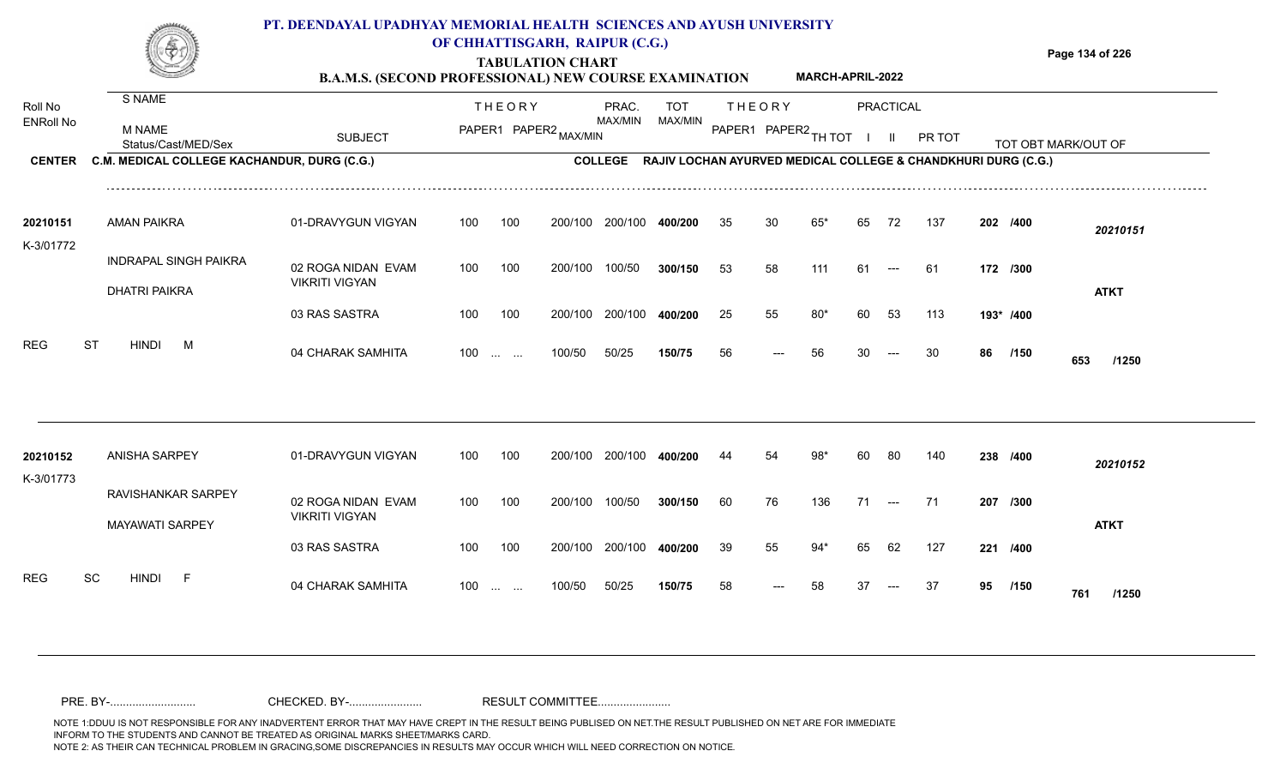## **TABULATION CHART Page 134 of 226 B.A.M.S. (SECOND PROFESSIONAL) NEW COURSE EXAMINATION PT. DEENDAYAL UPADHYAY MEMORIAL HEALTH SCIENCES AND AYUSH UNIVERSITY OF CHHATTISGARH, RAIPUR (C.G.) MARCH-APRIL-2022**

| Roll No               | S NAME                                               |                                             |     | <b>THEORY</b>           |                       | PRAC.   | <b>TOT</b>                                                            |                      | <b>THEORY</b> |       |     | PRACTICAL     |        |    |           |                     |
|-----------------------|------------------------------------------------------|---------------------------------------------|-----|-------------------------|-----------------------|---------|-----------------------------------------------------------------------|----------------------|---------------|-------|-----|---------------|--------|----|-----------|---------------------|
| <b>ENRoll No</b>      | <b>M NAME</b><br>Status/Cast/MED/Sex                 | <b>SUBJECT</b>                              |     |                         | PAPER1 PAPER2 MAX/MIN | MAX/MIN | MAX/MIN                                                               | PAPER1 PAPER2 TH TOT |               |       |     | H.            | PR TOT |    |           | TOT OBT MARK/OUT OF |
| <b>CENTER</b>         | C.M. MEDICAL COLLEGE KACHANDUR, DURG (C.G.)          |                                             |     |                         |                       |         | COLLEGE RAJIV LOCHAN AYURVED MEDICAL COLLEGE & CHANDKHURI DURG (C.G.) |                      |               |       |     |               |        |    |           |                     |
| 20210151<br>K-3/01772 | <b>AMAN PAIKRA</b>                                   | 01-DRAVYGUN VIGYAN                          | 100 | 100                     | 200/100               | 200/100 | 400/200                                                               | 35                   | 30            | $65*$ | 65  | 72            | 137    |    | 202 /400  | 20210151            |
|                       | <b>INDRAPAL SINGH PAIKRA</b><br><b>DHATRI PAIKRA</b> | 02 ROGA NIDAN EVAM<br><b>VIKRITI VIGYAN</b> | 100 | 100                     | 200/100               | 100/50  | 300/150                                                               | 53                   | 58            | 111   | 61  | $---$         | 61     |    | 172 /300  | <b>ATKT</b>         |
|                       |                                                      | 03 RAS SASTRA                               | 100 | 100                     | 200/100               | 200/100 | 400/200                                                               | 25                   | 55            | $80*$ | 60  | 53            | 113    |    | 193* /400 |                     |
| <b>REG</b>            | <b>HINDI</b><br><b>ST</b><br>M                       | 04 CHARAK SAMHITA                           |     | $100 \dots \dots$       | 100/50                | 50/25   | 150/75                                                                | 56                   | $---$         | 56    | 30  |               | 30     | 86 | /150      | 653<br>/1250        |
|                       |                                                      |                                             |     |                         |                       |         |                                                                       |                      |               |       |     |               |        |    |           |                     |
| 20210152<br>K-3/01773 | <b>ANISHA SARPEY</b>                                 | 01-DRAVYGUN VIGYAN                          | 100 | 100                     | 200/100               | 200/100 | 400/200                                                               | 44                   | 54            | 98*   | -60 | 80            | 140    |    | 238 /400  | 20210152            |
|                       | RAVISHANKAR SARPEY<br><b>MAYAWATI SARPEY</b>         | 02 ROGA NIDAN EVAM<br><b>VIKRITI VIGYAN</b> | 100 | 100                     | 200/100               | 100/50  | 300/150                                                               | 60                   | 76            | 136   | 71  | $\sim$ $\sim$ | 71     |    | 207 /300  | <b>ATKT</b>         |
|                       |                                                      | 03 RAS SASTRA                               | 100 | 100                     | 200/100               | 200/100 | 400/200                                                               | 39                   | 55            | $94*$ | 65  | 62            | 127    |    | 221 /400  |                     |
| <b>REG</b>            | SC<br><b>HINDI</b><br>-F                             | 04 CHARAK SAMHITA                           | 100 | <b>Section Contract</b> | 100/50                | 50/25   | 150/75                                                                | 58                   | $---$         | 58    | 37  | $---$         | 37     | 95 | /150      | 761<br>/1250        |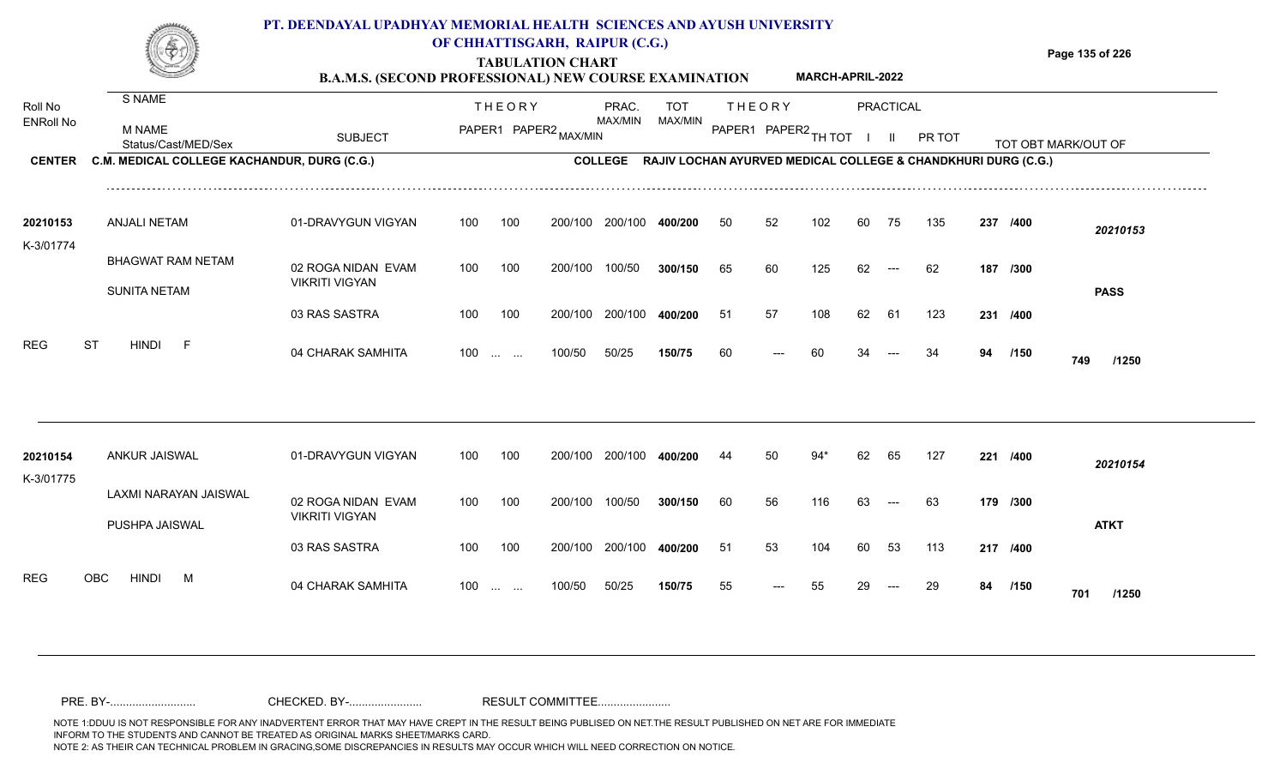## **TABULATION CHART Page 135 of 226 B.A.M.S. (SECOND PROFESSIONAL) NEW COURSE EXAMINATION**  ENRoll No MAX/MIN MAX/MIN MAX/MIN MAX/MIN ANG THIOT I II PRITOT TOT OBTIMARK/OUT OF SUBJECT PAPER2 <sub>MAX/MIN</sub> MAX/MIN PAPER1 PAPER2 <sub>TH</sub>IOT I II PRITOT TOT OBTIMARK/OUT OF **PRACTICAL CENTER C.M. MEDICAL COLLEGE KACHANDUR, DURG (C.G.)** THEORY PRAC. TOT PAPER1 PAPER2 MAX/MIN PAPER PRAC. THEORY S NAME M NAME **PT. DEENDAYAL UPADHYAY MEMORIAL HEALTH SCIENCES AND AYUSH UNIVERSITY OF CHHATTISGARH, RAIPUR (C.G.) C.M. MEDICAL COLLEGE KACHANDUR, DURG (C.G.) RAJIV LOCHAN AYURVED MEDICAL COLLEGE & CHANDKHURI DURG (C.G.) MARCH-APRIL-2022**

| 20210153<br>K-3/01774 | ANJALI NETAM        | 01-DRAVYGUN VIGYAN                          | 100 | 100                                | 200/100 | 200/100 | 400/200 | 50 | 52                     | 102 | 60 | 75    | 135 | 237 /400 |             | 20210153    |
|-----------------------|---------------------|---------------------------------------------|-----|------------------------------------|---------|---------|---------|----|------------------------|-----|----|-------|-----|----------|-------------|-------------|
|                       | BHAGWAT RAM NETAM   | 02 ROGA NIDAN EVAM<br><b>VIKRITI VIGYAN</b> | 100 | 100                                | 200/100 | 100/50  | 300/150 | 65 | 60                     | 125 | 62 | $---$ | 62  | 187 /300 |             |             |
|                       | <b>SUNITA NETAM</b> | 03 RAS SASTRA                               | 100 | 100                                | 200/100 | 200/100 | 400/200 | 51 | 57                     | 108 | 62 | -61   | 123 | 231 /400 |             | <b>PASS</b> |
| REG<br>ST             | <b>HINDI</b><br>- F | 04 CHARAK SAMHITA                           | 100 | $\sim$ $\sim$ $\sim$ $\sim$ $\sim$ | 100/50  | 50/25   | 150/75  | 60 | $\qquad \qquad \cdots$ | 60  | 34 | $---$ | 34  | 94       | /150<br>749 | /1250       |

| 20210154<br>K-3/01775 |      | ANKUR JAISWAL  |                       | 01-DRAVYGUN VIGYAN                          | 100               | 100 | 200/100 | 200/100 | 400/200 | 44  | 50                  | 94* | 62 | 65    | 127 | 221      | /400        | 20210154    |
|-----------------------|------|----------------|-----------------------|---------------------------------------------|-------------------|-----|---------|---------|---------|-----|---------------------|-----|----|-------|-----|----------|-------------|-------------|
|                       |      | PUSHPA JAISWAL | LAXMI NARAYAN JAISWAL | 02 ROGA NIDAN EVAM<br><b>VIKRITI VIGYAN</b> | 100               | 100 | 200/100 | 100/50  | 300/150 | 60  | 56                  | 116 | 63 | $--$  | 63  | 179 /300 |             | <b>ATKT</b> |
|                       |      |                |                       | 03 RAS SASTRA                               | 100               | 100 | 200/100 | 200/100 | 400/200 | -51 | 53                  | 104 | 60 | -53   | 113 | 217 /400 |             |             |
| <b>REG</b>            | OBC. | <b>HINDI</b>   | M                     | 04 CHARAK SAMHITA                           | $100 \dots \dots$ |     | 100/50  | 50/25   | 150/75  | 55  | $\qquad \qquad - -$ | 55  | 29 | $---$ | 29  | 84       | /150<br>701 | /1250       |

Roll No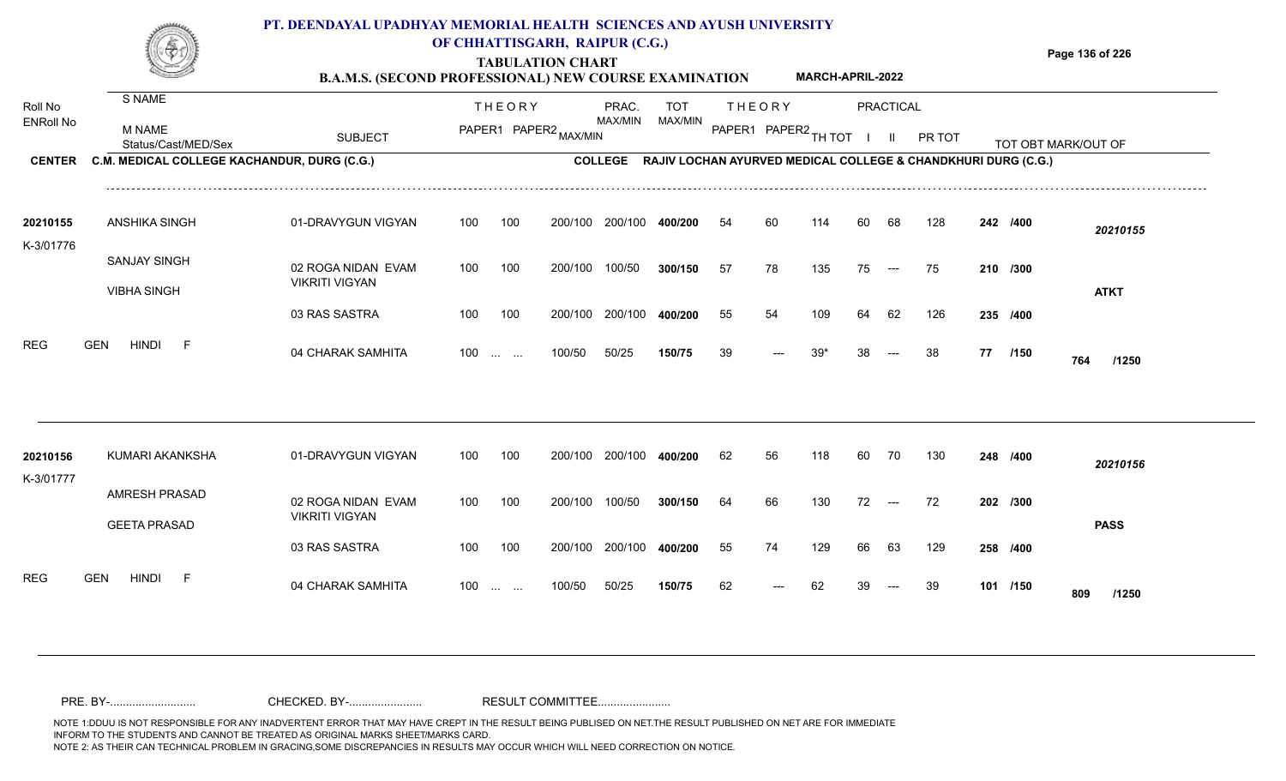|                                              |                                                                                        | PT. DEENDAYAL UPADHYAY MEMORIAL HEALTH SCIENCES AND AYUSH UNIVERSITY<br><b>B.A.M.S. (SECOND PROFESSIONAL) NEW COURSE EXAMINATION</b> |            |                                                       | OF CHHATTISGARH, RAIPUR (C.G.)<br><b>TABULATION CHART</b> |                                                                                           |                              |          |                                       | <b>MARCH-APRIL-2022</b> |          |                           |           |    |                  | Page 136 of 226     |
|----------------------------------------------|----------------------------------------------------------------------------------------|--------------------------------------------------------------------------------------------------------------------------------------|------------|-------------------------------------------------------|-----------------------------------------------------------|-------------------------------------------------------------------------------------------|------------------------------|----------|---------------------------------------|-------------------------|----------|---------------------------|-----------|----|------------------|---------------------|
| Roll No<br><b>ENRoll No</b><br><b>CENTER</b> | S NAME<br>M NAME<br>Status/Cast/MED/Sex<br>C.M. MEDICAL COLLEGE KACHANDUR, DURG (C.G.) | <b>SUBJECT</b>                                                                                                                       |            | <b>THEORY</b>                                         | PAPER1 PAPER2 MAX/MIN                                     | PRAC.<br>MAX/MIN<br>COLLEGE RAJIV LOCHAN AYURVED MEDICAL COLLEGE & CHANDKHURI DURG (C.G.) | <b>TOT</b><br><b>MAX/MIN</b> |          | <b>THEORY</b><br>PAPER1 PAPER2 TH TOT |                         |          | PRACTICAL<br>$\mathbf{H}$ | PR TOT    |    |                  | TOT OBT MARK/OUT OF |
| 20210155<br>K-3/01776                        | <b>ANSHIKA SINGH</b>                                                                   | 01-DRAVYGUN VIGYAN                                                                                                                   | 100        | 100                                                   | 200/100                                                   | 200/100                                                                                   | 400/200                      | 54       | 60                                    | 114                     | 60       | 68                        | 128       |    | 242 /400         | 20210155            |
|                                              | <b>SANJAY SINGH</b><br><b>VIBHA SINGH</b>                                              | 02 ROGA NIDAN EVAM<br><b>VIKRITI VIGYAN</b>                                                                                          | 100        | 100                                                   | 200/100                                                   | 100/50                                                                                    | 300/150                      | 57       | 78                                    | 135                     | 75       | $---$                     | 75        |    | 210 /300         | <b>ATKT</b>         |
| <b>REG</b>                                   | <b>HINDI</b><br><b>GEN</b><br>F.                                                       | 03 RAS SASTRA<br>04 CHARAK SAMHITA                                                                                                   | 100<br>100 | 100<br>$\mathbf{r}$ and $\mathbf{r}$ and $\mathbf{r}$ | 200/100<br>100/50                                         | 200/100<br>50/25                                                                          | 400/200<br>150/75            | 55<br>39 | 54<br>---                             | 109<br>$39*$            | 64<br>38 | 62<br>$---$               | 126<br>38 | 77 | 235 /400<br>/150 | 764<br>/1250        |
| 20210156<br>K-3/01777                        | KUMARI AKANKSHA                                                                        | 01-DRAVYGUN VIGYAN                                                                                                                   | 100        | 100                                                   | 200/100                                                   | 200/100                                                                                   | 400/200                      | 62       | 56                                    | 118                     | 60       | 70                        | 130       |    | 248 /400         | 20210156            |
|                                              | <b>AMRESH PRASAD</b><br><b>GEETA PRASAD</b>                                            | 02 ROGA NIDAN EVAM<br><b>VIKRITI VIGYAN</b>                                                                                          | 100        | 100                                                   | 200/100                                                   | 100/50                                                                                    | 300/150                      | 64       | 66                                    | 130                     | 72       | $\hspace{0.05cm} \ldots$  | 72        |    | 202 /300         | <b>PASS</b>         |

100 100 200/100 200/100 **400/200**

100/50 50/25 **150/75**

100 ... ... 100/50 50/25 150/75 62 --- 62 39

04 CHARAK SAMHITA 100 … … 100/50 50/25 **150/75 62 --- 62 39 --- 39 101 /150 809 /1250** 

**/400** 55 74 129 66 63 129 **258**

<sup>62</sup> <sup>62</sup> <sup>39</sup> <sup>39</sup> **<sup>101</sup> <sup>809</sup>**

**/150**

REG GEN HINDI F 04 CHARAK SAMHITA

03 RAS SASTRA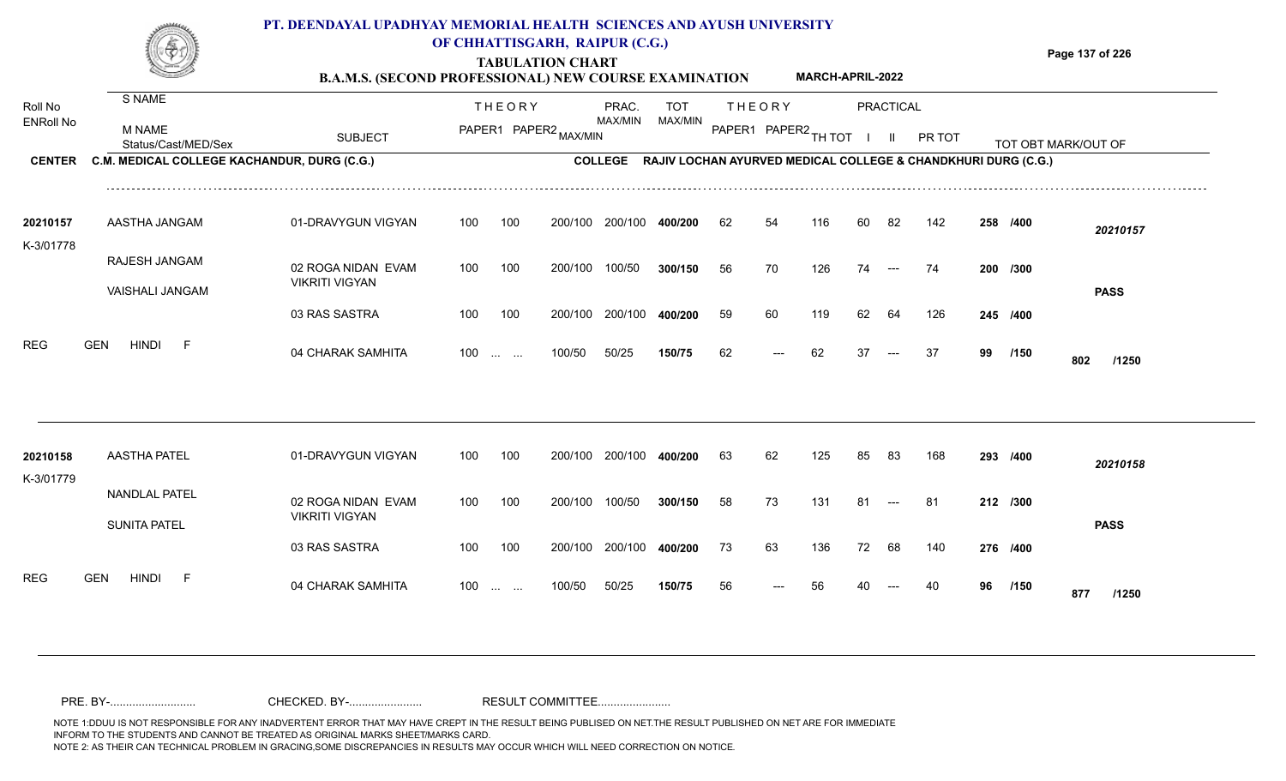|                  |                                             | PT. DEENDAYAL UPADHYAY MEMORIAL HEALTH SCIENCES AND AYUSH UNIVERSITY<br><b>B.A.M.S. (SECOND PROFESSIONAL) NEW COURSE EXAMINATION</b> |     |                                   | OF CHHATTISGARH, RAIPUR (C.G.)<br><b>TABULATION CHART</b> |                |                                                                          |    |               | <b>MARCH-APRIL-2022</b> |    |                          |        |    |          | Page 137 of 226     |
|------------------|---------------------------------------------|--------------------------------------------------------------------------------------------------------------------------------------|-----|-----------------------------------|-----------------------------------------------------------|----------------|--------------------------------------------------------------------------|----|---------------|-------------------------|----|--------------------------|--------|----|----------|---------------------|
| Roll No          | S NAME                                      |                                                                                                                                      |     | <b>THEORY</b>                     |                                                           | PRAC.          | <b>TOT</b>                                                               |    | <b>THEORY</b> |                         |    | PRACTICAL                |        |    |          |                     |
| <b>ENRoll No</b> | M NAME<br>Status/Cast/MED/Sex               | <b>SUBJECT</b>                                                                                                                       |     |                                   | PAPER1 PAPER2 MAX/MIN                                     | MAX/MIN        | MAX/MIN                                                                  |    |               | PAPER1 PAPER2 TH TOT    |    |                          | PR TOT |    |          | TOT OBT MARK/OUT OF |
| <b>CENTER</b>    | C.M. MEDICAL COLLEGE KACHANDUR, DURG (C.G.) |                                                                                                                                      |     |                                   |                                                           | <b>COLLEGE</b> | <b>RAJIV LOCHAN AYURVED MEDICAL COLLEGE &amp; CHANDKHURI DURG (C.G.)</b> |    |               |                         |    |                          |        |    |          |                     |
| 20210157         | AASTHA JANGAM                               | 01-DRAVYGUN VIGYAN                                                                                                                   | 100 | 100                               | 200/100                                                   | 200/100        | 400/200                                                                  | 62 | 54            | 116                     | 60 | -82                      | 142    |    | 258 /400 | 20210157            |
| K-3/01778        | RAJESH JANGAM<br><b>VAISHALI JANGAM</b>     | 02 ROGA NIDAN EVAM<br><b>VIKRITI VIGYAN</b>                                                                                          | 100 | 100                               | 200/100                                                   | 100/50         | 300/150                                                                  | 56 | 70            | 126                     | 74 | $\hspace{0.05cm} \ldots$ | 74     |    | 200 /300 | <b>PASS</b>         |
|                  |                                             | 03 RAS SASTRA                                                                                                                        | 100 | 100                               | 200/100                                                   | 200/100        | 400/200                                                                  | 59 | 60            | 119                     | 62 | -64                      | 126    |    | 245 /400 |                     |
| <b>REG</b>       | GEN<br>HINDI                                | 04 CHARAK SAMHITA                                                                                                                    | 100 | the company of the company of the | 100/50                                                    | 50/25          | 150/75                                                                   | 62 |               | 62                      | 37 | $\qquad \qquad \cdots$   | -37    | 99 | /150     |                     |

100 ... ... 100/50 50/25 **150/75** 62 --- 62

50/25 **150/75**

04 CHARAK SAMHITA --- **/1250**

**/150** <sup>62</sup> <sup>62</sup> <sup>37</sup> <sup>37</sup> **<sup>99</sup> <sup>802</sup>**

| 20210158   | <b>AASTHA PATEL</b>                  | 01-DRAVYGUN VIGYAN                   | 100 | 100 | 200/100 | 200/100 | 400/200 | 63 | 62   | 125 | 85 | -83   | 168 | 293 /400 |             | 20210158    |
|------------|--------------------------------------|--------------------------------------|-----|-----|---------|---------|---------|----|------|-----|----|-------|-----|----------|-------------|-------------|
| K-3/01779  | NANDLAL PATEL<br><b>SUNITA PATEL</b> | 02 ROGA NIDAN EVAM<br>VIKRITI VIGYAN | 100 | 100 | 200/100 | 100/50  | 300/150 | 58 | 73   | 131 | 81 | $---$ | -81 | 212 /300 |             | <b>PASS</b> |
|            |                                      | 03 RAS SASTRA                        | 100 | 100 | 200/100 | 200/100 | 400/200 | 73 | 63   | 136 | 72 | 68    | 140 | 276 /400 |             |             |
| <b>REG</b> | <b>HINDI</b><br><b>GEN</b><br>E.     | 04 CHARAK SAMHITA                    | 100 |     | 100/50  | 50/25   | 150/75  | 56 | $--$ | 56  | 40 | $---$ | 40  | 96       | /150<br>877 | /1250       |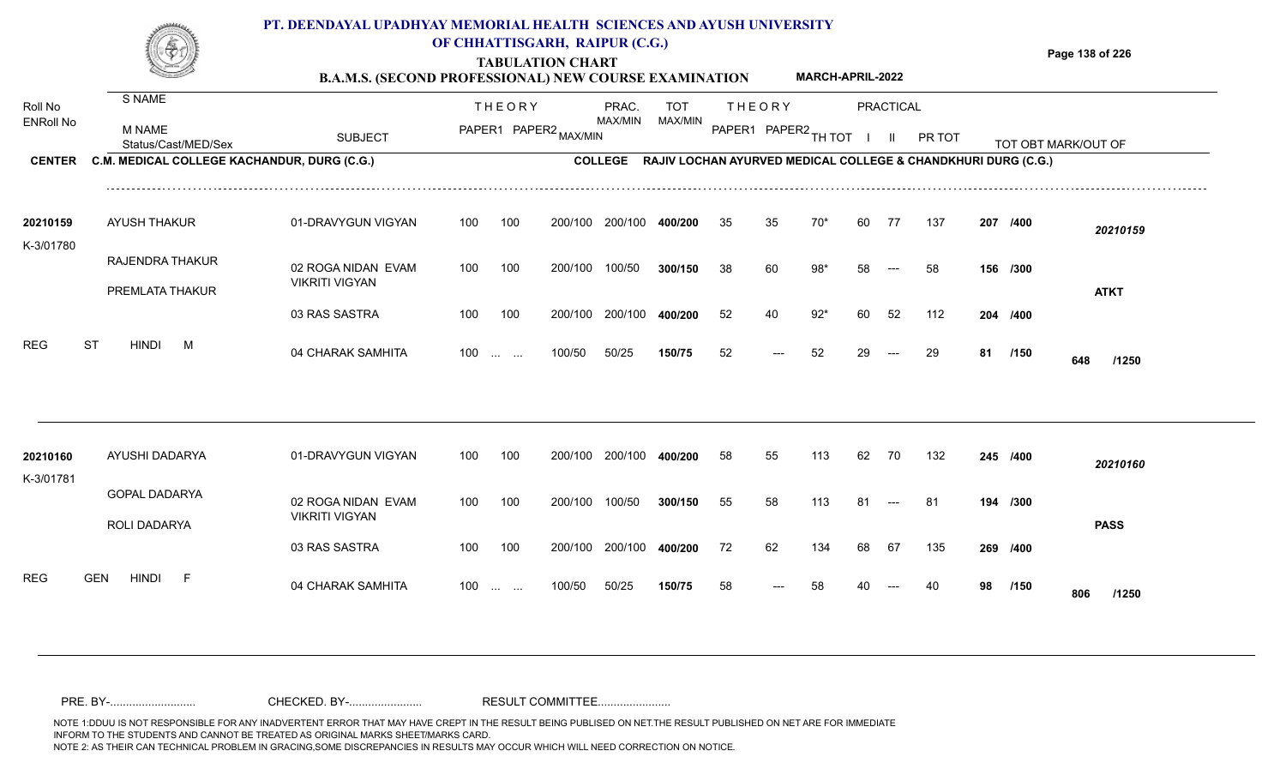#### **TABULATION CHART Page 138 of 226 B.A.M.S. (SECOND PROFESSIONAL) NEW COURSE EXAMINATION**  T H E O R Y PRACTICAL THE OR Y PRAC. TO PRAC. TOT TOT S NAME **PT. DEENDAYAL UPADHYAY MEMORIAL HEALTH SCIENCES AND AYUSH UNIVERSITY OF CHHATTISGARH, RAIPUR (C.G.) MARCH-APRIL-2022**

| Roll No<br><b>ENRoll No</b> | <b>M NAME</b>                                                      | <b>SUBJECT</b>                              |     | <b>THEORY</b>            | PAPER1 PAPER2 MAX/MIN | PRAC.<br>MAX/MIN | <b>TOT</b><br>MAX/MIN                                         |    | <b>THEORY</b> | PAPER1 PAPER2 TH TOT |    | <b>PRACTICAL</b><br>H. | PR TOT |    |          |                     |
|-----------------------------|--------------------------------------------------------------------|---------------------------------------------|-----|--------------------------|-----------------------|------------------|---------------------------------------------------------------|----|---------------|----------------------|----|------------------------|--------|----|----------|---------------------|
| <b>CENTER</b>               | Status/Cast/MED/Sex<br>C.M. MEDICAL COLLEGE KACHANDUR, DURG (C.G.) |                                             |     |                          |                       | <b>COLLEGE</b>   | RAJIV LOCHAN AYURVED MEDICAL COLLEGE & CHANDKHURI DURG (C.G.) |    |               |                      |    |                        |        |    |          | TOT OBT MARK/OUT OF |
| 20210159<br>K-3/01780       | <b>AYUSH THAKUR</b>                                                | 01-DRAVYGUN VIGYAN                          | 100 | 100                      | 200/100               | 200/100          | 400/200                                                       | 35 | 35            | 70*                  | 60 | 77                     | 137    |    | 207 /400 | 20210159            |
|                             | RAJENDRA THAKUR<br>PREMLATA THAKUR                                 | 02 ROGA NIDAN EVAM<br><b>VIKRITI VIGYAN</b> | 100 | 100                      | 200/100               | 100/50           | 300/150                                                       | 38 | 60            | $98*$                | 58 | $---$                  | 58     |    | 156 /300 | <b>ATKT</b>         |
|                             |                                                                    | 03 RAS SASTRA                               | 100 | 100                      | 200/100               | 200/100          | 400/200                                                       | 52 | 40            | $92*$                | 60 | 52                     | 112    |    | 204 /400 |                     |
| <b>REG</b>                  | ST<br><b>HINDI</b><br>M                                            | 04 CHARAK SAMHITA                           | 100 | <b>Contract Contract</b> | 100/50                | 50/25            | 150/75                                                        | 52 | $---$         | 52                   | 29 | $---$                  | 29     | 81 | /150     | 648<br>/1250        |
| 20210160                    | AYUSHI DADARYA                                                     | 01-DRAVYGUN VIGYAN                          | 100 | 100                      | 200/100               | 200/100          | 400/200                                                       | 58 | 55            | 113                  | 62 | 70                     | 132    |    | 245 /400 | 20210160            |
| K-3/01781                   | <b>GOPAL DADARYA</b><br>ROLI DADARYA                               | 02 ROGA NIDAN EVAM<br><b>VIKRITI VIGYAN</b> | 100 | 100                      | 200/100               | 100/50           | 300/150                                                       | 55 | 58            | 113                  | 81 | $---$                  | -81    |    | 194 /300 | <b>PASS</b>         |
|                             |                                                                    | 03 RAS SASTRA                               | 100 | 100                      | 200/100               | 200/100          | 400/200                                                       | 72 | 62            | 134                  | 68 | 67                     | 135    |    | 269 /400 |                     |
| <b>REG</b>                  | <b>HINDI</b><br><b>GEN</b><br>- F                                  | 04 CHARAK SAMHITA                           | 100 | <b>Contract Contract</b> | 100/50                | 50/25            | 150/75                                                        | 58 |               | 58                   |    |                        | 40     | 98 | /150     | 806<br>/1250        |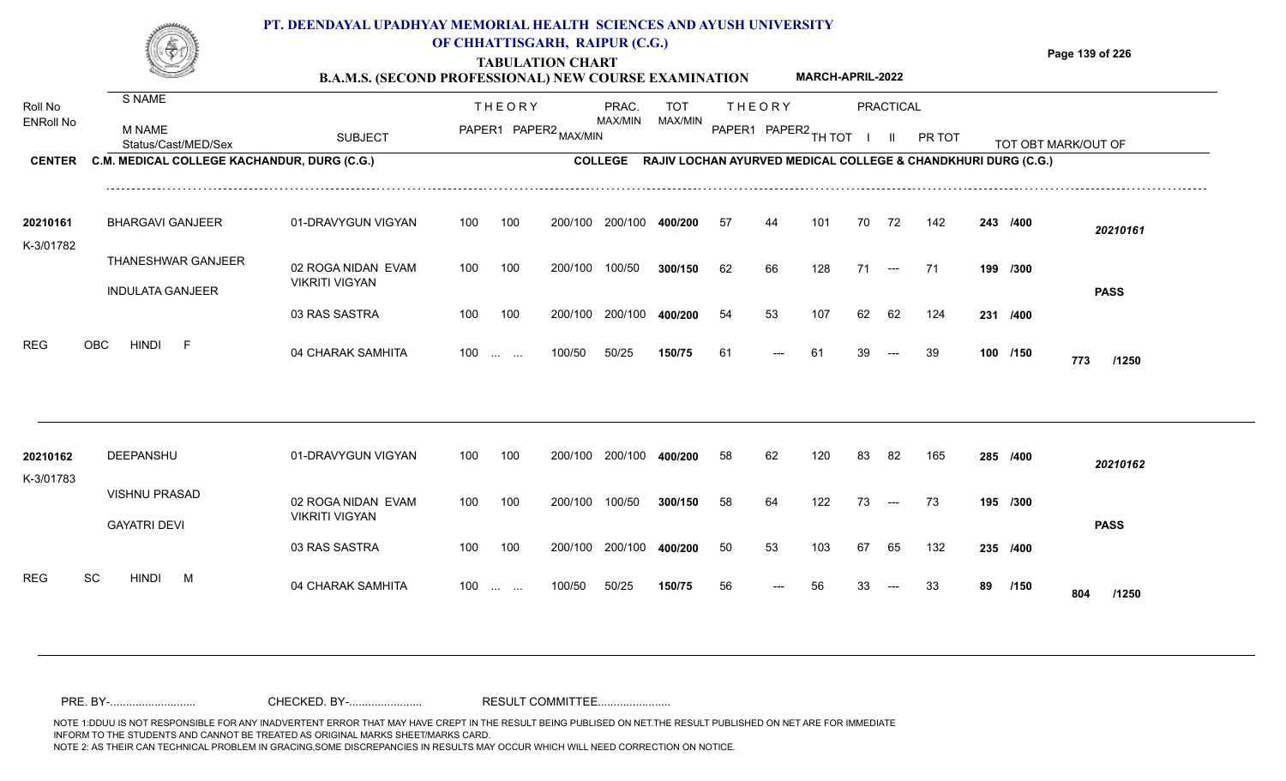|                                       |                                                                                        | PT. DEENDAYAL UPADHYAY MEMORIAL HEALTH SCIENCES AND AYUSH UNIVERSITY<br><b>B.A.M.S. (SECOND PROFESSIONAL) NEW COURSE EXAMINATION</b> |            |                      | OF CHHATTISGARH, RAIPUR (C.G.)<br><b>TABULATION CHART</b> |                         |                                                                                                |          |                                         | <b>MARCH-APRIL-2022</b> |          |                                  |           |                      | Page 139 of 226     |
|---------------------------------------|----------------------------------------------------------------------------------------|--------------------------------------------------------------------------------------------------------------------------------------|------------|----------------------|-----------------------------------------------------------|-------------------------|------------------------------------------------------------------------------------------------|----------|-----------------------------------------|-------------------------|----------|----------------------------------|-----------|----------------------|---------------------|
| Roll No<br>ENRoll No<br><b>CENTER</b> | S NAME<br>M NAME<br>Status/Cast/MED/Sex<br>C.M. MEDICAL COLLEGE KACHANDUR, DURG (C.G.) | <b>SUBJECT</b>                                                                                                                       |            | <b>THEORY</b>        | PAPER1 PAPER2 MAX/MIN                                     | PRAC.<br><b>MAX/MIN</b> | <b>TOT</b><br>MAX/MIN<br>COLLEGE RAJIV LOCHAN AYURVED MEDICAL COLLEGE & CHANDKHURI DURG (C.G.) |          | <b>THEORY</b><br>PAPER1 PAPER2 TH TOT I |                         |          | <b>PRACTICAL</b><br>$\mathbf{H}$ | PR TOT    |                      | TOT OBT MARK/OUT OF |
| 20210161<br>K-3/01782                 | <b>BHARGAVI GANJEER</b>                                                                | 01-DRAVYGUN VIGYAN                                                                                                                   | 100        | 100                  |                                                           | 200/100 200/100 400/200 |                                                                                                | 57       | 44                                      | 101                     | 70       | 72                               | 142       | 243 /400             | 20210161            |
|                                       | THANESHWAR GANJEER<br><b>INDULATA GANJEER</b>                                          | 02 ROGA NIDAN EVAM<br><b>VIKRITI VIGYAN</b>                                                                                          | 100        | 100                  | 200/100                                                   | 100/50                  | 300/150                                                                                        | 62       | 66                                      | 128                     | 71       | $\sim$ $\sim$ $\sim$             | - 71      | 199 /300             | <b>PASS</b>         |
| <b>REG</b>                            | <b>OBC</b><br>HINDI<br>- F                                                             | 03 RAS SASTRA<br>04 CHARAK SAMHITA                                                                                                   | 100<br>100 | 100<br>$\sim$ $\sim$ | 200/100<br>100/50                                         | 200/100<br>50/25        | 400/200<br>150/75                                                                              | 54<br>61 | 53                                      | 107<br>61               | 62<br>39 | 62                               | 124<br>39 | 231 /400<br>100 /150 | 773<br>/1250        |
| 20210162<br>K-3/01783                 | DEEPANSHU                                                                              | 01-DRAVYGUN VIGYAN                                                                                                                   | 100        | 100                  |                                                           | 200/100 200/100 400/200 |                                                                                                | 58       | 62                                      | 120                     | 83       | 82                               | 165       | 285 /400             | 20210162            |
|                                       | <b>VISHNU PRASAD</b><br><b>GAYATRI DEVI</b>                                            | 02 ROGA NIDAN EVAM<br><b>VIKRITI VIGYAN</b>                                                                                          | 100        | 100                  | 200/100 100/50                                            |                         | 300/150                                                                                        | 58       | 64                                      | 122                     | 73       | $\sim$ $\sim$ $\sim$             | 73        | 195 /300             | <b>PASS</b>         |
|                                       |                                                                                        | 03 RAS SASTRA                                                                                                                        | 100        | 100                  | 200/100                                                   | 200/100                 | 400/200                                                                                        | 50       | 53                                      | 103                     | 67       | 65                               | 132       | 235 /400             |                     |

89 /150 **804** /1250

<sup>56</sup> <sup>56</sup> <sup>33</sup> <sup>33</sup> **<sup>89</sup> <sup>804</sup>**

50/25 **150/75**

REG SC HINDI M 04 CHARAK SAMHITA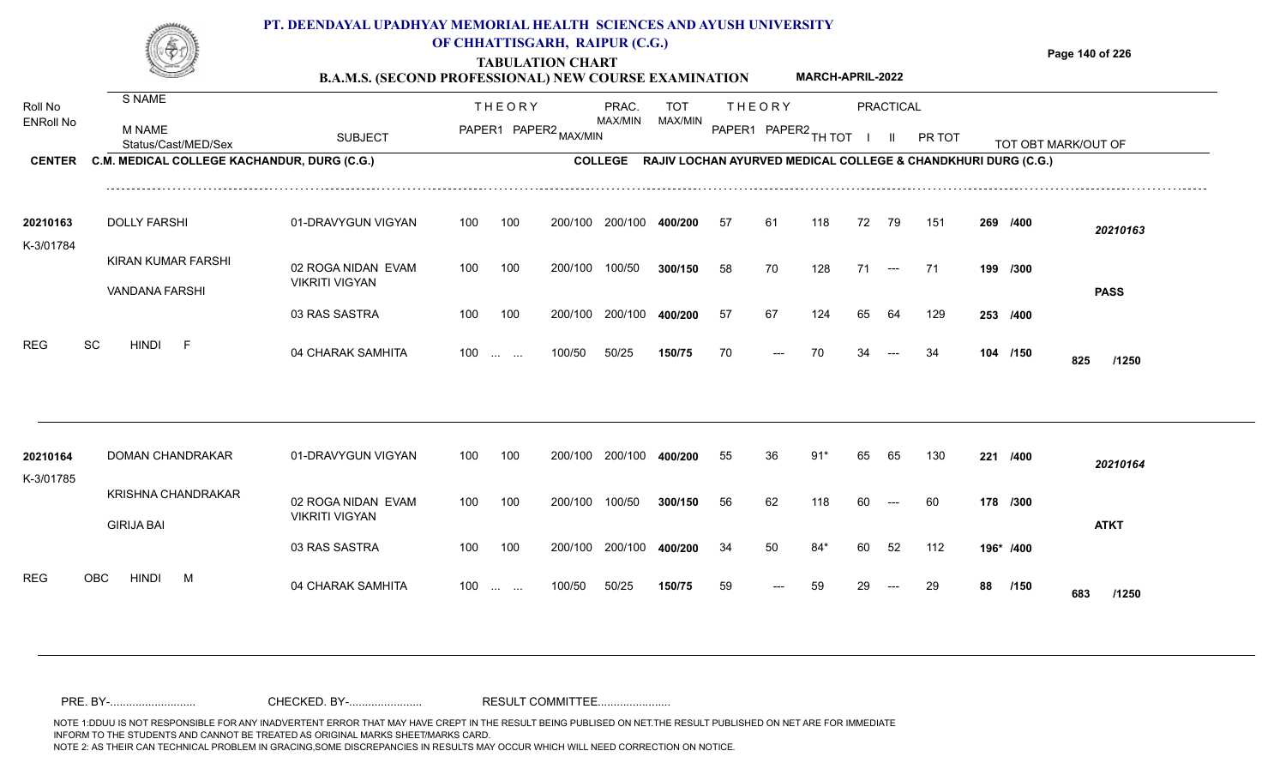|                       |                                                | PT. DEENDAYAL UPADHYAY MEMORIAL HEALTH SCIENCES AND AYUSH UNIVERSITY<br><b>B.A.M.S. (SECOND PROFESSIONAL) NEW COURSE EXAMINATION</b> |     |                                                | OF CHHATTISGARH, RAIPUR (C.G.)<br><b>TABULATION CHART</b> |                 |            |     |               | <b>MARCH-APRIL-2022</b> |    |                      |                                                                       |    |           | Page 140 of 226     |
|-----------------------|------------------------------------------------|--------------------------------------------------------------------------------------------------------------------------------------|-----|------------------------------------------------|-----------------------------------------------------------|-----------------|------------|-----|---------------|-------------------------|----|----------------------|-----------------------------------------------------------------------|----|-----------|---------------------|
| Roll No               | S NAME                                         |                                                                                                                                      |     | <b>THEORY</b>                                  |                                                           | PRAC.           | <b>TOT</b> |     | <b>THEORY</b> |                         |    | PRACTICAL            |                                                                       |    |           |                     |
| <b>ENRoll No</b>      | <b>M NAME</b><br>Status/Cast/MED/Sex           | <b>SUBJECT</b>                                                                                                                       |     |                                                | PAPER1 PAPER2 MAX/MIN                                     | MAX/MIN         | MAX/MIN    |     |               | PAPER1 PAPER2 TH TOT    |    | - 11                 | PR TOT                                                                |    |           | TOT OBT MARK/OUT OF |
| <b>CENTER</b>         | C.M. MEDICAL COLLEGE KACHANDUR, DURG (C.G.)    |                                                                                                                                      |     |                                                |                                                           |                 |            |     |               |                         |    |                      | COLLEGE RAJIV LOCHAN AYURVED MEDICAL COLLEGE & CHANDKHURI DURG (C.G.) |    |           |                     |
| 20210163<br>K-3/01784 | <b>DOLLY FARSHI</b>                            | 01-DRAVYGUN VIGYAN                                                                                                                   | 100 | 100                                            |                                                           | 200/100 200/100 | 400/200    | -57 | 61            | 118                     | 72 | - 79                 | 151                                                                   |    | 269 /400  | 20210163            |
|                       | KIRAN KUMAR FARSHI<br>VANDANA FARSHI           | 02 ROGA NIDAN EVAM<br><b>VIKRITI VIGYAN</b>                                                                                          | 100 | 100                                            | 200/100                                                   | 100/50          | 300/150    | 58  | 70            | 128                     | 71 | $\hspace{0.05cm}---$ | 71                                                                    |    | 199 /300  | <b>PASS</b>         |
|                       |                                                | 03 RAS SASTRA                                                                                                                        | 100 | 100                                            | 200/100                                                   | 200/100         | 400/200    | 57  | 67            | 124                     | 65 | 64                   | 129                                                                   |    | 253 /400  |                     |
| <b>REG</b><br>SC      | <b>HINDI</b><br>- F                            | 04 CHARAK SAMHITA                                                                                                                    | 100 | $\mathbf{r}$ and $\mathbf{r}$ and $\mathbf{r}$ | 100/50                                                    | 50/25           | 150/75     | 70  |               | 70                      |    |                      | 34                                                                    |    | 104 /150  | 825<br>/1250        |
| 20210164              | <b>DOMAN CHANDRAKAR</b>                        | 01-DRAVYGUN VIGYAN                                                                                                                   | 100 | 100                                            |                                                           | 200/100 200/100 | 400/200    | 55  | 36            | 91'                     | 65 | 65                   | 130                                                                   |    | 221 /400  | 20210164            |
| K-3/01785             | <b>KRISHNA CHANDRAKAR</b><br><b>GIRIJA BAI</b> | 02 ROGA NIDAN EVAM<br><b>VIKRITI VIGYAN</b>                                                                                          | 100 | 100                                            | 200/100                                                   | 100/50          | 300/150    | 56  | 62            | 118                     | 60 | ---                  | 60                                                                    |    | 178 /300  | <b>ATKT</b>         |
|                       |                                                | 03 RAS SASTRA                                                                                                                        | 100 | 100                                            | 200/100                                                   | 200/100         | 400/200    | 34  | 50            | $84*$                   | 60 | 52                   | 112                                                                   |    | 196* /400 |                     |
| <b>REG</b>            | <b>HINDI</b><br>OBC<br>M                       | 04 CHARAK SAMHITA                                                                                                                    |     | $100 \dots \dots$                              | 100/50                                                    | 50/25           | 150/75     | 59  |               | 59                      | 29 | $---$                | 29                                                                    | 88 | /150      |                     |

88 /150 683 /1250

<sup>59</sup> <sup>59</sup> <sup>29</sup> <sup>29</sup> **<sup>88</sup> <sup>683</sup>**

50/25 **150/75**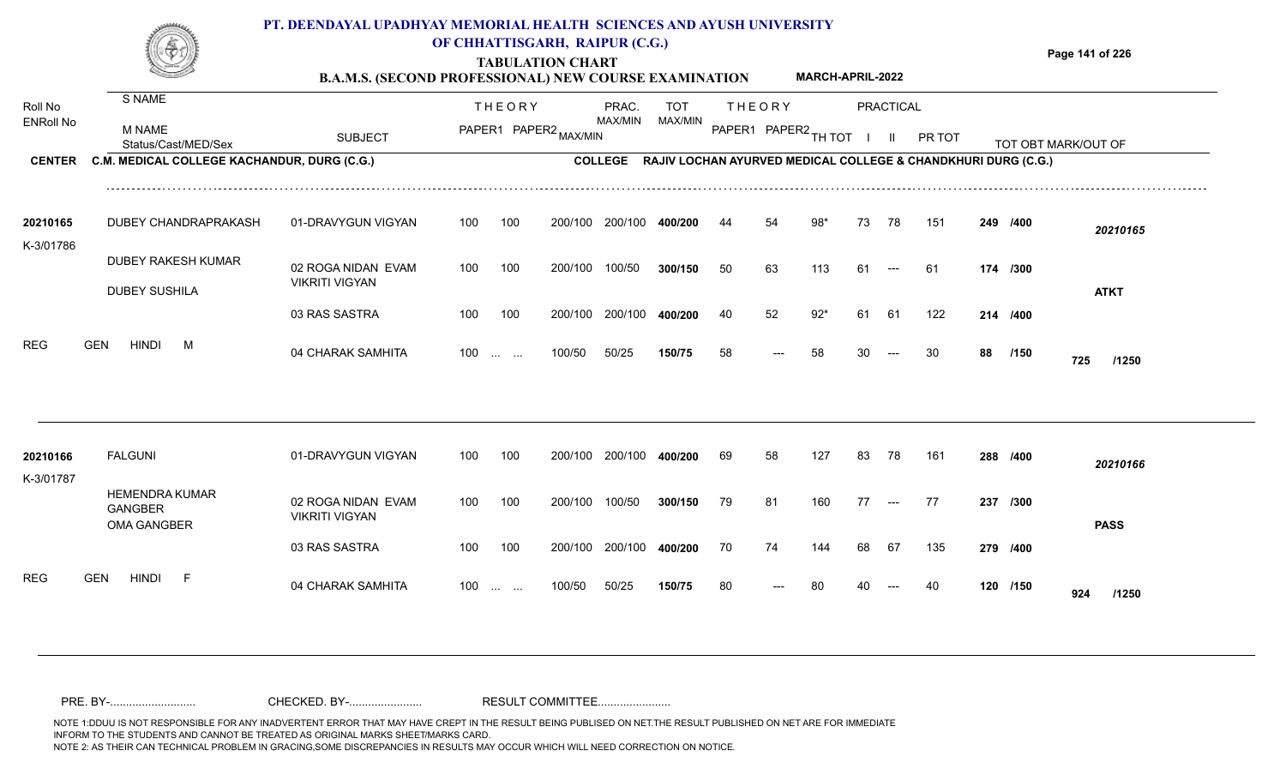|                       |                                                                    | PT. DEENDAYAL UPADHYAY MEMORIAL HEALTH SCIENCES AND AYUSH UNIVERSITY<br><b>B.A.M.S. (SECOND PROFESSIONAL) NEW COURSE EXAMINATION</b> |     |                                                | OF CHHATTISGARH, RAIPUR (C.G.)<br><b>TABULATION CHART</b> |                                                                       |                       |    |                                       | <b>MARCH-APRIL-2022</b> |    |                                  |        |    |          | Page 141 of 226     |
|-----------------------|--------------------------------------------------------------------|--------------------------------------------------------------------------------------------------------------------------------------|-----|------------------------------------------------|-----------------------------------------------------------|-----------------------------------------------------------------------|-----------------------|----|---------------------------------------|-------------------------|----|----------------------------------|--------|----|----------|---------------------|
| Roll No<br>ENRoll No  | S NAME<br><b>M NAME</b>                                            | <b>SUBJECT</b>                                                                                                                       |     | <b>THEORY</b>                                  | PAPER1 PAPER2 MAX/MIN                                     | PRAC.<br><b>MAX/MIN</b>                                               | <b>TOT</b><br>MAX/MIN |    | <b>THEORY</b><br>PAPER1 PAPER2 TH TOT |                         |    | <b>PRACTICAL</b><br>$\mathbf{H}$ | PR TOT |    |          |                     |
| <b>CENTER</b>         | Status/Cast/MED/Sex<br>C.M. MEDICAL COLLEGE KACHANDUR, DURG (C.G.) |                                                                                                                                      |     |                                                |                                                           | COLLEGE RAJIV LOCHAN AYURVED MEDICAL COLLEGE & CHANDKHURI DURG (C.G.) |                       |    |                                       |                         |    |                                  |        |    |          | TOT OBT MARK/OUT OF |
| 20210165<br>K-3/01786 | DUBEY CHANDRAPRAKASH                                               | 01-DRAVYGUN VIGYAN                                                                                                                   | 100 | 100                                            |                                                           | 200/100 200/100                                                       | 400/200               | 44 | 54                                    | 98*                     | 73 | 78                               | 151    |    | 249 /400 | 20210165            |
|                       | <b>DUBEY RAKESH KUMAR</b><br><b>DUBEY SUSHILA</b>                  | 02 ROGA NIDAN EVAM<br><b>VIKRITI VIGYAN</b>                                                                                          | 100 | 100                                            | 200/100                                                   | 100/50                                                                | 300/150               | 50 | 63                                    | 113                     | 61 | $---$                            | -61    |    | 174 /300 | <b>ATKT</b>         |
|                       |                                                                    | 03 RAS SASTRA                                                                                                                        | 100 | 100                                            | 200/100                                                   | 200/100                                                               | 400/200               | 40 | 52                                    | $92*$                   | 61 | 61                               | 122    |    | 214 /400 |                     |
| REG                   | <b>HINDI</b><br><b>GEN</b><br>M                                    | 04 CHARAK SAMHITA                                                                                                                    | 100 | $\mathbf{r}$ and $\mathbf{r}$ and $\mathbf{r}$ | 100/50                                                    | 50/25                                                                 | 150/75                | 58 |                                       | 58                      | 30 |                                  | 30     | 88 | /150     | 725<br>/1250        |
| 20210166              | <b>FALGUNI</b>                                                     | 01-DRAVYGUN VIGYAN                                                                                                                   | 100 | 100                                            | 200/100                                                   | 200/100                                                               | 400/200               | 69 | 58                                    | 127                     | 83 | 78                               | 161    |    | 288 /400 | 20210166            |
| K-3/01787             | <b>HEMENDRA KUMAR</b><br><b>GANGBER</b><br><b>OMA GANGBER</b>      | 02 ROGA NIDAN EVAM<br><b>VIKRITI VIGYAN</b>                                                                                          | 100 | 100                                            | 200/100 100/50                                            |                                                                       | 300/150               | 79 | 81                                    | 160                     | 77 | $---$                            | 77     |    | 237 /300 | <b>PASS</b>         |
|                       |                                                                    | 03 RAS SASTRA                                                                                                                        | 100 | 100                                            |                                                           | 200/100 200/100                                                       | 400/200               | 70 | 74                                    | 144                     | 68 | 67                               | 135    |    | 279 /400 |                     |

120 /150 **924** /1250

<sup>80</sup> <sup>80</sup> <sup>40</sup> <sup>40</sup> **<sup>120</sup> <sup>924</sup>**

50/25 **150/75**

REG GEN HINDI F 04 CHARAK SAMHITA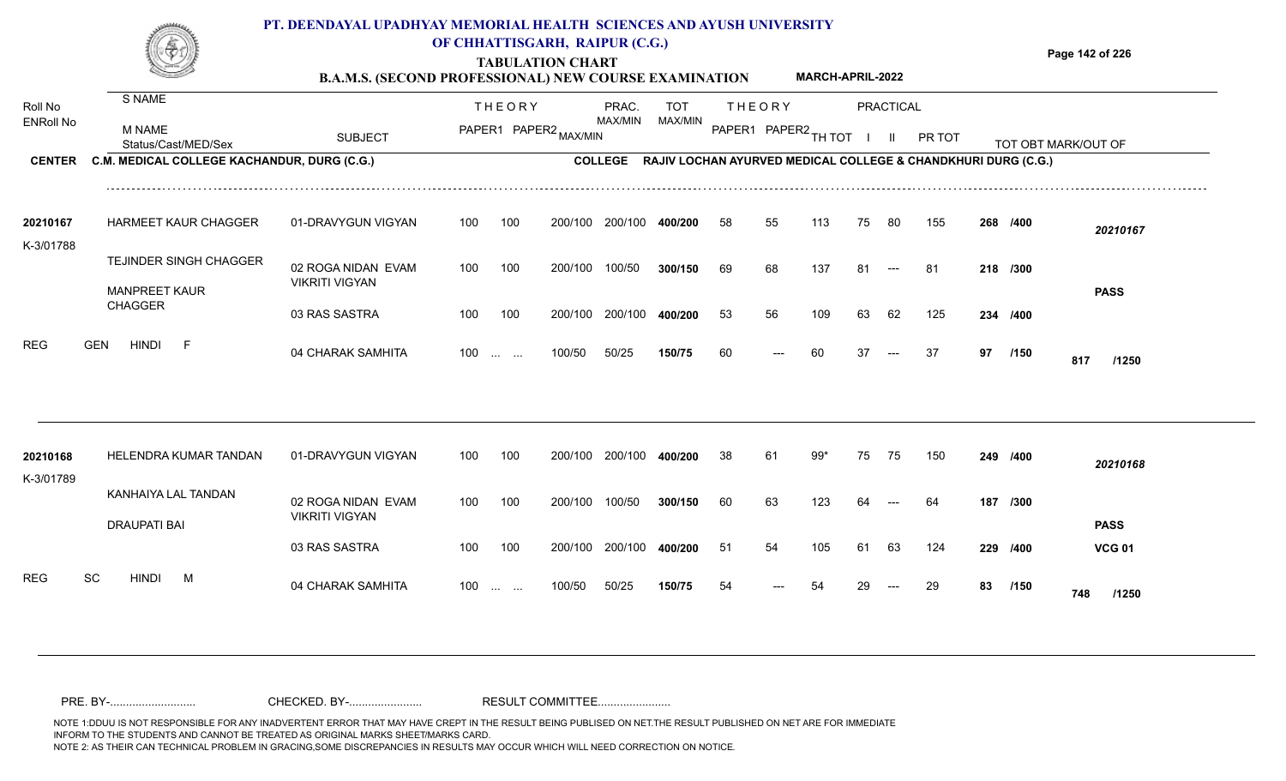|                             |                                                                    | PT. DEENDAYAL UPADHYAY MEMORIAL HEALTH SCIENCES AND AYUSH UNIVERSITY<br><b>B.A.M.S. (SECOND PROFESSIONAL) NEW COURSE EXAMINATION</b> |     |                                                | OF CHHATTISGARH, RAIPUR (C.G.)<br><b>TABULATION CHART</b> |                         |                                                               |    |               | <b>MARCH-APRIL-2022</b> |     |                           |        |    |          | Page 142 of 226     |
|-----------------------------|--------------------------------------------------------------------|--------------------------------------------------------------------------------------------------------------------------------------|-----|------------------------------------------------|-----------------------------------------------------------|-------------------------|---------------------------------------------------------------|----|---------------|-------------------------|-----|---------------------------|--------|----|----------|---------------------|
| Roll No<br><b>ENRoll No</b> | S NAME<br><b>M NAME</b>                                            | <b>SUBJECT</b>                                                                                                                       |     | <b>THEORY</b>                                  | PAPER1 PAPER2 MAX/MIN                                     | PRAC.<br>MAX/MIN        | TOT<br>MAX/MIN                                                |    | <b>THEORY</b> | PAPER1 PAPER2 TH TOT    |     | PRACTICAL<br>$\mathbf{H}$ | PR TOT |    |          |                     |
| <b>CENTER</b>               | Status/Cast/MED/Sex<br>C.M. MEDICAL COLLEGE KACHANDUR, DURG (C.G.) |                                                                                                                                      |     |                                                |                                                           | <b>COLLEGE</b>          | RAJIV LOCHAN AYURVED MEDICAL COLLEGE & CHANDKHURI DURG (C.G.) |    |               |                         |     |                           |        |    |          | TOT OBT MARK/OUT OF |
| 20210167<br>K-3/01788       | <b>HARMEET KAUR CHAGGER</b>                                        | 01-DRAVYGUN VIGYAN                                                                                                                   | 100 | 100                                            |                                                           | 200/100 200/100         | 400/200                                                       | 58 | 55            | 113                     | 75  | -80                       | 155    |    | 268 /400 | 20210167            |
|                             | TEJINDER SINGH CHAGGER<br><b>MANPREET KAUR</b>                     | 02 ROGA NIDAN EVAM<br><b>VIKRITI VIGYAN</b>                                                                                          | 100 | 100                                            | 200/100                                                   | 100/50                  | 300/150                                                       | 69 | 68            | 137                     | 81  | $---$                     | 81     |    | 218 /300 | <b>PASS</b>         |
|                             | <b>CHAGGER</b>                                                     | 03 RAS SASTRA                                                                                                                        | 100 | 100                                            | 200/100                                                   | 200/100                 | 400/200                                                       | 53 | 56            | 109                     | 63  | 62                        | 125    |    | 234 /400 |                     |
| <b>REG</b>                  | <b>HINDI</b><br><b>GEN</b><br>-F                                   | 04 CHARAK SAMHITA                                                                                                                    | 100 | $\mathbf{r}$ and $\mathbf{r}$ and $\mathbf{r}$ | 100/50                                                    | 50/25                   | 150/75                                                        | 60 |               | 60                      | 37  | $---$                     | 37     | 97 | /150     | 817<br>/1250        |
| 20210168                    | HELENDRA KUMAR TANDAN                                              | 01-DRAVYGUN VIGYAN                                                                                                                   | 100 | 100                                            |                                                           | 200/100 200/100 400/200 |                                                               | 38 | 61            | 99*                     | 75  | 75                        | 150    |    | 249 /400 | 20210168            |
| K-3/01789                   | KANHAIYA LAL TANDAN<br><b>DRAUPATI BAI</b>                         | 02 ROGA NIDAN EVAM<br><b>VIKRITI VIGYAN</b>                                                                                          | 100 | 100                                            | 200/100                                                   | 100/50                  | 300/150                                                       | 60 | 63            | 123                     | 64  |                           | 64     |    | 187 /300 | <b>PASS</b>         |
|                             |                                                                    | 03 RAS SASTRA                                                                                                                        | 100 | 100                                            |                                                           | 200/100 200/100         | 400/200                                                       | 51 | 54            | 105                     | 61  | 63                        | 124    |    | 229 /400 | <b>VCG 01</b>       |
| <b>REG</b><br>SC            | <b>HINDI</b><br>M                                                  | 04 CHARAK SAMHITA                                                                                                                    | 100 |                                                | 100/50                                                    | 50/25                   | 150/75                                                        | 54 |               |                         | 29. | $---$                     | 29     | 83 | /150     |                     |

**/150** <sup>54</sup> <sup>54</sup> <sup>29</sup> <sup>29</sup> **<sup>83</sup> <sup>748</sup>**

50/25 **150/75**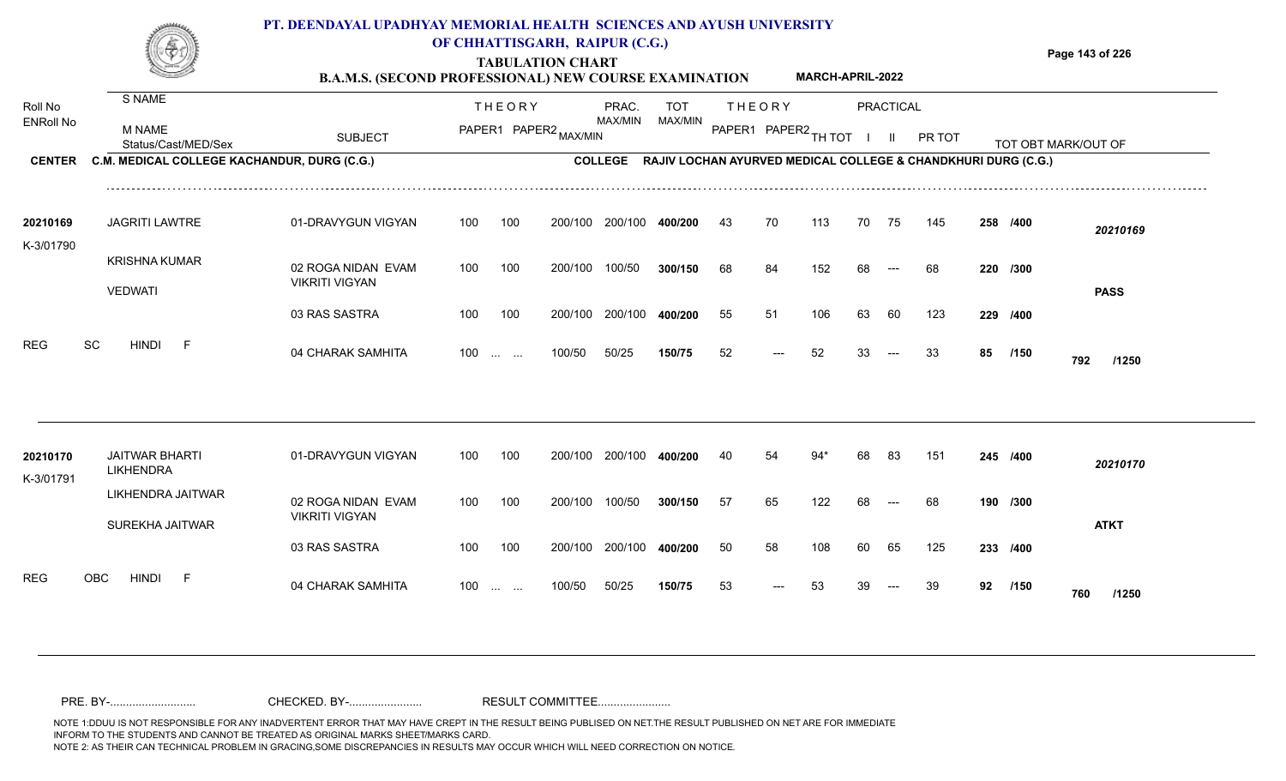|                             |                                                | PT. DEENDAYAL UPADHYAY MEMORIAL HEALTH SCIENCES AND AYUSH UNIVERSITY<br><b>B.A.M.S. (SECOND PROFESSIONAL) NEW COURSE EXAMINATION</b> |     |                   | OF CHHATTISGARH, RAIPUR (C.G.)<br><b>TABULATION CHART</b> |                  |                       |     |                                       | <b>MARCH-APRIL-2022</b> |           |       |                                                                       |     |          | Page 143 of 226                           |
|-----------------------------|------------------------------------------------|--------------------------------------------------------------------------------------------------------------------------------------|-----|-------------------|-----------------------------------------------------------|------------------|-----------------------|-----|---------------------------------------|-------------------------|-----------|-------|-----------------------------------------------------------------------|-----|----------|-------------------------------------------|
| Roll No<br><b>ENRoll No</b> | S NAME<br><b>M NAME</b><br>Status/Cast/MED/Sex | <b>SUBJECT</b>                                                                                                                       |     | <b>THEORY</b>     | PAPER1 PAPER2 MAX/MIN                                     | PRAC.<br>MAX/MIN | <b>TOT</b><br>MAX/MIN |     | <b>THEORY</b><br>PAPER1 PAPER2 TH TOT |                         | PRACTICAL |       | PR TOT                                                                |     |          | TOT OBT MARK/OUT OF<br>__________________ |
| <b>CENTER</b>               | C.M. MEDICAL COLLEGE KACHANDUR, DURG (C.G.)    |                                                                                                                                      |     |                   |                                                           |                  |                       |     |                                       |                         |           |       | COLLEGE RAJIV LOCHAN AYURVED MEDICAL COLLEGE & CHANDKHURI DURG (C.G.) |     |          |                                           |
| 20210169<br>K-3/01790       | <b>JAGRITI LAWTRE</b>                          | 01-DRAVYGUN VIGYAN                                                                                                                   | 100 | 100               | 200/100                                                   | 200/100          | 400/200               | -43 | 70                                    | 113                     | 70        | 75    | 145                                                                   |     | 258 /400 | 20210169                                  |
|                             | <b>KRISHNA KUMAR</b><br><b>VEDWATI</b>         | 02 ROGA NIDAN EVAM<br><b>VIKRITI VIGYAN</b>                                                                                          | 100 | 100               | 200/100                                                   | 100/50           | 300/150               | 68  | 84                                    | 152                     | 68        |       | 68                                                                    |     | 220 /300 | <b>PASS</b>                               |
|                             |                                                | 03 RAS SASTRA                                                                                                                        | 100 | 100               | 200/100                                                   | 200/100          | 400/200               | 55  | 51                                    | 106                     | 63        | 60    | 123                                                                   | 229 | /400     |                                           |
| SC<br><b>REG</b>            | <b>HINDI</b><br>- F                            | 04 CHARAK SAMHITA                                                                                                                    |     | $100 \dots \dots$ | 100/50                                                    | 50/25            | 150/75                | 52  | $---$                                 | 52                      | 33        | $---$ | 33                                                                    | 85  | /150     | 792<br>/1250                              |
|                             |                                                |                                                                                                                                      |     |                   |                                                           |                  |                       |     |                                       |                         |           |       |                                                                       |     |          |                                           |

| 20210170<br>K-3/01791 | <b>JAITWAR BHARTI</b><br><b>LIKHENDRA</b> | 01-DRAVYGUN VIGYAN    | 100               | 100 | 200/100 | 200/100 | 400/200 | 40  | 54    | 94* | 68 | -83                                    | 151 |          | 245 /400 | 20210170     |
|-----------------------|-------------------------------------------|-----------------------|-------------------|-----|---------|---------|---------|-----|-------|-----|----|----------------------------------------|-----|----------|----------|--------------|
|                       | LIKHENDRA JAITWAR                         | 02 ROGA NIDAN EVAM    | 100               | 100 | 200/100 | 100/50  | 300/150 | -57 | 65    | 122 | 68 | $\hspace{0.1em} \ldots \hspace{0.1em}$ | 68  |          | 190 /300 |              |
|                       | SUREKHA JAITWAR                           | <b>VIKRITI VIGYAN</b> |                   |     |         |         |         |     |       |     |    |                                        |     |          |          | <b>ATKT</b>  |
|                       |                                           | 03 RAS SASTRA         | 100               | 100 | 200/100 | 200/100 | 400/200 | 50  | 58    | 108 | 60 | 65                                     | 125 | 233 /400 |          |              |
| <b>REG</b>            | OBC<br><b>HINDI</b><br>F.                 | 04 CHARAK SAMHITA     | $100 \dots \dots$ |     | 100/50  | 50/25   | 150/75  | 53  | $---$ | 53  | 39 | $--$                                   | -39 | 92       | /150     | 760<br>/1250 |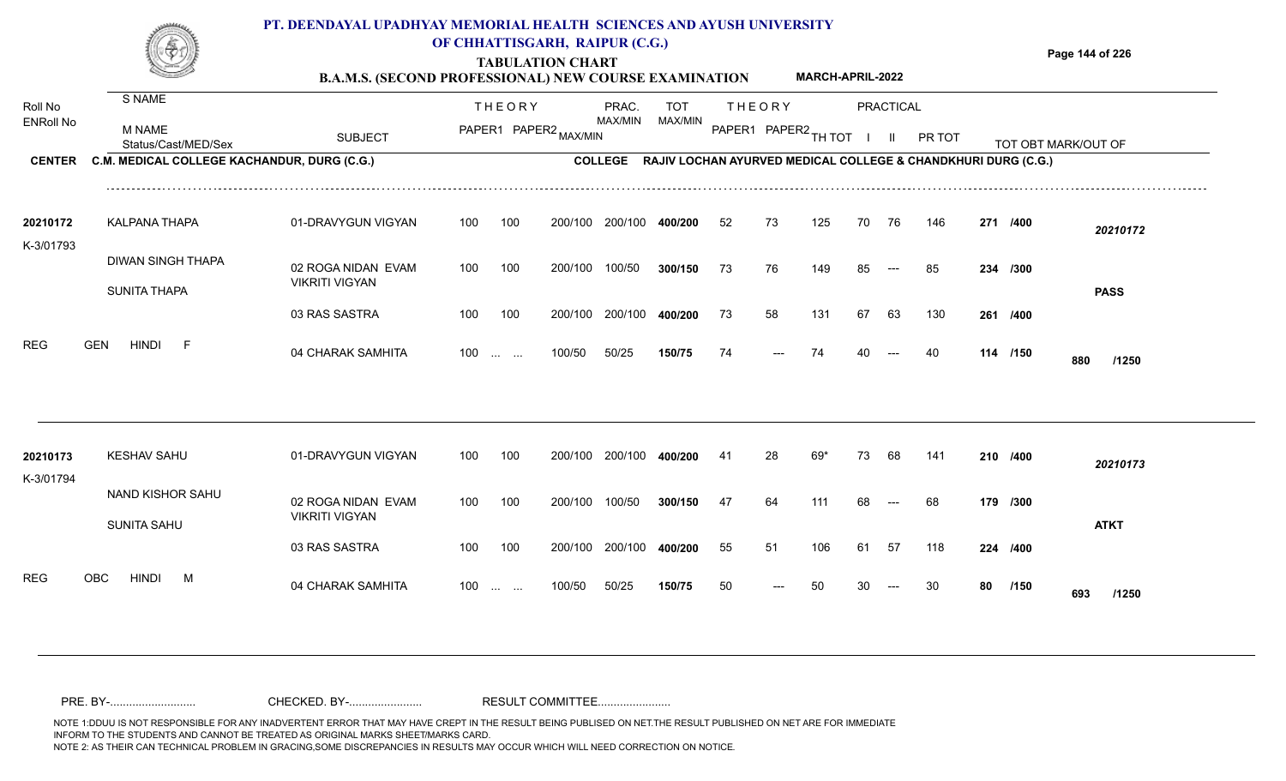|                       |                                             | PT. DEENDAYAL UPADHYAY MEMORIAL HEALTH SCIENCES AND AYUSH UNIVERSITY<br><b>B.A.M.S. (SECOND PROFESSIONAL) NEW COURSE EXAMINATION</b> |                   |               | OF CHHATTISGARH, RAIPUR (C.G.)<br><b>TABULATION CHART</b> |                         |                                                                       |      |                        | <b>MARCH-APRIL-2022</b> |    |           |        |          | Page 144 of 226     |
|-----------------------|---------------------------------------------|--------------------------------------------------------------------------------------------------------------------------------------|-------------------|---------------|-----------------------------------------------------------|-------------------------|-----------------------------------------------------------------------|------|------------------------|-------------------------|----|-----------|--------|----------|---------------------|
| Roll No               | S NAME                                      |                                                                                                                                      |                   | <b>THEORY</b> |                                                           | PRAC.                   | <b>TOT</b>                                                            |      | <b>THEORY</b>          |                         |    | PRACTICAL |        |          |                     |
| <b>ENRoll No</b>      | M NAME<br>Status/Cast/MED/Sex               | <b>SUBJECT</b>                                                                                                                       |                   |               | PAPER1 PAPER2 MAX/MIN                                     | MAX/MIN                 | <b>MAX/MIN</b>                                                        |      | PAPER1 PAPER2 TH TOT I |                         |    | - III     | PR TOT |          | TOT OBT MARK/OUT OF |
| <b>CENTER</b>         | C.M. MEDICAL COLLEGE KACHANDUR, DURG (C.G.) |                                                                                                                                      |                   |               |                                                           |                         | COLLEGE RAJIV LOCHAN AYURVED MEDICAL COLLEGE & CHANDKHURI DURG (C.G.) |      |                        |                         |    |           |        |          |                     |
| 20210172<br>K-3/01793 | KALPANA THAPA                               | 01-DRAVYGUN VIGYAN                                                                                                                   | 100               | 100           | 200/100                                                   | 200/100                 | 400/200                                                               | 52   | 73                     | 125                     | 70 | 76        | 146    | 271 /400 | 20210172            |
|                       | DIWAN SINGH THAPA<br><b>SUNITA THAPA</b>    | 02 ROGA NIDAN EVAM<br><b>VIKRITI VIGYAN</b>                                                                                          | 100               | 100           | 200/100                                                   | 100/50                  | 300/150                                                               | - 73 | 76                     | 149                     | 85 | $---$     | 85     | 234 /300 | <b>PASS</b>         |
|                       |                                             | 03 RAS SASTRA                                                                                                                        | 100               | 100           |                                                           | 200/100 200/100 400/200 |                                                                       | 73   | 58                     | 131                     | 67 | 63        | 130    | 261 /400 |                     |
| <b>REG</b>            | <b>GEN</b><br><b>HINDI</b><br>-F            | 04 CHARAK SAMHITA                                                                                                                    | $100$             |               | 100/50                                                    | 50/25                   | 150/75                                                                | 74   | $---$                  | 74                      |    |           | 40     | 114 /150 | 880<br>/1250        |
|                       |                                             |                                                                                                                                      |                   |               |                                                           |                         |                                                                       |      |                        |                         |    |           |        |          |                     |
| 20210173<br>K-3/01794 | <b>KESHAV SAHU</b>                          | 01-DRAVYGUN VIGYAN                                                                                                                   | 100               | 100           |                                                           | 200/100 200/100 400/200 |                                                                       | -41  | 28                     | 69*                     | 73 | 68        | 141    | 210 /400 | 20210173            |
|                       | NAND KISHOR SAHU<br><b>SUNITA SAHU</b>      | 02 ROGA NIDAN EVAM<br><b>VIKRITI VIGYAN</b>                                                                                          | 100               | 100           | 200/100 100/50                                            |                         | 300/150                                                               | 47   | 64                     | 111                     | 68 | $---$     | 68     | 179 /300 | <b>ATKT</b>         |
|                       |                                             | 03 RAS SASTRA                                                                                                                        | 100               | 100           |                                                           | 200/100 200/100         | 400/200                                                               | 55   | 51                     | 106                     | 61 | 57        | 118    | 224 /400 |                     |
| <b>REG</b>            | OBC<br>HINDI<br>M                           | 04 CHARAK SAMHITA                                                                                                                    | $100 \dots \dots$ |               | 100/50                                                    | 50/25                   | 150/75                                                                | 50   |                        | 50                      | 30 |           | 30     | 80 /150  | 693<br>/1250        |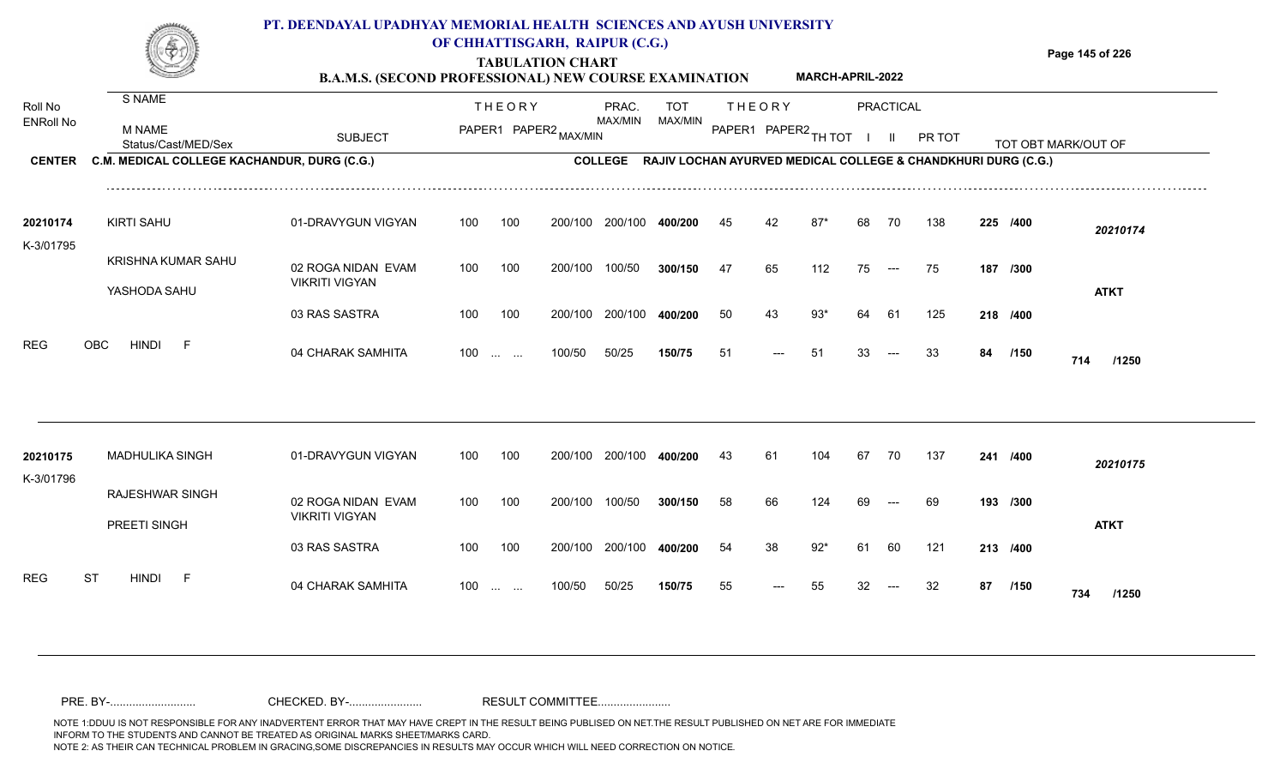### **TABULATION CHART Page 145 of 226 B.A.M.S. (SECOND PROFESSIONAL) NEW COURSE EXAMINATION**  ENRoll No MAX/MIN MAX/MIN MAX/MIN MAX/MIN ANG THIOT I II PRITOT TOT OBTIMARK/OUT OF SUBJECT PAPER2 <sub>MAX/MIN</sub> MAX/MIN PAPER1 PAPER2 <sub>TH</sub>IOT I II PRITOT TOT OBTIMARK/OUT OF **PRACTICAL CENTER C.M. MEDICAL COLLEGE KACHANDUR, DURG (C.G.)** THEORY PRAC. TOT PAPER1 PAPER2 MAX/MIN PAPER PRAC. THEORY S NAME M NAME **PT. DEENDAYAL UPADHYAY MEMORIAL HEALTH SCIENCES AND AYUSH UNIVERSITY OF CHHATTISGARH, RAIPUR (C.G.) COLLEGE RAJIV LOCHAN AYURVED MEDICAL COLLEGE & CHANDKHURI DURG (C.G.) MARCH-APRIL-2022**

| 20210174   | <b>KIRTI SAHU</b>                  | 01-DRAVYGUN VIGYAN                          | 100   | 100 | 200/100 | 200/100 | 400/200 | 45 | 42    | 87* | 68 | 70                                       | 138 | 225 /400 |             | 20210174    |
|------------|------------------------------------|---------------------------------------------|-------|-----|---------|---------|---------|----|-------|-----|----|------------------------------------------|-----|----------|-------------|-------------|
| K-3/01795  | KRISHNA KUMAR SAHU<br>YASHODA SAHU | 02 ROGA NIDAN EVAM<br><b>VIKRITI VIGYAN</b> | 100   | 100 | 200/100 | 100/50  | 300/150 | 47 | 65    | 112 | 75 | $\hspace{0.05cm} \ldots \hspace{0.05cm}$ | 75  | 187 /300 |             | <b>ATKT</b> |
|            |                                    | 03 RAS SASTRA                               | 100   | 100 | 200/100 | 200/100 | 400/200 | 50 | 43    | 93* | 64 | - 61                                     | 125 | 218 /400 |             |             |
| <b>REG</b> | <b>HINDI</b><br>OBC<br>E.          | 04 CHARAK SAMHITA                           | $100$ |     | 100/50  | 50/25   | 150/75  | 51 | $---$ | -51 | 33 | $--$                                     | -33 | 84       | /150<br>714 | /1250       |

| 20210175         | <b>MADHULIKA SINGH</b>                 | 01-DRAVYGUN VIGYAN                          | 100               | 100 | 200/100 | 200/100 | 400/200 | 43 | 61    | 104  | 67 | 70                                     | 137 | 241 /400 |             | 20210175    |
|------------------|----------------------------------------|---------------------------------------------|-------------------|-----|---------|---------|---------|----|-------|------|----|----------------------------------------|-----|----------|-------------|-------------|
| K-3/01796        | <b>RAJESHWAR SINGH</b><br>PREETI SINGH | 02 ROGA NIDAN EVAM<br><b>VIKRITI VIGYAN</b> | 100               | 100 | 200/100 | 100/50  | 300/150 | 58 | 66    | 124  | 69 | $\hspace{0.1em} \ldots \hspace{0.1em}$ | 69  | 193 /300 |             | <b>ATKT</b> |
|                  |                                        | 03 RAS SASTRA                               | 100               | 100 | 200/100 | 200/100 | 400/200 | 54 | 38    | 92*  | 61 | 60                                     | 121 | 213 /400 |             |             |
| <b>REG</b><br>ST | <b>HINDI</b><br>$F$ and $F$            | 04 CHARAK SAMHITA                           | $100 \dots \dots$ |     | 100/50  | 50/25   | 150/75  | 55 | $---$ | - 55 | 32 | $--$                                   | -32 | 87       | /150<br>734 | /1250       |

Roll No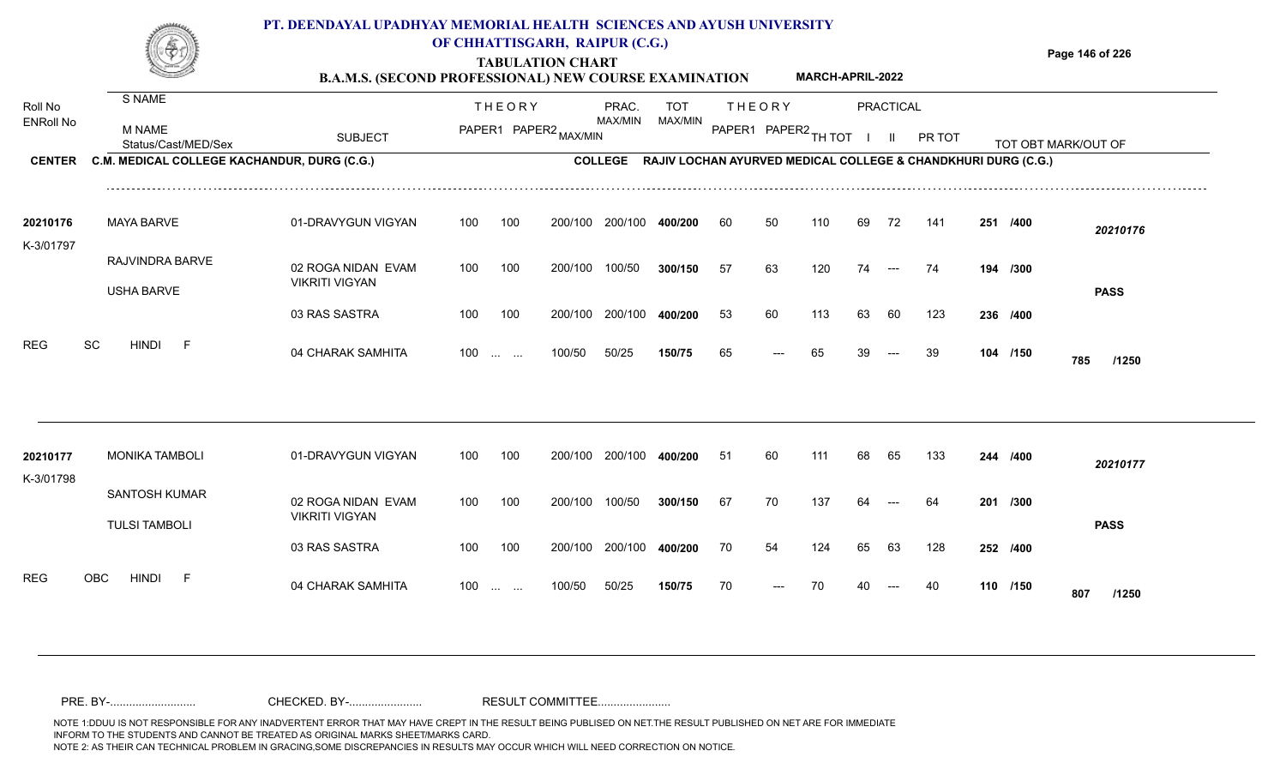|                             |                                                | PT. DEENDAYAL UPADHYAY MEMORIAL HEALTH SCIENCES AND AYUSH UNIVERSITY<br><b>B.A.M.S. (SECOND PROFESSIONAL) NEW COURSE EXAMINATION</b> |     |                                                | OF CHHATTISGARH, RAIPUR (C.G.)<br><b>TABULATION CHART</b> |                  |                                                               |     |               | <b>MARCH-APRIL-2022</b> |    |           |               |          | Page 146 of 226     |
|-----------------------------|------------------------------------------------|--------------------------------------------------------------------------------------------------------------------------------------|-----|------------------------------------------------|-----------------------------------------------------------|------------------|---------------------------------------------------------------|-----|---------------|-------------------------|----|-----------|---------------|----------|---------------------|
| Roll No<br><b>ENRoll No</b> | S NAME<br><b>M NAME</b><br>Status/Cast/MED/Sex | <b>SUBJECT</b>                                                                                                                       |     | <b>THEORY</b>                                  | PAPER1 PAPER2 MAX/MIN                                     | PRAC.<br>MAX/MIN | TOT<br>MAX/MIN                                                |     | <b>THEORY</b> | PAPER1 PAPER2 TH TOT    |    | PRACTICAL | <b>PR TOT</b> |          | TOT OBT MARK/OUT OF |
| <b>CENTER</b>               | C.M. MEDICAL COLLEGE KACHANDUR, DURG (C.G.)    |                                                                                                                                      |     |                                                |                                                           | <b>COLLEGE</b>   | RAJIV LOCHAN AYURVED MEDICAL COLLEGE & CHANDKHURI DURG (C.G.) |     |               |                         |    |           |               |          |                     |
| 20210176<br>K-3/01797       | <b>MAYA BARVE</b>                              | 01-DRAVYGUN VIGYAN                                                                                                                   | 100 | 100                                            | 200/100                                                   | 200/100          | 400/200                                                       | 60  | 50            | 110                     | 69 | 72        | 141           | 251 /400 | 20210176            |
|                             | RAJVINDRA BARVE<br><b>USHA BARVE</b>           | 02 ROGA NIDAN EVAM<br><b>VIKRITI VIGYAN</b>                                                                                          | 100 | 100                                            | 200/100                                                   | 100/50           | 300/150                                                       | 57  | 63            | 120                     | 74 | $---$     | 74            | 194 /300 | <b>PASS</b>         |
|                             |                                                | 03 RAS SASTRA                                                                                                                        | 100 | 100                                            | 200/100                                                   | 200/100          | 400/200                                                       | 53  | 60            | 113                     | 63 | 60        | 123           | 236 /400 |                     |
| <b>REG</b>                  | SC<br><b>HINDI</b>                             | 04 CHARAK SAMHITA                                                                                                                    | 100 | $\mathbf{r}$ and $\mathbf{r}$ and $\mathbf{r}$ | 100/50                                                    | 50/25            | 150/75                                                        | 65  |               | 65                      |    |           | -39           | 104 /150 | 785<br>/1250        |
|                             |                                                |                                                                                                                                      |     |                                                |                                                           |                  |                                                               |     |               |                         |    |           |               |          |                     |
| 20210177                    | <b>MONIKA TAMBOLI</b>                          | 01-DRAVYGUN VIGYAN                                                                                                                   | 100 | 100                                            | 200/100                                                   |                  | 400/200                                                       | -51 |               |                         |    | 65        | 133           | 244 /400 | 20210177            |

02 ROGA NIDAN EVAM VIKRITI VIGYAN 03 RAS SASTRA 04 CHARAK SAMHITA 100 … … 100/50 50/25 **150/75 7**0 --- 70 40 --- 40 **110 /150 807 /1250** 100 100 200/100 200/100 400/200 100/50 50/25 **150/75** 100/50 **300/150** 200/100 **400/200** 64 100 ... ... 100/50 50/25 **150/75** 70 --- 70 40 **67** 70 137 64 --- 64 **201 /300 /400** 70 54 124 65 63 128 **252 /150** SANTOSH KUMAR TULSI TAMBOLI REG OBC HINDI F 04 CHARAK SAMHITA K-3/01798 100 200/100 100/50 <sup>70</sup> <sup>70</sup> <sup>40</sup> <sup>40</sup> **<sup>110</sup> <sup>807</sup> PASS**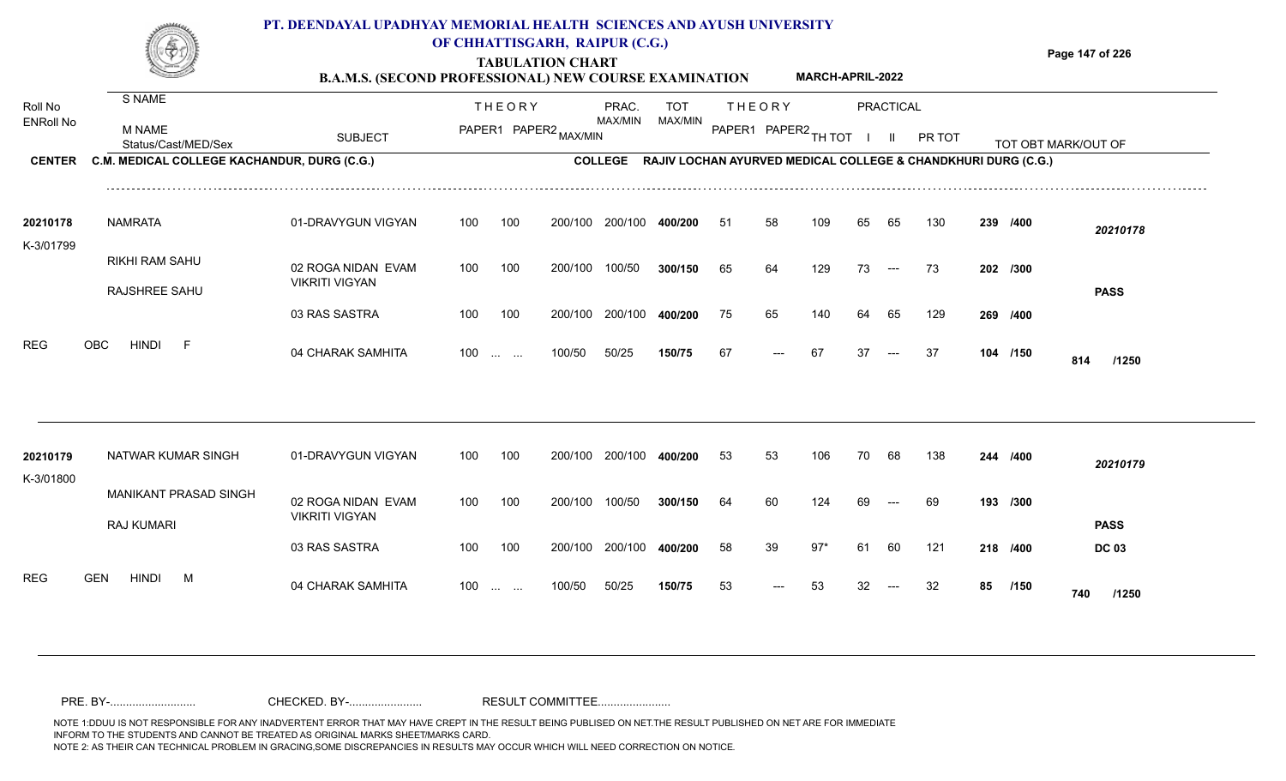|                       |                                             | PT. DEENDAYAL UPADHYAY MEMORIAL HEALTH SCIENCES AND AYUSH UNIVERSITY<br><b>B.A.M.S. (SECOND PROFESSIONAL) NEW COURSE EXAMINATION</b> | OF CHHATTISGARH, RAIPUR (C.G.) |               | <b>TABULATION CHART</b> |         |            |                |               | <b>MARCH-APRIL-2022</b> |    |           |                                                                       |                     | Page 147 of 226 |                   |
|-----------------------|---------------------------------------------|--------------------------------------------------------------------------------------------------------------------------------------|--------------------------------|---------------|-------------------------|---------|------------|----------------|---------------|-------------------------|----|-----------|-----------------------------------------------------------------------|---------------------|-----------------|-------------------|
| Roll No               | S NAME                                      |                                                                                                                                      |                                | <b>THEORY</b> |                         | PRAC.   | <b>TOT</b> |                | <b>THEORY</b> |                         |    | PRACTICAL |                                                                       |                     |                 |                   |
| <b>ENRoll No</b>      | M NAME<br>Status/Cast/MED/Sex               | <b>SUBJECT</b>                                                                                                                       |                                |               | PAPER1 PAPER2 MAX/MIN   | MAX/MIN | MAX/MIN    | PAPER1 PAPER2. |               | TH TOT                  |    |           | PR TOT                                                                | TOT OBT MARK/OUT OF |                 | _________________ |
| <b>CENTER</b>         | C.M. MEDICAL COLLEGE KACHANDUR, DURG (C.G.) |                                                                                                                                      |                                |               |                         |         |            |                |               |                         |    |           | COLLEGE RAJIV LOCHAN AYURVED MEDICAL COLLEGE & CHANDKHURI DURG (C.G.) |                     |                 |                   |
| 20210178<br>K-3/01799 | <b>NAMRATA</b>                              | 01-DRAVYGUN VIGYAN                                                                                                                   | 100                            | 100           | 200/100                 | 200/100 | 400/200    | 51             | 58            | 109                     | 65 | 65        | 130                                                                   | 239 /400            |                 | 20210178          |
|                       | <b>RIKHI RAM SAHU</b><br>RAJSHREE SAHU      | 02 ROGA NIDAN EVAM<br><b>VIKRITI VIGYAN</b>                                                                                          | 100                            | 100           | 200/100                 | 100/50  | 300/150    | 65             | 64            | 129                     | 73 | $---$     | 73                                                                    | 202 /300            |                 | <b>PASS</b>       |
|                       |                                             | 03 RAS SASTRA                                                                                                                        | 100                            | 100           | 200/100                 | 200/100 | 400/200    | 75             | 65            | 140                     | 64 | 65        | 129                                                                   | 269 /400            |                 |                   |
| <b>REG</b>            | <b>OBC</b><br><b>HINDI</b>                  | 04 CHARAK SAMHITA                                                                                                                    | 100                            |               | 100/50                  | 50/25   | 150/75     | 67             |               | -67                     | 37 |           | -37                                                                   | 104 /150            | 814             | /1250             |

| 20210179<br>K-3/01800 |            | NATWAR KUMAR SINGH |   |                       | 01-DRAVYGUN VIGYAN                          | 100 | 100                  | 200/100 | 200/100 | 400/200 | 53 | 53                   | 106 | 70  | 68                   | 138 | 244      | /400        | 20210179     |
|-----------------------|------------|--------------------|---|-----------------------|---------------------------------------------|-----|----------------------|---------|---------|---------|----|----------------------|-----|-----|----------------------|-----|----------|-------------|--------------|
|                       |            | RAJ KUMARI         |   | MANIKANT PRASAD SINGH | 02 ROGA NIDAN EVAM<br><b>VIKRITI VIGYAN</b> | 100 | 100                  | 200/100 | 100/50  | 300/150 | 64 | 60                   | 124 | 69  | $---$                | 69  | 193 /300 |             | <b>PASS</b>  |
|                       |            |                    |   |                       | 03 RAS SASTRA                               | 100 | 100                  | 200/100 | 200/100 | 400/200 | 58 | 39                   | 97* | -61 | 60                   | 121 | 218 /400 |             | <b>DC 03</b> |
| <b>REG</b>            | <b>GEN</b> | <b>HINDI</b>       | M |                       | 04 CHARAK SAMHITA                           | 100 | $\sim$ $\sim$ $\sim$ | 100/50  | 50/25   | 150/75  | 53 | $\hspace{0.05cm}---$ | 53  | -32 | $\hspace{0.05cm}---$ | -32 | 85       | /150<br>740 | /1250        |

NOTE 1:DDUU IS NOT RESPONSIBLE FOR ANY INADVERTENT ERROR THAT MAY HAVE CREPT IN THE RESULT BEING PUBLISED ON NET.THE RESULT PUBLISHED ON NET ARE FOR IMMEDIATE INFORM TO THE STUDENTS AND CANNOT BE TREATED AS ORIGINAL MARKS SHEET/MARKS CARD.<br>NOTE 2: AS THEIR CAN TECHNICAL PROBLEM IN GRACING,SOME DISCREPANCIES IN RESULTS MAY OCCUR WHICH WILL NEED CORRECTION ON NOTICE. NOTE 2: AS THEIR CAN TECHNICAL PROBLEM IN GRACING,SOME DISCREPANCIES IN RESULTS MAY OCCUR WHICH WILL NEED CORRECTION ON NOTICE. PRE. BY-........................... CHECKED. BY-....................... RESULT COMMITTEE.......................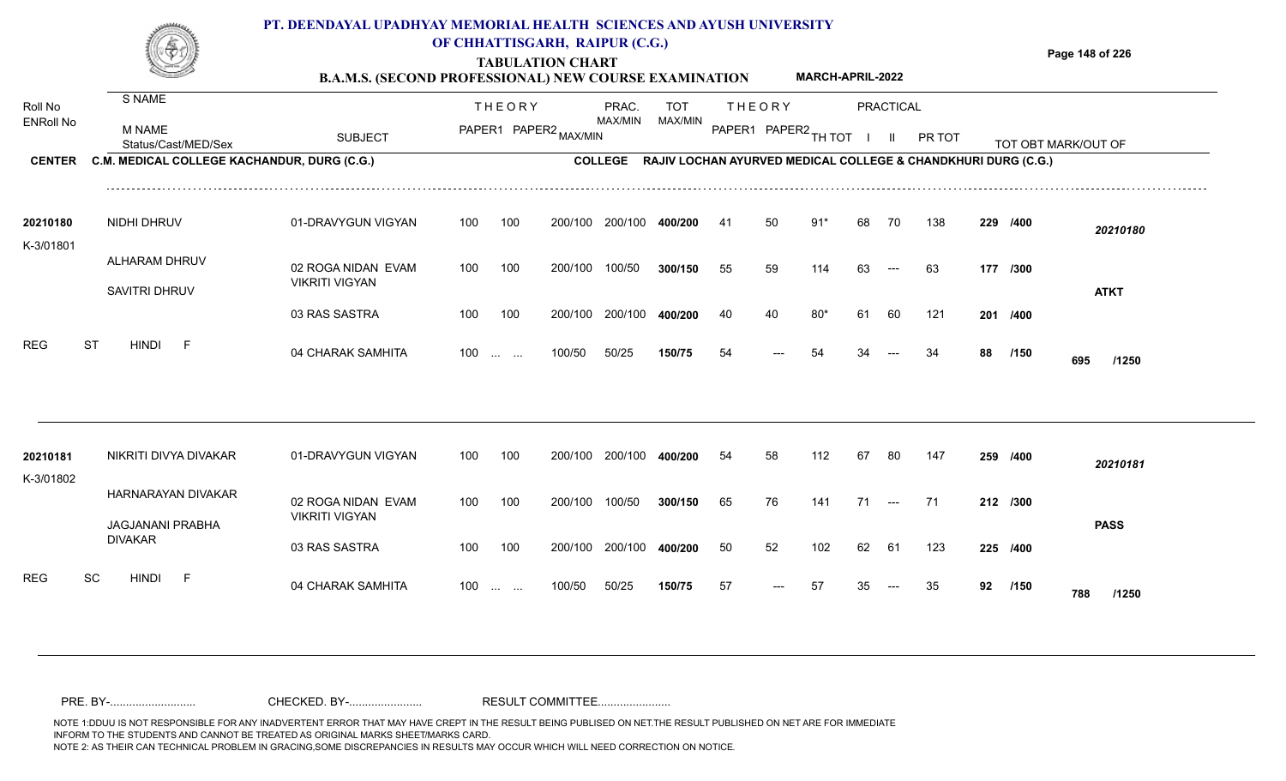### **TABULATION CHART Page 148 of 226 B.A.M.S. (SECOND PROFESSIONAL) NEW COURSE EXAMINATION PT. DEENDAYAL UPADHYAY MEMORIAL HEALTH SCIENCES AND AYUSH UNIVERSITY OF CHHATTISGARH, RAIPUR (C.G.) MARCH-APRIL-2022**

| Roll No               | S NAME                                      |                       |     | <b>THEORY</b>     |                       | PRAC.   | <b>TOT</b> |     | <b>THEORY</b>        |       |    | <b>PRACTICAL</b>                       |                                                                       |    |          |                     |  |
|-----------------------|---------------------------------------------|-----------------------|-----|-------------------|-----------------------|---------|------------|-----|----------------------|-------|----|----------------------------------------|-----------------------------------------------------------------------|----|----------|---------------------|--|
| <b>ENRoll No</b>      | <b>M NAME</b><br>Status/Cast/MED/Sex        | <b>SUBJECT</b>        |     |                   | PAPER1 PAPER2 MAX/MIN | MAX/MIN | MAX/MIN    |     | PAPER1 PAPER2 TH TOT |       |    | $\mathbf{H}$                           | PR TOT                                                                |    |          | TOT OBT MARK/OUT OF |  |
| <b>CENTER</b>         | C.M. MEDICAL COLLEGE KACHANDUR, DURG (C.G.) |                       |     |                   |                       |         |            |     |                      |       |    |                                        | COLLEGE RAJIV LOCHAN AYURVED MEDICAL COLLEGE & CHANDKHURI DURG (C.G.) |    |          |                     |  |
| 20210180<br>K-3/01801 | <b>NIDHI DHRUV</b>                          | 01-DRAVYGUN VIGYAN    | 100 | 100               | 200/100               | 200/100 | 400/200    | -41 | 50                   | $91*$ | 68 | 70                                     | 138                                                                   |    | 229 /400 | 20210180            |  |
|                       | ALHARAM DHRUV                               | 02 ROGA NIDAN EVAM    | 100 | 100               | 200/100               | 100/50  | 300/150    | 55  | 59                   | 114   | 63 | $---$                                  | 63                                                                    |    | 177 /300 |                     |  |
|                       | SAVITRI DHRUV                               | <b>VIKRITI VIGYAN</b> |     |                   |                       |         |            |     |                      |       |    |                                        |                                                                       |    |          | <b>ATKT</b>         |  |
|                       |                                             | 03 RAS SASTRA         | 100 | 100               | 200/100               | 200/100 | 400/200    | 40  | 40                   | $80*$ | 61 | 60                                     | 121                                                                   |    | 201 /400 |                     |  |
| <b>REG</b>            | <b>ST</b><br><b>HINDI</b><br>$\overline{F}$ | 04 CHARAK SAMHITA     |     | $100$             | 100/50                | 50/25   | 150/75     | 54  | ---                  | 54    |    |                                        | 34                                                                    | 88 | /150     | 695<br>/1250        |  |
|                       |                                             |                       |     |                   |                       |         |            |     |                      |       |    |                                        |                                                                       |    |          |                     |  |
| 20210181<br>K-3/01802 | NIKRITI DIVYA DIVAKAR                       | 01-DRAVYGUN VIGYAN    | 100 | 100               | 200/100               | 200/100 | 400/200    | 54  | 58                   | 112   | 67 | 80                                     | 147                                                                   |    | 259 /400 | 20210181            |  |
|                       | HARNARAYAN DIVAKAR                          | 02 ROGA NIDAN EVAM    | 100 | 100               | 200/100               | 100/50  | 300/150    | 65  | 76                   | 141   | 71 | $\hspace{0.1em} \ldots \hspace{0.1em}$ | 71                                                                    |    | 212 /300 |                     |  |
|                       | JAGJANANI PRABHA<br><b>DIVAKAR</b>          | <b>VIKRITI VIGYAN</b> |     |                   |                       |         |            |     |                      |       |    |                                        |                                                                       |    |          | <b>PASS</b>         |  |
|                       |                                             | 03 RAS SASTRA         | 100 | 100               | 200/100               | 200/100 | 400/200    | 50  | 52                   | 102   | 62 | -61                                    | 123                                                                   |    | 225 /400 |                     |  |
| <b>REG</b>            | <b>HINDI</b><br>SC<br>$-F$                  | 04 CHARAK SAMHITA     |     | $100 \dots \dots$ | 100/50                | 50/25   | 150/75     | 57  |                      | 57    |    |                                        | 35                                                                    | 92 | /150     | 788<br>/1250        |  |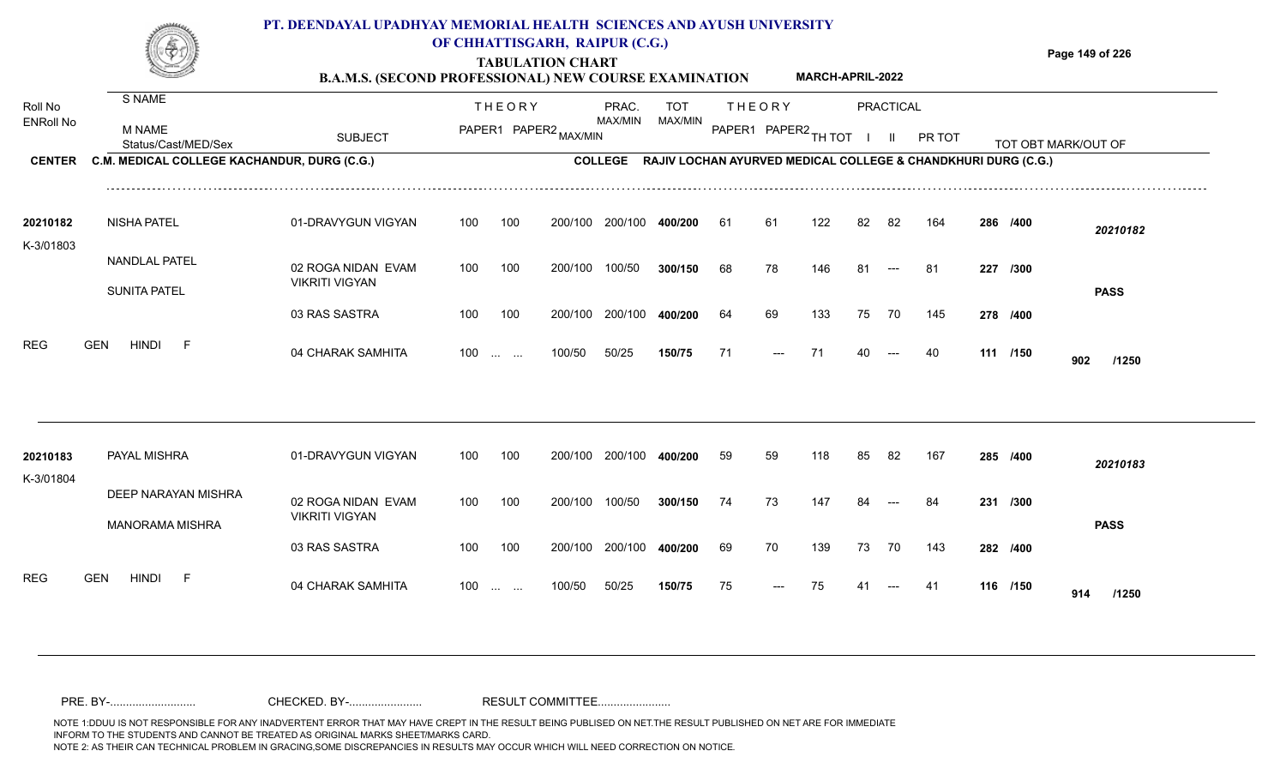|                       |                                             | PT. DEENDAYAL UPADHYAY MEMORIAL HEALTH SCIENCES AND AYUSH UNIVERSITY<br><b>B.A.M.S. (SECOND PROFESSIONAL) NEW COURSE EXAMINATION</b> |     |                         | OF CHHATTISGARH, RAIPUR (C.G.)<br><b>TABULATION CHART</b> |                |                                                               |     |                      | <b>MARCH-APRIL-2022</b> |     |           |        |     |                     | Page 149 of 226     |
|-----------------------|---------------------------------------------|--------------------------------------------------------------------------------------------------------------------------------------|-----|-------------------------|-----------------------------------------------------------|----------------|---------------------------------------------------------------|-----|----------------------|-------------------------|-----|-----------|--------|-----|---------------------|---------------------|
| Roll No               | S NAME                                      |                                                                                                                                      |     | <b>THEORY</b>           |                                                           | PRAC.          | <b>TOT</b>                                                    |     | <b>THEORY</b>        |                         |     | PRACTICAL |        |     |                     |                     |
| <b>ENRoll No</b>      | <b>M NAME</b><br>Status/Cast/MED/Sex        | <b>SUBJECT</b>                                                                                                                       |     |                         | PAPER1 PAPER2 MAX/MIN                                     | MAX/MIN        | MAX/MIN                                                       |     | PAPER1 PAPER2 TH TOT |                         |     |           | PR TOT |     | TOT OBT MARK/OUT OF | ___________________ |
| <b>CENTER</b>         | C.M. MEDICAL COLLEGE KACHANDUR, DURG (C.G.) |                                                                                                                                      |     |                         |                                                           | <b>COLLEGE</b> | RAJIV LOCHAN AYURVED MEDICAL COLLEGE & CHANDKHURI DURG (C.G.) |     |                      |                         |     |           |        |     |                     |                     |
| 20210182<br>K-3/01803 | <b>NISHA PATEL</b>                          | 01-DRAVYGUN VIGYAN                                                                                                                   | 100 | 100                     | 200/100                                                   | 200/100        | 400/200                                                       | -61 | 61                   | 122                     | 82  | 82        | 164    |     | 286 /400            | 20210182            |
|                       | <b>NANDLAL PATEL</b><br><b>SUNITA PATEL</b> | 02 ROGA NIDAN EVAM<br><b>VIKRITI VIGYAN</b>                                                                                          | 100 | 100                     | 200/100                                                   | 100/50         | 300/150                                                       | 68  | 78                   | 146                     | 81  |           | -81    | 227 | /300                | <b>PASS</b>         |
|                       |                                             | 03 RAS SASTRA                                                                                                                        | 100 | 100                     | 200/100                                                   | 200/100        | 400/200                                                       | 64  | 69                   | 133                     | 75  | 70        | 145    |     | 278 /400            |                     |
| <b>REG</b>            | <b>GEN</b><br>HINDI<br>F.                   | 04 CHARAK SAMHITA                                                                                                                    | 100 | <b>Section Contract</b> | 100/50                                                    | 50/25          | 150/75                                                        | 71  | ---                  |                         | 40. | $---$     | 40     |     | 111 /150            | 902<br>/1250        |
|                       |                                             |                                                                                                                                      |     |                         |                                                           |                |                                                               |     |                      |                         |     |           |        |     |                     |                     |

| 20210183                 | PAYAL MISHRA                                  | 01-DRAVYGUN VIGYAN                          | 100 | 100      | 200/100 | 200/100 | 400/200 | 59 | 59                   | 118 | 85 | -82   | 167 | 285 /400 |     | 20210183    |
|--------------------------|-----------------------------------------------|---------------------------------------------|-----|----------|---------|---------|---------|----|----------------------|-----|----|-------|-----|----------|-----|-------------|
| K-3/01804                | DEEP NARAYAN MISHRA<br><b>MANORAMA MISHRA</b> | 02 ROGA NIDAN EVAM<br><b>VIKRITI VIGYAN</b> | 100 | 100      | 200/100 | 100/50  | 300/150 | 74 | 73                   | 147 | 84 | $---$ | 84  | 231 /300 |     | <b>PASS</b> |
|                          |                                               | 03 RAS SASTRA                               | 100 | 100      | 200/100 | 200/100 | 400/200 | 69 | 70                   | 139 | 73 | 70    | 143 | 282 /400 |     |             |
| <b>REG</b><br><b>GEN</b> | <b>HINDI</b><br><b>1</b>                      | 04 CHARAK SAMHITA                           | 100 | $\cdots$ | 100/50  | 50/25   | 150/75  | 75 | $\hspace{0.05cm}---$ | 75  | 41 | $---$ | -41 | 116 /150 | 914 | /1250       |

NOTE 1:DDUU IS NOT RESPONSIBLE FOR ANY INADVERTENT ERROR THAT MAY HAVE CREPT IN THE RESULT BEING PUBLISED ON NET.THE RESULT PUBLISHED ON NET ARE FOR IMMEDIATE INFORM TO THE STUDENTS AND CANNOT BE TREATED AS ORIGINAL MARKS SHEET/MARKS CARD.<br>NOTE 2: AS THEIR CAN TECHNICAL PROBLEM IN GRACING,SOME DISCREPANCIES IN RESULTS MAY OCCUR WHICH WILL NEED CORRECTION ON NOTICE. NOTE 2: AS THEIR CAN TECHNICAL PROBLEM IN GRACING,SOME DISCREPANCIES IN RESULTS MAY OCCUR WHICH WILL NEED CORRECTION ON NOTICE. PRE. BY-........................... CHECKED. BY-....................... RESULT COMMITTEE.......................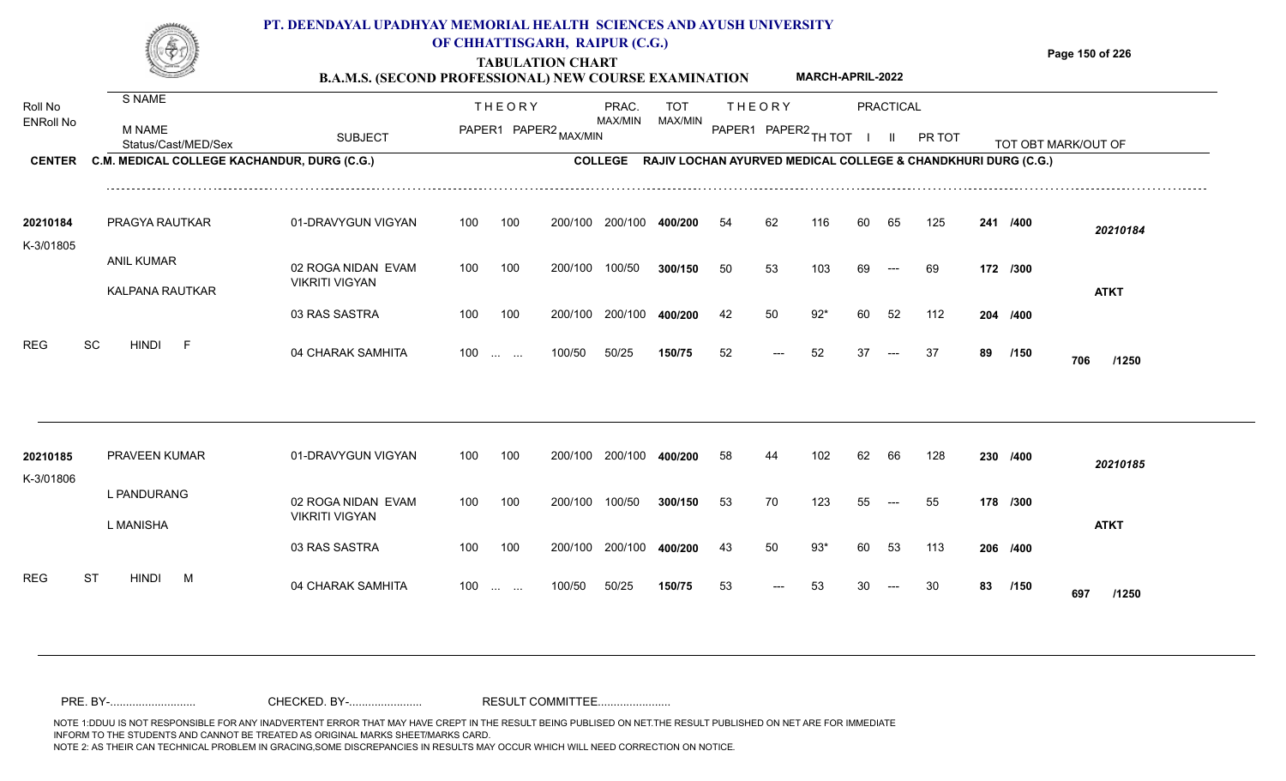#### **TABULATION CHART Page 150 of 226 B.A.M.S. (SECOND PROFESSIONAL) NEW COURSE EXAMINATION**  Roll No ENRoll No MAX/MIN MAX/MIN MAX/MIN MAX/MIN ANG THIOT I II PRITOT TOT OBTIMARK/OUT OF SUBJECT PAPER2 <sub>MAX/MIN</sub> MAX/MIN PAPER1 PAPER2 <sub>TH</sub>IOT I II PRITOT TOT OBTIMARK/OUT OF **PRACTICAL CENTER C.M. MEDICAL COLLEGE KACHANDUR, DURG (C.G.)** THEORY PRAC. TOT PAPER1 PAPER2 MAX/MIN PAPER PRAC. THEORY S NAME M NAME **PT. DEENDAYAL UPADHYAY MEMORIAL HEALTH SCIENCES AND AYUSH UNIVERSITY OF CHHATTISGARH, RAIPUR (C.G.) COLLEGE RAJIV LOCHAN AYURVED MEDICAL COLLEGE & CHANDKHURI DURG (C.G.) MARCH-APRIL-2022** 01-DRAVYGUN VIGYAN 100 100 02 ROGA NIDAN EVAM VIKRITI VIGYAN 100 100 200/100 200/100 400/200 200/100 **400/200** 100/50 **300/150** --- **/400** *20210184* **50** 53 103 69 --- 69 **172 /300** PRAGYA RAUTKAR **20210184** ANIL KUMAR K-3/01805 100 200/100 100/50 54 62 116 60 65 125 **241**

| 20210185  | <b>PRAVEEN KUMAR</b>           | 01-DRAVYGUN VIGYAN                          | 100 | 100                                            | 200/100 | 200/100 | 400/200 | 58 | 44                    | 102 | 62 | 66    | 128 |    | 230 /400 | 20210185     |
|-----------|--------------------------------|---------------------------------------------|-----|------------------------------------------------|---------|---------|---------|----|-----------------------|-----|----|-------|-----|----|----------|--------------|
| K-3/01806 | L PANDURANG<br>L MANISHA       | 02 ROGA NIDAN EVAM<br><b>VIKRITI VIGYAN</b> | 100 | 100                                            | 200/100 | 100/50  | 300/150 | 53 | 70                    | 123 | 55 | $---$ | 55  |    | 178 /300 | <b>ATKT</b>  |
|           |                                | 03 RAS SASTRA                               | 100 | 100                                            | 200/100 | 200/100 | 400/200 | 43 | 50                    | 93* | 60 | 53    | 113 |    | 206 /400 |              |
| REG       | <b>ST</b><br>M<br><b>HINDI</b> | 04 CHARAK SAMHITA                           | 100 | $\mathbf{r}$ and $\mathbf{r}$ and $\mathbf{r}$ | 100/50  | 50/25   | 150/75  | 53 | $\qquad \qquad - - -$ | 53  | 30 | $--$  | 30  | 83 | /150     | 697<br>/1250 |

200/100

200/100

100/50

04 CHARAK SAMHITA 100 … … 100/50 50/25 **150/75** 52 --- 52 37 --- 37 **89 /150 706 /1250** 

**/400** 42 50 92\* 60 52 112 **204**

<sup>52</sup> <sup>52</sup> <sup>37</sup> <sup>37</sup> **<sup>89</sup> <sup>706</sup>**

**/150**

**ATKT**

200/100 **400/200**

50/25 **150/75**

100 ... ... 100/50 50/25 **150/75** 52 --- 52 37

03 RAS SASTRA

KALPANA RAUTKAR

REG SC HINDI F 04 CHARAK SAMHITA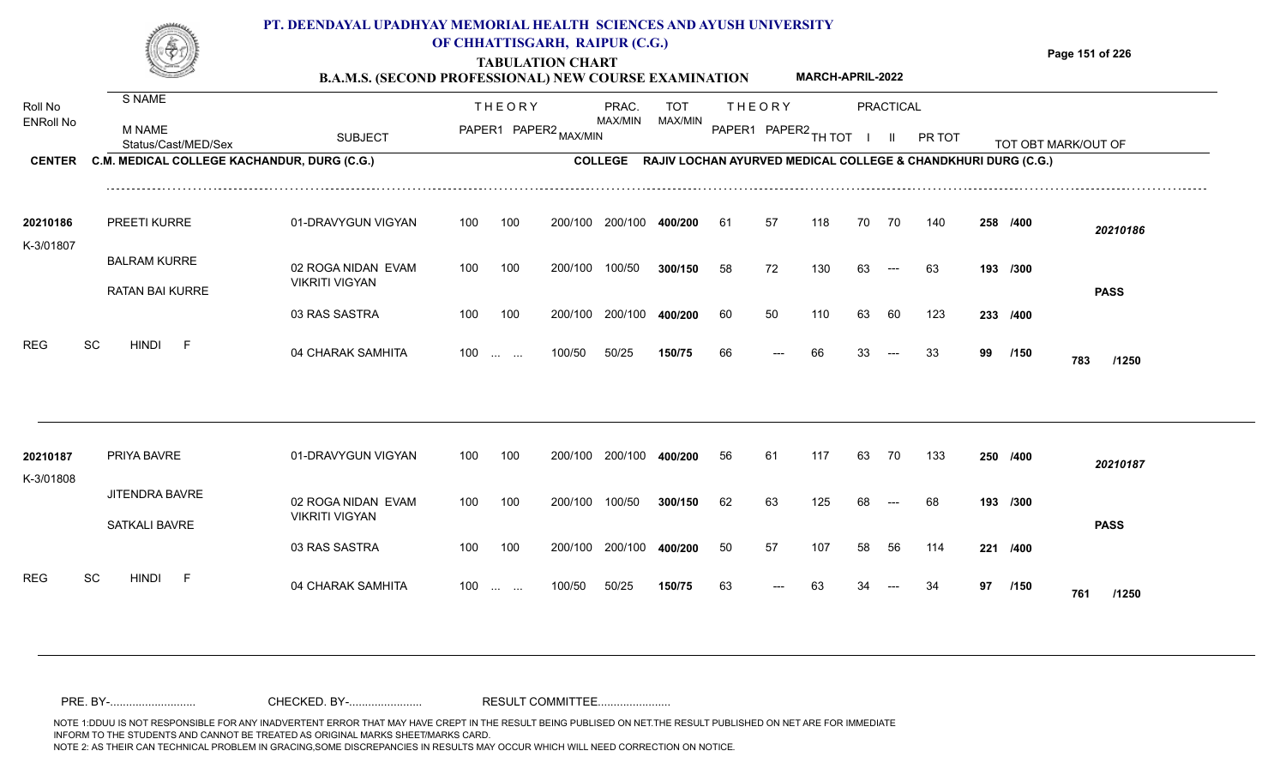|                       |                                               | PT. DEENDAYAL UPADHYAY MEMORIAL HEALTH SCIENCES AND AYUSH UNIVERSITY<br><b>B.A.M.S. (SECOND PROFESSIONAL) NEW COURSE EXAMINATION</b> |     |               | OF CHHATTISGARH, RAIPUR (C.G.)<br><b>TABULATION CHART</b> |                  |                                                                       |    |                      | <b>MARCH-APRIL-2022</b> |    |           |        |    |          | Page 151 of 226     |
|-----------------------|-----------------------------------------------|--------------------------------------------------------------------------------------------------------------------------------------|-----|---------------|-----------------------------------------------------------|------------------|-----------------------------------------------------------------------|----|----------------------|-------------------------|----|-----------|--------|----|----------|---------------------|
| Roll No               | S NAME                                        |                                                                                                                                      |     | <b>THEORY</b> |                                                           | PRAC.<br>MAX/MIN | TOT<br>MAX/MIN                                                        |    | <b>THEORY</b>        |                         |    | PRACTICAL |        |    |          |                     |
| <b>ENRoll No</b>      | M NAME<br>Status/Cast/MED/Sex                 | <b>SUBJECT</b>                                                                                                                       |     |               | PAPER1 PAPER2 MAX/MIN                                     |                  |                                                                       |    | PAPER1 PAPER2 TH TOT |                         |    |           | PR TOT |    |          | TOT OBT MARK/OUT OF |
| <b>CENTER</b>         | C.M. MEDICAL COLLEGE KACHANDUR, DURG (C.G.)   |                                                                                                                                      |     |               |                                                           |                  | COLLEGE RAJIV LOCHAN AYURVED MEDICAL COLLEGE & CHANDKHURI DURG (C.G.) |    |                      |                         |    |           |        |    |          |                     |
| 20210186<br>K-3/01807 | <b>PREETI KURRE</b>                           | 01-DRAVYGUN VIGYAN                                                                                                                   | 100 | 100           | 200/100                                                   | 200/100          | 400/200                                                               | 61 | 57                   | 118                     | 70 | 70        | 140    |    | 258 /400 | 20210186            |
|                       | <b>BALRAM KURRE</b><br><b>RATAN BAI KURRE</b> | 02 ROGA NIDAN EVAM<br><b>VIKRITI VIGYAN</b>                                                                                          | 100 | 100           | 200/100                                                   | 100/50           | 300/150                                                               | 58 | 72                   | 130                     | 63 | $---$     | 63     |    | 193 /300 | <b>PASS</b>         |
|                       |                                               | 03 RAS SASTRA                                                                                                                        | 100 | 100           | 200/100                                                   | 200/100          | 400/200                                                               | 60 | 50                   | 110                     | 63 | -60       | 123    |    | 233 /400 |                     |
| <b>REG</b>            | <b>SC</b><br><b>HINDI</b>                     | 04 CHARAK SAMHITA                                                                                                                    | 100 |               | 100/50                                                    | 50/25            | 150/75                                                                | 66 | $\qquad \qquad - -$  | 66                      | 33 | $---$     | 33     | 99 | /150     | 783<br>/1250        |

| 20210187<br>K-3/01808   | PRIYA BAVRE                            | 01-DRAVYGUN VIGYAN                          | 100 | 100                  | 200/100 | 200/100 | 400/200 | 56 | 61                   | 117 | 63 | 70                   | 133 | 250 /400 |             | 20210187    |
|-------------------------|----------------------------------------|---------------------------------------------|-----|----------------------|---------|---------|---------|----|----------------------|-----|----|----------------------|-----|----------|-------------|-------------|
|                         | <b>JITENDRA BAVRE</b><br>SATKALI BAVRE | 02 ROGA NIDAN EVAM<br><b>VIKRITI VIGYAN</b> | 100 | 100                  | 200/100 | 100/50  | 300/150 | 62 | 63                   | 125 | 68 | $\qquad \qquad - -$  | 68  | 193 /300 |             | <b>PASS</b> |
|                         |                                        | 03 RAS SASTRA                               | 100 | 100                  | 200/100 | 200/100 | 400/200 | 50 | 57                   | 107 | 58 | 56                   | 114 | 221 /400 |             |             |
| <b>REG</b><br><b>SC</b> | <b>HINDI</b><br><b>1</b>               | 04 CHARAK SAMHITA                           | 100 | $\sim$ $\sim$ $\sim$ | 100/50  | 50/25   | 150/75  | 63 | $\hspace{0.05cm}---$ | 63  | 34 | $\hspace{0.05cm}---$ | 34  | 97       | /150<br>761 | /1250       |

NOTE 1:DDUU IS NOT RESPONSIBLE FOR ANY INADVERTENT ERROR THAT MAY HAVE CREPT IN THE RESULT BEING PUBLISED ON NET.THE RESULT PUBLISHED ON NET ARE FOR IMMEDIATE INFORM TO THE STUDENTS AND CANNOT BE TREATED AS ORIGINAL MARKS SHEET/MARKS CARD.<br>NOTE 2: AS THEIR CAN TECHNICAL PROBLEM IN GRACING,SOME DISCREPANCIES IN RESULTS MAY OCCUR WHICH WILL NEED CORRECTION ON NOTICE. NOTE 2: AS THEIR CAN TECHNICAL PROBLEM IN GRACING,SOME DISCREPANCIES IN RESULTS MAY OCCUR WHICH WILL NEED CORRECTION ON NOTICE. PRE. BY-........................... CHECKED. BY-....................... RESULT COMMITTEE.......................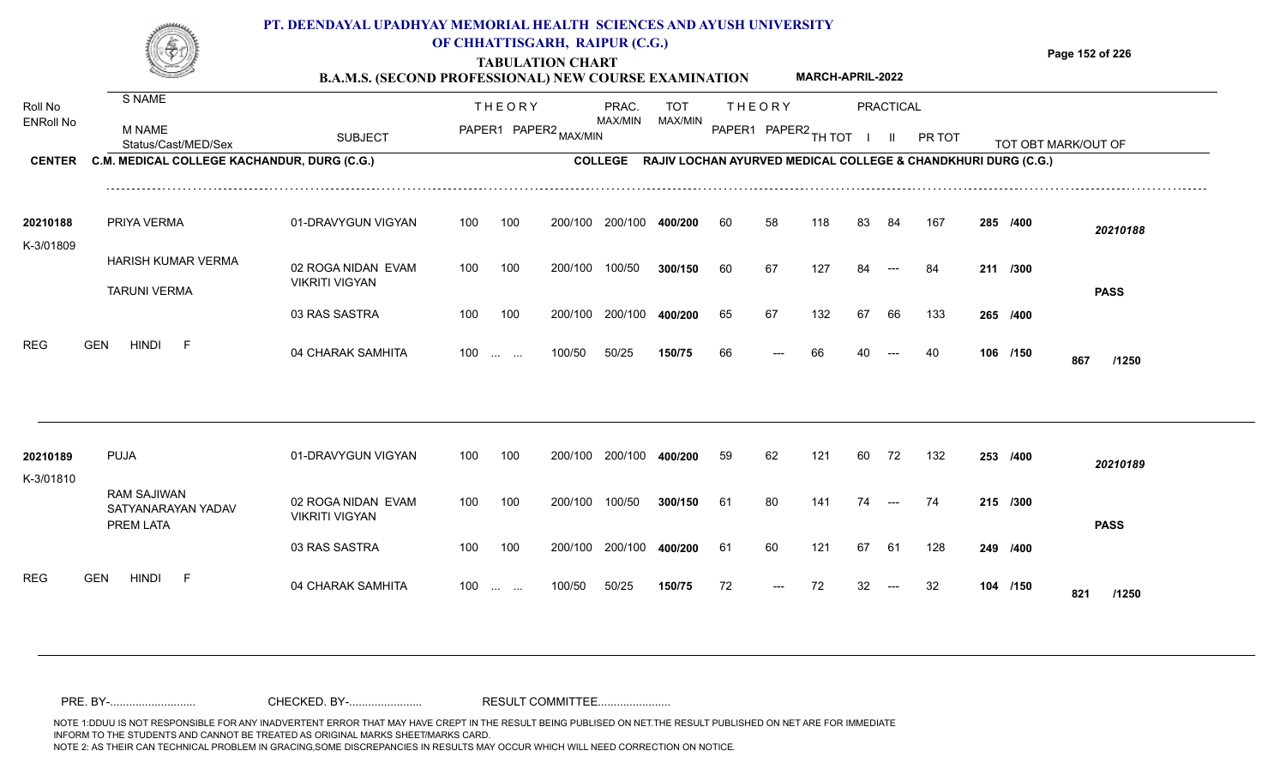|                       |                                             | PT. DEENDAYAL UPADHYAY MEMORIAL HEALTH SCIENCES AND AYUSH UNIVERSITY<br><b>B.A.M.S. (SECOND PROFESSIONAL) NEW COURSE EXAMINATION</b> |     |                                                | OF CHHATTISGARH, RAIPUR (C.G.)<br><b>TABULATION CHART</b> |         |                                                                       |     |        | <b>MARCH-APRIL-2022</b> |    |           |        |          | Page 152 of 226     |
|-----------------------|---------------------------------------------|--------------------------------------------------------------------------------------------------------------------------------------|-----|------------------------------------------------|-----------------------------------------------------------|---------|-----------------------------------------------------------------------|-----|--------|-------------------------|----|-----------|--------|----------|---------------------|
| Roll No               | S NAME                                      |                                                                                                                                      |     | <b>THEORY</b>                                  |                                                           | PRAC.   | <b>TOT</b>                                                            |     | THEORY |                         |    | PRACTICAL |        |          |                     |
| <b>ENRoll No</b>      | M NAME<br>Status/Cast/MED/Sex               | <b>SUBJECT</b>                                                                                                                       |     |                                                | PAPER1 PAPER2 MAX/MIN                                     | MAX/MIN | MAX/MIN                                                               |     |        | PAPER1 PAPER2 TH TOT    |    |           | PR TOT |          | TOT OBT MARK/OUT OF |
| <b>CENTER</b>         | C.M. MEDICAL COLLEGE KACHANDUR, DURG (C.G.) |                                                                                                                                      |     |                                                |                                                           |         | COLLEGE RAJIV LOCHAN AYURVED MEDICAL COLLEGE & CHANDKHURI DURG (C.G.) |     |        |                         |    |           |        |          |                     |
| 20210188<br>K-3/01809 | PRIYA VERMA                                 | 01-DRAVYGUN VIGYAN                                                                                                                   | 100 | 100                                            | 200/100                                                   | 200/100 | 400/200                                                               | -60 | 58     | 118                     | 83 | 84        | 167    | 285 /400 | 20210188            |
|                       | HARISH KUMAR VERMA<br><b>TARUNI VERMA</b>   | 02 ROGA NIDAN EVAM<br><b>VIKRITI VIGYAN</b>                                                                                          | 100 | 100                                            | 200/100                                                   | 100/50  | 300/150                                                               | 60  | 67     | 127                     |    |           |        | 211 /300 | <b>PASS</b>         |
|                       |                                             | 03 RAS SASTRA                                                                                                                        | 100 | 100                                            | 200/100                                                   | 200/100 | 400/200                                                               | 65  | 67     | 132                     | 67 | 66        | 133    | 265 /400 |                     |
| <b>REG</b>            | <b>HINDI</b><br><b>GEN</b>                  | 04 CHARAK SAMHITA                                                                                                                    | 100 | $\mathbf{r}$ and $\mathbf{r}$ and $\mathbf{r}$ | 100/50                                                    | 50/25   | 150/75                                                                | 66  | $---$  | 66                      | 40 | $---$     | 40     | 106 /150 | 867<br>/1250        |

| 20210189   | <b>PUJA</b>                                    | 01-DRAVYGUN VIGYAN                          | 100 | 100                                            | 200/100 | 200/100 | 400/200 | 59  | 62    | 121 | 60  | 72    | 132 | 253 /400 |     | 20210189    |
|------------|------------------------------------------------|---------------------------------------------|-----|------------------------------------------------|---------|---------|---------|-----|-------|-----|-----|-------|-----|----------|-----|-------------|
| K-3/01810  | RAM SAJIWAN<br>SATYANARAYAN YADAV<br>PREM LATA | 02 ROGA NIDAN EVAM<br><b>VIKRITI VIGYAN</b> | 100 | 100                                            | 200/100 | 100/50  | 300/150 | -61 | 80    | 141 | 74  | $---$ | 74  | 215 /300 |     | <b>PASS</b> |
|            |                                                | 03 RAS SASTRA                               | 100 | 100                                            | 200/100 | 200/100 | 400/200 | -61 | 60    | 121 | 67  | -61   | 128 | 249 /400 |     |             |
| <b>REG</b> | <b>HINDI</b><br><b>GEN</b><br><u>.</u>         | 04 CHARAK SAMHITA                           | 100 | $\mathbf{r}$ and $\mathbf{r}$ and $\mathbf{r}$ | 100/50  | 50/25   | 150/75  | 72  | $---$ | 72  | -32 | $---$ | -32 | 104 /150 | 821 | /1250       |

NOTE 1:DDUU IS NOT RESPONSIBLE FOR ANY INADVERTENT ERROR THAT MAY HAVE CREPT IN THE RESULT BEING PUBLISED ON NET.THE RESULT PUBLISHED ON NET ARE FOR IMMEDIATE INFORM TO THE STUDENTS AND CANNOT BE TREATED AS ORIGINAL MARKS SHEET/MARKS CARD.<br>NOTE 2: AS THEIR CAN TECHNICAL PROBLEM IN GRACING,SOME DISCREPANCIES IN RESULTS MAY OCCUR WHICH WILL NEED CORRECTION ON NOTICE. NOTE 2: AS THEIR CAN TECHNICAL PROBLEM IN GRACING,SOME DISCREPANCIES IN RESULTS MAY OCCUR WHICH WILL NEED CORRECTION ON NOTICE. PRE. BY-........................... CHECKED. BY-....................... RESULT COMMITTEE.......................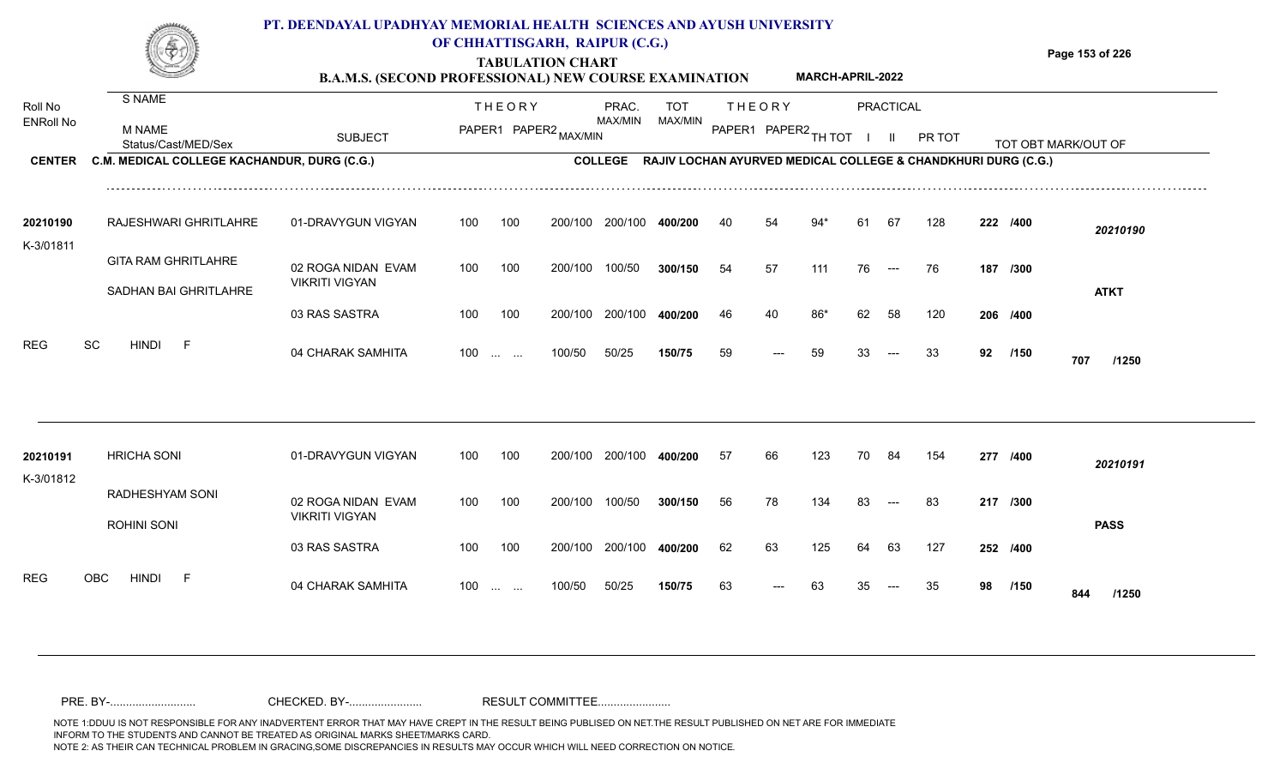#### **TABULATION CHART Page 153 of 226 B.A.M.S. (SECOND PROFESSIONAL) NEW COURSE EXAMINATION**  THE ODY DO TOT PRAC. TUE ODV S NAME **PT. DEENDAYAL UPADHYAY MEMORIAL HEALTH SCIENCES AND AYUSH UNIVERSITY OF CHHATTISGARH, RAIPUR (C.G.) MARCH-APRIL-2022**

| Roll No<br><b>ENRoll No</b><br><b>CENTER</b> | <b>M NAME</b><br>Status/Cast/MED/Sex<br>C.M. MEDICAL COLLEGE KACHANDUR, DURG (C.G.) | <b>SUBJECT</b>                              |     | <b>THEORY</b>          | PAPER1 PAPER2 MAX/MIN | PRAC.<br>MAX/MIN<br><b>COLLEGE</b> | <b>TOT</b><br>MAX/MIN<br>RAJIV LOCHAN AYURVED MEDICAL COLLEGE & CHANDKHURI DURG (C.G.) |    | <b>THEORY</b><br>PAPER1 PAPER2 TH TOT |     |    | <b>PRACTICAL</b><br>$\mathbf{H}$ | PR TOT |    |          | TOT OBT MARK/OUT OF |  |
|----------------------------------------------|-------------------------------------------------------------------------------------|---------------------------------------------|-----|------------------------|-----------------------|------------------------------------|----------------------------------------------------------------------------------------|----|---------------------------------------|-----|----|----------------------------------|--------|----|----------|---------------------|--|
|                                              |                                                                                     |                                             |     |                        |                       |                                    |                                                                                        |    |                                       |     |    |                                  |        |    |          |                     |  |
| 20210190<br>K-3/01811                        | RAJESHWARI GHRITLAHRE                                                               | 01-DRAVYGUN VIGYAN                          | 100 | 100                    | 200/100               | 200/100                            | 400/200                                                                                | 40 | 54                                    |     | 61 | 67                               | 128    |    | 222 /400 | 20210190            |  |
|                                              | <b>GITA RAM GHRITLAHRE</b><br>SADHAN BAI GHRITLAHRE                                 | 02 ROGA NIDAN EVAM<br><b>VIKRITI VIGYAN</b> | 100 | 100                    | 200/100               | 100/50                             | 300/150                                                                                | 54 | 57                                    | 111 | 76 | $\hspace{0.05cm} \ldots$         | 76     |    | 187 /300 | <b>ATKT</b>         |  |
| <b>REG</b>                                   | SC<br><b>HINDI</b><br>$-F$                                                          | 03 RAS SASTRA                               | 100 | 100                    | 200/100               | 200/100                            | 400/200                                                                                | 46 | 40                                    | 86* | 62 | 58                               | 120    |    | 206 /400 |                     |  |
|                                              |                                                                                     | 04 CHARAK SAMHITA                           | 100 | <b>Service</b> Service | 100/50                | 50/25                              | 150/75                                                                                 | 59 | $---$                                 | 59  | 33 | $---$                            | -33    | 92 | /150     | 707<br>/1250        |  |
| 20210191<br>K-3/01812                        | <b>HRICHA SONI</b>                                                                  | 01-DRAVYGUN VIGYAN                          | 100 | 100                    | 200/100               | 200/100                            | 400/200                                                                                | 57 | 66                                    | 123 | 70 | 84                               | 154    |    | 277 /400 | 20210191            |  |
|                                              | RADHESHYAM SONI<br>ROHINI SONI                                                      | 02 ROGA NIDAN EVAM<br><b>VIKRITI VIGYAN</b> | 100 | 100                    | 200/100               | 100/50                             | 300/150                                                                                | 56 | 78                                    | 134 | 83 | $---$                            | 83     |    | 217 /300 | <b>PASS</b>         |  |
|                                              |                                                                                     | 03 RAS SASTRA                               | 100 | 100                    | 200/100               | 200/100                            | 400/200                                                                                | 62 | 63                                    | 125 | 64 | 63                               | 127    |    | 252 /400 |                     |  |
| <b>REG</b>                                   | <b>OBC</b><br><b>HINDI</b><br>- F                                                   | 04 CHARAK SAMHITA                           | 100 | <b>Service Control</b> | 100/50                | 50/25                              | 150/75                                                                                 | 63 |                                       |     |    |                                  | 35     | 98 | /150     | /1250<br>844        |  |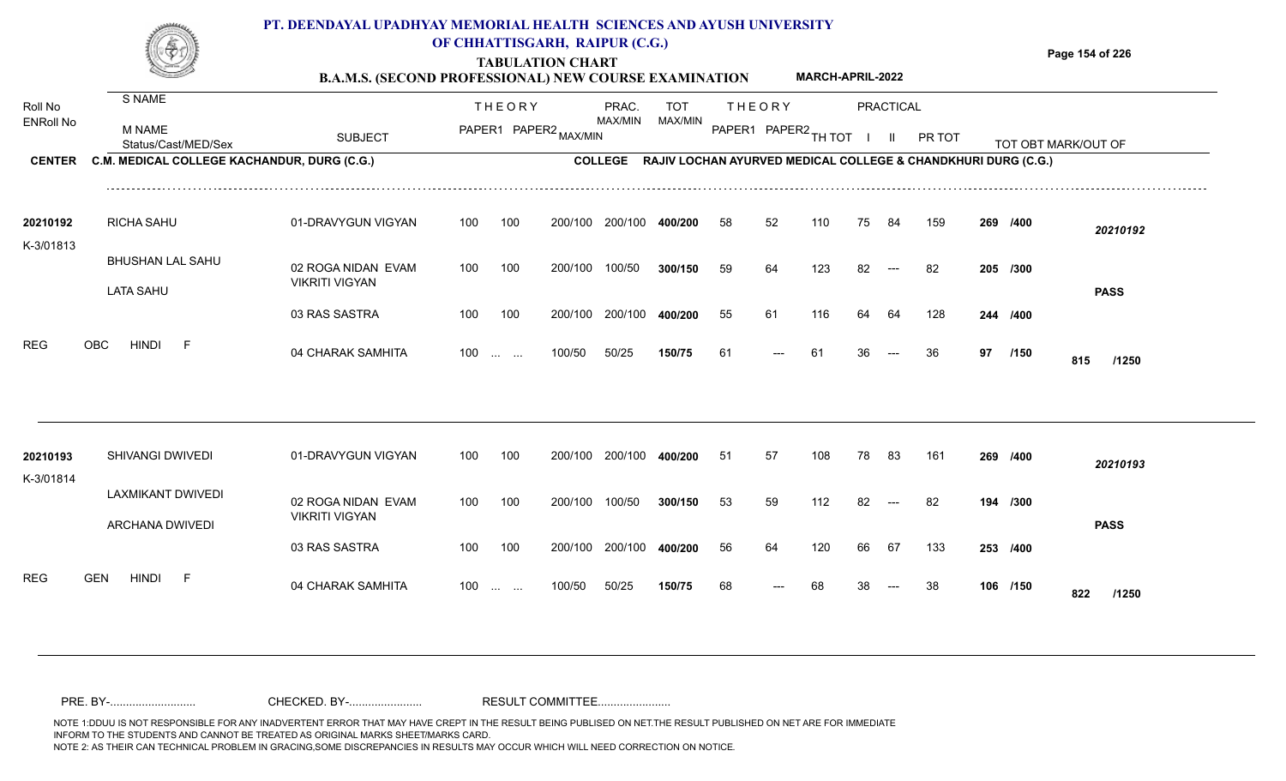|                  |                                             | PT. DEENDAYAL UPADHYAY MEMORIAL HEALTH SCIENCES AND AYUSH UNIVERSITY<br><b>B.A.M.S. (SECOND PROFESSIONAL) NEW COURSE EXAMINATION</b> |     |               | OF CHHATTISGARH, RAIPUR (C.G.)<br><b>TABULATION CHART</b> |                |            |        |        | <b>MARCH-APRIL-2022</b> |    |           |                                                               |          | Page 154 of 226     |
|------------------|---------------------------------------------|--------------------------------------------------------------------------------------------------------------------------------------|-----|---------------|-----------------------------------------------------------|----------------|------------|--------|--------|-------------------------|----|-----------|---------------------------------------------------------------|----------|---------------------|
| Roll No          | S NAME                                      |                                                                                                                                      |     | <b>THEORY</b> |                                                           | PRAC.          | <b>TOT</b> |        | THEORY |                         |    | PRACTICAL |                                                               |          |                     |
| <b>ENRoll No</b> | M NAME<br>Status/Cast/MED/Sex               | <b>SUBJECT</b>                                                                                                                       |     |               | PAPER1 PAPER2 MAX/MIN                                     | MAX/MIN        | MAX/MIN    | PAPER1 |        | $PAPER2$ TH TOT         |    |           | <b>PR TOT</b>                                                 |          | TOT OBT MARK/OUT OF |
| <b>CENTER</b>    | C.M. MEDICAL COLLEGE KACHANDUR, DURG (C.G.) |                                                                                                                                      |     |               |                                                           | <b>COLLEGE</b> |            |        |        |                         |    |           | RAJIV LOCHAN AYURVED MEDICAL COLLEGE & CHANDKHURI DURG (C.G.) |          |                     |
| 20210192         | <b>RICHA SAHU</b>                           | 01-DRAVYGUN VIGYAN                                                                                                                   | 100 | 100           | 200/100                                                   | 200/100        | 400/200    | 58     | 52     | 110                     | 75 | -84       | 159                                                           | 269 /400 | 20210192            |
| K-3/01813        | BHUSHAN LAL SAHU                            | 02 ROGA NIDAN EVAM<br><b>VIKRITI VIGYAN</b>                                                                                          | 100 | 100           | 200/100                                                   | 100/50         | 300/150    | 59     | 64     | 123                     | 82 | $---$     | -82                                                           | 205 /300 |                     |
|                  | <b>LATA SAHU</b>                            | 03 RAS SASTRA                                                                                                                        | 100 | 100           | 200/100                                                   | 200/100        | 400/200    | 55     | 61     | 116                     | 64 | 64        | 128                                                           | 244 /400 | <b>PASS</b>         |

100 100 200/100 200/100 **400/200**

100/50 50/25 **150/75**

100 ... ... 100/50 50/25 150/75 61 --- 61 36

04 CHARAK SAMHITA 100 … … 100/50 50/25 **150/75** 61 --- 61 36 --- 36 **97 /150 815 /1250**

**/400** 55 61 116 64 64 128 **244**

<sup>61</sup> <sup>61</sup> <sup>36</sup> <sup>36</sup> **<sup>97</sup> <sup>815</sup>**

97 /150 815 /1250

| 20210193   | SHIVANGI DWIVEDI                     | 01-DRAVYGUN VIGYAN                          | 100               | 100 | 200/100 | 200/100 | 400/200 | -51 | 57    | 108 | 78 | 83                                | 161 | 269 /400 | 20210193     |
|------------|--------------------------------------|---------------------------------------------|-------------------|-----|---------|---------|---------|-----|-------|-----|----|-----------------------------------|-----|----------|--------------|
| K-3/01814  | LAXMIKANT DWIVEDI<br>ARCHANA DWIVEDI | 02 ROGA NIDAN EVAM<br><b>VIKRITI VIGYAN</b> | 100               | 100 | 200/100 | 100/50  | 300/150 | 53  | 59    | 112 | 82 | $---$                             | 82  | 194 /300 |              |
|            |                                      | 03 RAS SASTRA                               | 100               | 100 | 200/100 | 200/100 | 400/200 | 56  | 64    | 120 | 66 | 67                                | 133 | 253 /400 | <b>PASS</b>  |
| <b>REG</b> | <b>GEN</b><br><b>HINDI</b>           | 04 CHARAK SAMHITA                           | $100 \dots \dots$ |     | 100/50  | 50/25   | 150/75  | 68  | $---$ | 68  | 38 | $\hspace{0.05cm} \dashrightarrow$ | 38  | 106 /150 | 822<br>/1250 |

REG OBC HINDI F 04 CHARAK SAMHITA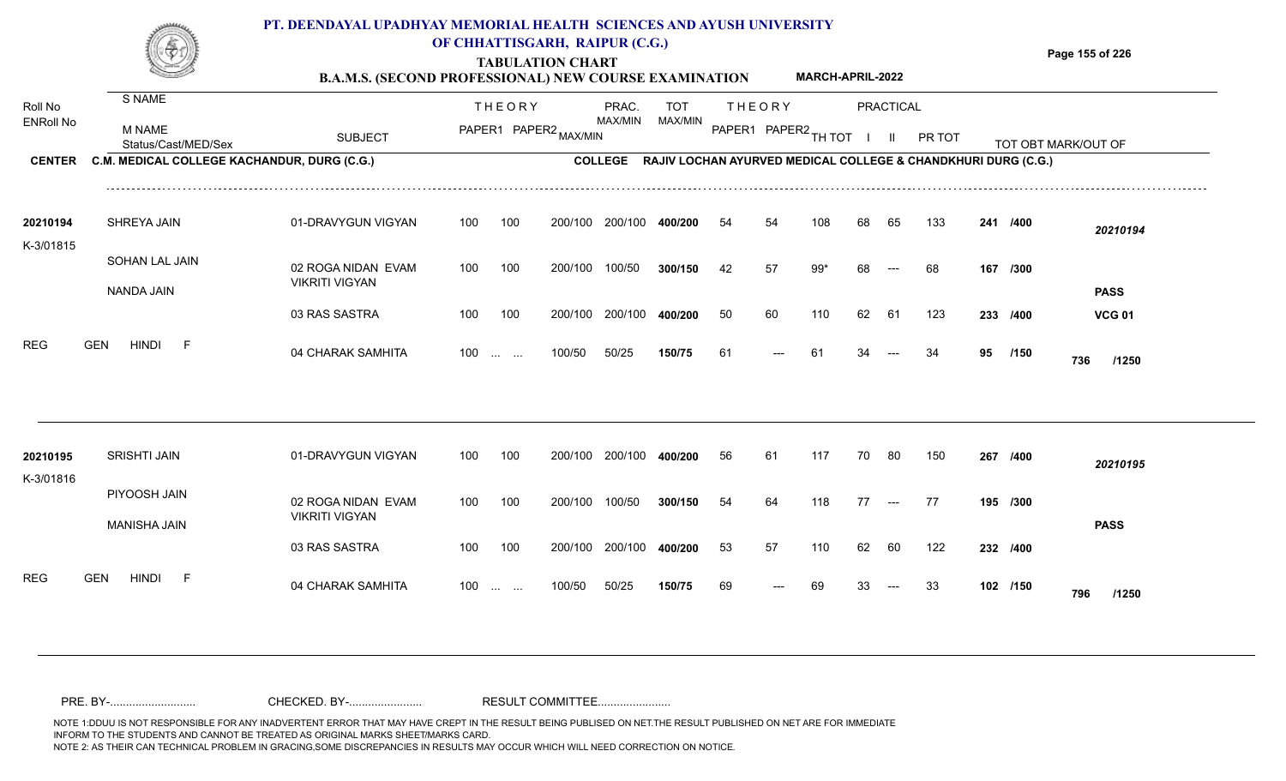## **PT. DEENDAYAL UPADHYAY MEMORIAL HEALTH SCIENCES AND AYUSH UNIVERSITY OF CHHATTISGARH, RAIPUR (C.G.)**

**TABULATION CHART B.A.M.S. (SECOND PROFESSIONAL) NEW COURSE EXAMINATION**  **Page 155 of 226**

|                             |                                             | <b>B.A.M.S. (SECOND PROFESSIONAL) NEW COURSE EXAMINATION</b> |     |                   |                       |                         |                       |    |                      | MARCH-APRIL-2022 |        |                  |                                                               |    |          |                     |
|-----------------------------|---------------------------------------------|--------------------------------------------------------------|-----|-------------------|-----------------------|-------------------------|-----------------------|----|----------------------|------------------|--------|------------------|---------------------------------------------------------------|----|----------|---------------------|
| Roll No<br><b>ENRoll No</b> | S NAME                                      |                                                              |     | <b>THEORY</b>     |                       | PRAC.<br>MAX/MIN        | <b>TOT</b><br>MAX/MIN |    | <b>THEORY</b>        |                  |        | <b>PRACTICAL</b> |                                                               |    |          |                     |
|                             | <b>M NAME</b><br>Status/Cast/MED/Sex        | <b>SUBJECT</b>                                               |     |                   | PAPER1 PAPER2 MAX/MIN |                         |                       |    | PAPER1 PAPER2 TH TOT |                  | $\Box$ | $\mathbf{II}$    | PR TOT                                                        |    |          | TOT OBT MARK/OUT OF |
| <b>CENTER</b>               | C.M. MEDICAL COLLEGE KACHANDUR, DURG (C.G.) |                                                              |     |                   |                       | <b>COLLEGE</b>          |                       |    |                      |                  |        |                  | RAJIV LOCHAN AYURVED MEDICAL COLLEGE & CHANDKHURI DURG (C.G.) |    |          |                     |
| 20210194                    | SHREYA JAIN                                 | 01-DRAVYGUN VIGYAN                                           | 100 | 100               | 200/100               | 200/100                 | 400/200               | 54 | 54                   | 108              | 68     | 65               | 133                                                           |    | 241 /400 | 20210194            |
| K-3/01815                   | SOHAN LAL JAIN<br><b>NANDA JAIN</b>         | 02 ROGA NIDAN EVAM<br><b>VIKRITI VIGYAN</b>                  | 100 | 100               | 200/100               | 100/50                  | 300/150               | 42 | 57                   | $99*$            | 68     | $---$            | 68                                                            |    | 167 /300 | <b>PASS</b>         |
|                             |                                             | 03 RAS SASTRA                                                | 100 | 100               | 200/100               | 200/100                 | 400/200               | 50 | 60                   | 110              | 62     | 61               | 123                                                           |    | 233 /400 | <b>VCG 01</b>       |
| <b>REG</b>                  | <b>GEN</b><br><b>HINDI</b><br>F             | 04 CHARAK SAMHITA                                            |     | $100$             | 100/50                | 50/25                   | 150/75                | 61 |                      | 61               | 34     | $---$            | 34                                                            | 95 | /150     | 736<br>/1250        |
| 20210195                    | <b>SRISHTI JAIN</b>                         | 01-DRAVYGUN VIGYAN                                           | 100 | 100               |                       | 200/100 200/100 400/200 |                       | 56 | 61                   | 117              | 70     | -80              | 150                                                           |    | 267 /400 | 20210195            |
| K-3/01816                   | PIYOOSH JAIN<br><b>MANISHA JAIN</b>         | 02 ROGA NIDAN EVAM<br><b>VIKRITI VIGYAN</b>                  | 100 | 100               | 200/100               | 100/50                  | 300/150               | 54 | 64                   | 118              | 77     | $\sim$ $\sim$    | 77                                                            |    | 195 /300 | <b>PASS</b>         |
|                             |                                             | 03 RAS SASTRA                                                | 100 | 100               | 200/100               | 200/100                 | 400/200               | 53 | 57                   | 110              | 62     | 60               | 122                                                           |    | 232 /400 |                     |
| <b>REG</b>                  | <b>GEN</b><br><b>HINDI</b><br>F             | 04 CHARAK SAMHITA                                            |     | $100 \dots \dots$ | 100/50                | 50/25                   | 150/75                | 69 |                      | 69               | 33     | $---$            | 33                                                            |    | 102 /150 | 796<br>/1250        |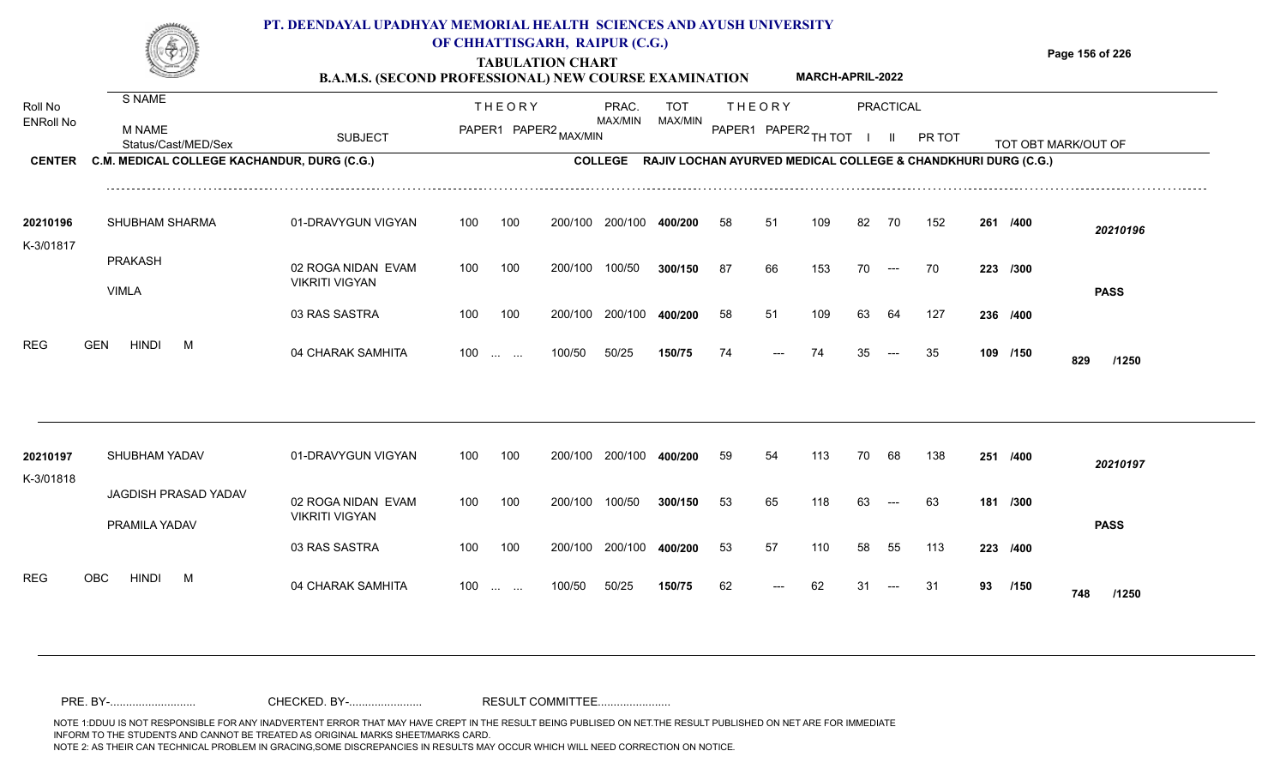#### **TABULATION CHART Page 156 of 226 B.A.M.S. (SECOND PROFESSIONAL) NEW COURSE EXAMINATION**  Roll No ENRoll No MAX/MIN MAX/MIN MAX/MIN MAX/MIN ANG THIOT I II PRITOT TOT OBTIMARK/OUT OF SUBJECT PAPER2 <sub>MAX/MIN</sub> MAX/MIN PAPER1 PAPER2 <sub>TH</sub>IOT I II PRITOT TOT OBTIMARK/OUT OF **PRACTICAL CENTER C.M. MEDICAL COLLEGE KACHANDUR, DURG (C.G.)** THEORY PRAC. TOT PAPER1 PAPER2 MAX/MIN PAPER PRAC. THEORY S NAME M NAME **PT. DEENDAYAL UPADHYAY MEMORIAL HEALTH SCIENCES AND AYUSH UNIVERSITY OF CHHATTISGARH, RAIPUR (C.G.) COLLEGE RAJIV LOCHAN AYURVED MEDICAL COLLEGE & CHANDKHURI DURG (C.G.) MARCH-APRIL-2022** 01-DRAVYGUN VIGYAN 100 100 02 ROGA NIDAN EVAM VIKRITI VIGYAN 03 RAS SASTRA 100 100 200/100 200/100 400/200 200/100 200/100 200/100 **400/200** 100/50 **300/150** 200/100 **400/200** --- **/400** *20210196* 87 66 153 70 --- 70 **223 /300 /400** 58 51 109 63 64 127 **236** SHUBHAM SHARMA **20210196** PRAKASH VIMLA K-3/01817 100 200/100 100/50 58 51 109 82 70 152 **261 PASS**

100/50 50/25 **150/75**

100 ... ... 100/50 50/25 150/75 74 --- 74 35

04 CHARAK SAMHITA 100 … … 100/50 50/25 **150/75 74 --- 74 35 --- 35 109 /150 829 /1250**

109 /150 829 /1250

<sup>74</sup> <sup>74</sup> <sup>35</sup> <sup>35</sup> **<sup>109</sup> <sup>829</sup>**

| 20210197<br>K-3/01818 |      | <b>SHUBHAM YADAV</b> |                      | 01-DRAVYGUN VIGYAN                          | 100 | 100                  | 200/100 | 200/100 | 400/200 | 59 | 54                   | 113 | 70 | 68                  | 138 | 251      | /400        | 20210197    |
|-----------------------|------|----------------------|----------------------|---------------------------------------------|-----|----------------------|---------|---------|---------|----|----------------------|-----|----|---------------------|-----|----------|-------------|-------------|
|                       |      | PRAMILA YADAV        | JAGDISH PRASAD YADAV | 02 ROGA NIDAN EVAM<br><b>VIKRITI VIGYAN</b> | 100 | 100                  | 200/100 | 100/50  | 300/150 | 53 | 65                   | 118 | 63 | $\qquad \qquad - -$ | 63  | 181 /300 |             | <b>PASS</b> |
|                       |      |                      |                      | 03 RAS SASTRA                               | 100 | 100                  | 200/100 | 200/100 | 400/200 | 53 | 57                   | 110 | 58 | 55                  | 113 | 223 /400 |             |             |
| <b>REG</b>            | OBC. | <b>HINDI</b>         | M                    | 04 CHARAK SAMHITA                           | 100 | $\sim$ $\sim$ $\sim$ | 100/50  | 50/25   | 150/75  | 62 | $\hspace{0.05cm}---$ | 62  | 31 | $---$               | -31 | 93       | /150<br>748 | /1250       |

REG GEN HINDI M 04 CHARAK SAMHITA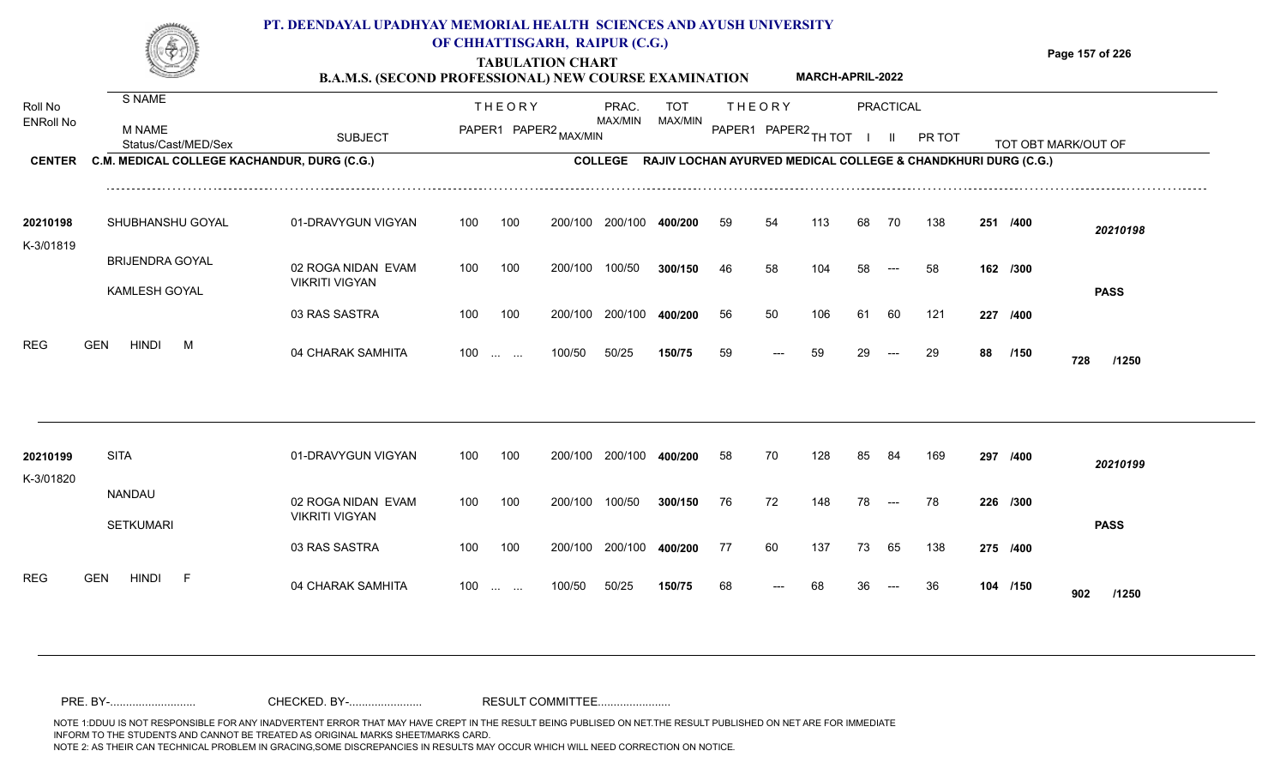|                                              |                                                                                               | PT. DEENDAYAL UPADHYAY MEMORIAL HEALTH SCIENCES AND AYUSH UNIVERSITY<br><b>B.A.M.S. (SECOND PROFESSIONAL) NEW COURSE EXAMINATION</b> |     |               | OF CHHATTISGARH, RAIPUR (C.G.)<br><b>TABULATION CHART</b> |                                                                                           |                       |          |                                         | MARCH-APRIL-2022 |          |                                  |           |    |                  | Page 157 of 226     |
|----------------------------------------------|-----------------------------------------------------------------------------------------------|--------------------------------------------------------------------------------------------------------------------------------------|-----|---------------|-----------------------------------------------------------|-------------------------------------------------------------------------------------------|-----------------------|----------|-----------------------------------------|------------------|----------|----------------------------------|-----------|----|------------------|---------------------|
| Roll No<br><b>ENRoll No</b><br><b>CENTER</b> | S NAME<br><b>M NAME</b><br>Status/Cast/MED/Sex<br>C.M. MEDICAL COLLEGE KACHANDUR, DURG (C.G.) | <b>SUBJECT</b>                                                                                                                       |     | <b>THEORY</b> | PAPER1 PAPER2 MAX/MIN                                     | PRAC.<br>MAX/MIN<br>COLLEGE RAJIV LOCHAN AYURVED MEDICAL COLLEGE & CHANDKHURI DURG (C.G.) | <b>TOT</b><br>MAX/MIN |          | <b>THEORY</b><br>PAPER1 PAPER2 TH TOT I |                  |          | <b>PRACTICAL</b><br>$\mathbf{H}$ | PR TOT    |    |                  | TOT OBT MARK/OUT OF |
| 20210198<br>K-3/01819                        | SHUBHANSHU GOYAL                                                                              | 01-DRAVYGUN VIGYAN                                                                                                                   | 100 | 100           |                                                           | 200/100 200/100                                                                           | 400/200               | 59       | 54                                      | 113              | 68       | 70                               | 138       |    | 251 /400         | 20210198            |
|                                              | <b>BRIJENDRA GOYAL</b><br>KAMLESH GOYAL                                                       | 02 ROGA NIDAN EVAM<br><b>VIKRITI VIGYAN</b>                                                                                          | 100 | 100           | 200/100                                                   | 100/50                                                                                    | 300/150               | 46       | 58                                      | 104              | 58       | $---$                            | 58        |    | 162 /300         | <b>PASS</b>         |
| <b>REG</b>                                   | <b>GEN</b><br><b>HINDI</b><br>M                                                               | 03 RAS SASTRA<br>04 CHARAK SAMHITA                                                                                                   | 100 | 100<br>$100$  | 200/100<br>100/50                                         | 200/100<br>50/25                                                                          | 400/200<br>150/75     | 56<br>59 | 50<br>$---$                             | 106<br>59        | 61<br>29 | 60<br>$---$                      | 121<br>29 | 88 | 227 /400<br>/150 | 728<br>/1250        |
| 20210199<br>K-3/01820                        | <b>SITA</b>                                                                                   | 01-DRAVYGUN VIGYAN                                                                                                                   | 100 | 100           | 200/100                                                   | 200/100 400/200                                                                           |                       | 58       | 70                                      | 128              | 85       | 84                               | 169       |    | 297 /400         | 20210199            |
|                                              | NANDAU<br><b>SETKUMARI</b>                                                                    | 02 ROGA NIDAN EVAM<br><b>VIKRITI VIGYAN</b>                                                                                          | 100 | 100           | 200/100                                                   | 100/50                                                                                    | 300/150               | 76       | 72                                      | 148              | 78       | $\qquad \qquad - -$              | 78        |    | 226 /300         | <b>PASS</b>         |
|                                              |                                                                                               | 03 RAS SASTRA                                                                                                                        | 100 | 100           | 200/100                                                   | 200/100 400/200                                                                           |                       | 77       | 60                                      | 137              | 73       | 65                               | 138       |    | 275 /400         |                     |

100 ... ... 100/50 50/25 **150/75** 68 --- 68

50/25 **150/75**

04 CHARAK SAMHITA 100 … … 100/50 50/25 **150/75 6**8 --- 68 36 --- 36 **104 /150 902 /1250**

104 /150 **902** /1250

<sup>68</sup> <sup>68</sup> <sup>36</sup> <sup>36</sup> **<sup>104</sup> <sup>902</sup>**

REG GEN HINDI F 04 CHARAK SAMHITA

NOTE 1:DDUU IS NOT RESPONSIBLE FOR ANY INADVERTENT ERROR THAT MAY HAVE CREPT IN THE RESULT BEING PUBLISED ON NET.THE RESULT PUBLISHED ON NET ARE FOR IMMEDIATE INFORM TO THE STUDENTS AND CANNOT BE TREATED AS ORIGINAL MARKS SHEET/MARKS CARD.<br>NOTE 2: AS THEIR CAN TECHNICAL PROBLEM IN GRACING,SOME DISCREPANCIES IN RESULTS MAY OCCUR WHICH WILL NEED CORRECTION ON NOTICE. NOTE 2: AS THEIR CAN TECHNICAL PROBLEM IN GRACING,SOME DISCREPANCIES IN RESULTS MAY OCCUR WHICH WILL NEED CORRECTION ON NOTICE. PRE. BY-........................... CHECKED. BY-....................... RESULT COMMITTEE.......................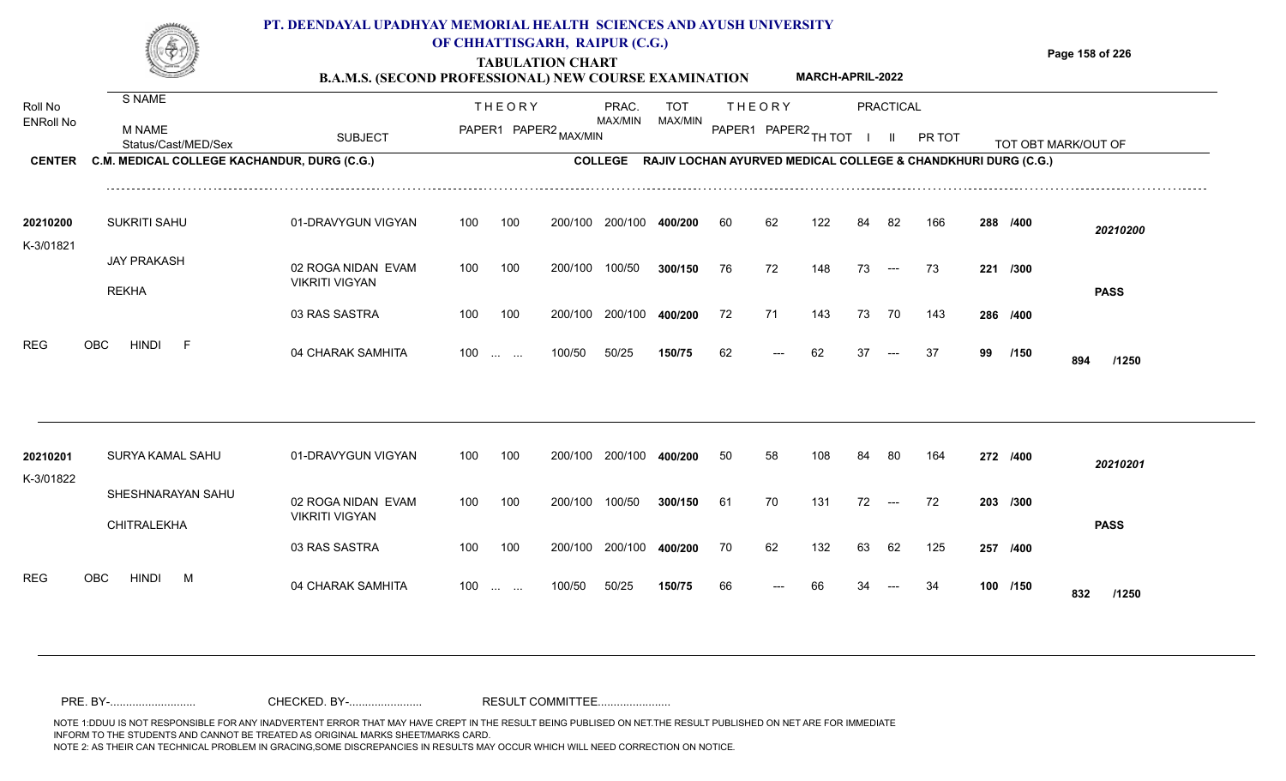#### **TABULATION CHART Page 158 of 226 B.A.M.S. (SECOND PROFESSIONAL) NEW COURSE EXAMINATION**  Roll No ENRoll No MAX/MIN MAX/MIN MAX/MIN MAX/MIN ANG THIOT I II PRITOT TOT OBTIMARK/OUT OF SUBJECT PAPER2 <sub>MAX/MIN</sub> MAX/MIN PAPER1 PAPER2 <sub>TH</sub>IOT I II PRITOT TOT OBTIMARK/OUT OF **PRACTICAL CENTER C.M. MEDICAL COLLEGE KACHANDUR, DURG (C.G.)** THEORY PRAC. TOT PAPER1 PAPER2 MAX/MIN PAPER PRAC. THEORY S NAME M NAME **PT. DEENDAYAL UPADHYAY MEMORIAL HEALTH SCIENCES AND AYUSH UNIVERSITY OF CHHATTISGARH, RAIPUR (C.G.) COLLEGE RAJIV LOCHAN AYURVED MEDICAL COLLEGE & CHANDKHURI DURG (C.G.) MARCH-APRIL-2022** 01-DRAVYGUN VIGYAN 100 100 100 100 200/100 200/100 400/200 200/100 **400/200 /400** *20210200* SUKRITI SAHU **20210200** JAY PRAKASH K-3/01821 60 62 122 84 82 166 **288**

200/100

100 200/100 100/50 300/150 76

| 20210201   | SURYA KAMAL SAHU                        | 01-DRAVYGUN VIGYAN                          | 100               | 100 | 200/100 | 200/100 | 400/200 | 50 | 58    | 108 | 84 | -80   | 164 | 272 /400 |     | 20210201    |
|------------|-----------------------------------------|---------------------------------------------|-------------------|-----|---------|---------|---------|----|-------|-----|----|-------|-----|----------|-----|-------------|
| K-3/01822  | SHESHNARAYAN SAHU<br><b>CHITRALEKHA</b> | 02 ROGA NIDAN EVAM<br><b>VIKRITI VIGYAN</b> | 100               | 100 | 200/100 | 100/50  | 300/150 | 61 | 70    | 131 | 72 | $---$ | 72  | 203 /300 |     | <b>PASS</b> |
|            |                                         | 03 RAS SASTRA                               | 100               | 100 | 200/100 | 200/100 | 400/200 | 70 | 62    | 132 | 63 | 62    | 125 | 257 /400 |     |             |
| <b>REG</b> | OBC<br><b>HINDI</b><br>M                | 04 CHARAK SAMHITA                           | $100 \dots \dots$ |     | 100/50  | 50/25   | 150/75  | 66 | $---$ | 66  | 34 | $---$ | -34 | 100 /150 | 832 | /1250       |

200/100

100/50

04 CHARAK SAMHITA 100 … … 100/50 50/25 **150/75** 62 --- 62 37 --- 37 **99 /150 894 /1250** 

---

76 72 148 73 --- 73 **221 /300** 

**/400** 72 71 143 73 70 143 **286**

<sup>62</sup> <sup>62</sup> <sup>37</sup> <sup>37</sup> **<sup>99</sup> <sup>894</sup>**

**/150**

**PASS**

100/50 **300/150**

200/100 **400/200**

50/25 **150/75**

100 ... ... ---

02 ROGA NIDAN EVAM

03 RAS SASTRA

VIKRITI VIGYAN

REKHA

REG OBC HINDI F 04 CHARAK SAMHITA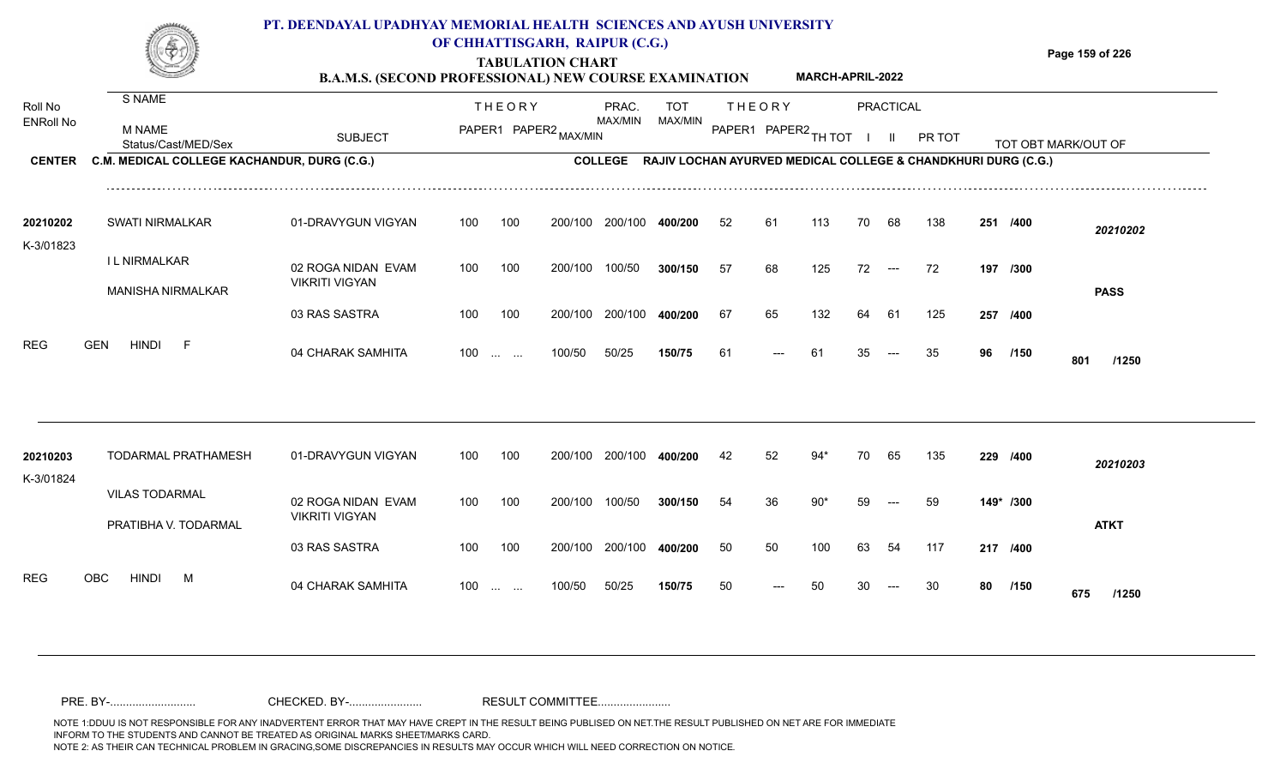|                             |                                             | PT. DEENDAYAL UPADHYAY MEMORIAL HEALTH SCIENCES AND AYUSH UNIVERSITY<br><b>B.A.M.S. (SECOND PROFESSIONAL) NEW COURSE EXAMINATION</b> |                             |        | OF CHHATTISGARH, RAIPUR (C.G.)<br><b>TABULATION CHART</b> |                  |                |     |                      | <b>MARCH-APRIL-2022</b> |    |                          |                                                               |     |          | Page 159 of 226     |
|-----------------------------|---------------------------------------------|--------------------------------------------------------------------------------------------------------------------------------------|-----------------------------|--------|-----------------------------------------------------------|------------------|----------------|-----|----------------------|-------------------------|----|--------------------------|---------------------------------------------------------------|-----|----------|---------------------|
| Roll No<br><b>ENRoll No</b> | S NAME                                      |                                                                                                                                      |                             | THEORY |                                                           | PRAC.<br>MAX/MIN | TOT<br>MAX/MIN |     | THEORY               |                         |    | PRACTICAL                |                                                               |     |          |                     |
|                             | M NAME<br>Status/Cast/MED/Sex               | <b>SUBJECT</b>                                                                                                                       |                             |        | PAPER1 PAPER2 MAX/MIN                                     |                  |                |     | PAPER1 PAPER2 TH TOT |                         |    |                          | <b>PR TOT</b>                                                 |     |          | TOT OBT MARK/OUT OF |
| <b>CENTER</b>               | C.M. MEDICAL COLLEGE KACHANDUR, DURG (C.G.) |                                                                                                                                      |                             |        |                                                           | <b>COLLEGE</b>   |                |     |                      |                         |    |                          | RAJIV LOCHAN AYURVED MEDICAL COLLEGE & CHANDKHURI DURG (C.G.) |     |          |                     |
|                             |                                             |                                                                                                                                      |                             |        |                                                           |                  |                |     |                      |                         |    |                          |                                                               |     |          |                     |
| 20210202                    | SWATI NIRMALKAR                             | 01-DRAVYGUN VIGYAN                                                                                                                   | 100                         | 100    | 200/100                                                   | 200/100          | 400/200        | 52  | 61                   | 113                     | 70 | -68                      | 138                                                           | 251 | /400     | 20210202            |
| K-3/01823                   | I L NIRMALKAR                               | 02 ROGA NIDAN EVAM                                                                                                                   | 100                         | 100    | 200/100                                                   | 100/50           | 300/150        | -57 | 68                   | 125                     | 72 | $\hspace{0.05cm} \ldots$ | 72                                                            |     | 197 /300 |                     |
|                             | <b>MANISHA NIRMALKAR</b>                    | <b>VIKRITI VIGYAN</b>                                                                                                                |                             |        |                                                           |                  |                |     |                      |                         |    |                          |                                                               |     |          | <b>PASS</b>         |
|                             |                                             | 03 RAS SASTRA                                                                                                                        | 100                         | 100    | 200/100                                                   | 200/100          | 400/200        | 67  | 65.                  | 132                     | 64 | -61                      | 125                                                           | 257 | /400     |                     |
| <b>REG</b>                  | HINDI<br><b>GEN</b><br>E.                   | 04 CHARAK SAMHITA                                                                                                                    | 100<br>$\sim$ $\sim$ $\sim$ | $\sim$ | 100/50                                                    | 50/25            | 150/75         | -61 |                      |                         |    |                          |                                                               | 96  | /150     | 801<br>/1250        |

| 20210203<br>K-3/01824 |      |                       | TODARMAL PRATHAMESH  | 01-DRAVYGUN VIGYAN                          | 100 | 100          | 200/100 | 200/100 | 400/200 | 42  | 52    | 94*  | 70 | 65    | 135 | 229       | /400        | 20210203    |
|-----------------------|------|-----------------------|----------------------|---------------------------------------------|-----|--------------|---------|---------|---------|-----|-------|------|----|-------|-----|-----------|-------------|-------------|
|                       |      | <b>VILAS TODARMAL</b> | PRATIBHA V. TODARMAL | 02 ROGA NIDAN EVAM<br><b>VIKRITI VIGYAN</b> | 100 | 100          | 200/100 | 100/50  | 300/150 | -54 | 36    | 90*  | 59 | $---$ | 59  | 149* /300 |             | <b>ATKT</b> |
|                       |      |                       |                      | 03 RAS SASTRA                               | 100 | 100          | 200/100 | 200/100 | 400/200 | 50  | 50    | 100  | 63 | 54    | 117 | 217 /400  |             |             |
| <b>REG</b>            | OBC. | <b>HINDI</b>          | M                    | 04 CHARAK SAMHITA                           | 100 | and the same | 100/50  | 50/25   | 150/75  | -50 | $---$ | - 50 | 30 | $---$ | -30 | 80        | /150<br>675 | /1250       |

NOTE 1:DDUU IS NOT RESPONSIBLE FOR ANY INADVERTENT ERROR THAT MAY HAVE CREPT IN THE RESULT BEING PUBLISED ON NET.THE RESULT PUBLISHED ON NET ARE FOR IMMEDIATE INFORM TO THE STUDENTS AND CANNOT BE TREATED AS ORIGINAL MARKS SHEET/MARKS CARD.<br>NOTE 2: AS THEIR CAN TECHNICAL PROBLEM IN GRACING,SOME DISCREPANCIES IN RESULTS MAY OCCUR WHICH WILL NEED CORRECTION ON NOTICE. NOTE 2: AS THEIR CAN TECHNICAL PROBLEM IN GRACING,SOME DISCREPANCIES IN RESULTS MAY OCCUR WHICH WILL NEED CORRECTION ON NOTICE. PRE. BY-........................... CHECKED. BY-....................... RESULT COMMITTEE.......................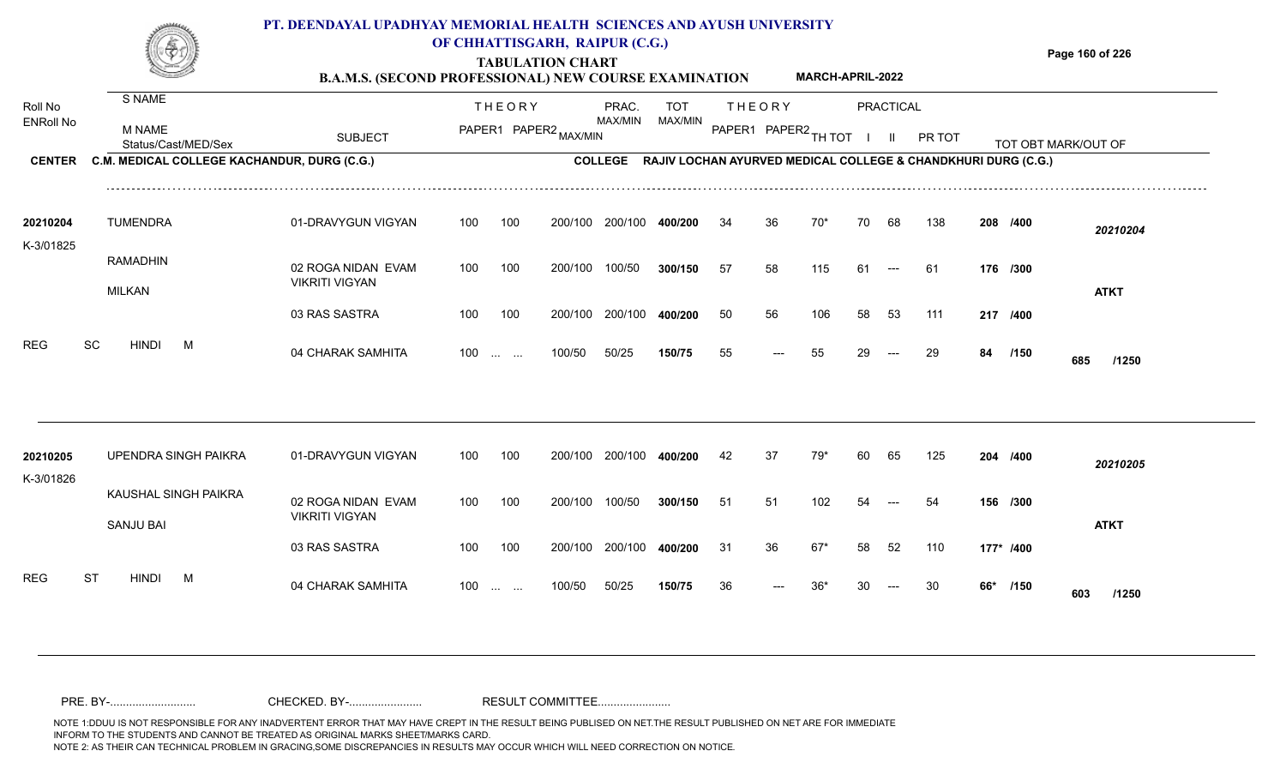#### **TABULATION CHART Page 160 of 226 B.A.M.S. (SECOND PROFESSIONAL) NEW COURSE EXAMINATION**  ENRoll No MAX/MIN MAX/MIN MAX/MIN MAX/MIN ANG THIOT I II PRITOT TOT OBTIMARK/OUT OF SUBJECT PAPER2 <sub>MAX/MIN</sub> MAX/MIN PAPER1 PAPER2 <sub>TH</sub>IOT I II PRITOT TOT OBTIMARK/OUT OF **PRACTICAL** THEORY PRAC. TOT PAPER1 PAPER2 MAX/MIN PAPER PRAC. THEORY S NAME M NAME **PT. DEENDAYAL UPADHYAY MEMORIAL HEALTH SCIENCES AND AYUSH UNIVERSITY OF CHHATTISGARH, RAIPUR (C.G.) MARCH-APRIL-2022**

100 100 200/100 200/100 400/200

100 200/100 100/50

**COLLEGE RAJIV LOCHAN AYURVED MEDICAL COLLEGE & CHANDKHURI DURG (C.G.)** 

---

34 36 70\* 70 68 138 **208**

57 58 115 61 --- 61 **176 /300** 

**/400** *20210204*

**ATKT**

200/100 **400/200**

100/50 **300/150**

| טס<br>םר<br>৲⊏<br>. . | ¬ъ.<br>.<br>$\cdot$ , $\overline{\phantom{a}}$<br> | . <del></del><br>JMMI.<br>.<br> |
|-----------------------|----------------------------------------------------|---------------------------------|
|-----------------------|----------------------------------------------------|---------------------------------|

01-DRAVYGUN VIGYAN 100 100

02 ROGA NIDAN EVAM

VIKRITI VIGYAN

Roll No

K-3/01825

**CENTER C.M. MEDICAL COLLEGE KACHANDUR, DURG (C.G.)** 

TUMENDRA **20210204**

RAMADHIN

MILKAN

|                       |           |                  |                      | 03 RAS SASTRA                               | 100 | 100                                            | 200/100 | 200/100 | 400/200 | 50 | 56                  | 106   | 58 | 53    | 111 |           | 217 /400 |              |  |
|-----------------------|-----------|------------------|----------------------|---------------------------------------------|-----|------------------------------------------------|---------|---------|---------|----|---------------------|-------|----|-------|-----|-----------|----------|--------------|--|
| REG                   | SC        | <b>HINDI</b>     | M                    | 04 CHARAK SAMHITA                           | 100 | $\mathbf{r}$ and $\mathbf{r}$ and $\mathbf{r}$ | 100/50  | 50/25   | 150/75  | 55 | $\qquad \qquad - -$ | 55    | 29 | $---$ | 29  | 84        | /150     | 685<br>/1250 |  |
|                       |           |                  |                      |                                             |     |                                                |         |         |         |    |                     |       |    |       |     |           |          |              |  |
| 20210205<br>K-3/01826 |           |                  | UPENDRA SINGH PAIKRA | 01-DRAVYGUN VIGYAN                          | 100 | 100                                            | 200/100 | 200/100 | 400/200 | 42 | 37                  | 79*   | 60 | 65    | 125 | 204 /400  |          | 20210205     |  |
|                       |           | <b>SANJU BAI</b> | KAUSHAL SINGH PAIKRA | 02 ROGA NIDAN EVAM<br><b>VIKRITI VIGYAN</b> | 100 | 100                                            | 200/100 | 100/50  | 300/150 | 51 | 51                  | 102   | 54 | $---$ | 54  | 156 /300  |          | <b>ATKT</b>  |  |
|                       |           |                  |                      | 03 RAS SASTRA                               | 100 | 100                                            | 200/100 | 200/100 | 400/200 | 31 | 36                  | $67*$ | 58 | 52    | 110 | 177* /400 |          |              |  |
| REG                   | <b>ST</b> | <b>HINDI</b>     | M                    | 04 CHARAK SAMHITA                           | 100 | $\cdots$ $\cdots$                              | 100/50  | 50/25   | 150/75  | 36 | $---$               | $36*$ | 30 | $---$ | 30  | 66*       | /150     | 603<br>/1250 |  |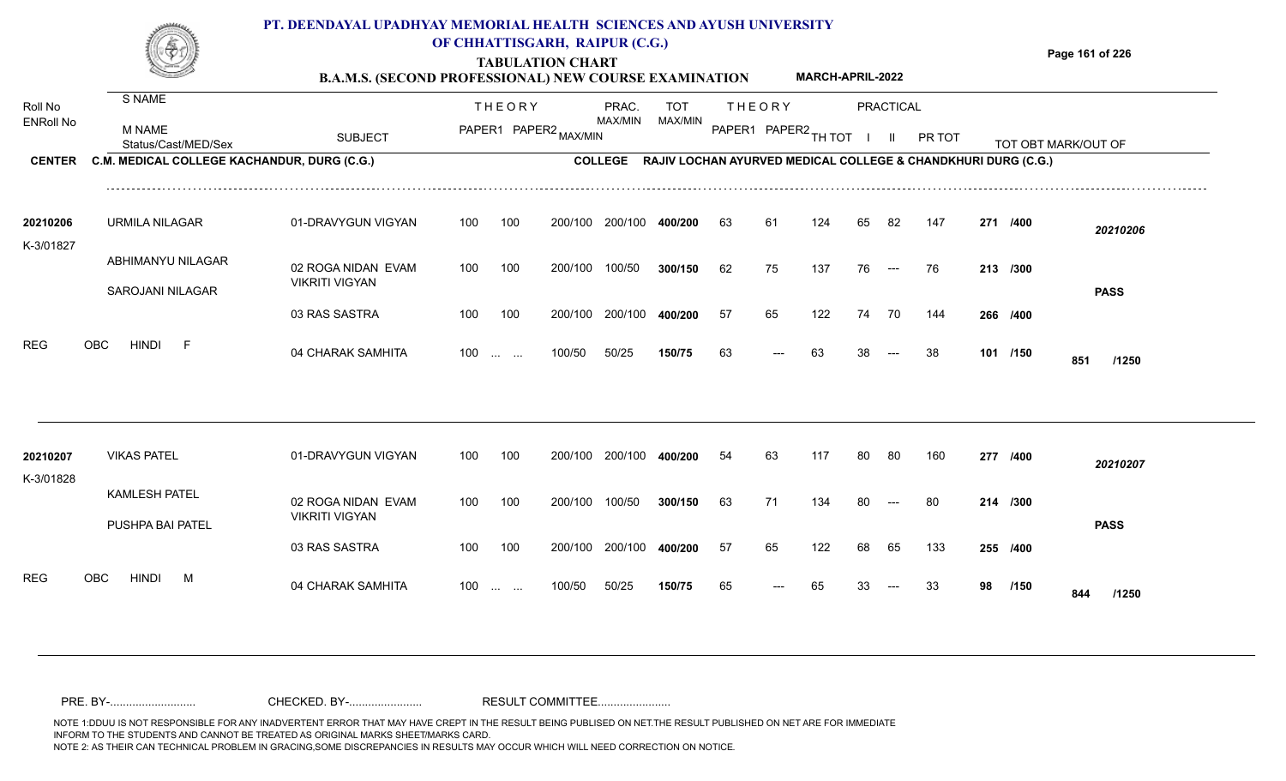|                       |                                                                    | PT. DEENDAYAL UPADHYAY MEMORIAL HEALTH SCIENCES AND AYUSH UNIVERSITY<br><b>B.A.M.S. (SECOND PROFESSIONAL) NEW COURSE EXAMINATION</b> |     |               | OF CHHATTISGARH, RAIPUR (C.G.)<br><b>TABULATION CHART</b> |                         |                                                                       |    |                                         | MARCH-APRIL-2022 |    |                                  |        |          | Page 161 of 226     |
|-----------------------|--------------------------------------------------------------------|--------------------------------------------------------------------------------------------------------------------------------------|-----|---------------|-----------------------------------------------------------|-------------------------|-----------------------------------------------------------------------|----|-----------------------------------------|------------------|----|----------------------------------|--------|----------|---------------------|
| Roll No<br>ENRoll No  | S NAME<br>M NAME                                                   | <b>SUBJECT</b>                                                                                                                       |     | <b>THEORY</b> | PAPER1 PAPER2 MAX/MIN                                     | PRAC.<br><b>MAX/MIN</b> | <b>TOT</b><br>MAX/MIN                                                 |    | <b>THEORY</b><br>PAPER1 PAPER2 TH TOT I |                  |    | <b>PRACTICAL</b><br>$\mathbf{H}$ | PR TOT |          |                     |
| <b>CENTER</b>         | Status/Cast/MED/Sex<br>C.M. MEDICAL COLLEGE KACHANDUR, DURG (C.G.) |                                                                                                                                      |     |               |                                                           |                         | COLLEGE RAJIV LOCHAN AYURVED MEDICAL COLLEGE & CHANDKHURI DURG (C.G.) |    |                                         |                  |    |                                  |        |          | TOT OBT MARK/OUT OF |
| 20210206<br>K-3/01827 | URMILA NILAGAR                                                     | 01-DRAVYGUN VIGYAN                                                                                                                   | 100 | 100           |                                                           | 200/100 200/100 400/200 |                                                                       | 63 | -61                                     | 124              | 65 | -82                              | 147    | 271 /400 | 20210206            |
|                       | ABHIMANYU NILAGAR<br>SAROJANI NILAGAR                              | 02 ROGA NIDAN EVAM<br><b>VIKRITI VIGYAN</b>                                                                                          | 100 | 100           | 200/100                                                   | 100/50                  | 300/150                                                               | 62 | 75                                      | 137              | 76 | $---$                            | 76     | 213 /300 | <b>PASS</b>         |
|                       |                                                                    | 03 RAS SASTRA                                                                                                                        | 100 | 100           | 200/100                                                   | 200/100                 | 400/200                                                               | 57 | 65                                      | 122              | 74 | 70                               | 144    | 266 /400 |                     |
| <b>REG</b>            | <b>OBC</b><br>HINDI<br>- F                                         | 04 CHARAK SAMHITA                                                                                                                    | 100 | $\sim$ $\sim$ | 100/50                                                    | 50/25                   | 150/75                                                                | 63 |                                         | 63               | 38 |                                  | 38     | 101 /150 | 851<br>/1250        |
| 20210207              | <b>VIKAS PATEL</b>                                                 | 01-DRAVYGUN VIGYAN                                                                                                                   | 100 | 100           |                                                           | 200/100 200/100 400/200 |                                                                       | 54 | 63                                      | 117              | 80 | 80                               | 160    | 277 /400 | 20210207            |
| K-3/01828             | <b>KAMLESH PATEL</b><br>PUSHPA BAI PATEL                           | 02 ROGA NIDAN EVAM<br><b>VIKRITI VIGYAN</b>                                                                                          | 100 | 100           | 200/100 100/50                                            |                         | 300/150                                                               | 63 | 71                                      | 134              | 80 | $\hspace{0.05cm}---$             | 80     | 214 /300 | <b>PASS</b>         |
|                       |                                                                    | 03 RAS SASTRA                                                                                                                        | 100 | 100           | 200/100                                                   | 200/100                 | 400/200                                                               | 57 | 65                                      | 122              | 68 | 65                               | 133    | 255 /400 |                     |

04 CHARAK SAMHITA --- **/1250** 100/50 100 ... ... ---

98 /150 **844** /1250

<sup>65</sup> <sup>65</sup> <sup>33</sup> <sup>33</sup> **<sup>98</sup> <sup>844</sup>**

50/25 **150/75**

REG OBC HINDI M 04 CHARAK SAMHITA

NOTE 1:DDUU IS NOT RESPONSIBLE FOR ANY INADVERTENT ERROR THAT MAY HAVE CREPT IN THE RESULT BEING PUBLISED ON NET.THE RESULT PUBLISHED ON NET ARE FOR IMMEDIATE INFORM TO THE STUDENTS AND CANNOT BE TREATED AS ORIGINAL MARKS SHEET/MARKS CARD.<br>NOTE 2: AS THEIR CAN TECHNICAL PROBLEM IN GRACING,SOME DISCREPANCIES IN RESULTS MAY OCCUR WHICH WILL NEED CORRECTION ON NOTICE. NOTE 2: AS THEIR CAN TECHNICAL PROBLEM IN GRACING,SOME DISCREPANCIES IN RESULTS MAY OCCUR WHICH WILL NEED CORRECTION ON NOTICE. PRE. BY-........................... CHECKED. BY-....................... RESULT COMMITTEE.......................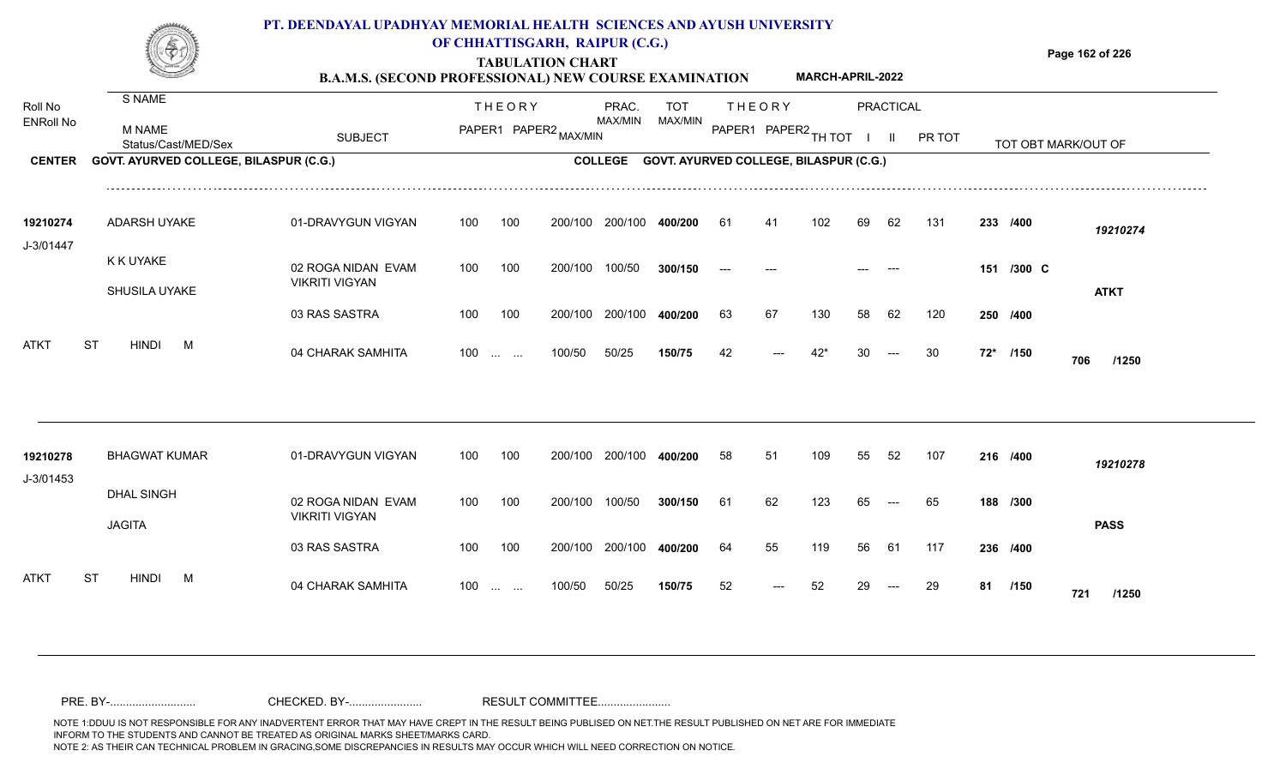

### **OF CHHATTISGARH, RAIPUR (C.G.)**

**Page 162 of 226**

### **TABULATION CHART B.A.M.S. (SECOND PROFESSIONAL) NEW COURSE EXAMINATION MARCH-APRIL-2022**

| Roll No<br><b>ENRoll No</b> | S NAME<br>M NAME<br>Status/Cast/MED/Sex | <b>SUBJECT</b>                              |     | <b>THEORY</b>                                                 | PAPER1 PAPER2 MAX/MIN | PRAC.<br>MAX/MIN | TOT<br><b>MAX/MIN</b>                  |    | <b>THEORY</b><br>PAPER1 PAPER2 TH TOT |     |    | <b>PRACTICAL</b><br>$\mathbf{H}$ | PR TOT |    |            | TOT OBT MARK/OUT OF |  |
|-----------------------------|-----------------------------------------|---------------------------------------------|-----|---------------------------------------------------------------|-----------------------|------------------|----------------------------------------|----|---------------------------------------|-----|----|----------------------------------|--------|----|------------|---------------------|--|
| <b>CENTER</b>               | GOVT. AYURVED COLLEGE, BILASPUR (C.G.)  |                                             |     |                                                               |                       | <b>COLLEGE</b>   | GOVT. AYURVED COLLEGE, BILASPUR (C.G.) |    |                                       |     |    |                                  |        |    |            |                     |  |
| 19210274<br>J-3/01447       | ADARSH UYAKE                            | 01-DRAVYGUN VIGYAN                          | 100 | 100                                                           | 200/100               | 200/100          | 400/200                                | 61 | 4.                                    | 102 | 69 | 62                               | 131    |    | 233 /400   | 19210274            |  |
|                             | K K UYAKE<br>SHUSILA UYAKE              | 02 ROGA NIDAN EVAM<br><b>VIKRITI VIGYAN</b> | 100 | 100                                                           | 200/100               | 100/50           | 300/150                                |    |                                       |     |    |                                  |        |    | 151 /300 C | <b>ATKT</b>         |  |
|                             |                                         | 03 RAS SASTRA                               | 100 | 100                                                           | 200/100               | 200/100          | 400/200                                | 63 | 67                                    | 130 | 58 | 62                               | 120    |    | 250 /400   |                     |  |
| <b>ATKT</b>                 | <b>ST</b><br><b>HINDI</b><br>M          | 04 CHARAK SAMHITA                           | 100 | $\mathcal{L}_{\mathcal{L}}$ , and $\mathcal{L}_{\mathcal{L}}$ | 100/50                | 50/25            | 150/75                                 | 42 |                                       | 42* |    |                                  | 30     |    | 72* /150   | 706<br>/1250        |  |
|                             |                                         |                                             |     |                                                               |                       |                  |                                        |    |                                       |     |    |                                  |        |    |            |                     |  |
| 19210278<br>J-3/01453       | <b>BHAGWAT KUMAR</b>                    | 01-DRAVYGUN VIGYAN                          | 100 | 100                                                           | 200/100               | 200/100          | 400/200                                | 58 | 51                                    | 109 | 55 | 52                               | 107    |    | 216 /400   | 19210278            |  |
|                             | <b>DHAL SINGH</b><br><b>JAGITA</b>      | 02 ROGA NIDAN EVAM<br><b>VIKRITI VIGYAN</b> | 100 | 100                                                           | 200/100               | 100/50           | 300/150                                | 61 | 62                                    | 123 | 65 | $---$                            | 65     |    | 188 /300   | <b>PASS</b>         |  |
|                             |                                         | 03 RAS SASTRA                               | 100 | 100                                                           | 200/100               | 200/100          | 400/200                                | 64 | 55                                    | 119 | 56 | 61                               | 117    |    | 236 /400   |                     |  |
| ATKT                        | <b>HINDI</b><br>ST<br>M                 | 04 CHARAK SAMHITA                           | 100 | <b>Contract Contract</b>                                      | 100/50                | 50/25            | 150/75                                 | 52 |                                       | 52  |    |                                  | 29     | 81 | /150       | 721<br>/1250        |  |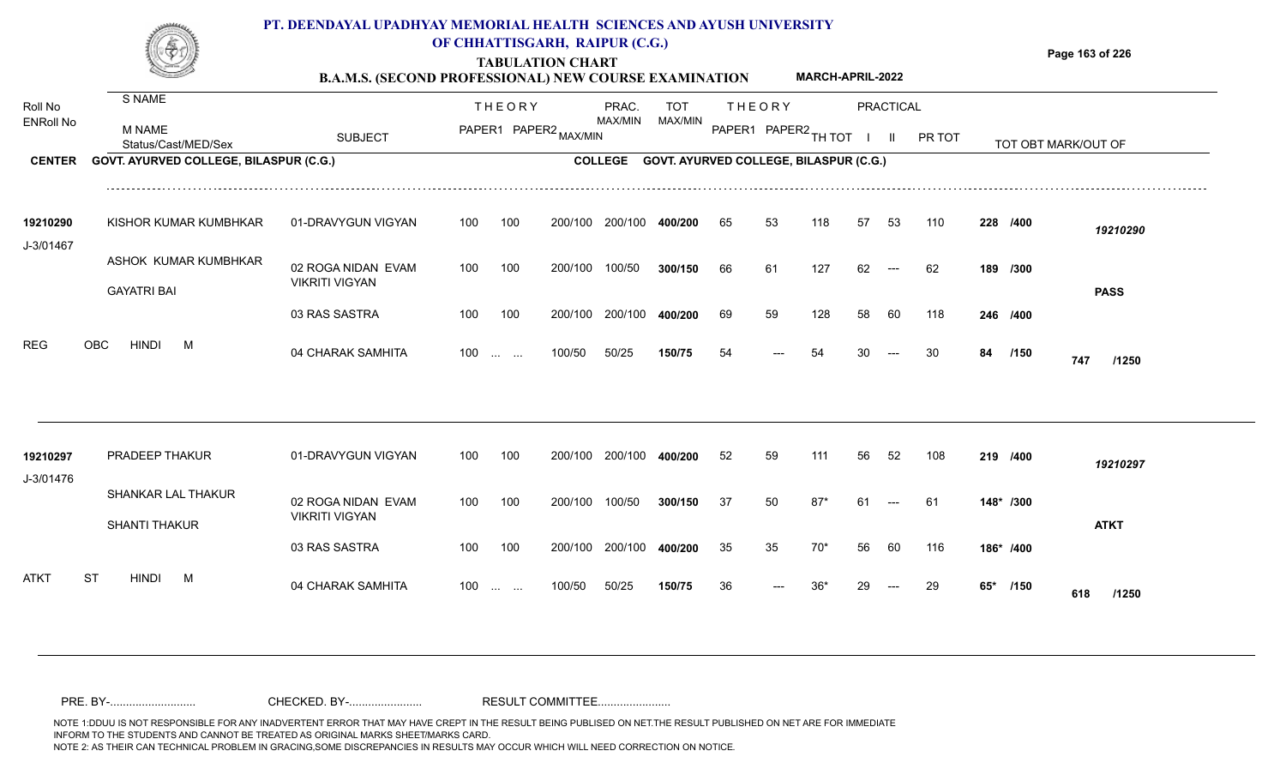### **PT. DEENDAYAL UPADHYAY MEMORIAL HEALTH SCIENCES AND AYUSH UNIVERSITY OF CHHATTISGARH, RAIPUR (C.G.)**



## **TABULATION CHART**

**Page 163 of 226**

#### **B.A.M.S. (SECOND PROFESSIONAL) NEW COURSE EXAMINATION MARCH-APRIL-2022**

| Roll No          | S NAME                                        |                                             |     | <b>THEORY</b>                                  |         | PRAC.          | <b>TOT</b>                             |    | <b>THEORY</b>        |       |    | <b>PRACTICAL</b> |        |     |           |                     |
|------------------|-----------------------------------------------|---------------------------------------------|-----|------------------------------------------------|---------|----------------|----------------------------------------|----|----------------------|-------|----|------------------|--------|-----|-----------|---------------------|
| <b>ENRoll No</b> | <b>M NAME</b><br>Status/Cast/MED/Sex          | <b>SUBJECT</b>                              |     | PAPER1 PAPER2 MAX/MIN                          |         | <b>MAX/MIN</b> | MAX/MIN                                |    | PAPER1 PAPER2 TH TOT |       |    | H.               | PR TOT |     |           | TOT OBT MARK/OUT OF |
| <b>CENTER</b>    | <b>GOVT. AYURVED COLLEGE, BILASPUR (C.G.)</b> |                                             |     |                                                |         | <b>COLLEGE</b> | GOVT. AYURVED COLLEGE, BILASPUR (C.G.) |    |                      |       |    |                  |        |     |           |                     |
| 19210290         | KISHOR KUMAR KUMBHKAR                         | 01-DRAVYGUN VIGYAN                          | 100 | 100                                            | 200/100 | 200/100        | 400/200                                | 65 | 53                   | 118   | 57 | 53               | 110    |     | 228 /400  | 19210290            |
| J-3/01467        | ASHOK KUMAR KUMBHKAR<br><b>GAYATRI BAI</b>    | 02 ROGA NIDAN EVAM<br><b>VIKRITI VIGYAN</b> | 100 | 100                                            | 200/100 | 100/50         | 300/150                                | 66 | 61                   | 127   | 62 |                  | 62     |     | 189 /300  | <b>PASS</b>         |
|                  |                                               | 03 RAS SASTRA                               | 100 | 100                                            | 200/100 | 200/100        | 400/200                                | 69 | 59                   | 128   | 58 | 60               | 118    |     | 246 /400  |                     |
| <b>REG</b>       | OBC<br><b>HINDI</b><br>M                      | 04 CHARAK SAMHITA                           | 100 | $\mathbf{r}$ and $\mathbf{r}$ and $\mathbf{r}$ | 100/50  | 50/25          | 150/75                                 | 54 |                      | 54    |    |                  | 30     | 84  | /150      | 747<br>/1250        |
| 19210297         | PRADEEP THAKUR                                | 01-DRAVYGUN VIGYAN                          | 100 | 100                                            | 200/100 | 200/100        | 400/200                                | 52 | 59                   | 111   | 56 | 52               | 108    |     | 219 /400  | 19210297            |
| J-3/01476        | SHANKAR LAL THAKUR<br><b>SHANTI THAKUR</b>    | 02 ROGA NIDAN EVAM<br><b>VIKRITI VIGYAN</b> | 100 | 100                                            | 200/100 | 100/50         | 300/150                                | 37 | 50                   | $87*$ | 61 |                  | 61     |     | 148* /300 | <b>ATKT</b>         |
|                  |                                               | 03 RAS SASTRA                               | 100 | 100                                            | 200/100 | 200/100        | 400/200                                | 35 | 35                   | 70*   | 56 | 60               | 116    |     | 186* /400 |                     |
| ATKT             | <b>ST</b><br><b>HINDI</b><br>M                | 04 CHARAK SAMHITA                           | 100 | and the same                                   | 100/50  | 50/25          | 150/75                                 | 36 |                      |       |    |                  | 29     | 65* | /150      | 618<br>/1250        |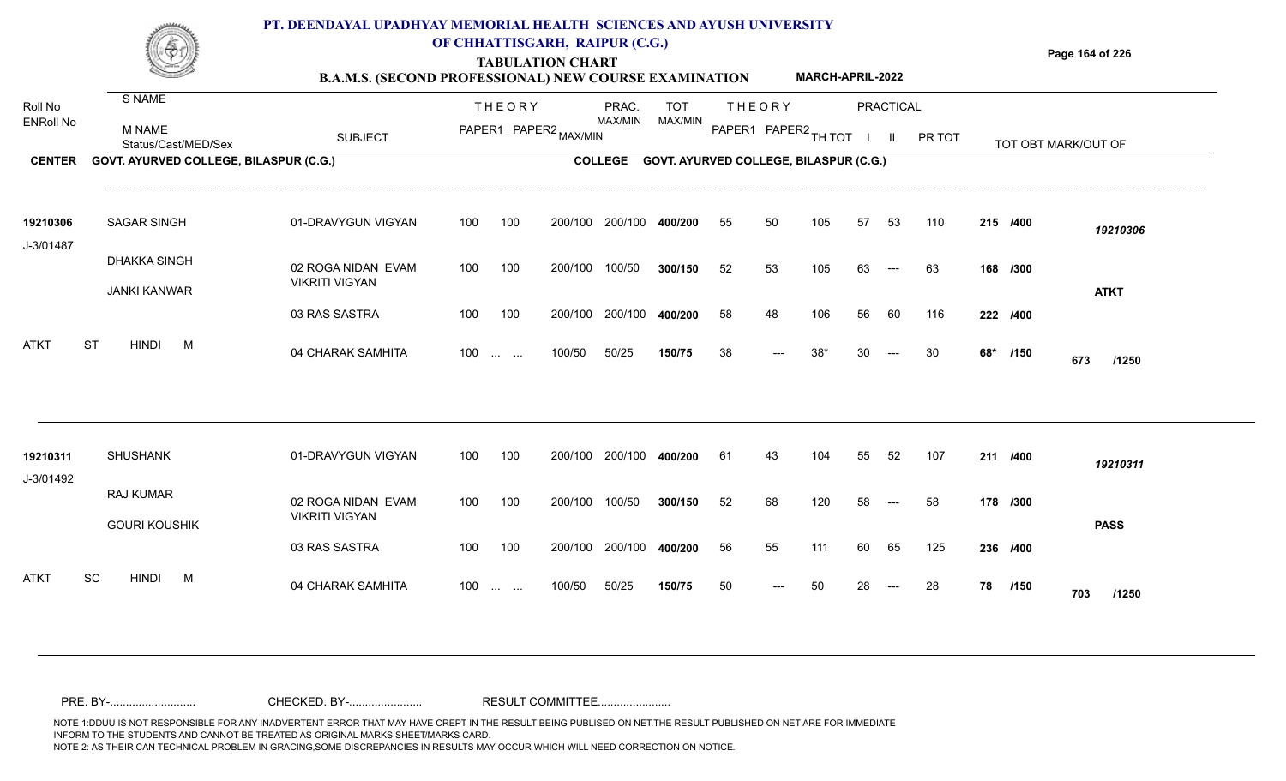

### **OF CHHATTISGARH, RAIPUR (C.G.)**

**Page 164 of 226**

#### **TABULATION CHART B.A.M.S. (SECOND PROFESSIONAL) NEW COURSE EXAMINATION MARCH-APRIL-2022**

| Roll No               | S NAME                                     |                                             |     | <b>THEORY</b>            |                       | PRAC.          | <b>TOT</b>                             |     | <b>THEORY</b>        |     |    | PRACTICAL |        |     |          |                     |  |
|-----------------------|--------------------------------------------|---------------------------------------------|-----|--------------------------|-----------------------|----------------|----------------------------------------|-----|----------------------|-----|----|-----------|--------|-----|----------|---------------------|--|
| <b>ENRoll No</b>      | M NAME<br>Status/Cast/MED/Sex              | <b>SUBJECT</b>                              |     |                          | PAPER1 PAPER2 MAX/MIN | <b>MAX/MIN</b> | MAX/MIN                                |     | PAPER1 PAPER2 TH TOT |     |    | -II.      | PR TOT |     |          | TOT OBT MARK/OUT OF |  |
| <b>CENTER</b>         | GOVT. AYURVED COLLEGE, BILASPUR (C.G.)     |                                             |     |                          |                       | <b>COLLEGE</b> | GOVT. AYURVED COLLEGE, BILASPUR (C.G.) |     |                      |     |    |           |        |     |          |                     |  |
| 19210306<br>J-3/01487 | <b>SAGAR SINGH</b>                         | 01-DRAVYGUN VIGYAN                          | 100 | 100                      | 200/100               | 200/100        | 400/200                                | 55  | 50                   | 105 | 57 | 53        | 110    |     | 215 /400 | 19210306            |  |
|                       | <b>DHAKKA SINGH</b><br><b>JANKI KANWAR</b> | 02 ROGA NIDAN EVAM<br><b>VIKRITI VIGYAN</b> | 100 | 100                      | 200/100               | 100/50         | 300/150                                | 52  | 53                   | 105 | 63 | $---$     | 63     |     | 168 /300 | <b>ATKT</b>         |  |
|                       |                                            | 03 RAS SASTRA                               | 100 | 100                      | 200/100               | 200/100        | 400/200                                | 58  | 48                   | 106 | 56 | 60        | 116    |     | 222 /400 |                     |  |
| <b>ATKT</b>           | <b>HINDI</b><br><b>ST</b><br>M             | 04 CHARAK SAMHITA                           |     | $100$                    | 100/50                | 50/25          | 150/75                                 | 38  |                      | 38* | 30 |           | 30     | 68* | /150     | 673<br>/1250        |  |
|                       |                                            |                                             |     |                          |                       |                |                                        |     |                      |     |    |           |        |     |          |                     |  |
| 19210311<br>J-3/01492 | <b>SHUSHANK</b>                            | 01-DRAVYGUN VIGYAN                          | 100 | 100                      | 200/100               | 200/100        | 400/200                                | -61 | 43                   | 104 | 55 | 52        | 107    |     | 211 /400 | 19210311            |  |
|                       | <b>RAJ KUMAR</b><br><b>GOURI KOUSHIK</b>   | 02 ROGA NIDAN EVAM<br><b>VIKRITI VIGYAN</b> | 100 | 100                      | 200/100               | 100/50         | 300/150                                | 52  | 68                   | 120 | 58 |           | 58     |     | 178 /300 | <b>PASS</b>         |  |
|                       |                                            | 03 RAS SASTRA                               | 100 | 100                      | 200/100               | 200/100        | 400/200                                | 56  | 55                   | 111 | 60 | 65        | 125    |     | 236 /400 |                     |  |
| ATKT                  | <b>HINDI</b><br><b>SC</b><br>M             | 04 CHARAK SAMHITA                           | 100 | <b>Contract Contract</b> | 100/50                | 50/25          | 150/75                                 | 50  |                      | 50  | 28 |           | 28     | 78  | /150     | 703<br>/1250        |  |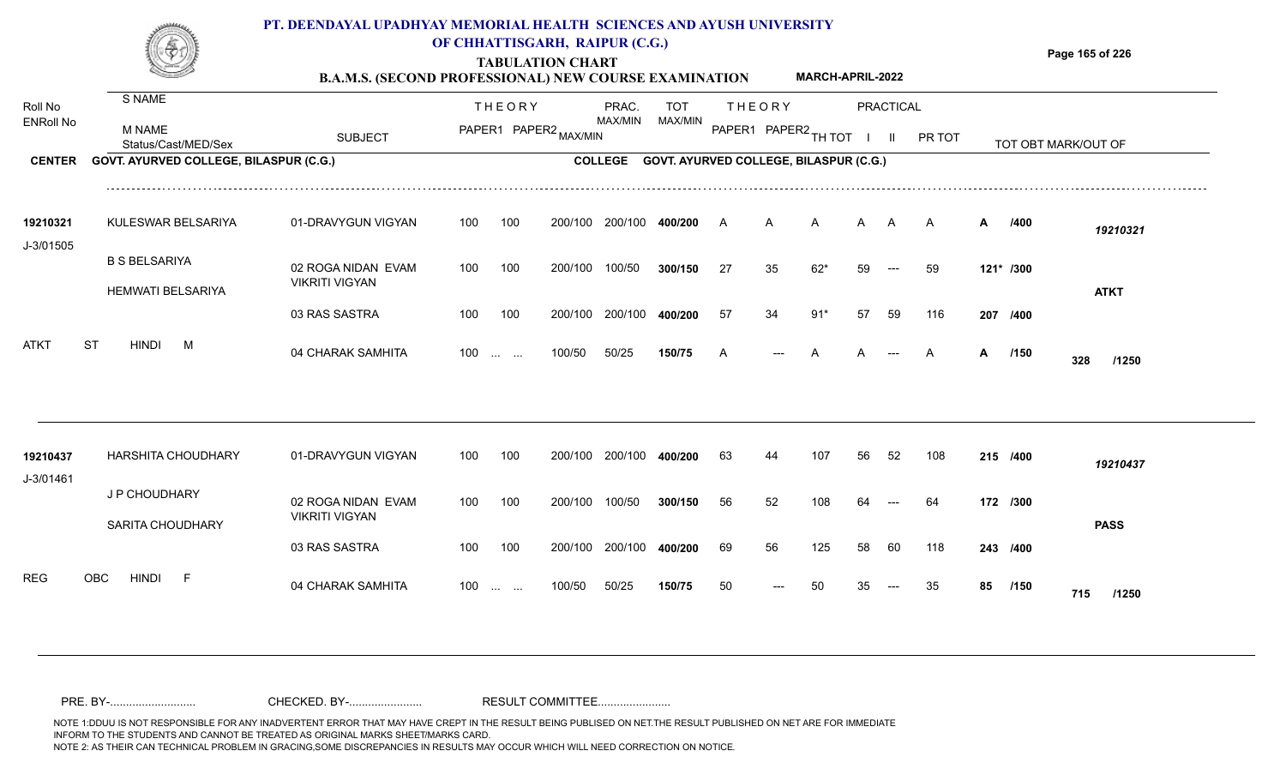

### **OF CHHATTISGARH, RAIPUR (C.G.)**

**Page 165 of 226**

### **TABULATION CHART B.A.M.S. (SECOND PROFESSIONAL) NEW COURSE EXAMINATION MARCH-APRIL-2022**

| Roll No               | S NAME                                           |                                             |     | <b>THEORY</b>            |         | PRAC.          | <b>TOT</b>                             |    | <b>THEORY</b>        |       |    | <b>PRACTICAL</b> |        |    |           |                     |  |
|-----------------------|--------------------------------------------------|---------------------------------------------|-----|--------------------------|---------|----------------|----------------------------------------|----|----------------------|-------|----|------------------|--------|----|-----------|---------------------|--|
| <b>ENRoll No</b>      | M NAME<br>Status/Cast/MED/Sex                    | <b>SUBJECT</b>                              |     | PAPER1 PAPER2 MAX/MIN    |         | MAX/MIN        | MAX/MIN                                |    | PAPER1 PAPER2 TH TOT |       |    | $\mathbf{H}$     | PR TOT |    |           | TOT OBT MARK/OUT OF |  |
| <b>CENTER</b>         | GOVT. AYURVED COLLEGE, BILASPUR (C.G.)           |                                             |     |                          |         | <b>COLLEGE</b> | GOVT. AYURVED COLLEGE, BILASPUR (C.G.) |    |                      |       |    |                  |        |    |           |                     |  |
| 19210321<br>J-3/01505 | KULESWAR BELSARIYA                               | 01-DRAVYGUN VIGYAN                          | 100 | 100                      | 200/100 | 200/100        | 400/200                                | A  | А                    | A     | A  | A                | A      | A  | /400      | 19210321            |  |
|                       | <b>B S BELSARIYA</b><br><b>HEMWATI BELSARIYA</b> | 02 ROGA NIDAN EVAM<br><b>VIKRITI VIGYAN</b> | 100 | 100                      | 200/100 | 100/50         | 300/150                                | 27 | 35                   | $62*$ | 59 | $---$            | 59     |    | 121* /300 | <b>ATKT</b>         |  |
|                       |                                                  | 03 RAS SASTRA                               | 100 | 100                      | 200/100 | 200/100        | 400/200                                | 57 | 34                   | $91*$ | 57 | 59               | 116    |    | 207 /400  |                     |  |
| <b>ATKT</b>           | <b>ST</b><br><b>HINDI</b><br>M                   | 04 CHARAK SAMHITA                           | 100 | <b>Contract Contract</b> | 100/50  | 50/25          | 150/75                                 | A  | ---                  |       |    |                  | A      | A  | /150      | 328<br>/1250        |  |
|                       |                                                  |                                             |     |                          |         |                |                                        |    |                      |       |    |                  |        |    |           |                     |  |
| 19210437<br>J-3/01461 | <b>HARSHITA CHOUDHARY</b>                        | 01-DRAVYGUN VIGYAN                          | 100 | 100                      | 200/100 | 200/100        | 400/200                                | 63 | 44                   | 107   | 56 | 52               | 108    |    | 215 /400  | 19210437            |  |
|                       | J P CHOUDHARY<br><b>SARITA CHOUDHARY</b>         | 02 ROGA NIDAN EVAM<br><b>VIKRITI VIGYAN</b> | 100 | 100                      | 200/100 | 100/50         | 300/150                                | 56 | 52                   | 108   |    |                  | 64     |    | 172 /300  | <b>PASS</b>         |  |
|                       |                                                  | 03 RAS SASTRA                               | 100 | 100                      | 200/100 | 200/100        | 400/200                                | 69 | 56                   | 125   | 58 | 60               | 118    |    | 243 /400  |                     |  |
| <b>REG</b>            | <b>OBC</b><br><b>HINDI</b><br>-F                 | 04 CHARAK SAMHITA                           | 100 | <b>Contract Contract</b> | 100/50  | 50/25          | 150/75                                 | 50 |                      | 50    |    |                  | 35     | 85 | /150      | 715<br>/1250        |  |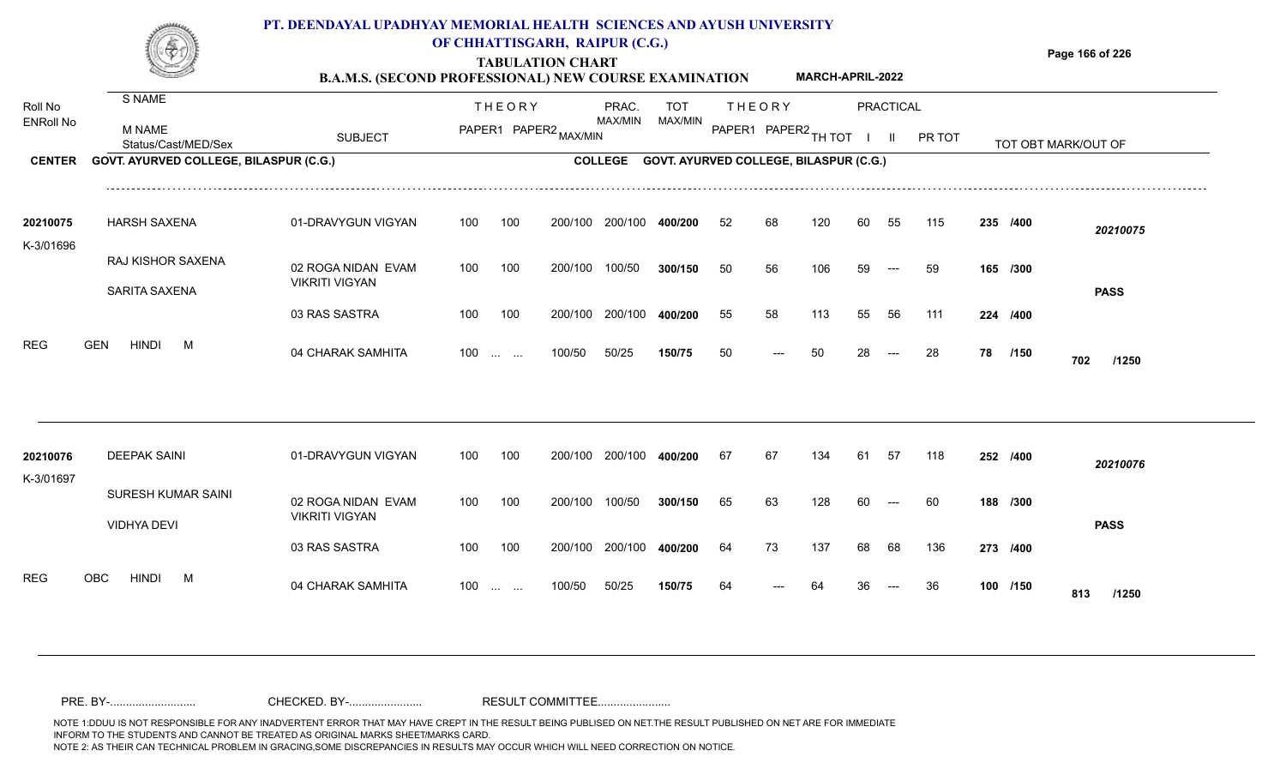

### **OF CHHATTISGARH, RAIPUR (C.G.)**

**Page 166 of 226**

#### **TABULATION CHART B.A.M.S. (SECOND PROFESSIONAL) NEW COURSE EXAMINATION MARCH-APRIL-2022**

| Roll No               | S NAME                                   |                                             |     | <b>THEORY</b>                          |                       | PRAC.          | <b>TOT</b>                             |    | <b>THEORY</b>        |     |    | <b>PRACTICAL</b> |        |    |          |                     |  |
|-----------------------|------------------------------------------|---------------------------------------------|-----|----------------------------------------|-----------------------|----------------|----------------------------------------|----|----------------------|-----|----|------------------|--------|----|----------|---------------------|--|
| <b>ENRoll No</b>      | <b>M NAME</b><br>Status/Cast/MED/Sex     | <b>SUBJECT</b>                              |     |                                        | PAPER1 PAPER2 MAX/MIN | MAX/MIN        | MAX/MIN                                |    | PAPER1 PAPER2 TH TOT |     |    |                  | PR TOT |    |          | TOT OBT MARK/OUT OF |  |
| <b>CENTER</b>         | GOVT. AYURVED COLLEGE, BILASPUR (C.G.)   |                                             |     |                                        |                       | <b>COLLEGE</b> | GOVT. AYURVED COLLEGE, BILASPUR (C.G.) |    |                      |     |    |                  |        |    |          |                     |  |
| 20210075              | <b>HARSH SAXENA</b>                      | 01-DRAVYGUN VIGYAN                          | 100 | 100                                    | 200/100               | 200/100        | 400/200                                | 52 |                      | 120 | 60 | 55               | 115    |    | 235 /400 | 20210075            |  |
| K-3/01696             | RAJ KISHOR SAXENA<br>SARITA SAXENA       | 02 ROGA NIDAN EVAM<br><b>VIKRITI VIGYAN</b> | 100 | 100                                    | 200/100               | 100/50         | 300/150                                | 50 | 56                   | 106 | 59 |                  | 59     |    | 165 /300 | <b>PASS</b>         |  |
|                       |                                          | 03 RAS SASTRA                               | 100 | 100                                    | 200/100               | 200/100        | 400/200                                | 55 | 58                   | 113 | 55 | 56               | 111    |    | 224 /400 |                     |  |
| <b>REG</b>            | <b>HINDI</b><br><b>GEN</b><br>M          | 04 CHARAK SAMHITA                           | 100 | <b>Section Contract</b>                | 100/50                | 50/25          | 150/75                                 | 50 |                      | 50  | 28 |                  | 28     | 78 | /150     | 702<br>/1250        |  |
|                       |                                          |                                             |     |                                        |                       |                |                                        |    |                      |     |    |                  |        |    |          |                     |  |
| 20210076<br>K-3/01697 | <b>DEEPAK SAINI</b>                      | 01-DRAVYGUN VIGYAN                          | 100 | 100                                    | 200/100               | 200/100        | 400/200                                | 67 | 67                   | 134 | 61 | 57               | 118    |    | 252 /400 | 20210076            |  |
|                       | SURESH KUMAR SAINI<br><b>VIDHYA DEVI</b> | 02 ROGA NIDAN EVAM<br><b>VIKRITI VIGYAN</b> | 100 | 100                                    | 200/100               | 100/50         | 300/150                                | 65 | 63                   | 128 | 60 |                  | 60     |    | 188 /300 | <b>PASS</b>         |  |
|                       |                                          | 03 RAS SASTRA                               | 100 | 100                                    | 200/100               | 200/100        | 400/200                                | 64 | 73                   | 137 | 68 | 68               | 136    |    | 273 /400 |                     |  |
| <b>REG</b>            | <b>HINDI</b><br><b>OBC</b><br>M          | 04 CHARAK SAMHITA                           | 100 | $\mathbf{r}$ . The set of $\mathbf{r}$ | 100/50                | 50/25          | 150/75                                 | 64 |                      |     |    |                  | 36     |    | 100 /150 | 813<br>/1250        |  |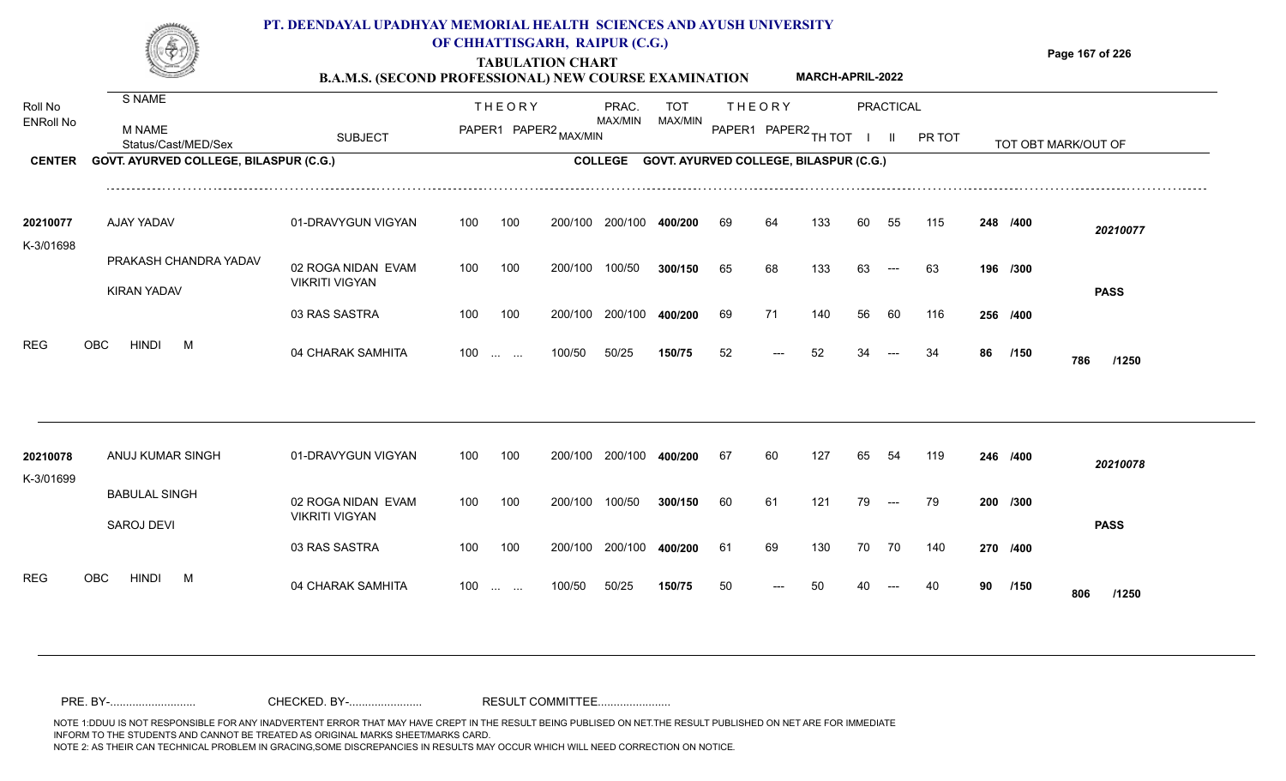

### **OF CHHATTISGARH, RAIPUR (C.G.)**

**Page 167 of 226**

#### **TABULATION CHART B.A.M.S. (SECOND PROFESSIONAL) NEW COURSE EXAMINATION MARCH-APRIL-2022**

| Roll No               | S NAME                                 |                                             |     | <b>THEORY</b>            |         | PRAC.          | <b>TOT</b>                             |    | <b>THEORY</b>        |     |    | <b>PRACTICAL</b> |        |    |          |                     |
|-----------------------|----------------------------------------|---------------------------------------------|-----|--------------------------|---------|----------------|----------------------------------------|----|----------------------|-----|----|------------------|--------|----|----------|---------------------|
| <b>ENRoll No</b>      | M NAME<br>Status/Cast/MED/Sex          | <b>SUBJECT</b>                              |     | PAPER1 PAPER2 MAX/MIN    |         | MAX/MIN        | MAX/MIN                                |    | PAPER1 PAPER2 TH TOT |     |    | $\mathbf{H}$     | PR TOT |    |          | TOT OBT MARK/OUT OF |
| <b>CENTER</b>         | GOVT. AYURVED COLLEGE, BILASPUR (C.G.) |                                             |     |                          |         | <b>COLLEGE</b> | GOVT. AYURVED COLLEGE, BILASPUR (C.G.) |    |                      |     |    |                  |        |    |          |                     |
| 20210077              | AJAY YADAV                             | 01-DRAVYGUN VIGYAN                          | 100 | 100                      | 200/100 | 200/100        | 400/200                                | 69 | 64                   | 133 | 60 | 55               | 115    |    | 248 /400 | 20210077            |
| K-3/01698             |                                        |                                             |     |                          |         |                |                                        |    |                      |     |    |                  |        |    |          |                     |
|                       | PRAKASH CHANDRA YADAV                  | 02 ROGA NIDAN EVAM                          | 100 | 100                      | 200/100 | 100/50         | 300/150                                | 65 | 68                   | 133 | 63 |                  | 63     |    | 196 /300 |                     |
|                       | <b>KIRAN YADAV</b>                     | <b>VIKRITI VIGYAN</b>                       |     |                          |         |                |                                        |    |                      |     |    |                  |        |    |          | <b>PASS</b>         |
|                       |                                        | 03 RAS SASTRA                               | 100 | 100                      | 200/100 | 200/100        | 400/200                                | 69 | 71                   | 140 | 56 | 60               | 116    |    | 256 /400 |                     |
| <b>REG</b>            | <b>HINDI</b><br><b>OBC</b><br>M        | 04 CHARAK SAMHITA                           |     | $100$                    | 100/50  | 50/25          | 150/75                                 | 52 |                      | 52  |    |                  | 34     | 86 | /150     | 786<br>/1250        |
|                       |                                        |                                             |     |                          |         |                |                                        |    |                      |     |    |                  |        |    |          |                     |
| 20210078<br>K-3/01699 | ANUJ KUMAR SINGH                       | 01-DRAVYGUN VIGYAN                          | 100 | 100                      | 200/100 | 200/100        | 400/200                                | 67 | 60                   | 127 | 65 | 54               | 119    |    | 246 /400 | 20210078            |
|                       | <b>BABULAL SINGH</b>                   | 02 ROGA NIDAN EVAM<br><b>VIKRITI VIGYAN</b> | 100 | 100                      | 200/100 | 100/50         | 300/150                                | 60 | 61                   | 121 | 79 |                  | 79     |    | 200 /300 |                     |
|                       | SAROJ DEVI                             |                                             |     |                          |         |                |                                        |    |                      |     |    |                  |        |    |          | <b>PASS</b>         |
|                       |                                        | 03 RAS SASTRA                               | 100 | 100                      | 200/100 | 200/100        | 400/200                                | 61 | 69                   | 130 | 70 | 70               | 140    |    | 270 /400 |                     |
| <b>REG</b>            | OBC<br><b>HINDI</b><br>M               | 04 CHARAK SAMHITA                           | 100 | <b>Contract Contract</b> | 100/50  | 50/25          | 150/75                                 | 50 |                      |     |    |                  |        | 90 | /150     | 806<br>/1250        |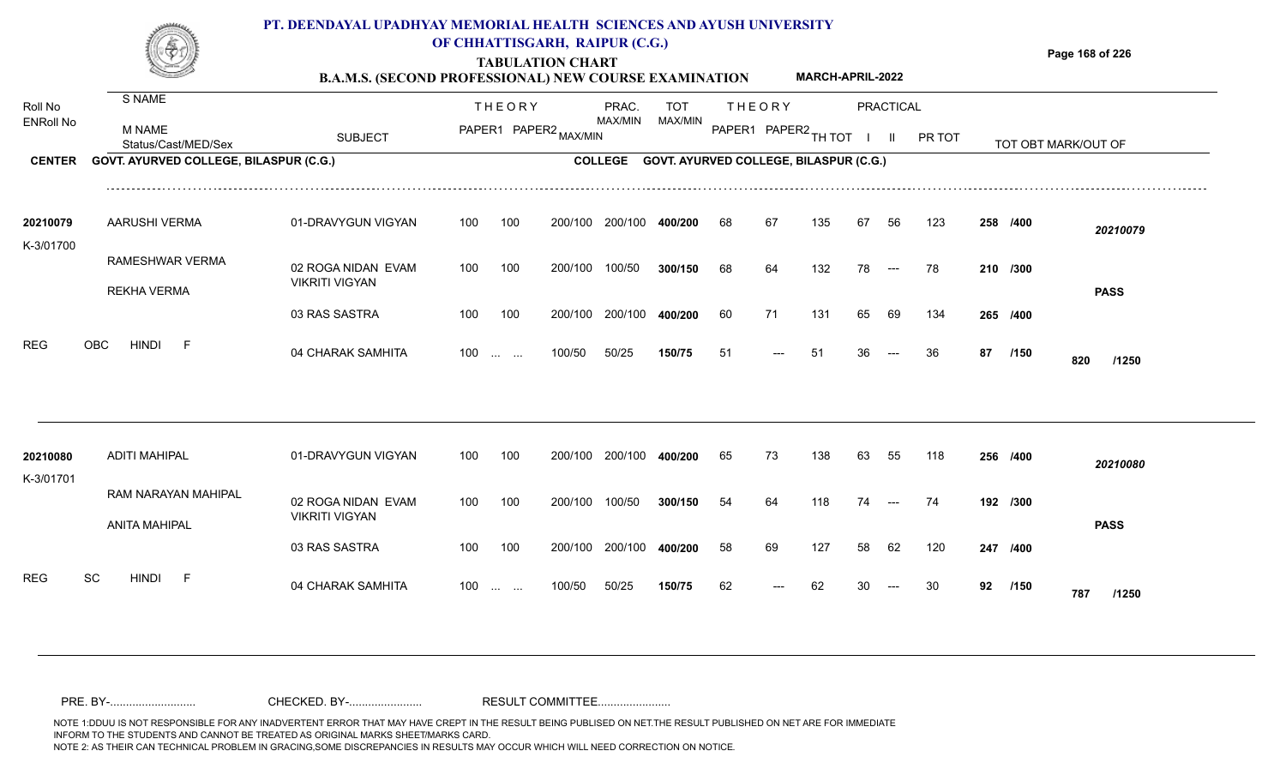

### **OF CHHATTISGARH, RAIPUR (C.G.)**

**Page 168 of 226**

**MARCH-APRIL-2022**

### **TABULATION CHART B.A.M.S. (SECOND PROFESSIONAL) NEW COURSE EXAMINATION**

| Roll No          | S NAME                                 |                                             |     | <b>THEORY</b>                                  |         | PRAC.          | <b>TOT</b>                             |    | <b>THEORY</b>        |     |    | <b>PRACTICAL</b> |        |    |          |                     |
|------------------|----------------------------------------|---------------------------------------------|-----|------------------------------------------------|---------|----------------|----------------------------------------|----|----------------------|-----|----|------------------|--------|----|----------|---------------------|
| <b>ENRoll No</b> | <b>M NAME</b><br>Status/Cast/MED/Sex   | <b>SUBJECT</b>                              |     | PAPER1 PAPER2 MAX/MIN                          |         | MAX/MIN        | MAX/MIN                                |    | PAPER1 PAPER2 TH TOT |     |    |                  | PR TOT |    |          | TOT OBT MARK/OUT OF |
| <b>CENTER</b>    | GOVT. AYURVED COLLEGE, BILASPUR (C.G.) |                                             |     |                                                |         | <b>COLLEGE</b> | GOVT. AYURVED COLLEGE, BILASPUR (C.G.) |    |                      |     |    |                  |        |    |          |                     |
| 20210079         | <b>AARUSHI VERMA</b>                   | 01-DRAVYGUN VIGYAN                          | 100 | 100                                            | 200/100 | 200/100        | 400/200                                | 68 | 67                   | 135 | 67 | 56               | 123    |    | 258 /400 | 20210079            |
| K-3/01700        | RAMESHWAR VERMA<br><b>REKHA VERMA</b>  | 02 ROGA NIDAN EVAM<br><b>VIKRITI VIGYAN</b> | 100 | 100                                            | 200/100 | 100/50         | 300/150                                | 68 | 64                   | 132 | 78 | $---$            | 78     |    | 210 /300 | <b>PASS</b>         |
|                  |                                        | 03 RAS SASTRA                               | 100 | 100                                            | 200/100 | 200/100        | 400/200                                | 60 | 71                   | 131 | 65 | 69               | 134    |    | 265 /400 |                     |
| <b>REG</b>       | <b>HINDI</b><br><b>OBC</b><br>-F       | 04 CHARAK SAMHITA                           |     | $100$                                          | 100/50  | 50/25          | 150/75                                 | 51 |                      | 51  |    |                  | 36     | 87 | /150     | 820<br>/1250        |
| 20210080         | <b>ADITI MAHIPAL</b>                   | 01-DRAVYGUN VIGYAN                          | 100 | 100                                            | 200/100 | 200/100        | 400/200                                | 65 | 73                   | 138 | 63 | 55               | 118    |    | 256 /400 |                     |
| K-3/01701        | RAM NARAYAN MAHIPAL                    |                                             |     |                                                |         |                |                                        |    |                      |     |    |                  |        |    |          | 20210080            |
|                  | <b>ANITA MAHIPAL</b>                   | 02 ROGA NIDAN EVAM<br><b>VIKRITI VIGYAN</b> | 100 | 100                                            | 200/100 | 100/50         | 300/150                                | 54 | 64                   | 118 | 74 |                  | 74     |    | 192 /300 | <b>PASS</b>         |
|                  |                                        | 03 RAS SASTRA                               | 100 | 100                                            | 200/100 | 200/100        | 400/200                                | 58 | 69                   | 127 | 58 | 62               | 120    |    | 247 /400 |                     |
| <b>REG</b>       | SC<br><b>HINDI</b><br>- F              | 04 CHARAK SAMHITA                           | 100 | $\mathbf{r}$ and $\mathbf{r}$ and $\mathbf{r}$ | 100/50  | 50/25          | 150/75                                 | 62 |                      |     |    |                  | 30     | 92 | /150     | 787<br>/1250        |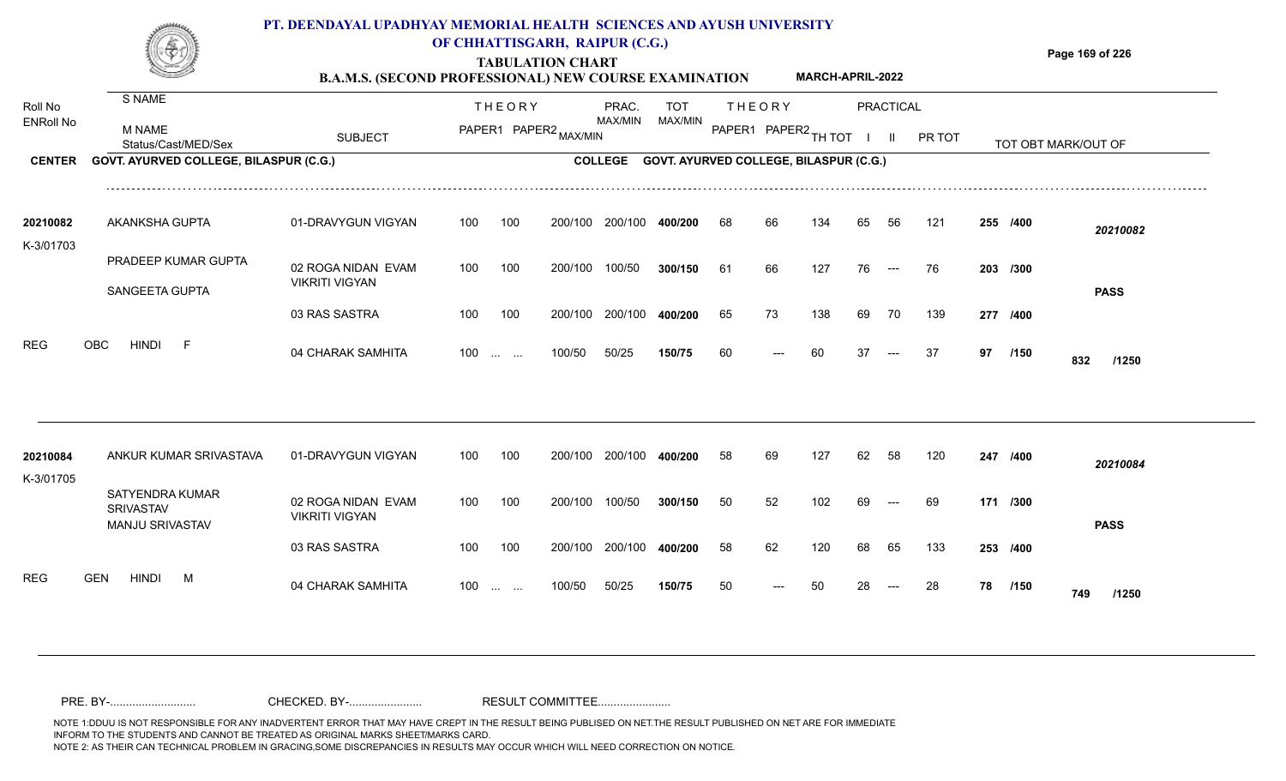

## **OF CHHATTISGARH, RAIPUR (C.G.)**

**Page 169 of 226**

#### **TABULATION CHART B.A.M.S. (SECOND PROFESSIONAL) NEW COURSE EXAMINATION MARCH-APRIL-2022**

| Roll No<br><b>ENRoll No</b> | <b>S NAME</b><br><b>M NAME</b>                                | <b>SUBJECT</b>                              |     | <b>THEORY</b>                                                 | PAPER1 PAPER2 MAX/MIN | PRAC.<br>MAX/MIN | <b>TOT</b><br>MAX/MIN                  |    | <b>THEORY</b><br>PAPER1 PAPER2 TH TOT |     |    | <b>PRACTICAL</b><br>$\mathbf{II}$ | PR TOT |    |          |                     |  |
|-----------------------------|---------------------------------------------------------------|---------------------------------------------|-----|---------------------------------------------------------------|-----------------------|------------------|----------------------------------------|----|---------------------------------------|-----|----|-----------------------------------|--------|----|----------|---------------------|--|
| <b>CENTER</b>               | Status/Cast/MED/Sex<br>GOVT. AYURVED COLLEGE, BILASPUR (C.G.) |                                             |     |                                                               |                       | <b>COLLEGE</b>   | GOVT. AYURVED COLLEGE, BILASPUR (C.G.) |    |                                       |     |    |                                   |        |    |          | TOT OBT MARK/OUT OF |  |
|                             |                                                               |                                             |     |                                                               |                       |                  |                                        |    |                                       |     |    |                                   |        |    |          |                     |  |
| 20210082                    | AKANKSHA GUPTA                                                | 01-DRAVYGUN VIGYAN                          | 100 | 100                                                           | 200/100               | 200/100          | 400/200                                | 68 | 66                                    | 134 | 65 | 56                                | 121    |    | 255 /400 | 20210082            |  |
| K-3/01703                   | PRADEEP KUMAR GUPTA                                           | 02 ROGA NIDAN EVAM                          | 100 | 100                                                           | 200/100               | 100/50           | 300/150                                | 61 | 66                                    | 127 | 76 | $--$                              | 76     |    | 203 /300 |                     |  |
|                             | SANGEETA GUPTA                                                | <b>VIKRITI VIGYAN</b><br>03 RAS SASTRA      | 100 | 100                                                           | 200/100               | 200/100          | 400/200                                | 65 | 73                                    | 138 | 69 | 70                                | 139    |    | 277 /400 | <b>PASS</b>         |  |
| <b>REG</b>                  | <b>HINDI</b><br><b>OBC</b><br>- F                             | 04 CHARAK SAMHITA                           | 100 | $\mathcal{L}_{\mathcal{F}}$ , and $\mathcal{L}_{\mathcal{F}}$ | 100/50                | 50/25            | 150/75                                 | 60 |                                       | 60  | 37 |                                   | 37     | 97 | /150     | 832<br>/1250        |  |
|                             | ANKUR KUMAR SRIVASTAVA                                        |                                             | 100 | 100                                                           | 200/100               | 200/100          | 400/200                                |    |                                       | 127 |    | 58                                | 120    |    |          |                     |  |
| 20210084<br>K-3/01705       |                                                               | 01-DRAVYGUN VIGYAN                          |     |                                                               |                       |                  |                                        | 58 | 69                                    |     | 62 |                                   |        |    | 247 /400 | 20210084            |  |
|                             | SATYENDRA KUMAR<br><b>SRIVASTAV</b><br>MANJU SRIVASTAV        | 02 ROGA NIDAN EVAM<br><b>VIKRITI VIGYAN</b> | 100 | 100                                                           | 200/100               | 100/50           | 300/150                                | 50 | 52                                    | 102 | 69 |                                   | 69     |    | 171 /300 | <b>PASS</b>         |  |
|                             |                                                               | 03 RAS SASTRA                               | 100 | 100                                                           | 200/100               | 200/100          | 400/200                                | 58 | 62                                    | 120 | 68 | 65                                | 133    |    | 253 /400 |                     |  |
| <b>REG</b>                  | <b>GEN</b><br>HINDI<br>M                                      | 04 CHARAK SAMHITA                           | 100 | $\sim 10^{-10}$ and $\sim 10^{-10}$                           | 100/50                | 50/25            | 150/75                                 | 50 |                                       | 50  |    |                                   | 28     | 78 | /150     | 749<br>/1250        |  |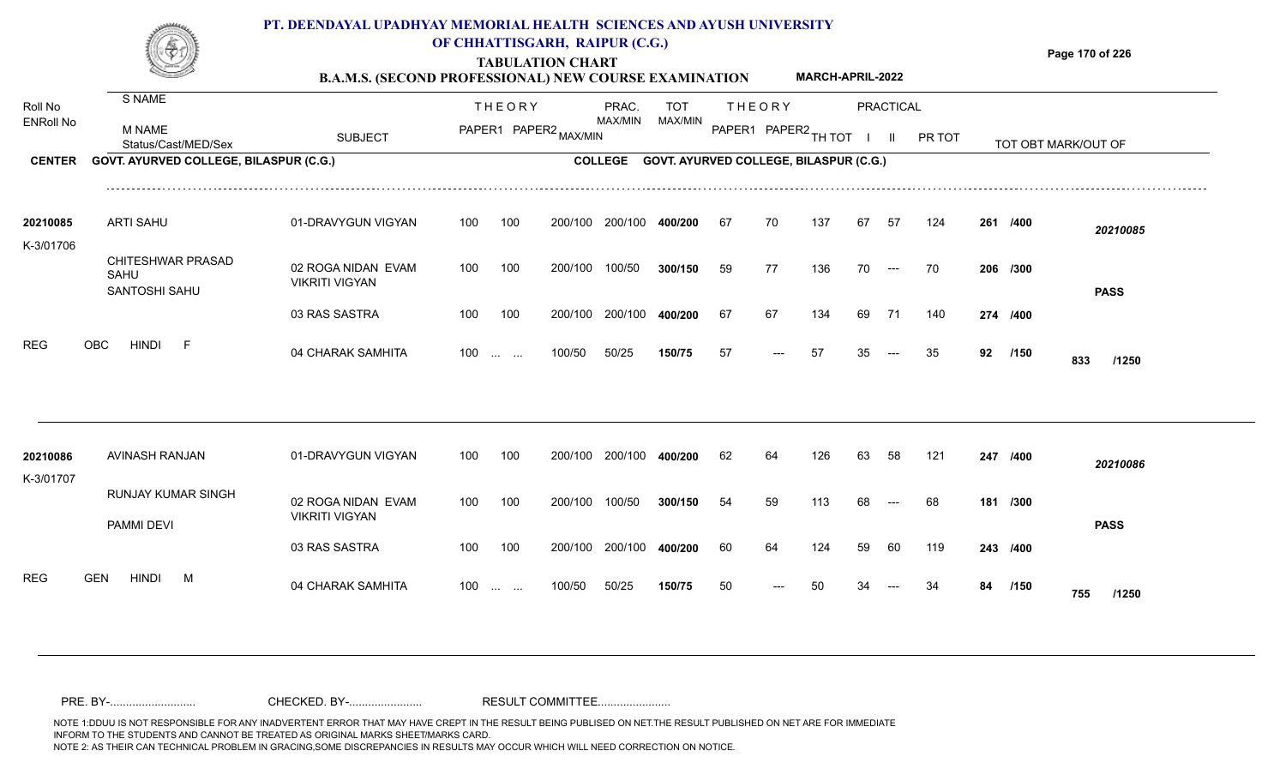

### **OF CHHATTISGARH, RAIPUR (C.G.)**

**Page 170 of 226**

### **TABULATION CHART B.A.M.S. (SECOND PROFESSIONAL) NEW COURSE EXAMINATION MARCH-APRIL-2022**

| Roll No<br><b>ENRoll No</b> | S NAME<br><b>M NAME</b>                                       | <b>SUBJECT</b>                              |     | <b>THEORY</b>            | PAPER1 PAPER2 MAX/MIN | PRAC.<br>MAX/MIN | <b>TOT</b><br>MAX/MIN                          |    | <b>THEORY</b><br>PAPER1 PAPER2 TH TOT |     |    | <b>PRACTICAL</b><br>$\mathbf{H}$ | PR TOT |    |          |                     |
|-----------------------------|---------------------------------------------------------------|---------------------------------------------|-----|--------------------------|-----------------------|------------------|------------------------------------------------|----|---------------------------------------|-----|----|----------------------------------|--------|----|----------|---------------------|
| <b>CENTER</b>               | Status/Cast/MED/Sex<br>GOVT. AYURVED COLLEGE, BILASPUR (C.G.) |                                             |     |                          |                       |                  | COLLEGE GOVT. AYURVED COLLEGE, BILASPUR (C.G.) |    |                                       |     |    |                                  |        |    |          | TOT OBT MARK/OUT OF |
|                             |                                                               |                                             |     |                          |                       |                  |                                                |    |                                       |     |    |                                  |        |    |          |                     |
| 20210085                    | <b>ARTI SAHU</b>                                              | 01-DRAVYGUN VIGYAN                          | 100 | 100                      | 200/100               | 200/100          | 400/200                                        | 67 | 70                                    | 137 | 67 | -57                              | 124    |    | 261 /400 | 20210085            |
| K-3/01706                   | CHITESHWAR PRASAD<br>SAHU<br>SANTOSHI SAHU                    | 02 ROGA NIDAN EVAM<br><b>VIKRITI VIGYAN</b> | 100 | 100                      | 200/100               | 100/50           | 300/150                                        | 59 | 77                                    | 136 | 70 | $\hspace{0.05cm}---$             | 70     |    | 206 /300 | <b>PASS</b>         |
|                             |                                                               | 03 RAS SASTRA                               | 100 | 100                      | 200/100               | 200/100          | 400/200                                        | 67 | 67                                    | 134 | 69 | 71                               | 140    |    | 274 /400 |                     |
| <b>REG</b>                  | <b>OBC</b><br><b>HINDI</b><br>-F                              | 04 CHARAK SAMHITA                           |     | $100$                    | 100/50                | 50/25            | 150/75                                         | 57 | ---                                   | 57  | 35 | $---$                            | 35     | 92 | /150     | 833<br>/1250        |
|                             |                                                               |                                             |     |                          |                       |                  |                                                |    |                                       |     |    |                                  |        |    |          |                     |
| 20210086<br>K-3/01707       | AVINASH RANJAN                                                | 01-DRAVYGUN VIGYAN                          | 100 | 100                      | 200/100               | 200/100          | 400/200                                        | 62 | 64                                    | 126 | 63 | 58                               | 121    |    | 247 /400 | 20210086            |
|                             | RUNJAY KUMAR SINGH<br>PAMMI DEVI                              | 02 ROGA NIDAN EVAM<br><b>VIKRITI VIGYAN</b> | 100 | 100                      | 200/100               | 100/50           | 300/150                                        | 54 | 59                                    | 113 | 68 | $---$                            | 68     |    | 181 /300 | <b>PASS</b>         |
|                             |                                                               | 03 RAS SASTRA                               | 100 | 100                      | 200/100               | 200/100          | 400/200                                        | 60 | 64                                    | 124 |    | 60                               | 119    |    | 243 /400 |                     |
| <b>REG</b>                  | <b>HINDI</b><br><b>GEN</b><br>M                               | 04 CHARAK SAMHITA                           | 100 | <b>Contract Contract</b> | 100/50                | 50/25            | 150/75                                         | 50 |                                       |     |    |                                  |        | 84 | /150     | 755<br>/1250        |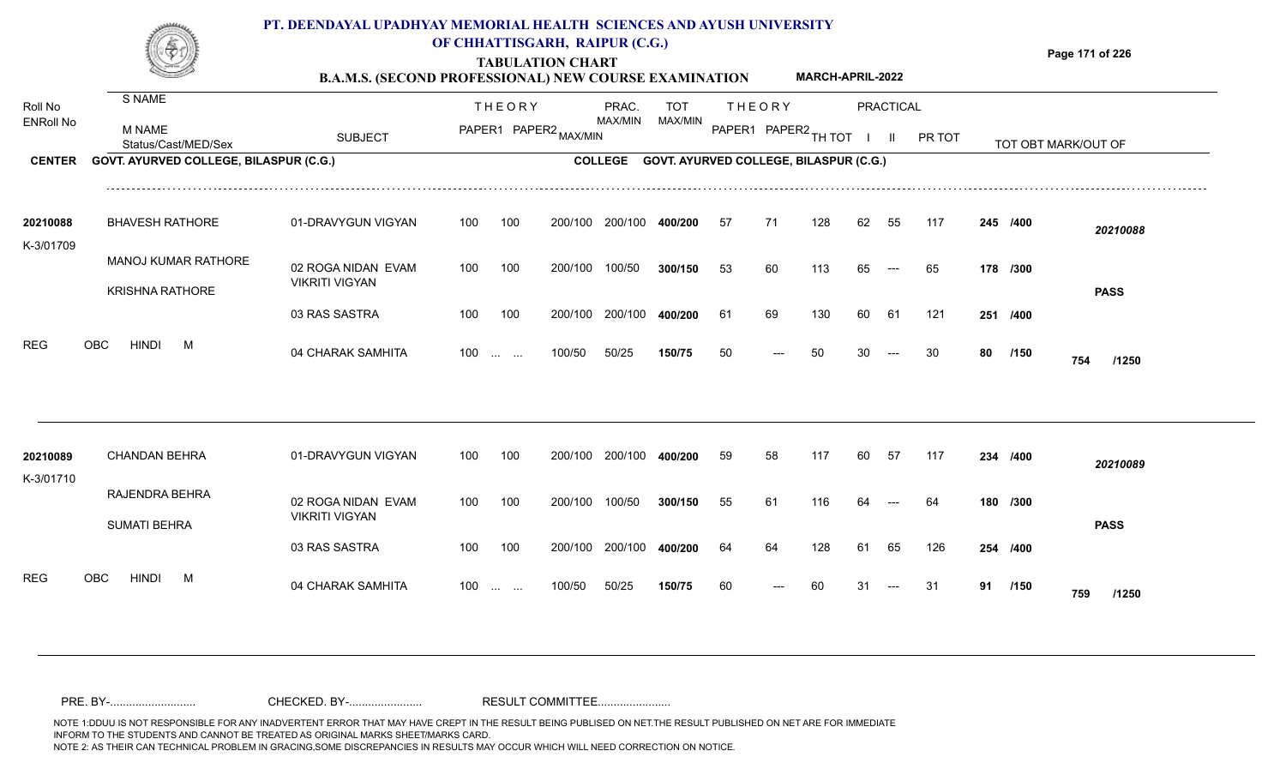

### **TABULATION CHART OF CHHATTISGARH, RAIPUR (C.G.)**

**Page 171 of 226**

#### **B.A.M.S. (SECOND PROFESSIONAL) NEW COURSE EXAMINATION MARCH-APRIL-2022**

| Roll No               | S NAME                                               |                                             |     | <b>THEORY</b>                                             |                       | PRAC.          | TOT                                    |    | <b>THEORY</b>        |     |    | <b>PRACTICAL</b> |        |    |          |                     |  |
|-----------------------|------------------------------------------------------|---------------------------------------------|-----|-----------------------------------------------------------|-----------------------|----------------|----------------------------------------|----|----------------------|-----|----|------------------|--------|----|----------|---------------------|--|
| <b>ENRoll No</b>      | <b>M NAME</b><br>Status/Cast/MED/Sex                 | <b>SUBJECT</b>                              |     |                                                           | PAPER1 PAPER2 MAX/MIN | MAX/MIN        | MAX/MIN                                |    | PAPER1 PAPER2 TH TOT |     |    | $\mathbf{II}$    | PR TOT |    |          | TOT OBT MARK/OUT OF |  |
| <b>CENTER</b>         | GOVT. AYURVED COLLEGE, BILASPUR (C.G.)               |                                             |     |                                                           |                       | <b>COLLEGE</b> | GOVT. AYURVED COLLEGE, BILASPUR (C.G.) |    |                      |     |    |                  |        |    |          |                     |  |
| 20210088<br>K-3/01709 | <b>BHAVESH RATHORE</b>                               | 01-DRAVYGUN VIGYAN                          | 100 | 100                                                       | 200/100               | 200/100        | 400/200                                | 57 | 71                   | 128 | 62 | 55               | 117    |    | 245 /400 | 20210088            |  |
|                       | <b>MANOJ KUMAR RATHORE</b><br><b>KRISHNA RATHORE</b> | 02 ROGA NIDAN EVAM<br><b>VIKRITI VIGYAN</b> | 100 | 100                                                       | 200/100               | 100/50         | 300/150                                | 53 | 60                   | 113 | 65 | $---$            | 65     |    | 178 /300 | <b>PASS</b>         |  |
|                       |                                                      | 03 RAS SASTRA                               | 100 | 100                                                       | 200/100               | 200/100        | 400/200                                | 61 | 69                   | 130 | 60 | 61               | 121    |    | 251 /400 |                     |  |
| <b>REG</b>            | <b>OBC</b><br><b>HINDI</b><br>M                      | 04 CHARAK SAMHITA                           | 100 | $\mathbf{r}$ , $\mathbf{r}$ , $\mathbf{r}$ , $\mathbf{r}$ | 100/50                | 50/25          | 150/75                                 | 50 |                      | 50  |    |                  | 30     | 80 | /150     | 754<br>/1250        |  |
| 20210089              | <b>CHANDAN BEHRA</b>                                 | 01-DRAVYGUN VIGYAN                          | 100 | 100                                                       | 200/100               | 200/100        | 400/200                                | 59 | 58                   | 117 | 60 | 57               | 117    |    | 234 /400 |                     |  |
| K-3/01710             |                                                      |                                             |     |                                                           |                       |                |                                        |    |                      |     |    |                  |        |    |          | 20210089            |  |
|                       | RAJENDRA BEHRA<br><b>SUMATI BEHRA</b>                | 02 ROGA NIDAN EVAM<br><b>VIKRITI VIGYAN</b> | 100 | 100                                                       | 200/100               | 100/50         | 300/150                                | 55 | 61                   | 116 |    |                  | 64     |    | 180 /300 | <b>PASS</b>         |  |
|                       |                                                      | 03 RAS SASTRA                               | 100 | 100                                                       | 200/100               | 200/100        | 400/200                                | 64 | 64                   | 128 | 61 | 65               | 126    |    | 254 /400 |                     |  |
| <b>REG</b>            | <b>OBC</b><br><b>HINDI</b><br>M                      | 04 CHARAK SAMHITA                           | 100 | <b>Contract Contract</b>                                  | 100/50                | 50/25          | 150/75                                 | 60 |                      | 60  | 31 |                  | -31    | 91 | /150     | 759<br>/1250        |  |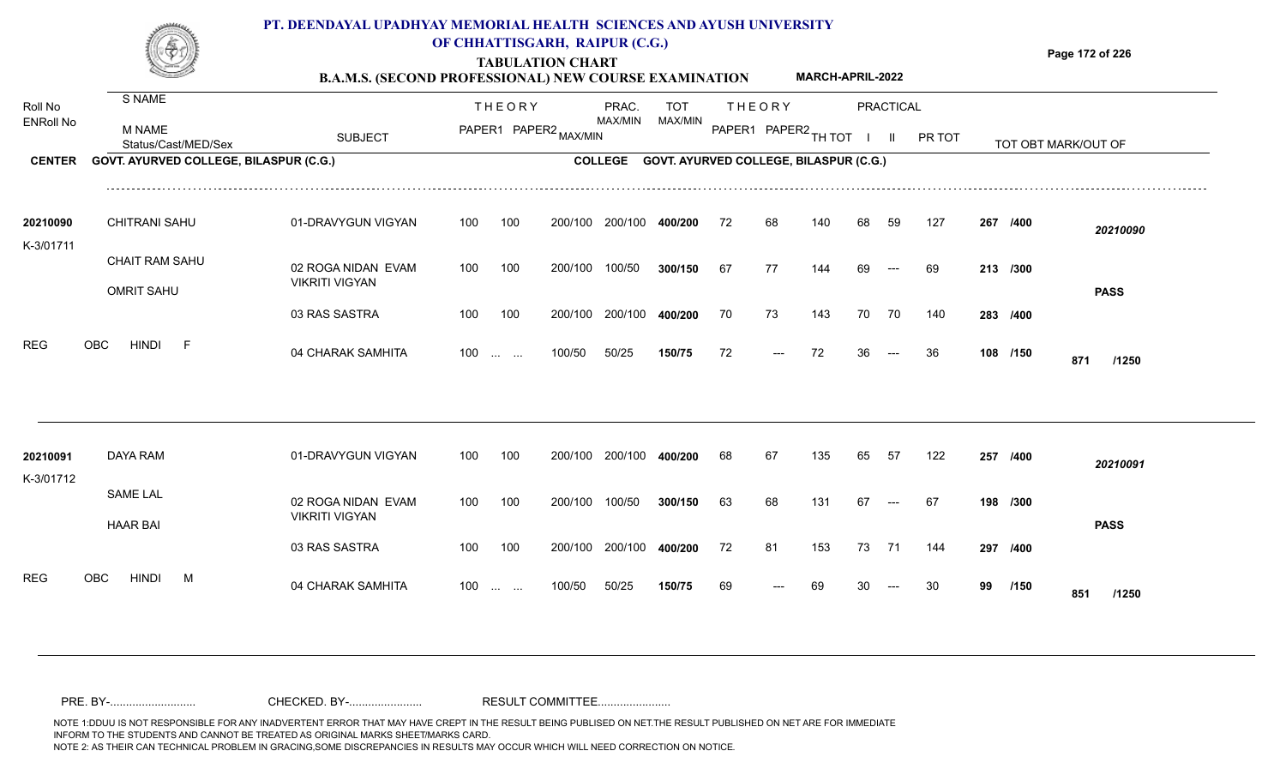

## **OF CHHATTISGARH, RAIPUR (C.G.)**

**Page 172 of 226**

#### **TABULATION CHART B.A.M.S. (SECOND PROFESSIONAL) NEW COURSE EXAMINATION MARCH-APRIL-2022**

| Roll No<br><b>ENRoll No</b><br><b>CENTER</b> | S NAME<br><b>M NAME</b><br>Status/Cast/MED/Sex<br>GOVT. AYURVED COLLEGE, BILASPUR (C.G.)  | <b>SUBJECT</b>                                                                     |                   | <b>THEORY</b><br>PAPER1 PAPER2 MAX/MIN |                               | PRAC.<br>MAX/MIN             | TOT<br>MAX/MIN<br>COLLEGE GOVT. AYURVED COLLEGE, BILASPUR (C.G.) |                | <b>THEORY</b><br>PAPER1 PAPER2 TH TOT |                   |                | <b>PRACTICAL</b><br>$\mathbf{II}$ | PR TOT           |    |                                  | TOT OBT MARK/OUT OF     |  |
|----------------------------------------------|-------------------------------------------------------------------------------------------|------------------------------------------------------------------------------------|-------------------|----------------------------------------|-------------------------------|------------------------------|------------------------------------------------------------------|----------------|---------------------------------------|-------------------|----------------|-----------------------------------|------------------|----|----------------------------------|-------------------------|--|
| 20210090<br>K-3/01711<br><b>REG</b>          | <b>CHITRANI SAHU</b><br>CHAIT RAM SAHU<br><b>OMRIT SAHU</b><br><b>HINDI</b><br>OBC<br>- F | 01-DRAVYGUN VIGYAN<br>02 ROGA NIDAN EVAM<br><b>VIKRITI VIGYAN</b><br>03 RAS SASTRA | 100<br>100<br>100 | 100<br>100<br>100                      | 200/100<br>200/100<br>200/100 | 200/100<br>100/50<br>200/100 | 400/200<br>300/150<br>400/200                                    | 72<br>67<br>70 | 68<br>77<br>73                        | 140<br>144<br>143 | 68<br>69<br>70 | 59<br>$---$<br>70                 | 127<br>69<br>140 |    | 267 /400<br>213 /300<br>283 /400 | 20210090<br><b>PASS</b> |  |
|                                              |                                                                                           | 04 CHARAK SAMHITA                                                                  | $100 \dots \dots$ |                                        | 100/50                        | 50/25                        | 150/75                                                           | 72             | $---$                                 | 72                | 36             | $---$                             | 36               |    | 108 /150                         | 871<br>/1250            |  |
| 20210091<br>K-3/01712                        | DAYA RAM<br><b>SAME LAL</b>                                                               | 01-DRAVYGUN VIGYAN                                                                 | 100               | 100                                    | 200/100                       | 200/100                      | 400/200                                                          | 68             | 67                                    | 135               | 65             | 57                                | 122              |    | 257 /400                         | 20210091                |  |
|                                              | <b>HAAR BAI</b>                                                                           | 02 ROGA NIDAN EVAM<br><b>VIKRITI VIGYAN</b><br>03 RAS SASTRA                       | 100<br>100        | 100<br>100                             | 200/100<br>200/100            | 100/50<br>200/100            | 300/150<br>400/200                                               | 63<br>72       | 68<br>81                              | 131<br>153        | 67<br>73       | $---$<br>71                       | 67<br>144        |    | 198 /300<br>297 /400             | <b>PASS</b>             |  |
| <b>REG</b>                                   | <b>HINDI</b><br>OBC<br>M                                                                  | 04 CHARAK SAMHITA                                                                  | 100               | <b>Contract Contract</b>               | 100/50                        | 50/25                        | 150/75                                                           | 69             | $---$                                 | 69                | 30             | $---$                             | 30               | 99 | /150                             | 851<br>/1250            |  |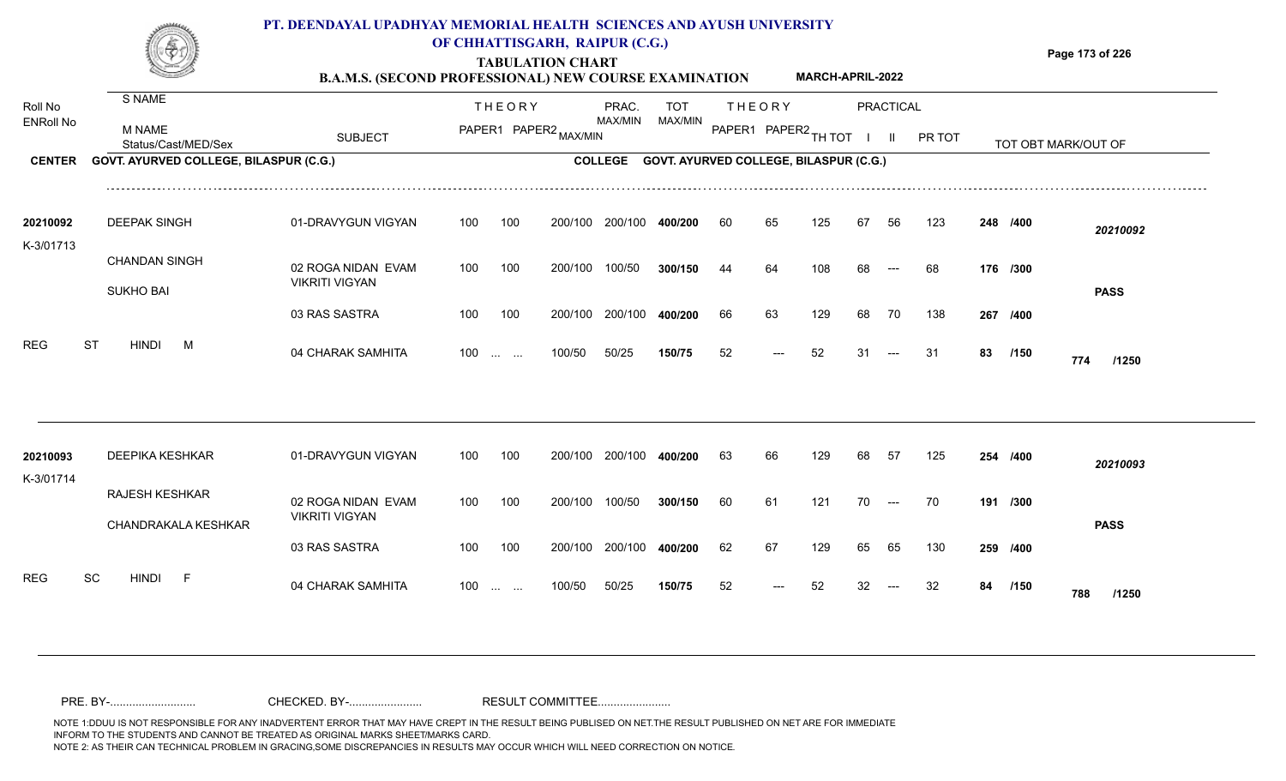

## **OF CHHATTISGARH, RAIPUR (C.G.)**

**Page 173 of 226**

### **TABULATION CHART B.A.M.S. (SECOND PROFESSIONAL) NEW COURSE EXAMINATION MARCH-APRIL-2022**

| Roll No<br><b>ENRoll No</b> | S NAME<br>M NAME                       |                       |     | <b>THEORY</b><br>PAPER1 PAPER2 MAX/MIN |         | PRAC.<br>MAX/MIN | <b>TOT</b><br>MAX/MIN                          |    | <b>THEORY</b><br>PAPER1 PAPER2 TH TOT |     |    | <b>PRACTICAL</b>    |        |    |          |                     |  |
|-----------------------------|----------------------------------------|-----------------------|-----|----------------------------------------|---------|------------------|------------------------------------------------|----|---------------------------------------|-----|----|---------------------|--------|----|----------|---------------------|--|
|                             | Status/Cast/MED/Sex                    | <b>SUBJECT</b>        |     |                                        |         |                  |                                                |    |                                       |     |    | H.                  | PR TOT |    |          | TOT OBT MARK/OUT OF |  |
| <b>CENTER</b>               | GOVT. AYURVED COLLEGE, BILASPUR (C.G.) |                       |     |                                        |         |                  | COLLEGE GOVT. AYURVED COLLEGE, BILASPUR (C.G.) |    |                                       |     |    |                     |        |    |          |                     |  |
| 20210092                    | <b>DEEPAK SINGH</b>                    | 01-DRAVYGUN VIGYAN    | 100 | 100                                    | 200/100 | 200/100          | 400/200                                        | 60 | 65                                    | 125 | 67 | 56                  | 123    |    | 248 /400 | 20210092            |  |
| K-3/01713                   |                                        |                       |     |                                        |         |                  |                                                |    |                                       |     |    |                     |        |    |          |                     |  |
|                             | <b>CHANDAN SINGH</b>                   | 02 ROGA NIDAN EVAM    | 100 | 100                                    | 200/100 | 100/50           | 300/150                                        | 44 | 64                                    | 108 | 68 | $---$               | 68     |    | 176 /300 |                     |  |
|                             | <b>SUKHO BAI</b>                       | <b>VIKRITI VIGYAN</b> |     |                                        |         |                  |                                                |    |                                       |     |    |                     |        |    |          | <b>PASS</b>         |  |
|                             |                                        | 03 RAS SASTRA         | 100 | 100                                    | 200/100 | 200/100          | 400/200                                        | 66 | 63                                    | 129 | 68 | 70                  | 138    |    | 267 /400 |                     |  |
| <b>REG</b>                  | <b>ST</b><br><b>HINDI</b><br>M         | 04 CHARAK SAMHITA     | 100 | $\sim 100$ and $\sim 100$              | 100/50  | 50/25            | 150/75                                         | 52 | $---$                                 | 52  | 31 | $---$               | 31     | 83 | /150     | 774<br>/1250        |  |
|                             |                                        |                       |     |                                        |         |                  |                                                |    |                                       |     |    |                     |        |    |          |                     |  |
| 20210093<br>K-3/01714       | DEEPIKA KESHKAR                        | 01-DRAVYGUN VIGYAN    | 100 | 100                                    | 200/100 | 200/100          | 400/200                                        | 63 | 66                                    | 129 | 68 | - 57                | 125    |    | 254 /400 | 20210093            |  |
|                             | <b>RAJESH KESHKAR</b>                  | 02 ROGA NIDAN EVAM    | 100 | 100                                    | 200/100 | 100/50           | 300/150                                        | 60 | 61                                    | 121 | 70 | $\qquad \qquad - -$ | 70     |    | 191 /300 |                     |  |
|                             | CHANDRAKALA KESHKAR                    | <b>VIKRITI VIGYAN</b> |     |                                        |         |                  |                                                |    |                                       |     |    |                     |        |    |          | <b>PASS</b>         |  |
|                             |                                        | 03 RAS SASTRA         | 100 | 100                                    | 200/100 | 200/100          | 400/200                                        | 62 | 67                                    | 129 | 65 | 65                  | 130    |    | 259 /400 |                     |  |
| <b>REG</b>                  | <b>SC</b><br><b>HINDI</b><br>$-F$      | 04 CHARAK SAMHITA     | 100 | <b>Section Contract</b>                | 100/50  | 50/25            | 150/75                                         | 52 |                                       | 52  |    |                     | 32     | 84 | /150     | 788<br>/1250        |  |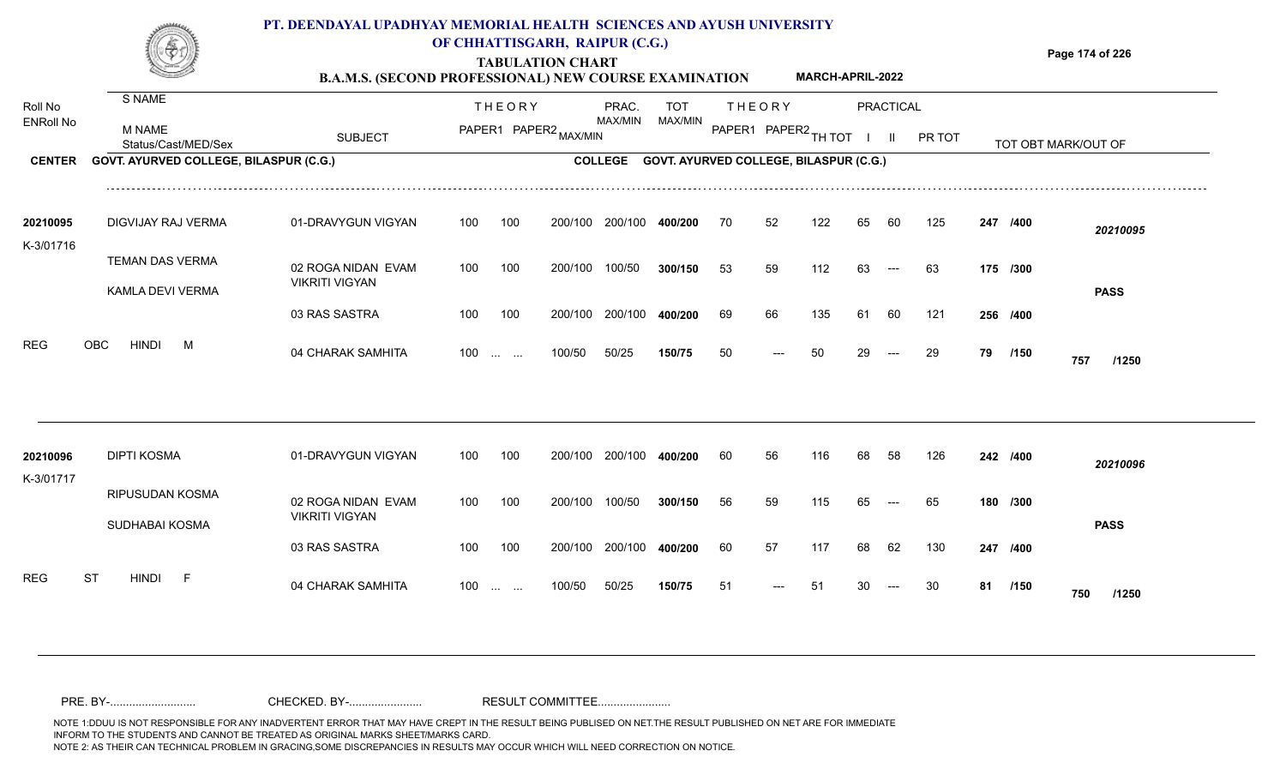

## **OF CHHATTISGARH, RAIPUR (C.G.)**

**Page 174 of 226**

### **TABULATION CHART B.A.M.S. (SECOND PROFESSIONAL) NEW COURSE EXAMINATION MARCH-APRIL-2022**

| Roll No<br><b>ENRoll No</b> | S NAME                                 |                                             |     | <b>THEORY</b>            |         | PRAC.          | <b>TOT</b>                             |    | <b>THEORY</b>        |     |    | PRACTICAL |        |    |          |                     |  |
|-----------------------------|----------------------------------------|---------------------------------------------|-----|--------------------------|---------|----------------|----------------------------------------|----|----------------------|-----|----|-----------|--------|----|----------|---------------------|--|
|                             | M NAME<br>Status/Cast/MED/Sex          | <b>SUBJECT</b>                              |     | PAPER1 PAPER2 MAX/MIN    |         | <b>MAX/MIN</b> | MAX/MIN                                |    | PAPER1 PAPER2 TH TOT |     |    |           | PR TOT |    |          | TOT OBT MARK/OUT OF |  |
| <b>CENTER</b>               | GOVT. AYURVED COLLEGE, BILASPUR (C.G.) |                                             |     |                          |         | <b>COLLEGE</b> | GOVT. AYURVED COLLEGE, BILASPUR (C.G.) |    |                      |     |    |           |        |    |          |                     |  |
| 20210095                    | DIGVIJAY RAJ VERMA                     | 01-DRAVYGUN VIGYAN                          | 100 | 100                      | 200/100 | 200/100        | 400/200                                | 70 | 52                   | 122 | 65 | 60        | 125    |    | 247 /400 | 20210095            |  |
| K-3/01716                   | TEMAN DAS VERMA<br>KAMLA DEVI VERMA    | 02 ROGA NIDAN EVAM<br><b>VIKRITI VIGYAN</b> | 100 | 100                      | 200/100 | 100/50         | 300/150                                | 53 | 59                   | 112 | 63 | $---$     | 63     |    | 175 /300 | <b>PASS</b>         |  |
|                             |                                        | 03 RAS SASTRA                               | 100 | 100                      | 200/100 | 200/100        | 400/200                                | 69 | 66                   | 135 | 61 | 60        | 121    |    | 256 /400 |                     |  |
| <b>REG</b>                  | <b>HINDI</b><br><b>OBC</b><br>M        | 04 CHARAK SAMHITA                           |     | $100$                    | 100/50  | 50/25          | 150/75                                 | 50 | ---                  | 50  | 29 | $---$     | 29     | 79 | /150     | 757<br>/1250        |  |
|                             |                                        |                                             |     |                          |         |                |                                        |    |                      |     |    |           |        |    |          |                     |  |
| 20210096<br>K-3/01717       | DIPTI KOSMA                            | 01-DRAVYGUN VIGYAN                          | 100 | 100                      | 200/100 | 200/100        | 400/200                                | 60 | 56                   | 116 | 68 | 58        | 126    |    | 242 /400 | 20210096            |  |
|                             | RIPUSUDAN KOSMA<br>SUDHABAI KOSMA      | 02 ROGA NIDAN EVAM<br><b>VIKRITI VIGYAN</b> | 100 | 100                      | 200/100 | 100/50         | 300/150                                | 56 | 59                   | 115 | 65 |           | 65     |    | 180 /300 | <b>PASS</b>         |  |
|                             |                                        | 03 RAS SASTRA                               | 100 | 100                      | 200/100 | 200/100        | 400/200                                | 60 | 57                   | 117 | 68 | 62        | 130    |    | 247 /400 |                     |  |
| <b>REG</b>                  | ST<br><b>HINDI</b><br>- F              | 04 CHARAK SAMHITA                           | 100 | <b>Contract Contract</b> | 100/50  | 50/25          | 150/75                                 | 51 |                      |     |    |           |        | 81 | /150     | 750<br>/1250        |  |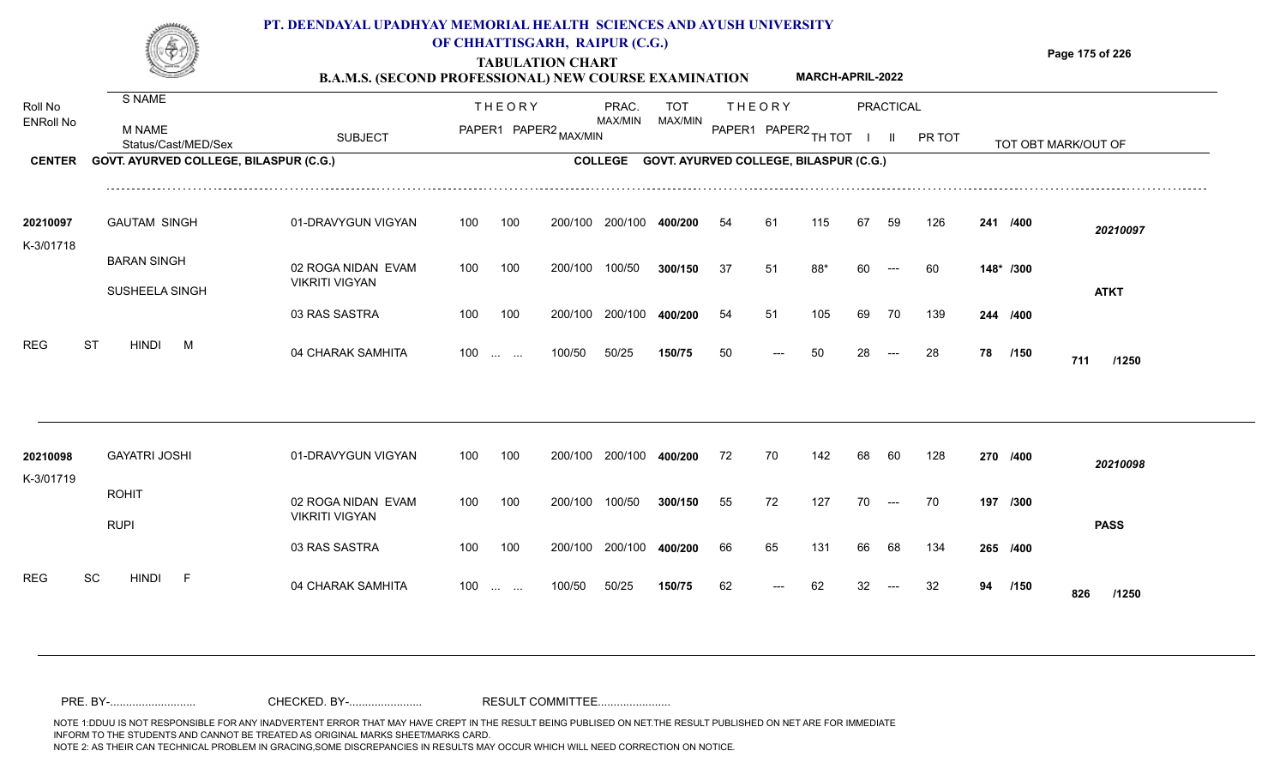

### **OF CHHATTISGARH, RAIPUR (C.G.)**

**Page 175 of 226**

#### **TABULATION CHART B.A.M.S. (SECOND PROFESSIONAL) NEW COURSE EXAMINATION MARCH-APRIL-2022**

| Roll No<br><b>ENRoll No</b><br><b>CENTER</b> | S NAME<br><b>M NAME</b><br>Status/Cast/MED/Sex<br>GOVT. AYURVED COLLEGE, BILASPUR (C.G.) | <b>SUBJECT</b>                              | <b>THEORY</b><br>PAPER1 PAPER2 MAX/MIN |                   |         | PRAC.<br>MAX/MIN<br><b>COLLEGE</b> | TOT<br>MAX/MIN | <b>THEORY</b><br>PAPER1 PAPER2 TH TOT<br><b>GOVT. AYURVED COLLEGE, BILASPUR (C.G.)</b> |     | PRACTICAL<br>$\mathbf{II}$ |    |                                          | PR TOT |    |           | TOT OBT MARK/OUT OF |  |
|----------------------------------------------|------------------------------------------------------------------------------------------|---------------------------------------------|----------------------------------------|-------------------|---------|------------------------------------|----------------|----------------------------------------------------------------------------------------|-----|----------------------------|----|------------------------------------------|--------|----|-----------|---------------------|--|
|                                              |                                                                                          |                                             |                                        |                   |         |                                    |                |                                                                                        |     |                            |    |                                          |        |    |           |                     |  |
| 20210097<br>K-3/01718                        | <b>GAUTAM SINGH</b>                                                                      | 01-DRAVYGUN VIGYAN                          | 100                                    | 100               | 200/100 | 200/100                            | 400/200        | 54                                                                                     | 61  | 115                        | 67 | 59                                       | 126    |    | 241 /400  | 20210097            |  |
|                                              | <b>BARAN SINGH</b><br>SUSHEELA SINGH                                                     | 02 ROGA NIDAN EVAM<br><b>VIKRITI VIGYAN</b> | 100                                    | 100               | 200/100 | 100/50                             | 300/150        | 37                                                                                     | 51  | 88*                        | 60 | $\hspace{0.05cm} \ldots$                 | 60     |    | 148* /300 | <b>ATKT</b>         |  |
|                                              |                                                                                          | 03 RAS SASTRA                               | 100                                    | 100               | 200/100 | 200/100                            | 400/200        | 54                                                                                     | 51  | 105                        | 69 | 70                                       | 139    |    | 244 /400  |                     |  |
| <b>REG</b>                                   | <b>ST</b><br><b>HINDI</b><br>M                                                           | 04 CHARAK SAMHITA                           |                                        | $100 \dots \dots$ | 100/50  | 50/25                              | 150/75         | 50                                                                                     | --- | 50                         | 28 | $\hspace{0.05cm} \ldots \hspace{0.05cm}$ | 28     | 78 | /150      | 711<br>/1250        |  |
|                                              |                                                                                          |                                             |                                        |                   |         |                                    |                |                                                                                        |     |                            |    |                                          |        |    |           |                     |  |
| 20210098<br>K-3/01719                        | <b>GAYATRI JOSHI</b>                                                                     | 01-DRAVYGUN VIGYAN                          | 100                                    | 100               |         | 200/100 200/100                    | 400/200        | 72                                                                                     | 70  | 142                        | 68 | 60                                       | 128    |    | 270 /400  | 20210098            |  |
|                                              | <b>ROHIT</b><br><b>RUPI</b>                                                              | 02 ROGA NIDAN EVAM<br><b>VIKRITI VIGYAN</b> | 100                                    | 100               | 200/100 | 100/50                             | 300/150        | 55                                                                                     | 72  | 127                        | 70 | $\sim$ $\sim$                            | 70     |    | 197 /300  | <b>PASS</b>         |  |
|                                              |                                                                                          | 03 RAS SASTRA                               | 100                                    | 100               |         | 200/100 200/100                    | 400/200        | 66                                                                                     | 65  | 131                        | 66 | 68                                       | 134    |    | 265 /400  |                     |  |
| <b>REG</b>                                   | SC<br><b>HINDI</b><br>$-F$                                                               | 04 CHARAK SAMHITA                           |                                        | $100 \dots \dots$ | 100/50  | 50/25                              | 150/75         | 62                                                                                     |     | 62                         |    |                                          | 32     | 94 | /150      | 826<br>/1250        |  |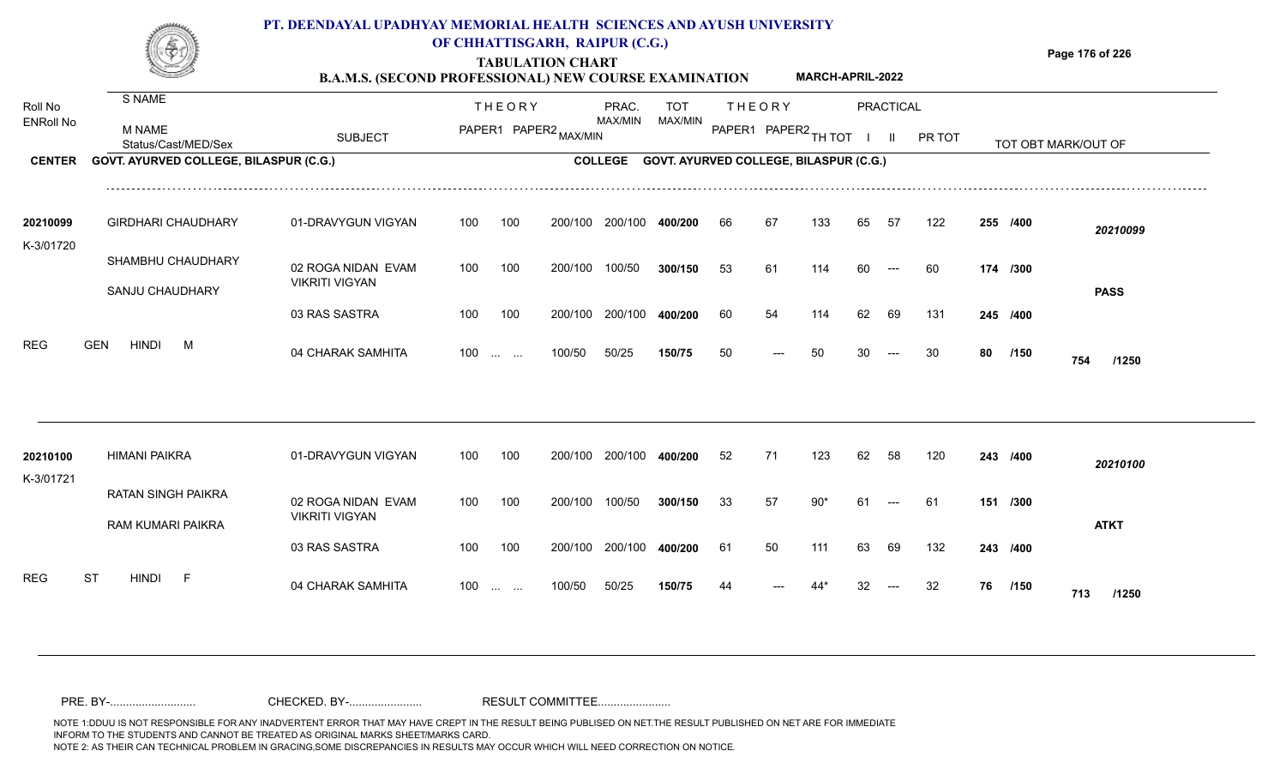

### **OF CHHATTISGARH, RAIPUR (C.G.)**

**Page 176 of 226**

### **TABULATION CHART B.A.M.S. (SECOND PROFESSIONAL) NEW COURSE EXAMINATION MARCH-APRIL-2022**

| Roll No<br><b>ENRoll No</b> | S NAME                                         |                                             |     | <b>THEORY</b>     |                       | PRAC.              | <b>TOT</b>                                    |    | <b>THEORY</b>        |       |    | <b>PRACTICAL</b> |        |    |          |                     |
|-----------------------------|------------------------------------------------|---------------------------------------------|-----|-------------------|-----------------------|--------------------|-----------------------------------------------|----|----------------------|-------|----|------------------|--------|----|----------|---------------------|
|                             | <b>M NAME</b><br>Status/Cast/MED/Sex           | <b>SUBJECT</b>                              |     |                   | PAPER1 PAPER2 MAX/MIN | MAX/MIN<br>MAX/MIN |                                               |    | PAPER1 PAPER2 TH TOT |       |    | Ш.               | PR TOT |    |          | TOT OBT MARK/OUT OF |
| <b>CENTER</b>               | GOVT. AYURVED COLLEGE, BILASPUR (C.G.)         |                                             |     |                   |                       | <b>COLLEGE</b>     | <b>GOVT. AYURVED COLLEGE, BILASPUR (C.G.)</b> |    |                      |       |    |                  |        |    |          |                     |
| 20210099                    | <b>GIRDHARI CHAUDHARY</b>                      | 01-DRAVYGUN VIGYAN                          | 100 | 100               | 200/100               | 200/100            | 400/200                                       | 66 | 67                   | 133   | 65 | 57               | 122    |    | 255 /400 | 20210099            |
| K-3/01720                   | SHAMBHU CHAUDHARY                              |                                             |     |                   |                       |                    |                                               |    |                      |       |    |                  |        |    |          |                     |
|                             |                                                | 02 ROGA NIDAN EVAM<br><b>VIKRITI VIGYAN</b> | 100 | 100               | 200/100               | 100/50             | 300/150                                       | 53 | 61                   | 114   | 60 | $---$            | 60     |    | 174 /300 |                     |
|                             | SANJU CHAUDHARY                                | 03 RAS SASTRA                               | 100 | 100               | 200/100               | 200/100            | 400/200                                       | 60 | 54                   | 114   | 62 | 69               | 131    |    | 245 /400 | <b>PASS</b>         |
| <b>REG</b>                  | <b>HINDI</b><br><b>GEN</b><br>M                | 04 CHARAK SAMHITA                           |     | $100 \dots \dots$ | 100/50                | 50/25              | 150/75                                        | 50 |                      | 50    |    |                  | 30     | 80 | /150     | 754<br>/1250        |
|                             |                                                |                                             |     |                   |                       |                    |                                               |    |                      |       |    |                  |        |    |          |                     |
| 20210100<br>K-3/01721       | <b>HIMANI PAIKRA</b>                           | 01-DRAVYGUN VIGYAN                          | 100 | 100               | 200/100               | 200/100            | 400/200                                       | 52 | 71                   | 123   | 62 | 58               | 120    |    | 243 /400 | 20210100            |
|                             | <b>RATAN SINGH PAIKRA</b><br>RAM KUMARI PAIKRA | 02 ROGA NIDAN EVAM<br><b>VIKRITI VIGYAN</b> | 100 | 100               | 200/100               | 100/50             | 300/150                                       | 33 | 57                   | $90*$ | 61 | ---              | -61    |    | 151 /300 | <b>ATKT</b>         |
|                             |                                                | 03 RAS SASTRA                               | 100 | 100               | 200/100               | 200/100            | 400/200                                       | 61 | 50                   | 111   | 63 | 69               | 132    |    | 243 /400 |                     |
| <b>REG</b>                  | <b>ST</b><br><b>HINDI</b><br>$-F$              | 04 CHARAK SAMHITA                           | 100 | and the same      | 100/50                | 50/25              | 150/75                                        | 44 |                      |       |    |                  | 32     | 76 | /150     | 713<br>/1250        |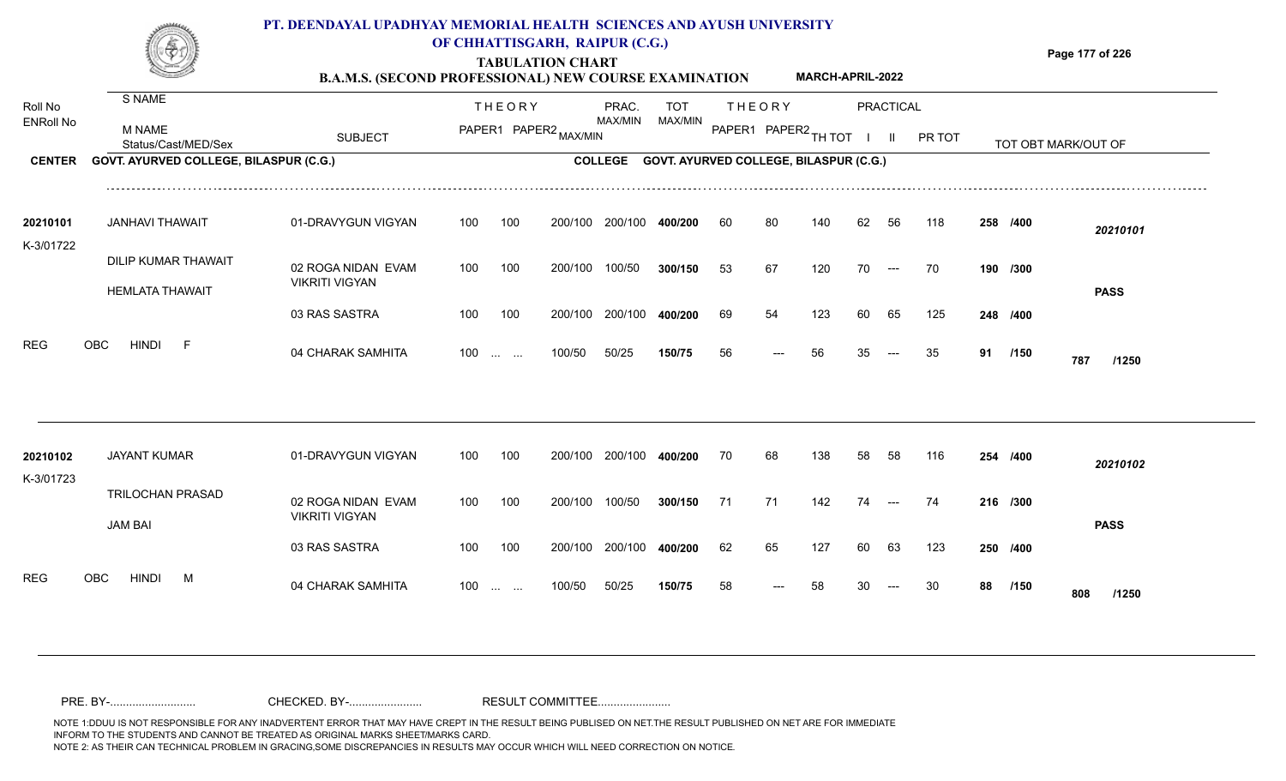

### **OF CHHATTISGARH, RAIPUR (C.G.)**

**Page 177 of 226**

### **TABULATION CHART B.A.M.S. (SECOND PROFESSIONAL) NEW COURSE EXAMINATION MARCH-APRIL-2022**

| Roll No<br><b>ENRoll No</b> | S NAME<br><b>M NAME</b>                |                                             |     | <b>THEORY</b>           | PAPER1 PAPER2 MAX/MIN | PRAC.<br>MAX/MIN | TOT<br>MAX/MIN                                 |    | <b>THEORY</b><br>PAPER1 PAPER2 TH TOT |     |    | PRACTICAL    |        |    |          |                     |  |
|-----------------------------|----------------------------------------|---------------------------------------------|-----|-------------------------|-----------------------|------------------|------------------------------------------------|----|---------------------------------------|-----|----|--------------|--------|----|----------|---------------------|--|
|                             | Status/Cast/MED/Sex                    | <b>SUBJECT</b>                              |     |                         |                       |                  |                                                |    |                                       |     |    | $\mathbf{H}$ | PR TOT |    |          | TOT OBT MARK/OUT OF |  |
| <b>CENTER</b>               | GOVT. AYURVED COLLEGE, BILASPUR (C.G.) |                                             |     |                         |                       |                  | COLLEGE GOVT. AYURVED COLLEGE, BILASPUR (C.G.) |    |                                       |     |    |              |        |    |          |                     |  |
| 20210101<br>K-3/01722       | <b>JANHAVI THAWAIT</b>                 | 01-DRAVYGUN VIGYAN                          | 100 | 100                     | 200/100               | 200/100          | 400/200                                        | 60 | 80                                    | 140 | 62 | 56           | 118    |    | 258 /400 | 20210101            |  |
|                             | DILIP KUMAR THAWAIT                    | 02 ROGA NIDAN EVAM                          | 100 | 100                     | 200/100               | 100/50           | 300/150                                        | 53 | 67                                    | 120 | 70 | $---$        | 70     |    | 190 /300 |                     |  |
|                             | <b>HEMLATA THAWAIT</b>                 | <b>VIKRITI VIGYAN</b><br>03 RAS SASTRA      | 100 | 100                     | 200/100               | 200/100          | 400/200                                        | 69 | 54                                    | 123 | 60 | 65           | 125    |    | 248 /400 | <b>PASS</b>         |  |
|                             |                                        |                                             |     |                         |                       |                  |                                                |    |                                       |     |    |              |        |    |          |                     |  |
| <b>REG</b>                  | OBC<br><b>HINDI</b><br>$-F$            | 04 CHARAK SAMHITA                           |     | $100 \dots \dots$       | 100/50                | 50/25            | 150/75                                         | 56 | ---                                   | 56  | 35 |              | 35     | 91 | /150     | 787<br>/1250        |  |
|                             |                                        |                                             |     |                         |                       |                  |                                                |    |                                       |     |    |              |        |    |          |                     |  |
| 20210102<br>K-3/01723       | <b>JAYANT KUMAR</b>                    | 01-DRAVYGUN VIGYAN                          | 100 | 100                     | 200/100               | 200/100          | 400/200                                        | 70 | 68                                    | 138 | 58 | 58           | 116    |    | 254 /400 | 20210102            |  |
|                             | TRILOCHAN PRASAD                       | 02 ROGA NIDAN EVAM<br><b>VIKRITI VIGYAN</b> | 100 | 100                     | 200/100               | 100/50           | 300/150                                        | 71 | 71                                    | 142 | 74 | $---$        | 74     |    | 216 /300 |                     |  |
|                             | <b>JAM BAI</b>                         | 03 RAS SASTRA                               | 100 | 100                     | 200/100               | 200/100          | 400/200                                        | 62 | 65                                    | 127 | 60 | 63           | 123    |    | 250 /400 | <b>PASS</b>         |  |
| <b>REG</b>                  | OBC<br><b>HINDI</b><br>M               | 04 CHARAK SAMHITA                           | 100 | <b>Section Contract</b> | 100/50                | 50/25            | 150/75                                         | 58 |                                       | 58  |    |              | 30     | 88 | /150     | 808<br>/1250        |  |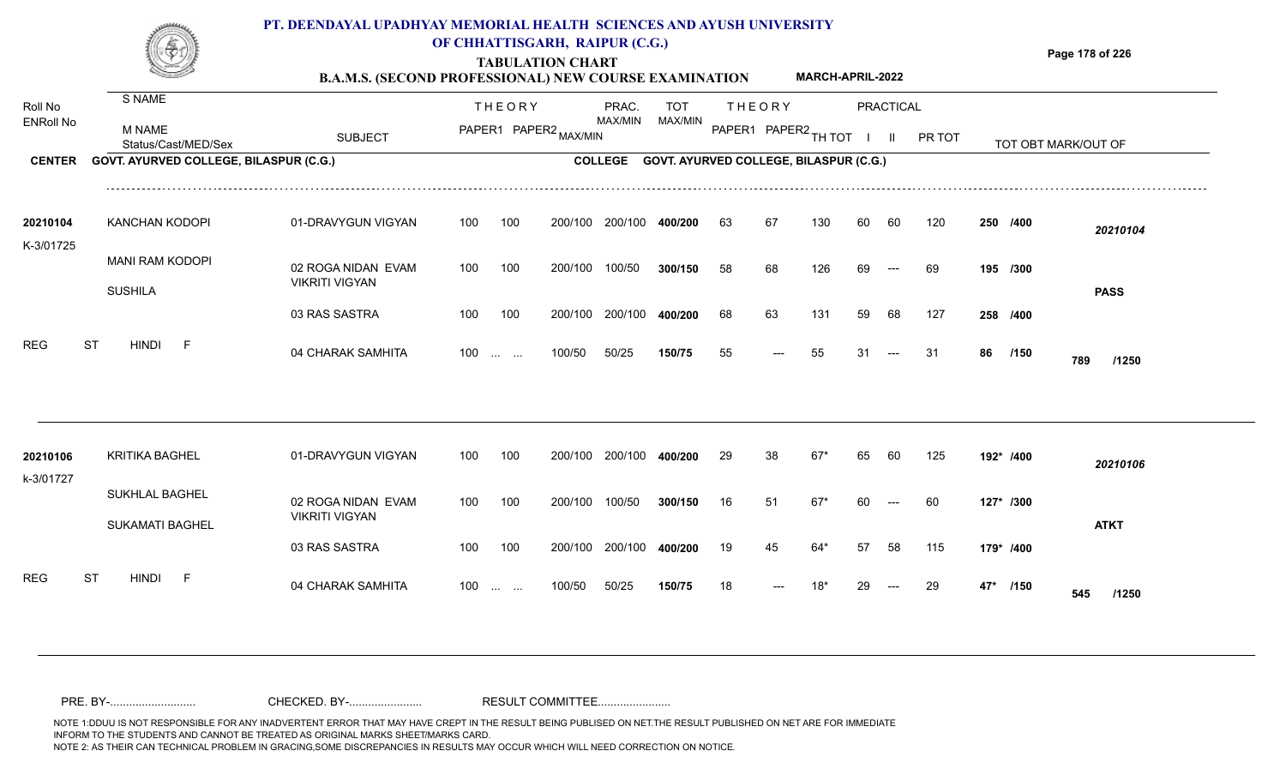

### **OF CHHATTISGARH, RAIPUR (C.G.)**

**Page 178 of 226**

### **TABULATION CHART B.A.M.S. (SECOND PROFESSIONAL) NEW COURSE EXAMINATION MARCH-APRIL-2022**

| Roll No<br><b>ENRoll No</b>  | S NAME<br><b>M NAME</b>                                                                               | <b>SUBJECT</b>                                                                                          | <b>THEORY</b><br>PRAC.<br>TOT<br>MAX/MIN<br>MAX/MIN<br>PAPER1 PAPER2 MAX/MIN                                   |                                         | <b>THEORY</b><br><b>PRACTICAL</b><br>PAPER1 PAPER2 TH TOT<br>PR TOT<br>$\mathbf{II}$ |                                         |                      |                       |                         |                      |                   |                         |                                        |           |                                         |  |
|------------------------------|-------------------------------------------------------------------------------------------------------|---------------------------------------------------------------------------------------------------------|----------------------------------------------------------------------------------------------------------------|-----------------------------------------|--------------------------------------------------------------------------------------|-----------------------------------------|----------------------|-----------------------|-------------------------|----------------------|-------------------|-------------------------|----------------------------------------|-----------|-----------------------------------------|--|
| <b>CENTER</b>                | Status/Cast/MED/Sex<br>GOVT. AYURVED COLLEGE, BILASPUR (C.G.)                                         |                                                                                                         |                                                                                                                |                                         | <b>COLLEGE</b>                                                                       | GOVT. AYURVED COLLEGE, BILASPUR (C.G.)  |                      |                       |                         |                      |                   |                         |                                        |           | TOT OBT MARK/OUT OF                     |  |
| 20210104<br>K-3/01725<br>REG | <b>KANCHAN KODOPI</b><br><b>MANI RAM KODOPI</b><br><b>SUSHILA</b><br><b>ST</b><br><b>HINDI</b><br>- F | 01-DRAVYGUN VIGYAN<br>02 ROGA NIDAN EVAM<br><b>VIKRITI VIGYAN</b><br>03 RAS SASTRA<br>04 CHARAK SAMHITA | 100<br>100<br>100<br>100<br>100<br>100<br>100<br>$\mathcal{L}_{\mathcal{F}}$ , and $\mathcal{L}_{\mathcal{F}}$ | 200/100<br>200/100<br>200/100<br>100/50 | 200/100<br>100/50<br>200/100<br>50/25                                                | 400/200<br>300/150<br>400/200<br>150/75 | 63<br>58<br>68<br>55 | 67<br>68<br>63<br>--- | 130<br>126<br>131<br>55 | 60<br>69<br>59<br>31 | 60<br>$---$<br>68 | 120<br>69<br>127<br>-31 | 250 /400<br>195 /300<br>258 /400<br>86 | /150      | 20210104<br><b>PASS</b><br>789<br>/1250 |  |
| 20210106<br>k-3/01727        | <b>KRITIKA BAGHEL</b><br><b>SUKHLAL BAGHEL</b><br><b>SUKAMATI BAGHEL</b>                              | 01-DRAVYGUN VIGYAN<br>02 ROGA NIDAN EVAM<br><b>VIKRITI VIGYAN</b><br>03 RAS SASTRA                      | 100<br>100<br>100<br>100<br>100<br>100                                                                         | 200/100<br>200/100<br>200/100           | 200/100<br>100/50<br>200/100                                                         | 400/200<br>300/150<br>400/200           | 29<br>16<br>19       | 38<br>51<br>45        | $67*$<br>$67*$<br>64*   | 65<br>60<br>57       | 60<br>$---$<br>58 | 125<br>60<br>115        | 192* /400<br>179* /400                 | 127* /300 | 20210106<br><b>ATKT</b>                 |  |
| <b>REG</b>                   | ST<br><b>HINDI</b><br>- F                                                                             | 04 CHARAK SAMHITA                                                                                       | 100<br><b>Contract Contract</b>                                                                                | 100/50                                  | 50/25                                                                                | 150/75                                  | 18                   | ---                   | 18*                     |                      | $---$             | 29                      | 47*                                    | /150      | 545<br>/1250                            |  |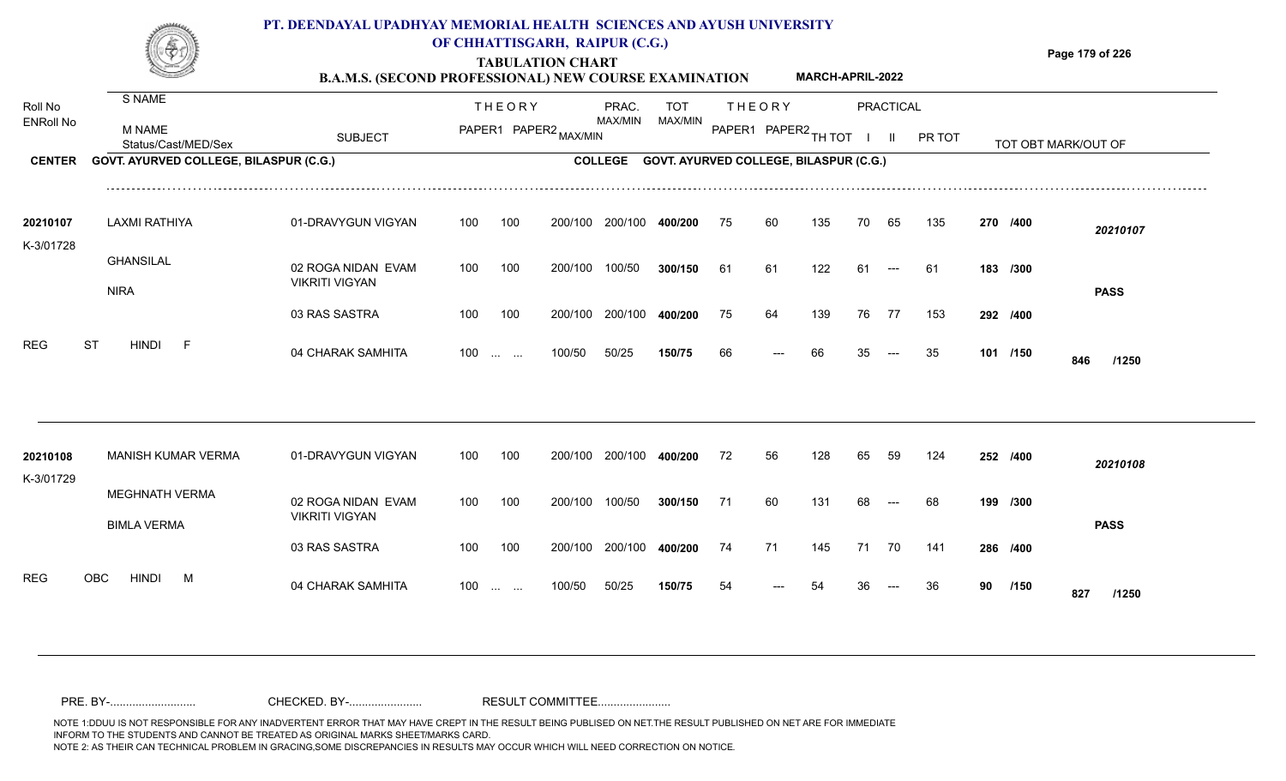

## **OF CHHATTISGARH, RAIPUR (C.G.)**

**Page 179 of 226**

### **TABULATION CHART B.A.M.S. (SECOND PROFESSIONAL) NEW COURSE EXAMINATION MARCH-APRIL-2022**

| Roll No<br><b>ENRoll No</b> | S NAME<br>M NAME<br>Status/Cast/MED/Sex     | <b>SUBJECT</b>                              |     | <b>THEORY</b>                                                 | PAPER1 PAPER2 MAX/MIN | PRAC.<br>MAX/MIN | TOT<br>MAX/MIN                         |    | <b>THEORY</b><br>PAPER1 PAPER2 TH TOT |     |    | <b>PRACTICAL</b><br>$\mathbf{II}$ | PR TOT |    |          | TOT OBT MARK/OUT OF |  |
|-----------------------------|---------------------------------------------|---------------------------------------------|-----|---------------------------------------------------------------|-----------------------|------------------|----------------------------------------|----|---------------------------------------|-----|----|-----------------------------------|--------|----|----------|---------------------|--|
| <b>CENTER</b>               | GOVT. AYURVED COLLEGE, BILASPUR (C.G.)      |                                             |     |                                                               |                       | <b>COLLEGE</b>   | GOVT. AYURVED COLLEGE, BILASPUR (C.G.) |    |                                       |     |    |                                   |        |    |          |                     |  |
| 20210107<br>K-3/01728       | <b>LAXMI RATHIYA</b>                        | 01-DRAVYGUN VIGYAN                          | 100 | 100                                                           | 200/100               | 200/100          | 400/200                                | 75 | 60                                    | 135 | 70 | 65                                | 135    |    | 270 /400 | 20210107            |  |
|                             | <b>GHANSILAL</b>                            | 02 ROGA NIDAN EVAM<br><b>VIKRITI VIGYAN</b> | 100 | 100                                                           | 200/100               | 100/50           | 300/150                                | 61 | 61                                    | 122 | 61 | $---$                             | -61    |    | 183 /300 |                     |  |
|                             | <b>NIRA</b>                                 | 03 RAS SASTRA                               | 100 | 100                                                           | 200/100               | 200/100          | 400/200                                | 75 | 64                                    | 139 | 76 | 77                                | 153    |    | 292 /400 | <b>PASS</b>         |  |
| REG                         | <b>ST</b><br><b>HINDI</b><br>$-F$           | 04 CHARAK SAMHITA                           | 100 | $\mathcal{L}_{\mathcal{F}}$ , and $\mathcal{L}_{\mathcal{F}}$ | 100/50                | 50/25            | 150/75                                 | 66 |                                       | 66  |    |                                   | 35     |    | 101 /150 | 846<br>/1250        |  |
|                             |                                             |                                             |     |                                                               |                       |                  |                                        |    |                                       |     |    |                                   |        |    |          |                     |  |
| 20210108<br>K-3/01729       | <b>MANISH KUMAR VERMA</b>                   | 01-DRAVYGUN VIGYAN                          | 100 | 100                                                           | 200/100               | 200/100          | 400/200                                | 72 | 56                                    | 128 | 65 | 59                                | 124    |    | 252 /400 | 20210108            |  |
|                             | <b>MEGHNATH VERMA</b><br><b>BIMLA VERMA</b> | 02 ROGA NIDAN EVAM<br><b>VIKRITI VIGYAN</b> | 100 | 100                                                           | 200/100               | 100/50           | 300/150                                | 71 | 60                                    | 131 | 68 | $---$                             | 68     |    | 199 /300 | <b>PASS</b>         |  |
|                             |                                             | 03 RAS SASTRA                               | 100 | 100                                                           | 200/100               | 200/100          | 400/200                                | 74 | 71                                    | 145 | 71 | 70                                | 141    |    | 286 /400 |                     |  |
| <b>REG</b>                  | OBC<br><b>HINDI</b><br>M                    | 04 CHARAK SAMHITA                           | 100 | <b>Contract Contract</b>                                      | 100/50                | 50/25            | 150/75                                 | 54 |                                       |     |    |                                   | 36     | 90 | /150     | 827<br>/1250        |  |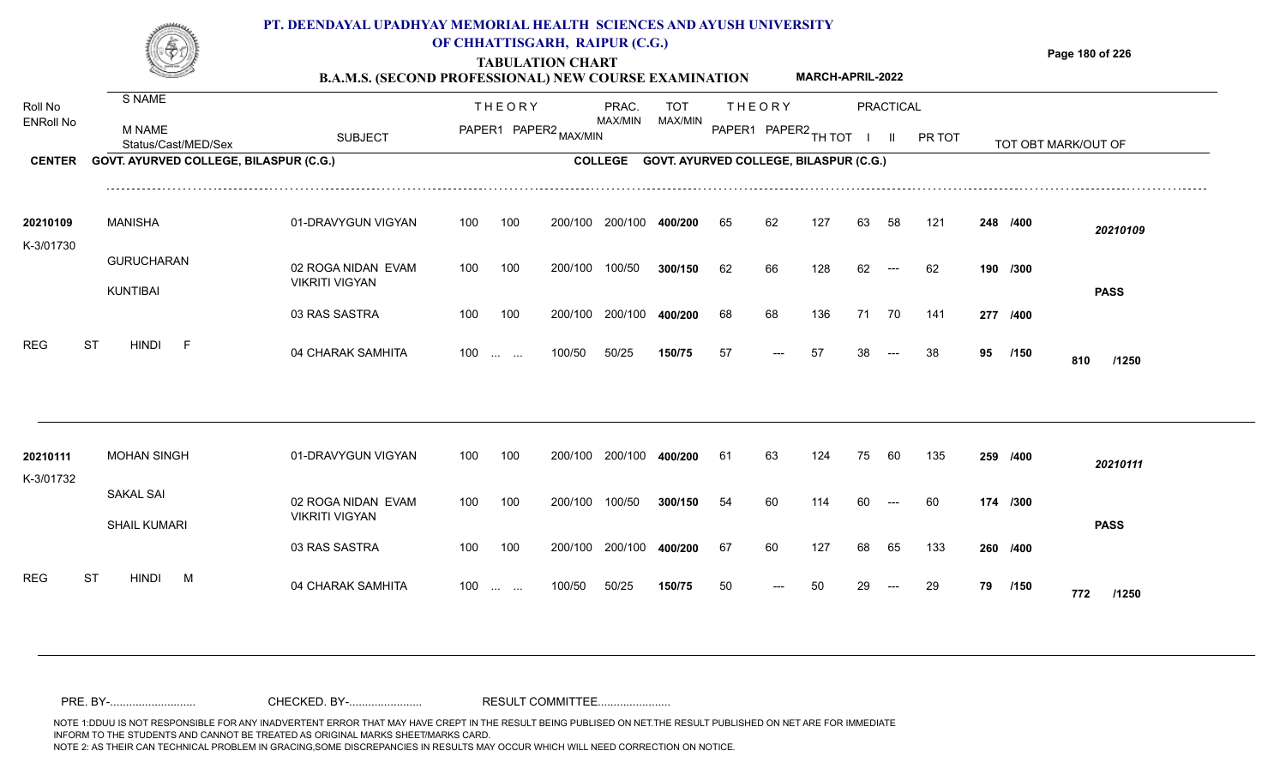

### **OF CHHATTISGARH, RAIPUR (C.G.)**

**Page 180 of 226**

#### **TABULATION CHART B.A.M.S. (SECOND PROFESSIONAL) NEW COURSE EXAMINATION MARCH-APRIL-2022**

| Roll No<br><b>ENRoll No</b> | S NAME                                  |                                             |     | <b>THEORY</b>            |                       | PRAC.<br><b>TOT</b> |                                        | <b>THEORY</b><br><b>PRACTICAL</b> |                      |     |    |       |        |                     |          |              |  |
|-----------------------------|-----------------------------------------|---------------------------------------------|-----|--------------------------|-----------------------|---------------------|----------------------------------------|-----------------------------------|----------------------|-----|----|-------|--------|---------------------|----------|--------------|--|
|                             | <b>M NAME</b><br>Status/Cast/MED/Sex    | <b>SUBJECT</b>                              |     |                          | PAPER1 PAPER2 MAX/MIN | <b>MAX/MIN</b>      | MAX/MIN                                |                                   | PAPER1 PAPER2 TH TOT |     |    | -11-  | PR TOT | TOT OBT MARK/OUT OF |          |              |  |
| <b>CENTER</b>               | GOVT. AYURVED COLLEGE, BILASPUR (C.G.)  |                                             |     |                          |                       | <b>COLLEGE</b>      | GOVT. AYURVED COLLEGE, BILASPUR (C.G.) |                                   |                      |     |    |       |        |                     |          |              |  |
| 20210109<br>K-3/01730       | <b>MANISHA</b>                          | 01-DRAVYGUN VIGYAN                          | 100 | 100                      | 200/100               | 200/100             | 400/200                                | 65                                | 62                   | 127 | 63 | 58    | 121    |                     | 248 /400 | 20210109     |  |
|                             | <b>GURUCHARAN</b><br>KUNTIBAI           | 02 ROGA NIDAN EVAM<br><b>VIKRITI VIGYAN</b> | 100 | 100                      | 200/100               | 100/50              | 300/150                                | 62                                | 66                   | 128 | 62 | $---$ | 62     |                     | 190 /300 | <b>PASS</b>  |  |
|                             |                                         | 03 RAS SASTRA                               | 100 | 100                      | 200/100               | 200/100             | 400/200                                | 68                                | 68                   | 136 | 71 | 70    | 141    |                     | 277 /400 |              |  |
| <b>REG</b>                  | <b>ST</b><br><b>HINDI</b><br>-F         | 04 CHARAK SAMHITA                           |     | $100 \dots \dots$        | 100/50                | 50/25               | 150/75                                 | 57                                | ---                  | 57  | 38 |       | 38     | 95                  | /150     | 810<br>/1250 |  |
|                             |                                         |                                             |     |                          |                       |                     |                                        |                                   |                      |     |    |       |        |                     |          |              |  |
| 20210111<br>K-3/01732       | <b>MOHAN SINGH</b>                      | 01-DRAVYGUN VIGYAN                          | 100 | 100                      | 200/100               | 200/100             | 400/200                                | 61                                | 63                   | 124 | 75 | 60    | 135    |                     | 259 /400 | 20210111     |  |
|                             | <b>SAKAL SAI</b><br><b>SHAIL KUMARI</b> | 02 ROGA NIDAN EVAM<br><b>VIKRITI VIGYAN</b> | 100 | 100                      | 200/100               | 100/50              | 300/150                                | 54                                | 60                   | 114 | 60 |       | 60     |                     | 174 /300 | <b>PASS</b>  |  |
|                             |                                         | 03 RAS SASTRA                               | 100 | 100                      | 200/100               | 200/100             | 400/200                                | 67                                | 60                   | 127 | 68 | 65    | 133    |                     | 260 /400 |              |  |
| <b>REG</b>                  | <b>HINDI</b><br>ST<br>M                 | 04 CHARAK SAMHITA                           | 100 | <b>Contract Contract</b> | 100/50                | 50/25               | 150/75                                 | 50                                |                      | 50  |    |       | 29     | 79                  | /150     | 772<br>/1250 |  |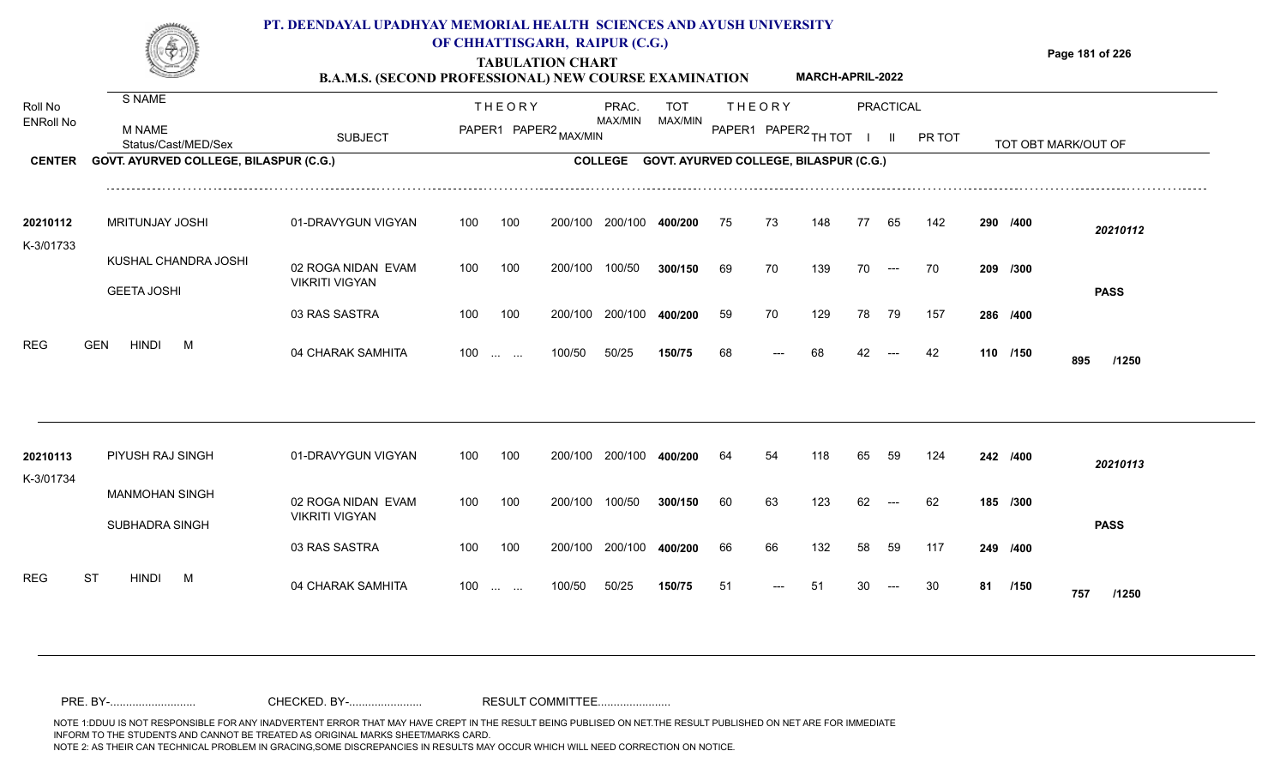

### **OF CHHATTISGARH, RAIPUR (C.G.)**

**Page 181 of 226**

#### **TABULATION CHART B.A.M.S. (SECOND PROFESSIONAL) NEW COURSE EXAMINATION MARCH-APRIL-2022**

| Roll No               | S NAME                                        |                                             |     | <b>THEORY</b>                                  |                       | PRAC.          | TOT                                           |    | <b>THEORY</b>        |     |    | <b>PRACTICAL</b>     |        |    |          |                     |  |
|-----------------------|-----------------------------------------------|---------------------------------------------|-----|------------------------------------------------|-----------------------|----------------|-----------------------------------------------|----|----------------------|-----|----|----------------------|--------|----|----------|---------------------|--|
| <b>ENRoll No</b>      | <b>M NAME</b><br>Status/Cast/MED/Sex          | <b>SUBJECT</b>                              |     |                                                | PAPER1 PAPER2 MAX/MIN | MAX/MIN        | MAX/MIN                                       |    | PAPER1 PAPER2 TH TOT |     |    | $\mathbf{II}$        | PR TOT |    |          | TOT OBT MARK/OUT OF |  |
| <b>CENTER</b>         | <b>GOVT. AYURVED COLLEGE, BILASPUR (C.G.)</b> |                                             |     |                                                |                       | <b>COLLEGE</b> | <b>GOVT. AYURVED COLLEGE, BILASPUR (C.G.)</b> |    |                      |     |    |                      |        |    |          |                     |  |
| 20210112              | <b>MRITUNJAY JOSHI</b>                        | 01-DRAVYGUN VIGYAN                          | 100 | 100                                            | 200/100               | 200/100        | 400/200                                       | 75 | 73                   | 148 | 77 | 65                   | 142    |    | 290 /400 | 20210112            |  |
| K-3/01733             | KUSHAL CHANDRA JOSHI<br><b>GEETA JOSHI</b>    | 02 ROGA NIDAN EVAM<br><b>VIKRITI VIGYAN</b> | 100 | 100                                            | 200/100               | 100/50         | 300/150                                       | 69 | 70                   | 139 | 70 | $\hspace{0.05cm}---$ | 70     |    | 209 /300 | <b>PASS</b>         |  |
|                       |                                               | 03 RAS SASTRA                               | 100 | 100                                            | 200/100               | 200/100        | 400/200                                       | 59 | 70                   | 129 | 78 | 79                   | 157    |    | 286 /400 |                     |  |
| <b>REG</b>            | <b>GEN</b><br><b>HINDI</b><br>M               | 04 CHARAK SAMHITA                           | 100 | $\mathbf{r}$ and $\mathbf{r}$ and $\mathbf{r}$ | 100/50                | 50/25          | 150/75                                        | 68 |                      | 68  |    |                      | 42     |    | 110 /150 | 895<br>/1250        |  |
|                       |                                               |                                             |     |                                                |                       |                |                                               |    |                      |     |    |                      |        |    |          |                     |  |
| 20210113<br>K-3/01734 | PIYUSH RAJ SINGH                              | 01-DRAVYGUN VIGYAN                          | 100 | 100                                            | 200/100               | 200/100        | 400/200                                       | 64 | 54                   | 118 | 65 | 59                   | 124    |    | 242 /400 | 20210113            |  |
|                       | <b>MANMOHAN SINGH</b><br>SUBHADRA SINGH       | 02 ROGA NIDAN EVAM<br><b>VIKRITI VIGYAN</b> | 100 | 100                                            | 200/100               | 100/50         | 300/150                                       | 60 | 63                   | 123 | 62 |                      | 62     |    | 185 /300 | <b>PASS</b>         |  |
|                       |                                               | 03 RAS SASTRA                               | 100 | 100                                            | 200/100               | 200/100        | 400/200                                       | 66 | 66                   | 132 | 58 | 59                   | 117    |    | 249 /400 |                     |  |
| <b>REG</b>            | <b>ST</b><br><b>HINDI</b><br><b>M</b>         | 04 CHARAK SAMHITA                           | 100 | <b>Contract Contract</b>                       | 100/50                | 50/25          | 150/75                                        | 51 |                      | 51  |    |                      | 30     | 81 | /150     | 757<br>/1250        |  |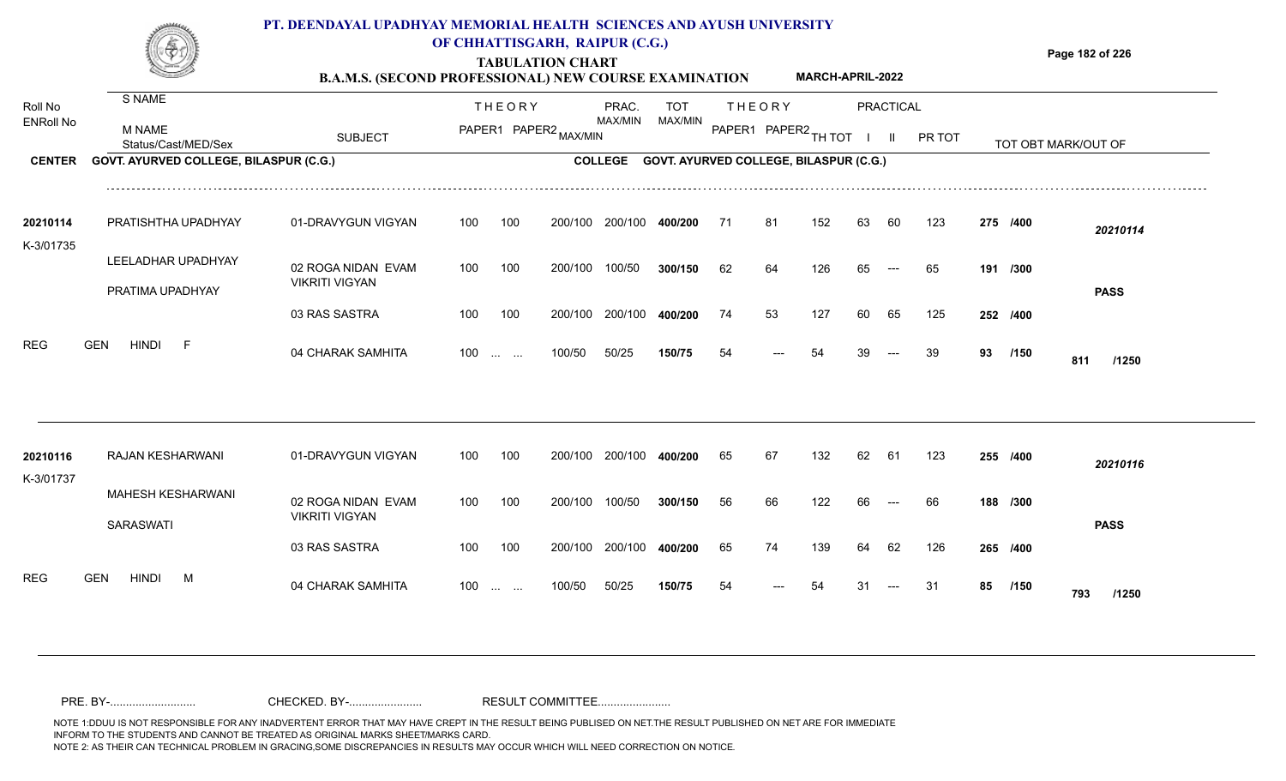

### **OF CHHATTISGARH, RAIPUR (C.G.)**

**Page 182 of 226**

#### **TABULATION CHART B.A.M.S. (SECOND PROFESSIONAL) NEW COURSE EXAMINATION MARCH-APRIL-2022**

| Roll No               | S NAME                                 |                                             |     | <b>THEORY</b>            |         | PRAC.          | <b>TOT</b>                             |     | <b>THEORY</b>        |     |    | PRACTICAL |        |    |          |                     |  |
|-----------------------|----------------------------------------|---------------------------------------------|-----|--------------------------|---------|----------------|----------------------------------------|-----|----------------------|-----|----|-----------|--------|----|----------|---------------------|--|
| <b>ENRoll No</b>      | <b>M NAME</b><br>Status/Cast/MED/Sex   | <b>SUBJECT</b>                              |     | PAPER1 PAPER2 MAX/MIN    |         | <b>MAX/MIN</b> | MAX/MIN                                |     | PAPER1 PAPER2 TH TOT |     |    |           | PR TOT |    |          | TOT OBT MARK/OUT OF |  |
| <b>CENTER</b>         | GOVT. AYURVED COLLEGE, BILASPUR (C.G.) |                                             |     |                          |         | <b>COLLEGE</b> | GOVT. AYURVED COLLEGE, BILASPUR (C.G.) |     |                      |     |    |           |        |    |          |                     |  |
| 20210114<br>K-3/01735 | PRATISHTHA UPADHYAY                    | 01-DRAVYGUN VIGYAN                          | 100 | 100                      | 200/100 | 200/100        | 400/200                                | -71 | 81                   | 152 | 63 | 60        | 123    |    | 275 /400 | 20210114            |  |
|                       | LEELADHAR UPADHYAY                     | 02 ROGA NIDAN EVAM<br><b>VIKRITI VIGYAN</b> | 100 | 100                      | 200/100 | 100/50         | 300/150                                | 62  | 64                   | 126 | 65 | $---$     | 65     |    | 191 /300 |                     |  |
|                       | PRATIMA UPADHYAY                       | 03 RAS SASTRA                               | 100 | 100                      | 200/100 | 200/100        | 400/200                                | 74  | 53                   | 127 | 60 | 65        | 125    |    | 252 /400 | <b>PASS</b>         |  |
| <b>REG</b>            | <b>HINDI</b><br><b>GEN</b><br>-F       | 04 CHARAK SAMHITA                           |     | $100 \dots \dots$        | 100/50  | 50/25          | 150/75                                 | 54  |                      | 54  |    |           | 39     | 93 | /150     | 811<br>/1250        |  |
| 20210116              | RAJAN KESHARWANI                       | 01-DRAVYGUN VIGYAN                          | 100 | 100                      | 200/100 | 200/100        | 400/200                                | 65  | 67                   | 132 | 62 | 61        | 123    |    | 255 /400 |                     |  |
| K-3/01737             | <b>MAHESH KESHARWANI</b>               | 02 ROGA NIDAN EVAM                          | 100 | 100                      | 200/100 | 100/50         | 300/150                                | 56  | 66                   | 122 | 66 |           | 66     |    | 188 /300 | 20210116            |  |
|                       | SARASWATI                              | <b>VIKRITI VIGYAN</b><br>03 RAS SASTRA      | 100 | 100                      | 200/100 | 200/100        | 400/200                                | 65  | 74                   | 139 |    | 62        | 126    |    | 265 /400 | <b>PASS</b>         |  |
| <b>REG</b>            | <b>GEN</b><br><b>HINDI</b><br>M        | 04 CHARAK SAMHITA                           | 100 | <b>Contract Contract</b> | 100/50  | 50/25          | 150/75                                 | 54  |                      | 54  | 31 |           | -31    | 85 | /150     | 793<br>/1250        |  |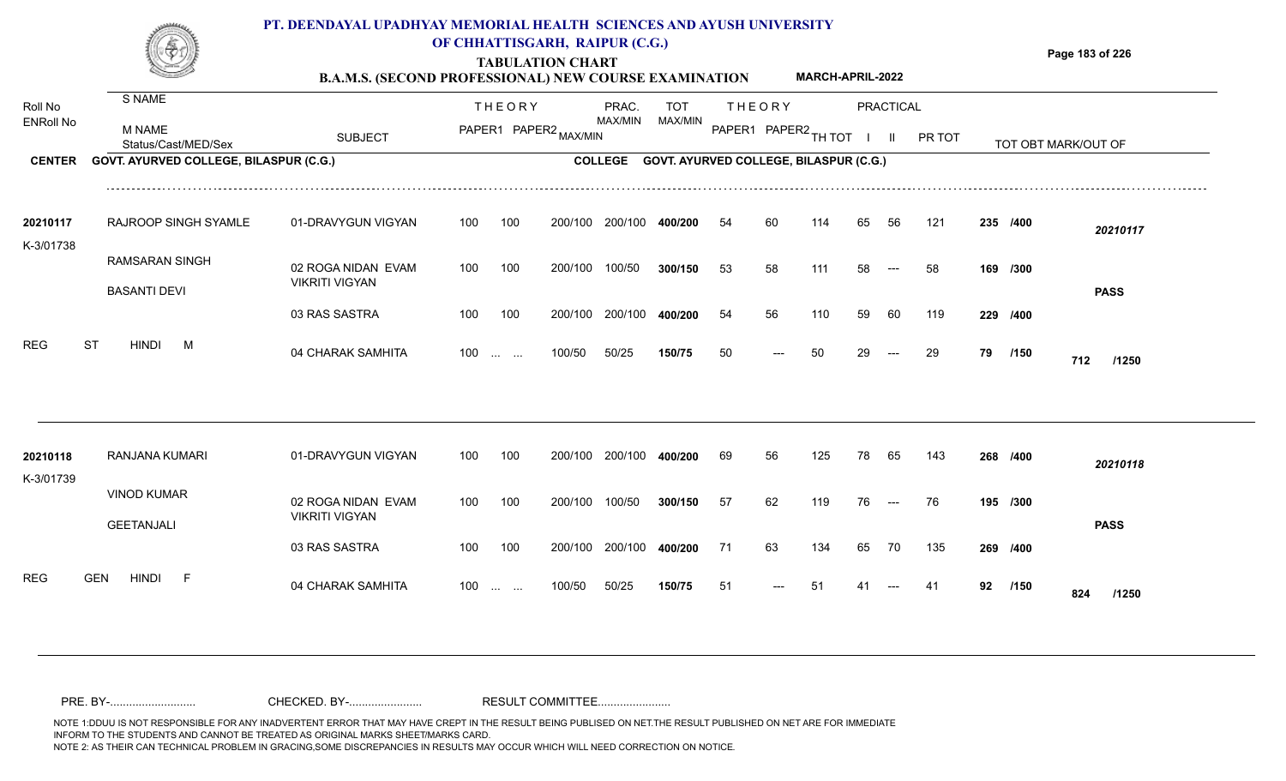

### **OF CHHATTISGARH, RAIPUR (C.G.)**

**Page 183 of 226**

#### **TABULATION CHART B.A.M.S. (SECOND PROFESSIONAL) NEW COURSE EXAMINATION MARCH-APRIL-2022**

| Roll No               | S NAME                                       |                                             |     | <b>THEORY</b>                                      |                       | PRAC.   | <b>TOT</b>                                     |    | <b>THEORY</b>        |     |    | PRACTICAL     |        |    |          |                     |  |
|-----------------------|----------------------------------------------|---------------------------------------------|-----|----------------------------------------------------|-----------------------|---------|------------------------------------------------|----|----------------------|-----|----|---------------|--------|----|----------|---------------------|--|
| <b>ENRoll No</b>      | <b>M NAME</b><br>Status/Cast/MED/Sex         | <b>SUBJECT</b>                              |     |                                                    | PAPER1 PAPER2 MAX/MIN | MAX/MIN | MAX/MIN                                        |    | PAPER1 PAPER2 TH TOT |     |    | $\mathbf{II}$ | PR TOT |    |          | TOT OBT MARK/OUT OF |  |
| <b>CENTER</b>         | GOVT. AYURVED COLLEGE, BILASPUR (C.G.)       |                                             |     |                                                    |                       |         | COLLEGE GOVT. AYURVED COLLEGE, BILASPUR (C.G.) |    |                      |     |    |               |        |    |          |                     |  |
| 20210117              | RAJROOP SINGH SYAMLE                         | 01-DRAVYGUN VIGYAN                          | 100 | 100                                                | 200/100               | 200/100 | 400/200                                        | 54 | 60                   | 114 | 65 | 56            | 121    |    | 235 /400 | 20210117            |  |
| K-3/01738             | <b>RAMSARAN SINGH</b><br><b>BASANTI DEVI</b> | 02 ROGA NIDAN EVAM<br><b>VIKRITI VIGYAN</b> | 100 | 100                                                | 200/100               | 100/50  | 300/150                                        | 53 | 58                   | 111 | 58 |               | 58     |    | 169 /300 | <b>PASS</b>         |  |
|                       |                                              | 03 RAS SASTRA                               | 100 | 100                                                | 200/100               | 200/100 | 400/200                                        | 54 | 56                   | 110 | 59 | 60            | 119    |    | 229 /400 |                     |  |
| <b>REG</b>            | <b>ST</b><br><b>HINDI</b><br>M               | 04 CHARAK SAMHITA                           |     | $100 \dots \dots$                                  | 100/50                | 50/25   | 150/75                                         | 50 |                      | 50  | 29 | $---$         | 29     | 79 | /150     | 712<br>/1250        |  |
|                       |                                              |                                             |     |                                                    |                       |         |                                                |    |                      |     |    |               |        |    |          |                     |  |
| 20210118<br>K-3/01739 | RANJANA KUMARI                               | 01-DRAVYGUN VIGYAN                          | 100 | 100                                                | 200/100               | 200/100 | 400/200                                        | 69 | 56                   | 125 | 78 | 65            | 143    |    | 268 /400 | 20210118            |  |
|                       | <b>VINOD KUMAR</b><br><b>GEETANJALI</b>      | 02 ROGA NIDAN EVAM<br><b>VIKRITI VIGYAN</b> | 100 | 100                                                | 200/100               | 100/50  | 300/150                                        | 57 | 62                   | 119 | 76 | $---$         | 76     |    | 195 /300 | <b>PASS</b>         |  |
|                       |                                              | 03 RAS SASTRA                               | 100 | 100                                                | 200/100               | 200/100 | 400/200                                        | 71 | 63                   | 134 | 65 | 70            | 135    |    | 269 /400 |                     |  |
| REG                   | <b>HINDI</b><br><b>GEN</b><br>- F            | 04 CHARAK SAMHITA                           | 100 | $\mathbf{r}$ and $\mathbf{r}$ are all $\mathbf{r}$ | 100/50                | 50/25   | 150/75                                         | 51 |                      |     |    |               | -41    | 92 | /150     | 824<br>/1250        |  |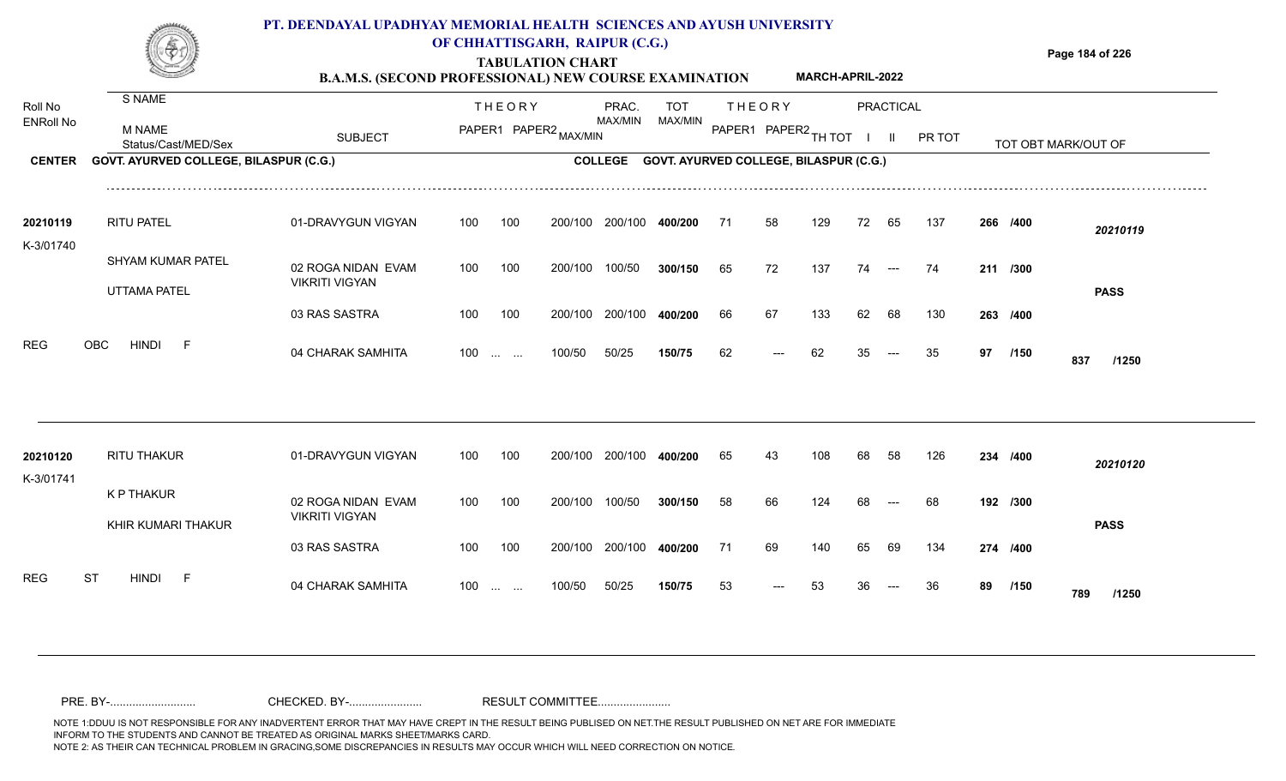

### **TABULATION CHART OF CHHATTISGARH, RAIPUR (C.G.)**

**Page 184 of 226**

#### **B.A.M.S. (SECOND PROFESSIONAL) NEW COURSE EXAMINATION MARCH-APRIL-2022**

| Roll No<br><b>ENRoll No</b> | S NAME                                   |                                             |     | <b>THEORY</b>                                                 |                       | PRAC.<br>MAX/MIN | <b>TOT</b><br>MAX/MIN                  |    | <b>THEORY</b>        |     |    | <b>PRACTICAL</b>     |        |    |          |                     |  |
|-----------------------------|------------------------------------------|---------------------------------------------|-----|---------------------------------------------------------------|-----------------------|------------------|----------------------------------------|----|----------------------|-----|----|----------------------|--------|----|----------|---------------------|--|
|                             | <b>M NAME</b><br>Status/Cast/MED/Sex     | <b>SUBJECT</b>                              |     |                                                               | PAPER1 PAPER2 MAX/MIN |                  |                                        |    | PAPER1 PAPER2 TH TOT |     |    | H.                   | PR TOT |    |          | TOT OBT MARK/OUT OF |  |
| <b>CENTER</b>               | GOVT. AYURVED COLLEGE, BILASPUR (C.G.)   |                                             |     |                                                               |                       | <b>COLLEGE</b>   | GOVT. AYURVED COLLEGE, BILASPUR (C.G.) |    |                      |     |    |                      |        |    |          |                     |  |
| 20210119<br>K-3/01740       | <b>RITU PATEL</b>                        | 01-DRAVYGUN VIGYAN                          | 100 | 100                                                           | 200/100               | 200/100          | 400/200                                | 71 | 58                   | 129 | 72 | 65                   | 137    |    | 266 /400 | 20210119            |  |
|                             | SHYAM KUMAR PATEL<br><b>UTTAMA PATEL</b> | 02 ROGA NIDAN EVAM<br><b>VIKRITI VIGYAN</b> | 100 | 100                                                           | 200/100               | 100/50           | 300/150                                | 65 | 72                   | 137 | 74 | $\hspace{0.05cm}---$ | 74     |    | 211 /300 | <b>PASS</b>         |  |
|                             |                                          | 03 RAS SASTRA                               | 100 | 100                                                           | 200/100               | 200/100          | 400/200                                | 66 | 67                   | 133 | 62 | 68                   | 130    |    | 263 /400 |                     |  |
| <b>REG</b>                  | OBC<br><b>HINDI</b><br>$-F$              | 04 CHARAK SAMHITA                           | 100 | $\mathcal{L}_{\mathcal{F}}$ , and $\mathcal{L}_{\mathcal{F}}$ | 100/50                | 50/25            | 150/75                                 | 62 |                      | 62  | 35 |                      | 35     | 97 | /150     | 837<br>/1250        |  |
|                             |                                          |                                             |     |                                                               |                       |                  |                                        |    |                      |     |    |                      |        |    |          |                     |  |
| 20210120<br>K-3/01741       | <b>RITU THAKUR</b>                       | 01-DRAVYGUN VIGYAN                          | 100 | 100                                                           | 200/100               | 200/100          | 400/200                                | 65 | 43                   | 108 | 68 | 58                   | 126    |    | 234 /400 | 20210120            |  |
|                             | <b>K P THAKUR</b><br>KHIR KUMARI THAKUR  | 02 ROGA NIDAN EVAM<br><b>VIKRITI VIGYAN</b> | 100 | 100                                                           | 200/100               | 100/50           | 300/150                                | 58 | 66                   | 124 | 68 |                      | 68     |    | 192 /300 | <b>PASS</b>         |  |
|                             |                                          | 03 RAS SASTRA                               | 100 | 100                                                           | 200/100               | 200/100          | 400/200                                | 71 | 69                   | 140 | 65 | 69                   | 134    |    | 274 /400 |                     |  |
| <b>REG</b>                  | <b>HINDI</b><br><b>ST</b><br>$-F$        | 04 CHARAK SAMHITA                           | 100 | <b>Contract Contract</b>                                      | 100/50                | 50/25            | 150/75                                 | 53 |                      | 53  |    |                      | 36     | 89 | /150     | 789<br>/1250        |  |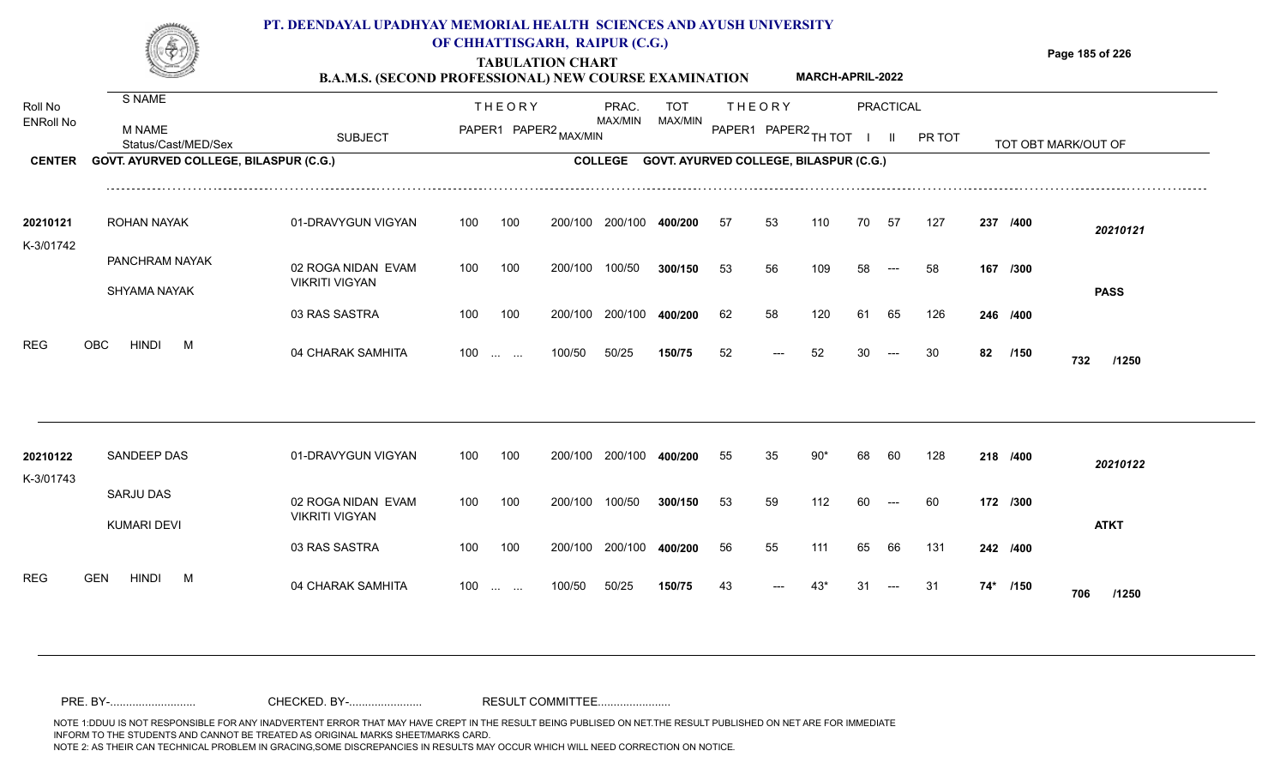

## **OF CHHATTISGARH, RAIPUR (C.G.)**

**Page 185 of 226**

#### **TABULATION CHART B.A.M.S. (SECOND PROFESSIONAL) NEW COURSE EXAMINATION MARCH-APRIL-2022**

| Roll No<br><b>ENRoll No</b> | S NAME<br>M NAME                                              | <b>SUBJECT</b>                              |     | <b>THEORY</b>                                                 | PAPER1 PAPER2 MAX/MIN | PRAC.<br>MAX/MIN | TOT<br>MAX/MIN                         |    | <b>THEORY</b><br>PAPER1 PAPER2 TH TOT |       |    | <b>PRACTICAL</b><br>$\mathbf{II}$ | PR TOT |     |          |                     |  |
|-----------------------------|---------------------------------------------------------------|---------------------------------------------|-----|---------------------------------------------------------------|-----------------------|------------------|----------------------------------------|----|---------------------------------------|-------|----|-----------------------------------|--------|-----|----------|---------------------|--|
| <b>CENTER</b>               | Status/Cast/MED/Sex<br>GOVT. AYURVED COLLEGE, BILASPUR (C.G.) |                                             |     |                                                               |                       | <b>COLLEGE</b>   | GOVT. AYURVED COLLEGE, BILASPUR (C.G.) |    |                                       |       |    |                                   |        |     |          | TOT OBT MARK/OUT OF |  |
|                             |                                                               |                                             |     |                                                               |                       |                  |                                        |    |                                       |       |    |                                   |        |     |          |                     |  |
| 20210121                    | ROHAN NAYAK                                                   | 01-DRAVYGUN VIGYAN                          | 100 | 100                                                           | 200/100               | 200/100          | 400/200                                | 57 | 53                                    | 110   | 70 | 57                                | 127    |     | 237 /400 | 20210121            |  |
| K-3/01742                   |                                                               |                                             |     |                                                               |                       |                  |                                        |    |                                       |       |    |                                   |        |     |          |                     |  |
|                             | PANCHRAM NAYAK                                                | 02 ROGA NIDAN EVAM<br><b>VIKRITI VIGYAN</b> | 100 | 100                                                           | 200/100               | 100/50           | 300/150                                | 53 | 56                                    | 109   | 58 | $---$                             | 58     |     | 167 /300 |                     |  |
|                             | SHYAMA NAYAK                                                  |                                             |     |                                                               |                       |                  |                                        |    |                                       |       |    |                                   |        |     |          | <b>PASS</b>         |  |
|                             |                                                               | 03 RAS SASTRA                               | 100 | 100                                                           | 200/100               | 200/100          | 400/200                                | 62 | 58                                    | 120   | 61 | 65                                | 126    |     | 246 /400 |                     |  |
| <b>REG</b>                  | OBC<br><b>HINDI</b><br>M                                      | 04 CHARAK SAMHITA                           | 100 | $\mathcal{L}_{\mathcal{F}}$ , and $\mathcal{L}_{\mathcal{F}}$ | 100/50                | 50/25            | 150/75                                 | 52 | ---                                   | 52    |    |                                   | 30     | 82  | /150     | 732<br>/1250        |  |
|                             |                                                               |                                             |     |                                                               |                       |                  |                                        |    |                                       |       |    |                                   |        |     |          |                     |  |
| 20210122<br>K-3/01743       | SANDEEP DAS                                                   | 01-DRAVYGUN VIGYAN                          | 100 | 100                                                           | 200/100               | 200/100          | 400/200                                | 55 | 35                                    | $90*$ | 68 | 60                                | 128    |     | 218 /400 | 20210122            |  |
|                             | SARJU DAS<br><b>KUMARI DEVI</b>                               | 02 ROGA NIDAN EVAM<br><b>VIKRITI VIGYAN</b> | 100 | 100                                                           | 200/100               | 100/50           | 300/150                                | 53 | 59                                    | 112   | 60 | $---$                             | 60     |     | 172 /300 | <b>ATKT</b>         |  |
|                             |                                                               | 03 RAS SASTRA                               | 100 | 100                                                           | 200/100               | 200/100          | 400/200                                | 56 | 55                                    | 111   | 65 | 66                                | 131    |     | 242 /400 |                     |  |
| <b>REG</b>                  | <b>HINDI</b><br><b>GEN</b><br>M                               | 04 CHARAK SAMHITA                           | 100 | <b>Contract Contract</b>                                      | 100/50                | 50/25            | 150/75                                 | 43 |                                       | 43*   | 31 |                                   | 31     | 74* | /150     | 706<br>/1250        |  |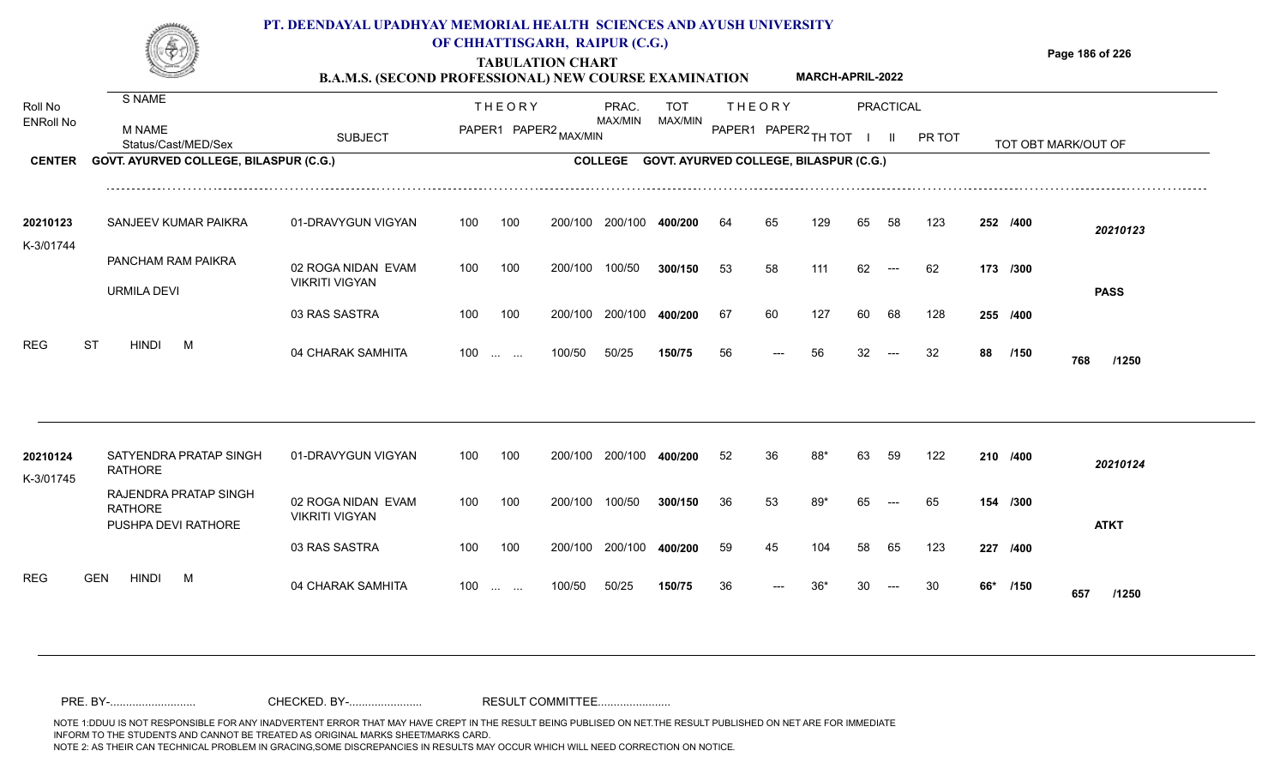

### **OF CHHATTISGARH, RAIPUR (C.G.)**

**Page 186 of 226**

#### **TABULATION CHART B.A.M.S. (SECOND PROFESSIONAL) NEW COURSE EXAMINATION MARCH-APRIL-2022**

| Roll No<br><b>ENRoll No</b> | S NAME<br><b>M NAME</b><br>Status/Cast/MED/Sex                 | <b>SUBJECT</b>                              |     | <b>THEORY</b>                                                 | PAPER1 PAPER2 MAX/MIN | PRAC.<br>MAX/MIN | TOT<br>MAX/MIN                         |    | <b>THEORY</b><br>PAPER1 PAPER2 TH TOT |     |    | <b>PRACTICAL</b><br>$\mathbf{H}$ | PR TOT |     |          | TOT OBT MARK/OUT OF |  |
|-----------------------------|----------------------------------------------------------------|---------------------------------------------|-----|---------------------------------------------------------------|-----------------------|------------------|----------------------------------------|----|---------------------------------------|-----|----|----------------------------------|--------|-----|----------|---------------------|--|
| <b>CENTER</b>               | GOVT. AYURVED COLLEGE, BILASPUR (C.G.)                         |                                             |     |                                                               |                       | <b>COLLEGE</b>   | GOVT. AYURVED COLLEGE, BILASPUR (C.G.) |    |                                       |     |    |                                  |        |     |          |                     |  |
| 20210123<br>K-3/01744       | SANJEEV KUMAR PAIKRA                                           | 01-DRAVYGUN VIGYAN                          | 100 | 100                                                           | 200/100               | 200/100          | 400/200                                | 64 | 65                                    | 129 | 65 | 58                               | 123    |     | 252 /400 | 20210123            |  |
|                             | PANCHAM RAM PAIKRA<br><b>URMILA DEVI</b>                       | 02 ROGA NIDAN EVAM<br><b>VIKRITI VIGYAN</b> | 100 | 100                                                           | 200/100               | 100/50           | 300/150                                | 53 | 58                                    | 111 | 62 | $---$                            | 62     |     | 173 /300 | <b>PASS</b>         |  |
|                             |                                                                | 03 RAS SASTRA                               | 100 | 100                                                           | 200/100               | 200/100          | 400/200                                | 67 | 60                                    | 127 | 60 | 68                               | 128    |     | 255 /400 |                     |  |
| <b>REG</b>                  | <b>ST</b><br><b>HINDI</b><br>M                                 | 04 CHARAK SAMHITA                           | 100 | $\mathcal{L}_{\mathcal{F}}$ , and $\mathcal{L}_{\mathcal{F}}$ | 100/50                | 50/25            | 150/75                                 | 56 |                                       | 56  | 32 |                                  | 32     | 88  | /150     | 768<br>/1250        |  |
|                             |                                                                |                                             |     |                                                               |                       |                  |                                        |    |                                       |     |    |                                  |        |     |          |                     |  |
| 20210124<br>K-3/01745       | SATYENDRA PRATAP SINGH<br><b>RATHORE</b>                       | 01-DRAVYGUN VIGYAN                          | 100 | 100                                                           | 200/100               | 200/100          | 400/200                                | 52 | 36                                    | 88* | 63 | 59                               | 122    |     | 210 /400 | 20210124            |  |
|                             | RAJENDRA PRATAP SINGH<br><b>RATHORE</b><br>PUSHPA DEVI RATHORE | 02 ROGA NIDAN EVAM<br><b>VIKRITI VIGYAN</b> | 100 | 100                                                           | 200/100               | 100/50           | 300/150                                | 36 | 53                                    | 89* | 65 | $---$                            | 65     |     | 154 /300 | <b>ATKT</b>         |  |
|                             |                                                                | 03 RAS SASTRA                               | 100 | 100                                                           | 200/100               | 200/100          | 400/200                                | 59 | 45                                    | 104 | 58 | 65                               | 123    | 227 | /400     |                     |  |
| <b>REG</b>                  | <b>GEN</b><br><b>HINDI</b><br>M                                | 04 CHARAK SAMHITA                           | 100 | <b>Service State</b>                                          | 100/50                | 50/25            | 150/75                                 | 36 |                                       | 36* |    |                                  | 30     | 66* | /150     | 657<br>/1250        |  |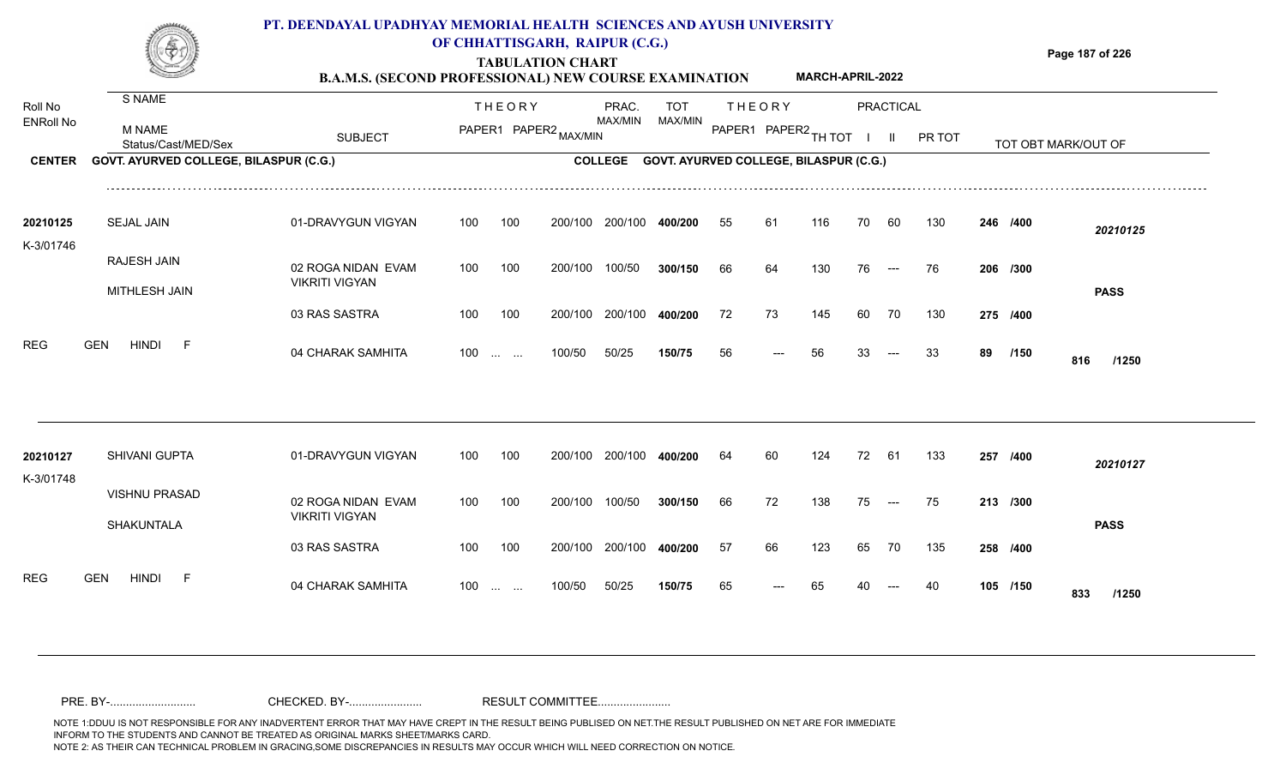

### **OF CHHATTISGARH, RAIPUR (C.G.)**

**Page 187 of 226**

#### **TABULATION CHART B.A.M.S. (SECOND PROFESSIONAL) NEW COURSE EXAMINATION MARCH-APRIL-2022**

| Roll No               | S NAME                                 |                       |     | <b>THEORY</b>                                  |         | PRAC.          | <b>TOT</b>                             |    | <b>THEORY</b>        |     |    | <b>PRACTICAL</b> |        |    |          |                     |
|-----------------------|----------------------------------------|-----------------------|-----|------------------------------------------------|---------|----------------|----------------------------------------|----|----------------------|-----|----|------------------|--------|----|----------|---------------------|
| <b>ENRoll No</b>      | M NAME<br>Status/Cast/MED/Sex          | <b>SUBJECT</b>        |     | PAPER1 PAPER2 MAX/MIN                          |         | MAX/MIN        | MAX/MIN                                |    | PAPER1 PAPER2 TH TOT |     |    | $\mathbf{H}$     | PR TOT |    |          | TOT OBT MARK/OUT OF |
| <b>CENTER</b>         | GOVT. AYURVED COLLEGE, BILASPUR (C.G.) |                       |     |                                                |         | <b>COLLEGE</b> | GOVT. AYURVED COLLEGE, BILASPUR (C.G.) |    |                      |     |    |                  |        |    |          |                     |
| 20210125              | <b>SEJAL JAIN</b>                      | 01-DRAVYGUN VIGYAN    | 100 | 100                                            | 200/100 | 200/100        | 400/200                                | 55 | 61                   | 116 |    | 60               | 130    |    | 246 /400 | 20210125            |
| K-3/01746             |                                        |                       |     |                                                |         |                |                                        |    |                      |     |    |                  |        |    |          |                     |
|                       | RAJESH JAIN                            | 02 ROGA NIDAN EVAM    | 100 | 100                                            | 200/100 | 100/50         | 300/150                                | 66 | 64                   | 130 | 76 | $---$            | 76     |    | 206 /300 |                     |
|                       | MITHLESH JAIN                          | <b>VIKRITI VIGYAN</b> |     |                                                |         |                |                                        |    |                      |     |    |                  |        |    |          | <b>PASS</b>         |
|                       |                                        | 03 RAS SASTRA         | 100 | 100                                            | 200/100 | 200/100        | 400/200                                | 72 | 73                   | 145 | 60 | 70               | 130    |    | 275 /400 |                     |
| <b>REG</b>            | <b>HINDI</b><br><b>GEN</b><br>- F      | 04 CHARAK SAMHITA     | 100 | $\mathbf{r}$ and $\mathbf{r}$                  | 100/50  | 50/25          | 150/75                                 | 56 |                      | 56  | 33 |                  | 33     | 89 | /150     | 816<br>/1250        |
|                       |                                        |                       |     |                                                |         |                |                                        |    |                      |     |    |                  |        |    |          |                     |
| 20210127<br>K-3/01748 | SHIVANI GUPTA                          | 01-DRAVYGUN VIGYAN    | 100 | 100                                            | 200/100 | 200/100        | 400/200                                | 64 | 60                   | 124 | 72 | 61               | 133    |    | 257 /400 | 20210127            |
|                       | <b>VISHNU PRASAD</b>                   | 02 ROGA NIDAN EVAM    | 100 | 100                                            | 200/100 | 100/50         | 300/150                                | 66 | 72                   | 138 | 75 | $---$            | 75     |    | 213 /300 |                     |
|                       | <b>SHAKUNTALA</b>                      | <b>VIKRITI VIGYAN</b> |     |                                                |         |                |                                        |    |                      |     |    |                  |        |    |          | <b>PASS</b>         |
|                       |                                        | 03 RAS SASTRA         | 100 | 100                                            | 200/100 | 200/100        | 400/200                                | 57 | 66                   | 123 | 65 | 70               | 135    |    | 258 /400 |                     |
| <b>REG</b>            | <b>GEN</b><br><b>HINDI</b><br>-F       | 04 CHARAK SAMHITA     | 100 | $\mathbf{r}$ and $\mathbf{r}$ and $\mathbf{r}$ | 100/50  | 50/25          | 150/75                                 | 65 |                      | 65  |    |                  |        |    | 105 /150 | 833<br>/1250        |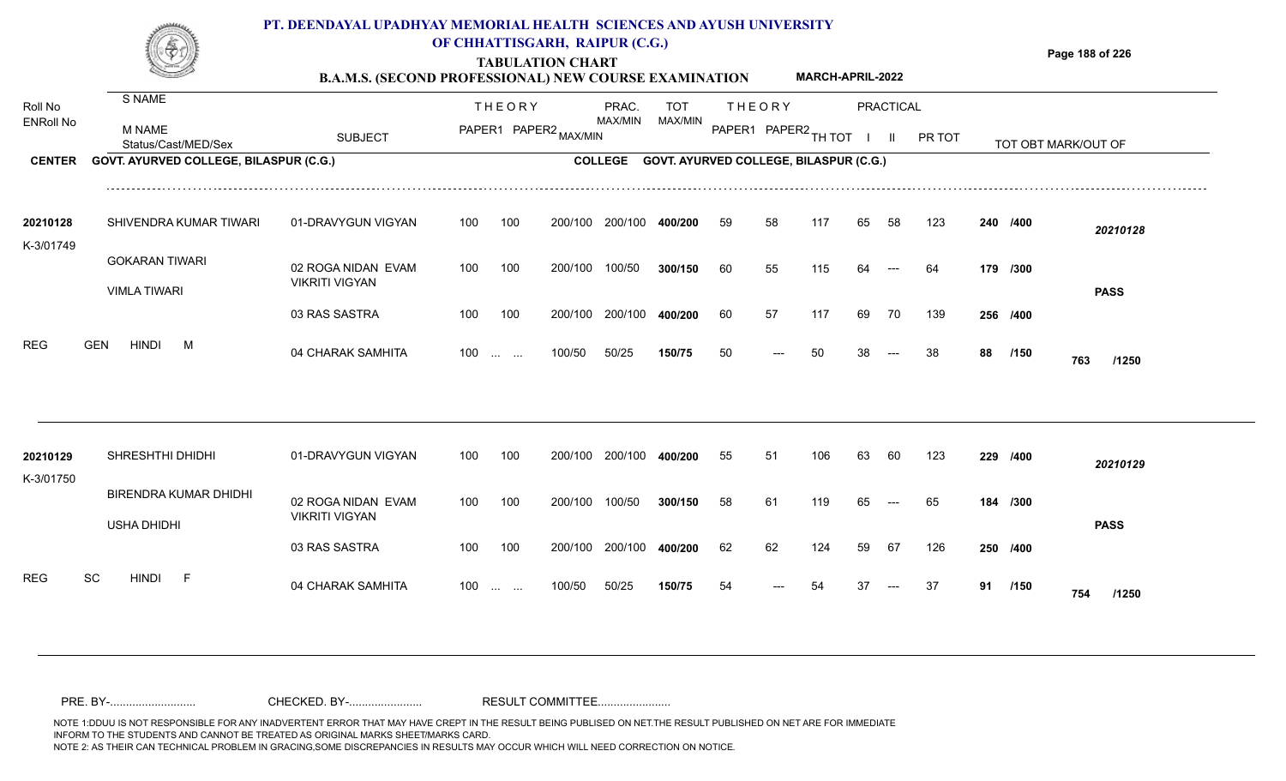### **PT. DEENDAYAL UPADHYAY MEMORIAL HEALTH SCIENCES AND AYUSH UNIVERSITY OF CHHATTISGARH, RAIPUR (C.G.)**



# **TABULATION CHART**

**Page 188 of 226**

#### **B.A.M.S. (SECOND PROFESSIONAL) NEW COURSE EXAMINATION MARCH-APRIL-2022**

| Roll No               | S NAME                                             |                                             |     | <b>THEORY</b>     |                       | PRAC.<br>MAX/MIN | TOT                                            |    | <b>THEORY</b>        |     |    | <b>PRACTICAL</b> |        |    |          |                     |  |
|-----------------------|----------------------------------------------------|---------------------------------------------|-----|-------------------|-----------------------|------------------|------------------------------------------------|----|----------------------|-----|----|------------------|--------|----|----------|---------------------|--|
| <b>ENRoll No</b>      | <b>M NAME</b><br>Status/Cast/MED/Sex               | <b>SUBJECT</b>                              |     |                   | PAPER1 PAPER2 MAX/MIN |                  | MAX/MIN                                        |    | PAPER1 PAPER2 TH TOT |     |    | $\mathbf{II}$    | PR TOT |    |          | TOT OBT MARK/OUT OF |  |
| <b>CENTER</b>         | GOVT. AYURVED COLLEGE, BILASPUR (C.G.)             |                                             |     |                   |                       |                  | COLLEGE GOVT. AYURVED COLLEGE, BILASPUR (C.G.) |    |                      |     |    |                  |        |    |          |                     |  |
| 20210128<br>K-3/01749 | SHIVENDRA KUMAR TIWARI                             | 01-DRAVYGUN VIGYAN                          | 100 | 100               | 200/100               | 200/100          | 400/200                                        | 59 | 58                   | 117 | 65 | 58               | 123    |    | 240 /400 | 20210128            |  |
|                       | <b>GOKARAN TIWARI</b>                              | 02 ROGA NIDAN EVAM                          | 100 | 100               | 200/100               | 100/50           | 300/150                                        | 60 | 55                   | 115 | 64 | $---$            | 64     |    | 179 /300 |                     |  |
|                       | <b>VIMLA TIWARI</b>                                | <b>VIKRITI VIGYAN</b>                       |     |                   |                       |                  |                                                |    |                      |     |    |                  |        |    |          | <b>PASS</b>         |  |
|                       |                                                    | 03 RAS SASTRA                               | 100 | 100               | 200/100               | 200/100          | 400/200                                        | 60 | 57                   | 117 | 69 | 70               | 139    |    | 256 /400 |                     |  |
| <b>REG</b>            | <b>GEN</b><br><b>HINDI</b><br>M                    | 04 CHARAK SAMHITA                           |     | $100$             | 100/50                | 50/25            | 150/75                                         | 50 | ---                  | 50  | 38 | $---$            | 38     | 88 | /150     | 763<br>/1250        |  |
|                       |                                                    |                                             |     |                   |                       |                  |                                                |    |                      |     |    |                  |        |    |          |                     |  |
| 20210129<br>K-3/01750 | SHRESHTHI DHIDHI                                   | 01-DRAVYGUN VIGYAN                          | 100 | 100               | 200/100               | 200/100          | 400/200                                        | 55 | 51                   | 106 | 63 | 60               | 123    |    | 229 /400 | 20210129            |  |
|                       | <b>BIRENDRA KUMAR DHIDHI</b><br><b>USHA DHIDHI</b> | 02 ROGA NIDAN EVAM<br><b>VIKRITI VIGYAN</b> | 100 | 100               | 200/100               | 100/50           | 300/150                                        | 58 | 61                   | 119 | 65 | $---$            | 65     |    | 184 /300 | <b>PASS</b>         |  |
|                       |                                                    | 03 RAS SASTRA                               | 100 | 100               | 200/100               | 200/100          | 400/200                                        | 62 | 62                   | 124 | 59 | 67               | 126    |    | 250 /400 |                     |  |
| <b>REG</b>            | SC<br><b>HINDI</b><br>- F                          | 04 CHARAK SAMHITA                           | 100 | $\cdots$ $\cdots$ | 100/50                | 50/25            | 150/75                                         | 54 |                      | 54  | 37 |                  | 37     | 91 | /150     | 754<br>/1250        |  |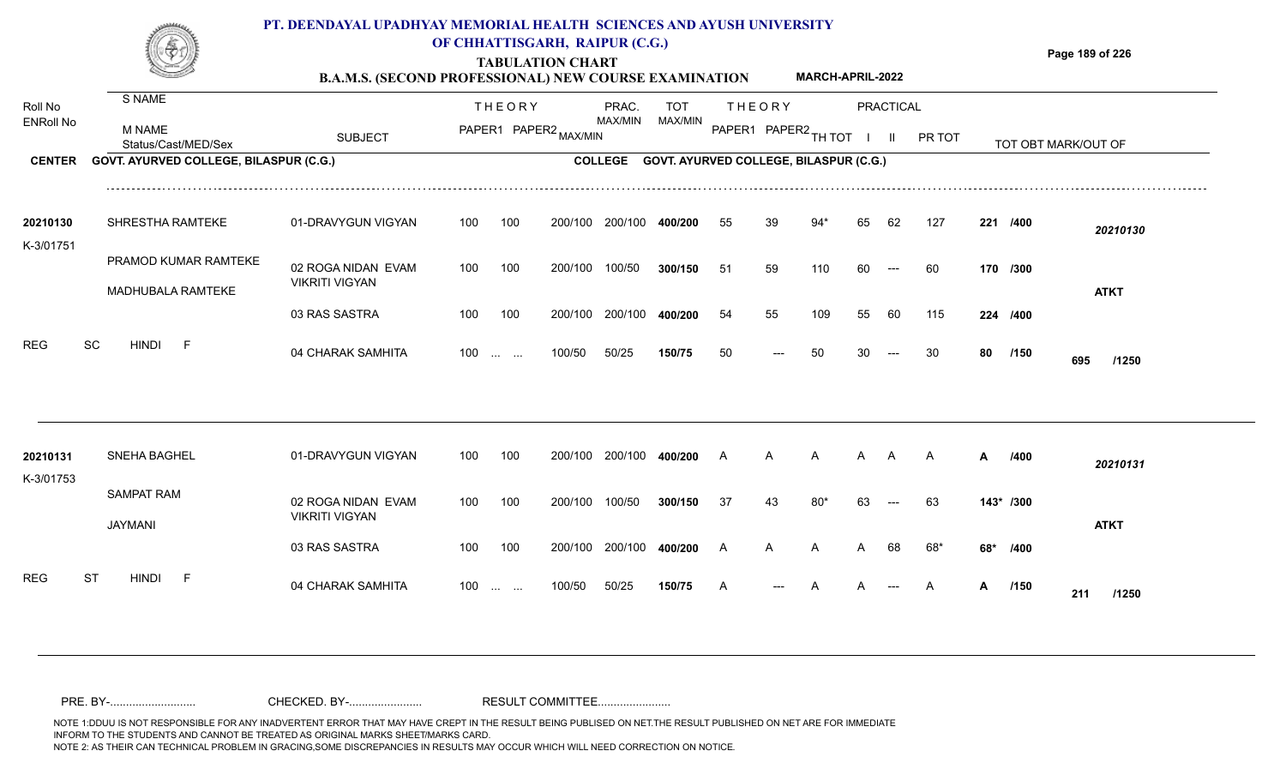

## **OF CHHATTISGARH, RAIPUR (C.G.)**

**Page 189 of 226**

#### **TABULATION CHART B.A.M.S. (SECOND PROFESSIONAL) NEW COURSE EXAMINATION MARCH-APRIL-2022**

| Roll No<br><b>ENRoll No</b> | S NAME<br>M NAME                                              | <b>SUBJECT</b>                              |     | <b>THEORY</b>                          | PAPER1 PAPER2 MAX/MIN | PRAC.<br>MAX/MIN | <b>TOT</b><br>MAX/MIN                  |     | <b>THEORY</b><br>PAPER1 PAPER2 | TH TOT |    | <b>PRACTICAL</b><br>H. | PR TOT         |     |           |                     |
|-----------------------------|---------------------------------------------------------------|---------------------------------------------|-----|----------------------------------------|-----------------------|------------------|----------------------------------------|-----|--------------------------------|--------|----|------------------------|----------------|-----|-----------|---------------------|
| <b>CENTER</b>               | Status/Cast/MED/Sex<br>GOVT. AYURVED COLLEGE, BILASPUR (C.G.) |                                             |     |                                        |                       | <b>COLLEGE</b>   | GOVT. AYURVED COLLEGE, BILASPUR (C.G.) |     |                                |        |    |                        |                |     |           | TOT OBT MARK/OUT OF |
|                             |                                                               |                                             |     |                                        |                       |                  |                                        |     |                                |        |    |                        |                |     |           |                     |
| 20210130                    | SHRESTHA RAMTEKE                                              | 01-DRAVYGUN VIGYAN                          | 100 | 100                                    | 200/100               | 200/100          | 400/200                                | 55  | 39                             | $94*$  | 65 | 62                     | 127            |     | 221 /400  | 20210130            |
| K-3/01751                   | PRAMOD KUMAR RAMTEKE                                          | 02 ROGA NIDAN EVAM<br><b>VIKRITI VIGYAN</b> | 100 | 100                                    | 200/100               | 100/50           | 300/150                                | -51 | 59                             | 110    | 60 | $---$                  | 60             |     | 170 /300  |                     |
|                             | MADHUBALA RAMTEKE                                             | 03 RAS SASTRA                               | 100 | 100                                    | 200/100               | 200/100          | 400/200                                | 54  | 55                             | 109    | 55 | 60                     | 115            |     | 224 /400  | <b>ATKT</b>         |
| <b>REG</b>                  | SC<br><b>HINDI</b><br>$\mathsf F$                             | 04 CHARAK SAMHITA                           | 100 | $\mathbf{r}$ and $\mathbf{r}$          | 100/50                | 50/25            | 150/75                                 | 50  |                                | 50     |    |                        | 30             | 80  | /150      | 695<br>/1250        |
|                             |                                                               |                                             |     |                                        |                       |                  |                                        |     |                                |        |    |                        |                |     |           |                     |
| 20210131<br>K-3/01753       | <b>SNEHA BAGHEL</b>                                           | 01-DRAVYGUN VIGYAN                          | 100 | 100                                    | 200/100               | 200/100          | 400/200                                | A   | А                              | A      | А  | A                      | $\mathsf{A}$   | A   | /400      | 20210131            |
|                             | <b>SAMPAT RAM</b><br><b>JAYMANI</b>                           | 02 ROGA NIDAN EVAM<br><b>VIKRITI VIGYAN</b> | 100 | 100                                    | 200/100               | 100/50           | 300/150                                | 37  | 43                             | 80'    | 63 |                        | 63             |     | 143* /300 | <b>ATKT</b>         |
|                             |                                                               | 03 RAS SASTRA                               | 100 | 100                                    | 200/100               | 200/100          | 400/200                                | A   | А                              | A      |    | 68                     | 68*            | 68* | /400      |                     |
| <b>REG</b>                  | <b>ST</b><br><b>HINDI</b><br>F                                | 04 CHARAK SAMHITA                           | 100 | $\mathbf{r}$ . The set of $\mathbf{r}$ | 100/50                | 50/25            | 150/75                                 |     |                                |        |    |                        | $\overline{A}$ | A   | /150      | 211<br>/1250        |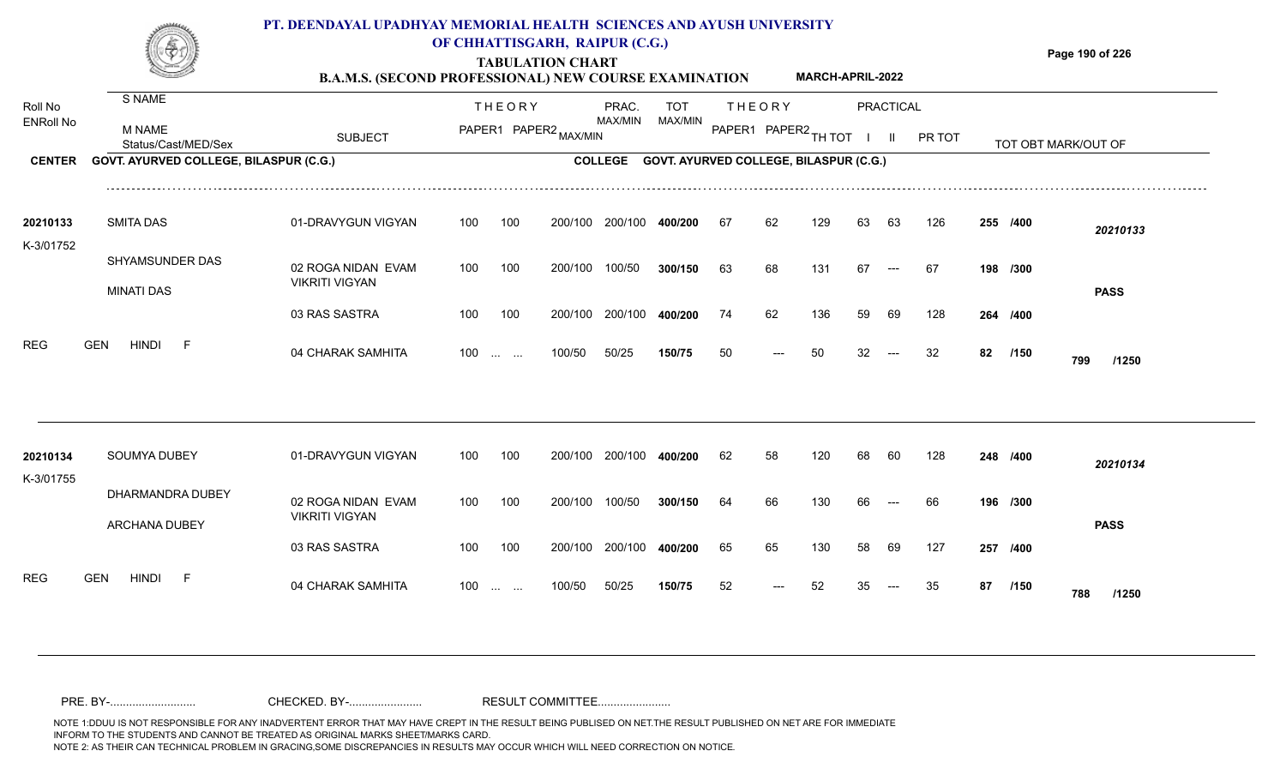

### **TABULATION CHART OF CHHATTISGARH, RAIPUR (C.G.)**

**Page 190 of 226**

#### **B.A.M.S. (SECOND PROFESSIONAL) NEW COURSE EXAMINATION MARCH-APRIL-2022**

| Roll No<br><b>ENRoll No</b> | S NAME<br><b>M NAME</b><br>Status/Cast/MED/Sex | <b>SUBJECT</b>                              |     | <b>THEORY</b>           | PAPER1 PAPER2 MAX/MIN | PRAC.<br>MAX/MIN | TOT<br>MAX/MIN                                 |    | <b>THEORY</b><br>PAPER1 PAPER2 TH TOT |     |    | PRACTICAL<br>$\mathbf{II}$ | PR TOT |    |          | TOT OBT MARK/OUT OF |  |
|-----------------------------|------------------------------------------------|---------------------------------------------|-----|-------------------------|-----------------------|------------------|------------------------------------------------|----|---------------------------------------|-----|----|----------------------------|--------|----|----------|---------------------|--|
| <b>CENTER</b>               | <b>GOVT. AYURVED COLLEGE, BILASPUR (C.G.)</b>  |                                             |     |                         |                       |                  | COLLEGE GOVT. AYURVED COLLEGE, BILASPUR (C.G.) |    |                                       |     |    |                            |        |    |          |                     |  |
| 20210133<br>K-3/01752       | <b>SMITA DAS</b>                               | 01-DRAVYGUN VIGYAN                          | 100 | 100                     | 200/100               | 200/100          | 400/200                                        | 67 | 62                                    | 129 | 63 | 63                         | 126    |    | 255 /400 | 20210133            |  |
|                             | SHYAMSUNDER DAS<br><b>MINATI DAS</b>           | 02 ROGA NIDAN EVAM<br><b>VIKRITI VIGYAN</b> | 100 | 100                     | 200/100               | 100/50           | 300/150                                        | 63 | 68                                    | 131 | 67 | $---$                      | 67     |    | 198 /300 | <b>PASS</b>         |  |
|                             |                                                | 03 RAS SASTRA                               | 100 | 100                     | 200/100               | 200/100          | 400/200                                        | 74 | 62                                    | 136 | 59 | 69                         | 128    |    | 264 /400 |                     |  |
| <b>REG</b>                  | <b>GEN</b><br><b>HINDI</b><br>- F              | 04 CHARAK SAMHITA                           |     | $100 \dots \dots$       | 100/50                | 50/25            | 150/75                                         | 50 | ---                                   | 50  | 32 | $---$                      | 32     | 82 | /150     | 799<br>/1250        |  |
|                             |                                                |                                             |     |                         |                       |                  |                                                |    |                                       |     |    |                            |        |    |          |                     |  |
| 20210134<br>K-3/01755       | SOUMYA DUBEY                                   | 01-DRAVYGUN VIGYAN                          | 100 | 100                     | 200/100               | 200/100          | 400/200                                        | 62 | 58                                    | 120 | 68 | 60                         | 128    |    | 248 /400 | 20210134            |  |
|                             | DHARMANDRA DUBEY<br>ARCHANA DUBEY              | 02 ROGA NIDAN EVAM<br><b>VIKRITI VIGYAN</b> | 100 | 100                     | 200/100               | 100/50           | 300/150                                        | 64 | 66                                    | 130 | 66 |                            | 66     |    | 196 /300 | <b>PASS</b>         |  |
|                             |                                                | 03 RAS SASTRA                               | 100 | 100                     | 200/100               | 200/100          | 400/200                                        | 65 | 65                                    | 130 | 58 | 69                         | 127    |    | 257 /400 |                     |  |
| <b>REG</b>                  | <b>GEN</b><br><b>HINDI</b><br>$-F$             | 04 CHARAK SAMHITA                           | 100 | <b>Section Contract</b> | 100/50                | 50/25            | 150/75                                         | 52 |                                       | 52  |    |                            | 35     | 87 | /150     | 788<br>/1250        |  |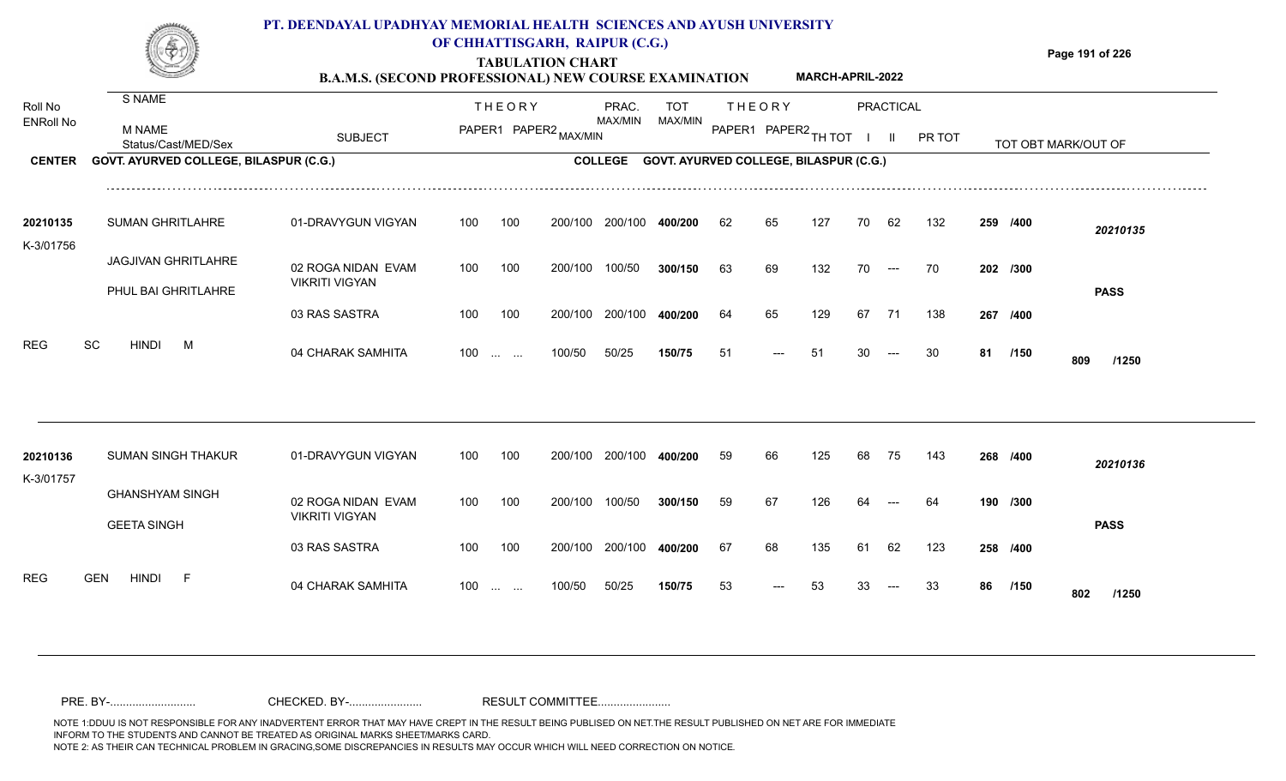

### **OF CHHATTISGARH, RAIPUR (C.G.)**

**Page 191 of 226**

#### **TABULATION CHART B.A.M.S. (SECOND PROFESSIONAL) NEW COURSE EXAMINATION MARCH-APRIL-2022**

| Roll No<br><b>ENRoll No</b><br><b>CENTER</b> | S NAME<br><b>M NAME</b><br>Status/Cast/MED/Sex<br>GOVT. AYURVED COLLEGE, BILASPUR (C.G.)                | <b>SUBJECT</b>                                                                                          |                                        | <b>THEORY</b><br>PAPER1 PAPER2 MAX/MIN |                                         | PRAC.<br>MAX/MIN<br><b>COLLEGE</b>    | TOT<br>MAX/MIN<br>GOVT. AYURVED COLLEGE, BILASPUR (C.G.) |                      | <b>THEORY</b><br>PAPER1 PAPER2 TH TOT |                          |                      | <b>PRACTICAL</b><br>$\mathbf{II}$         | PR TOT                 |    |                                          | TOT OBT MARK/OUT OF                     |  |
|----------------------------------------------|---------------------------------------------------------------------------------------------------------|---------------------------------------------------------------------------------------------------------|----------------------------------------|----------------------------------------|-----------------------------------------|---------------------------------------|----------------------------------------------------------|----------------------|---------------------------------------|--------------------------|----------------------|-------------------------------------------|------------------------|----|------------------------------------------|-----------------------------------------|--|
| 20210135<br>K-3/01756<br>REG                 | <b>SUMAN GHRITLAHRE</b><br><b>JAGJIVAN GHRITLAHRE</b><br>PHUL BAI GHRITLAHRE<br>SC<br><b>HINDI</b><br>M | 01-DRAVYGUN VIGYAN<br>02 ROGA NIDAN EVAM<br><b>VIKRITI VIGYAN</b><br>03 RAS SASTRA<br>04 CHARAK SAMHITA | 100<br>100<br>100<br>$100 \dots \dots$ | 100<br>100<br>100                      | 200/100<br>200/100<br>200/100<br>100/50 | 200/100<br>100/50<br>200/100<br>50/25 | 400/200<br>300/150<br>400/200<br>150/75                  | 62<br>63<br>64<br>51 | 65<br>69<br>65<br>---                 | 127<br>132<br>129<br>-51 | 70<br>70<br>67<br>30 | 62<br>$\hspace{0.05cm}---$<br>71<br>$---$ | 132<br>70<br>138<br>30 | 81 | 259 /400<br>202 /300<br>267 /400<br>/150 | 20210135<br><b>PASS</b><br>809<br>/1250 |  |
| 20210136<br>K-3/01757                        | <b>SUMAN SINGH THAKUR</b><br><b>GHANSHYAM SINGH</b><br><b>GEETA SINGH</b>                               | 01-DRAVYGUN VIGYAN<br>02 ROGA NIDAN EVAM<br><b>VIKRITI VIGYAN</b><br>03 RAS SASTRA                      | 100<br>100<br>100                      | 100<br>100<br>100                      | 200/100<br>200/100<br>200/100           | 200/100<br>100/50<br>200/100          | 400/200<br>300/150<br>400/200                            | 59<br>59<br>67       | 66<br>67<br>68                        | 125<br>126<br>135        | 68<br>64<br>61       | 75<br>62                                  | 143<br>64<br>123       |    | 268 /400<br>190 /300<br>258 /400         | 20210136<br><b>PASS</b>                 |  |
| <b>REG</b>                                   | <b>GEN</b><br>HINDI<br>- F                                                                              | 04 CHARAK SAMHITA                                                                                       | 100                                    | <b>Contract Contract</b>               | 100/50                                  | 50/25                                 | 150/75                                                   | 53                   |                                       | 53                       | 33                   |                                           | 33                     | 86 | /150                                     | 802<br>/1250                            |  |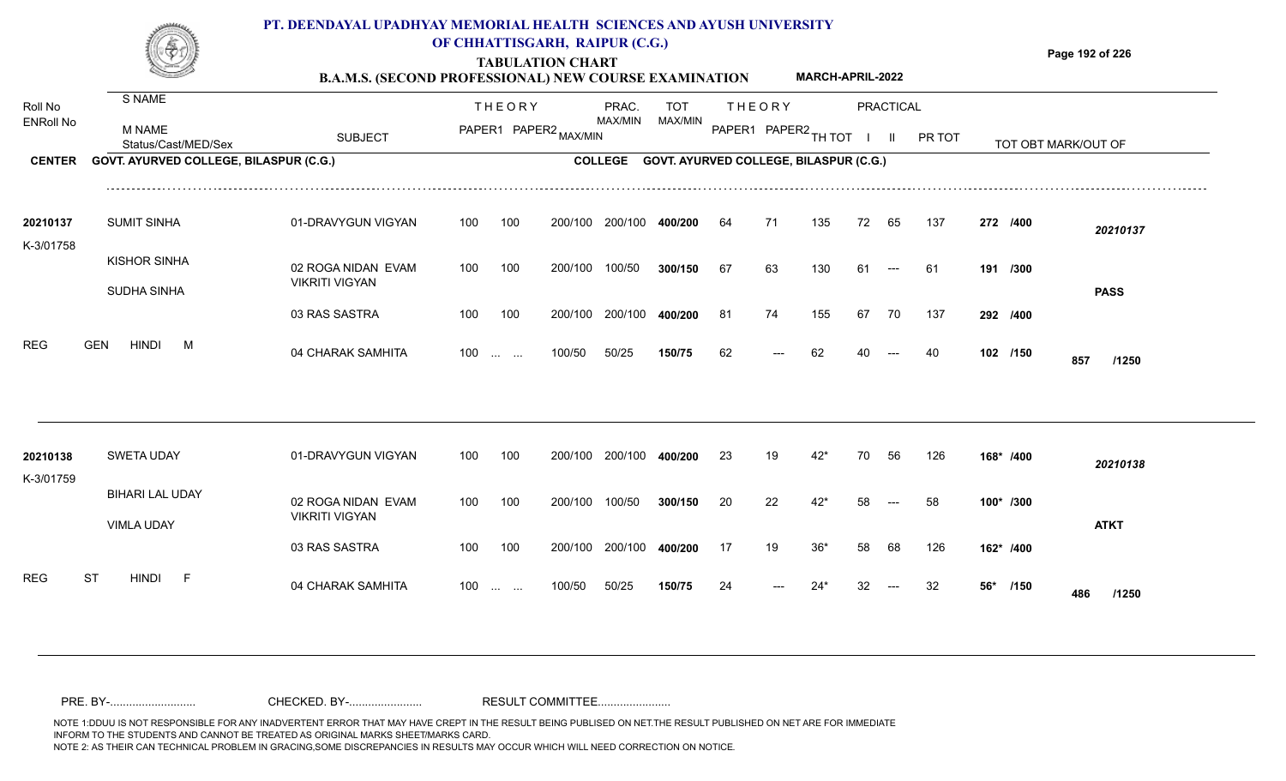

### **OF CHHATTISGARH, RAIPUR (C.G.)**

**Page 192 of 226**

#### **TABULATION CHART B.A.M.S. (SECOND PROFESSIONAL) NEW COURSE EXAMINATION MARCH-APRIL-2022**

| Roll No               | S NAME                                 |                                             | <b>THEORY</b>                   |                       | PRAC.          | <b>TOT</b>                                    |     | <b>THEORY</b>        |       |    | <b>PRACTICAL</b> |        |             |                     |
|-----------------------|----------------------------------------|---------------------------------------------|---------------------------------|-----------------------|----------------|-----------------------------------------------|-----|----------------------|-------|----|------------------|--------|-------------|---------------------|
| <b>ENRoll No</b>      | <b>M NAME</b><br>Status/Cast/MED/Sex   | <b>SUBJECT</b>                              |                                 | PAPER1 PAPER2 MAX/MIN | MAX/MIN        | MAX/MIN                                       |     | PAPER1 PAPER2 TH TOT |       |    | Ш.               | PR TOT |             | TOT OBT MARK/OUT OF |
| <b>CENTER</b>         | GOVT. AYURVED COLLEGE, BILASPUR (C.G.) |                                             |                                 |                       | <b>COLLEGE</b> | <b>GOVT. AYURVED COLLEGE, BILASPUR (C.G.)</b> |     |                      |       |    |                  |        |             |                     |
| 20210137<br>K-3/01758 | <b>SUMIT SINHA</b>                     | 01-DRAVYGUN VIGYAN                          | 100<br>100                      | 200/100               | 200/100        | 400/200                                       | 64  | 71                   | 135   | 72 | 65               | 137    | 272 /400    | 20210137            |
|                       | <b>KISHOR SINHA</b><br>SUDHA SINHA     | 02 ROGA NIDAN EVAM<br><b>VIKRITI VIGYAN</b> | 100<br>100                      | 200/100               | 100/50         | 300/150                                       | 67  | 63                   | 130   | 61 | $---$            | -61    | 191 /300    | <b>PASS</b>         |
|                       |                                        | 03 RAS SASTRA                               | 100<br>100                      | 200/100               | 200/100        | 400/200                                       | -81 | 74                   | 155   | 67 | 70               | 137    | 292 /400    |                     |
| <b>REG</b>            | <b>GEN</b><br><b>HINDI</b><br>M        | 04 CHARAK SAMHITA                           | $100 \dots \dots$               | 100/50                | 50/25          | 150/75                                        | 62  |                      | 62    |    |                  | 40     | 102 /150    | 857<br>/1250        |
| 20210138              | <b>SWETA UDAY</b>                      | 01-DRAVYGUN VIGYAN                          | 100<br>100                      | 200/100               | 200/100        | 400/200                                       | 23  | 19                   | $42*$ | 70 | 56               | 126    | 168* /400   |                     |
| K-3/01759             | <b>BIHARI LAL UDAY</b>                 | 02 ROGA NIDAN EVAM<br><b>VIKRITI VIGYAN</b> | 100<br>100                      | 200/100               | 100/50         | 300/150                                       | 20  | 22                   | $42*$ | 58 |                  | 58     | 100* /300   | 20210138            |
|                       | VIMLA UDAY                             | 03 RAS SASTRA                               | 100<br>100                      | 200/100               | 200/100        | 400/200                                       | -17 | 19                   | $36*$ | 58 | 68               | 126    | 162* /400   | <b>ATKT</b>         |
| <b>REG</b>            | <b>ST</b><br><b>HINDI</b><br>$-F$      | 04 CHARAK SAMHITA                           | 100<br><b>Contract Contract</b> | 100/50                | 50/25          | 150/75                                        | 24  |                      | 24*   |    |                  | 32     | 56*<br>/150 | 486<br>/1250        |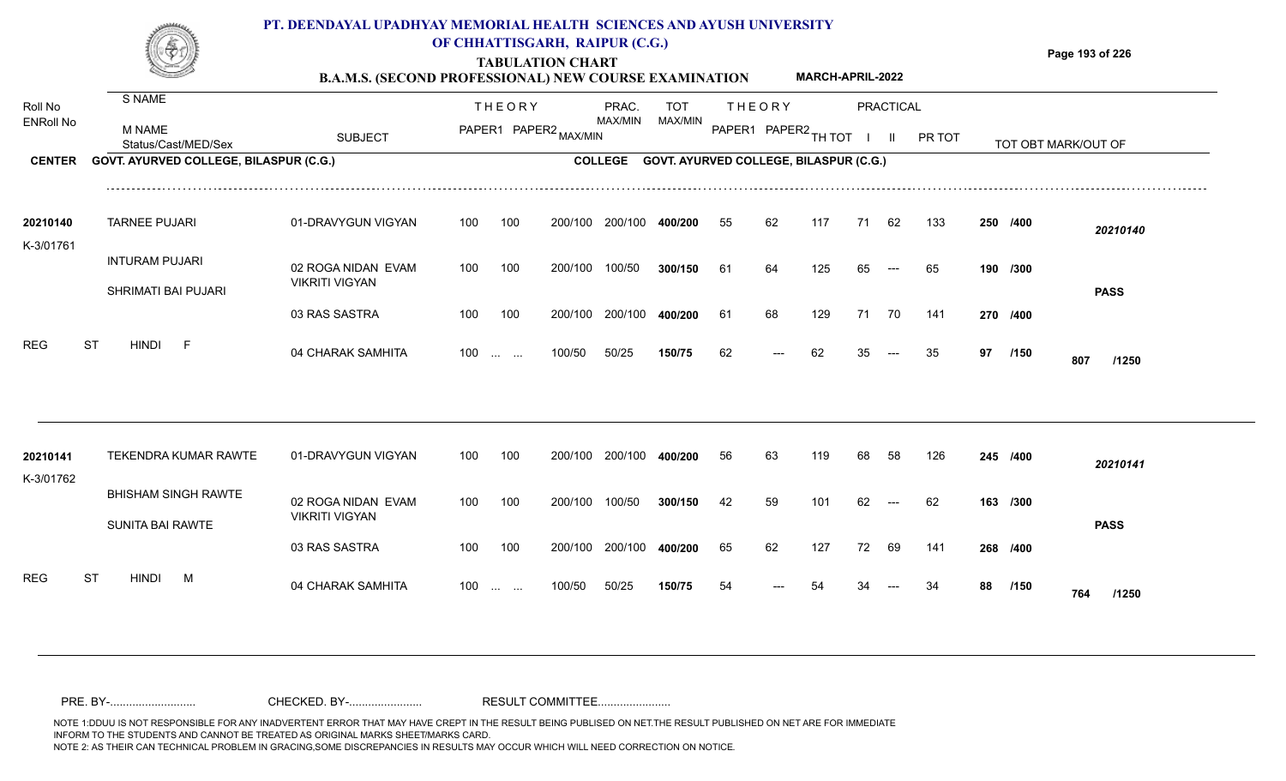

## **OF CHHATTISGARH, RAIPUR (C.G.)**

**Page 193 of 226**

#### **TABULATION CHART B.A.M.S. (SECOND PROFESSIONAL) NEW COURSE EXAMINATION MARCH-APRIL-2022**

| Roll No<br><b>ENRoll No</b> | S NAME<br><b>M NAME</b><br>Status/Cast/MED/Sex | <b>SUBJECT</b>                              |     | <b>THEORY</b>            | PAPER1 PAPER2 MAX/MIN | PRAC.<br>MAX/MIN | TOT<br>MAX/MIN                                 |    | <b>THEORY</b><br>PAPER1 PAPER2 TH TOT |     |    | <b>PRACTICAL</b><br>$\mathbf{II}$ | PR TOT |    |          | TOT OBT MARK/OUT OF |  |
|-----------------------------|------------------------------------------------|---------------------------------------------|-----|--------------------------|-----------------------|------------------|------------------------------------------------|----|---------------------------------------|-----|----|-----------------------------------|--------|----|----------|---------------------|--|
| <b>CENTER</b>               | GOVT. AYURVED COLLEGE, BILASPUR (C.G.)         |                                             |     |                          |                       |                  | COLLEGE GOVT. AYURVED COLLEGE, BILASPUR (C.G.) |    |                                       |     |    |                                   |        |    |          |                     |  |
| 20210140<br>K-3/01761       | <b>TARNEE PUJARI</b>                           | 01-DRAVYGUN VIGYAN                          | 100 | 100                      | 200/100               | 200/100          | 400/200                                        | 55 | 62                                    | 117 | 71 | 62                                | 133    |    | 250 /400 | 20210140            |  |
|                             | <b>INTURAM PUJARI</b><br>SHRIMATI BAI PUJARI   | 02 ROGA NIDAN EVAM<br><b>VIKRITI VIGYAN</b> | 100 | 100                      | 200/100               | 100/50           | 300/150                                        | 61 | 64                                    | 125 | 65 | $---$                             | 65     |    | 190 /300 | <b>PASS</b>         |  |
|                             |                                                | 03 RAS SASTRA                               | 100 | 100                      | 200/100               | 200/100          | 400/200                                        | 61 | 68                                    | 129 | 71 | 70                                | 141    |    | 270 /400 |                     |  |
| REG                         | <b>ST</b><br><b>HINDI</b><br>$-F$              | 04 CHARAK SAMHITA                           |     | $100$                    | 100/50                | 50/25            | 150/75                                         | 62 | ---                                   | 62  | 35 | $---$                             | 35     | 97 | /150     | 807<br>/1250        |  |
|                             |                                                |                                             |     |                          |                       |                  |                                                |    |                                       |     |    |                                   |        |    |          |                     |  |
| 20210141<br>K-3/01762       | <b>TEKENDRA KUMAR RAWTE</b>                    | 01-DRAVYGUN VIGYAN                          | 100 | 100                      | 200/100               | 200/100          | 400/200                                        | 56 | 63                                    | 119 | 68 | 58                                | 126    |    | 245 /400 | 20210141            |  |
|                             | <b>BHISHAM SINGH RAWTE</b><br>SUNITA BAI RAWTE | 02 ROGA NIDAN EVAM<br><b>VIKRITI VIGYAN</b> | 100 | 100                      | 200/100               | 100/50           | 300/150                                        | 42 | 59                                    | 101 | 62 |                                   | 62     |    | 163 /300 | <b>PASS</b>         |  |
|                             |                                                | 03 RAS SASTRA                               | 100 | 100                      | 200/100               | 200/100          | 400/200                                        | 65 | 62                                    | 127 | 72 | 69                                | 141    |    | 268 /400 |                     |  |
| <b>REG</b>                  | <b>ST</b><br><b>HINDI</b><br><b>M</b>          | 04 CHARAK SAMHITA                           | 100 | <b>Contract Contract</b> | 100/50                | 50/25            | 150/75                                         | 54 |                                       |     |    |                                   |        | 88 | /150     | 764<br>/1250        |  |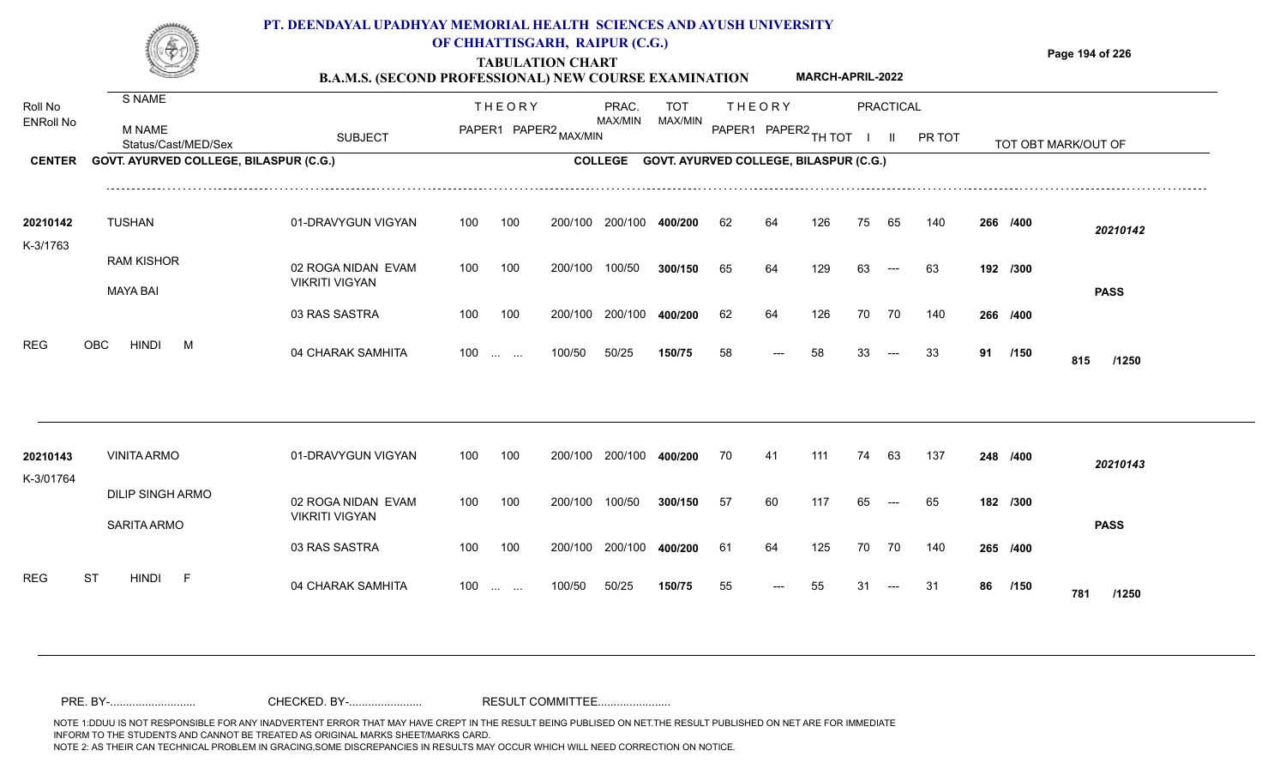

## **OF CHHATTISGARH, RAIPUR (C.G.)**

**Page 194 of 226**

#### **TABULATION CHART B.A.M.S. (SECOND PROFESSIONAL) NEW COURSE EXAMINATION MARCH-APRIL-2022**

| Roll No               | S NAME                                        |                                             |     | <b>THEORY</b>            |         | PRAC.          | <b>TOT</b>                             |    | <b>THEORY</b>        |     |    | <b>PRACTICAL</b> |        |    |          |                     |  |
|-----------------------|-----------------------------------------------|---------------------------------------------|-----|--------------------------|---------|----------------|----------------------------------------|----|----------------------|-----|----|------------------|--------|----|----------|---------------------|--|
| <b>ENRoll No</b>      | M NAME<br>Status/Cast/MED/Sex                 | <b>SUBJECT</b>                              |     | PAPER1 PAPER2 MAX/MIN    |         | MAX/MIN        | MAX/MIN                                |    | PAPER1 PAPER2 TH TOT |     |    |                  | PR TOT |    |          | TOT OBT MARK/OUT OF |  |
| <b>CENTER</b>         | GOVT. AYURVED COLLEGE, BILASPUR (C.G.)        |                                             |     |                          |         | <b>COLLEGE</b> | GOVT. AYURVED COLLEGE, BILASPUR (C.G.) |    |                      |     |    |                  |        |    |          |                     |  |
| 20210142<br>K-3/1763  | <b>TUSHAN</b>                                 | 01-DRAVYGUN VIGYAN                          | 100 | 100                      | 200/100 | 200/100        | 400/200                                | 62 | 64                   | 126 | 75 | 65               | 140    |    | 266 /400 | 20210142            |  |
|                       | <b>RAM KISHOR</b><br><b>MAYA BAI</b>          | 02 ROGA NIDAN EVAM<br><b>VIKRITI VIGYAN</b> | 100 | 100                      | 200/100 | 100/50         | 300/150                                | 65 | 64                   | 129 | 63 | $---$            | 63     |    | 192 /300 | <b>PASS</b>         |  |
|                       |                                               | 03 RAS SASTRA                               | 100 | 100                      | 200/100 | 200/100        | 400/200                                | 62 | 64                   | 126 | 70 | 70               | 140    |    | 266 /400 |                     |  |
| <b>REG</b>            | <b>HINDI</b><br>OBC<br>M                      | 04 CHARAK SAMHITA                           |     | $100 \dots \dots$        | 100/50  | 50/25          | 150/75                                 | 58 | ---                  | 58  | 33 | $---$            | 33     | 91 | /150     | 815<br>/1250        |  |
|                       |                                               |                                             |     |                          |         |                |                                        |    |                      |     |    |                  |        |    |          |                     |  |
| 20210143<br>K-3/01764 | <b>VINITA ARMO</b>                            | 01-DRAVYGUN VIGYAN                          | 100 | 100                      | 200/100 | 200/100        | 400/200                                | 70 | 41                   | 111 | 74 | 63               | 137    |    | 248 /400 | 20210143            |  |
|                       | <b>DILIP SINGH ARMO</b><br><b>SARITA ARMO</b> | 02 ROGA NIDAN EVAM<br><b>VIKRITI VIGYAN</b> | 100 | 100                      | 200/100 | 100/50         | 300/150                                | 57 | 60                   | 117 | 65 |                  | 65     |    | 182 /300 | <b>PASS</b>         |  |
|                       |                                               | 03 RAS SASTRA                               | 100 | 100                      | 200/100 | 200/100        | 400/200                                | 61 | 64                   | 125 | 70 | 70               | 140    |    | 265 /400 |                     |  |
| <b>REG</b>            | ST<br><b>HINDI</b><br>- F                     | 04 CHARAK SAMHITA                           | 100 | <b>Contract Contract</b> | 100/50  | 50/25          | 150/75                                 | 55 |                      | 55  | 31 |                  | -31    | 86 | /150     | 781<br>/1250        |  |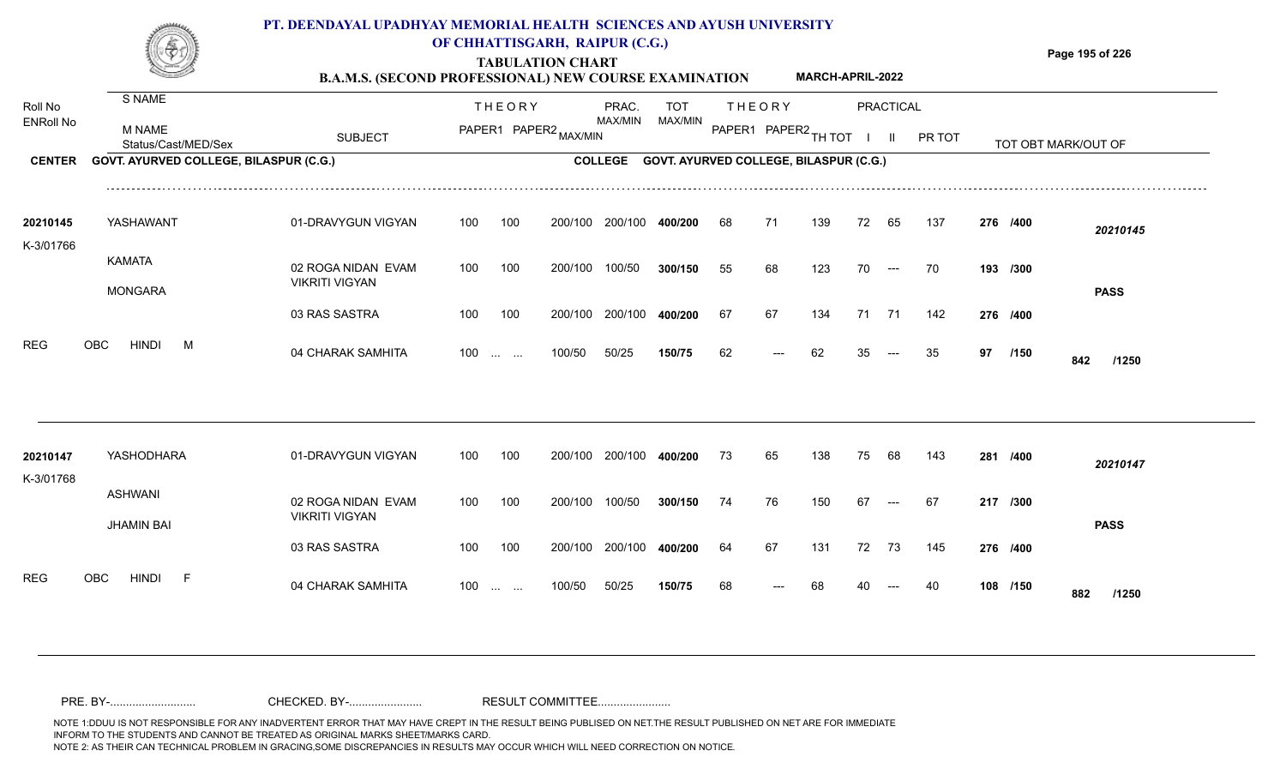

### **OF CHHATTISGARH, RAIPUR (C.G.)**

**Page 195 of 226**

#### **TABULATION CHART B.A.M.S. (SECOND PROFESSIONAL) NEW COURSE EXAMINATION MARCH-APRIL-2022**

| Roll No               | S NAME                                 |                                             |     | <b>THEORY</b>                 |                       | PRAC.<br>MAX/MIN | TOT<br>MAX/MIN                         |    | <b>THEORY</b>        |     |    | PRACTICAL            |        |    |          |                     |  |
|-----------------------|----------------------------------------|---------------------------------------------|-----|-------------------------------|-----------------------|------------------|----------------------------------------|----|----------------------|-----|----|----------------------|--------|----|----------|---------------------|--|
| <b>ENRoll No</b>      | M NAME<br>Status/Cast/MED/Sex          | <b>SUBJECT</b>                              |     |                               | PAPER1 PAPER2 MAX/MIN |                  |                                        |    | PAPER1 PAPER2 TH TOT |     |    | $\mathbf{II}$        | PR TOT |    |          | TOT OBT MARK/OUT OF |  |
| <b>CENTER</b>         | GOVT. AYURVED COLLEGE, BILASPUR (C.G.) |                                             |     |                               |                       | <b>COLLEGE</b>   | GOVT. AYURVED COLLEGE, BILASPUR (C.G.) |    |                      |     |    |                      |        |    |          |                     |  |
| 20210145<br>K-3/01766 | YASHAWANT                              | 01-DRAVYGUN VIGYAN                          | 100 | 100                           | 200/100               | 200/100          | 400/200                                | 68 | 71                   | 139 | 72 | 65                   | 137    |    | 276 /400 | 20210145            |  |
|                       | <b>KAMATA</b><br><b>MONGARA</b>        | 02 ROGA NIDAN EVAM<br><b>VIKRITI VIGYAN</b> | 100 | 100                           | 200/100               | 100/50           | 300/150                                | 55 | 68                   | 123 | 70 | $\hspace{0.05cm}---$ | 70     |    | 193 /300 | <b>PASS</b>         |  |
|                       |                                        | 03 RAS SASTRA                               | 100 | 100                           | 200/100               | 200/100          | 400/200                                | 67 | 67                   | 134 | 71 | 71                   | 142    |    | 276 /400 |                     |  |
| <b>REG</b>            | OBC<br><b>HINDI</b><br>M               | 04 CHARAK SAMHITA                           | 100 | $\mathbf{r}$ and $\mathbf{r}$ | 100/50                | 50/25            | 150/75                                 | 62 |                      | 62  |    |                      | 35     | 97 | /150     | 842<br>/1250        |  |
|                       |                                        |                                             |     |                               |                       |                  |                                        |    |                      |     |    |                      |        |    |          |                     |  |
| 20210147<br>K-3/01768 | YASHODHARA                             | 01-DRAVYGUN VIGYAN                          | 100 | 100                           | 200/100               | 200/100          | 400/200                                | 73 | 65                   | 138 | 75 | 68                   | 143    |    | 281 /400 | 20210147            |  |
|                       | <b>ASHWANI</b><br><b>JHAMIN BAI</b>    | 02 ROGA NIDAN EVAM<br><b>VIKRITI VIGYAN</b> | 100 | 100                           | 200/100               | 100/50           | 300/150                                | 74 | 76                   | 150 | 67 | $---$                | 67     |    | 217 /300 | <b>PASS</b>         |  |
|                       |                                        | 03 RAS SASTRA                               | 100 | 100                           | 200/100               | 200/100          | 400/200                                | 64 | 67                   | 131 | 72 | -73                  | 145    |    | 276 /400 |                     |  |
| <b>REG</b>            | OBC<br><b>HINDI</b><br>- F             | 04 CHARAK SAMHITA                           | 100 | <b>Contract Contract</b>      | 100/50                | 50/25            | 150/75                                 | 68 |                      | 68  |    |                      |        |    | 108 /150 | 882<br>/1250        |  |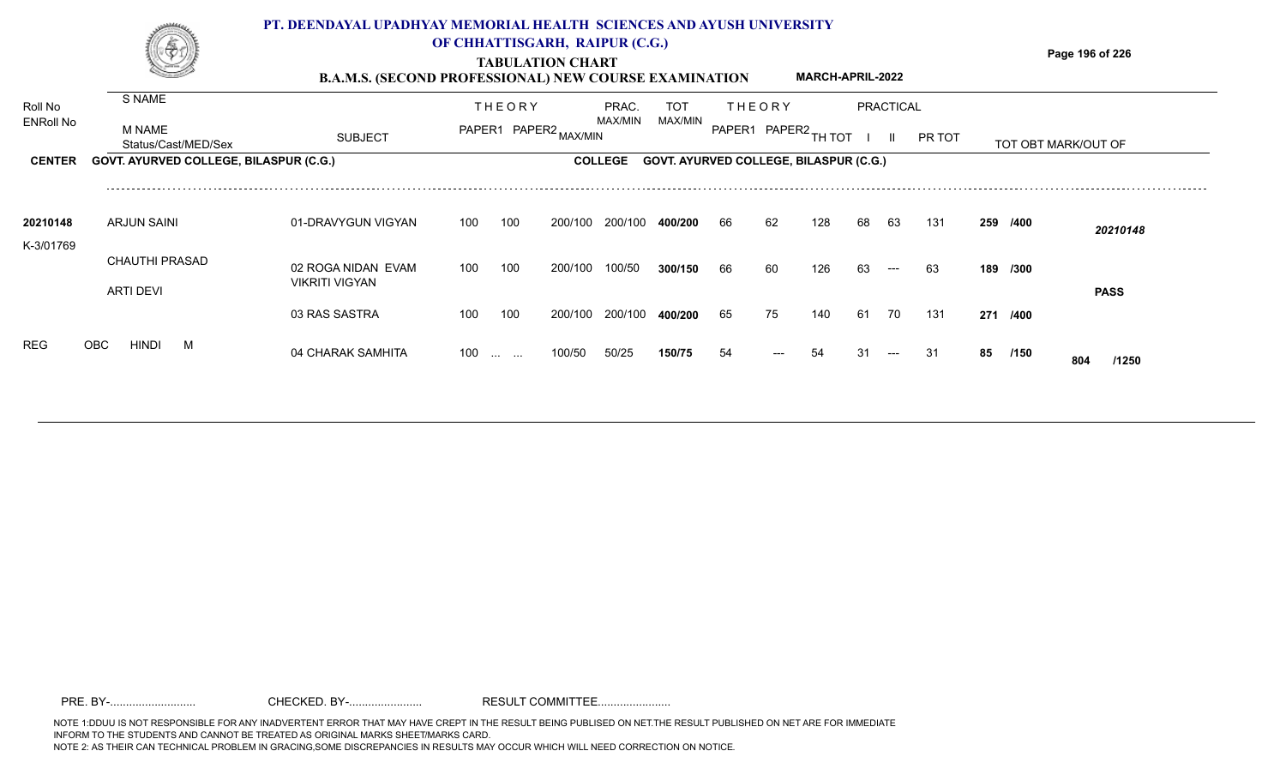**TABULATION CHART**



### **OF CHHATTISGARH, RAIPUR (C.G.)**

**Page 196 of 226**

#### **B.A.M.S. (SECOND PROFESSIONAL) NEW COURSE EXAMINATION MARCH-APRIL-2022**

| Roll No          | S NAME                                 |                                             |     | <b>THEORY</b>        |                       | PRAC.          | <b>TOT</b>                                    |    | <b>THEORY</b>        |     |    | PRACTICAL |        |    |          |                     |
|------------------|----------------------------------------|---------------------------------------------|-----|----------------------|-----------------------|----------------|-----------------------------------------------|----|----------------------|-----|----|-----------|--------|----|----------|---------------------|
| <b>ENRoll No</b> | <b>M NAME</b><br>Status/Cast/MED/Sex   | <b>SUBJECT</b>                              |     |                      | PAPER1 PAPER2 MAX/MIN | MAX/MIN        | MAX/MIN                                       |    | PAPER1 PAPER2 TH TOT |     |    |           | PR TOT |    |          | TOT OBT MARK/OUT OF |
| <b>CENTER</b>    | GOVT. AYURVED COLLEGE, BILASPUR (C.G.) |                                             |     |                      |                       | <b>COLLEGE</b> | <b>GOVT. AYURVED COLLEGE, BILASPUR (C.G.)</b> |    |                      |     |    |           |        |    |          |                     |
| 20210148         | ARJUN SAINI                            | 01-DRAVYGUN VIGYAN                          | 100 | 100                  | 200/100               | 200/100        | 400/200                                       | 66 | 62                   | 128 | 68 | 63        | 131    |    | 259 /400 |                     |
| K-3/01769        | <b>CHAUTHI PRASAD</b>                  |                                             |     |                      |                       |                |                                               |    |                      |     |    |           |        |    |          | 20210148            |
|                  | ARTI DEVI                              | 02 ROGA NIDAN EVAM<br><b>VIKRITI VIGYAN</b> | 100 | 100                  | 200/100               | 100/50         | 300/150                                       | 66 | 60                   | 126 | 63 | $---$     | 63     |    | 189 /300 | <b>PASS</b>         |
|                  |                                        | 03 RAS SASTRA                               | 100 | 100                  | 200/100               | 200/100        | 400/200                                       | 65 | 75                   | 140 | 61 | 70        | 131    |    | 271 /400 |                     |
| <b>REG</b>       | <b>OBC</b><br>HINDI<br>M               | 04 CHARAK SAMHITA                           | 100 | $\cdots$<br>$\cdots$ | 100/50                | 50/25          | 150/75                                        | 54 | $\qquad \qquad - -$  | 54  | 31 | $---$     | -31    | 85 | /150     | 804<br>/1250        |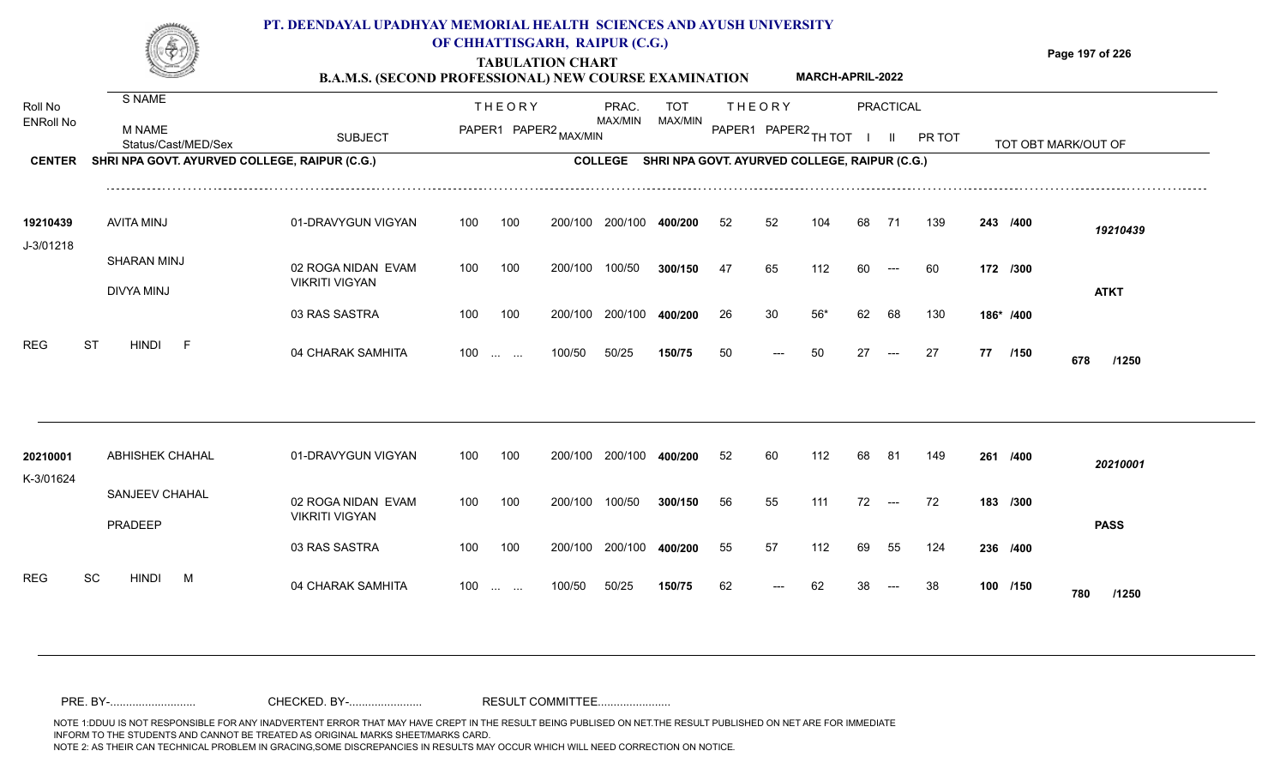

### **OF CHHATTISGARH, RAIPUR (C.G.)**

**Page 197 of 226**

#### **TABULATION CHART B.A.M.S. (SECOND PROFESSIONAL) NEW COURSE EXAMINATION MARCH-APRIL-2022**

| Roll No<br><b>ENRoll No</b> | S NAME<br>M NAME<br>Status/Cast/MED/Sex       | <b>SUBJECT</b>                              |     | <b>THEORY</b>     | PAPER1 PAPER2 MAX/MIN | PRAC.<br>MAX/MIN | TOT<br>MAX/MIN                                        |    | <b>THEORY</b><br>PAPER1 PAPER2 TH TOT |       |    | <b>PRACTICAL</b><br>$\mathbf{II}$ | PR TOT |    |           | TOT OBT MARK/OUT OF |  |
|-----------------------------|-----------------------------------------------|---------------------------------------------|-----|-------------------|-----------------------|------------------|-------------------------------------------------------|----|---------------------------------------|-------|----|-----------------------------------|--------|----|-----------|---------------------|--|
| <b>CENTER</b>               | SHRI NPA GOVT. AYURVED COLLEGE, RAIPUR (C.G.) |                                             |     |                   |                       |                  | COLLEGE SHRI NPA GOVT. AYURVED COLLEGE, RAIPUR (C.G.) |    |                                       |       |    |                                   |        |    |           |                     |  |
| 19210439<br>J-3/01218       | <b>AVITA MINJ</b>                             | 01-DRAVYGUN VIGYAN                          | 100 | 100               | 200/100               | 200/100          | 400/200                                               | 52 | 52                                    | 104   | 68 | 71                                | 139    |    | 243 /400  | 19210439            |  |
|                             | SHARAN MINJ<br><b>DIVYA MINJ</b>              | 02 ROGA NIDAN EVAM<br><b>VIKRITI VIGYAN</b> | 100 | 100               | 200/100               | 100/50           | 300/150                                               | 47 | 65                                    | 112   | 60 | $---$                             | 60     |    | 172 /300  | <b>ATKT</b>         |  |
|                             |                                               | 03 RAS SASTRA                               | 100 | 100               | 200/100               | 200/100          | 400/200                                               | 26 | 30                                    | $56*$ | 62 | 68                                | 130    |    | 186* /400 |                     |  |
| <b>REG</b>                  | <b>ST</b><br><b>HINDI</b><br>- F              | 04 CHARAK SAMHITA                           |     | $100 \dots \dots$ | 100/50                | 50/25            | 150/75                                                | 50 | $---$                                 | 50    | 27 | $---$                             | 27     | 77 | /150      | 678<br>/1250        |  |
| 20210001                    | <b>ABHISHEK CHAHAL</b>                        | 01-DRAVYGUN VIGYAN                          | 100 | 100               | 200/100               | 200/100          | 400/200                                               | 52 | 60                                    | 112   | 68 | 81                                | 149    |    | 261 /400  | 20210001            |  |
| K-3/01624                   | SANJEEV CHAHAL<br>PRADEEP                     | 02 ROGA NIDAN EVAM<br><b>VIKRITI VIGYAN</b> | 100 | 100               | 200/100               | 100/50           | 300/150                                               | 56 | 55                                    | 111   | 72 | $\hspace{0.05cm}---$              | 72     |    | 183 /300  | <b>PASS</b>         |  |
|                             |                                               | 03 RAS SASTRA                               | 100 | 100               |                       | 200/100 200/100  | 400/200                                               | 55 | 57                                    | 112   | 69 | 55                                | 124    |    | 236 /400  |                     |  |
| <b>REG</b>                  | SC<br><b>HINDI</b><br>M                       | 04 CHARAK SAMHITA                           |     | $100 \dots \dots$ | 100/50                | 50/25            | 150/75                                                | 62 |                                       | 62    |    |                                   | 38     |    | 100 /150  | 780<br>/1250        |  |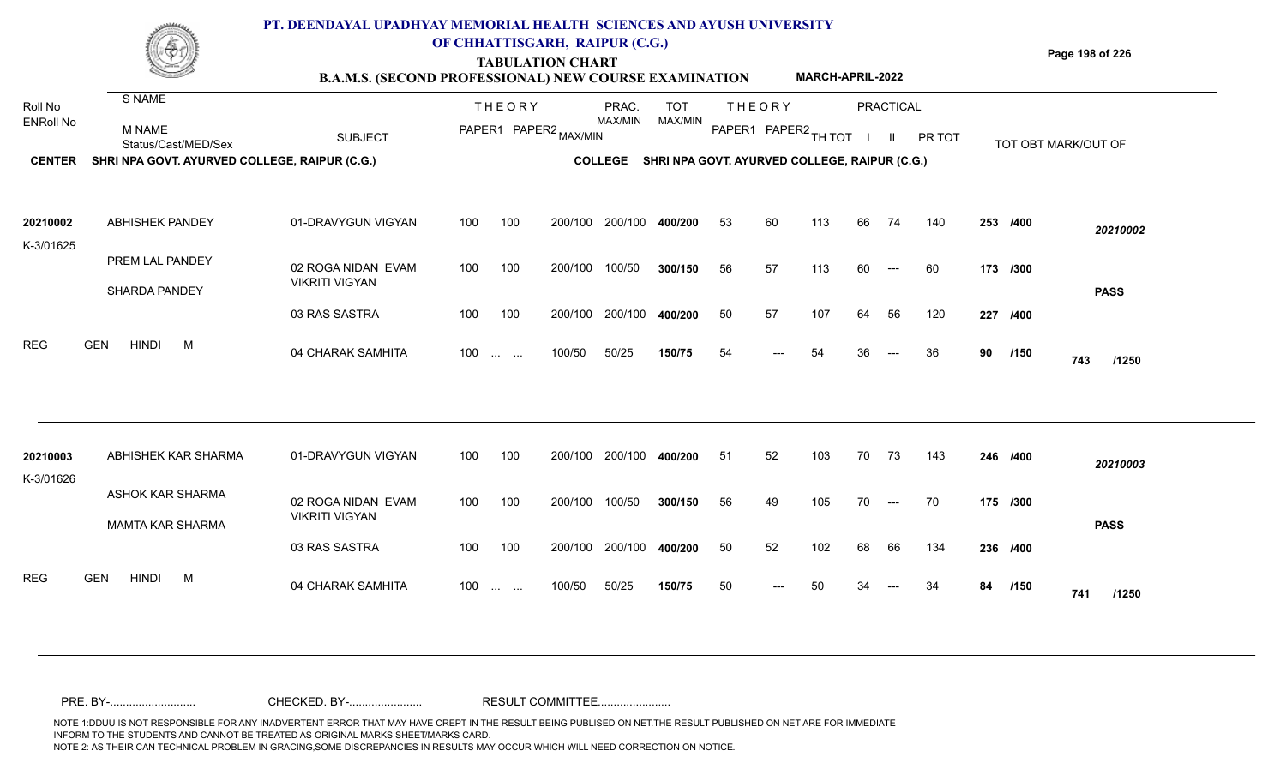### **PT. DEENDAYAL UPADHYAY MEMORIAL HEALTH SCIENCES AND AYUSH UNIVERSITY OF CHHATTISGARH, RAIPUR (C.G.)**



# **TABULATION CHART**

**Page 198 of 226**

#### **B.A.M.S. (SECOND PROFESSIONAL) NEW COURSE EXAMINATION MARCH-APRIL-2022**

| Roll No               | S NAME                                        |                                             |     | <b>THEORY</b>            |                       | PRAC.          | <b>TOT</b>                                    |    | <b>THEORY</b>        |     |    | <b>PRACTICAL</b> |        |     |          |                     |
|-----------------------|-----------------------------------------------|---------------------------------------------|-----|--------------------------|-----------------------|----------------|-----------------------------------------------|----|----------------------|-----|----|------------------|--------|-----|----------|---------------------|
| <b>ENRoll No</b>      | M NAME<br>Status/Cast/MED/Sex                 | <b>SUBJECT</b>                              |     |                          | PAPER1 PAPER2 MAX/MIN | MAX/MIN        | MAX/MIN                                       |    | PAPER1 PAPER2 TH TOT |     |    | $\mathbf{H}$     | PR TOT |     |          | TOT OBT MARK/OUT OF |
| <b>CENTER</b>         | SHRI NPA GOVT. AYURVED COLLEGE, RAIPUR (C.G.) |                                             |     |                          |                       | <b>COLLEGE</b> | SHRI NPA GOVT. AYURVED COLLEGE, RAIPUR (C.G.) |    |                      |     |    |                  |        |     |          |                     |
| 20210002              | <b>ABHISHEK PANDEY</b>                        | 01-DRAVYGUN VIGYAN                          | 100 | 100                      | 200/100               | 200/100        | 400/200                                       | 53 | 60                   | 113 | 66 | 74               | 140    |     | 253 /400 | 20210002            |
| K-3/01625             | PREM LAL PANDEY                               |                                             |     |                          |                       |                |                                               |    |                      |     |    |                  |        |     |          |                     |
|                       | <b>SHARDA PANDEY</b>                          | 02 ROGA NIDAN EVAM<br><b>VIKRITI VIGYAN</b> | 100 | 100                      | 200/100               | 100/50         | 300/150                                       | 56 | 57                   | 113 | 60 | $---$            | 60     |     | 173 /300 | <b>PASS</b>         |
|                       |                                               | 03 RAS SASTRA                               | 100 | 100                      | 200/100               | 200/100        | 400/200                                       | 50 | 57                   | 107 | 64 | 56               | 120    | 227 | /400     |                     |
| <b>REG</b>            | <b>HINDI</b><br><b>GEN</b><br>M               | 04 CHARAK SAMHITA                           |     | $100$                    | 100/50                | 50/25          | 150/75                                        | 54 |                      | 54  |    |                  | 36     | 90  | /150     | 743<br>/1250        |
|                       |                                               |                                             |     |                          |                       |                |                                               |    |                      |     |    |                  |        |     |          |                     |
| 20210003<br>K-3/01626 | ABHISHEK KAR SHARMA                           | 01-DRAVYGUN VIGYAN                          | 100 | 100                      | 200/100               | 200/100        | 400/200                                       | 51 | 52                   | 103 | 70 | - 73             | 143    |     | 246 /400 | 20210003            |
|                       | ASHOK KAR SHARMA<br><b>MAMTA KAR SHARMA</b>   | 02 ROGA NIDAN EVAM<br><b>VIKRITI VIGYAN</b> | 100 | 100                      | 200/100               | 100/50         | 300/150                                       | 56 | 49                   | 105 | 70 | $---$            | 70     |     | 175 /300 | <b>PASS</b>         |
|                       |                                               | 03 RAS SASTRA                               | 100 | 100                      | 200/100               | 200/100        | 400/200                                       | 50 | 52                   | 102 | 68 | 66               | 134    |     | 236 /400 |                     |
| <b>REG</b>            | <b>GEN</b><br><b>HINDI</b><br>M               | 04 CHARAK SAMHITA                           | 100 | <b>Contract Contract</b> | 100/50                | 50/25          | 150/75                                        | 50 |                      |     |    |                  |        | 84  | /150     | 741<br>/1250        |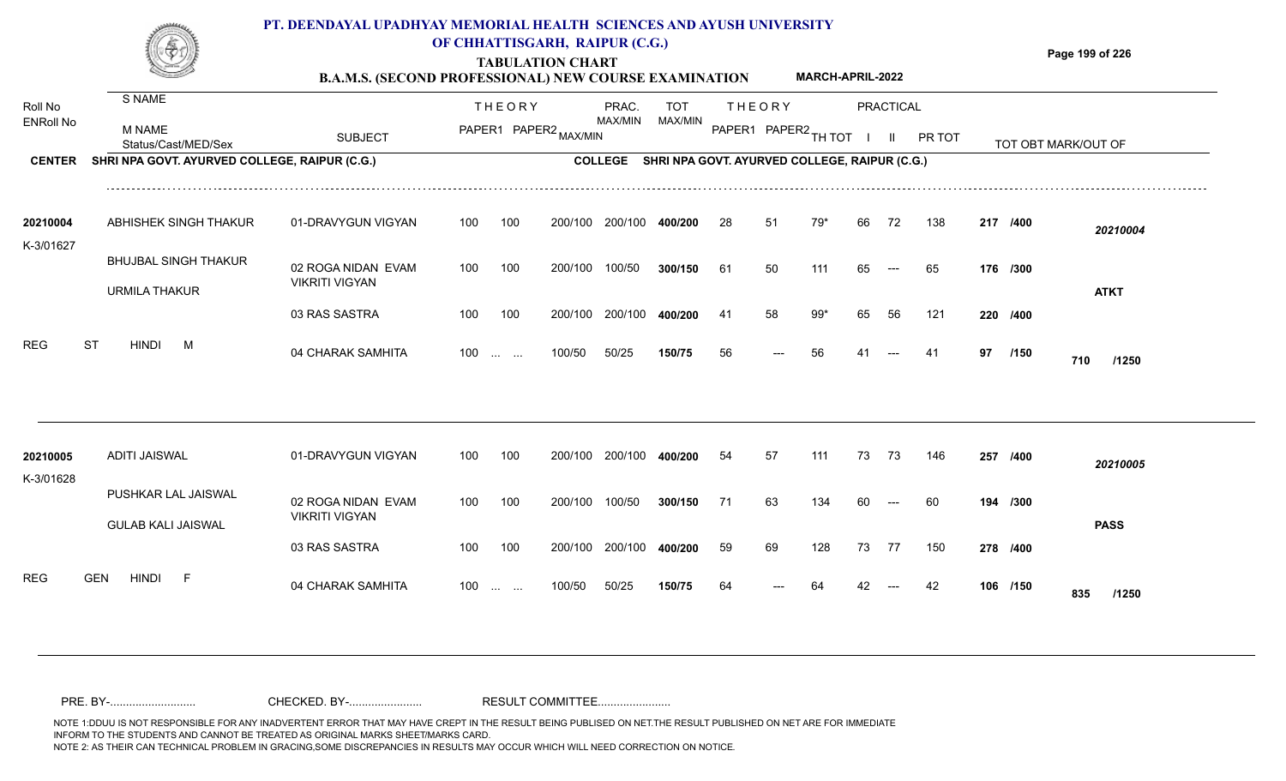

### **OF CHHATTISGARH, RAIPUR (C.G.)**

**Page 199 of 226**

#### **TABULATION CHART B.A.M.S. (SECOND PROFESSIONAL) NEW COURSE EXAMINATION MARCH-APRIL-2022**

| Roll No               | S NAME                                        |                       |     | <b>THEORY</b>         |         | PRAC.          | <b>TOT</b> |     | <b>THEORY</b>                                 |     |    | PRACTICAL     |        |    |          |                     |
|-----------------------|-----------------------------------------------|-----------------------|-----|-----------------------|---------|----------------|------------|-----|-----------------------------------------------|-----|----|---------------|--------|----|----------|---------------------|
| <b>ENRoll No</b>      | <b>M NAME</b><br>Status/Cast/MED/Sex          | <b>SUBJECT</b>        |     | PAPER1 PAPER2 MAX/MIN |         | MAX/MIN        | MAX/MIN    |     | PAPER1 PAPER2 TH TOT                          |     |    | $\mathbf{II}$ | PR TOT |    |          | TOT OBT MARK/OUT OF |
| <b>CENTER</b>         | SHRI NPA GOVT. AYURVED COLLEGE, RAIPUR (C.G.) |                       |     |                       |         | <b>COLLEGE</b> |            |     | SHRI NPA GOVT. AYURVED COLLEGE, RAIPUR (C.G.) |     |    |               |        |    |          |                     |
| 20210004              | ABHISHEK SINGH THAKUR                         | 01-DRAVYGUN VIGYAN    | 100 | 100                   | 200/100 | 200/100        | 400/200    | 28  | 51                                            | 79* | 66 | 72            | 138    |    | 217 /400 | 20210004            |
| K-3/01627             |                                               |                       |     |                       |         |                |            |     |                                               |     |    |               |        |    |          |                     |
|                       | <b>BHUJBAL SINGH THAKUR</b>                   | 02 ROGA NIDAN EVAM    | 100 | 100                   | 200/100 | 100/50         | 300/150    | 61  | 50                                            | 111 | 65 | $---$         | 65     |    | 176 /300 |                     |
|                       | <b>URMILA THAKUR</b>                          | <b>VIKRITI VIGYAN</b> |     |                       |         |                |            |     |                                               |     |    |               |        |    |          | <b>ATKT</b>         |
|                       |                                               | 03 RAS SASTRA         | 100 | 100                   | 200/100 | 200/100        | 400/200    | -41 | 58                                            | 99* | 65 | 56            | 121    |    | 220 /400 |                     |
| <b>REG</b>            | <b>ST</b><br><b>HINDI</b><br>M                | 04 CHARAK SAMHITA     |     | 100                   | 100/50  | 50/25          | 150/75     | 56  |                                               | 56  |    |               | -41    | 97 | /150     | 710<br>/1250        |
|                       |                                               |                       |     |                       |         |                |            |     |                                               |     |    |               |        |    |          |                     |
| 20210005<br>K-3/01628 | <b>ADITI JAISWAL</b>                          | 01-DRAVYGUN VIGYAN    | 100 | 100                   | 200/100 | 200/100        | 400/200    | 54  | 57                                            | 111 | 73 | 73            | 146    |    | 257 /400 | 20210005            |
|                       | PUSHKAR LAL JAISWAL                           | 02 ROGA NIDAN EVAM    | 100 | 100                   | 200/100 | 100/50         | 300/150    | 71  | 63                                            | 134 | 60 |               | 60     |    | 194 /300 |                     |
|                       | <b>GULAB KALI JAISWAL</b>                     | <b>VIKRITI VIGYAN</b> |     |                       |         |                |            |     |                                               |     |    |               |        |    |          | <b>PASS</b>         |
|                       |                                               | 03 RAS SASTRA         | 100 | 100                   | 200/100 | 200/100        | 400/200    | 59  | 69                                            | 128 | 73 | 77            | 150    |    | 278 /400 |                     |
| <b>REG</b>            | <b>HINDI</b><br><b>GEN</b><br>-F              | 04 CHARAK SAMHITA     |     | $100$                 | 100/50  | 50/25          | 150/75     | 64  |                                               |     |    |               |        |    | 106 /150 | 835<br>/1250        |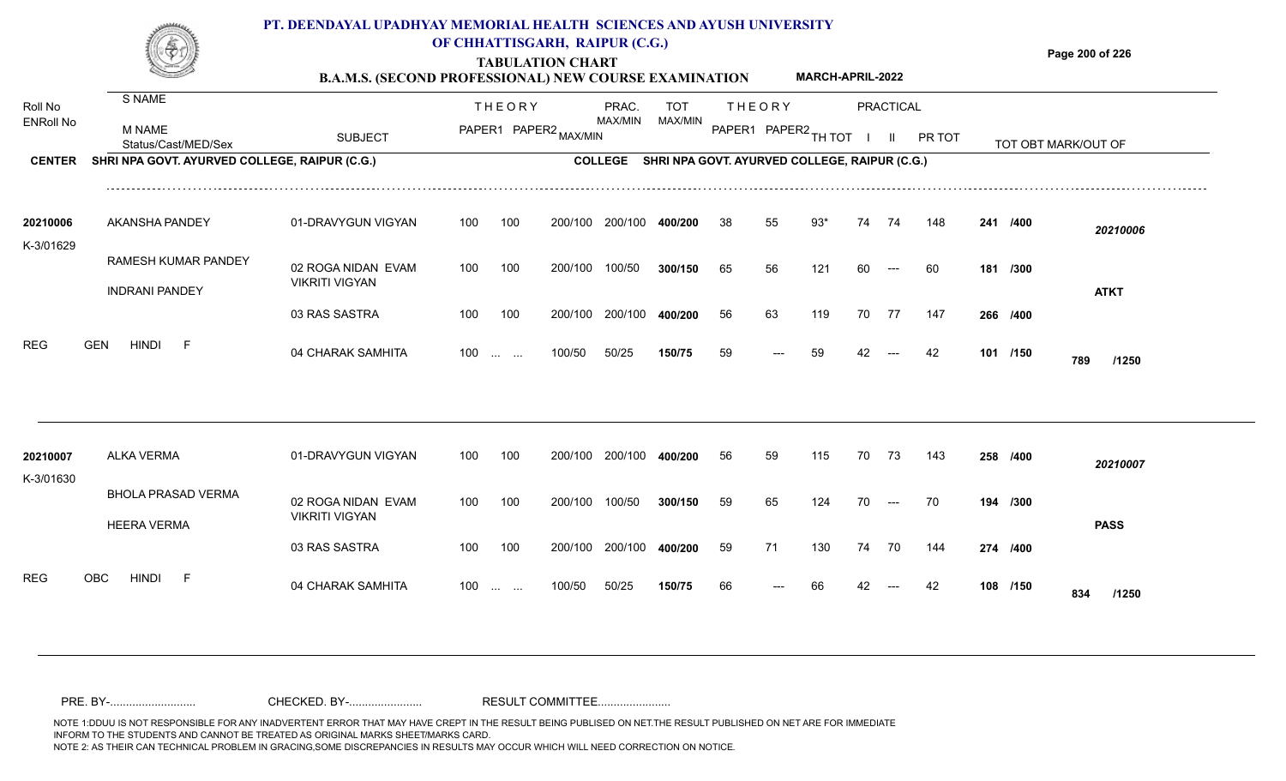

### **OF CHHATTISGARH, RAIPUR (C.G.)**

**Page 200 of 226**

#### **TABULATION CHART B.A.M.S. (SECOND PROFESSIONAL) NEW COURSE EXAMINATION MARCH-APRIL-2022**

| Roll No               | S NAME                                          |                                             |     | <b>THEORY</b>                                  |                       | PRAC.          | <b>TOT</b> |    | <b>THEORY</b>                                 |     |    | <b>PRACTICAL</b> |        |          |                     |
|-----------------------|-------------------------------------------------|---------------------------------------------|-----|------------------------------------------------|-----------------------|----------------|------------|----|-----------------------------------------------|-----|----|------------------|--------|----------|---------------------|
| <b>ENRoll No</b>      | <b>M NAME</b><br>Status/Cast/MED/Sex            | <b>SUBJECT</b>                              |     |                                                | PAPER1 PAPER2 MAX/MIN | MAX/MIN        | MAX/MIN    |    | PAPER1 PAPER2 TH TOT                          |     |    | $\mathbf{II}$    | PR TOT |          | TOT OBT MARK/OUT OF |
| <b>CENTER</b>         | SHRI NPA GOVT. AYURVED COLLEGE, RAIPUR (C.G.)   |                                             |     |                                                |                       | <b>COLLEGE</b> |            |    | SHRI NPA GOVT. AYURVED COLLEGE, RAIPUR (C.G.) |     |    |                  |        |          |                     |
| 20210006              | <b>AKANSHA PANDEY</b>                           | 01-DRAVYGUN VIGYAN                          | 100 | 100                                            | 200/100               | 200/100        | 400/200    | 38 |                                               | 93' | 74 | 74               | 148    | 241 /400 | 20210006            |
| K-3/01629             | RAMESH KUMAR PANDEY<br><b>INDRANI PANDEY</b>    | 02 ROGA NIDAN EVAM<br><b>VIKRITI VIGYAN</b> | 100 | 100                                            | 200/100               | 100/50         | 300/150    | 65 | 56                                            | 121 | 60 | $---$            | 60     | 181 /300 | <b>ATKT</b>         |
|                       |                                                 | 03 RAS SASTRA                               | 100 | 100                                            | 200/100               | 200/100        | 400/200    | 56 | 63                                            | 119 | 70 | 77               | 147    | 266 /400 |                     |
| <b>REG</b>            | <b>GEN</b><br><b>HINDI</b><br>-F                | 04 CHARAK SAMHITA                           | 100 | $\mathbf{r}$ and $\mathbf{r}$ and $\mathbf{r}$ | 100/50                | 50/25          | 150/75     | 59 |                                               | 59  |    |                  | 42     | 101 /150 | 789<br>/1250        |
|                       |                                                 |                                             |     |                                                |                       |                |            |    |                                               |     |    |                  |        |          |                     |
| 20210007<br>K-3/01630 | ALKA VERMA                                      | 01-DRAVYGUN VIGYAN                          | 100 | 100                                            | 200/100               | 200/100        | 400/200    | 56 | 59                                            | 115 | 70 | 73               | 143    | 258 /400 | 20210007            |
|                       | <b>BHOLA PRASAD VERMA</b><br><b>HEERA VERMA</b> | 02 ROGA NIDAN EVAM<br><b>VIKRITI VIGYAN</b> | 100 | 100                                            | 200/100               | 100/50         | 300/150    | 59 | 65                                            | 124 | 70 | $---$            | 70     | 194 /300 | <b>PASS</b>         |
|                       |                                                 | 03 RAS SASTRA                               | 100 | 100                                            | 200/100               | 200/100        | 400/200    | 59 | 71                                            | 130 | 74 | 70               | 144    | 274 /400 |                     |
| <b>REG</b>            | OBC<br><b>HINDI</b><br>-F                       | 04 CHARAK SAMHITA                           | 100 | $\mathbf{r}$ and $\mathbf{r}$                  | 100/50                | 50/25          | 150/75     | 66 |                                               |     |    |                  |        | 108 /150 | 834<br>/1250        |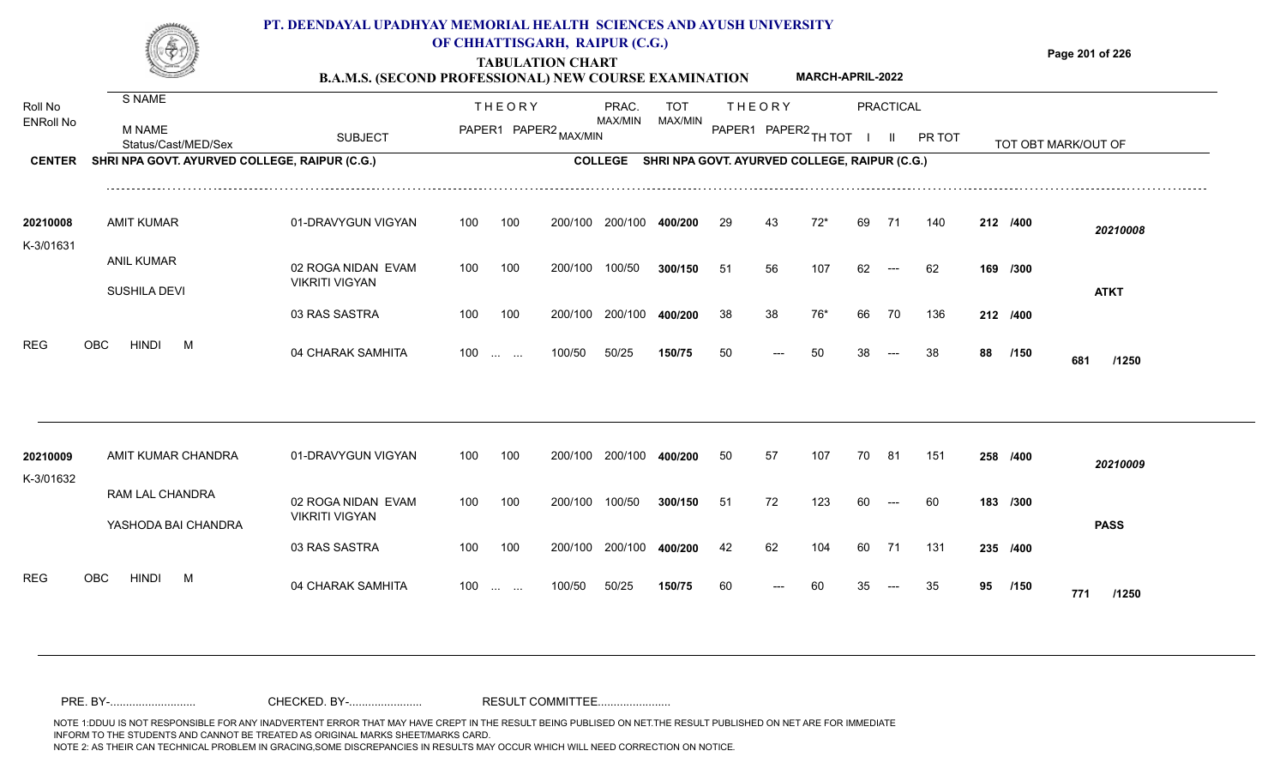

## **OF CHHATTISGARH, RAIPUR (C.G.)**

**Page 201 of 226**

**TABULATION CHART B.A.M.S. (SECOND PROFESSIONAL) NEW COURSE EXAMINATION MARCH-APRIL-2022**

| Roll No<br><b>ENRoll No</b> | S NAME<br>M NAME<br>Status/Cast/MED/Sex       | <b>SUBJECT</b>                              |     | <b>THEORY</b><br>PAPER1 PAPER2 MAX/MIN |         | PRAC.<br>MAX/MIN | TOT<br>MAX/MIN                                |    | <b>THEORY</b><br>PAPER1 PAPER2 TH TOT |       |    | PRACTICAL<br>$\mathbf{H}$ | PR TOT |    |          | TOT OBT MARK/OUT OF |
|-----------------------------|-----------------------------------------------|---------------------------------------------|-----|----------------------------------------|---------|------------------|-----------------------------------------------|----|---------------------------------------|-------|----|---------------------------|--------|----|----------|---------------------|
| <b>CENTER</b>               | SHRI NPA GOVT. AYURVED COLLEGE, RAIPUR (C.G.) |                                             |     |                                        |         | <b>COLLEGE</b>   | SHRI NPA GOVT. AYURVED COLLEGE, RAIPUR (C.G.) |    |                                       |       |    |                           |        |    |          |                     |
| 20210008<br>K-3/01631       | <b>AMIT KUMAR</b>                             | 01-DRAVYGUN VIGYAN                          | 100 | 100                                    | 200/100 | 200/100          | 400/200                                       | 29 | 43                                    | $72*$ | 69 | 71                        | 140    |    | 212 /400 | 20210008            |
|                             | <b>ANIL KUMAR</b><br>SUSHILA DEVI             | 02 ROGA NIDAN EVAM<br><b>VIKRITI VIGYAN</b> | 100 | 100                                    | 200/100 | 100/50           | 300/150                                       | 51 | 56                                    | 107   | 62 | $---$                     | 62     |    | 169 /300 | <b>ATKT</b>         |
|                             |                                               | 03 RAS SASTRA                               | 100 | 100                                    | 200/100 | 200/100          | 400/200                                       | 38 | 38                                    | 76*   | 66 | 70                        | 136    |    | 212 /400 |                     |
| <b>REG</b>                  | <b>HINDI</b><br><b>OBC</b><br>M               | 04 CHARAK SAMHITA                           |     | $100 \dots \dots$                      | 100/50  | 50/25            | 150/75                                        | 50 | ---                                   | 50    | 38 |                           | 38     | 88 | /150     | 681<br>/1250        |
| 20210009                    | AMIT KUMAR CHANDRA                            | 01-DRAVYGUN VIGYAN                          | 100 | 100                                    | 200/100 | 200/100          | 400/200                                       | 50 | 57                                    | 107   | 70 | 81                        | 151    |    | 258 /400 |                     |
| K-3/01632                   |                                               |                                             |     |                                        |         |                  |                                               |    |                                       |       |    |                           |        |    |          | 20210009            |
|                             | RAM LAL CHANDRA<br>YASHODA BAI CHANDRA        | 02 ROGA NIDAN EVAM<br><b>VIKRITI VIGYAN</b> | 100 | 100                                    | 200/100 | 100/50           | 300/150                                       | 51 | 72                                    | 123   | 60 | $---$                     | 60     |    | 183 /300 | <b>PASS</b>         |
|                             |                                               | 03 RAS SASTRA                               | 100 | 100                                    | 200/100 | 200/100          | 400/200                                       | 42 | 62                                    | 104   | 60 | 71                        | 131    |    | 235 /400 |                     |
| <b>REG</b>                  | <b>HINDI</b><br>OBC<br>M                      | 04 CHARAK SAMHITA                           | 100 | <b>Contract Contract</b>               | 100/50  | 50/25            | 150/75                                        | 60 |                                       | 60    |    |                           | 35     | 95 | /150     | 771<br>/1250        |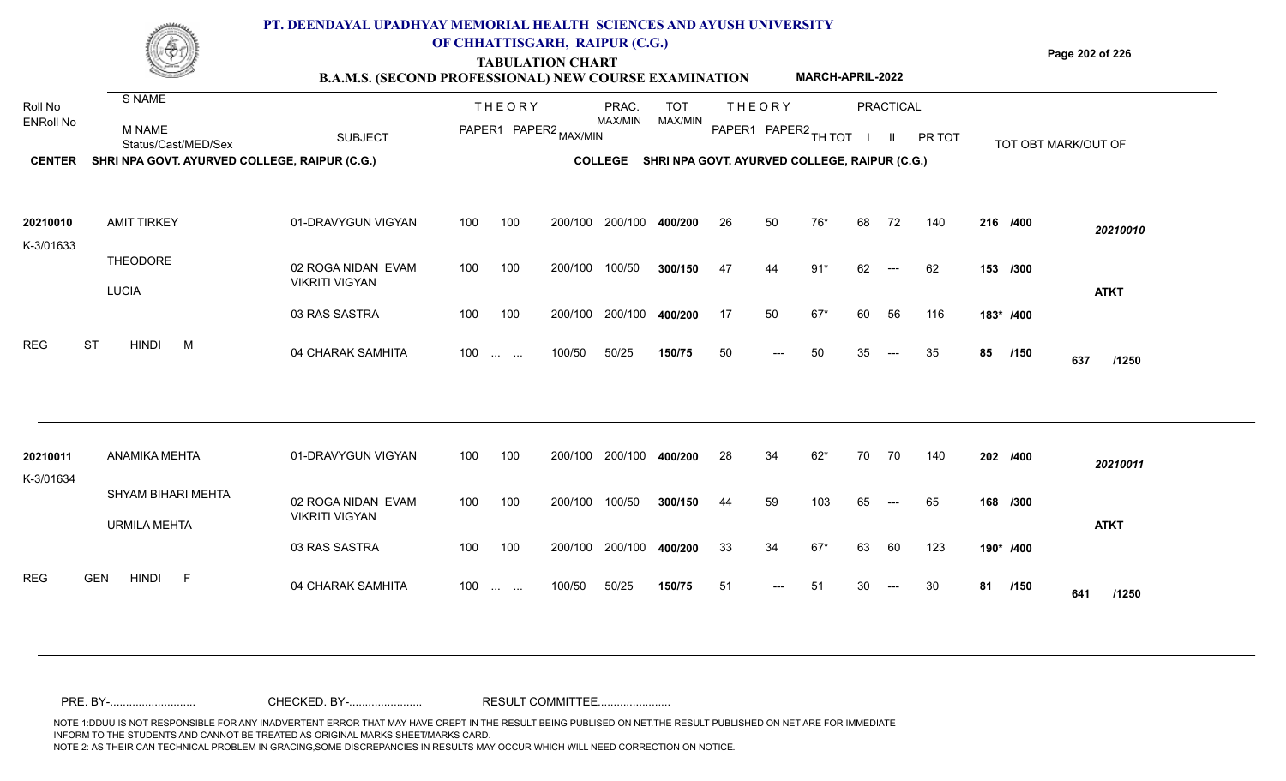

### **OF CHHATTISGARH, RAIPUR (C.G.)**

**Page 202 of 226**

#### **TABULATION CHART B.A.M.S. (SECOND PROFESSIONAL) NEW COURSE EXAMINATION MARCH-APRIL-2022**

| Roll No<br><b>ENRoll No</b> | S NAME                                        |                                             |     | <b>THEORY</b>          |                       | PRAC.<br>MAX/MIN | <b>TOT</b><br>MAX/MIN                         |    | <b>THEORY</b>        |       |    | PRACTICAL |        |    |           |                     |
|-----------------------------|-----------------------------------------------|---------------------------------------------|-----|------------------------|-----------------------|------------------|-----------------------------------------------|----|----------------------|-------|----|-----------|--------|----|-----------|---------------------|
|                             | <b>M NAME</b><br>Status/Cast/MED/Sex          | <b>SUBJECT</b>                              |     |                        | PAPER1 PAPER2 MAX/MIN |                  |                                               |    | PAPER1 PAPER2 TH TOT |       |    | -II       | PR TOT |    |           | TOT OBT MARK/OUT OF |
| <b>CENTER</b>               | SHRI NPA GOVT. AYURVED COLLEGE, RAIPUR (C.G.) |                                             |     |                        |                       | <b>COLLEGE</b>   | SHRI NPA GOVT. AYURVED COLLEGE, RAIPUR (C.G.) |    |                      |       |    |           |        |    |           |                     |
| 20210010                    | <b>AMIT TIRKEY</b>                            | 01-DRAVYGUN VIGYAN                          | 100 | 100                    | 200/100               | 200/100          | 400/200                                       | 26 | 50                   | 76*   | 68 | 72        | 140    |    | 216 /400  | 20210010            |
| K-3/01633                   | <b>THEODORE</b><br><b>LUCIA</b>               | 02 ROGA NIDAN EVAM<br><b>VIKRITI VIGYAN</b> | 100 | 100                    | 200/100               | 100/50           | 300/150                                       | 47 | 44                   | $91*$ | 62 | $---$     | 62     |    | 153 /300  | <b>ATKT</b>         |
|                             |                                               | 03 RAS SASTRA                               | 100 | 100                    | 200/100               | 200/100          | 400/200                                       | 17 | 50                   | $67*$ | 60 | 56        | 116    |    | 183* /400 |                     |
| <b>REG</b>                  | <b>ST</b><br><b>HINDI</b><br>M                | 04 CHARAK SAMHITA                           |     | $100$                  | 100/50                | 50/25            | 150/75                                        | 50 |                      | 50    | 35 |           | 35     | 85 | /150      | 637<br>/1250        |
|                             |                                               |                                             |     |                        |                       |                  |                                               |    |                      |       |    |           |        |    |           |                     |
| 20210011<br>K-3/01634       | ANAMIKA MEHTA                                 | 01-DRAVYGUN VIGYAN                          | 100 | 100                    | 200/100               | 200/100          | 400/200                                       | 28 | 34                   | $62*$ | 70 | 70        | 140    |    | 202 /400  | 20210011            |
|                             | SHYAM BIHARI MEHTA<br><b>URMILA MEHTA</b>     | 02 ROGA NIDAN EVAM<br><b>VIKRITI VIGYAN</b> | 100 | 100                    | 200/100               | 100/50           | 300/150                                       | 44 | 59                   | 103   | 65 |           | 65     |    | 168 /300  | <b>ATKT</b>         |
|                             |                                               | 03 RAS SASTRA                               | 100 | 100                    | 200/100               | 200/100          | 400/200                                       | 33 | 34                   | $67*$ | 63 | 60        | 123    |    | 190* /400 |                     |
| <b>REG</b>                  | <b>HINDI</b><br>F<br><b>GEN</b>               | 04 CHARAK SAMHITA                           | 100 | <b>Service Control</b> | 100/50                | 50/25            | 150/75                                        | 51 |                      | 51    |    |           | 30     | 81 | /150      | 641<br>/1250        |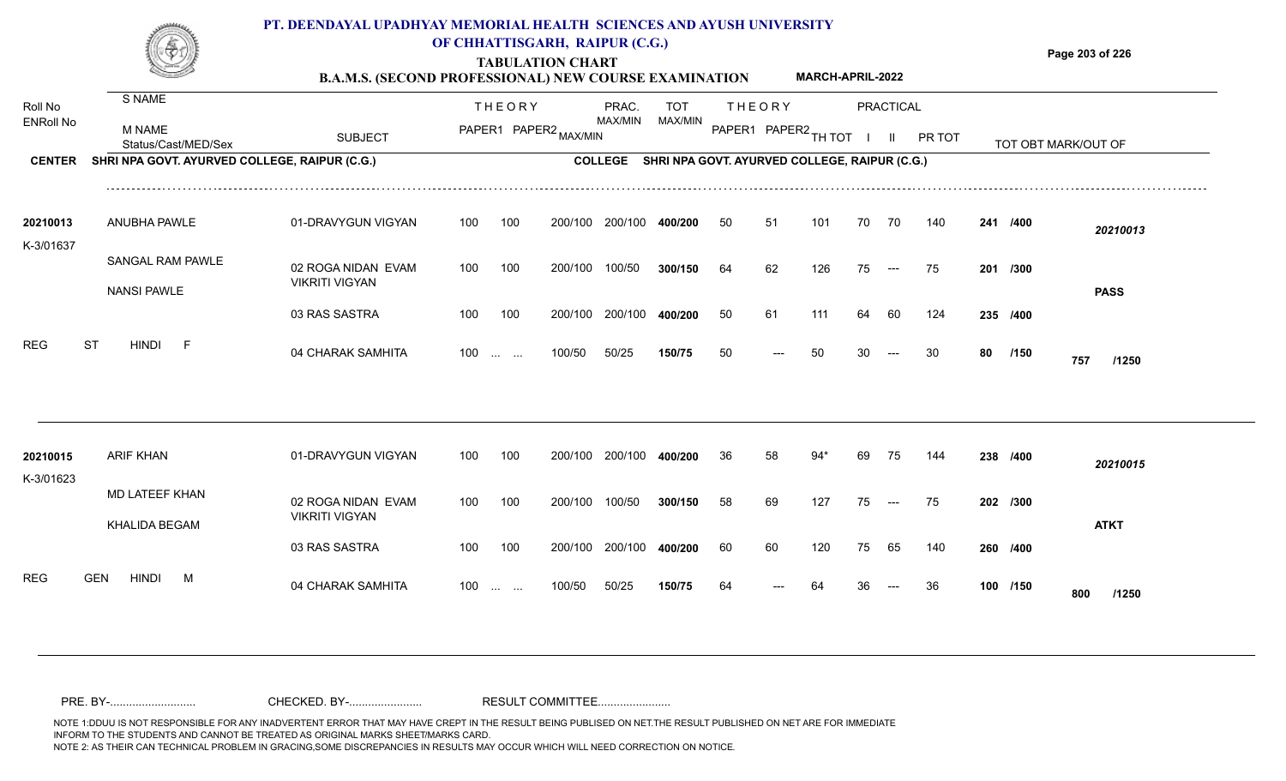

### **OF CHHATTISGARH, RAIPUR (C.G.)**

**Page 203 of 226**

#### **TABULATION CHART B.A.M.S. (SECOND PROFESSIONAL) NEW COURSE EXAMINATION MARCH-APRIL-2022**

| Roll No               | S NAME                                        |                                             |     | <b>THEORY</b>                                                 |                       | PRAC.<br>MAX/MIN | <b>TOT</b><br>MAX/MIN                         |    | <b>THEORY</b>        |       |    | PRACTICAL                                |        |    |          |                     |  |
|-----------------------|-----------------------------------------------|---------------------------------------------|-----|---------------------------------------------------------------|-----------------------|------------------|-----------------------------------------------|----|----------------------|-------|----|------------------------------------------|--------|----|----------|---------------------|--|
| <b>ENRoll No</b>      | <b>M NAME</b><br>Status/Cast/MED/Sex          | <b>SUBJECT</b>                              |     |                                                               | PAPER1 PAPER2 MAX/MIN |                  |                                               |    | PAPER1 PAPER2 TH TOT |       |    | $\mathbf{II}$                            | PR TOT |    |          | TOT OBT MARK/OUT OF |  |
| <b>CENTER</b>         | SHRI NPA GOVT. AYURVED COLLEGE, RAIPUR (C.G.) |                                             |     |                                                               |                       | <b>COLLEGE</b>   | SHRI NPA GOVT. AYURVED COLLEGE, RAIPUR (C.G.) |    |                      |       |    |                                          |        |    |          |                     |  |
| 20210013<br>K-3/01637 | ANUBHA PAWLE                                  | 01-DRAVYGUN VIGYAN                          | 100 | 100                                                           | 200/100               | 200/100          | 400/200                                       | 50 | 51                   | 101   | 70 | 70                                       | 140    |    | 241 /400 | 20210013            |  |
|                       | SANGAL RAM PAWLE<br><b>NANSI PAWLE</b>        | 02 ROGA NIDAN EVAM<br><b>VIKRITI VIGYAN</b> | 100 | 100                                                           | 200/100               | 100/50           | 300/150                                       | 64 | 62                   | 126   | 75 | $--$                                     | 75     |    | 201 /300 | <b>PASS</b>         |  |
|                       |                                               | 03 RAS SASTRA                               | 100 | 100                                                           | 200/100               | 200/100          | 400/200                                       | 50 | 61                   | 111   | 64 | 60                                       | 124    |    | 235 /400 |                     |  |
| <b>REG</b>            | <b>ST</b><br><b>HINDI</b><br>$-F$             | 04 CHARAK SAMHITA                           | 100 | $\mathcal{L}_{\mathcal{L}}$ , and $\mathcal{L}_{\mathcal{L}}$ | 100/50                | 50/25            | 150/75                                        | 50 |                      | 50    |    |                                          | 30     | 80 | /150     | 757<br>/1250        |  |
|                       |                                               |                                             |     |                                                               |                       |                  |                                               |    |                      |       |    |                                          |        |    |          |                     |  |
| 20210015<br>K-3/01623 | <b>ARIF KHAN</b>                              | 01-DRAVYGUN VIGYAN                          | 100 | 100                                                           | 200/100               | 200/100          | 400/200                                       | 36 | 58                   | $94*$ | 69 | 75                                       | 144    |    | 238 /400 | 20210015            |  |
|                       | MD LATEEF KHAN<br><b>KHALIDA BEGAM</b>        | 02 ROGA NIDAN EVAM<br><b>VIKRITI VIGYAN</b> | 100 | 100                                                           | 200/100               | 100/50           | 300/150                                       | 58 | 69                   | 127   | 75 | $\hspace{0.05cm} \ldots \hspace{0.05cm}$ | 75     |    | 202 /300 | <b>ATKT</b>         |  |
|                       |                                               | 03 RAS SASTRA                               | 100 | 100                                                           | 200/100               | 200/100          | 400/200                                       | 60 | 60                   | 120   | 75 | 65                                       | 140    |    | 260 /400 |                     |  |
| <b>REG</b>            | <b>GEN</b><br><b>HINDI</b><br>M               | 04 CHARAK SAMHITA                           | 100 | <b>Contract Contract</b>                                      | 100/50                | 50/25            | 150/75                                        | 64 |                      |       |    |                                          | 36     |    | 100 /150 | 800<br>/1250        |  |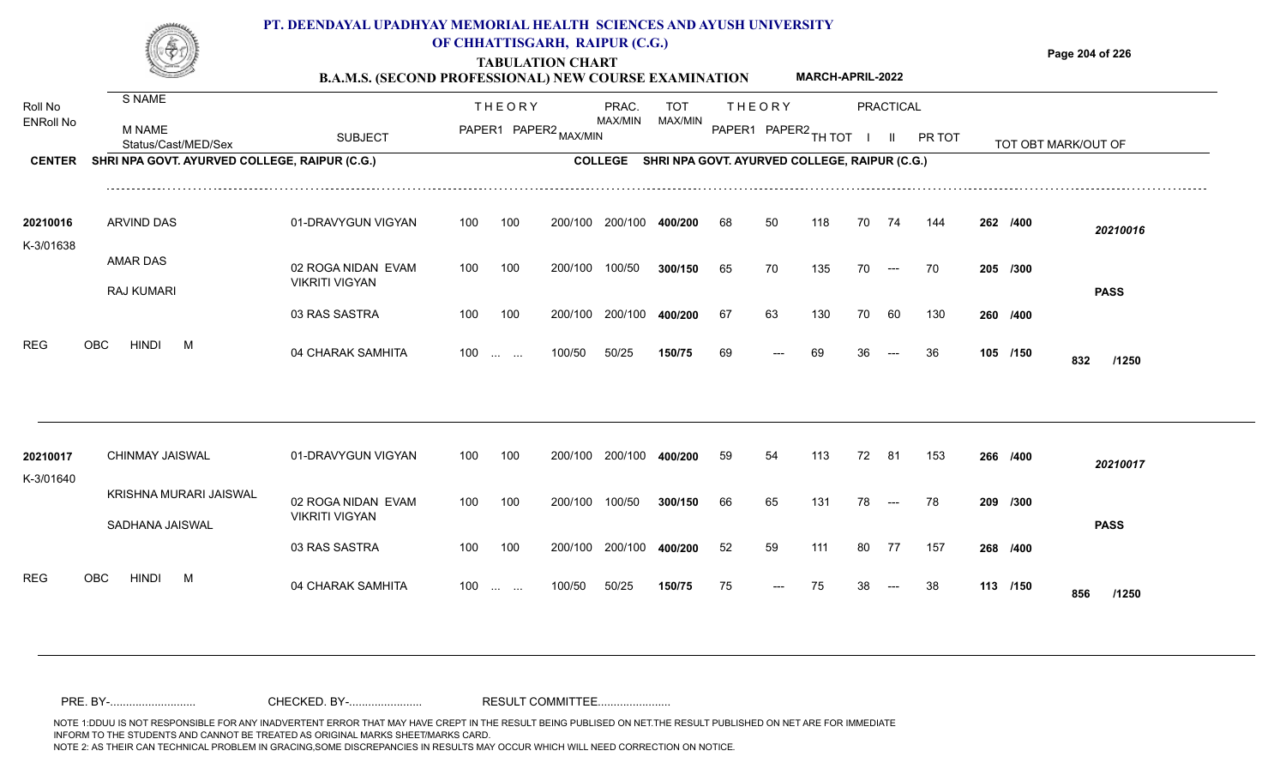

### **TABULATION CHART OF CHHATTISGARH, RAIPUR (C.G.)**

**Page 204 of 226**

#### **B.A.M.S. (SECOND PROFESSIONAL) NEW COURSE EXAMINATION MARCH-APRIL-2022**

|                       | S NAME                                        |                                             |     |                                                |         |                |                                               |    |                      |     |    |               |        |          |                     |
|-----------------------|-----------------------------------------------|---------------------------------------------|-----|------------------------------------------------|---------|----------------|-----------------------------------------------|----|----------------------|-----|----|---------------|--------|----------|---------------------|
| Roll No               |                                               |                                             |     | <b>THEORY</b>                                  |         | PRAC.          | <b>TOT</b>                                    |    | <b>THEORY</b>        |     |    | PRACTICAL     |        |          |                     |
| <b>ENRoll No</b>      | <b>M NAME</b><br>Status/Cast/MED/Sex          | <b>SUBJECT</b>                              |     | PAPER1 PAPER2 MAX/MIN                          |         | MAX/MIN        | MAX/MIN                                       |    | PAPER1 PAPER2 TH TOT |     |    | $\mathbf{II}$ | PR TOT |          | TOT OBT MARK/OUT OF |
| <b>CENTER</b>         | SHRI NPA GOVT. AYURVED COLLEGE, RAIPUR (C.G.) |                                             |     |                                                |         | <b>COLLEGE</b> | SHRI NPA GOVT. AYURVED COLLEGE, RAIPUR (C.G.) |    |                      |     |    |               |        |          |                     |
| 20210016              | <b>ARVIND DAS</b>                             | 01-DRAVYGUN VIGYAN                          | 100 | 100                                            | 200/100 | 200/100        | 400/200                                       | 68 | 50                   | 118 | 70 | 74            | 144    | 262 /400 | 20210016            |
| K-3/01638             |                                               |                                             |     |                                                |         |                |                                               |    |                      |     |    |               |        |          |                     |
|                       | AMAR DAS                                      | 02 ROGA NIDAN EVAM<br><b>VIKRITI VIGYAN</b> | 100 | 100                                            | 200/100 | 100/50         | 300/150                                       | 65 | 70                   | 135 | 70 | $---$         | 70     | 205 /300 |                     |
|                       | RAJ KUMARI                                    | 03 RAS SASTRA                               | 100 | 100                                            | 200/100 | 200/100        | 400/200                                       | 67 | 63                   | 130 | 70 | 60            | 130    | 260 /400 | <b>PASS</b>         |
|                       |                                               |                                             |     |                                                |         |                |                                               |    |                      |     |    |               |        |          |                     |
| <b>REG</b>            | <b>HINDI</b><br><b>OBC</b><br>M               | 04 CHARAK SAMHITA                           | 100 | <b>Contract Contract</b>                       | 100/50  | 50/25          | 150/75                                        | 69 |                      | 69  |    |               | 36     | 105 /150 | 832<br>/1250        |
|                       |                                               |                                             |     |                                                |         |                |                                               |    |                      |     |    |               |        |          |                     |
| 20210017<br>K-3/01640 | CHINMAY JAISWAL                               | 01-DRAVYGUN VIGYAN                          | 100 | 100                                            | 200/100 | 200/100        | 400/200                                       | 59 | 54                   | 113 | 72 | -81           | 153    | 266 /400 | 20210017            |
|                       | KRISHNA MURARI JAISWAL                        | 02 ROGA NIDAN EVAM                          | 100 | 100                                            | 200/100 | 100/50         | 300/150                                       | 66 | 65                   | 131 | 78 | $---$         | 78     | 209 /300 |                     |
|                       | SADHANA JAISWAL                               | <b>VIKRITI VIGYAN</b>                       |     |                                                |         |                |                                               |    |                      |     |    |               |        |          | <b>PASS</b>         |
|                       |                                               | 03 RAS SASTRA                               | 100 | 100                                            | 200/100 | 200/100        | 400/200                                       | 52 | 59                   | 111 | 80 | 77            | 157    | 268 /400 |                     |
| <b>REG</b>            | <b>HINDI</b><br><b>OBC</b><br>M               | 04 CHARAK SAMHITA                           | 100 | $\mathbf{r}$ and $\mathbf{r}$ and $\mathbf{r}$ | 100/50  | 50/25          | 150/75                                        | 75 |                      | 75  |    |               | 38     | 113 /150 | 856<br>/1250        |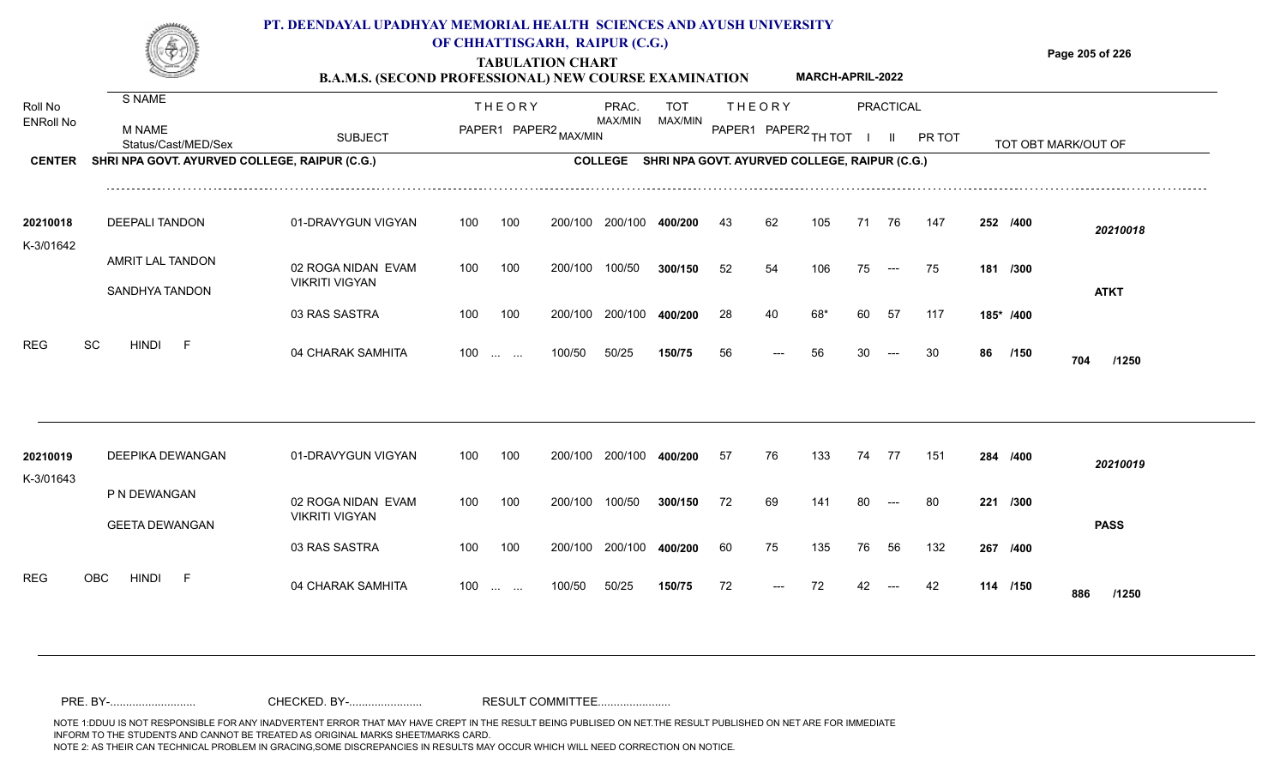

### **OF CHHATTISGARH, RAIPUR (C.G.)**

**Page 205 of 226**

#### **TABULATION CHART B.A.M.S. (SECOND PROFESSIONAL) NEW COURSE EXAMINATION MARCH-APRIL-2022**

| Roll No<br><b>ENRoll No</b> | S NAME<br>M NAME                              |                                             |                   | <b>THEORY</b> | PAPER1 PAPER2 MAX/MIN | PRAC.<br>MAX/MIN | TOT<br>MAX/MIN                                        |    | <b>THEORY</b><br>PAPER1 PAPER2 TH TOT |     |    | <b>PRACTICAL</b>     |        |    |           |                     |  |
|-----------------------------|-----------------------------------------------|---------------------------------------------|-------------------|---------------|-----------------------|------------------|-------------------------------------------------------|----|---------------------------------------|-----|----|----------------------|--------|----|-----------|---------------------|--|
|                             | Status/Cast/MED/Sex                           | <b>SUBJECT</b>                              |                   |               |                       |                  |                                                       |    |                                       |     |    | $\mathbf{II}$        | PR TOT |    |           | TOT OBT MARK/OUT OF |  |
| <b>CENTER</b>               | SHRI NPA GOVT. AYURVED COLLEGE, RAIPUR (C.G.) |                                             |                   |               |                       |                  | COLLEGE SHRI NPA GOVT. AYURVED COLLEGE, RAIPUR (C.G.) |    |                                       |     |    |                      |        |    |           |                     |  |
| 20210018<br>K-3/01642       | DEEPALI TANDON                                | 01-DRAVYGUN VIGYAN                          | 100               | 100           | 200/100               | 200/100          | 400/200                                               | 43 | 62                                    | 105 | 71 | 76                   | 147    |    | 252 /400  | 20210018            |  |
|                             | AMRIT LAL TANDON                              | 02 ROGA NIDAN EVAM                          | 100               | 100           | 200/100               | 100/50           | 300/150                                               | 52 | 54                                    | 106 | 75 | $\hspace{0.05cm}---$ | 75     |    | 181 /300  |                     |  |
|                             | SANDHYA TANDON                                | <b>VIKRITI VIGYAN</b>                       |                   |               |                       |                  |                                                       |    |                                       |     |    |                      |        |    |           | <b>ATKT</b>         |  |
|                             |                                               | 03 RAS SASTRA                               | 100               | 100           | 200/100               | 200/100          | 400/200                                               | 28 | 40                                    | 68* | 60 | 57                   | 117    |    | 185* /400 |                     |  |
| <b>REG</b>                  | SC<br><b>HINDI</b><br>$-F$                    | 04 CHARAK SAMHITA                           | $100 \dots \dots$ |               | 100/50                | 50/25            | 150/75                                                | 56 | ---                                   | 56  | 30 | $---$                | 30     | 86 | /150      | 704<br>/1250        |  |
|                             |                                               |                                             |                   |               |                       |                  |                                                       |    |                                       |     |    |                      |        |    |           |                     |  |
| 20210019<br>K-3/01643       | DEEPIKA DEWANGAN                              | 01-DRAVYGUN VIGYAN                          | 100               | 100           | 200/100               | 200/100          | 400/200                                               | 57 | 76                                    | 133 |    | 74 77                | 151    |    | 284 /400  | 20210019            |  |
|                             | P N DEWANGAN                                  | 02 ROGA NIDAN EVAM<br><b>VIKRITI VIGYAN</b> | 100               | 100           | 200/100               | 100/50           | 300/150                                               | 72 | 69                                    | 141 | 80 | $---$                | 80     |    | 221 /300  |                     |  |
|                             | <b>GEETA DEWANGAN</b>                         | 03 RAS SASTRA                               | 100               | 100           |                       | 200/100 200/100  | 400/200                                               | 60 | 75                                    | 135 | 76 | 56                   | 132    |    | 267 /400  | <b>PASS</b>         |  |
| <b>REG</b>                  | OBC<br><b>HINDI</b><br>- F                    | 04 CHARAK SAMHITA                           | $100 \dots \dots$ |               | 100/50                | 50/25            | 150/75                                                | 72 |                                       | 72  |    |                      |        |    | 114 /150  | 886<br>/1250        |  |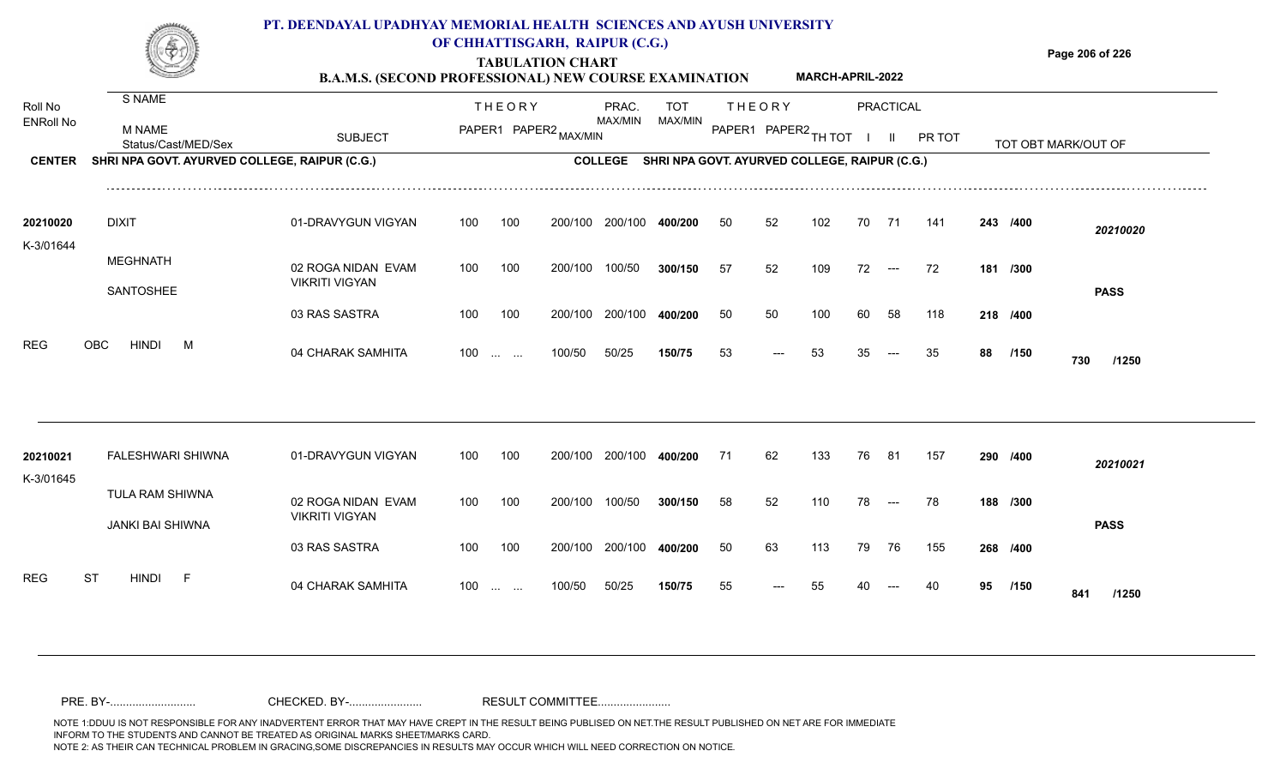

### **OF CHHATTISGARH, RAIPUR (C.G.)**

**Page 206 of 226**

#### **TABULATION CHART B.A.M.S. (SECOND PROFESSIONAL) NEW COURSE EXAMINATION MARCH-APRIL-2022**

| Roll No<br><b>ENRoll No</b><br><b>CENTER</b> | S NAME<br><b>M NAME</b><br>Status/Cast/MED/Sex<br>SHRI NPA GOVT. AYURVED COLLEGE, RAIPUR (C.G.) | <b>SUBJECT</b>                                                                     |                   | <b>THEORY</b>                   | PAPER1 PAPER2 MAX/MIN         | PRAC.<br>MAX/MIN<br><b>COLLEGE</b> | TOT<br>MAX/MIN<br>SHRI NPA GOVT. AYURVED COLLEGE, RAIPUR (C.G.) |                | <b>THEORY</b><br>PAPER1 PAPER2 TH TOT |                   |                | <b>PRACTICAL</b><br>$\mathbf{II}$ | PR TOT           |    |                                  | TOT OBT MARK/OUT OF     |
|----------------------------------------------|-------------------------------------------------------------------------------------------------|------------------------------------------------------------------------------------|-------------------|---------------------------------|-------------------------------|------------------------------------|-----------------------------------------------------------------|----------------|---------------------------------------|-------------------|----------------|-----------------------------------|------------------|----|----------------------------------|-------------------------|
| 20210020<br>K-3/01644                        | <b>DIXIT</b><br><b>MEGHNATH</b><br>SANTOSHEE                                                    | 01-DRAVYGUN VIGYAN<br>02 ROGA NIDAN EVAM<br><b>VIKRITI VIGYAN</b><br>03 RAS SASTRA | 100<br>100<br>100 | 100<br>100<br>100               | 200/100<br>200/100<br>200/100 | 200/100<br>100/50<br>200/100       | 400/200<br>300/150<br>400/200                                   | 50<br>57<br>50 | 52<br>52<br>50                        | 102<br>109<br>100 | 70<br>72<br>60 | 71<br>$\hspace{0.05cm}---$<br>58  | 141<br>72<br>118 |    | 243 /400<br>181 /300<br>218 /400 | 20210020<br><b>PASS</b> |
| REG                                          | <b>HINDI</b><br>OBC<br>M                                                                        | 04 CHARAK SAMHITA                                                                  | $100 \dots \dots$ |                                 | 100/50                        | 50/25                              | 150/75                                                          | 53             | $---$                                 | 53                | 35             | $---$                             | 35               | 88 | /150                             | 730<br>/1250            |
| 20210021<br>K-3/01645                        | <b>FALESHWARI SHIWNA</b><br>TULA RAM SHIWNA<br>JANKI BAI SHIWNA                                 | 01-DRAVYGUN VIGYAN<br>02 ROGA NIDAN EVAM<br><b>VIKRITI VIGYAN</b>                  | 100<br>100        | 100<br>100                      | 200/100<br>200/100            | 200/100<br>100/50                  | 400/200<br>300/150                                              | 71<br>58       | 62<br>52                              | 133<br>110        | 76<br>78       | - 81<br>$  -$                     | 157<br>78        |    | 290 /400<br>188 /300             | 20210021<br><b>PASS</b> |
| <b>REG</b>                                   | <b>HINDI</b><br><b>ST</b><br>– F                                                                | 03 RAS SASTRA<br>04 CHARAK SAMHITA                                                 | 100<br>100        | 100<br><b>Contract Contract</b> | 200/100<br>100/50             | 200/100<br>50/25                   | 400/200<br>150/75                                               | 50<br>55       | 63                                    | 113<br>55         | 79             | 76                                | 155              | 95 | 268 /400<br>/150                 | 841<br>/1250            |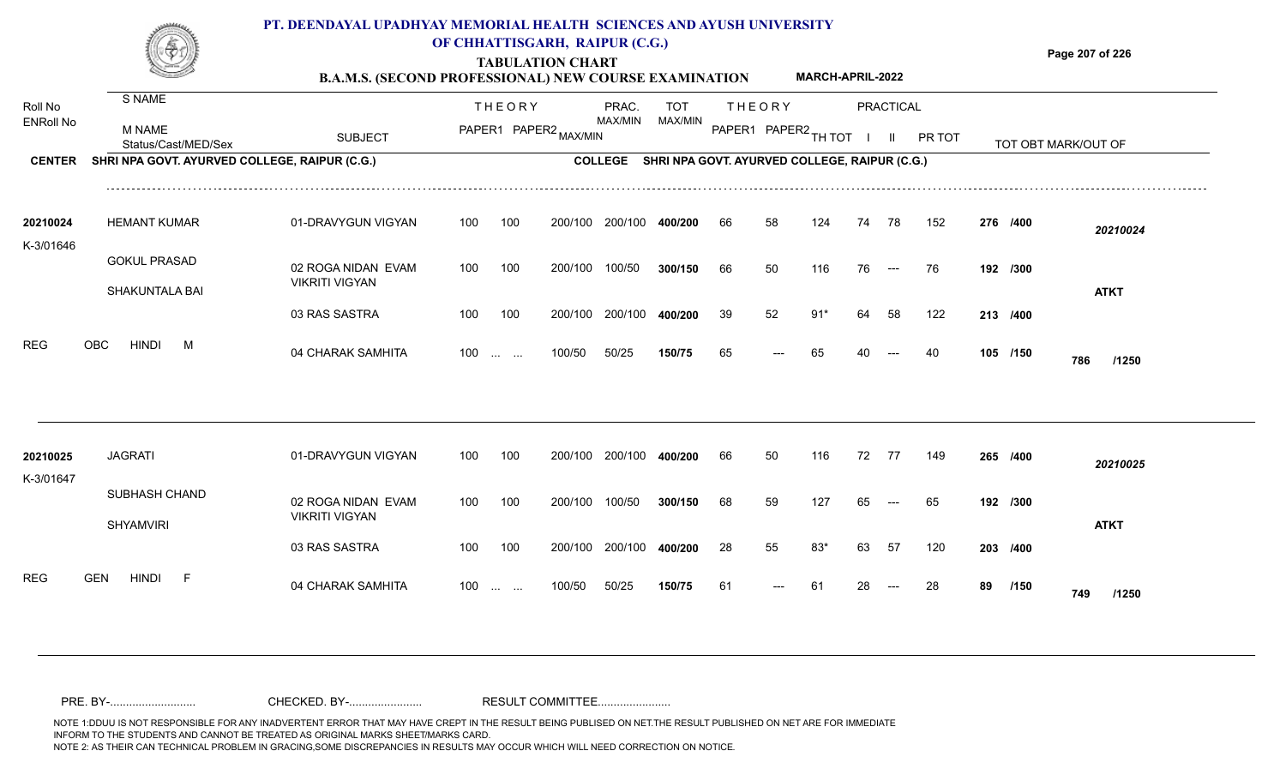

### **OF CHHATTISGARH, RAIPUR (C.G.)**

**Page 207 of 226**

#### **TABULATION CHART B.A.M.S. (SECOND PROFESSIONAL) NEW COURSE EXAMINATION MARCH-APRIL-2022**

| Roll No               | S NAME                                        |                                             |     | <b>THEORY</b>                                  |                       | PRAC.          | <b>TOT</b>                                    |     | <b>THEORY</b>        |       |    | PRACTICAL |        |    |          |                     |
|-----------------------|-----------------------------------------------|---------------------------------------------|-----|------------------------------------------------|-----------------------|----------------|-----------------------------------------------|-----|----------------------|-------|----|-----------|--------|----|----------|---------------------|
| <b>ENRoll No</b>      | <b>M NAME</b><br>Status/Cast/MED/Sex          | <b>SUBJECT</b>                              |     |                                                | PAPER1 PAPER2 MAX/MIN | MAX/MIN        | MAX/MIN                                       |     | PAPER1 PAPER2 TH TOT |       |    | - II      | PR TOT |    |          | TOT OBT MARK/OUT OF |
| <b>CENTER</b>         | SHRI NPA GOVT. AYURVED COLLEGE, RAIPUR (C.G.) |                                             |     |                                                |                       | <b>COLLEGE</b> | SHRI NPA GOVT. AYURVED COLLEGE, RAIPUR (C.G.) |     |                      |       |    |           |        |    |          |                     |
| 20210024              | <b>HEMANT KUMAR</b>                           | 01-DRAVYGUN VIGYAN                          | 100 | 100                                            | 200/100               | 200/100        | 400/200                                       | -66 | 58                   | 124   | 74 | 78        | 152    |    | 276 /400 | 20210024            |
| K-3/01646             | <b>GOKUL PRASAD</b><br><b>SHAKUNTALA BAI</b>  | 02 ROGA NIDAN EVAM<br><b>VIKRITI VIGYAN</b> | 100 | 100                                            | 200/100               | 100/50         | 300/150                                       | 66  | 50                   | 116   | 76 | $--$      | -76    |    | 192 /300 | <b>ATKT</b>         |
|                       |                                               | 03 RAS SASTRA                               | 100 | 100                                            | 200/100               | 200/100        | 400/200                                       | 39  | 52                   | $91*$ | 64 | 58        | 122    |    | 213 /400 |                     |
| <b>REG</b>            | <b>HINDI</b><br><b>OBC</b><br>M               | 04 CHARAK SAMHITA                           |     | $100 \dots \dots$                              | 100/50                | 50/25          | 150/75                                        | 65  |                      | 65    |    |           | 40     |    | 105 /150 | 786<br>/1250        |
|                       |                                               |                                             |     |                                                |                       |                |                                               |     |                      |       |    |           |        |    |          |                     |
| 20210025<br>K-3/01647 | <b>JAGRATI</b>                                | 01-DRAVYGUN VIGYAN                          | 100 | 100                                            | 200/100               | 200/100        | 400/200                                       | 66  | 50                   | 116   | 72 | 77        | 149    |    | 265 /400 | 20210025            |
|                       | SUBHASH CHAND<br><b>SHYAMVIRI</b>             | 02 ROGA NIDAN EVAM<br><b>VIKRITI VIGYAN</b> | 100 | 100                                            | 200/100               | 100/50         | 300/150                                       | 68  | 59                   | 127   | 65 |           | 65     |    | 192 /300 | <b>ATKT</b>         |
|                       |                                               | 03 RAS SASTRA                               | 100 | 100                                            | 200/100               | 200/100        | 400/200                                       | -28 | 55                   | 83*   | 63 | -57       | 120    |    | 203 /400 |                     |
| <b>REG</b>            | <b>HINDI</b><br>- F<br><b>GEN</b>             | 04 CHARAK SAMHITA                           | 100 | $\mathbf{r}$ and $\mathbf{r}$ and $\mathbf{r}$ | 100/50                | 50/25          | 150/75                                        | -61 |                      | -61   |    |           | 28     | 89 | /150     | 749<br>/1250        |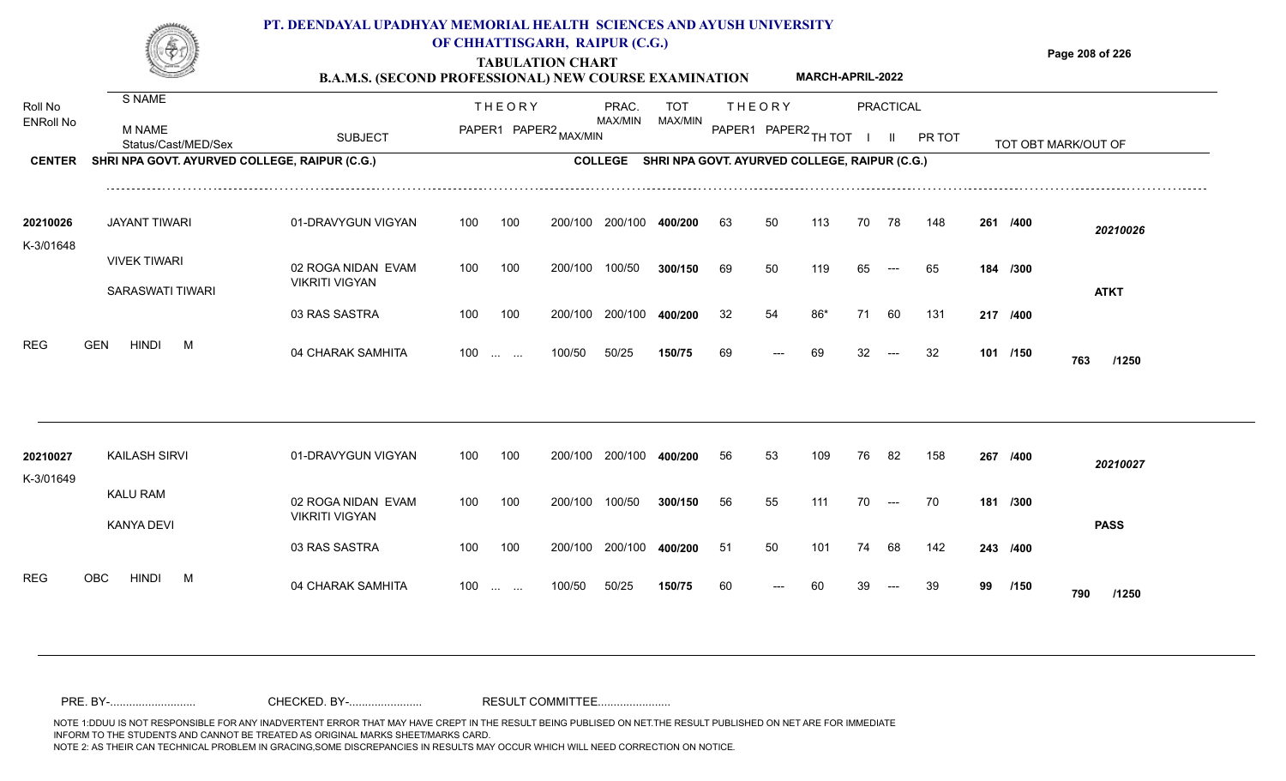

## **OF CHHATTISGARH, RAIPUR (C.G.)**

**Page 208 of 226**

#### **TABULATION CHART B.A.M.S. (SECOND PROFESSIONAL) NEW COURSE EXAMINATION MARCH-APRIL-2022**

| Roll No               | S NAME                                        |                                             |     | <b>THEORY</b>                                                 |                       | PRAC.<br>MAX/MIN | <b>TOT</b><br>MAX/MIN                         |    | <b>THEORY</b>        |     |    | PRACTICAL                                |        |    |          |                     |  |
|-----------------------|-----------------------------------------------|---------------------------------------------|-----|---------------------------------------------------------------|-----------------------|------------------|-----------------------------------------------|----|----------------------|-----|----|------------------------------------------|--------|----|----------|---------------------|--|
| <b>ENRoll No</b>      | <b>M NAME</b><br>Status/Cast/MED/Sex          | <b>SUBJECT</b>                              |     |                                                               | PAPER1 PAPER2 MAX/MIN |                  |                                               |    | PAPER1 PAPER2 TH TOT |     |    | $\mathbf{II}$                            | PR TOT |    |          | TOT OBT MARK/OUT OF |  |
| <b>CENTER</b>         | SHRI NPA GOVT. AYURVED COLLEGE, RAIPUR (C.G.) |                                             |     |                                                               |                       | <b>COLLEGE</b>   | SHRI NPA GOVT. AYURVED COLLEGE, RAIPUR (C.G.) |    |                      |     |    |                                          |        |    |          |                     |  |
| 20210026<br>K-3/01648 | <b>JAYANT TIWARI</b>                          | 01-DRAVYGUN VIGYAN                          | 100 | 100                                                           | 200/100               | 200/100          | 400/200                                       | 63 | 50                   | 113 | 70 | 78                                       | 148    |    | 261 /400 | 20210026            |  |
|                       | <b>VIVEK TIWARI</b><br>SARASWATI TIWARI       | 02 ROGA NIDAN EVAM<br><b>VIKRITI VIGYAN</b> | 100 | 100                                                           | 200/100               | 100/50           | 300/150                                       | 69 | 50                   | 119 | 65 | $---$                                    | 65     |    | 184 /300 | <b>ATKT</b>         |  |
|                       |                                               | 03 RAS SASTRA                               | 100 | 100                                                           | 200/100               | 200/100          | 400/200                                       | 32 | 54                   | 86* | 71 | 60                                       | 131    |    | 217 /400 |                     |  |
| <b>REG</b>            | <b>GEN</b><br><b>HINDI</b><br>M               | 04 CHARAK SAMHITA                           | 100 | $\mathcal{L}_{\mathcal{L}}$ , and $\mathcal{L}_{\mathcal{L}}$ | 100/50                | 50/25            | 150/75                                        | 69 | ---                  | 69  |    |                                          | 32     |    | 101 /150 | 763<br>/1250        |  |
|                       |                                               |                                             |     |                                                               |                       |                  |                                               |    |                      |     |    |                                          |        |    |          |                     |  |
| 20210027<br>K-3/01649 | <b>KAILASH SIRVI</b>                          | 01-DRAVYGUN VIGYAN                          | 100 | 100                                                           | 200/100               | 200/100          | 400/200                                       | 56 | 53                   | 109 | 76 | -82                                      | 158    |    | 267 /400 | 20210027            |  |
|                       | KALU RAM<br><b>KANYA DEVI</b>                 | 02 ROGA NIDAN EVAM<br><b>VIKRITI VIGYAN</b> | 100 | 100                                                           | 200/100               | 100/50           | 300/150                                       | 56 | 55                   | 111 | 70 | $\hspace{0.05cm} \ldots \hspace{0.05cm}$ | 70     |    | 181 /300 | <b>PASS</b>         |  |
|                       |                                               | 03 RAS SASTRA                               | 100 | 100                                                           | 200/100               | 200/100          | 400/200                                       | 51 | 50                   | 101 | 74 | 68                                       | 142    |    | 243 /400 |                     |  |
| <b>REG</b>            | OBC<br><b>HINDI</b><br>M                      | 04 CHARAK SAMHITA                           | 100 | <b>Contract Contract</b>                                      | 100/50                | 50/25            | 150/75                                        | 60 |                      |     |    |                                          | 39     | 99 | /150     | 790<br>/1250        |  |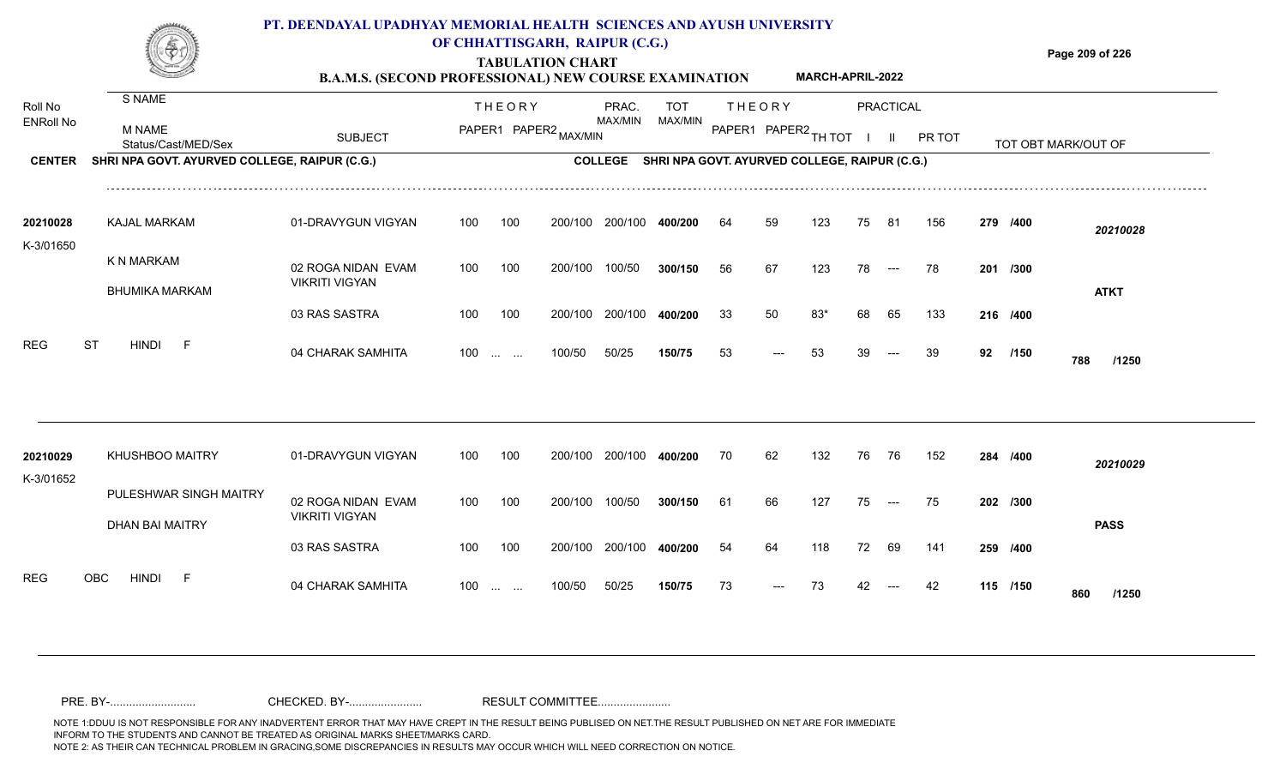

### **OF CHHATTISGARH, RAIPUR (C.G.)**

**Page 209 of 226**

#### **TABULATION CHART B.A.M.S. (SECOND PROFESSIONAL) NEW COURSE EXAMINATION MARCH-APRIL-2022**

| Roll No               | <b>S NAME</b>                                    |                                             |     | <b>THEORY</b>             |         | PRAC.   | <b>TOT</b>                                            |    | <b>THEORY</b>        |       |    | PRACTICAL            |        |    |          |                     |
|-----------------------|--------------------------------------------------|---------------------------------------------|-----|---------------------------|---------|---------|-------------------------------------------------------|----|----------------------|-------|----|----------------------|--------|----|----------|---------------------|
| <b>ENRoll No</b>      | M NAME<br>Status/Cast/MED/Sex                    | <b>SUBJECT</b>                              |     | PAPER1 PAPER2 MAX/MIN     |         | MAX/MIN | MAX/MIN                                               |    | PAPER1 PAPER2 TH TOT |       |    | $\mathbf{H}$         | PR TOT |    |          | TOT OBT MARK/OUT OF |
| <b>CENTER</b>         | SHRI NPA GOVT. AYURVED COLLEGE, RAIPUR (C.G.)    |                                             |     |                           |         |         | COLLEGE SHRI NPA GOVT. AYURVED COLLEGE, RAIPUR (C.G.) |    |                      |       |    |                      |        |    |          |                     |
| 20210028              | <b>KAJAL MARKAM</b>                              | 01-DRAVYGUN VIGYAN                          | 100 | 100                       | 200/100 | 200/100 | 400/200                                               | 64 | 59                   | 123   | 75 | 81                   | 156    |    | 279 /400 | 20210028            |
| K-3/01650             | K N MARKAM<br><b>BHUMIKA MARKAM</b>              | 02 ROGA NIDAN EVAM<br><b>VIKRITI VIGYAN</b> | 100 | 100                       | 200/100 | 100/50  | 300/150                                               | 56 | 67                   | 123   | 78 | $\hspace{0.05cm}---$ | 78     |    | 201 /300 | <b>ATKT</b>         |
|                       |                                                  | 03 RAS SASTRA                               | 100 | 100                       | 200/100 | 200/100 | 400/200                                               | 33 | 50                   | $83*$ | 68 | 65                   | 133    |    | 216 /400 |                     |
| <b>REG</b>            | <b>ST</b><br><b>HINDI</b><br>$-F$                | 04 CHARAK SAMHITA                           | 100 | $\sim 100$ and $\sim 100$ | 100/50  | 50/25   | 150/75                                                | 53 | ---                  | 53    |    |                      | 39     | 92 | /150     | 788<br>/1250        |
|                       |                                                  |                                             |     |                           |         |         |                                                       |    |                      |       |    |                      |        |    |          |                     |
| 20210029<br>K-3/01652 | <b>KHUSHBOO MAITRY</b>                           | 01-DRAVYGUN VIGYAN                          | 100 | 100                       | 200/100 | 200/100 | 400/200                                               | 70 | 62                   | 132   | 76 | - 76                 | 152    |    | 284 /400 | 20210029            |
|                       | PULESHWAR SINGH MAITRY<br><b>DHAN BAI MAITRY</b> | 02 ROGA NIDAN EVAM<br><b>VIKRITI VIGYAN</b> | 100 | 100                       | 200/100 | 100/50  | 300/150                                               | 61 | 66                   | 127   | 75 | $\qquad \qquad - -$  | 75     |    | 202 /300 | <b>PASS</b>         |
|                       |                                                  | 03 RAS SASTRA                               | 100 | 100                       | 200/100 | 200/100 | 400/200                                               | 54 | 64                   | 118   | 72 | 69                   | 141    |    | 259 /400 |                     |
| <b>REG</b>            | <b>OBC</b><br><b>HINDI</b><br>- F                | 04 CHARAK SAMHITA                           | 100 | <b>Section Contract</b>   | 100/50  | 50/25   | 150/75                                                | 73 |                      | 73    |    |                      | 42     |    | 115 /150 | 860<br>/1250        |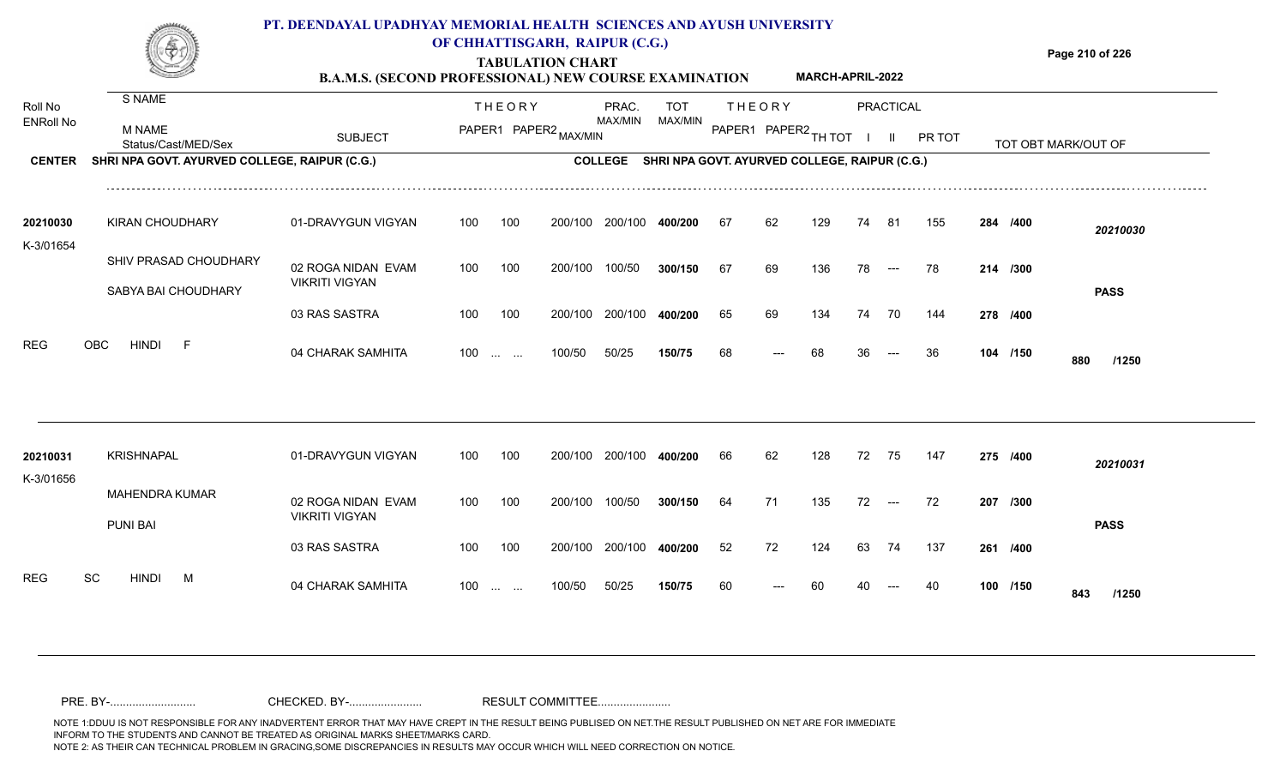

## **OF CHHATTISGARH, RAIPUR (C.G.)**

**Page 210 of 226**

#### **TABULATION CHART B.A.M.S. (SECOND PROFESSIONAL) NEW COURSE EXAMINATION MARCH-APRIL-2022**

| Roll No<br><b>ENRoll No</b> | S NAME                                        |                                             |     | <b>THEORY</b>                                  |         | PRAC.<br>MAX/MIN | <b>TOT</b><br><b>MAX/MIN</b>                  |    | <b>THEORY</b>        |     |    | PRACTICAL     |        |          |                     |
|-----------------------------|-----------------------------------------------|---------------------------------------------|-----|------------------------------------------------|---------|------------------|-----------------------------------------------|----|----------------------|-----|----|---------------|--------|----------|---------------------|
|                             | <b>M NAME</b><br>Status/Cast/MED/Sex          | <b>SUBJECT</b>                              |     | PAPER1 PAPER2 MAX/MIN                          |         |                  |                                               |    | PAPER1 PAPER2 TH TOT |     |    | $\mathbf{II}$ | PR TOT |          | TOT OBT MARK/OUT OF |
| <b>CENTER</b>               | SHRI NPA GOVT. AYURVED COLLEGE, RAIPUR (C.G.) |                                             |     |                                                |         | <b>COLLEGE</b>   | SHRI NPA GOVT. AYURVED COLLEGE, RAIPUR (C.G.) |    |                      |     |    |               |        |          |                     |
| 20210030                    | <b>KIRAN CHOUDHARY</b>                        | 01-DRAVYGUN VIGYAN                          | 100 | 100                                            | 200/100 | 200/100          | 400/200                                       | 67 | 62                   | 129 | 74 | -81           | 155    | 284 /400 | 20210030            |
| K-3/01654                   | SHIV PRASAD CHOUDHARY                         | 02 ROGA NIDAN EVAM<br><b>VIKRITI VIGYAN</b> | 100 | 100                                            | 200/100 | 100/50           | 300/150                                       | 67 | 69                   | 136 | 78 | $--$          | 78     | 214 /300 |                     |
|                             | SABYA BAI CHOUDHARY                           | 03 RAS SASTRA                               | 100 | 100                                            | 200/100 | 200/100          | 400/200                                       | 65 | 69                   | 134 | 74 | 70            | 144    | 278 /400 | <b>PASS</b>         |
| <b>REG</b>                  | <b>HINDI</b><br><b>OBC</b><br>F               | 04 CHARAK SAMHITA                           | 100 | $\mathbf{r}$ and $\mathbf{r}$ and $\mathbf{r}$ | 100/50  | 50/25            | 150/75                                        | 68 |                      | 68  |    |               | 36     | 104 /150 | 880<br>/1250        |
|                             |                                               |                                             |     |                                                |         |                  |                                               |    |                      |     |    |               |        |          |                     |
| 20210031<br>K-3/01656       | <b>KRISHNAPAL</b>                             | 01-DRAVYGUN VIGYAN                          | 100 | 100                                            | 200/100 | 200/100          | 400/200                                       | 66 | 62                   | 128 | 72 | 75            | 147    | 275 /400 | 20210031            |
|                             | <b>MAHENDRA KUMAR</b><br><b>PUNI BAI</b>      | 02 ROGA NIDAN EVAM<br><b>VIKRITI VIGYAN</b> | 100 | 100                                            | 200/100 | 100/50           | 300/150                                       | 64 | 71                   | 135 | 72 | $---$         | -72    | 207 /300 | <b>PASS</b>         |
|                             |                                               | 03 RAS SASTRA                               | 100 | 100                                            | 200/100 | 200/100          | 400/200                                       | 52 | 72                   | 124 | 63 | 74            | 137    | 261 /400 |                     |
| <b>REG</b>                  | SC<br><b>HINDI</b><br>M                       | 04 CHARAK SAMHITA                           | 100 | $\mathbf{r}$ . The set of $\mathbf{r}$         | 100/50  | 50/25            | 150/75                                        | 60 |                      |     |    |               | 40     | 100 /150 | 843<br>/1250        |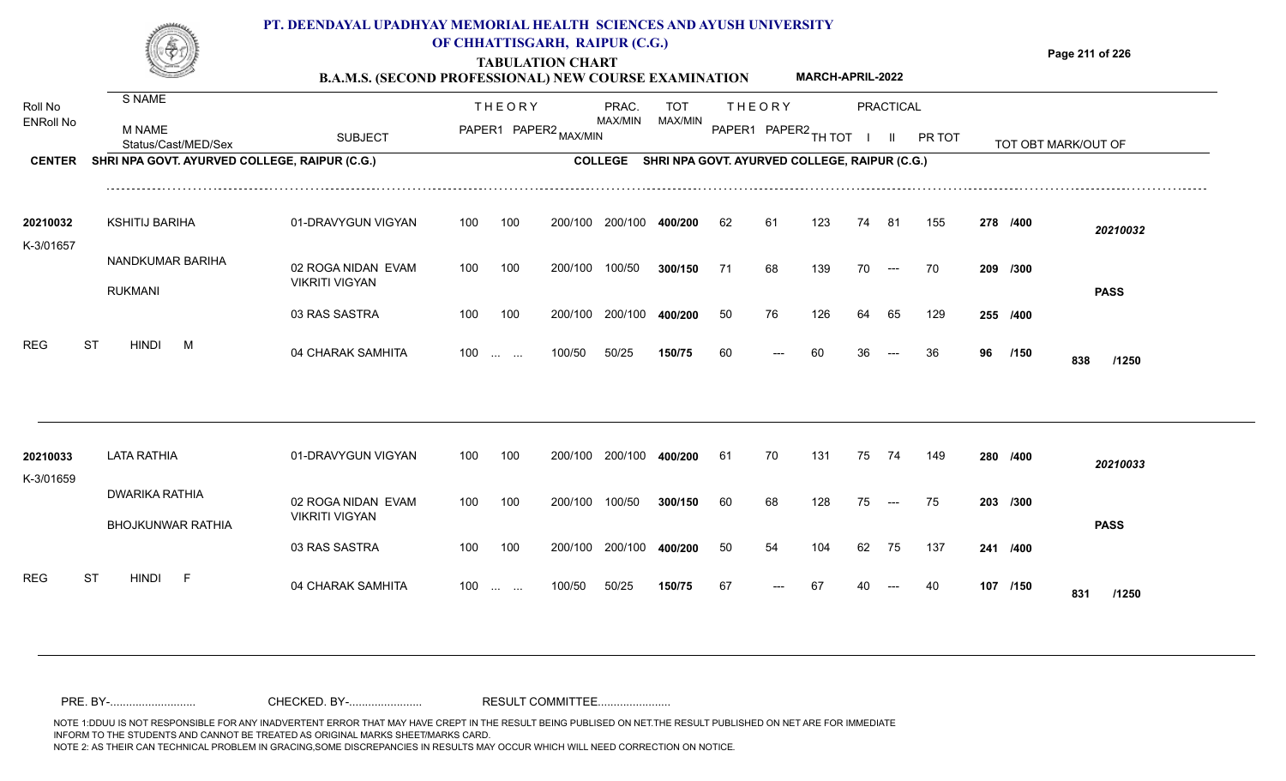

### **TABULATION CHART OF CHHATTISGARH, RAIPUR (C.G.)**

**Page 211 of 226**

#### **B.A.M.S. (SECOND PROFESSIONAL) NEW COURSE EXAMINATION MARCH-APRIL-2022**

| Roll No          | S NAME                                            |                                             |     | <b>THEORY</b>                                  |                       | PRAC.          | <b>TOT</b> |    | <b>THEORY</b>                                 |     |    | <b>PRACTICAL</b> |        |    |          |                     |
|------------------|---------------------------------------------------|---------------------------------------------|-----|------------------------------------------------|-----------------------|----------------|------------|----|-----------------------------------------------|-----|----|------------------|--------|----|----------|---------------------|
| <b>ENRoll No</b> | <b>M NAME</b><br>Status/Cast/MED/Sex              | <b>SUBJECT</b>                              |     |                                                | PAPER1 PAPER2 MAX/MIN | <b>MAX/MIN</b> | MAX/MIN    |    | PAPER1 PAPER2 TH TOT                          |     |    | $\mathbf{II}$    | PR TOT |    |          | TOT OBT MARK/OUT OF |
| <b>CENTER</b>    | SHRI NPA GOVT. AYURVED COLLEGE, RAIPUR (C.G.)     |                                             |     |                                                |                       | <b>COLLEGE</b> |            |    | SHRI NPA GOVT. AYURVED COLLEGE, RAIPUR (C.G.) |     |    |                  |        |    |          |                     |
| 20210032         | <b>KSHITIJ BARIHA</b>                             | 01-DRAVYGUN VIGYAN                          | 100 | 100                                            | 200/100               | 200/100        | 400/200    | 62 | 61                                            | 123 | 74 | -81              | 155    |    | 278 /400 | 20210032            |
| K-3/01657        | NANDKUMAR BARIHA<br><b>RUKMANI</b>                | 02 ROGA NIDAN EVAM<br><b>VIKRITI VIGYAN</b> | 100 | 100                                            | 200/100               | 100/50         | 300/150    | 71 | 68                                            | 139 | 70 | $--$             | 70     |    | 209 /300 | <b>PASS</b>         |
|                  |                                                   | 03 RAS SASTRA                               | 100 | 100                                            | 200/100               | 200/100        | 400/200    | 50 | 76                                            | 126 | 64 | 65               | 129    |    | 255 /400 |                     |
| <b>REG</b>       | <b>ST</b><br><b>HINDI</b><br>M                    | 04 CHARAK SAMHITA                           |     | $100 \dots \dots$                              | 100/50                | 50/25          | 150/75     | 60 |                                               | 60  |    |                  | 36     | 96 | /150     | 838<br>/1250        |
|                  |                                                   |                                             |     |                                                |                       |                |            |    |                                               |     |    |                  |        |    |          |                     |
| 20210033         | <b>LATA RATHIA</b>                                | 01-DRAVYGUN VIGYAN                          | 100 | 100                                            | 200/100               | 200/100        | 400/200    | 61 | 70                                            | 131 | 75 | 74               | 149    |    | 280 /400 | 20210033            |
| K-3/01659        | <b>DWARIKA RATHIA</b><br><b>BHOJKUNWAR RATHIA</b> | 02 ROGA NIDAN EVAM<br><b>VIKRITI VIGYAN</b> | 100 | 100                                            | 200/100               | 100/50         | 300/150    | 60 | 68                                            | 128 | 75 | $---$            | 75     |    | 203 /300 | <b>PASS</b>         |
|                  |                                                   | 03 RAS SASTRA                               | 100 | 100                                            | 200/100               | 200/100        | 400/200    | 50 | 54                                            | 104 | 62 | 75               | 137    |    | 241 /400 |                     |
| <b>REG</b>       | <b>ST</b><br><b>HINDI</b><br>F                    | 04 CHARAK SAMHITA                           | 100 | $\mathbf{r}$ and $\mathbf{r}$ and $\mathbf{r}$ | 100/50                | 50/25          | 150/75     | 67 |                                               |     |    |                  | 40     |    | 107 /150 | 831<br>/1250        |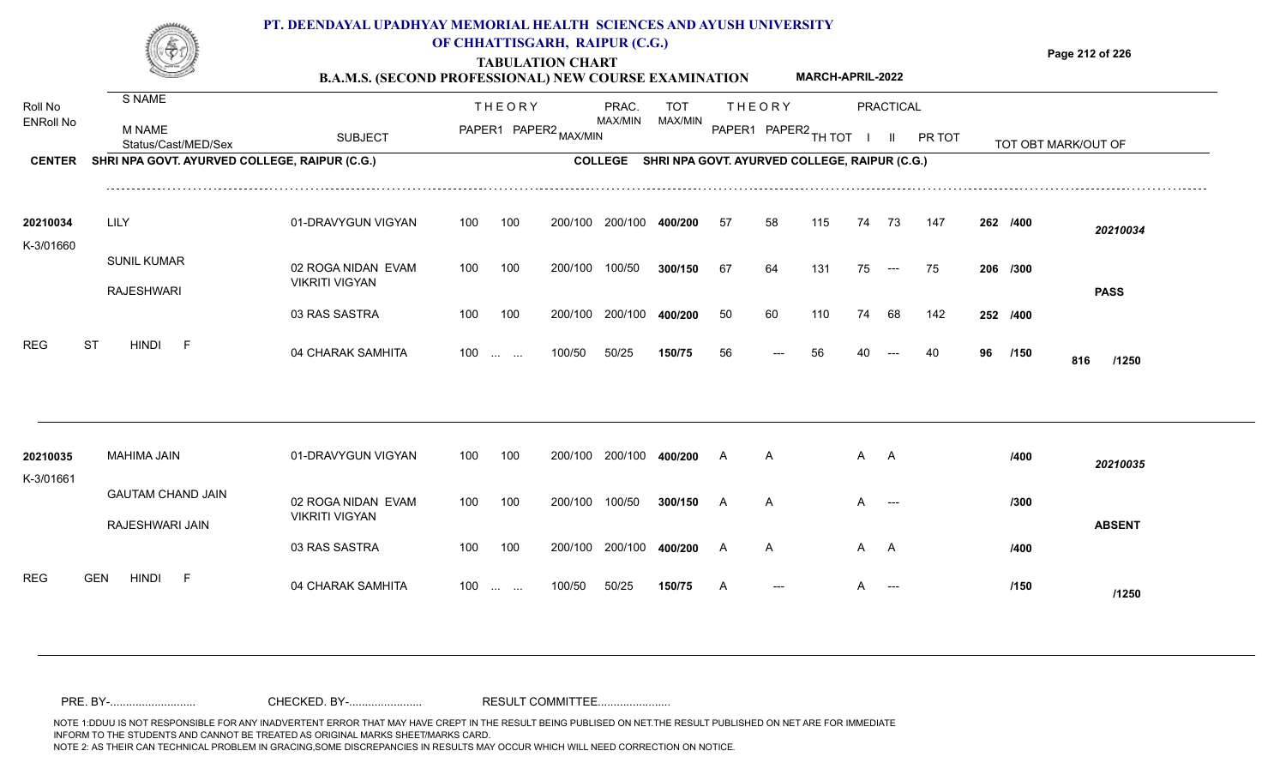

## **OF CHHATTISGARH, RAIPUR (C.G.)**

**Page 212 of 226**

#### **TABULATION CHART B.A.M.S. (SECOND PROFESSIONAL) NEW COURSE EXAMINATION MARCH-APRIL-2022**

| Roll No<br><b>ENRoll No</b> | S NAME<br><b>M NAME</b><br>Status/Cast/MED/Sex | <b>SUBJECT</b>                              |     | <b>THEORY</b><br>PAPER1 PAPER2 MAX/MIN         |         | PRAC.<br>MAX/MIN | <b>TOT</b><br>MAX/MIN                         |     | <b>THEORY</b><br>PAPER1 PAPER2 TH TOT |     |     | <b>PRACTICAL</b><br>-II. | PR TOT |          |      | TOT OBT MARK/OUT OF |  |
|-----------------------------|------------------------------------------------|---------------------------------------------|-----|------------------------------------------------|---------|------------------|-----------------------------------------------|-----|---------------------------------------|-----|-----|--------------------------|--------|----------|------|---------------------|--|
| <b>CENTER</b>               | SHRI NPA GOVT. AYURVED COLLEGE, RAIPUR (C.G.)  |                                             |     |                                                |         | <b>COLLEGE</b>   | SHRI NPA GOVT. AYURVED COLLEGE, RAIPUR (C.G.) |     |                                       |     |     |                          |        |          |      |                     |  |
| 20210034<br>K-3/01660       | LILY                                           | 01-DRAVYGUN VIGYAN                          | 100 | 100                                            | 200/100 | 200/100          | 400/200                                       | -57 | 58                                    | 115 | 74  | -73                      | 147    | 262 /400 |      | 20210034            |  |
|                             | <b>SUNIL KUMAR</b><br><b>RAJESHWARI</b>        | 02 ROGA NIDAN EVAM<br><b>VIKRITI VIGYAN</b> | 100 | 100                                            | 200/100 | 100/50           | 300/150                                       | 67  | 64                                    | 131 | 75  | $\sim$ $\sim$ $\sim$     | 75     | 206 /300 |      | <b>PASS</b>         |  |
|                             |                                                | 03 RAS SASTRA                               | 100 | 100                                            | 200/100 | 200/100          | 400/200                                       | 50  | 60                                    | 110 | 74  | 68                       | 142    | 252 /400 |      |                     |  |
| <b>REG</b>                  | <b>ST</b><br>HINDI<br>– F                      | 04 CHARAK SAMHITA                           | 100 | $\mathbf{r}$ and $\mathbf{r}$ and $\mathbf{r}$ | 100/50  | 50/25            | 150/75                                        | 56  |                                       | 56  |     |                          | 40     | 96       | /150 | 816<br>/1250        |  |
|                             |                                                |                                             |     |                                                |         |                  |                                               |     |                                       |     |     |                          |        |          |      |                     |  |
| 20210035<br>K-3/01661       | MAHIMA JAIN                                    | 01-DRAVYGUN VIGYAN                          | 100 | 100                                            | 200/100 | 200/100          | 400/200                                       | А   | A                                     |     | A A |                          |        |          | /400 | 20210035            |  |
|                             | <b>GAUTAM CHAND JAIN</b><br>RAJESHWARI JAIN    | 02 ROGA NIDAN EVAM<br><b>VIKRITI VIGYAN</b> | 100 | 100                                            | 200/100 | 100/50           | 300/150                                       |     | $\mathsf{A}$                          |     | A   | $---$                    |        |          | /300 | <b>ABSENT</b>       |  |
|                             |                                                | 03 RAS SASTRA                               | 100 | 100                                            | 200/100 | 200/100          | 400/200                                       | A   | A                                     |     | A A |                          |        |          | /400 |                     |  |
| <b>REG</b>                  | <b>GEN</b><br><b>HINDI</b><br>-F               | 04 CHARAK SAMHITA                           | 100 | $\mathbf{r}$ and $\mathbf{r}$                  | 100/50  | 50/25            | 150/75                                        |     | ---                                   |     |     | $---$                    |        |          | /150 | /1250               |  |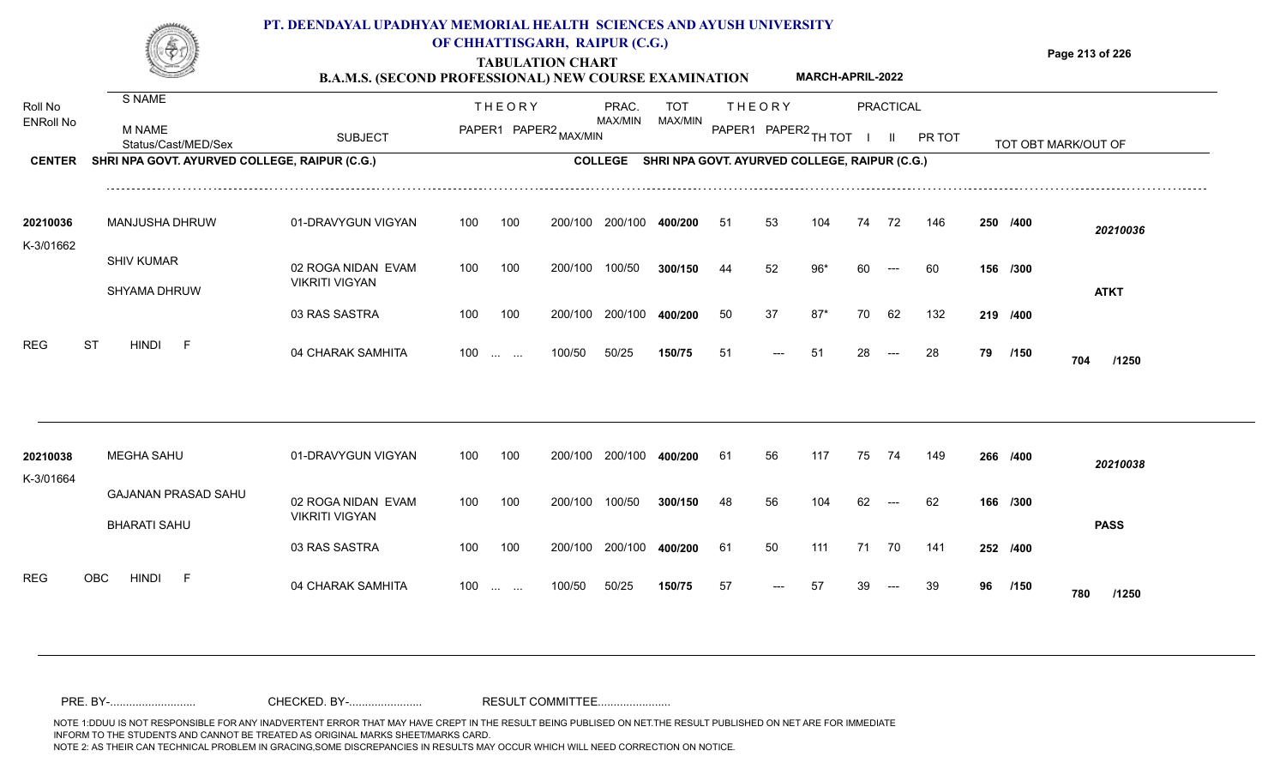

## **OF CHHATTISGARH, RAIPUR (C.G.)**

**Page 213 of 226**

#### **TABULATION CHART B.A.M.S. (SECOND PROFESSIONAL) NEW COURSE EXAMINATION MARCH-APRIL-2022**

| Roll No               | S NAME                                            |                                             |     | <b>THEORY</b>                                  |         | PRAC.   | <b>TOT</b> |    | <b>THEORY</b>                                         |       |    | <b>PRACTICAL</b> |               |    |          |                     |
|-----------------------|---------------------------------------------------|---------------------------------------------|-----|------------------------------------------------|---------|---------|------------|----|-------------------------------------------------------|-------|----|------------------|---------------|----|----------|---------------------|
| <b>ENRoll No</b>      | M NAME<br>Status/Cast/MED/Sex                     | <b>SUBJECT</b>                              |     | PAPER1 PAPER2 MAX/MIN                          |         | MAX/MIN | MAX/MIN    |    | PAPER1 PAPER2 TH TOT                                  |       |    | $\mathbf{H}$     | <b>PR TOT</b> |    |          | TOT OBT MARK/OUT OF |
| <b>CENTER</b>         | SHRI NPA GOVT. AYURVED COLLEGE, RAIPUR (C.G.)     |                                             |     |                                                |         |         |            |    | COLLEGE SHRI NPA GOVT. AYURVED COLLEGE, RAIPUR (C.G.) |       |    |                  |               |    |          |                     |
| 20210036              | MANJUSHA DHRUW                                    | 01-DRAVYGUN VIGYAN                          | 100 | 100                                            | 200/100 | 200/100 | 400/200    | 51 | 53                                                    | 104   | 74 | 72               | 146           |    | 250 /400 | 20210036            |
| K-3/01662             | <b>SHIV KUMAR</b><br>SHYAMA DHRUW                 | 02 ROGA NIDAN EVAM<br><b>VIKRITI VIGYAN</b> | 100 | 100                                            | 200/100 | 100/50  | 300/150    | 44 | 52                                                    | $96*$ | 60 | $---$            | 60            |    | 156 /300 | <b>ATKT</b>         |
|                       |                                                   | 03 RAS SASTRA                               | 100 | 100                                            | 200/100 | 200/100 | 400/200    | 50 | 37                                                    | $87*$ | 70 | 62               | 132           |    | 219 /400 |                     |
| <b>REG</b>            | <b>ST</b><br>HINDI F                              | 04 CHARAK SAMHITA                           | 100 | $\mathbf{r}$ and $\mathbf{r}$ and $\mathbf{r}$ | 100/50  | 50/25   | 150/75     | 51 |                                                       | 51    | 28 |                  | 28            | 79 | /150     | 704<br>/1250        |
|                       |                                                   |                                             |     |                                                |         |         |            |    |                                                       |       |    |                  |               |    |          |                     |
| 20210038<br>K-3/01664 | <b>MEGHA SAHU</b>                                 | 01-DRAVYGUN VIGYAN                          | 100 | 100                                            | 200/100 | 200/100 | 400/200    | 61 | 56                                                    | 117   | 75 | 74               | 149           |    | 266 /400 | 20210038            |
|                       | <b>GAJANAN PRASAD SAHU</b><br><b>BHARATI SAHU</b> | 02 ROGA NIDAN EVAM<br><b>VIKRITI VIGYAN</b> | 100 | 100                                            | 200/100 | 100/50  | 300/150    | 48 | 56                                                    | 104   | 62 | $---$            | 62            |    | 166 /300 | <b>PASS</b>         |
|                       |                                                   | 03 RAS SASTRA                               | 100 | 100                                            | 200/100 | 200/100 | 400/200    | 61 | 50                                                    | 111   | 71 | 70               | 141           |    | 252 /400 |                     |
| <b>REG</b>            | <b>HINDI</b><br><b>OBC</b><br>- F                 | 04 CHARAK SAMHITA                           | 100 | $\cdots$ $\cdots$                              | 100/50  | 50/25   | 150/75     | 57 |                                                       | 57    |    |                  | 39            | 96 | /150     | 780<br>/1250        |
|                       |                                                   |                                             |     |                                                |         |         |            |    |                                                       |       |    |                  |               |    |          |                     |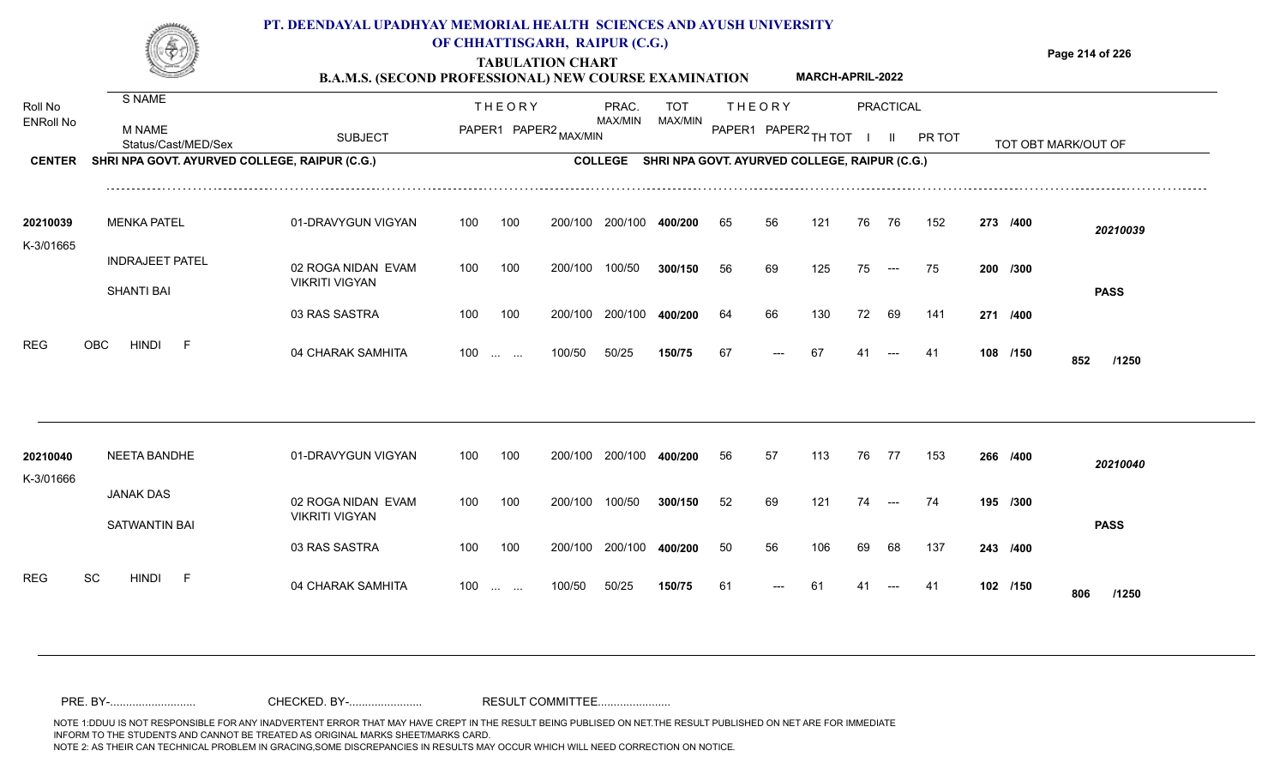

### **OF CHHATTISGARH, RAIPUR (C.G.)**

**Page 214 of 226**

#### **TABULATION CHART B.A.M.S. (SECOND PROFESSIONAL) NEW COURSE EXAMINATION MARCH-APRIL-2022**

| Roll No               | S NAME                                        |                                             |     | <b>THEORY</b>            |                       | PRAC.   | <b>TOT</b>                                            |    | <b>THEORY</b>        |     |    | <b>PRACTICAL</b> |        |          |                     |  |
|-----------------------|-----------------------------------------------|---------------------------------------------|-----|--------------------------|-----------------------|---------|-------------------------------------------------------|----|----------------------|-----|----|------------------|--------|----------|---------------------|--|
| <b>ENRoll No</b>      | M NAME<br>Status/Cast/MED/Sex                 | <b>SUBJECT</b>                              |     |                          | PAPER1 PAPER2 MAX/MIN | MAX/MIN | MAX/MIN                                               |    | PAPER1 PAPER2 TH TOT |     |    | $\mathbf{II}$    | PR TOT |          | TOT OBT MARK/OUT OF |  |
| <b>CENTER</b>         | SHRI NPA GOVT. AYURVED COLLEGE, RAIPUR (C.G.) |                                             |     |                          |                       |         | COLLEGE SHRI NPA GOVT. AYURVED COLLEGE, RAIPUR (C.G.) |    |                      |     |    |                  |        |          |                     |  |
| 20210039<br>K-3/01665 | <b>MENKA PATEL</b>                            | 01-DRAVYGUN VIGYAN                          | 100 | 100                      | 200/100               | 200/100 | 400/200                                               | 65 | 56                   | 121 | 76 | 76               | 152    | 273 /400 | 20210039            |  |
|                       | <b>INDRAJEET PATEL</b><br><b>SHANTI BAI</b>   | 02 ROGA NIDAN EVAM<br><b>VIKRITI VIGYAN</b> | 100 | 100                      | 200/100               | 100/50  | 300/150                                               | 56 | 69                   | 125 | 75 | $---$            | 75     | 200 /300 | <b>PASS</b>         |  |
|                       |                                               | 03 RAS SASTRA                               | 100 | 100                      | 200/100               | 200/100 | 400/200                                               | 64 | 66                   | 130 | 72 | 69               | 141    | 271 /400 |                     |  |
| <b>REG</b>            | <b>OBC</b><br><b>HINDI</b><br>-F              | 04 CHARAK SAMHITA                           |     | $100 \dots \dots$        | 100/50                | 50/25   | 150/75                                                | 67 | $---$                | 67  | 41 | $---$            | 41     | 108 /150 | 852<br>/1250        |  |
|                       |                                               |                                             |     |                          |                       |         |                                                       |    |                      |     |    |                  |        |          |                     |  |
| 20210040<br>K-3/01666 | NEETA BANDHE                                  | 01-DRAVYGUN VIGYAN                          | 100 | 100                      | 200/100               | 200/100 | 400/200                                               | 56 | 57                   | 113 | 76 | 77               | 153    | 266 /400 | 20210040            |  |
|                       | <b>JANAK DAS</b><br><b>SATWANTIN BAI</b>      | 02 ROGA NIDAN EVAM<br><b>VIKRITI VIGYAN</b> | 100 | 100                      | 200/100               | 100/50  | 300/150                                               | 52 | 69                   | 121 | 74 | $---$            | 74     | 195 /300 | <b>PASS</b>         |  |
|                       |                                               | 03 RAS SASTRA                               | 100 | 100                      | 200/100               | 200/100 | 400/200                                               | 50 | 56                   | 106 | 69 | 68               | 137    | 243 /400 |                     |  |
| <b>REG</b>            | SC<br><b>HINDI</b><br>- F                     | 04 CHARAK SAMHITA                           | 100 | <b>Contract Contract</b> | 100/50                | 50/25   | 150/75                                                | 61 | ---                  | 61  |    |                  | -41    | 102 /150 | 806<br>/1250        |  |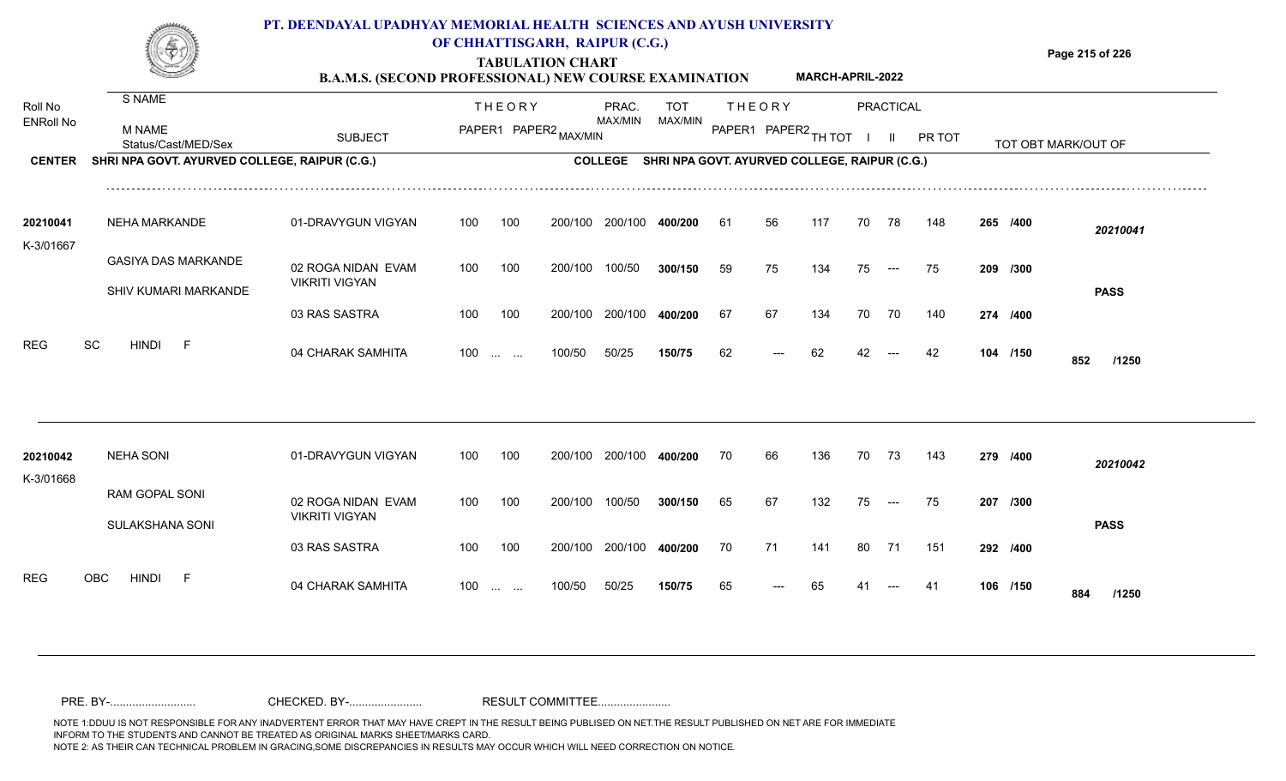

## **OF CHHATTISGARH, RAIPUR (C.G.)**

**Page 215 of 226**

#### **TABULATION CHART B.A.M.S. (SECOND PROFESSIONAL) NEW COURSE EXAMINATION MARCH-APRIL-2022**

| Roll No               | S NAME                                        |                       |     | <b>THEORY</b>         |         | PRAC.          | <b>TOT</b> |    | <b>THEORY</b>                                 |     |    | <b>PRACTICAL</b> |        |          |                     |
|-----------------------|-----------------------------------------------|-----------------------|-----|-----------------------|---------|----------------|------------|----|-----------------------------------------------|-----|----|------------------|--------|----------|---------------------|
| <b>ENRoll No</b>      | <b>M NAME</b><br>Status/Cast/MED/Sex          | <b>SUBJECT</b>        |     | PAPER1 PAPER2 MAX/MIN |         | MAX/MIN        | MAX/MIN    |    | PAPER1 PAPER2 TH TOT                          |     |    | $\mathbf{H}$     | PR TOT |          | TOT OBT MARK/OUT OF |
| <b>CENTER</b>         | SHRI NPA GOVT. AYURVED COLLEGE, RAIPUR (C.G.) |                       |     |                       |         | <b>COLLEGE</b> |            |    | SHRI NPA GOVT. AYURVED COLLEGE, RAIPUR (C.G.) |     |    |                  |        |          |                     |
| 20210041              | <b>NEHA MARKANDE</b>                          | 01-DRAVYGUN VIGYAN    | 100 | 100                   | 200/100 | 200/100        | 400/200    | 61 | 56                                            | 117 | 70 | 78               | 148    | 265 /400 | 20210041            |
| K-3/01667             |                                               |                       |     |                       |         |                |            |    |                                               |     |    |                  |        |          |                     |
|                       | <b>GASIYA DAS MARKANDE</b>                    | 02 ROGA NIDAN EVAM    | 100 | 100                   | 200/100 | 100/50         | 300/150    | 59 | 75                                            | 134 | 75 | $---$            | 75     | 209 /300 |                     |
|                       | SHIV KUMARI MARKANDE                          | <b>VIKRITI VIGYAN</b> |     |                       |         |                |            |    |                                               |     |    |                  |        |          | <b>PASS</b>         |
|                       |                                               | 03 RAS SASTRA         | 100 | 100                   | 200/100 | 200/100        | 400/200    | 67 | 67                                            | 134 | 70 | 70               | 140    | 274 /400 |                     |
| <b>REG</b>            | SC<br><b>HINDI</b><br>$-F$                    | 04 CHARAK SAMHITA     |     | $100$                 | 100/50  | 50/25          | 150/75     | 62 |                                               | 62  | 42 |                  | 42     | 104 /150 | 852<br>/1250        |
|                       |                                               |                       |     |                       |         |                |            |    |                                               |     |    |                  |        |          |                     |
| 20210042<br>K-3/01668 | <b>NEHA SONI</b>                              | 01-DRAVYGUN VIGYAN    | 100 | 100                   | 200/100 | 200/100        | 400/200    | 70 | 66                                            | 136 | 70 | 73               | 143    | 279 /400 | 20210042            |
|                       | RAM GOPAL SONI                                | 02 ROGA NIDAN EVAM    | 100 | 100                   | 200/100 | 100/50         | 300/150    | 65 | 67                                            | 132 | 75 | $---$            | 75     | 207 /300 |                     |
|                       | SULAKSHANA SONI                               | <b>VIKRITI VIGYAN</b> |     |                       |         |                |            |    |                                               |     |    |                  |        |          | <b>PASS</b>         |
|                       |                                               | 03 RAS SASTRA         | 100 | 100                   | 200/100 | 200/100        | 400/200    | 70 | 71                                            | 141 | 80 | 71               | 151    | 292 /400 |                     |
| <b>REG</b>            | OBC<br><b>HINDI</b><br>- F                    | 04 CHARAK SAMHITA     | 100 | $\cdots$ $\cdots$     | 100/50  | 50/25          | 150/75     | 65 |                                               | 65  |    |                  | -41    | 106 /150 | 884<br>/1250        |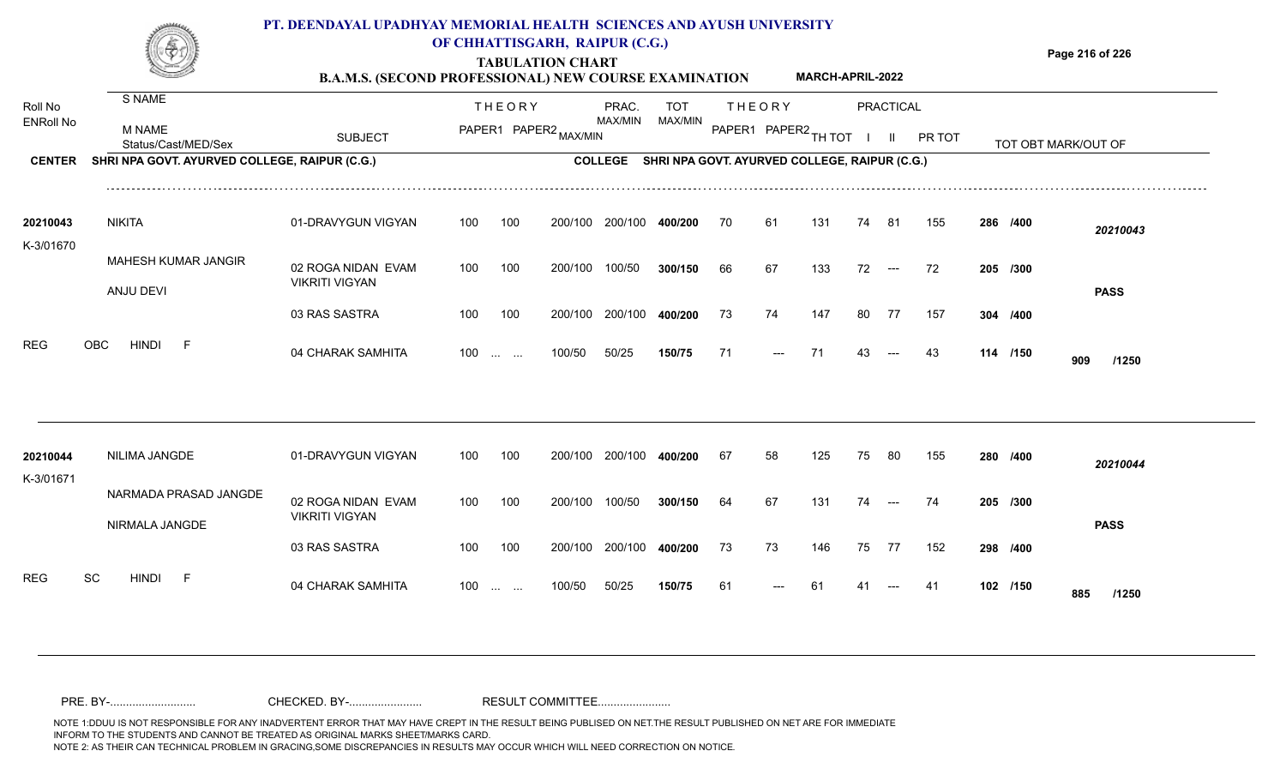### **PT. DEENDAYAL UPADHYAY MEMORIAL HEALTH SCIENCES AND AYUSH UNIVERSITY OF CHHATTISGARH, RAIPUR (C.G.)**



## **TABULATION CHART**

**Page 216 of 226**

#### **B.A.M.S. (SECOND PROFESSIONAL) NEW COURSE EXAMINATION MARCH-APRIL-2022**

| Roll No               | S NAME                                        |                                             |     | <b>THEORY</b>                 |         | PRAC.          | <b>TOT</b>                                    |    | <b>THEORY</b>        |     |    | <b>PRACTICAL</b> |        |          |                     |
|-----------------------|-----------------------------------------------|---------------------------------------------|-----|-------------------------------|---------|----------------|-----------------------------------------------|----|----------------------|-----|----|------------------|--------|----------|---------------------|
| <b>ENRoll No</b>      | <b>M NAME</b><br>Status/Cast/MED/Sex          | <b>SUBJECT</b>                              |     | PAPER1 PAPER2 MAX/MIN         |         | MAX/MIN        | MAX/MIN                                       |    | PAPER1 PAPER2 TH TOT |     |    | $\mathbf{H}$     | PR TOT |          | TOT OBT MARK/OUT OF |
| <b>CENTER</b>         | SHRI NPA GOVT. AYURVED COLLEGE, RAIPUR (C.G.) |                                             |     |                               |         | <b>COLLEGE</b> | SHRI NPA GOVT. AYURVED COLLEGE, RAIPUR (C.G.) |    |                      |     |    |                  |        |          |                     |
| 20210043              | <b>NIKITA</b>                                 | 01-DRAVYGUN VIGYAN                          | 100 | 100                           | 200/100 | 200/100        | 400/200                                       | 70 | 61                   | 131 | 74 | -81              | 155    | 286 /400 | 20210043            |
| K-3/01670             | MAHESH KUMAR JANGIR                           |                                             |     |                               |         |                |                                               |    |                      |     |    |                  |        |          |                     |
|                       | ANJU DEVI                                     | 02 ROGA NIDAN EVAM<br><b>VIKRITI VIGYAN</b> | 100 | 100                           | 200/100 | 100/50         | 300/150                                       | 66 | 67                   | 133 | 72 | $---$            | 72     | 205 /300 | <b>PASS</b>         |
|                       |                                               | 03 RAS SASTRA                               | 100 | 100                           | 200/100 | 200/100        | 400/200                                       | 73 | 74                   | 147 | 80 | 77               | 157    | 304 /400 |                     |
| <b>REG</b>            | <b>HINDI</b><br><b>OBC</b><br>- F             | 04 CHARAK SAMHITA                           | 100 | <b>Section Contract</b>       | 100/50  | 50/25          | 150/75                                        | 71 | ---                  | 71  | 43 |                  | 43     | 114 /150 | 909<br>/1250        |
|                       |                                               |                                             |     |                               |         |                |                                               |    |                      |     |    |                  |        |          |                     |
| 20210044<br>K-3/01671 | NILIMA JANGDE                                 | 01-DRAVYGUN VIGYAN                          | 100 | 100                           | 200/100 | 200/100        | 400/200                                       | 67 | 58                   | 125 | 75 | 80               | 155    | 280 /400 | 20210044            |
|                       | NARMADA PRASAD JANGDE<br>NIRMALA JANGDE       | 02 ROGA NIDAN EVAM<br><b>VIKRITI VIGYAN</b> | 100 | 100                           | 200/100 | 100/50         | 300/150                                       | 64 | 67                   | 131 | 74 | $---$            | 74     | 205 /300 | <b>PASS</b>         |
|                       |                                               | 03 RAS SASTRA                               | 100 | 100                           | 200/100 | 200/100        | 400/200                                       | 73 | 73                   | 146 | 75 | 77               | 152    | 298 /400 |                     |
| <b>REG</b>            | SC<br><b>HINDI</b><br>$-F$                    | 04 CHARAK SAMHITA                           | 100 | $\mathbf{r}$ and $\mathbf{r}$ | 100/50  | 50/25          | 150/75                                        | 61 |                      |     |    |                  | -41    | 102 /150 | 885<br>/1250        |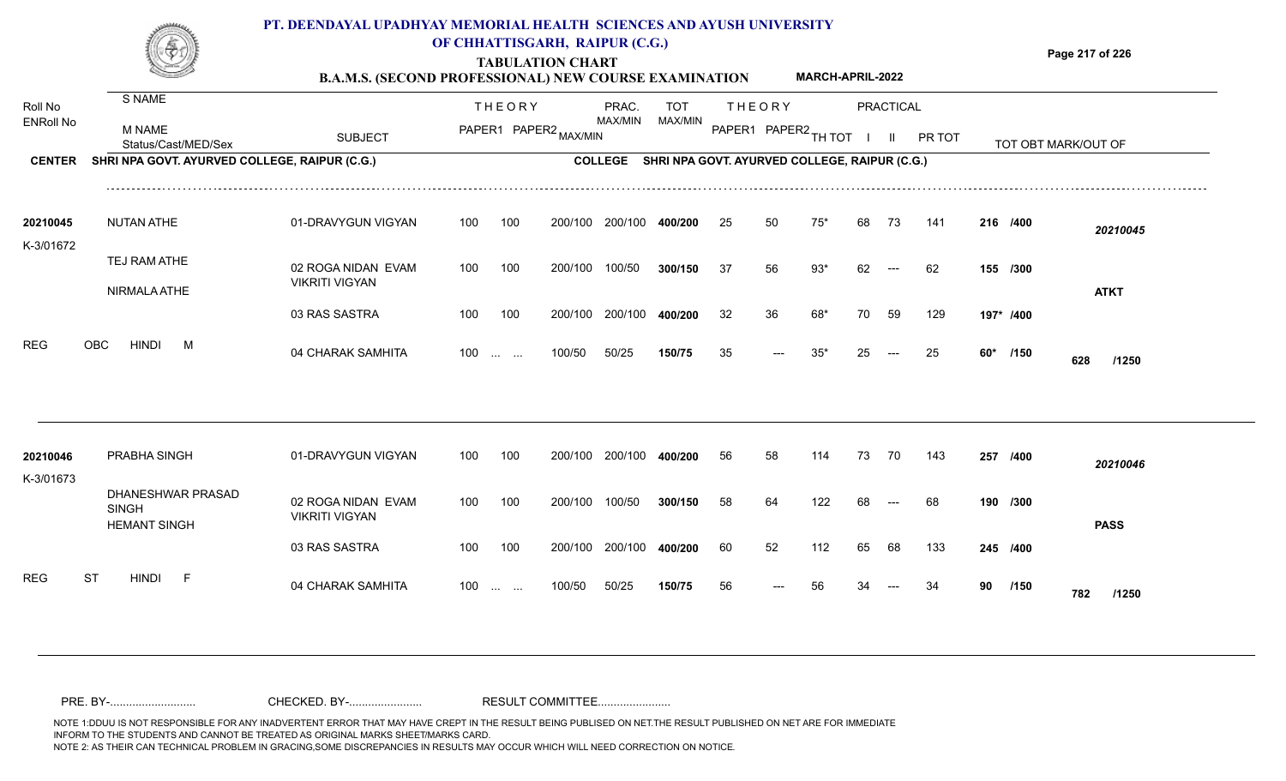

## **OF CHHATTISGARH, RAIPUR (C.G.)**

**Page 217 of 226**

#### **TABULATION CHART B.A.M.S. (SECOND PROFESSIONAL) NEW COURSE EXAMINATION MARCH-APRIL-2022**

| Roll No               | S NAME                                                   |                                             |     | <b>THEORY</b>     |                       | PRAC.          | <b>TOT</b> |    | <b>THEORY</b>                                 |       |    | <b>PRACTICAL</b> |        |    |           |                     |
|-----------------------|----------------------------------------------------------|---------------------------------------------|-----|-------------------|-----------------------|----------------|------------|----|-----------------------------------------------|-------|----|------------------|--------|----|-----------|---------------------|
| <b>ENRoll No</b>      | <b>M NAME</b><br>Status/Cast/MED/Sex                     | <b>SUBJECT</b>                              |     |                   | PAPER1 PAPER2 MAX/MIN | MAX/MIN        | MAX/MIN    |    | PAPER1 PAPER2 TH TOT                          |       |    | $\mathbf{II}$    | PR TOT |    |           | TOT OBT MARK/OUT OF |
| <b>CENTER</b>         | SHRI NPA GOVT. AYURVED COLLEGE, RAIPUR (C.G.)            |                                             |     |                   |                       | <b>COLLEGE</b> |            |    | SHRI NPA GOVT. AYURVED COLLEGE, RAIPUR (C.G.) |       |    |                  |        |    |           |                     |
| 20210045              | <b>NUTAN ATHE</b>                                        | 01-DRAVYGUN VIGYAN                          | 100 | 100               | 200/100               | 200/100        | 400/200    | 25 | 50                                            | 75'   | 68 | 73               | 141    |    | 216 /400  | 20210045            |
| K-3/01672             | TEJ RAM ATHE                                             | 02 ROGA NIDAN EVAM<br><b>VIKRITI VIGYAN</b> | 100 | 100               | 200/100               | 100/50         | 300/150    | 37 | 56                                            | $93*$ | 62 | $---$            | 62     |    | 155 /300  |                     |
|                       | NIRMALA ATHE                                             | 03 RAS SASTRA                               | 100 | 100               | 200/100               | 200/100        | 400/200    | 32 | 36                                            | 68*   | 70 | 59               | 129    |    | 197* /400 | <b>ATKT</b>         |
| <b>REG</b>            | <b>OBC</b><br><b>HINDI</b><br>M                          | 04 CHARAK SAMHITA                           |     | $100$             | 100/50                | 50/25          | 150/75     | 35 |                                               | $35*$ | 25 |                  | 25     |    | 60* /150  | 628<br>/1250        |
|                       |                                                          |                                             |     |                   |                       |                |            |    |                                               |       |    |                  |        |    |           |                     |
| 20210046<br>K-3/01673 | PRABHA SINGH                                             | 01-DRAVYGUN VIGYAN                          | 100 | 100               | 200/100               | 200/100        | 400/200    | 56 | 58                                            | 114   | 73 | 70               | 143    |    | 257 /400  | 20210046            |
|                       | DHANESHWAR PRASAD<br><b>SINGH</b><br><b>HEMANT SINGH</b> | 02 ROGA NIDAN EVAM<br><b>VIKRITI VIGYAN</b> | 100 | 100               | 200/100               | 100/50         | 300/150    | 58 | 64                                            | 122   | 68 |                  | 68     |    | 190 /300  | <b>PASS</b>         |
|                       |                                                          | 03 RAS SASTRA                               | 100 | 100               | 200/100               | 200/100        | 400/200    | 60 | 52                                            | 112   | 65 | 68               | 133    |    | 245 /400  |                     |
| <b>REG</b>            | <b>ST</b><br><b>HINDI</b><br>- F                         | 04 CHARAK SAMHITA                           |     | $100 \dots \dots$ | 100/50                | 50/25          | 150/75     | 56 |                                               |       |    |                  |        | 90 | /150      | 782<br>/1250        |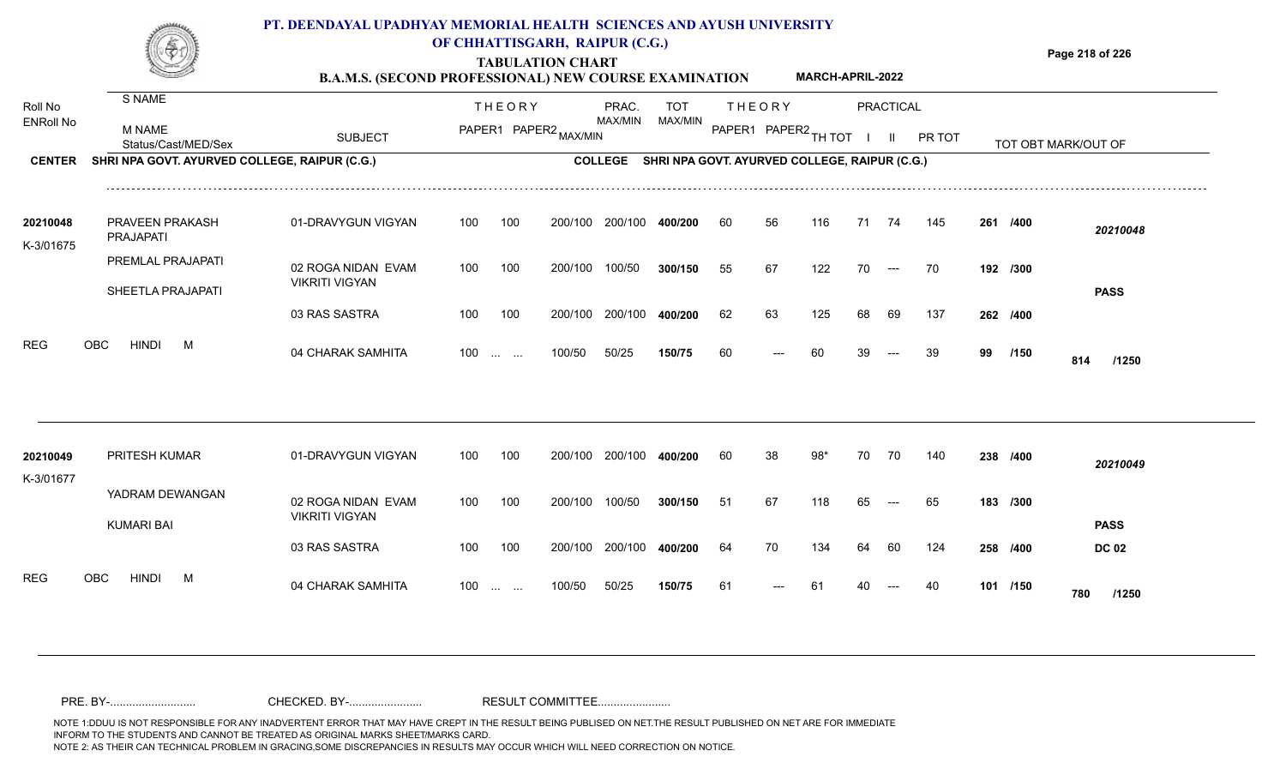### **PT. DEENDAYAL UPADHYAY MEMORIAL HEALTH SCIENCES AND AYUSH UNIVERSITY OF CHHATTISGARH, RAIPUR (C.G.)**

**Page 218 of 226**

**MARCH-APRIL-2022**

### **TABULATION CHART B.A.M.S. (SECOND PROFESSIONAL) NEW COURSE EXAMINATION**

| Roll No               | <b>S NAME</b>                                 |                       |     | <b>THEORY</b>             |                       | PRAC.          | <b>TOT</b>                                    |     | <b>THEORY</b> |        |    | <b>PRACTICAL</b> |        |    |          |                     |
|-----------------------|-----------------------------------------------|-----------------------|-----|---------------------------|-----------------------|----------------|-----------------------------------------------|-----|---------------|--------|----|------------------|--------|----|----------|---------------------|
| <b>ENRoll No</b>      | M NAME<br>Status/Cast/MED/Sex                 | <b>SUBJECT</b>        |     |                           | PAPER1 PAPER2 MAX/MIN | MAX/MIN        | MAX/MIN                                       |     | PAPER1 PAPER2 | TH TOT |    |                  | PR TOT |    |          | TOT OBT MARK/OUT OF |
| <b>CENTER</b>         | SHRI NPA GOVT. AYURVED COLLEGE, RAIPUR (C.G.) |                       |     |                           |                       | <b>COLLEGE</b> | SHRI NPA GOVT. AYURVED COLLEGE, RAIPUR (C.G.) |     |               |        |    |                  |        |    |          |                     |
| 20210048<br>K-3/01675 | <b>PRAVEEN PRAKASH</b><br>PRAJAPATI           | 01-DRAVYGUN VIGYAN    | 100 | 100                       | 200/100               | 200/100        | 400/200                                       | 60  | 56            | 116    | 71 | 74               | 145    |    | 261 /400 | 20210048            |
|                       | PREMLAL PRAJAPATI                             | 02 ROGA NIDAN EVAM    | 100 | 100                       | 200/100               | 100/50         | 300/150                                       | 55  | 67            | 122    | 70 | $---$            | 70     |    | 192 /300 |                     |
|                       | SHEETLA PRAJAPATI                             | <b>VIKRITI VIGYAN</b> |     |                           |                       |                |                                               |     |               |        |    |                  |        |    |          | <b>PASS</b>         |
|                       |                                               | 03 RAS SASTRA         | 100 | 100                       | 200/100               | 200/100        | 400/200                                       | 62  | 63            | 125    | 68 | 69               | 137    |    | 262 /400 |                     |
| <b>REG</b>            | <b>HINDI</b><br>OBC<br>M                      | 04 CHARAK SAMHITA     | 100 | $\sim 100$ and $\sim 100$ | 100/50                | 50/25          | 150/75                                        | 60  |               | 60     |    |                  | 39     | 99 | /150     | 814<br>/1250        |
|                       |                                               |                       |     |                           |                       |                |                                               |     |               |        |    |                  |        |    |          |                     |
| 20210049<br>K-3/01677 | <b>PRITESH KUMAR</b>                          | 01-DRAVYGUN VIGYAN    | 100 | 100                       | 200/100               | 200/100        | 400/200                                       | -60 | 38            | 98*    | 70 | 70               | 140    |    | 238 /400 | 20210049            |
|                       | YADRAM DEWANGAN                               | 02 ROGA NIDAN EVAM    | 100 | 100                       | 200/100               | 100/50         | 300/150                                       | 51  | 67            | 118    | 65 |                  | 65     |    | 183 /300 |                     |
|                       | <b>KUMARI BAI</b>                             | <b>VIKRITI VIGYAN</b> |     |                           |                       |                |                                               |     |               |        |    |                  |        |    |          | <b>PASS</b>         |
|                       |                                               | 03 RAS SASTRA         | 100 | 100                       | 200/100               | 200/100        | 400/200                                       | 64  | 70            | 134    | 64 | 60               | 124    |    | 258 /400 | <b>DC 02</b>        |
| <b>REG</b>            | <b>OBC</b><br><b>HINDI</b><br>M               | 04 CHARAK SAMHITA     | 100 | <b>Contract Contract</b>  | 100/50                | 50/25          | 150/75                                        | 61  |               | -61    |    |                  | 40     |    | 101 /150 | 780<br>/1250        |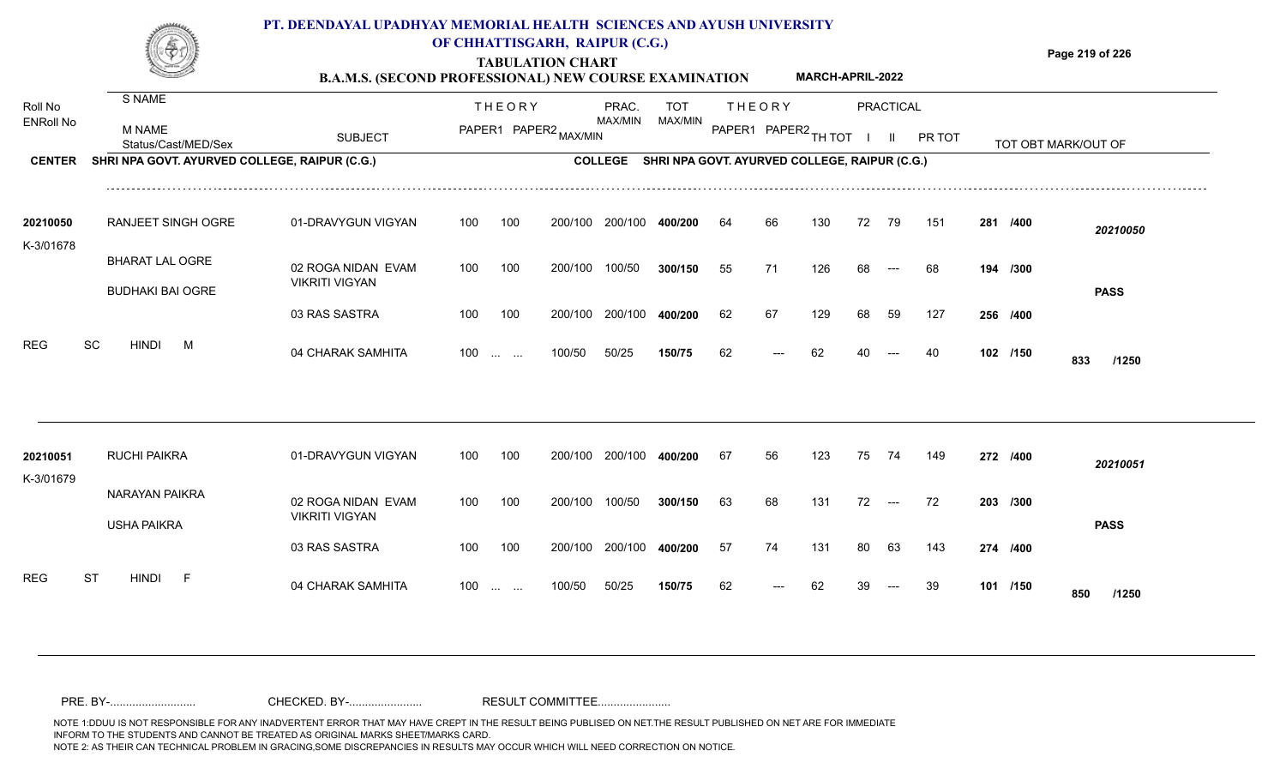### **PT. DEENDAYAL UPADHYAY MEMORIAL HEALTH SCIENCES AND AYUSH UNIVERSITY OF CHHATTISGARH, RAIPUR (C.G.)**

**TABULATION CHART**

**Page 219 of 226**

#### **B.A.M.S. (SECOND PROFESSIONAL) NEW COURSE EXAMINATION MARCH-APRIL-2022**

| Roll No               | S NAME                                        |                                             |     | <b>THEORY</b>                                  |                       | PRAC.          | <b>TOT</b> |    | <b>THEORY</b>                                 |     |    | <b>PRACTICAL</b> |        |          |                     |
|-----------------------|-----------------------------------------------|---------------------------------------------|-----|------------------------------------------------|-----------------------|----------------|------------|----|-----------------------------------------------|-----|----|------------------|--------|----------|---------------------|
| <b>ENRoll No</b>      | M NAME<br>Status/Cast/MED/Sex                 | <b>SUBJECT</b>                              |     |                                                | PAPER1 PAPER2 MAX/MIN | MAX/MIN        | MAX/MIN    |    | PAPER1 PAPER2 TH TOT                          |     |    | $\mathbf{II}$    | PR TOT |          | TOT OBT MARK/OUT OF |
| <b>CENTER</b>         | SHRI NPA GOVT. AYURVED COLLEGE, RAIPUR (C.G.) |                                             |     |                                                |                       | <b>COLLEGE</b> |            |    | SHRI NPA GOVT. AYURVED COLLEGE, RAIPUR (C.G.) |     |    |                  |        |          |                     |
| 20210050              | <b>RANJEET SINGH OGRE</b>                     | 01-DRAVYGUN VIGYAN                          | 100 | 100                                            | 200/100               | 200/100        | 400/200    | 64 | 66                                            | 130 | 72 | 79               | 151    | 281 /400 | 20210050            |
| K-3/01678             |                                               |                                             |     |                                                |                       |                |            |    |                                               |     |    |                  |        |          |                     |
|                       | <b>BHARAT LAL OGRE</b>                        | 02 ROGA NIDAN EVAM<br><b>VIKRITI VIGYAN</b> | 100 | 100                                            | 200/100               | 100/50         | 300/150    | 55 | 71                                            | 126 | 68 |                  | 68     | 194 /300 |                     |
|                       | <b>BUDHAKI BAI OGRE</b>                       |                                             |     |                                                |                       |                |            |    |                                               |     |    |                  |        |          | <b>PASS</b>         |
|                       |                                               | 03 RAS SASTRA                               | 100 | 100                                            | 200/100               | 200/100        | 400/200    | 62 | 67                                            | 129 | 68 | 59               | 127    | 256 /400 |                     |
| <b>REG</b>            | <b>SC</b><br><b>HINDI</b><br>M                | 04 CHARAK SAMHITA                           | 100 | $\mathbf{r}$ and $\mathbf{r}$                  | 100/50                | 50/25          | 150/75     | 62 |                                               | 62  |    |                  | 40     | 102 /150 | 833<br>/1250        |
|                       |                                               |                                             |     |                                                |                       |                |            |    |                                               |     |    |                  |        |          |                     |
| 20210051<br>K-3/01679 | RUCHI PAIKRA                                  | 01-DRAVYGUN VIGYAN                          | 100 | 100                                            | 200/100               | 200/100        | 400/200    | 67 | 56                                            | 123 | 75 | 74               | 149    | 272 /400 | 20210051            |
|                       | NARAYAN PAIKRA                                | 02 ROGA NIDAN EVAM                          | 100 | 100                                            | 200/100               | 100/50         | 300/150    | 63 | 68                                            | 131 | 72 | $---$            | 72     | 203 /300 |                     |
|                       | <b>USHA PAIKRA</b>                            | <b>VIKRITI VIGYAN</b>                       |     |                                                |                       |                |            |    |                                               |     |    |                  |        |          | <b>PASS</b>         |
|                       |                                               | 03 RAS SASTRA                               | 100 | 100                                            | 200/100               | 200/100        | 400/200    | 57 | 74                                            | 131 | 80 | 63               | 143    | 274 /400 |                     |
| <b>REG</b>            | <b>ST</b><br><b>HINDI</b><br>- F              | 04 CHARAK SAMHITA                           | 100 | $\mathbf{r}$ and $\mathbf{r}$ and $\mathbf{r}$ | 100/50                | 50/25          | 150/75     | 62 |                                               |     |    |                  | 39     | 101 /150 | 850<br>/1250        |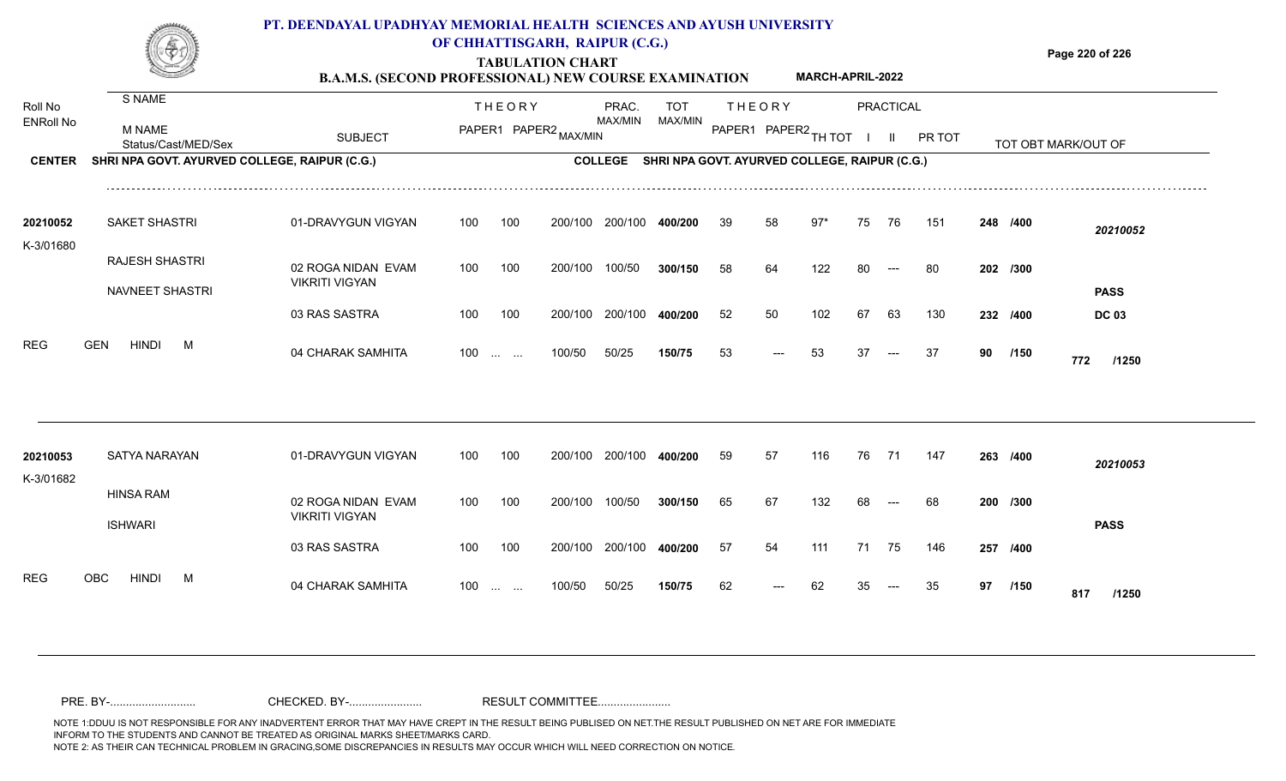

### **OF CHHATTISGARH, RAIPUR (C.G.)**

**Page 220 of 226**

**TABULATION CHART B.A.M.S. (SECOND PROFESSIONAL) NEW COURSE EXAMINATION MARCH-APRIL-2022**

| Roll No<br><b>ENRoll No</b><br><b>CENTER</b> | S NAME<br><b>M NAME</b><br>Status/Cast/MED/Sex<br>SHRI NPA GOVT. AYURVED COLLEGE, RAIPUR (C.G.) | <b>SUBJECT</b>                                                                     |                   | <b>THEORY</b><br>PAPER1 PAPER2 MAX/MIN |                               | PRAC.<br>MAX/MIN             | TOT<br>MAX/MIN<br>COLLEGE SHRI NPA GOVT. AYURVED COLLEGE, RAIPUR (C.G.) |                | <b>THEORY</b><br>PAPER1 PAPER2 TH TOT |                     |                | <b>PRACTICAL</b><br>$\mathbf{II}$ | PR TOT            |    |                                  | TOT OBT MARK/OUT OF                     |
|----------------------------------------------|-------------------------------------------------------------------------------------------------|------------------------------------------------------------------------------------|-------------------|----------------------------------------|-------------------------------|------------------------------|-------------------------------------------------------------------------|----------------|---------------------------------------|---------------------|----------------|-----------------------------------|-------------------|----|----------------------------------|-----------------------------------------|
| 20210052<br>K-3/01680                        | <b>SAKET SHASTRI</b><br>RAJESH SHASTRI<br>NAVNEET SHASTRI                                       | 01-DRAVYGUN VIGYAN<br>02 ROGA NIDAN EVAM<br><b>VIKRITI VIGYAN</b><br>03 RAS SASTRA | 100<br>100<br>100 | 100<br>100<br>100                      | 200/100<br>200/100<br>200/100 | 200/100<br>100/50<br>200/100 | 400/200<br>300/150<br>400/200                                           | 39<br>58<br>52 | 58<br>64<br>50                        | $97*$<br>122<br>102 | 75<br>80<br>67 | 76<br>$---$<br>63                 | 151<br>-80<br>130 |    | 248 /400<br>202 /300<br>232 /400 | 20210052<br><b>PASS</b><br><b>DC 03</b> |
| <b>REG</b>                                   | <b>GEN</b><br><b>HINDI</b><br>M                                                                 | 04 CHARAK SAMHITA                                                                  | $100$             |                                        | 100/50                        | 50/25                        | 150/75                                                                  | 53             | ---                                   | 53                  | 37             | $---$                             | 37                | 90 | /150                             | 772<br>/1250                            |
| 20210053<br>K-3/01682                        | SATYA NARAYAN<br><b>HINSA RAM</b>                                                               | 01-DRAVYGUN VIGYAN                                                                 | 100               | 100                                    | 200/100                       | 200/100                      | 400/200                                                                 | 59             | 57                                    | 116                 | 76 71          |                                   | 147               |    | 263 /400                         | 20210053                                |
|                                              | <b>ISHWARI</b>                                                                                  | 02 ROGA NIDAN EVAM<br><b>VIKRITI VIGYAN</b><br>03 RAS SASTRA                       | 100<br>100        | 100<br>100                             | 200/100<br>200/100            | 100/50<br>200/100            | 300/150<br>400/200                                                      | 65<br>57       | 67<br>54                              | 132<br>111          | 68<br>71       | $---$<br>- 75                     | 68<br>146         |    | 200 /300<br>257 /400             | <b>PASS</b>                             |
| <b>REG</b>                                   | <b>OBC</b><br><b>HINDI</b><br>M                                                                 | 04 CHARAK SAMHITA                                                                  | 100               | <b>Contract Contract</b>               | 100/50                        | 50/25                        | 150/75                                                                  | 62             |                                       | 62                  |                |                                   | 35                | 97 | /150                             | 817<br>/1250                            |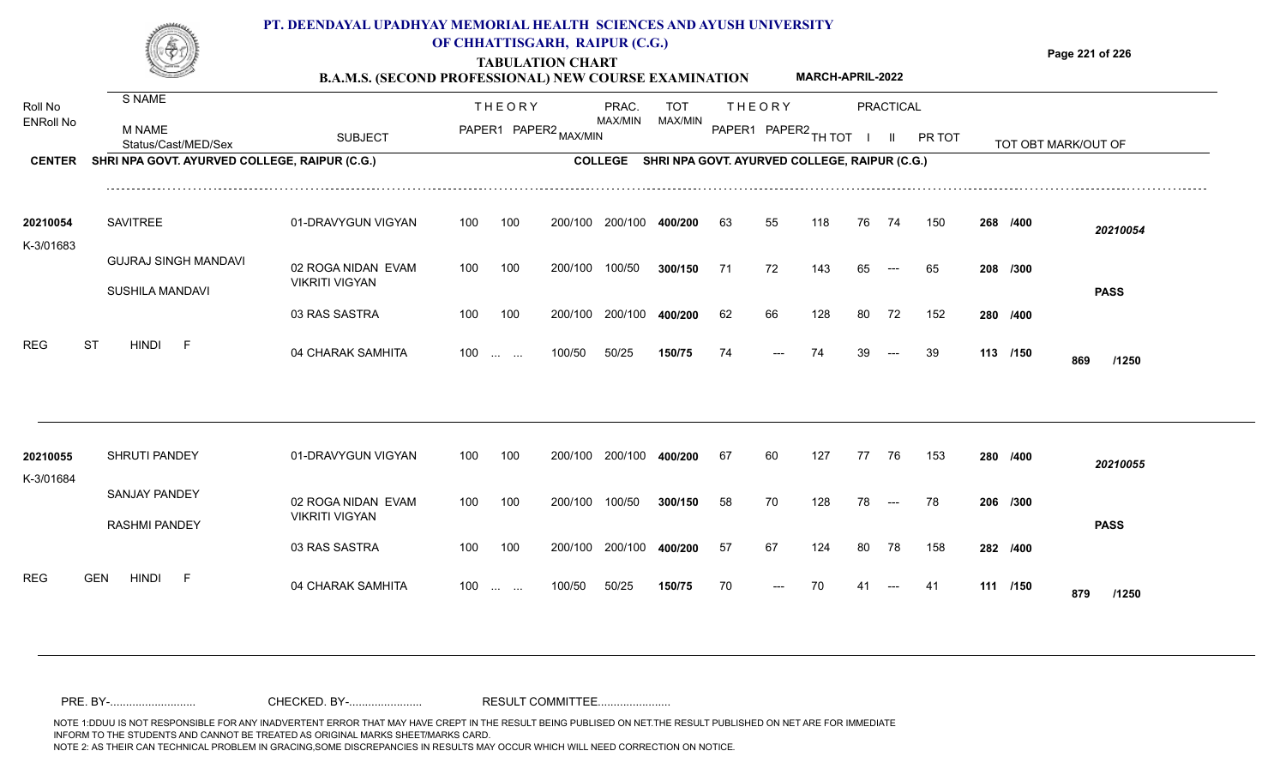

## **OF CHHATTISGARH, RAIPUR (C.G.)**

**Page 221 of 226**

#### **TABULATION CHART B.A.M.S. (SECOND PROFESSIONAL) NEW COURSE EXAMINATION MARCH-APRIL-2022**

| Roll No               | S NAME                                         |                                             |     | <b>THEORY</b>                                      |                       | PRAC.          | <b>TOT</b>                                    |    | <b>THEORY</b>        |     |    | PRACTICAL    |        |          |                     |  |
|-----------------------|------------------------------------------------|---------------------------------------------|-----|----------------------------------------------------|-----------------------|----------------|-----------------------------------------------|----|----------------------|-----|----|--------------|--------|----------|---------------------|--|
| <b>ENRoll No</b>      | <b>M NAME</b><br>Status/Cast/MED/Sex           | <b>SUBJECT</b>                              |     |                                                    | PAPER1 PAPER2 MAX/MIN | MAX/MIN        | MAX/MIN                                       |    | PAPER1 PAPER2 TH TOT |     |    | $\mathbf{H}$ | PR TOT |          | TOT OBT MARK/OUT OF |  |
| <b>CENTER</b>         | SHRI NPA GOVT. AYURVED COLLEGE, RAIPUR (C.G.)  |                                             |     |                                                    |                       | <b>COLLEGE</b> | SHRI NPA GOVT. AYURVED COLLEGE, RAIPUR (C.G.) |    |                      |     |    |              |        |          |                     |  |
| 20210054              | <b>SAVITREE</b>                                | 01-DRAVYGUN VIGYAN                          | 100 | 100                                                | 200/100               | 200/100        | 400/200                                       | 63 | 55                   | 118 | 76 | 74           | 150    | 268 /400 | 20210054            |  |
| K-3/01683             | <b>GUJRAJ SINGH MANDAVI</b><br>SUSHILA MANDAVI | 02 ROGA NIDAN EVAM<br><b>VIKRITI VIGYAN</b> | 100 | 100                                                | 200/100               | 100/50         | 300/150                                       | 71 | 72                   | 143 | 65 |              | 65     | 208 /300 |                     |  |
|                       |                                                | 03 RAS SASTRA                               | 100 | 100                                                | 200/100               | 200/100        | 400/200                                       | 62 | 66                   | 128 | 80 | 72           | 152    | 280 /400 | <b>PASS</b>         |  |
| <b>REG</b>            | <b>ST</b><br><b>HINDI</b><br>- F               | 04 CHARAK SAMHITA                           | 100 | $\mathbf{r}$ and $\mathbf{r}$                      | 100/50                | 50/25          | 150/75                                        | 74 |                      | 74  |    |              | 39     | 113 /150 | 869<br>/1250        |  |
|                       |                                                |                                             |     |                                                    |                       |                |                                               |    |                      |     |    |              |        |          |                     |  |
| 20210055<br>K-3/01684 | SHRUTI PANDEY                                  | 01-DRAVYGUN VIGYAN                          | 100 | 100                                                | 200/100               | 200/100        | 400/200                                       | 67 | 60                   | 127 | 77 | 76           | 153    | 280 /400 | 20210055            |  |
|                       | <b>SANJAY PANDEY</b><br><b>RASHMI PANDEY</b>   | 02 ROGA NIDAN EVAM<br><b>VIKRITI VIGYAN</b> | 100 | 100                                                | 200/100               | 100/50         | 300/150                                       | 58 | 70                   | 128 | 78 | $---$        | 78     | 206 /300 | <b>PASS</b>         |  |
|                       |                                                | 03 RAS SASTRA                               | 100 | 100                                                | 200/100               | 200/100        | 400/200                                       | 57 | 67                   | 124 | 80 | 78           | 158    | 282 /400 |                     |  |
| <b>REG</b>            | <b>HINDI</b><br><b>GEN</b><br>- F              | 04 CHARAK SAMHITA                           | 100 | $\mathbf{r}$ and $\mathbf{r}$ are all $\mathbf{r}$ | 100/50                | 50/25          | 150/75                                        | 70 |                      |     |    |              | -41    | 111 /150 | 879<br>/1250        |  |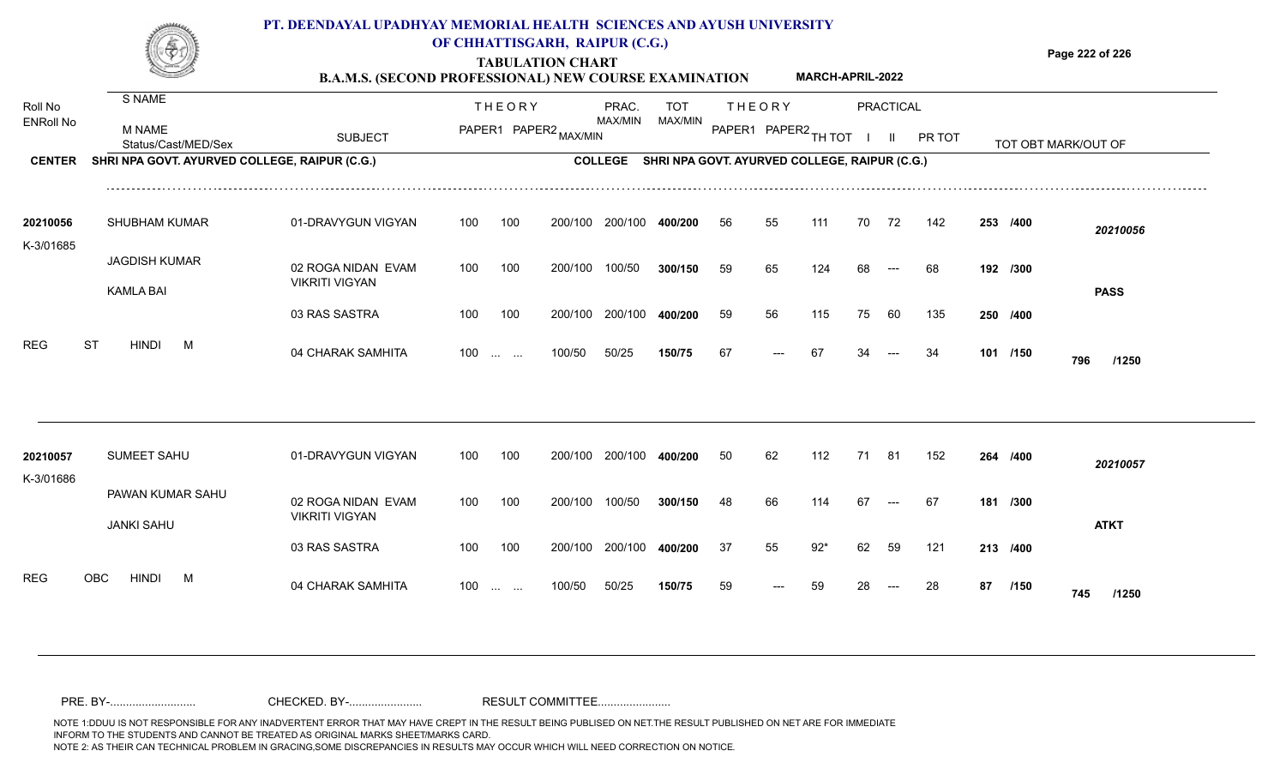

## **OF CHHATTISGARH, RAIPUR (C.G.)**

**Page 222 of 226**

#### **TABULATION CHART B.A.M.S. (SECOND PROFESSIONAL) NEW COURSE EXAMINATION MARCH-APRIL-2022**

| Roll No          | S NAME                                        |                                             |     | <b>THEORY</b>                                  |                       | PRAC.          | <b>TOT</b> |    | <b>THEORY</b>                                 |     |    | <b>PRACTICAL</b> |        |    |          |                     |
|------------------|-----------------------------------------------|---------------------------------------------|-----|------------------------------------------------|-----------------------|----------------|------------|----|-----------------------------------------------|-----|----|------------------|--------|----|----------|---------------------|
| <b>ENRoll No</b> | M NAME<br>Status/Cast/MED/Sex                 | <b>SUBJECT</b>                              |     |                                                | PAPER1 PAPER2 MAX/MIN | MAX/MIN        | MAX/MIN    |    | PAPER1 PAPER2 TH TOT                          |     |    | $\mathbf{II}$    | PR TOT |    |          | TOT OBT MARK/OUT OF |
| <b>CENTER</b>    | SHRI NPA GOVT. AYURVED COLLEGE, RAIPUR (C.G.) |                                             |     |                                                |                       | <b>COLLEGE</b> |            |    | SHRI NPA GOVT. AYURVED COLLEGE, RAIPUR (C.G.) |     |    |                  |        |    |          |                     |
| 20210056         | <b>SHUBHAM KUMAR</b>                          | 01-DRAVYGUN VIGYAN                          | 100 | 100                                            | 200/100               | 200/100        | 400/200    | 56 | 55                                            | 111 | 70 | 72               | 142    |    | 253 /400 | 20210056            |
| K-3/01685        | <b>JAGDISH KUMAR</b><br><b>KAMLA BAI</b>      | 02 ROGA NIDAN EVAM<br><b>VIKRITI VIGYAN</b> | 100 | 100                                            | 200/100               | 100/50         | 300/150    | 59 | 65                                            | 124 | 68 |                  | 68     |    | 192 /300 | <b>PASS</b>         |
|                  |                                               | 03 RAS SASTRA                               | 100 | 100                                            | 200/100               | 200/100        | 400/200    | 59 | 56                                            | 115 | 75 | 60               | 135    |    | 250 /400 |                     |
| <b>REG</b>       | <b>ST</b><br><b>HINDI</b><br>M                | 04 CHARAK SAMHITA                           | 100 | $\mathbf{r}$ and $\mathbf{r}$                  | 100/50                | 50/25          | 150/75     | 67 |                                               | 67  |    |                  | 34     |    | 101 /150 | 796<br>/1250        |
| 20210057         | SUMEET SAHU                                   | 01-DRAVYGUN VIGYAN                          | 100 | 100                                            | 200/100               | 200/100        | 400/200    | 50 | 62                                            | 112 | 71 | 81               | 152    |    | 264 /400 | 20210057            |
| K-3/01686        | PAWAN KUMAR SAHU<br><b>JANKI SAHU</b>         | 02 ROGA NIDAN EVAM<br><b>VIKRITI VIGYAN</b> | 100 | 100                                            | 200/100               | 100/50         | 300/150    | 48 | 66                                            | 114 | 67 |                  | 67     |    | 181 /300 | <b>ATKT</b>         |
|                  |                                               | 03 RAS SASTRA                               | 100 | 100                                            | 200/100               | 200/100        | 400/200    | 37 | 55                                            | 92* | 62 | 59               | 121    |    | 213 /400 |                     |
| <b>REG</b>       | OBC<br><b>HINDI</b><br>M                      | 04 CHARAK SAMHITA                           | 100 | $\mathbf{r}$ and $\mathbf{r}$ and $\mathbf{r}$ | 100/50                | 50/25          | 150/75     | 59 |                                               | 59  |    |                  | 28     | 87 | /150     | 745<br>/1250        |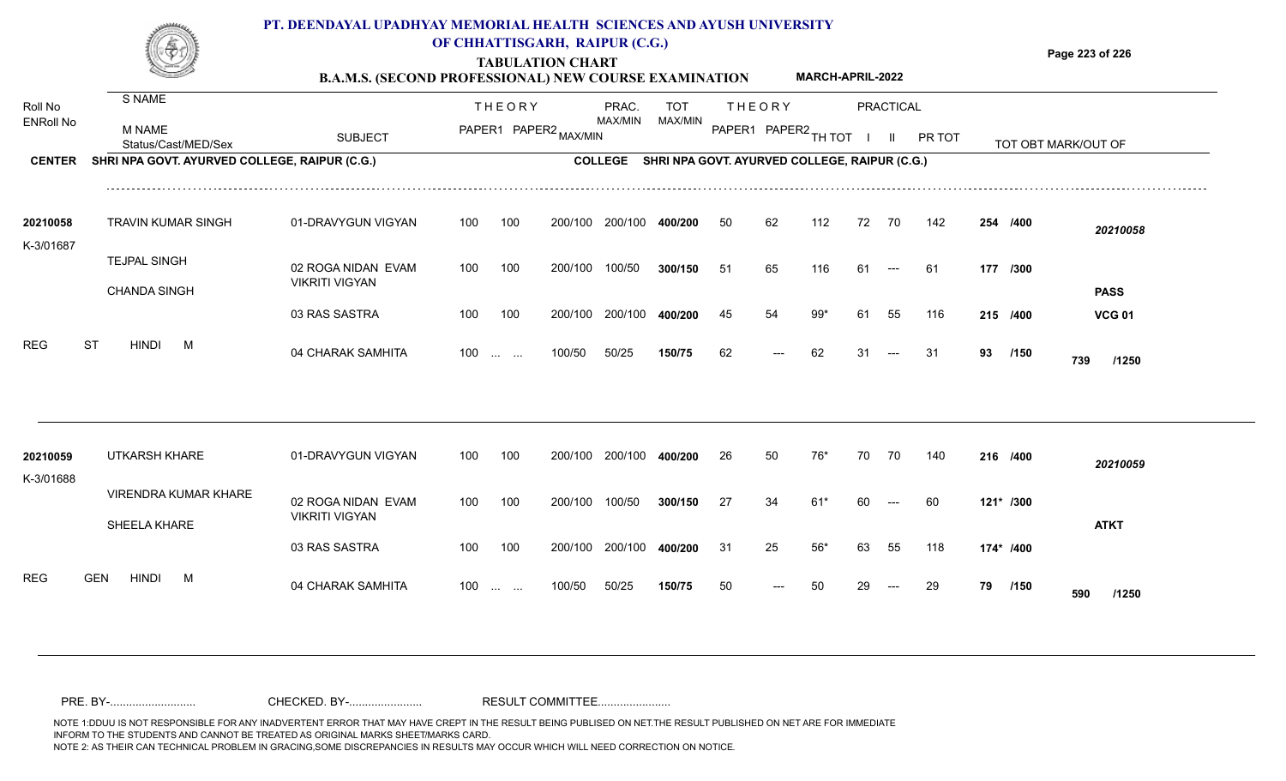

## **OF CHHATTISGARH, RAIPUR (C.G.)**

**Page 223 of 226**

#### **TABULATION CHART B.A.M.S. (SECOND PROFESSIONAL) NEW COURSE EXAMINATION MARCH-APRIL-2022**

| Roll No               | S NAME                                        |                                             |     | <b>THEORY</b>     |                       | PRAC.          | <b>TOT</b> |     | <b>THEORY</b>                                 |       |    | PRACTICAL                |        |    |           |                     |
|-----------------------|-----------------------------------------------|---------------------------------------------|-----|-------------------|-----------------------|----------------|------------|-----|-----------------------------------------------|-------|----|--------------------------|--------|----|-----------|---------------------|
| <b>ENRoll No</b>      | <b>M NAME</b><br>Status/Cast/MED/Sex          | <b>SUBJECT</b>                              |     |                   | PAPER1 PAPER2 MAX/MIN | MAX/MIN        | MAX/MIN    |     | PAPER1 PAPER2 TH TOT                          |       |    | $\mathbf{II}$            | PR TOT |    |           | TOT OBT MARK/OUT OF |
| <b>CENTER</b>         | SHRI NPA GOVT. AYURVED COLLEGE, RAIPUR (C.G.) |                                             |     |                   |                       | <b>COLLEGE</b> |            |     | SHRI NPA GOVT. AYURVED COLLEGE, RAIPUR (C.G.) |       |    |                          |        |    |           |                     |
| 20210058              | TRAVIN KUMAR SINGH                            | 01-DRAVYGUN VIGYAN                          | 100 | 100               | 200/100               | 200/100        | 400/200    | 50  | 62                                            | 112   | 72 | 70                       | 142    |    | 254 /400  | 20210058            |
| K-3/01687             |                                               |                                             |     |                   |                       |                |            |     |                                               |       |    |                          |        |    |           |                     |
|                       | <b>TEJPAL SINGH</b>                           | 02 ROGA NIDAN EVAM<br><b>VIKRITI VIGYAN</b> | 100 | 100               | 200/100               | 100/50         | 300/150    | -51 | 65                                            | 116   | 61 | $\hspace{0.05cm} \ldots$ | 61     |    | 177 /300  |                     |
|                       | <b>CHANDA SINGH</b>                           |                                             |     |                   |                       |                |            |     |                                               |       |    |                          |        |    |           | <b>PASS</b>         |
|                       |                                               | 03 RAS SASTRA                               | 100 | 100               | 200/100               | 200/100        | 400/200    | 45  | 54                                            | 99*   | 61 | 55                       | 116    |    | 215 /400  | <b>VCG 01</b>       |
| <b>REG</b>            | <b>ST</b><br><b>HINDI</b><br>M                | 04 CHARAK SAMHITA                           |     | 100               | 100/50                | 50/25          | 150/75     | 62  | ---                                           | 62    | 31 | $---$                    | 31     | 93 | /150      | 739<br>/1250        |
|                       |                                               |                                             |     |                   |                       |                |            |     |                                               |       |    |                          |        |    |           |                     |
| 20210059<br>K-3/01688 | UTKARSH KHARE                                 | 01-DRAVYGUN VIGYAN                          | 100 | 100               | 200/100               | 200/100        | 400/200    | 26  | 50                                            | 76*   | 70 | 70                       | 140    |    | 216 /400  | 20210059            |
|                       | <b>VIRENDRA KUMAR KHARE</b><br>SHEELA KHARE   | 02 ROGA NIDAN EVAM<br><b>VIKRITI VIGYAN</b> | 100 | 100               | 200/100               | 100/50         | 300/150    | 27  | 34                                            | $61*$ | 60 |                          | 60     |    | 121* /300 | <b>ATKT</b>         |
|                       |                                               | 03 RAS SASTRA                               | 100 | 100               | 200/100               | 200/100        | 400/200    | 31  | 25                                            | 56*   | 63 | 55                       | 118    |    | 174* /400 |                     |
| <b>REG</b>            | <b>GEN</b><br><b>HINDI</b><br>M               | 04 CHARAK SAMHITA                           |     | $100 \dots \dots$ | 100/50                | 50/25          | 150/75     | 50  |                                               |       |    |                          | 29     | 79 | /150      | 590<br>/1250        |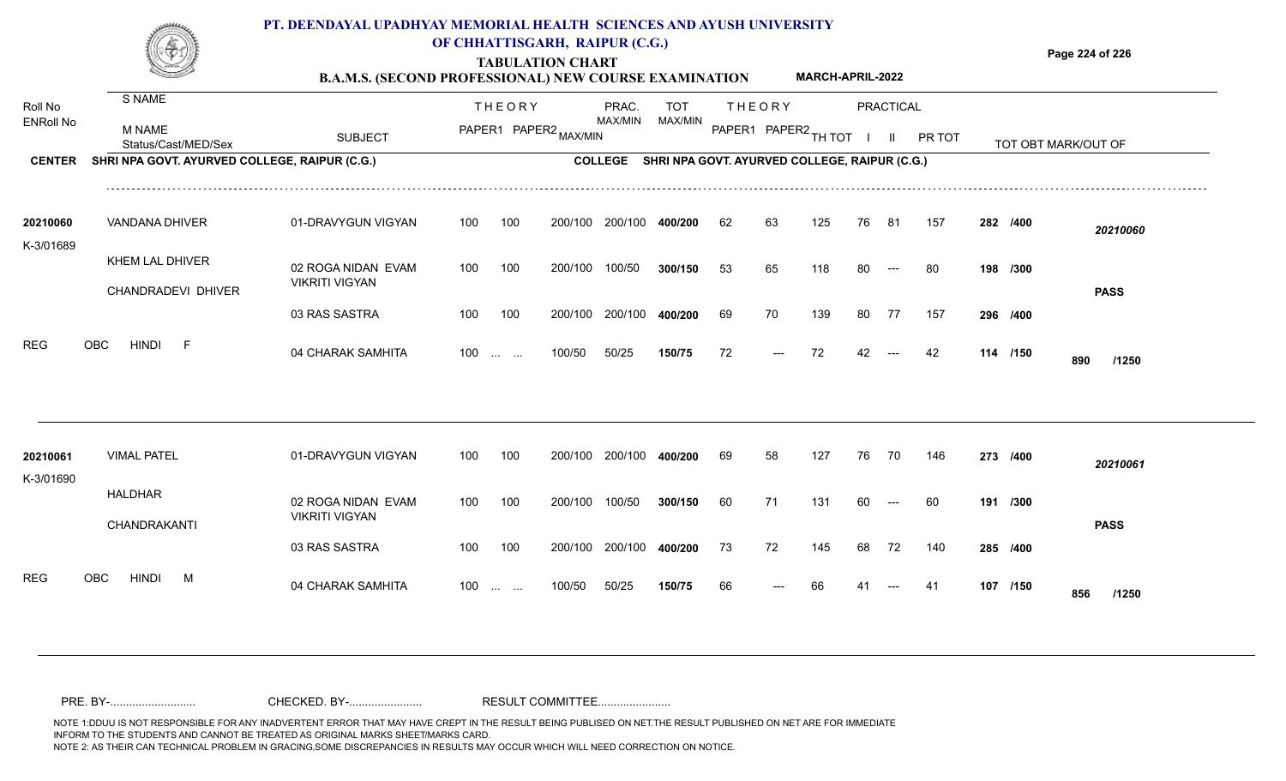

### **OF CHHATTISGARH, RAIPUR (C.G.)**

**Page 224 of 226**

#### **TABULATION CHART B.A.M.S. (SECOND PROFESSIONAL) NEW COURSE EXAMINATION MARCH-APRIL-2022**

| Roll No               | S NAME                                        |                                             |     | <b>THEORY</b>                                                 |                       | PRAC.          | <b>TOT</b>                                    |    | <b>THEORY</b>        |     |    | <b>PRACTICAL</b> |        |          |                     |
|-----------------------|-----------------------------------------------|---------------------------------------------|-----|---------------------------------------------------------------|-----------------------|----------------|-----------------------------------------------|----|----------------------|-----|----|------------------|--------|----------|---------------------|
| <b>ENRoll No</b>      | M NAME<br>Status/Cast/MED/Sex                 | <b>SUBJECT</b>                              |     |                                                               | PAPER1 PAPER2 MAX/MIN | MAX/MIN        | MAX/MIN                                       |    | PAPER1 PAPER2 TH TOT |     |    | $\mathbf{H}$     | PR TOT |          | TOT OBT MARK/OUT OF |
| <b>CENTER</b>         | SHRI NPA GOVT. AYURVED COLLEGE, RAIPUR (C.G.) |                                             |     |                                                               |                       | <b>COLLEGE</b> | SHRI NPA GOVT. AYURVED COLLEGE, RAIPUR (C.G.) |    |                      |     |    |                  |        |          |                     |
| 20210060              | VANDANA DHIVER                                | 01-DRAVYGUN VIGYAN                          | 100 | 100                                                           | 200/100               | 200/100        | 400/200                                       | 62 | 63                   | 125 | 76 | -81              | 157    | 282 /400 | 20210060            |
| K-3/01689             | KHEM LAL DHIVER                               | 02 ROGA NIDAN EVAM<br><b>VIKRITI VIGYAN</b> | 100 | 100                                                           | 200/100               | 100/50         | 300/150                                       | 53 | 65                   | 118 | 80 | $---$            | -80    | 198 /300 |                     |
|                       | CHANDRADEVI DHIVER                            | 03 RAS SASTRA                               | 100 | 100                                                           | 200/100               | 200/100        | 400/200                                       | 69 | 70                   | 139 | 80 | 77               | 157    | 296 /400 | <b>PASS</b>         |
| <b>REG</b>            | <b>HINDI</b><br><b>OBC</b><br>- F             | 04 CHARAK SAMHITA                           | 100 | $\mathcal{L}_{\mathcal{F}}$ , and $\mathcal{L}_{\mathcal{F}}$ | 100/50                | 50/25          | 150/75                                        | 72 |                      | 72  | 42 |                  | 42     | 114 /150 | 890<br>/1250        |
|                       |                                               |                                             |     |                                                               |                       |                |                                               |    |                      |     |    |                  |        |          |                     |
| 20210061<br>K-3/01690 | <b>VIMAL PATEL</b>                            | 01-DRAVYGUN VIGYAN                          | 100 | 100                                                           | 200/100               | 200/100        | 400/200                                       | 69 | 58                   | 127 | 76 | 70               | 146    | 273 /400 | 20210061            |
|                       | <b>HALDHAR</b><br>CHANDRAKANTI                | 02 ROGA NIDAN EVAM<br><b>VIKRITI VIGYAN</b> | 100 | 100                                                           | 200/100               | 100/50         | 300/150                                       | 60 | 71                   | 131 | 60 | $---$            | 60     | 191 /300 | <b>PASS</b>         |
|                       |                                               | 03 RAS SASTRA                               | 100 | 100                                                           | 200/100               | 200/100        | 400/200                                       | 73 | 72                   | 145 | 68 | 72               | 140    | 285 /400 |                     |
| <b>REG</b>            | <b>HINDI</b><br><b>OBC</b><br>M               | 04 CHARAK SAMHITA                           | 100 | $\mathbf{r}$ and $\mathbf{r}$ and $\mathbf{r}$                | 100/50                | 50/25          | 150/75                                        | 66 |                      |     |    |                  | -41    | 107 /150 | 856<br>/1250        |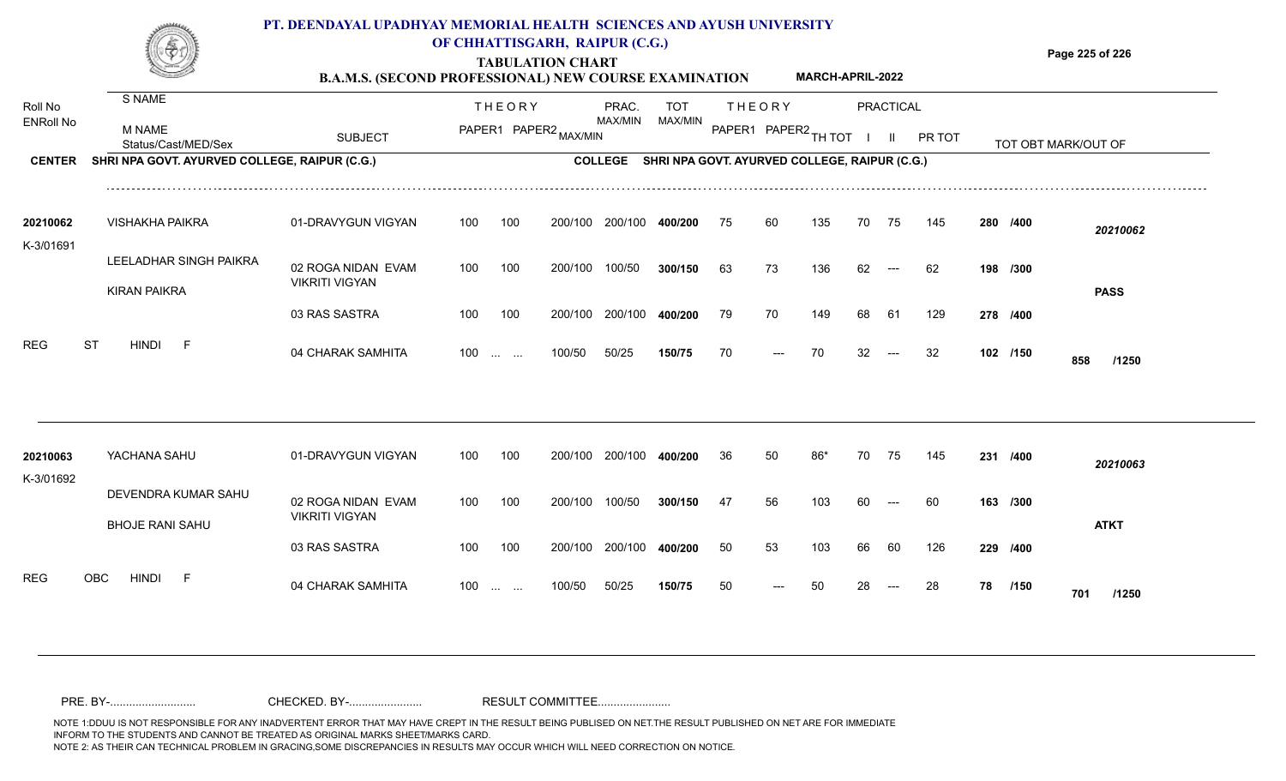

### **OF CHHATTISGARH, RAIPUR (C.G.)**

**Page 225 of 226**

#### **TABULATION CHART B.A.M.S. (SECOND PROFESSIONAL) NEW COURSE EXAMINATION MARCH-APRIL-2022**

| Roll No<br><b>ENRoll No</b> | S NAME<br><b>M NAME</b>                       |                                             |     | <b>THEORY</b><br>PAPER1 PAPER2 MAX/MIN         |         | PRAC.<br><b>MAX/MIN</b> | <b>TOT</b><br>MAX/MIN                         |    | <b>THEORY</b><br>PAPER1 PAPER2 TH TOT |     |    | PRACTICAL     |        |    |          |                     |
|-----------------------------|-----------------------------------------------|---------------------------------------------|-----|------------------------------------------------|---------|-------------------------|-----------------------------------------------|----|---------------------------------------|-----|----|---------------|--------|----|----------|---------------------|
|                             | Status/Cast/MED/Sex                           | <b>SUBJECT</b>                              |     |                                                |         |                         |                                               |    |                                       |     |    | $\mathbf{II}$ | PR TOT |    |          | TOT OBT MARK/OUT OF |
| <b>CENTER</b>               | SHRI NPA GOVT. AYURVED COLLEGE, RAIPUR (C.G.) |                                             |     |                                                |         | <b>COLLEGE</b>          | SHRI NPA GOVT. AYURVED COLLEGE, RAIPUR (C.G.) |    |                                       |     |    |               |        |    |          |                     |
| 20210062<br>K-3/01691       | <b>VISHAKHA PAIKRA</b>                        | 01-DRAVYGUN VIGYAN                          | 100 | 100                                            | 200/100 | 200/100                 | 400/200                                       | 75 | 60                                    | 135 | 70 | 75            | 145    |    | 280 /400 | 20210062            |
|                             | LEELADHAR SINGH PAIKRA                        | 02 ROGA NIDAN EVAM<br><b>VIKRITI VIGYAN</b> | 100 | 100                                            | 200/100 | 100/50                  | 300/150                                       | 63 | 73                                    | 136 | 62 | $---$         | 62     |    | 198 /300 |                     |
|                             | <b>KIRAN PAIKRA</b>                           | 03 RAS SASTRA                               | 100 | 100                                            | 200/100 | 200/100                 | 400/200                                       | 79 | 70                                    | 149 | 68 | 61            | 129    |    | 278 /400 | <b>PASS</b>         |
| <b>REG</b>                  | <b>ST</b><br><b>HINDI</b><br>- F              | 04 CHARAK SAMHITA                           | 100 | $\mathbf{r}$ and $\mathbf{r}$ and $\mathbf{r}$ | 100/50  | 50/25                   | 150/75                                        | 70 | ---                                   | 70  | 32 | $---$         | 32     |    | 102 /150 | 858<br>/1250        |
|                             |                                               |                                             |     |                                                |         |                         |                                               |    |                                       |     |    |               |        |    |          |                     |
| 20210063<br>K-3/01692       | YACHANA SAHU                                  | 01-DRAVYGUN VIGYAN                          | 100 | 100                                            |         | 200/100 200/100         | 400/200                                       | 36 | 50                                    | 86* | 70 | 75            | 145    |    | 231 /400 | 20210063            |
|                             | DEVENDRA KUMAR SAHU<br><b>BHOJE RANI SAHU</b> | 02 ROGA NIDAN EVAM<br><b>VIKRITI VIGYAN</b> | 100 | 100                                            | 200/100 | 100/50                  | 300/150                                       | 47 | 56                                    | 103 | 60 | $---$         | 60     |    | 163 /300 | <b>ATKT</b>         |
|                             |                                               | 03 RAS SASTRA                               | 100 | 100                                            |         | 200/100 200/100         | 400/200                                       | 50 | 53                                    | 103 | 66 | 60            | 126    |    | 229 /400 |                     |
| <b>REG</b>                  | OBC<br><b>HINDI</b><br>- F                    | 04 CHARAK SAMHITA                           | 100 | <b>Contract Contract</b>                       | 100/50  | 50/25                   | 150/75                                        | 50 |                                       | 50  |    |               | 28     | 78 | /150     | 701<br>/1250        |